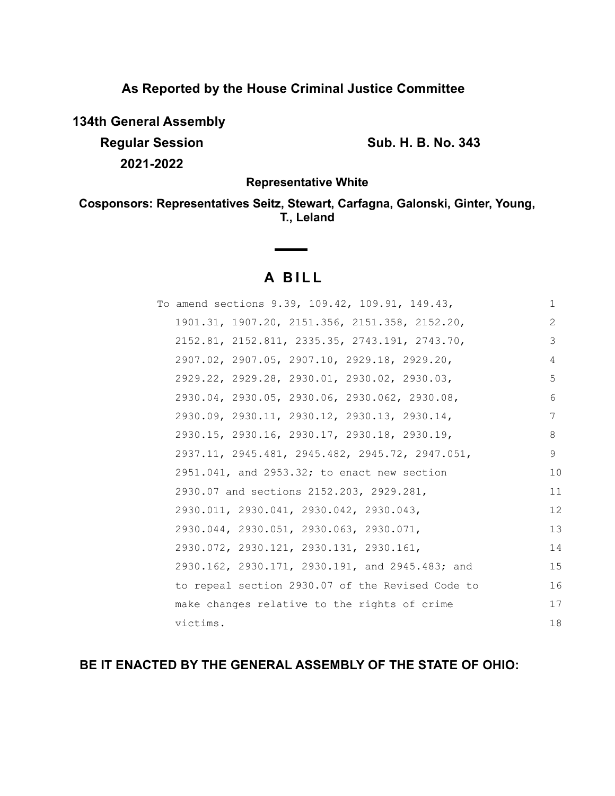## **As Reported by the House Criminal Justice Committee**

**134th General Assembly**

**Regular Session Sub. H. B. No. 343 2021-2022**

**Representative White**

**Cosponsors: Representatives Seitz, Stewart, Carfagna, Galonski, Ginter, Young, T., Leland**

## **A B I L L**

| To amend sections 9.39, 109.42, 109.91, 149.43,  | 1  |
|--------------------------------------------------|----|
| 1901.31, 1907.20, 2151.356, 2151.358, 2152.20,   | 2  |
| 2152.81, 2152.811, 2335.35, 2743.191, 2743.70,   | 3  |
| 2907.02, 2907.05, 2907.10, 2929.18, 2929.20,     | 4  |
| 2929.22, 2929.28, 2930.01, 2930.02, 2930.03,     | 5  |
| 2930.04, 2930.05, 2930.06, 2930.062, 2930.08,    | 6  |
| 2930.09, 2930.11, 2930.12, 2930.13, 2930.14,     | 7  |
| 2930.15, 2930.16, 2930.17, 2930.18, 2930.19,     | 8  |
| 2937.11, 2945.481, 2945.482, 2945.72, 2947.051,  | 9  |
| 2951.041, and 2953.32; to enact new section      | 10 |
| 2930.07 and sections 2152.203, 2929.281,         | 11 |
| 2930.011, 2930.041, 2930.042, 2930.043,          | 12 |
| 2930.044, 2930.051, 2930.063, 2930.071,          | 13 |
| 2930.072, 2930.121, 2930.131, 2930.161,          | 14 |
| 2930.162, 2930.171, 2930.191, and 2945.483; and  | 15 |
| to repeal section 2930.07 of the Revised Code to | 16 |
| make changes relative to the rights of crime     | 17 |
| victims.                                         | 18 |

# **BE IT ENACTED BY THE GENERAL ASSEMBLY OF THE STATE OF OHIO:**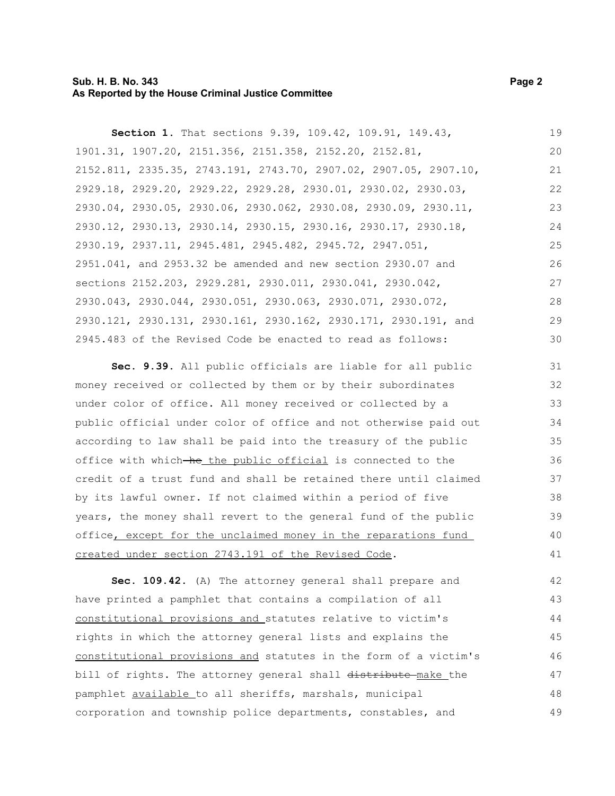#### **Sub. H. B. No. 343** Page 2 **As Reported by the House Criminal Justice Committee**

**Section 1.** That sections 9.39, 109.42, 109.91, 149.43, 1901.31, 1907.20, 2151.356, 2151.358, 2152.20, 2152.81, 2152.811, 2335.35, 2743.191, 2743.70, 2907.02, 2907.05, 2907.10, 2929.18, 2929.20, 2929.22, 2929.28, 2930.01, 2930.02, 2930.03, 2930.04, 2930.05, 2930.06, 2930.062, 2930.08, 2930.09, 2930.11, 2930.12, 2930.13, 2930.14, 2930.15, 2930.16, 2930.17, 2930.18, 2930.19, 2937.11, 2945.481, 2945.482, 2945.72, 2947.051, 2951.041, and 2953.32 be amended and new section 2930.07 and sections 2152.203, 2929.281, 2930.011, 2930.041, 2930.042, 2930.043, 2930.044, 2930.051, 2930.063, 2930.071, 2930.072, 2930.121, 2930.131, 2930.161, 2930.162, 2930.171, 2930.191, and 2945.483 of the Revised Code be enacted to read as follows: 19 20 21 22 23 24 25 26 27 28 29 30

**Sec. 9.39.** All public officials are liable for all public money received or collected by them or by their subordinates under color of office. All money received or collected by a public official under color of office and not otherwise paid out according to law shall be paid into the treasury of the public office with which-he the public official is connected to the credit of a trust fund and shall be retained there until claimed by its lawful owner. If not claimed within a period of five years, the money shall revert to the general fund of the public office, except for the unclaimed money in the reparations fund created under section 2743.191 of the Revised Code. 31 32 33 34 35 36 37 38 39 40 41

**Sec. 109.42.** (A) The attorney general shall prepare and have printed a pamphlet that contains a compilation of all constitutional provisions and statutes relative to victim's rights in which the attorney general lists and explains the constitutional provisions and statutes in the form of a victim's bill of rights. The attorney general shall distribute make the pamphlet available to all sheriffs, marshals, municipal corporation and township police departments, constables, and 42 43 44 45 46 47 48 49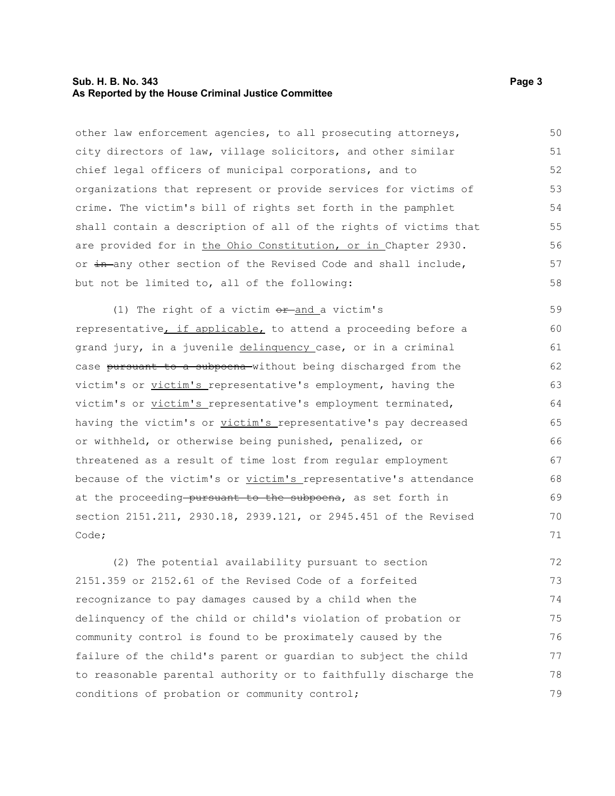#### **Sub. H. B. No. 343 Page 3 As Reported by the House Criminal Justice Committee**

other law enforcement agencies, to all prosecuting attorneys, city directors of law, village solicitors, and other similar chief legal officers of municipal corporations, and to organizations that represent or provide services for victims of crime. The victim's bill of rights set forth in the pamphlet shall contain a description of all of the rights of victims that are provided for in the Ohio Constitution, or in Chapter 2930. or in any other section of the Revised Code and shall include, but not be limited to, all of the following: 50 51 52 53 54 55 56 57 58

(1) The right of a victim  $er$ -and a victim's representative, if applicable, to attend a proceeding before a grand jury, in a juvenile delinquency case, or in a criminal case pursuant to a subpoena-without being discharged from the victim's or victim's representative's employment, having the victim's or victim's representative's employment terminated, having the victim's or victim's representative's pay decreased or withheld, or otherwise being punished, penalized, or threatened as a result of time lost from regular employment because of the victim's or victim's representative's attendance at the proceeding-pursuant to the subpoena, as set forth in section 2151.211, 2930.18, 2939.121, or 2945.451 of the Revised Code; 59 60 61 62 63 64 65 66 67 68 69 70 71

(2) The potential availability pursuant to section 2151.359 or 2152.61 of the Revised Code of a forfeited recognizance to pay damages caused by a child when the delinquency of the child or child's violation of probation or community control is found to be proximately caused by the failure of the child's parent or guardian to subject the child to reasonable parental authority or to faithfully discharge the conditions of probation or community control; 72 73 74 75 76 77 78 79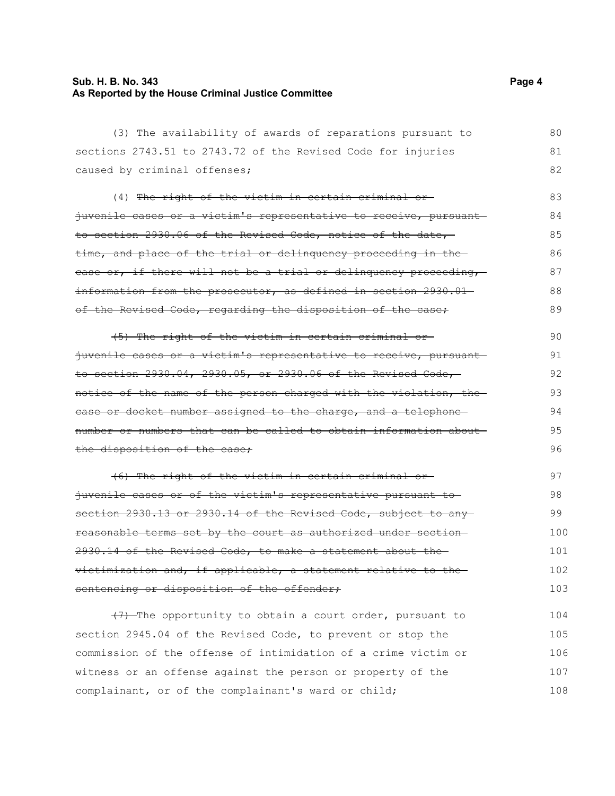## **Sub. H. B. No. 343 Page 4 As Reported by the House Criminal Justice Committee**

| (3) The availability of awards of reparations pursuant to        | 80  |
|------------------------------------------------------------------|-----|
| sections 2743.51 to 2743.72 of the Revised Code for injuries     | 81  |
| caused by criminal offenses;                                     | 82  |
| (4) The right of the victim in certain criminal or-              | 83  |
| juvenile cases or a victim's representative to receive, pursuant | 84  |
| to section 2930.06 of the Revised Code, notice of the date,      | 85  |
| time, and place of the trial or delinquency proceeding in the-   | 86  |
| ease or, if there will not be a trial or delinquency proceeding, | 87  |
| information from the prosecutor, as defined in section 2930.01   | 88  |
| of the Revised Code, regarding the disposition of the case;      | 89  |
| (5) The right of the victim in certain criminal or-              | 90  |
| juvenile cases or a victim's representative to receive, pursuant | 91  |
| to section 2930.04, 2930.05, or 2930.06 of the Revised Code,     | 92  |
| notice of the name of the person charged with the violation, the | 93  |
| ease or docket number assigned to the charge, and a telephone-   | 94  |
| number or numbers that can be called to obtain information about | 95  |
| the disposition of the case;                                     | 96  |
| (6) The right of the victim in certain criminal or-              | 97  |
| juvenile cases or of the victim's representative pursuant to     | 98  |
| section 2930.13 or 2930.14 of the Revised Code, subject to any   | 99  |
| reasonable terms set by the court as authorized under section-   | 100 |
| 2930.14 of the Revised Code, to make a statement about the       | 101 |
| victimization and, if applicable, a statement relative to the    | 102 |
| sentencing or disposition of the offender;                       | 103 |
| $(7)$ -The opportunity to obtain a court order, pursuant to      | 104 |
| section 2945.04 of the Revised Code, to prevent or stop the      | 105 |
| commission of the offense of intimidation of a crime victim or   | 106 |
| witness or an offense against the person or property of the      | 107 |
| complainant, or of the complainant's ward or child;              | 108 |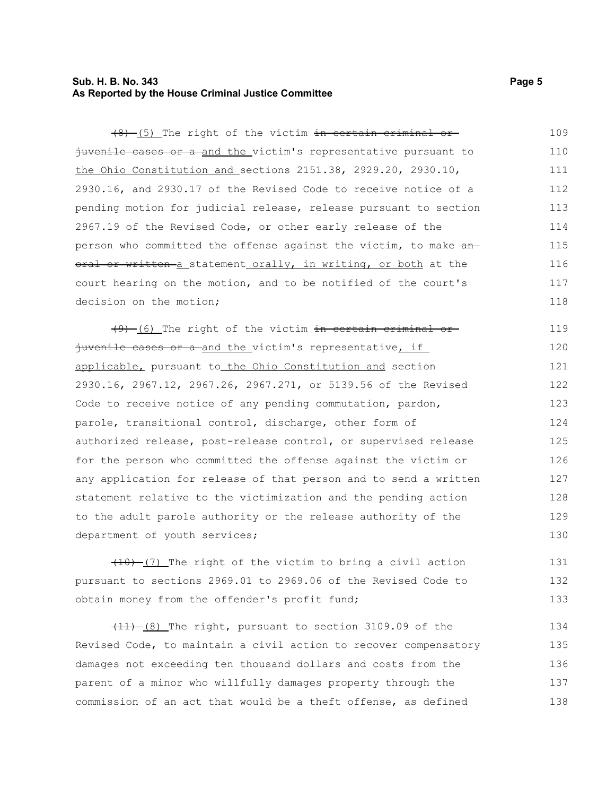#### **Sub. H. B. No. 343** Page 5 **As Reported by the House Criminal Justice Committee**

 $(8)$  (5) The right of the victim in certain criminal orituvenile cases or a and the victim's representative pursuant to the Ohio Constitution and sections 2151.38, 2929.20, 2930.10, 2930.16, and 2930.17 of the Revised Code to receive notice of a pending motion for judicial release, release pursuant to section 2967.19 of the Revised Code, or other early release of the person who committed the offense against the victim, to make anoral or written a statement orally, in writing, or both at the court hearing on the motion, and to be notified of the court's decision on the motion; 109 110 111 112 113 114 115 116 117 118

(9) (6) The right of the victim in certain criminal or juvenile cases or a-and the victim's representative, if applicable, pursuant to the Ohio Constitution and section 2930.16, 2967.12, 2967.26, 2967.271, or 5139.56 of the Revised Code to receive notice of any pending commutation, pardon, parole, transitional control, discharge, other form of authorized release, post-release control, or supervised release for the person who committed the offense against the victim or any application for release of that person and to send a written statement relative to the victimization and the pending action to the adult parole authority or the release authority of the department of youth services; 119 120 121 122 123 124 125 126 127 128 129 130

 $(10)$   $(7)$  The right of the victim to bring a civil action pursuant to sections 2969.01 to 2969.06 of the Revised Code to obtain money from the offender's profit fund; 131 132 133

 $(11)$  (8) The right, pursuant to section 3109.09 of the Revised Code, to maintain a civil action to recover compensatory damages not exceeding ten thousand dollars and costs from the parent of a minor who willfully damages property through the commission of an act that would be a theft offense, as defined 134 135 136 137 138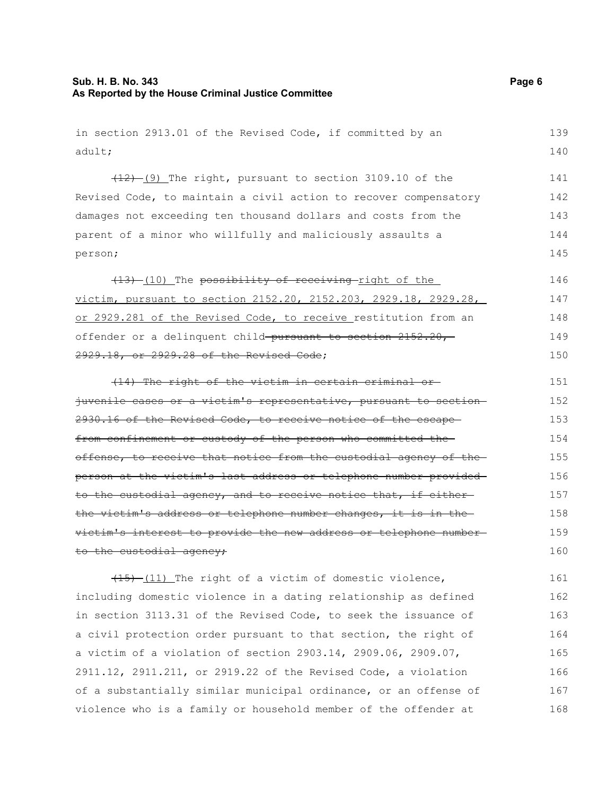#### **Sub. H. B. No. 343** Page 6 **As Reported by the House Criminal Justice Committee**

in section 2913.01 of the Revised Code, if committed by an adult;  $(12)$  (9) The right, pursuant to section 3109.10 of the Revised Code, to maintain a civil action to recover compensatory damages not exceeding ten thousand dollars and costs from the parent of a minor who willfully and maliciously assaults a person; (13) (10) The possibility of receiving right of the victim, pursuant to section 2152.20, 2152.203, 2929.18, 2929.28, or 2929.281 of the Revised Code, to receive restitution from an offender or a delinquent child pursuant to section 2152.20, 2929.18, or 2929.28 of the Revised Code; (14) The right of the victim in certain criminal or juvenile cases or a victim's representative, pursuant to section 2930.16 of the Revised Code, to receive notice of the escape from confinement or custody of the person who committed the offense, to receive that notice from the custodial agency of the person at the victim's last address or telephone number provided to the custodial agency, and to receive notice that, if either the victim's address or telephone number changes, it is in the victim's interest to provide the new address or telephone number to the custodial agency; 139 140 141 142 143 144 145 146 147 148 149 150 151 152 153 154 155 156 157 158 159 160

 $(15)$  (11) The right of a victim of domestic violence, including domestic violence in a dating relationship as defined in section 3113.31 of the Revised Code, to seek the issuance of a civil protection order pursuant to that section, the right of a victim of a violation of section 2903.14, 2909.06, 2909.07, 2911.12, 2911.211, or 2919.22 of the Revised Code, a violation of a substantially similar municipal ordinance, or an offense of violence who is a family or household member of the offender at 161 162 163 164 165 166 167 168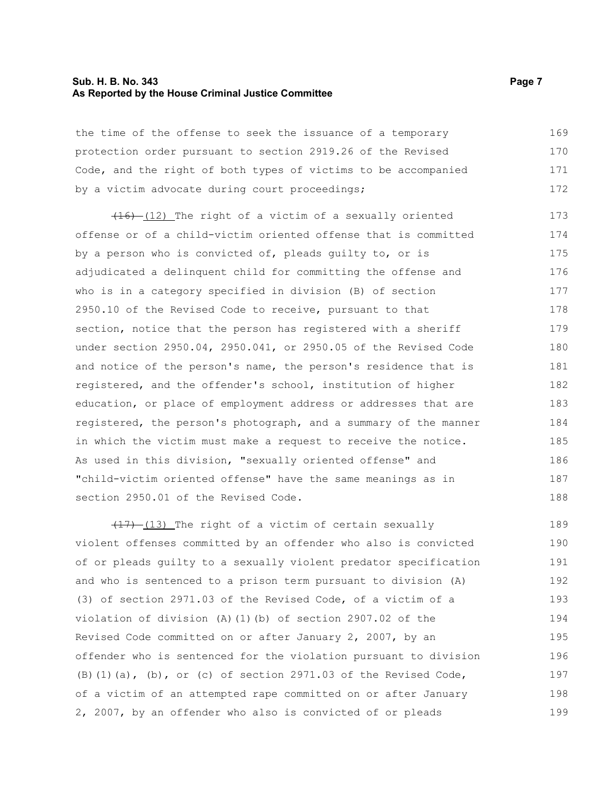#### **Sub. H. B. No. 343** Page 7 **As Reported by the House Criminal Justice Committee**

the time of the offense to seek the issuance of a temporary protection order pursuant to section 2919.26 of the Revised Code, and the right of both types of victims to be accompanied by a victim advocate during court proceedings; 169 170 171 172

(16) (12) The right of a victim of a sexually oriented offense or of a child-victim oriented offense that is committed by a person who is convicted of, pleads guilty to, or is adjudicated a delinquent child for committing the offense and who is in a category specified in division (B) of section 2950.10 of the Revised Code to receive, pursuant to that section, notice that the person has registered with a sheriff under section 2950.04, 2950.041, or 2950.05 of the Revised Code and notice of the person's name, the person's residence that is registered, and the offender's school, institution of higher education, or place of employment address or addresses that are registered, the person's photograph, and a summary of the manner in which the victim must make a request to receive the notice. As used in this division, "sexually oriented offense" and "child-victim oriented offense" have the same meanings as in section 2950.01 of the Revised Code. 173 174 175 176 177 178 179 180 181 182 183 184 185 186 187 188

 $(17)$   $(13)$  The right of a victim of certain sexually violent offenses committed by an offender who also is convicted of or pleads guilty to a sexually violent predator specification and who is sentenced to a prison term pursuant to division (A) (3) of section 2971.03 of the Revised Code, of a victim of a violation of division (A)(1)(b) of section 2907.02 of the Revised Code committed on or after January 2, 2007, by an offender who is sentenced for the violation pursuant to division  $(B)$ (1)(a),  $(b)$ , or (c) of section 2971.03 of the Revised Code, of a victim of an attempted rape committed on or after January 2, 2007, by an offender who also is convicted of or pleads 189 190 191 192 193 194 195 196 197 198 199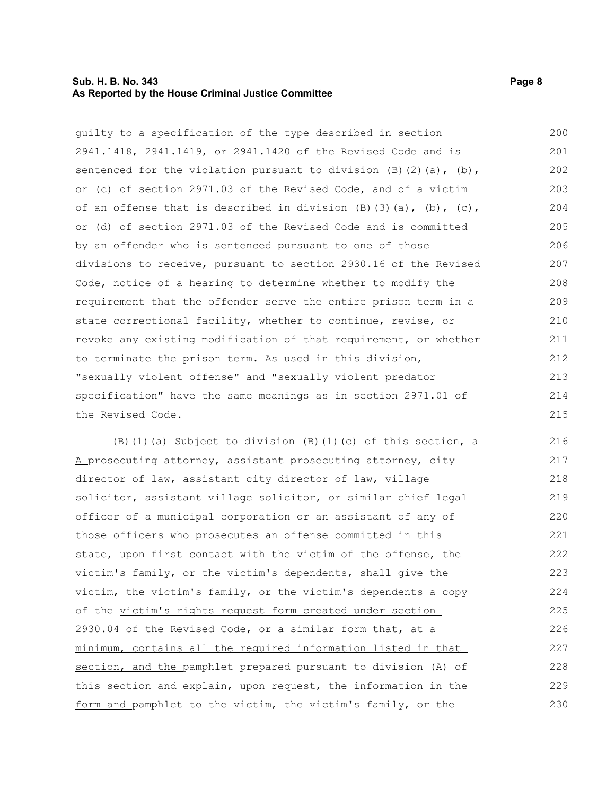#### **Sub. H. B. No. 343** Page 8 **As Reported by the House Criminal Justice Committee**

guilty to a specification of the type described in section 2941.1418, 2941.1419, or 2941.1420 of the Revised Code and is sentenced for the violation pursuant to division  $(B)$   $(2)$   $(a)$ ,  $(b)$ , or (c) of section 2971.03 of the Revised Code, and of a victim of an offense that is described in division  $(B)(3)(a)$ ,  $(b)$ ,  $(c)$ , or (d) of section 2971.03 of the Revised Code and is committed by an offender who is sentenced pursuant to one of those divisions to receive, pursuant to section 2930.16 of the Revised Code, notice of a hearing to determine whether to modify the requirement that the offender serve the entire prison term in a state correctional facility, whether to continue, revise, or revoke any existing modification of that requirement, or whether to terminate the prison term. As used in this division, "sexually violent offense" and "sexually violent predator specification" have the same meanings as in section 2971.01 of the Revised Code. 200 201 202 203 204 205 206 207 208 209 210 211 212 213 214 215

(B)(1)(a) Subject to division  $(B)$  (1)(c) of this section, a A prosecuting attorney, assistant prosecuting attorney, city director of law, assistant city director of law, village solicitor, assistant village solicitor, or similar chief legal officer of a municipal corporation or an assistant of any of those officers who prosecutes an offense committed in this state, upon first contact with the victim of the offense, the victim's family, or the victim's dependents, shall give the victim, the victim's family, or the victim's dependents a copy of the victim's rights request form created under section 2930.04 of the Revised Code, or a similar form that, at a minimum, contains all the required information listed in that section, and the pamphlet prepared pursuant to division (A) of this section and explain, upon request, the information in the form and pamphlet to the victim, the victim's family, or the 216 217 218 219 220 221 222 223 224 225 226 227 228 229 230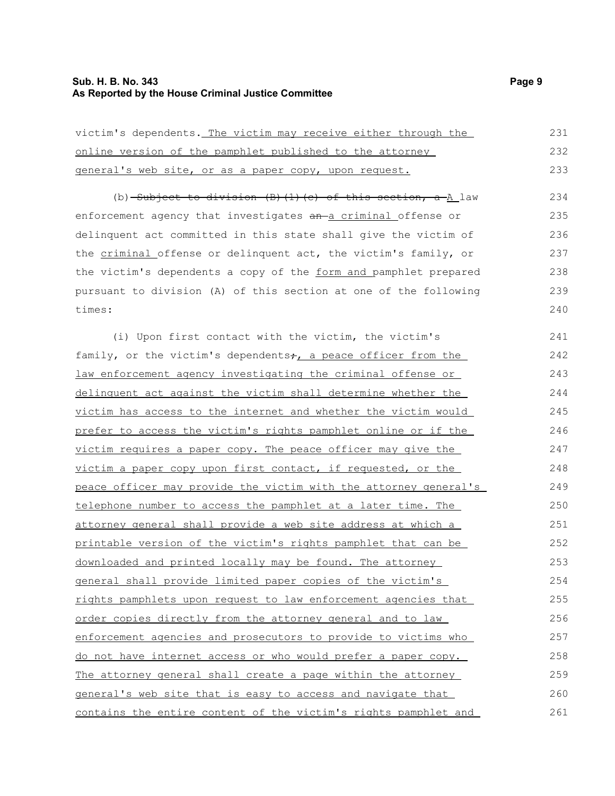#### **Sub. H. B. No. 343** Page 9 **As Reported by the House Criminal Justice Committee**

victim's dependents. The victim may receive either through the

online version of the pamphlet published to the attorney

order copies directly from the attorney general and to law

enforcement agencies and prosecutors to provide to victims who do not have internet access or who would prefer a paper copy. The attorney general shall create a page within the attorney general's web site that is easy to access and navigate that

contains the entire content of the victim's rights pamphlet and

general's web site, or as a paper copy, upon request.

| (b) Subject to division (B) $(1)$ (c) of this section, a A law   | 234 |
|------------------------------------------------------------------|-----|
| enforcement agency that investigates an a criminal offense or    | 235 |
| delinquent act committed in this state shall give the victim of  | 236 |
| the criminal offense or delinquent act, the victim's family, or  | 237 |
| the victim's dependents a copy of the form and pamphlet prepared | 238 |
| pursuant to division (A) of this section at one of the following | 239 |
| times:                                                           | 240 |
| (i) Upon first contact with the victim, the victim's             | 241 |
| family, or the victim's dependents+, a peace officer from the    | 242 |
| law enforcement agency investigating the criminal offense or     | 243 |
| delinquent act against the victim shall determine whether the    | 244 |
| victim has access to the internet and whether the victim would   | 245 |
| prefer to access the victim's rights pamphlet online or if the   | 246 |
| victim requires a paper copy. The peace officer may give the     | 247 |
| victim a paper copy upon first contact, if requested, or the     | 248 |
| peace officer may provide the victim with the attorney general's | 249 |
| telephone number to access the pamphlet at a later time. The     | 250 |
| attorney general shall provide a web site address at which a     | 251 |
| printable version of the victim's rights pamphlet that can be    | 252 |
| downloaded and printed locally may be found. The attorney        | 253 |
| general shall provide limited paper copies of the victim's       | 254 |
| rights pamphlets upon request to law enforcement agencies that   | 255 |

231 232 233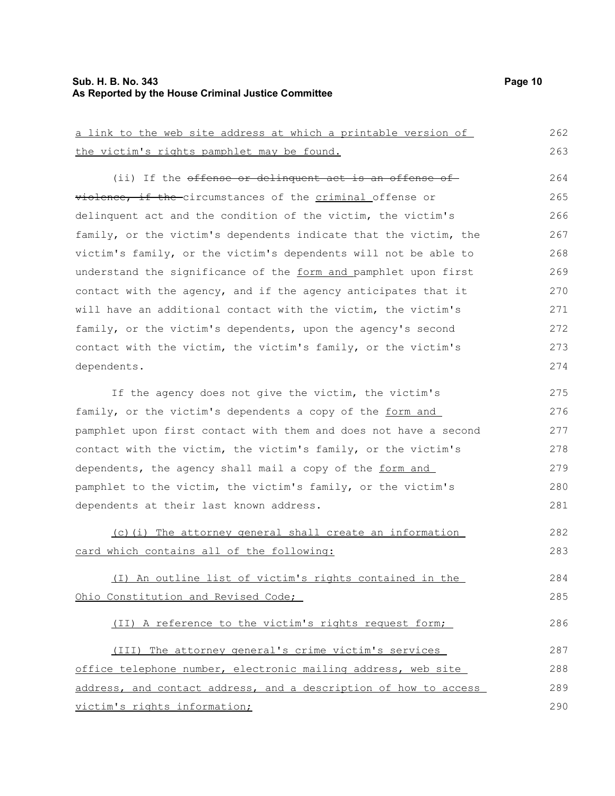## **Sub. H. B. No. 343** Page 10 **As Reported by the House Criminal Justice Committee**

| a link to the web site address at which a printable version of   | 262 |
|------------------------------------------------------------------|-----|
| the victim's rights pamphlet may be found.                       | 263 |
| (ii) If the offense or delinguent act is an offense of           | 264 |
| violence, if the circumstances of the criminal offense or        | 265 |
| delinquent act and the condition of the victim, the victim's     | 266 |
| family, or the victim's dependents indicate that the victim, the | 267 |
| victim's family, or the victim's dependents will not be able to  | 268 |
| understand the significance of the form and pamphlet upon first  | 269 |
| contact with the agency, and if the agency anticipates that it   | 270 |
| will have an additional contact with the victim, the victim's    | 271 |
| family, or the victim's dependents, upon the agency's second     | 272 |
| contact with the victim, the victim's family, or the victim's    | 273 |
| dependents.                                                      | 274 |
| If the agency does not give the victim, the victim's             | 275 |
| family, or the victim's dependents a copy of the form and        | 276 |
| pamphlet upon first contact with them and does not have a second | 277 |
| contact with the victim, the victim's family, or the victim's    | 278 |
| dependents, the agency shall mail a copy of the form and         | 279 |
| pamphlet to the victim, the victim's family, or the victim's     | 280 |
| dependents at their last known address.                          | 281 |
| (c)(i) The attorney general shall create an information          | 282 |
| card which contains all of the following:                        | 283 |
| An outline list of victim's rights contained in the<br>(I)       | 284 |
| Ohio Constitution and Revised Code;                              | 285 |
| (II) A reference to the victim's rights request form;            | 286 |
| (III) The attorney general's crime victim's services             | 287 |
| office telephone number, electronic mailing address, web site    | 288 |
| address, and contact address, and a description of how to access | 289 |
| victim's rights information;                                     | 290 |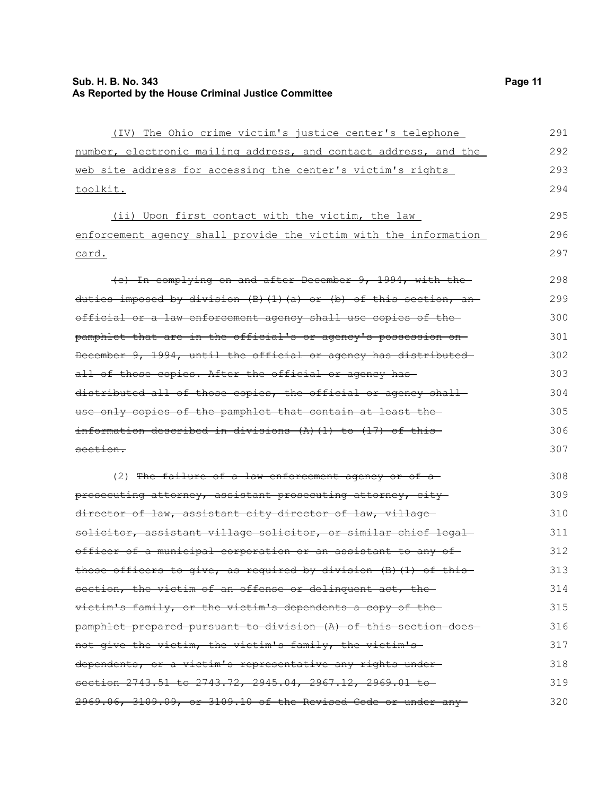## **Sub. H. B. No. 343** Page 11 **As Reported by the House Criminal Justice Committee**

| (IV) The Ohio crime victim's justice center's telephone                 | 291 |
|-------------------------------------------------------------------------|-----|
| number, electronic mailing address, and contact address, and the        | 292 |
| web site address for accessing the center's victim's rights             | 293 |
| toolkit.                                                                | 294 |
| (ii) Upon first contact with the victim, the law                        | 295 |
| enforcement agency shall provide the victim with the information        | 296 |
| <u>card.</u>                                                            | 297 |
| (c) In complying on and after December 9, 1994, with the                | 298 |
| duties imposed by division (B)(1)(a) or (b) of this section, an-        | 299 |
| official or a law enforcement agency shall use copies of the            | 300 |
| pamphlet that are in the official's or agency's possession on-          | 301 |
| December 9, 1994, until the official or agency has distributed          | 302 |
| all of those copies. After the official or agency has-                  | 303 |
| distributed all of those copies, the official or agency shall           | 304 |
| use only copies of the pamphlet that contain at least the-              | 305 |
| $\frac{1}{1}$ information described in divisions (A)(1) to (17) of this | 306 |
| section.                                                                | 307 |
| (2) The failure of a law enforcement agency or of a                     | 308 |
| prosecuting attorney, assistant prosecuting attorney, city              | 309 |
| director of law, assistant city director of law, village-               | 310 |
| solicitor, assistant village solicitor, or similar chief legal-         | 311 |
| officer of a municipal corporation or an assistant to any of            | 312 |
| those officers to give, as required by division (B) (1) of this-        | 313 |
| section, the victim of an offense or delinquent act, the-               | 314 |
| victim's family, or the victim's dependents a copy of the               | 315 |
| pamphlet prepared pursuant to division (A) of this section does-        | 316 |
| not give the victim, the victim's family, the victim's                  | 317 |
| dependents, or a victim's representative any rights under-              | 318 |
| section 2743.51 to 2743.72, 2945.04, 2967.12, 2969.01 to                | 319 |
| 2969.06, 3109.09, or 3109.10 of the Revised Code or under any           | 320 |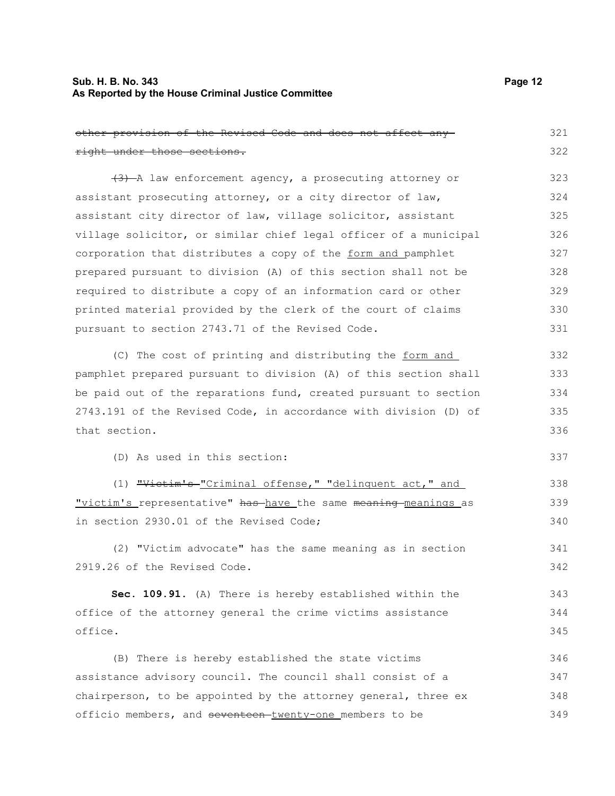## **Sub. H. B. No. 343** Page 12 **As Reported by the House Criminal Justice Committee**

| other provision of the Revised Code and does not affect any            | 321 |
|------------------------------------------------------------------------|-----|
| right under those sections.                                            | 322 |
| $(3)$ -A law enforcement agency, a prosecuting attorney or             | 323 |
| assistant prosecuting attorney, or a city director of law,             | 324 |
| assistant city director of law, village solicitor, assistant           | 325 |
| village solicitor, or similar chief legal officer of a municipal       | 326 |
| corporation that distributes a copy of the form and pamphlet           | 327 |
| prepared pursuant to division (A) of this section shall not be         | 328 |
| required to distribute a copy of an information card or other          | 329 |
| printed material provided by the clerk of the court of claims          | 330 |
| pursuant to section 2743.71 of the Revised Code.                       | 331 |
| (C) The cost of printing and distributing the form and                 | 332 |
| pamphlet prepared pursuant to division (A) of this section shall       | 333 |
| be paid out of the reparations fund, created pursuant to section       | 334 |
| 2743.191 of the Revised Code, in accordance with division (D) of       | 335 |
| that section.                                                          | 336 |
| (D) As used in this section:                                           | 337 |
| (1) "Victim's-"Criminal offense," "delinquent act," and                | 338 |
| <u>"victim's</u> representative" has have the same meaning meanings as | 339 |
| in section 2930.01 of the Revised Code;                                | 340 |
| (2) "Victim advocate" has the same meaning as in section               | 341 |
| 2919.26 of the Revised Code.                                           | 342 |
| Sec. 109.91. (A) There is hereby established within the                | 343 |
| office of the attorney general the crime victims assistance            | 344 |
| office.                                                                | 345 |
| (B) There is hereby established the state victims                      | 346 |
| assistance advisory council. The council shall consist of a            | 347 |
| chairperson, to be appointed by the attorney general, three ex         | 348 |
| officio members, and seventeen-twenty-one members to be                | 349 |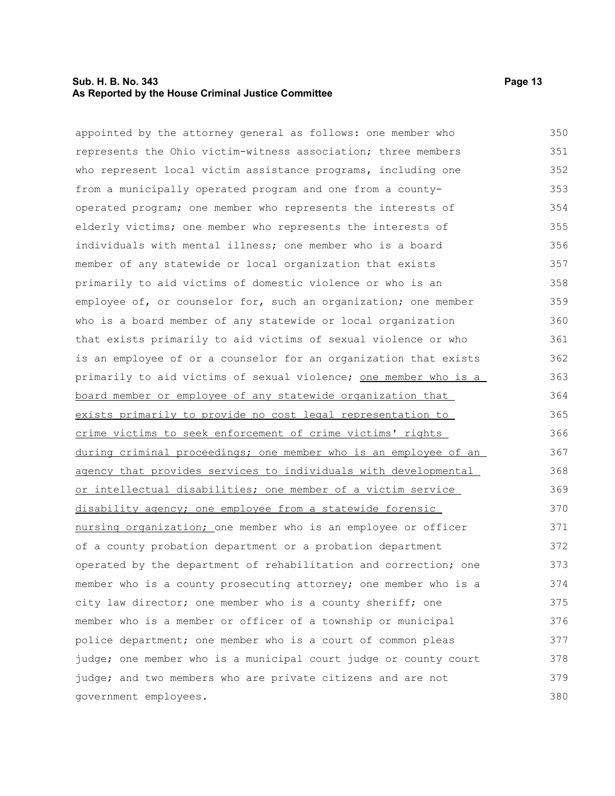#### **Sub. H. B. No. 343 Page 13 As Reported by the House Criminal Justice Committee**

appointed by the attorney general as follows: one member who represents the Ohio victim-witness association; three members who represent local victim assistance programs, including one from a municipally operated program and one from a countyoperated program; one member who represents the interests of elderly victims; one member who represents the interests of individuals with mental illness; one member who is a board member of any statewide or local organization that exists primarily to aid victims of domestic violence or who is an employee of, or counselor for, such an organization; one member who is a board member of any statewide or local organization that exists primarily to aid victims of sexual violence or who is an employee of or a counselor for an organization that exists primarily to aid victims of sexual violence; <u>one member who is a</u> board member or employee of any statewide organization that exists primarily to provide no cost legal representation to crime victims to seek enforcement of crime victims' rights during criminal proceedings; one member who is an employee of an agency that provides services to individuals with developmental or intellectual disabilities; one member of a victim service disability agency; one employee from a statewide forensic nursing organization; one member who is an employee or officer of a county probation department or a probation department operated by the department of rehabilitation and correction; one member who is a county prosecuting attorney; one member who is a city law director; one member who is a county sheriff; one member who is a member or officer of a township or municipal police department; one member who is a court of common pleas judge; one member who is a municipal court judge or county court judge; and two members who are private citizens and are not government employees. 350 351 352 353 354 355 356 357 358 359 360 361 362 363 364 365 366 367 368 369 370 371 372 373 374 375 376 377 378 379 380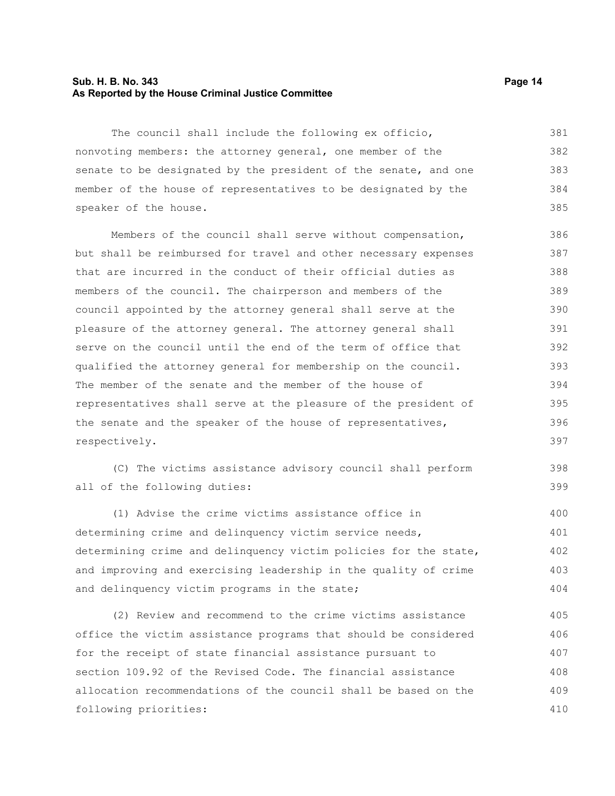#### **Sub. H. B. No. 343 Page 14 As Reported by the House Criminal Justice Committee**

The council shall include the following ex officio, nonvoting members: the attorney general, one member of the senate to be designated by the president of the senate, and one member of the house of representatives to be designated by the speaker of the house. 381 382 383 384 385

Members of the council shall serve without compensation, but shall be reimbursed for travel and other necessary expenses that are incurred in the conduct of their official duties as members of the council. The chairperson and members of the council appointed by the attorney general shall serve at the pleasure of the attorney general. The attorney general shall serve on the council until the end of the term of office that qualified the attorney general for membership on the council. The member of the senate and the member of the house of representatives shall serve at the pleasure of the president of the senate and the speaker of the house of representatives, respectively. 386 387 388 389 390 391 392 393 394 395 396 397

(C) The victims assistance advisory council shall perform all of the following duties:

(1) Advise the crime victims assistance office in determining crime and delinquency victim service needs, determining crime and delinquency victim policies for the state, and improving and exercising leadership in the quality of crime and delinquency victim programs in the state; 400 401 402 403 404

(2) Review and recommend to the crime victims assistance office the victim assistance programs that should be considered for the receipt of state financial assistance pursuant to section 109.92 of the Revised Code. The financial assistance allocation recommendations of the council shall be based on the following priorities: 405 406 407 408 409 410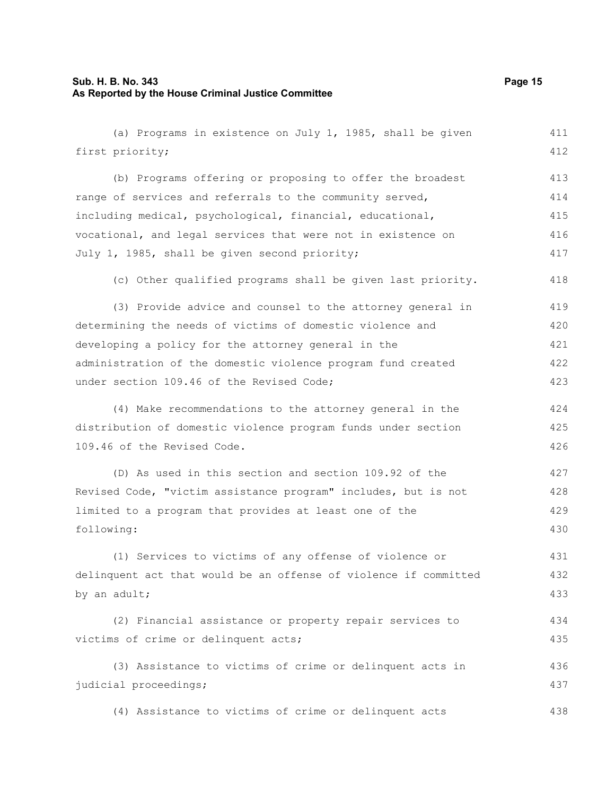## **Sub. H. B. No. 343** Page 15 **As Reported by the House Criminal Justice Committee**

| (a) Programs in existence on July 1, 1985, shall be given        | 411 |
|------------------------------------------------------------------|-----|
| first priority;                                                  | 412 |
| (b) Programs offering or proposing to offer the broadest         | 413 |
| range of services and referrals to the community served,         | 414 |
| including medical, psychological, financial, educational,        | 415 |
| vocational, and legal services that were not in existence on     | 416 |
| July 1, 1985, shall be given second priority;                    | 417 |
| (c) Other qualified programs shall be given last priority.       | 418 |
| (3) Provide advice and counsel to the attorney general in        | 419 |
| determining the needs of victims of domestic violence and        | 420 |
| developing a policy for the attorney general in the              | 421 |
| administration of the domestic violence program fund created     | 422 |
| under section 109.46 of the Revised Code;                        | 423 |
| (4) Make recommendations to the attorney general in the          | 424 |
| distribution of domestic violence program funds under section    | 425 |
| 109.46 of the Revised Code.                                      | 426 |
| (D) As used in this section and section 109.92 of the            | 427 |
| Revised Code, "victim assistance program" includes, but is not   | 428 |
| limited to a program that provides at least one of the           | 429 |
| following:                                                       | 430 |
| (1) Services to victims of any offense of violence or            | 431 |
| delinquent act that would be an offense of violence if committed | 432 |
| by an adult;                                                     | 433 |
| (2) Financial assistance or property repair services to          | 434 |
| victims of crime or delinquent acts;                             | 435 |
| (3) Assistance to victims of crime or delinquent acts in         | 436 |
| judicial proceedings;                                            | 437 |
| (4) Assistance to victims of crime or delinquent acts            | 438 |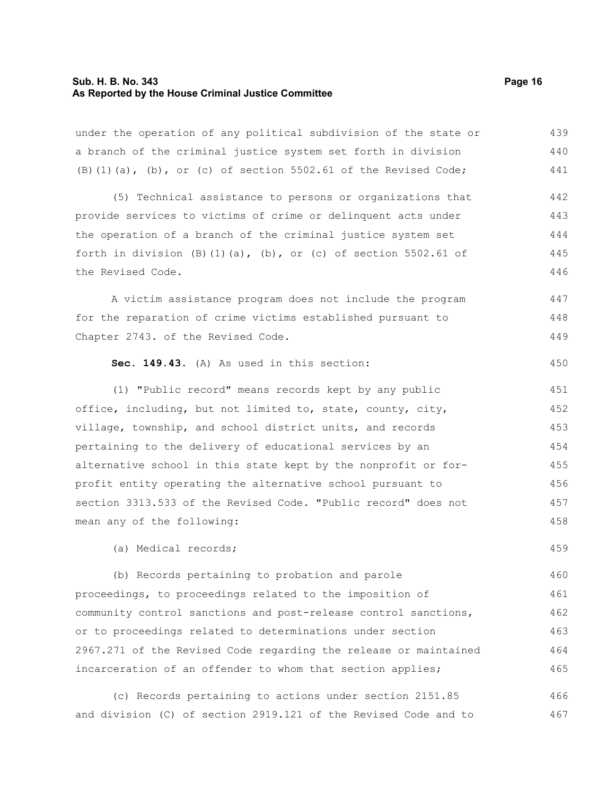## **Sub. H. B. No. 343 Page 16 As Reported by the House Criminal Justice Committee**

| under the operation of any political subdivision of the state or         | 439 |
|--------------------------------------------------------------------------|-----|
| a branch of the criminal justice system set forth in division            | 440 |
| $(B)$ (1) (a), (b), or (c) of section 5502.61 of the Revised Code;       | 441 |
| (5) Technical assistance to persons or organizations that                | 442 |
| provide services to victims of crime or delinquent acts under            | 443 |
| the operation of a branch of the criminal justice system set             | 444 |
| forth in division $(B) (1) (a)$ , $(b)$ , or $(c)$ of section 5502.61 of | 445 |
| the Revised Code.                                                        | 446 |
| A victim assistance program does not include the program                 | 447 |
| for the reparation of crime victims established pursuant to              | 448 |
| Chapter 2743. of the Revised Code.                                       | 449 |
| Sec. 149.43. (A) As used in this section:                                | 450 |
| (1) "Public record" means records kept by any public                     | 451 |
| office, including, but not limited to, state, county, city,              | 452 |
| village, township, and school district units, and records                | 453 |
| pertaining to the delivery of educational services by an                 | 454 |
| alternative school in this state kept by the nonprofit or for-           | 455 |
| profit entity operating the alternative school pursuant to               | 456 |
| section 3313.533 of the Revised Code. "Public record" does not           | 457 |
| mean any of the following:                                               | 458 |
| (a) Medical records;                                                     | 459 |
| (b) Records pertaining to probation and parole                           | 460 |
| proceedings, to proceedings related to the imposition of                 | 461 |
| community control sanctions and post-release control sanctions,          | 462 |
| or to proceedings related to determinations under section                | 463 |
| 2967.271 of the Revised Code regarding the release or maintained         | 464 |
| incarceration of an offender to whom that section applies;               | 465 |
| (c) Records pertaining to actions under section 2151.85                  | 466 |
| and division (C) of section 2919.121 of the Revised Code and to          | 467 |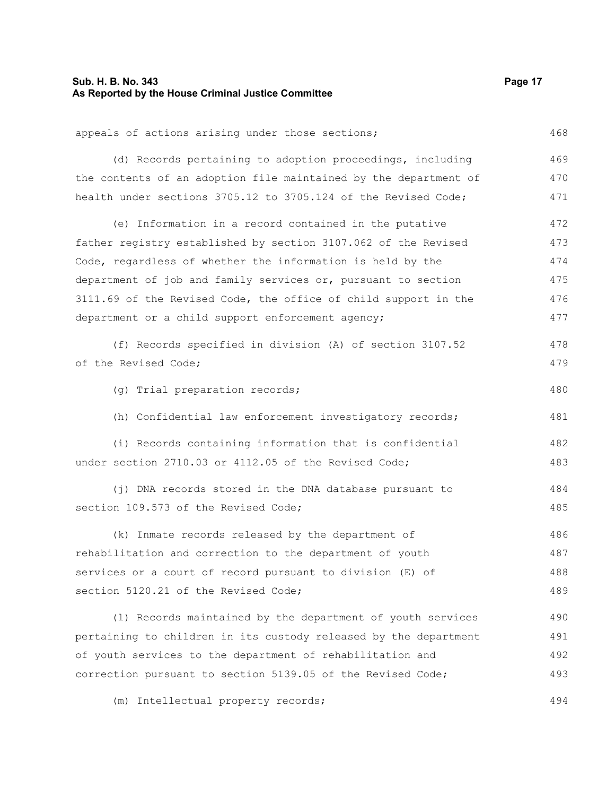#### **Sub. H. B. No. 343 Page 17 As Reported by the House Criminal Justice Committee**

appeals of actions arising under those sections; (d) Records pertaining to adoption proceedings, including the contents of an adoption file maintained by the department of health under sections 3705.12 to 3705.124 of the Revised Code; (e) Information in a record contained in the putative father registry established by section 3107.062 of the Revised Code, regardless of whether the information is held by the department of job and family services or, pursuant to section 3111.69 of the Revised Code, the office of child support in the department or a child support enforcement agency; (f) Records specified in division (A) of section 3107.52 of the Revised Code; (g) Trial preparation records; (h) Confidential law enforcement investigatory records; (i) Records containing information that is confidential under section 2710.03 or 4112.05 of the Revised Code; (j) DNA records stored in the DNA database pursuant to section 109.573 of the Revised Code; (k) Inmate records released by the department of rehabilitation and correction to the department of youth services or a court of record pursuant to division (E) of section 5120.21 of the Revised Code; (l) Records maintained by the department of youth services pertaining to children in its custody released by the department of youth services to the department of rehabilitation and 468 469 470 471 472 473 474 475 476 477 478 479 480 481 482 483 484 485 486 487 488 489 490 491 492

(m) Intellectual property records;

correction pursuant to section 5139.05 of the Revised Code;

494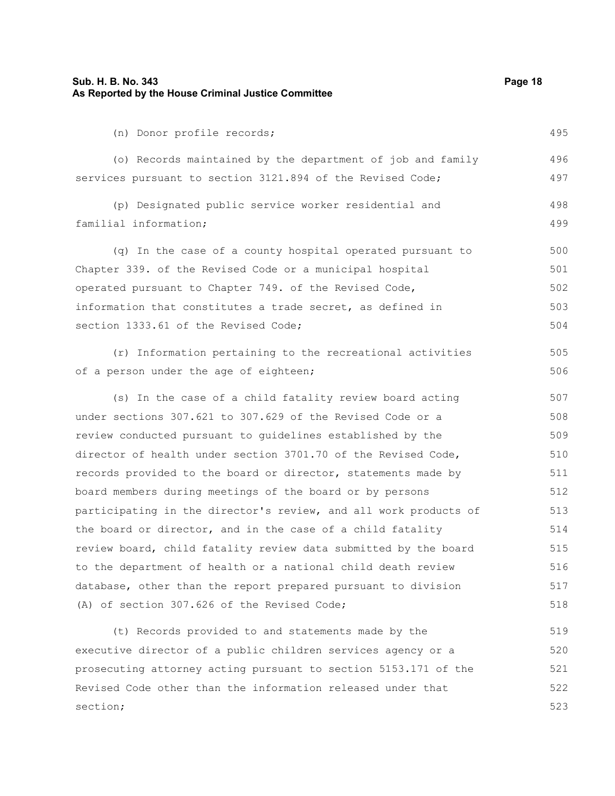#### **Sub. H. B. No. 343 Page 18 As Reported by the House Criminal Justice Committee**

(n) Donor profile records;

(o) Records maintained by the department of job and family services pursuant to section 3121.894 of the Revised Code; 496 497

(p) Designated public service worker residential and familial information; 498 499

(q) In the case of a county hospital operated pursuant to Chapter 339. of the Revised Code or a municipal hospital operated pursuant to Chapter 749. of the Revised Code, information that constitutes a trade secret, as defined in section 1333.61 of the Revised Code: 500 501 502 503 504

(r) Information pertaining to the recreational activities of a person under the age of eighteen;

(s) In the case of a child fatality review board acting under sections 307.621 to 307.629 of the Revised Code or a review conducted pursuant to guidelines established by the director of health under section 3701.70 of the Revised Code, records provided to the board or director, statements made by board members during meetings of the board or by persons participating in the director's review, and all work products of the board or director, and in the case of a child fatality review board, child fatality review data submitted by the board to the department of health or a national child death review database, other than the report prepared pursuant to division (A) of section 307.626 of the Revised Code; 507 508 509 510 511 512 513 514 515 516 517 518

(t) Records provided to and statements made by the executive director of a public children services agency or a prosecuting attorney acting pursuant to section 5153.171 of the Revised Code other than the information released under that section; 519 520 521 522 523

495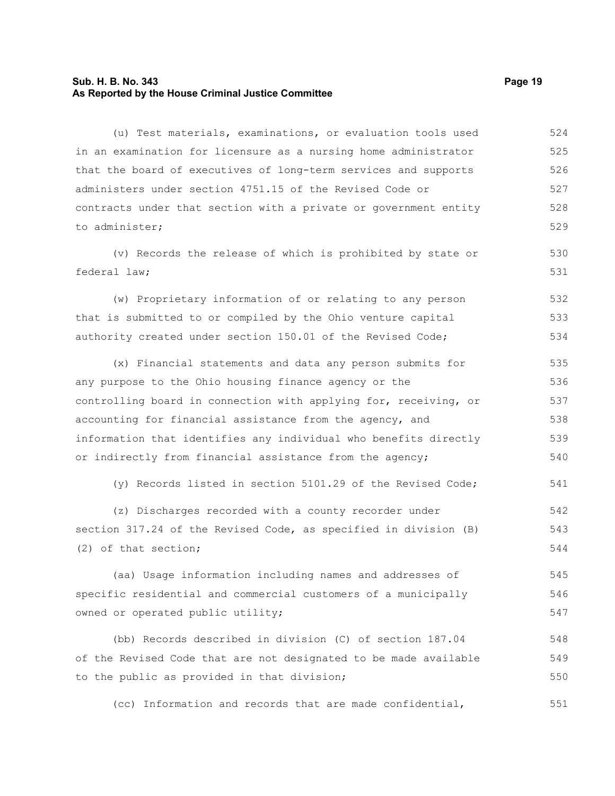#### **Sub. H. B. No. 343 Page 19 As Reported by the House Criminal Justice Committee**

(u) Test materials, examinations, or evaluation tools used in an examination for licensure as a nursing home administrator that the board of executives of long-term services and supports administers under section 4751.15 of the Revised Code or contracts under that section with a private or government entity to administer; 524 525 526 527 528 529

(v) Records the release of which is prohibited by state or federal law;

(w) Proprietary information of or relating to any person that is submitted to or compiled by the Ohio venture capital authority created under section 150.01 of the Revised Code; 532 533 534

(x) Financial statements and data any person submits for any purpose to the Ohio housing finance agency or the controlling board in connection with applying for, receiving, or accounting for financial assistance from the agency, and information that identifies any individual who benefits directly or indirectly from financial assistance from the agency; 535 536 537 538 539 540

(y) Records listed in section 5101.29 of the Revised Code; 541

(z) Discharges recorded with a county recorder under section 317.24 of the Revised Code, as specified in division (B) (2) of that section; 542 543 544

(aa) Usage information including names and addresses of specific residential and commercial customers of a municipally owned or operated public utility; 545 546 547

(bb) Records described in division (C) of section 187.04 of the Revised Code that are not designated to be made available to the public as provided in that division; 548 549 550

(cc) Information and records that are made confidential, 551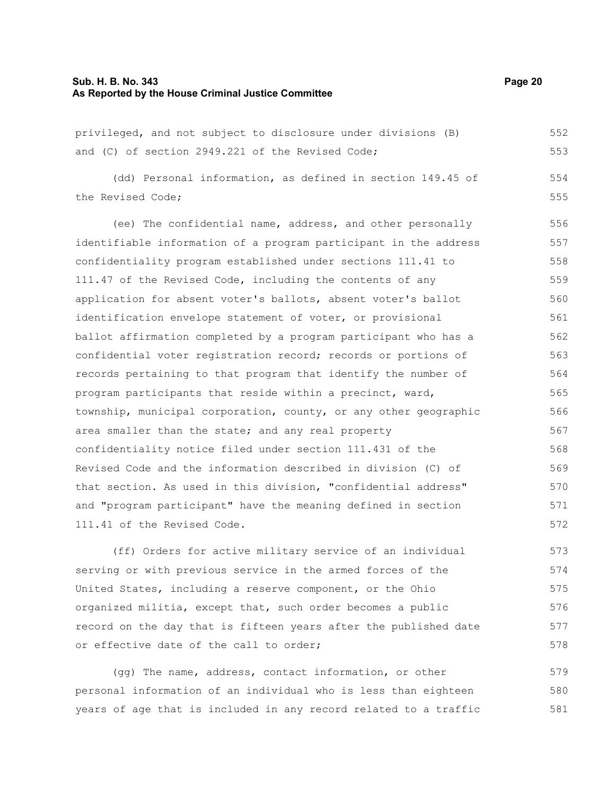#### **Sub. H. B. No. 343 Page 20 As Reported by the House Criminal Justice Committee**

privileged, and not subject to disclosure under divisions (B) and (C) of section 2949.221 of the Revised Code; (dd) Personal information, as defined in section 149.45 of the Revised Code; (ee) The confidential name, address, and other personally identifiable information of a program participant in the address confidentiality program established under sections 111.41 to 111.47 of the Revised Code, including the contents of any application for absent voter's ballots, absent voter's ballot identification envelope statement of voter, or provisional ballot affirmation completed by a program participant who has a confidential voter registration record; records or portions of records pertaining to that program that identify the number of program participants that reside within a precinct, ward, township, municipal corporation, county, or any other geographic area smaller than the state; and any real property confidentiality notice filed under section 111.431 of the Revised Code and the information described in division (C) of that section. As used in this division, "confidential address" and "program participant" have the meaning defined in section 111.41 of the Revised Code. 552 553 554 555 556 557 558 559 560 561 562 563 564 565 566 567 568 569 570 571 572

(ff) Orders for active military service of an individual serving or with previous service in the armed forces of the United States, including a reserve component, or the Ohio organized militia, except that, such order becomes a public record on the day that is fifteen years after the published date or effective date of the call to order; 573 574 575 576 577 578

(gg) The name, address, contact information, or other personal information of an individual who is less than eighteen years of age that is included in any record related to a traffic 579 580 581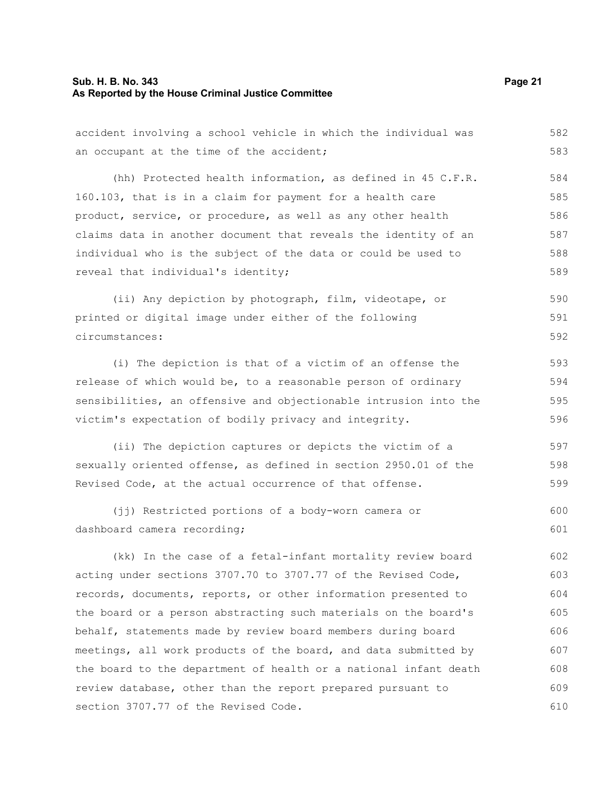## **Sub. H. B. No. 343 Page 21 As Reported by the House Criminal Justice Committee**

| accident involving a school vehicle in which the individual was  | 582 |
|------------------------------------------------------------------|-----|
| an occupant at the time of the accident;                         | 583 |
| (hh) Protected health information, as defined in 45 C.F.R.       | 584 |
| 160.103, that is in a claim for payment for a health care        | 585 |
| product, service, or procedure, as well as any other health      | 586 |
| claims data in another document that reveals the identity of an  | 587 |
| individual who is the subject of the data or could be used to    | 588 |
| reveal that individual's identity;                               | 589 |
| (ii) Any depiction by photograph, film, videotape, or            | 590 |
| printed or digital image under either of the following           | 591 |
| circumstances:                                                   | 592 |
| (i) The depiction is that of a victim of an offense the          | 593 |
| release of which would be, to a reasonable person of ordinary    | 594 |
| sensibilities, an offensive and objectionable intrusion into the | 595 |
| victim's expectation of bodily privacy and integrity.            | 596 |
| (ii) The depiction captures or depicts the victim of a           | 597 |
| sexually oriented offense, as defined in section 2950.01 of the  | 598 |
| Revised Code, at the actual occurrence of that offense.          | 599 |
| (jj) Restricted portions of a body-worn camera or                | 600 |
| dashboard camera recording;                                      | 601 |
| (kk) In the case of a fetal-infant mortality review board        | 602 |
| acting under sections 3707.70 to 3707.77 of the Revised Code,    | 603 |
| records, documents, reports, or other information presented to   | 604 |
| the board or a person abstracting such materials on the board's  | 605 |
| behalf, statements made by review board members during board     | 606 |
| meetings, all work products of the board, and data submitted by  | 607 |
| the board to the department of health or a national infant death | 608 |
| review database, other than the report prepared pursuant to      | 609 |
| section 3707.77 of the Revised Code.                             | 610 |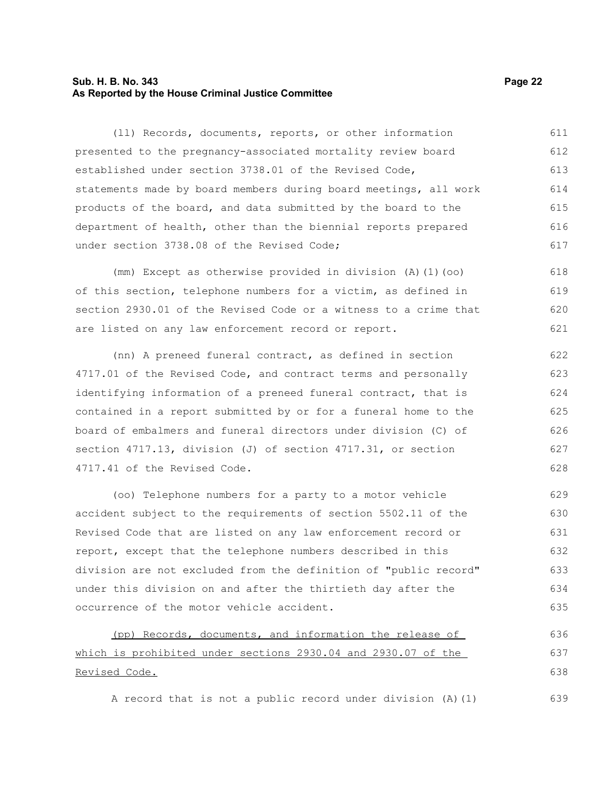#### **Sub. H. B. No. 343 Page 22 As Reported by the House Criminal Justice Committee**

(ll) Records, documents, reports, or other information presented to the pregnancy-associated mortality review board established under section 3738.01 of the Revised Code, statements made by board members during board meetings, all work products of the board, and data submitted by the board to the department of health, other than the biennial reports prepared under section 3738.08 of the Revised Code; 611 612 613 614 615 616 617

(mm) Except as otherwise provided in division (A)(1)(oo) of this section, telephone numbers for a victim, as defined in section 2930.01 of the Revised Code or a witness to a crime that are listed on any law enforcement record or report. 618 619 620 621

(nn) A preneed funeral contract, as defined in section 4717.01 of the Revised Code, and contract terms and personally identifying information of a preneed funeral contract, that is contained in a report submitted by or for a funeral home to the board of embalmers and funeral directors under division (C) of section 4717.13, division (J) of section 4717.31, or section 4717.41 of the Revised Code. 622 623 624 625 626 627 628

(oo) Telephone numbers for a party to a motor vehicle accident subject to the requirements of section 5502.11 of the Revised Code that are listed on any law enforcement record or report, except that the telephone numbers described in this division are not excluded from the definition of "public record" under this division on and after the thirtieth day after the occurrence of the motor vehicle accident. 629 630 631 632 633 634 635

(pp) Records, documents, and information the release of which is prohibited under sections 2930.04 and 2930.07 of the Revised Code. 636 637 638

A record that is not a public record under division (A)(1)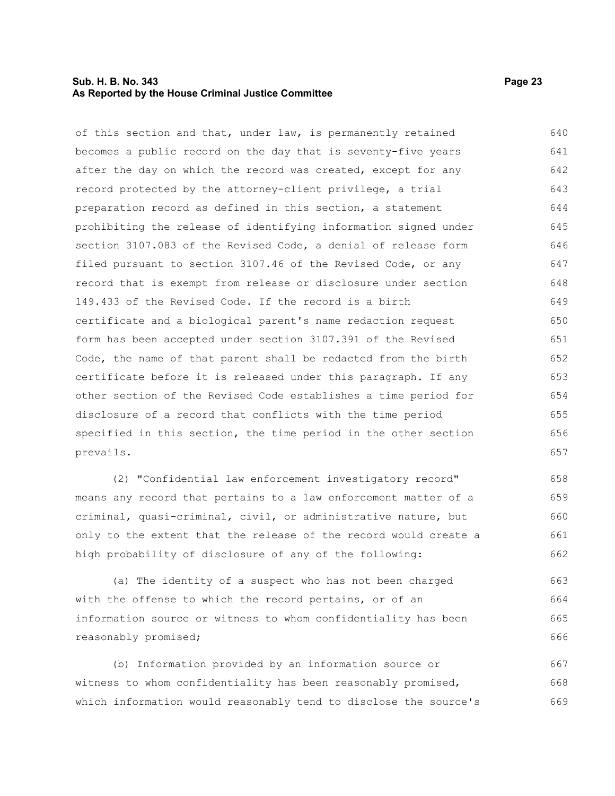#### **Sub. H. B. No. 343 Page 23 As Reported by the House Criminal Justice Committee**

of this section and that, under law, is permanently retained becomes a public record on the day that is seventy-five years after the day on which the record was created, except for any record protected by the attorney-client privilege, a trial preparation record as defined in this section, a statement prohibiting the release of identifying information signed under section 3107.083 of the Revised Code, a denial of release form filed pursuant to section 3107.46 of the Revised Code, or any record that is exempt from release or disclosure under section 149.433 of the Revised Code. If the record is a birth certificate and a biological parent's name redaction request form has been accepted under section 3107.391 of the Revised Code, the name of that parent shall be redacted from the birth certificate before it is released under this paragraph. If any other section of the Revised Code establishes a time period for disclosure of a record that conflicts with the time period specified in this section, the time period in the other section prevails. 640 641 642 643 644 645 646 647 648 649 650 651 652 653 654 655 656 657

(2) "Confidential law enforcement investigatory record" means any record that pertains to a law enforcement matter of a criminal, quasi-criminal, civil, or administrative nature, but only to the extent that the release of the record would create a high probability of disclosure of any of the following: 658 659 660 661 662

(a) The identity of a suspect who has not been charged with the offense to which the record pertains, or of an information source or witness to whom confidentiality has been reasonably promised; 663 664 665 666

(b) Information provided by an information source or witness to whom confidentiality has been reasonably promised, which information would reasonably tend to disclose the source's 667 668 669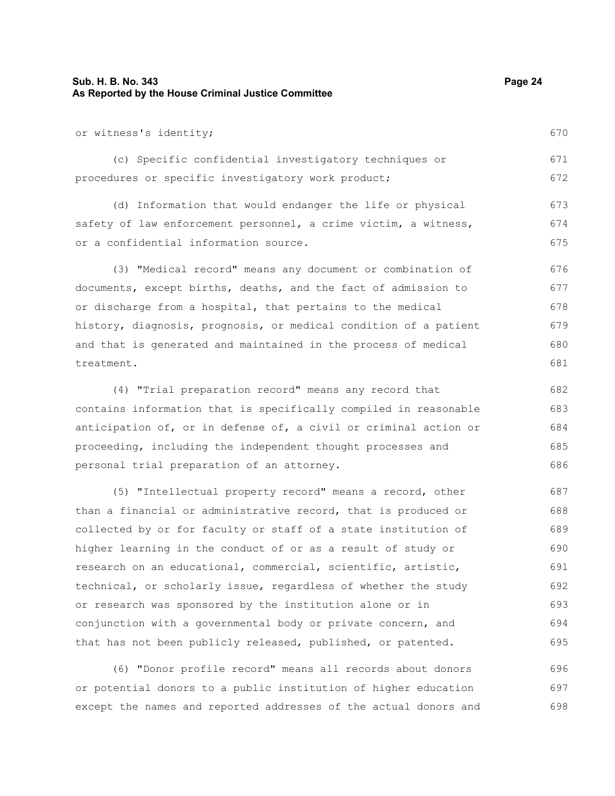#### **Sub. H. B. No. 343 Page 24 As Reported by the House Criminal Justice Committee**

(c) Specific confidential investigatory techniques or procedures or specific investigatory work product; (d) Information that would endanger the life or physical safety of law enforcement personnel, a crime victim, a witness, or a confidential information source. (3) "Medical record" means any document or combination of documents, except births, deaths, and the fact of admission to or discharge from a hospital, that pertains to the medical history, diagnosis, prognosis, or medical condition of a patient and that is generated and maintained in the process of medical treatment. 673 674 675 676 677 678 679 680 681

(4) "Trial preparation record" means any record that contains information that is specifically compiled in reasonable anticipation of, or in defense of, a civil or criminal action or proceeding, including the independent thought processes and personal trial preparation of an attorney. 682 683 684 685 686

(5) "Intellectual property record" means a record, other than a financial or administrative record, that is produced or collected by or for faculty or staff of a state institution of higher learning in the conduct of or as a result of study or research on an educational, commercial, scientific, artistic, technical, or scholarly issue, regardless of whether the study or research was sponsored by the institution alone or in conjunction with a governmental body or private concern, and that has not been publicly released, published, or patented. 687 688 689 690 691 692 693 694 695

(6) "Donor profile record" means all records about donors or potential donors to a public institution of higher education except the names and reported addresses of the actual donors and 696 697 698

670

or witness's identity;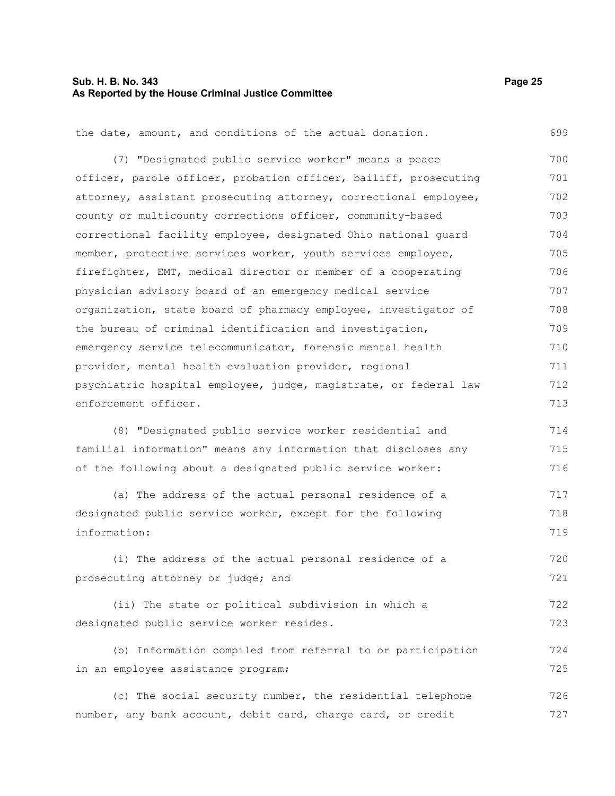## **Sub. H. B. No. 343 Page 25 As Reported by the House Criminal Justice Committee**

the date, amount, and conditions of the actual donation.

(7) "Designated public service worker" means a peace

699

| officer, parole officer, probation officer, bailiff, prosecuting | 701 |
|------------------------------------------------------------------|-----|
| attorney, assistant prosecuting attorney, correctional employee, | 702 |
| county or multicounty corrections officer, community-based       | 703 |
| correctional facility employee, designated Ohio national guard   | 704 |
| member, protective services worker, youth services employee,     | 705 |
| firefighter, EMT, medical director or member of a cooperating    | 706 |
| physician advisory board of an emergency medical service         | 707 |
| organization, state board of pharmacy employee, investigator of  | 708 |
| the bureau of criminal identification and investigation,         | 709 |
| emergency service telecommunicator, forensic mental health       | 710 |
| provider, mental health evaluation provider, regional            | 711 |
| psychiatric hospital employee, judge, magistrate, or federal law | 712 |
| enforcement officer.                                             | 713 |
| (8) "Designated public service worker residential and            | 714 |
| familial information" means any information that discloses any   | 715 |
| of the following about a designated public service worker:       | 716 |
| (a) The address of the actual personal residence of a            | 717 |
| designated public service worker, except for the following       | 718 |
| information:                                                     | 719 |
| (i) The address of the actual personal residence of a            | 720 |
| prosecuting attorney or judge; and                               | 721 |
| (ii) The state or political subdivision in which a               | 722 |
| designated public service worker resides.                        | 723 |
| (b) Information compiled from referral to or participation       | 724 |
| in an employee assistance program;                               | 725 |
| (c) The social security number, the residential telephone        | 726 |
| number, any bank account, debit card, charge card, or credit     | 727 |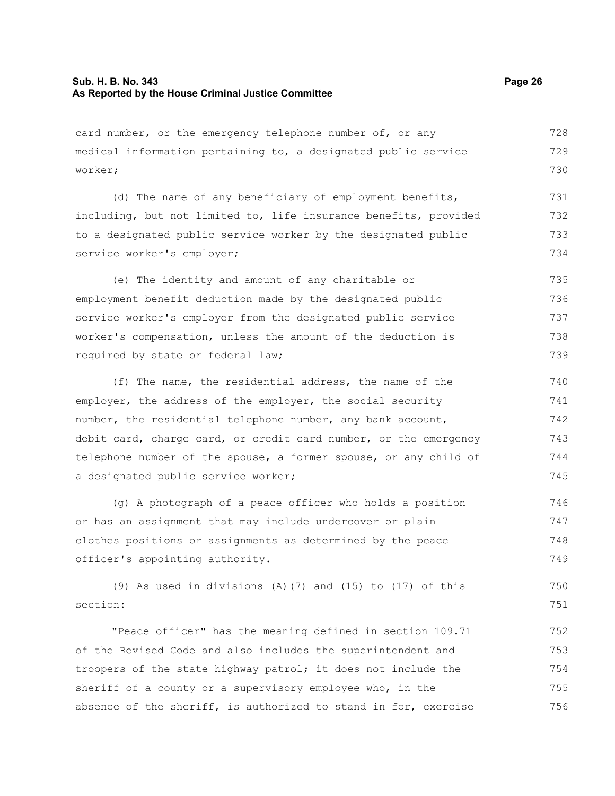#### **Sub. H. B. No. 343 Page 26 As Reported by the House Criminal Justice Committee**

card number, or the emergency telephone number of, or any medical information pertaining to, a designated public service worker; 729 730

(d) The name of any beneficiary of employment benefits, including, but not limited to, life insurance benefits, provided to a designated public service worker by the designated public service worker's employer; 731 732 733 734

(e) The identity and amount of any charitable or employment benefit deduction made by the designated public service worker's employer from the designated public service worker's compensation, unless the amount of the deduction is required by state or federal law; 735 736 737 738 739

(f) The name, the residential address, the name of the employer, the address of the employer, the social security number, the residential telephone number, any bank account, debit card, charge card, or credit card number, or the emergency telephone number of the spouse, a former spouse, or any child of a designated public service worker; 740 741 742 743 744 745

(g) A photograph of a peace officer who holds a position or has an assignment that may include undercover or plain clothes positions or assignments as determined by the peace officer's appointing authority. 746 747 748 749

(9) As used in divisions (A)(7) and (15) to (17) of this section: 750 751

"Peace officer" has the meaning defined in section 109.71 of the Revised Code and also includes the superintendent and troopers of the state highway patrol; it does not include the sheriff of a county or a supervisory employee who, in the absence of the sheriff, is authorized to stand in for, exercise 752 753 754 755 756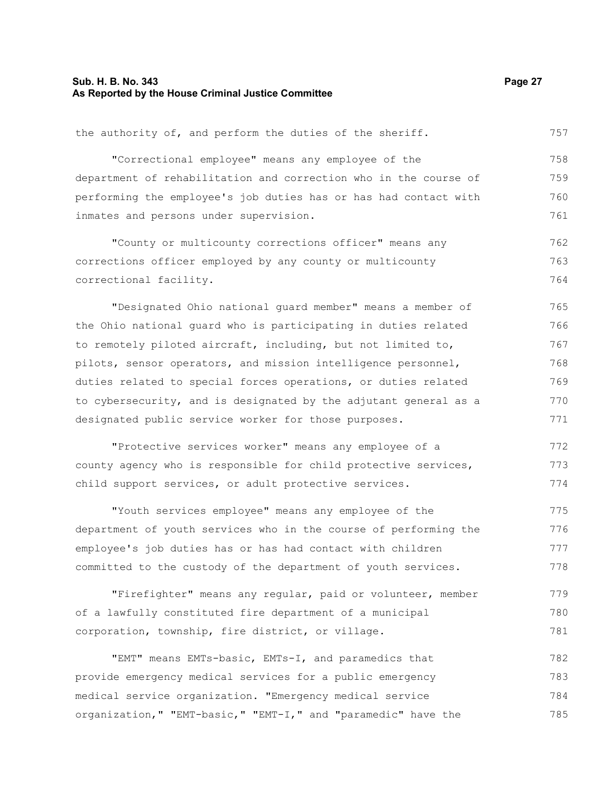#### **Sub. H. B. No. 343 Page 27 As Reported by the House Criminal Justice Committee**

the authority of, and perform the duties of the sheriff. 757

"Correctional employee" means any employee of the department of rehabilitation and correction who in the course of performing the employee's job duties has or has had contact with inmates and persons under supervision. 758 759 760 761

"County or multicounty corrections officer" means any corrections officer employed by any county or multicounty correctional facility. 762 763 764

"Designated Ohio national guard member" means a member of the Ohio national guard who is participating in duties related to remotely piloted aircraft, including, but not limited to, pilots, sensor operators, and mission intelligence personnel, duties related to special forces operations, or duties related to cybersecurity, and is designated by the adjutant general as a designated public service worker for those purposes. 765 766 767 768 769 770 771

"Protective services worker" means any employee of a county agency who is responsible for child protective services, child support services, or adult protective services. 772 773 774

"Youth services employee" means any employee of the department of youth services who in the course of performing the employee's job duties has or has had contact with children committed to the custody of the department of youth services. 775 776 777 778

"Firefighter" means any regular, paid or volunteer, member of a lawfully constituted fire department of a municipal corporation, township, fire district, or village. 779 780 781

"EMT" means EMTs-basic, EMTs-I, and paramedics that provide emergency medical services for a public emergency medical service organization. "Emergency medical service organization," "EMT-basic," "EMT-I," and "paramedic" have the 782 783 784 785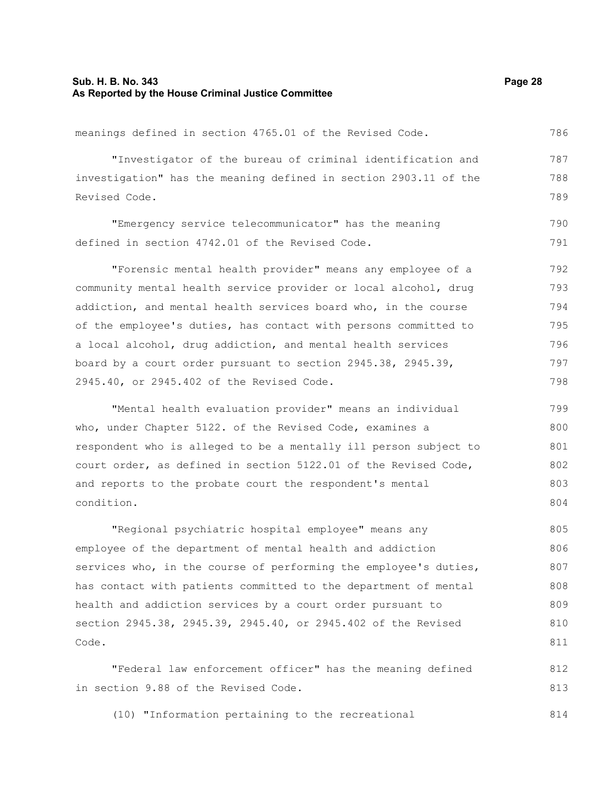## **Sub. H. B. No. 343 Page 28 As Reported by the House Criminal Justice Committee**

| meanings defined in section 4765.01 of the Revised Code.         | 786 |
|------------------------------------------------------------------|-----|
| "Investigator of the bureau of criminal identification and       | 787 |
| investigation" has the meaning defined in section 2903.11 of the | 788 |
| Revised Code.                                                    | 789 |
| "Emergency service telecommunicator" has the meaning             | 790 |
| defined in section 4742.01 of the Revised Code.                  | 791 |
| "Forensic mental health provider" means any employee of a        | 792 |
| community mental health service provider or local alcohol, drug  | 793 |
| addiction, and mental health services board who, in the course   | 794 |
| of the employee's duties, has contact with persons committed to  | 795 |
| a local alcohol, drug addiction, and mental health services      | 796 |
| board by a court order pursuant to section 2945.38, 2945.39,     | 797 |
| 2945.40, or 2945.402 of the Revised Code.                        | 798 |
| "Mental health evaluation provider" means an individual          | 799 |
| who, under Chapter 5122. of the Revised Code, examines a         | 800 |
| respondent who is alleged to be a mentally ill person subject to | 801 |
| court order, as defined in section 5122.01 of the Revised Code,  | 802 |
| and reports to the probate court the respondent's mental         | 803 |
| condition.                                                       | 804 |
| "Regional psychiatric hospital employee" means any               | 805 |
| employee of the department of mental health and addiction        | 806 |
| services who, in the course of performing the employee's duties, | 807 |
| has contact with patients committed to the department of mental  | 808 |
| health and addiction services by a court order pursuant to       | 809 |
| section 2945.38, 2945.39, 2945.40, or 2945.402 of the Revised    | 810 |
| Code.                                                            | 811 |
| "Federal law enforcement officer" has the meaning defined        | 812 |
| in section 9.88 of the Revised Code.                             | 813 |

(10) "Information pertaining to the recreational 814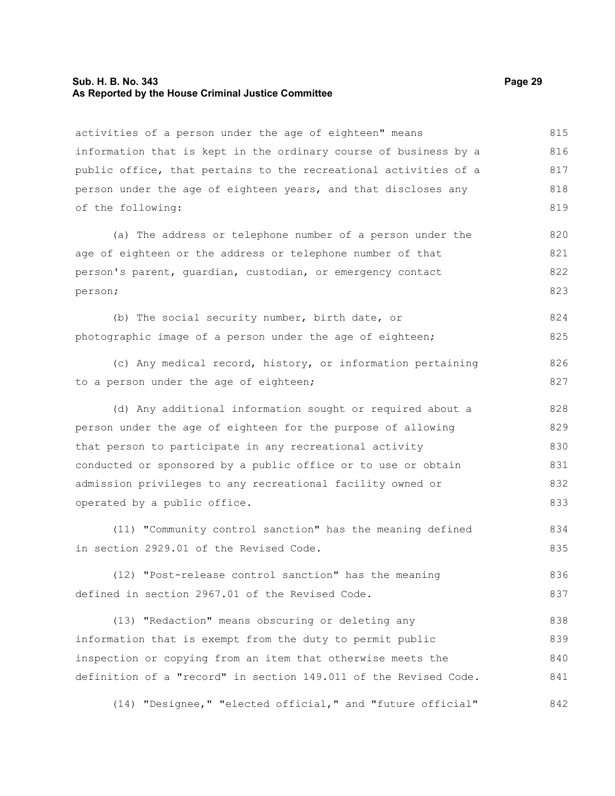#### **Sub. H. B. No. 343 Page 29 As Reported by the House Criminal Justice Committee**

activities of a person under the age of eighteen" means information that is kept in the ordinary course of business by a public office, that pertains to the recreational activities of a person under the age of eighteen years, and that discloses any of the following: 815 816 817 818 819

(a) The address or telephone number of a person under the age of eighteen or the address or telephone number of that person's parent, guardian, custodian, or emergency contact person; 820 821 822 823

(b) The social security number, birth date, or photographic image of a person under the age of eighteen; 824 825

(c) Any medical record, history, or information pertaining to a person under the age of eighteen; 826 827

(d) Any additional information sought or required about a person under the age of eighteen for the purpose of allowing that person to participate in any recreational activity conducted or sponsored by a public office or to use or obtain admission privileges to any recreational facility owned or operated by a public office. 828 829 830 831 832 833

(11) "Community control sanction" has the meaning defined in section 2929.01 of the Revised Code. 834 835

(12) "Post-release control sanction" has the meaning defined in section 2967.01 of the Revised Code. 836 837

(13) "Redaction" means obscuring or deleting any information that is exempt from the duty to permit public inspection or copying from an item that otherwise meets the definition of a "record" in section 149.011 of the Revised Code. 838 839 840 841

(14) "Designee," "elected official," and "future official" 842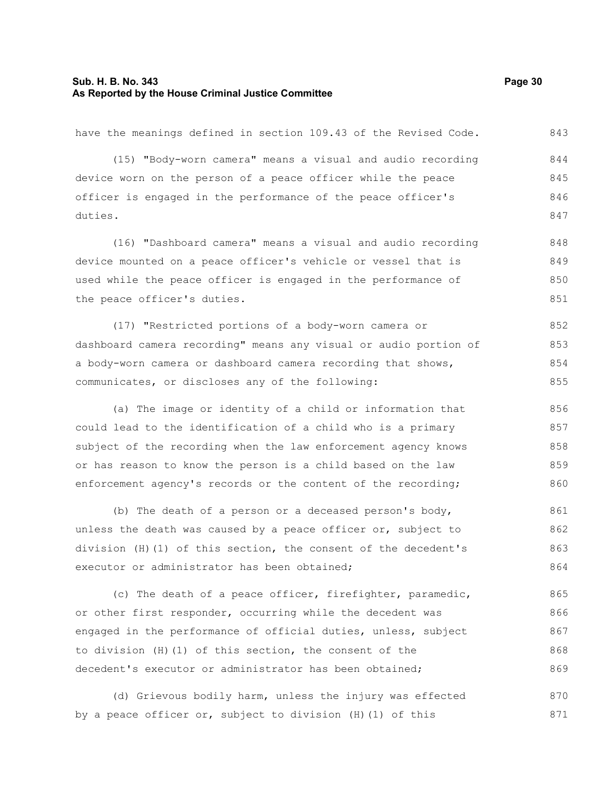#### **Sub. H. B. No. 343 Page 30 As Reported by the House Criminal Justice Committee**

have the meanings defined in section 109.43 of the Revised Code. (15) "Body-worn camera" means a visual and audio recording device worn on the person of a peace officer while the peace

officer is engaged in the performance of the peace officer's duties. 846 847

(16) "Dashboard camera" means a visual and audio recording device mounted on a peace officer's vehicle or vessel that is used while the peace officer is engaged in the performance of the peace officer's duties. 848 849 850 851

(17) "Restricted portions of a body-worn camera or dashboard camera recording" means any visual or audio portion of a body-worn camera or dashboard camera recording that shows, communicates, or discloses any of the following: 852 853 854 855

(a) The image or identity of a child or information that could lead to the identification of a child who is a primary subject of the recording when the law enforcement agency knows or has reason to know the person is a child based on the law enforcement agency's records or the content of the recording; 856 857 858 859 860

(b) The death of a person or a deceased person's body, unless the death was caused by a peace officer or, subject to division (H)(1) of this section, the consent of the decedent's executor or administrator has been obtained; 861 862 863 864

(c) The death of a peace officer, firefighter, paramedic, or other first responder, occurring while the decedent was engaged in the performance of official duties, unless, subject to division (H)(1) of this section, the consent of the decedent's executor or administrator has been obtained; 865 866 867 868 869

(d) Grievous bodily harm, unless the injury was effected by a peace officer or, subject to division (H)(1) of this 870 871

843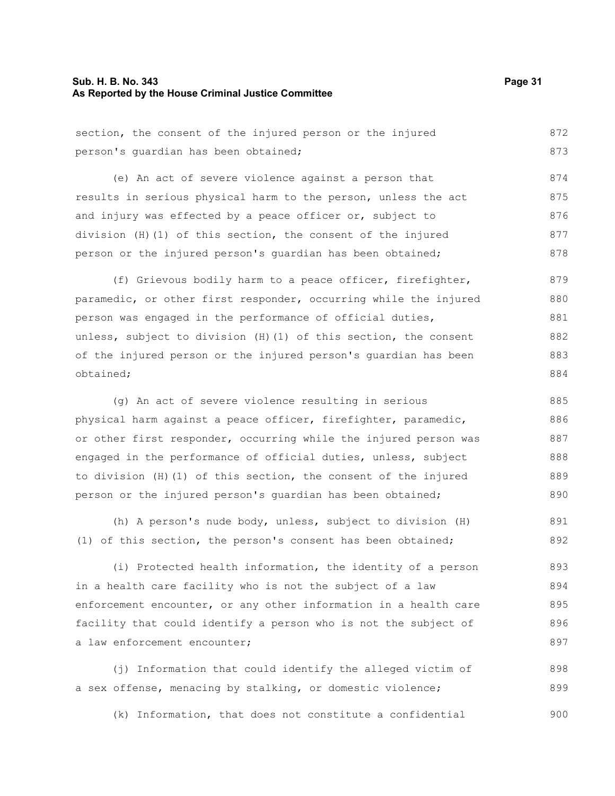#### **Sub. H. B. No. 343 Page 31 As Reported by the House Criminal Justice Committee**

section, the consent of the injured person or the injured person's guardian has been obtained; 872 873

(e) An act of severe violence against a person that results in serious physical harm to the person, unless the act and injury was effected by a peace officer or, subject to division (H)(1) of this section, the consent of the injured person or the injured person's guardian has been obtained; 874 875 876 877 878

(f) Grievous bodily harm to a peace officer, firefighter, paramedic, or other first responder, occurring while the injured person was engaged in the performance of official duties, unless, subject to division (H)(1) of this section, the consent of the injured person or the injured person's guardian has been obtained; 879 880 881 882 883 884

(g) An act of severe violence resulting in serious physical harm against a peace officer, firefighter, paramedic, or other first responder, occurring while the injured person was engaged in the performance of official duties, unless, subject to division (H)(1) of this section, the consent of the injured person or the injured person's guardian has been obtained; 885 886 887 888 889 890

(h) A person's nude body, unless, subject to division (H) (1) of this section, the person's consent has been obtained; 891 892

(i) Protected health information, the identity of a person in a health care facility who is not the subject of a law enforcement encounter, or any other information in a health care facility that could identify a person who is not the subject of a law enforcement encounter; 893 894 895 896 897

(j) Information that could identify the alleged victim of a sex offense, menacing by stalking, or domestic violence; 898 899

(k) Information, that does not constitute a confidential 900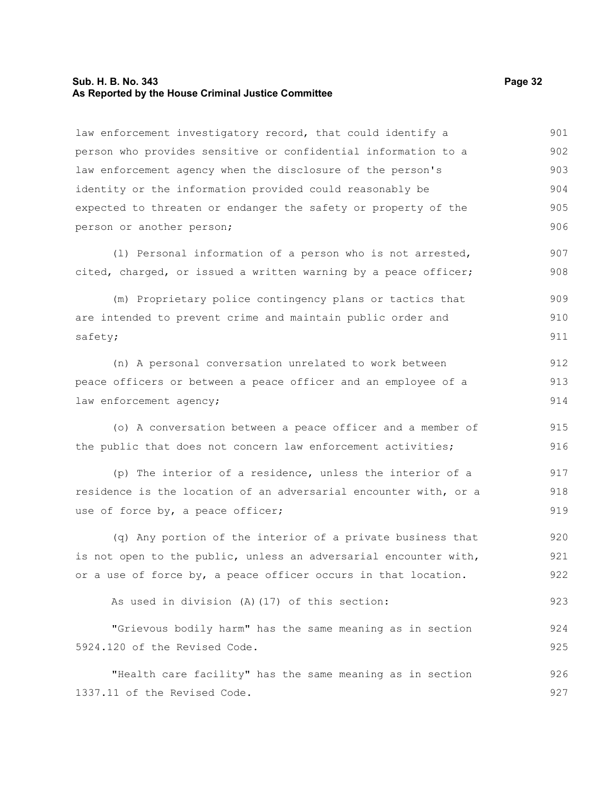#### **Sub. H. B. No. 343 Page 32 As Reported by the House Criminal Justice Committee**

law enforcement investigatory record, that could identify a person who provides sensitive or confidential information to a law enforcement agency when the disclosure of the person's identity or the information provided could reasonably be expected to threaten or endanger the safety or property of the person or another person; 901 902 903 904 905 906

(l) Personal information of a person who is not arrested, cited, charged, or issued a written warning by a peace officer; 907 908

(m) Proprietary police contingency plans or tactics that are intended to prevent crime and maintain public order and safety; 909 910 911

(n) A personal conversation unrelated to work between peace officers or between a peace officer and an employee of a law enforcement agency; 912 913 914

(o) A conversation between a peace officer and a member of the public that does not concern law enforcement activities;

(p) The interior of a residence, unless the interior of a residence is the location of an adversarial encounter with, or a use of force by, a peace officer; 917 918 919

(q) Any portion of the interior of a private business that is not open to the public, unless an adversarial encounter with, or a use of force by, a peace officer occurs in that location. 920 921 922

As used in division (A)(17) of this section:

"Grievous bodily harm" has the same meaning as in section 5924.120 of the Revised Code. 924 925

"Health care facility" has the same meaning as in section 1337.11 of the Revised Code. 926 927

915 916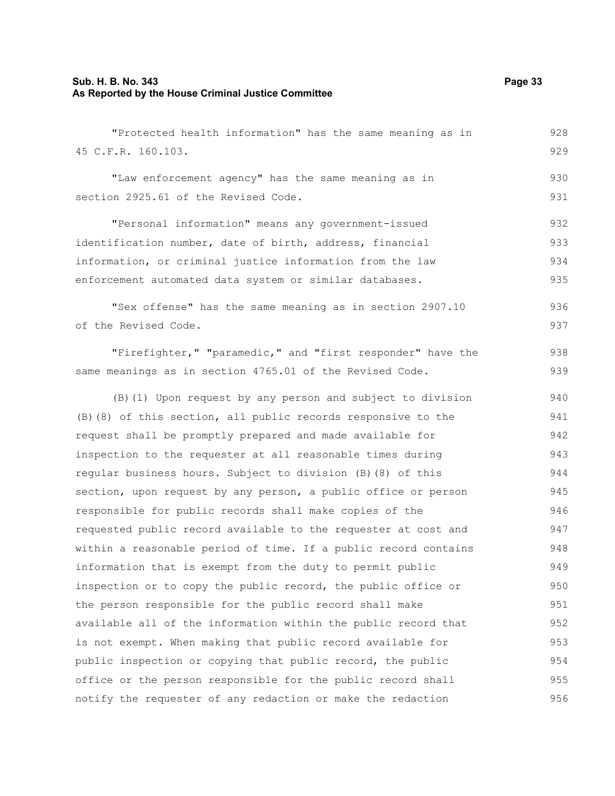#### **Sub. H. B. No. 343 Page 33 As Reported by the House Criminal Justice Committee**

"Protected health information" has the same meaning as in 45 C.F.R. 160.103. "Law enforcement agency" has the same meaning as in section 2925.61 of the Revised Code. "Personal information" means any government-issued identification number, date of birth, address, financial information, or criminal justice information from the law enforcement automated data system or similar databases. "Sex offense" has the same meaning as in section 2907.10 of the Revised Code. "Firefighter," "paramedic," and "first responder" have the same meanings as in section 4765.01 of the Revised Code. (B)(1) Upon request by any person and subject to division (B)(8) of this section, all public records responsive to the request shall be promptly prepared and made available for inspection to the requester at all reasonable times during regular business hours. Subject to division (B)(8) of this section, upon request by any person, a public office or person responsible for public records shall make copies of the requested public record available to the requester at cost and within a reasonable period of time. If a public record contains information that is exempt from the duty to permit public inspection or to copy the public record, the public office or the person responsible for the public record shall make available all of the information within the public record that is not exempt. When making that public record available for public inspection or copying that public record, the public office or the person responsible for the public record shall 928 929 930 931 932 933 934 935 936 937 938 939 940 941 942 943 944 945 946 947 948 949 950 951 952 953 954 955

notify the requester of any redaction or make the redaction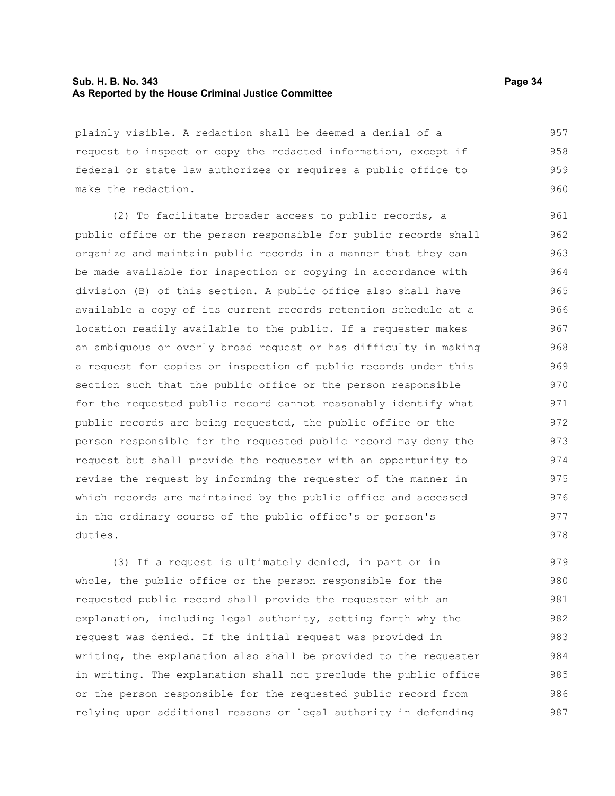#### **Sub. H. B. No. 343 Page 34 As Reported by the House Criminal Justice Committee**

plainly visible. A redaction shall be deemed a denial of a request to inspect or copy the redacted information, except if federal or state law authorizes or requires a public office to make the redaction. 957 958 959 960

(2) To facilitate broader access to public records, a public office or the person responsible for public records shall organize and maintain public records in a manner that they can be made available for inspection or copying in accordance with division (B) of this section. A public office also shall have available a copy of its current records retention schedule at a location readily available to the public. If a requester makes an ambiguous or overly broad request or has difficulty in making a request for copies or inspection of public records under this section such that the public office or the person responsible for the requested public record cannot reasonably identify what public records are being requested, the public office or the person responsible for the requested public record may deny the request but shall provide the requester with an opportunity to revise the request by informing the requester of the manner in which records are maintained by the public office and accessed in the ordinary course of the public office's or person's duties. 961 962 963 964 965 966 967 968 969 970 971 972 973 974 975 976 977 978

(3) If a request is ultimately denied, in part or in whole, the public office or the person responsible for the requested public record shall provide the requester with an explanation, including legal authority, setting forth why the request was denied. If the initial request was provided in writing, the explanation also shall be provided to the requester in writing. The explanation shall not preclude the public office or the person responsible for the requested public record from relying upon additional reasons or legal authority in defending 979 980 981 982 983 984 985 986 987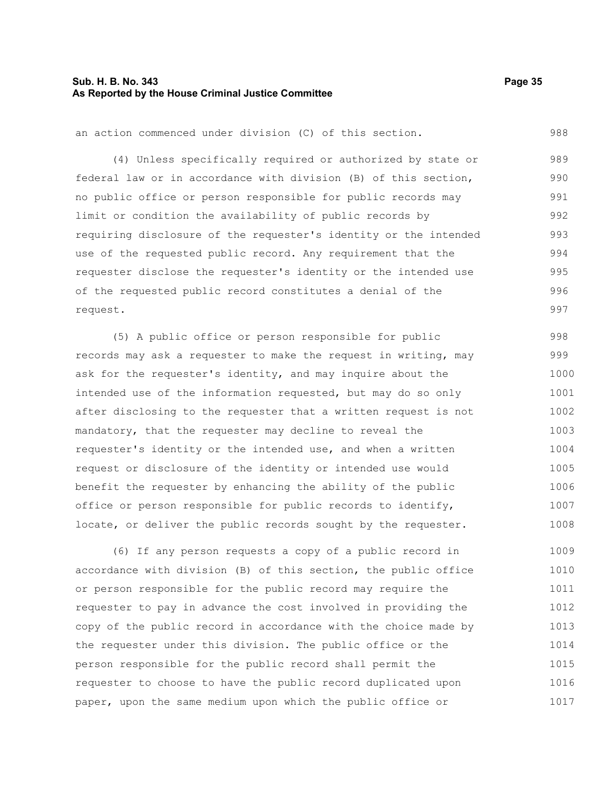#### **Sub. H. B. No. 343 Page 35 As Reported by the House Criminal Justice Committee**

988

an action commenced under division (C) of this section.

(4) Unless specifically required or authorized by state or federal law or in accordance with division (B) of this section, no public office or person responsible for public records may limit or condition the availability of public records by requiring disclosure of the requester's identity or the intended use of the requested public record. Any requirement that the requester disclose the requester's identity or the intended use of the requested public record constitutes a denial of the request. 989 990 991 992 993 994 995 996 997

(5) A public office or person responsible for public records may ask a requester to make the request in writing, may ask for the requester's identity, and may inquire about the intended use of the information requested, but may do so only after disclosing to the requester that a written request is not mandatory, that the requester may decline to reveal the requester's identity or the intended use, and when a written request or disclosure of the identity or intended use would benefit the requester by enhancing the ability of the public office or person responsible for public records to identify, locate, or deliver the public records sought by the requester. 998 999 1000 1001 1002 1003 1004 1005 1006 1007 1008

(6) If any person requests a copy of a public record in accordance with division (B) of this section, the public office or person responsible for the public record may require the requester to pay in advance the cost involved in providing the copy of the public record in accordance with the choice made by the requester under this division. The public office or the person responsible for the public record shall permit the requester to choose to have the public record duplicated upon paper, upon the same medium upon which the public office or 1009 1010 1011 1012 1013 1014 1015 1016 1017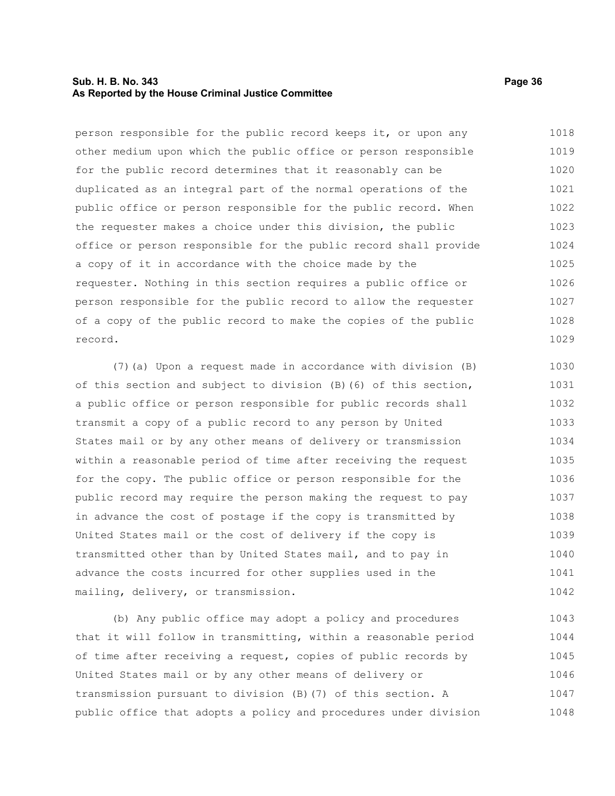#### **Sub. H. B. No. 343 Page 36 As Reported by the House Criminal Justice Committee**

person responsible for the public record keeps it, or upon any other medium upon which the public office or person responsible for the public record determines that it reasonably can be duplicated as an integral part of the normal operations of the public office or person responsible for the public record. When the requester makes a choice under this division, the public office or person responsible for the public record shall provide a copy of it in accordance with the choice made by the requester. Nothing in this section requires a public office or person responsible for the public record to allow the requester of a copy of the public record to make the copies of the public record. 1018 1019 1020 1021 1022 1023 1024 1025 1026 1027 1028 1029

(7)(a) Upon a request made in accordance with division (B) of this section and subject to division (B)(6) of this section, a public office or person responsible for public records shall transmit a copy of a public record to any person by United States mail or by any other means of delivery or transmission within a reasonable period of time after receiving the request for the copy. The public office or person responsible for the public record may require the person making the request to pay in advance the cost of postage if the copy is transmitted by United States mail or the cost of delivery if the copy is transmitted other than by United States mail, and to pay in advance the costs incurred for other supplies used in the mailing, delivery, or transmission. 1030 1031 1032 1033 1034 1035 1036 1037 1038 1039 1040 1041 1042

(b) Any public office may adopt a policy and procedures that it will follow in transmitting, within a reasonable period of time after receiving a request, copies of public records by United States mail or by any other means of delivery or transmission pursuant to division (B)(7) of this section. A public office that adopts a policy and procedures under division 1043 1044 1045 1046 1047 1048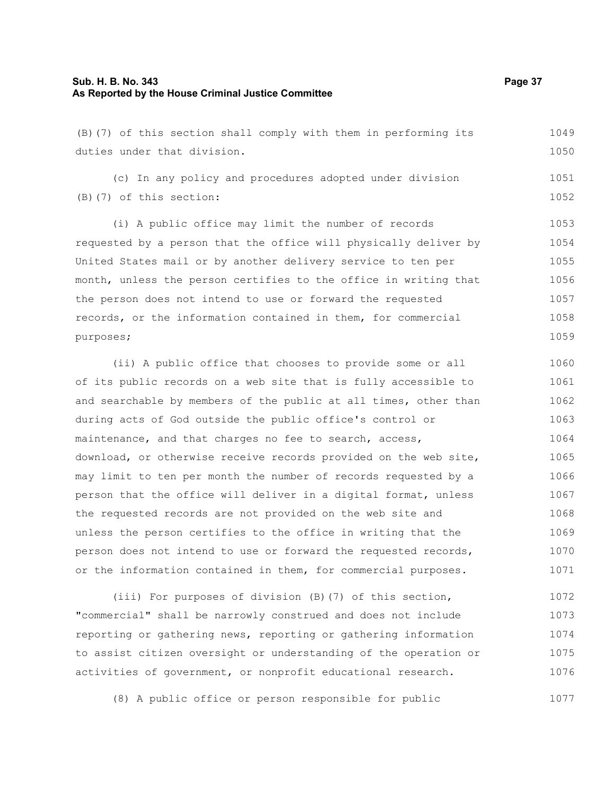(B)(7) of this section shall comply with them in performing its duties under that division. (c) In any policy and procedures adopted under division (B)(7) of this section: (i) A public office may limit the number of records requested by a person that the office will physically deliver by United States mail or by another delivery service to ten per month, unless the person certifies to the office in writing that the person does not intend to use or forward the requested records, or the information contained in them, for commercial purposes; 1049 1050 1051 1052 1053 1054 1055 1056 1057 1058 1059

(ii) A public office that chooses to provide some or all of its public records on a web site that is fully accessible to and searchable by members of the public at all times, other than during acts of God outside the public office's control or maintenance, and that charges no fee to search, access, download, or otherwise receive records provided on the web site, may limit to ten per month the number of records requested by a person that the office will deliver in a digital format, unless the requested records are not provided on the web site and unless the person certifies to the office in writing that the person does not intend to use or forward the requested records, or the information contained in them, for commercial purposes. 1060 1061 1062 1063 1064 1065 1066 1067 1068 1069 1070 1071

(iii) For purposes of division (B)(7) of this section, "commercial" shall be narrowly construed and does not include reporting or gathering news, reporting or gathering information to assist citizen oversight or understanding of the operation or activities of government, or nonprofit educational research. 1072 1073 1074 1075 1076

(8) A public office or person responsible for public 1077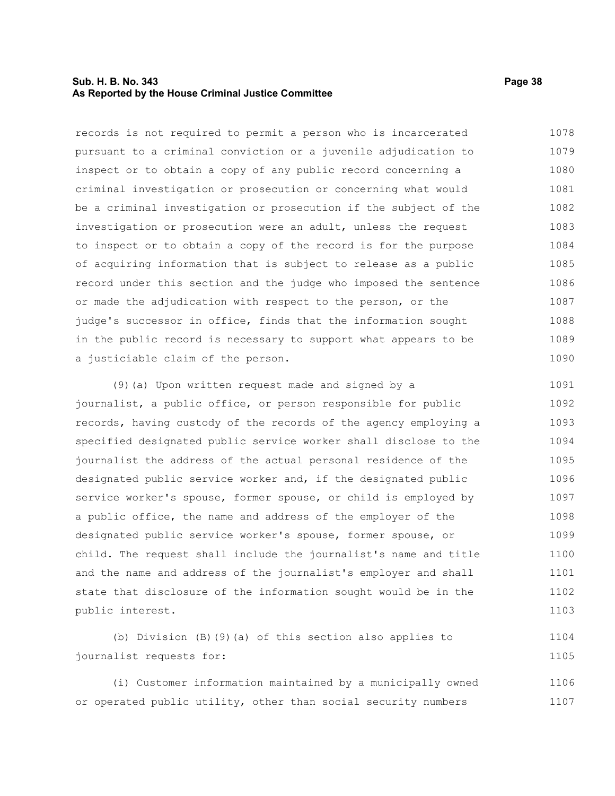## **Sub. H. B. No. 343 Page 38 As Reported by the House Criminal Justice Committee**

records is not required to permit a person who is incarcerated pursuant to a criminal conviction or a juvenile adjudication to inspect or to obtain a copy of any public record concerning a criminal investigation or prosecution or concerning what would be a criminal investigation or prosecution if the subject of the investigation or prosecution were an adult, unless the request to inspect or to obtain a copy of the record is for the purpose of acquiring information that is subject to release as a public record under this section and the judge who imposed the sentence or made the adjudication with respect to the person, or the judge's successor in office, finds that the information sought in the public record is necessary to support what appears to be a justiciable claim of the person. 1078 1079 1080 1081 1082 1083 1084 1085 1086 1087 1088 1089 1090

(9)(a) Upon written request made and signed by a journalist, a public office, or person responsible for public records, having custody of the records of the agency employing a specified designated public service worker shall disclose to the journalist the address of the actual personal residence of the designated public service worker and, if the designated public service worker's spouse, former spouse, or child is employed by a public office, the name and address of the employer of the designated public service worker's spouse, former spouse, or child. The request shall include the journalist's name and title and the name and address of the journalist's employer and shall state that disclosure of the information sought would be in the public interest. 1091 1092 1093 1094 1095 1096 1097 1098 1099 1100 1101 1102 1103

(b) Division (B)(9)(a) of this section also applies to journalist requests for: 1104 1105

(i) Customer information maintained by a municipally owned or operated public utility, other than social security numbers 1106 1107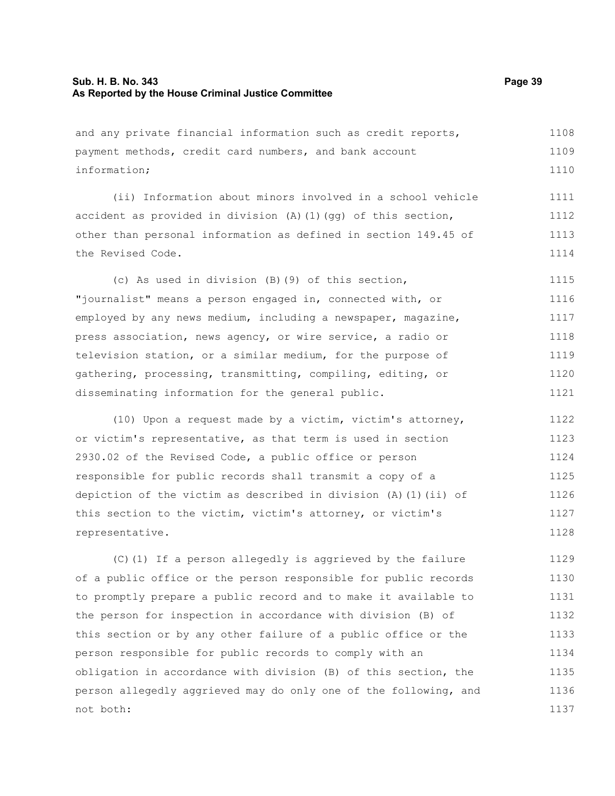## **Sub. H. B. No. 343 Page 39 As Reported by the House Criminal Justice Committee**

not both:

and any private financial information such as credit reports,

payment methods, credit card numbers, and bank account information; (ii) Information about minors involved in a school vehicle accident as provided in division  $(A)$   $(1)$  (gg) of this section, other than personal information as defined in section 149.45 of the Revised Code. (c) As used in division (B)(9) of this section, "journalist" means a person engaged in, connected with, or employed by any news medium, including a newspaper, magazine, press association, news agency, or wire service, a radio or television station, or a similar medium, for the purpose of gathering, processing, transmitting, compiling, editing, or disseminating information for the general public. (10) Upon a request made by a victim, victim's attorney, or victim's representative, as that term is used in section 2930.02 of the Revised Code, a public office or person responsible for public records shall transmit a copy of a depiction of the victim as described in division (A)(1)(ii) of this section to the victim, victim's attorney, or victim's representative. (C)(1) If a person allegedly is aggrieved by the failure of a public office or the person responsible for public records to promptly prepare a public record and to make it available to the person for inspection in accordance with division (B) of this section or by any other failure of a public office or the person responsible for public records to comply with an obligation in accordance with division (B) of this section, the person allegedly aggrieved may do only one of the following, and 1109 1110 1111 1112 1113 1114 1115 1116 1117 1118 1119 1120 1121 1122 1123 1124 1125 1126 1127 1128 1129 1130 1131 1132 1133 1134 1135 1136

1108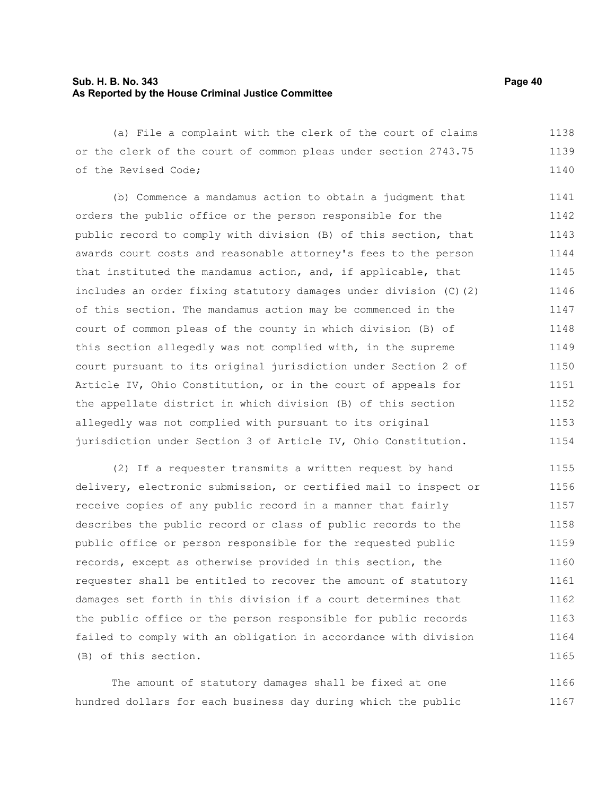# **Sub. H. B. No. 343 Page 40 As Reported by the House Criminal Justice Committee**

(a) File a complaint with the clerk of the court of claims or the clerk of the court of common pleas under section 2743.75 of the Revised Code; 1138 1139 1140

(b) Commence a mandamus action to obtain a judgment that orders the public office or the person responsible for the public record to comply with division (B) of this section, that awards court costs and reasonable attorney's fees to the person that instituted the mandamus action, and, if applicable, that includes an order fixing statutory damages under division (C)(2) of this section. The mandamus action may be commenced in the court of common pleas of the county in which division (B) of this section allegedly was not complied with, in the supreme court pursuant to its original jurisdiction under Section 2 of Article IV, Ohio Constitution, or in the court of appeals for the appellate district in which division (B) of this section allegedly was not complied with pursuant to its original jurisdiction under Section 3 of Article IV, Ohio Constitution. 1141 1142 1143 1144 1145 1146 1147 1148 1149 1150 1151 1152 1153 1154

(2) If a requester transmits a written request by hand delivery, electronic submission, or certified mail to inspect or receive copies of any public record in a manner that fairly describes the public record or class of public records to the public office or person responsible for the requested public records, except as otherwise provided in this section, the requester shall be entitled to recover the amount of statutory damages set forth in this division if a court determines that the public office or the person responsible for public records failed to comply with an obligation in accordance with division (B) of this section. 1155 1156 1157 1158 1159 1160 1161 1162 1163 1164 1165

The amount of statutory damages shall be fixed at one hundred dollars for each business day during which the public 1166 1167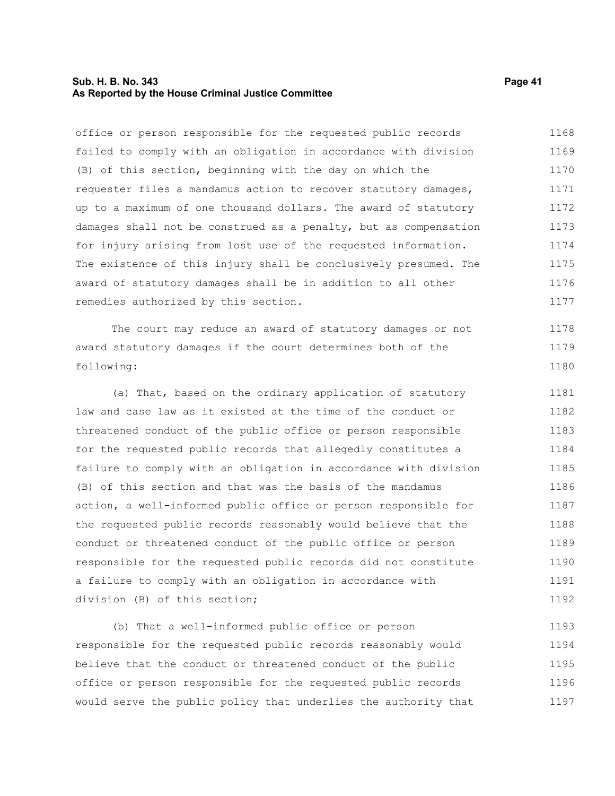## **Sub. H. B. No. 343 Page 41 As Reported by the House Criminal Justice Committee**

office or person responsible for the requested public records failed to comply with an obligation in accordance with division (B) of this section, beginning with the day on which the requester files a mandamus action to recover statutory damages, up to a maximum of one thousand dollars. The award of statutory damages shall not be construed as a penalty, but as compensation for injury arising from lost use of the requested information. The existence of this injury shall be conclusively presumed. The award of statutory damages shall be in addition to all other remedies authorized by this section. 1168 1169 1170 1171 1172 1173 1174 1175 1176 1177

The court may reduce an award of statutory damages or not award statutory damages if the court determines both of the following: 1178 1179 1180

(a) That, based on the ordinary application of statutory law and case law as it existed at the time of the conduct or threatened conduct of the public office or person responsible for the requested public records that allegedly constitutes a failure to comply with an obligation in accordance with division (B) of this section and that was the basis of the mandamus action, a well-informed public office or person responsible for the requested public records reasonably would believe that the conduct or threatened conduct of the public office or person responsible for the requested public records did not constitute a failure to comply with an obligation in accordance with division (B) of this section; 1181 1182 1183 1184 1185 1186 1187 1188 1189 1190 1191 1192

(b) That a well-informed public office or person responsible for the requested public records reasonably would believe that the conduct or threatened conduct of the public office or person responsible for the requested public records would serve the public policy that underlies the authority that 1193 1194 1195 1196 1197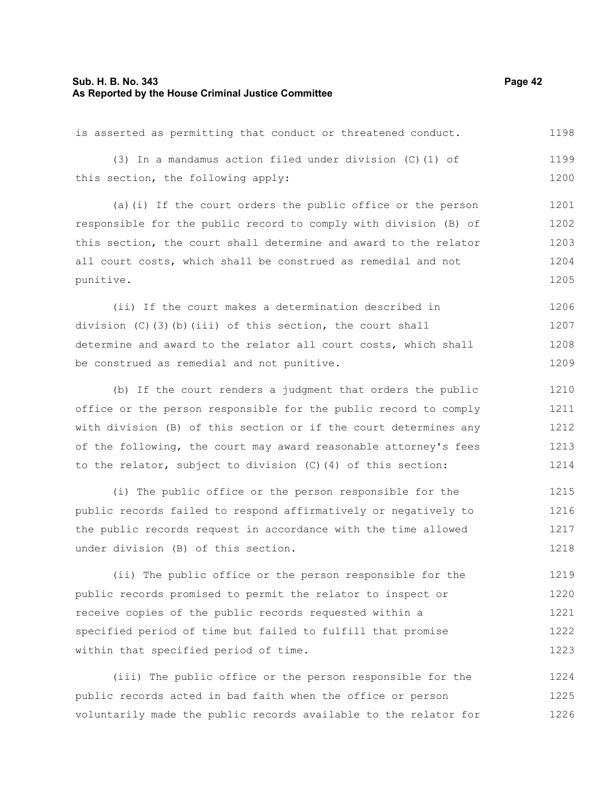## **Sub. H. B. No. 343 Page 42 As Reported by the House Criminal Justice Committee**

is asserted as permitting that conduct or threatened conduct. (3) In a mandamus action filed under division (C)(1) of this section, the following apply: (a)(i) If the court orders the public office or the person

responsible for the public record to comply with division (B) of this section, the court shall determine and award to the relator all court costs, which shall be construed as remedial and not punitive. 1202 1203 1204 1205

(ii) If the court makes a determination described in division (C)(3)(b)(iii) of this section, the court shall determine and award to the relator all court costs, which shall be construed as remedial and not punitive. 1206 1207 1208 1209

(b) If the court renders a judgment that orders the public office or the person responsible for the public record to comply with division (B) of this section or if the court determines any of the following, the court may award reasonable attorney's fees to the relator, subject to division (C)(4) of this section: 1210 1211 1212 1213 1214

(i) The public office or the person responsible for the public records failed to respond affirmatively or negatively to the public records request in accordance with the time allowed under division (B) of this section. 1215 1216 1217 1218

(ii) The public office or the person responsible for the public records promised to permit the relator to inspect or receive copies of the public records requested within a specified period of time but failed to fulfill that promise within that specified period of time. 1219 1220 1221 1222 1223

(iii) The public office or the person responsible for the public records acted in bad faith when the office or person voluntarily made the public records available to the relator for 1224 1225 1226

1198

1199 1200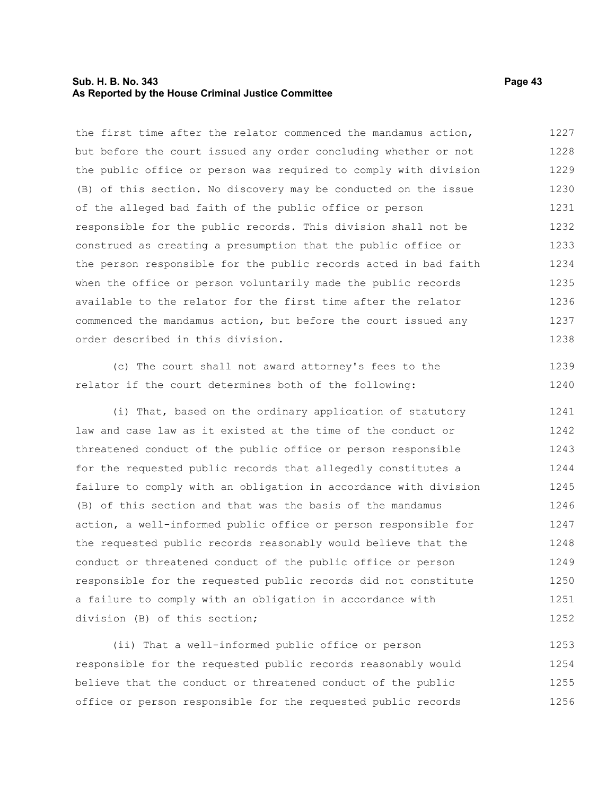## **Sub. H. B. No. 343 Page 43 As Reported by the House Criminal Justice Committee**

the first time after the relator commenced the mandamus action, but before the court issued any order concluding whether or not the public office or person was required to comply with division (B) of this section. No discovery may be conducted on the issue of the alleged bad faith of the public office or person responsible for the public records. This division shall not be construed as creating a presumption that the public office or the person responsible for the public records acted in bad faith when the office or person voluntarily made the public records available to the relator for the first time after the relator commenced the mandamus action, but before the court issued any order described in this division. 1227 1228 1229 1230 1231 1232 1233 1234 1235 1236 1237 1238

(c) The court shall not award attorney's fees to the relator if the court determines both of the following: 1239 1240

(i) That, based on the ordinary application of statutory law and case law as it existed at the time of the conduct or threatened conduct of the public office or person responsible for the requested public records that allegedly constitutes a failure to comply with an obligation in accordance with division (B) of this section and that was the basis of the mandamus action, a well-informed public office or person responsible for the requested public records reasonably would believe that the conduct or threatened conduct of the public office or person responsible for the requested public records did not constitute a failure to comply with an obligation in accordance with division (B) of this section; 1241 1242 1243 1244 1245 1246 1247 1248 1249 1250 1251 1252

(ii) That a well-informed public office or person responsible for the requested public records reasonably would believe that the conduct or threatened conduct of the public office or person responsible for the requested public records 1253 1254 1255 1256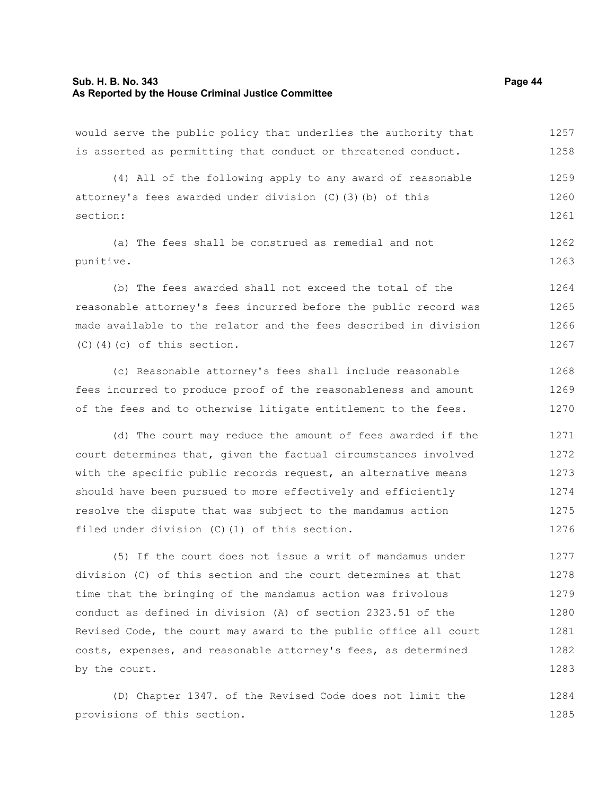### **Sub. H. B. No. 343 Page 44 As Reported by the House Criminal Justice Committee**

would serve the public policy that underlies the authority that is asserted as permitting that conduct or threatened conduct. 1257 1258

(4) All of the following apply to any award of reasonable attorney's fees awarded under division (C)(3)(b) of this section: 1259 1260 1261

(a) The fees shall be construed as remedial and not punitive. 1262 1263

(b) The fees awarded shall not exceed the total of the reasonable attorney's fees incurred before the public record was made available to the relator and the fees described in division (C)(4)(c) of this section. 1264 1265 1266 1267

(c) Reasonable attorney's fees shall include reasonable fees incurred to produce proof of the reasonableness and amount of the fees and to otherwise litigate entitlement to the fees. 1268 1269 1270

(d) The court may reduce the amount of fees awarded if the court determines that, given the factual circumstances involved with the specific public records request, an alternative means should have been pursued to more effectively and efficiently resolve the dispute that was subject to the mandamus action filed under division (C)(1) of this section. 1271 1272 1273 1274 1275 1276

(5) If the court does not issue a writ of mandamus under division (C) of this section and the court determines at that time that the bringing of the mandamus action was frivolous conduct as defined in division (A) of section 2323.51 of the Revised Code, the court may award to the public office all court costs, expenses, and reasonable attorney's fees, as determined by the court. 1277 1278 1279 1280 1281 1282 1283

(D) Chapter 1347. of the Revised Code does not limit the provisions of this section. 1284 1285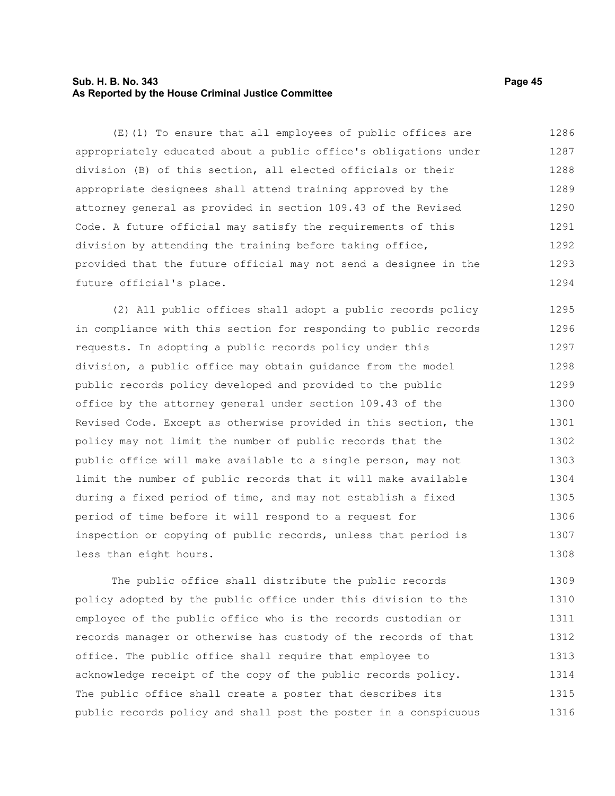## **Sub. H. B. No. 343 Page 45 As Reported by the House Criminal Justice Committee**

(E)(1) To ensure that all employees of public offices are appropriately educated about a public office's obligations under division (B) of this section, all elected officials or their appropriate designees shall attend training approved by the attorney general as provided in section 109.43 of the Revised Code. A future official may satisfy the requirements of this division by attending the training before taking office, provided that the future official may not send a designee in the future official's place. 1286 1287 1288 1289 1290 1291 1292 1293 1294

(2) All public offices shall adopt a public records policy in compliance with this section for responding to public records requests. In adopting a public records policy under this division, a public office may obtain guidance from the model public records policy developed and provided to the public office by the attorney general under section 109.43 of the Revised Code. Except as otherwise provided in this section, the policy may not limit the number of public records that the public office will make available to a single person, may not limit the number of public records that it will make available during a fixed period of time, and may not establish a fixed period of time before it will respond to a request for inspection or copying of public records, unless that period is less than eight hours. 1295 1296 1297 1298 1299 1300 1301 1302 1303 1304 1305 1306 1307 1308

The public office shall distribute the public records policy adopted by the public office under this division to the employee of the public office who is the records custodian or records manager or otherwise has custody of the records of that office. The public office shall require that employee to acknowledge receipt of the copy of the public records policy. The public office shall create a poster that describes its public records policy and shall post the poster in a conspicuous 1309 1310 1311 1312 1313 1314 1315 1316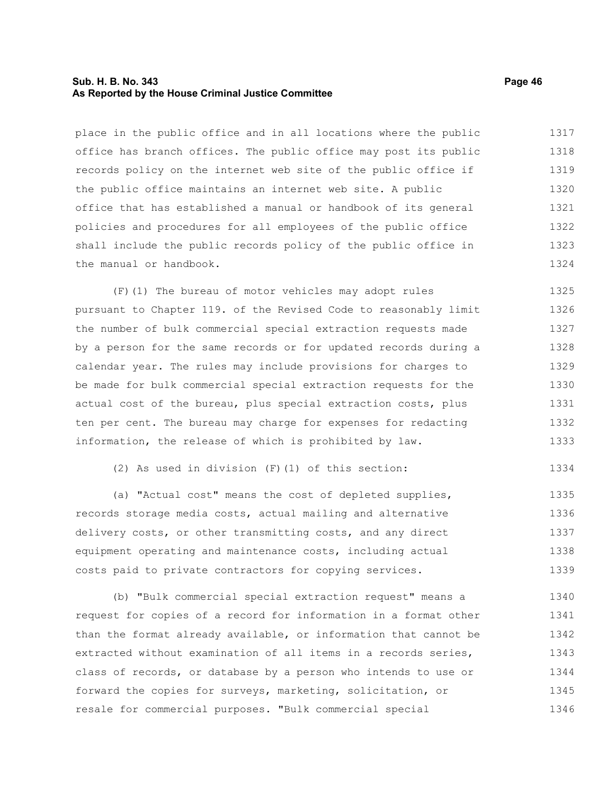### **Sub. H. B. No. 343 Page 46 As Reported by the House Criminal Justice Committee**

place in the public office and in all locations where the public office has branch offices. The public office may post its public records policy on the internet web site of the public office if the public office maintains an internet web site. A public office that has established a manual or handbook of its general policies and procedures for all employees of the public office shall include the public records policy of the public office in the manual or handbook. 1317 1318 1319 1320 1321 1322 1323 1324

(F)(1) The bureau of motor vehicles may adopt rules pursuant to Chapter 119. of the Revised Code to reasonably limit the number of bulk commercial special extraction requests made by a person for the same records or for updated records during a calendar year. The rules may include provisions for charges to be made for bulk commercial special extraction requests for the actual cost of the bureau, plus special extraction costs, plus ten per cent. The bureau may charge for expenses for redacting information, the release of which is prohibited by law. 1325 1326 1327 1328 1329 1330 1331 1332 1333

(2) As used in division (F)(1) of this section:

(a) "Actual cost" means the cost of depleted supplies, records storage media costs, actual mailing and alternative delivery costs, or other transmitting costs, and any direct equipment operating and maintenance costs, including actual costs paid to private contractors for copying services. 1335 1336 1337 1338 1339

(b) "Bulk commercial special extraction request" means a request for copies of a record for information in a format other than the format already available, or information that cannot be extracted without examination of all items in a records series, class of records, or database by a person who intends to use or forward the copies for surveys, marketing, solicitation, or resale for commercial purposes. "Bulk commercial special 1340 1341 1342 1343 1344 1345 1346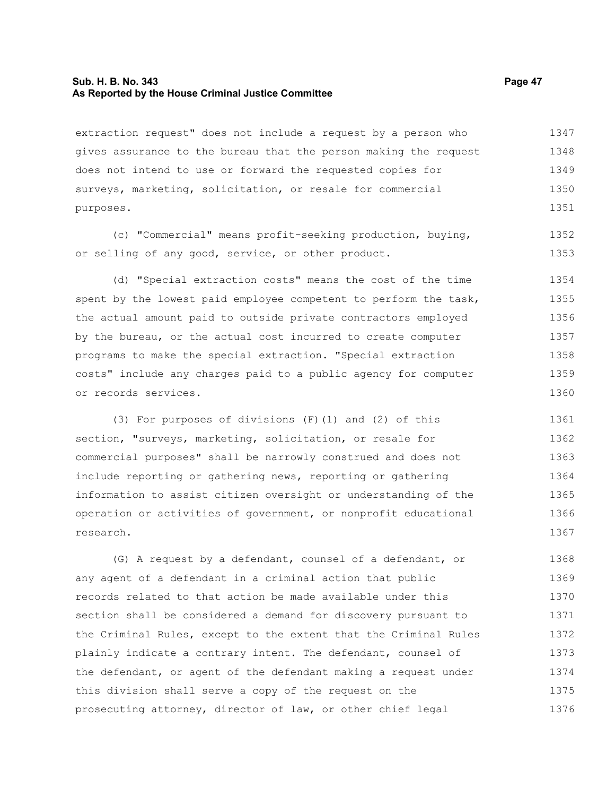### **Sub. H. B. No. 343 Page 47 As Reported by the House Criminal Justice Committee**

extraction request" does not include a request by a person who gives assurance to the bureau that the person making the request does not intend to use or forward the requested copies for surveys, marketing, solicitation, or resale for commercial purposes. 1347 1348 1349 1350 1351

(c) "Commercial" means profit-seeking production, buying, or selling of any good, service, or other product. 1352 1353

(d) "Special extraction costs" means the cost of the time spent by the lowest paid employee competent to perform the task, the actual amount paid to outside private contractors employed by the bureau, or the actual cost incurred to create computer programs to make the special extraction. "Special extraction costs" include any charges paid to a public agency for computer or records services. 1354 1355 1356 1357 1358 1359 1360

(3) For purposes of divisions (F)(1) and (2) of this section, "surveys, marketing, solicitation, or resale for commercial purposes" shall be narrowly construed and does not include reporting or gathering news, reporting or gathering information to assist citizen oversight or understanding of the operation or activities of government, or nonprofit educational research. 1361 1362 1363 1364 1365 1366 1367

(G) A request by a defendant, counsel of a defendant, or any agent of a defendant in a criminal action that public records related to that action be made available under this section shall be considered a demand for discovery pursuant to the Criminal Rules, except to the extent that the Criminal Rules plainly indicate a contrary intent. The defendant, counsel of the defendant, or agent of the defendant making a request under this division shall serve a copy of the request on the prosecuting attorney, director of law, or other chief legal 1368 1369 1370 1371 1372 1373 1374 1375 1376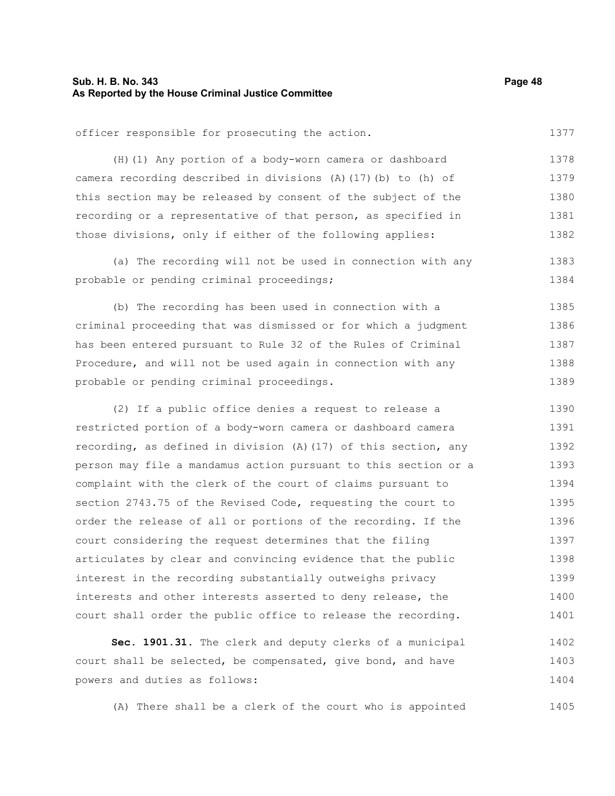## **Sub. H. B. No. 343 Page 48 As Reported by the House Criminal Justice Committee**

# officer responsible for prosecuting the action.

(H)(1) Any portion of a body-worn camera or dashboard camera recording described in divisions (A)(17)(b) to (h) of this section may be released by consent of the subject of the recording or a representative of that person, as specified in those divisions, only if either of the following applies: 1378 1379 1380 1381 1382

(a) The recording will not be used in connection with any probable or pending criminal proceedings;

(b) The recording has been used in connection with a criminal proceeding that was dismissed or for which a judgment has been entered pursuant to Rule 32 of the Rules of Criminal Procedure, and will not be used again in connection with any probable or pending criminal proceedings. 1385 1386 1387 1388 1389

(2) If a public office denies a request to release a restricted portion of a body-worn camera or dashboard camera recording, as defined in division  $(A)$  (17) of this section, any person may file a mandamus action pursuant to this section or a complaint with the clerk of the court of claims pursuant to section 2743.75 of the Revised Code, requesting the court to order the release of all or portions of the recording. If the court considering the request determines that the filing articulates by clear and convincing evidence that the public interest in the recording substantially outweighs privacy interests and other interests asserted to deny release, the court shall order the public office to release the recording. 1390 1391 1392 1393 1394 1395 1396 1397 1398 1399 1400 1401

**Sec. 1901.31.** The clerk and deputy clerks of a municipal court shall be selected, be compensated, give bond, and have powers and duties as follows: 1402 1403 1404

(A) There shall be a clerk of the court who is appointed 1405

1377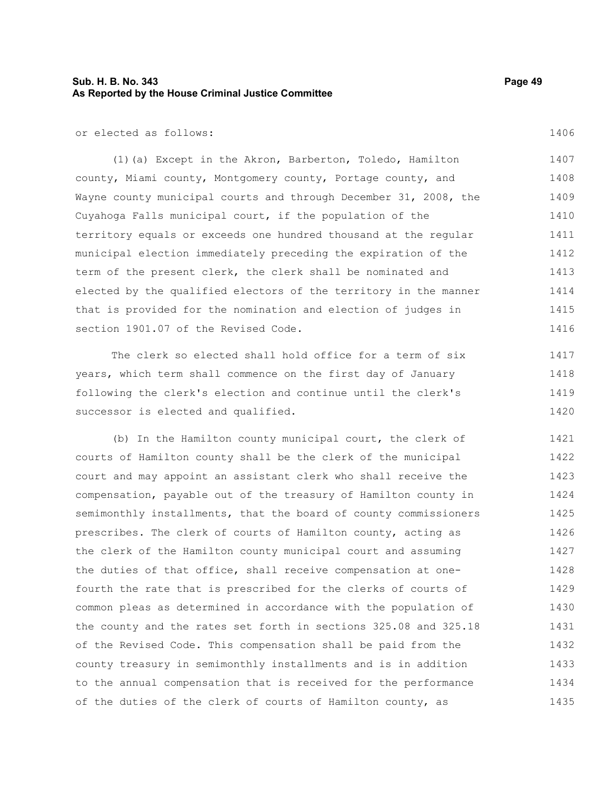## **Sub. H. B. No. 343 Page 49 As Reported by the House Criminal Justice Committee**

or elected as follows:

(1)(a) Except in the Akron, Barberton, Toledo, Hamilton county, Miami county, Montgomery county, Portage county, and Wayne county municipal courts and through December 31, 2008, the Cuyahoga Falls municipal court, if the population of the territory equals or exceeds one hundred thousand at the regular municipal election immediately preceding the expiration of the term of the present clerk, the clerk shall be nominated and elected by the qualified electors of the territory in the manner that is provided for the nomination and election of judges in section 1901.07 of the Revised Code. 1407 1408 1409 1410 1411 1412 1413 1414 1415 1416

The clerk so elected shall hold office for a term of six years, which term shall commence on the first day of January following the clerk's election and continue until the clerk's successor is elected and qualified. 1417 1418 1419 1420

(b) In the Hamilton county municipal court, the clerk of courts of Hamilton county shall be the clerk of the municipal court and may appoint an assistant clerk who shall receive the compensation, payable out of the treasury of Hamilton county in semimonthly installments, that the board of county commissioners prescribes. The clerk of courts of Hamilton county, acting as the clerk of the Hamilton county municipal court and assuming the duties of that office, shall receive compensation at onefourth the rate that is prescribed for the clerks of courts of common pleas as determined in accordance with the population of the county and the rates set forth in sections 325.08 and 325.18 of the Revised Code. This compensation shall be paid from the county treasury in semimonthly installments and is in addition to the annual compensation that is received for the performance of the duties of the clerk of courts of Hamilton county, as 1421 1422 1423 1424 1425 1426 1427 1428 1429 1430 1431 1432 1433 1434 1435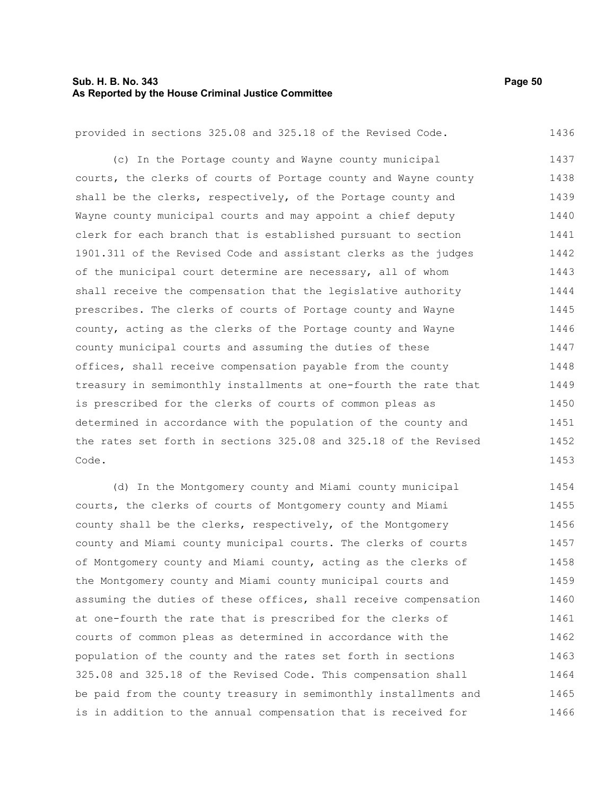# **Sub. H. B. No. 343 Page 50 As Reported by the House Criminal Justice Committee**

| provided in sections 325.08 and 325.18 of the Revised Code.      | 1436 |
|------------------------------------------------------------------|------|
| (c) In the Portage county and Wayne county municipal             | 1437 |
| courts, the clerks of courts of Portage county and Wayne county  | 1438 |
| shall be the clerks, respectively, of the Portage county and     | 1439 |
| Wayne county municipal courts and may appoint a chief deputy     | 1440 |
| clerk for each branch that is established pursuant to section    | 1441 |
| 1901.311 of the Revised Code and assistant clerks as the judges  | 1442 |
| of the municipal court determine are necessary, all of whom      | 1443 |
| shall receive the compensation that the legislative authority    | 1444 |
| prescribes. The clerks of courts of Portage county and Wayne     | 1445 |
| county, acting as the clerks of the Portage county and Wayne     | 1446 |
| county municipal courts and assuming the duties of these         | 1447 |
| offices, shall receive compensation payable from the county      | 1448 |
| treasury in semimonthly installments at one-fourth the rate that | 1449 |
| is prescribed for the clerks of courts of common pleas as        | 1450 |
| determined in accordance with the population of the county and   | 1451 |
| the rates set forth in sections 325.08 and 325.18 of the Revised | 1452 |
| Code.                                                            | 1453 |
| (d) In the Montgomery county and Miami county municipal          | 1454 |

courts, the clerks of courts of Montgomery county and Miami county shall be the clerks, respectively, of the Montgomery county and Miami county municipal courts. The clerks of courts of Montgomery county and Miami county, acting as the clerks of the Montgomery county and Miami county municipal courts and assuming the duties of these offices, shall receive compensation at one-fourth the rate that is prescribed for the clerks of courts of common pleas as determined in accordance with the population of the county and the rates set forth in sections 325.08 and 325.18 of the Revised Code. This compensation shall be paid from the county treasury in semimonthly installments and is in addition to the annual compensation that is received for 1455 1456 1457 1458 1459 1460 1461 1462 1463 1464 1465 1466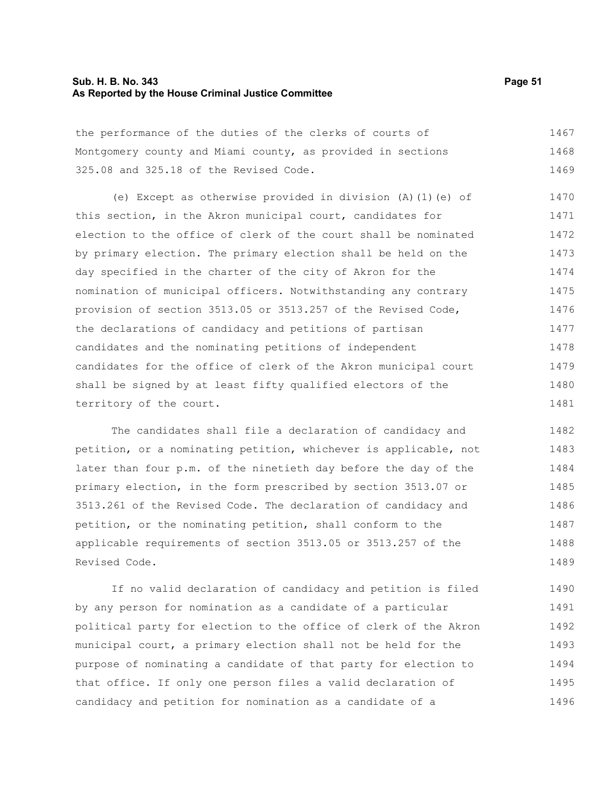## **Sub. H. B. No. 343 Page 51 As Reported by the House Criminal Justice Committee**

the performance of the duties of the clerks of courts of Montgomery county and Miami county, as provided in sections 325.08 and 325.18 of the Revised Code. 1467 1468 1469

(e) Except as otherwise provided in division (A)(1)(e) of this section, in the Akron municipal court, candidates for election to the office of clerk of the court shall be nominated by primary election. The primary election shall be held on the day specified in the charter of the city of Akron for the nomination of municipal officers. Notwithstanding any contrary provision of section 3513.05 or 3513.257 of the Revised Code, the declarations of candidacy and petitions of partisan candidates and the nominating petitions of independent candidates for the office of clerk of the Akron municipal court shall be signed by at least fifty qualified electors of the territory of the court. 1470 1471 1472 1473 1474 1475 1476 1477 1478 1479 1480 1481

The candidates shall file a declaration of candidacy and petition, or a nominating petition, whichever is applicable, not later than four p.m. of the ninetieth day before the day of the primary election, in the form prescribed by section 3513.07 or 3513.261 of the Revised Code. The declaration of candidacy and petition, or the nominating petition, shall conform to the applicable requirements of section 3513.05 or 3513.257 of the Revised Code. 1482 1483 1484 1485 1486 1487 1488 1489

If no valid declaration of candidacy and petition is filed by any person for nomination as a candidate of a particular political party for election to the office of clerk of the Akron municipal court, a primary election shall not be held for the purpose of nominating a candidate of that party for election to that office. If only one person files a valid declaration of candidacy and petition for nomination as a candidate of a 1490 1491 1492 1493 1494 1495 1496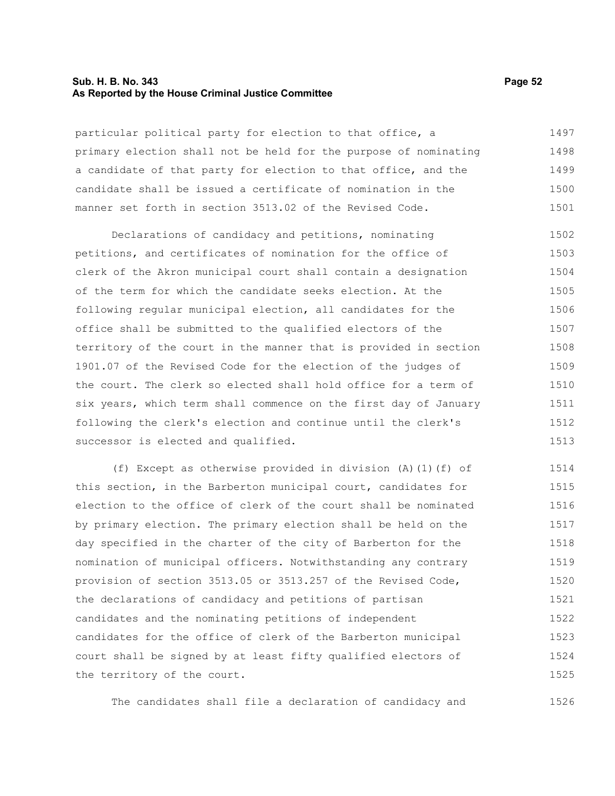#### **Sub. H. B. No. 343 Page 52 As Reported by the House Criminal Justice Committee**

particular political party for election to that office, a primary election shall not be held for the purpose of nominating a candidate of that party for election to that office, and the candidate shall be issued a certificate of nomination in the manner set forth in section 3513.02 of the Revised Code. 1497 1498 1499 1500 1501

Declarations of candidacy and petitions, nominating petitions, and certificates of nomination for the office of clerk of the Akron municipal court shall contain a designation of the term for which the candidate seeks election. At the following regular municipal election, all candidates for the office shall be submitted to the qualified electors of the territory of the court in the manner that is provided in section 1901.07 of the Revised Code for the election of the judges of the court. The clerk so elected shall hold office for a term of six years, which term shall commence on the first day of January following the clerk's election and continue until the clerk's successor is elected and qualified. 1502 1503 1504 1505 1506 1507 1508 1509 1510 1511 1512 1513

(f) Except as otherwise provided in division (A)(1)(f) of this section, in the Barberton municipal court, candidates for election to the office of clerk of the court shall be nominated by primary election. The primary election shall be held on the day specified in the charter of the city of Barberton for the nomination of municipal officers. Notwithstanding any contrary provision of section 3513.05 or 3513.257 of the Revised Code, the declarations of candidacy and petitions of partisan candidates and the nominating petitions of independent candidates for the office of clerk of the Barberton municipal court shall be signed by at least fifty qualified electors of the territory of the court. 1514 1515 1516 1517 1518 1519 1520 1521 1522 1523 1524 1525

The candidates shall file a declaration of candidacy and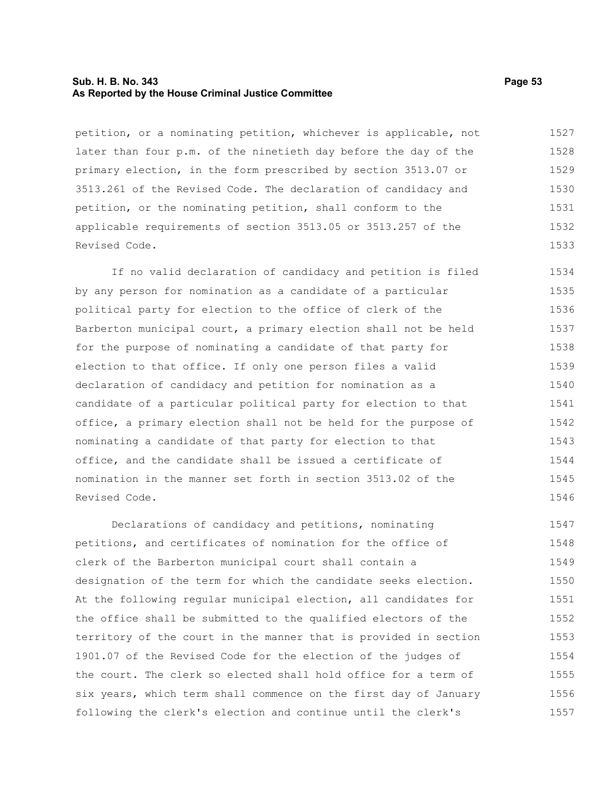### **Sub. H. B. No. 343 Page 53 As Reported by the House Criminal Justice Committee**

petition, or a nominating petition, whichever is applicable, not later than four p.m. of the ninetieth day before the day of the primary election, in the form prescribed by section 3513.07 or 3513.261 of the Revised Code. The declaration of candidacy and petition, or the nominating petition, shall conform to the applicable requirements of section 3513.05 or 3513.257 of the Revised Code. 1527 1528 1529 1530 1531 1532 1533

If no valid declaration of candidacy and petition is filed by any person for nomination as a candidate of a particular political party for election to the office of clerk of the Barberton municipal court, a primary election shall not be held for the purpose of nominating a candidate of that party for election to that office. If only one person files a valid declaration of candidacy and petition for nomination as a candidate of a particular political party for election to that office, a primary election shall not be held for the purpose of nominating a candidate of that party for election to that office, and the candidate shall be issued a certificate of nomination in the manner set forth in section 3513.02 of the Revised Code. 1534 1535 1536 1537 1538 1539 1540 1541 1542 1543 1544 1545 1546

Declarations of candidacy and petitions, nominating petitions, and certificates of nomination for the office of clerk of the Barberton municipal court shall contain a designation of the term for which the candidate seeks election. At the following regular municipal election, all candidates for the office shall be submitted to the qualified electors of the territory of the court in the manner that is provided in section 1901.07 of the Revised Code for the election of the judges of the court. The clerk so elected shall hold office for a term of six years, which term shall commence on the first day of January following the clerk's election and continue until the clerk's 1547 1548 1549 1550 1551 1552 1553 1554 1555 1556 1557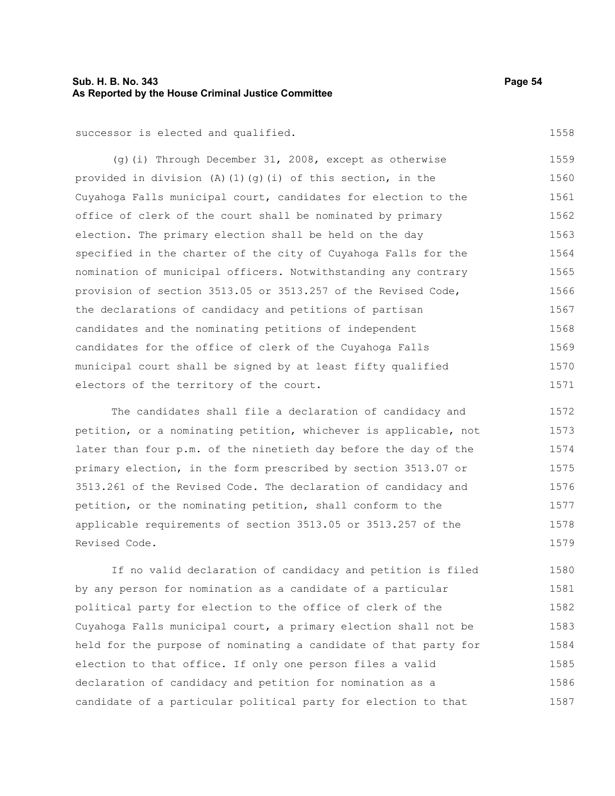## **Sub. H. B. No. 343 Page 54 As Reported by the House Criminal Justice Committee**

successor is elected and qualified.

(g)(i) Through December 31, 2008, except as otherwise provided in division (A)(1)(g)(i) of this section, in the Cuyahoga Falls municipal court, candidates for election to the office of clerk of the court shall be nominated by primary election. The primary election shall be held on the day specified in the charter of the city of Cuyahoga Falls for the nomination of municipal officers. Notwithstanding any contrary provision of section 3513.05 or 3513.257 of the Revised Code, the declarations of candidacy and petitions of partisan candidates and the nominating petitions of independent candidates for the office of clerk of the Cuyahoga Falls municipal court shall be signed by at least fifty qualified electors of the territory of the court. 1559 1560 1561 1562 1563 1564 1565 1566 1567 1568 1569 1570 1571

The candidates shall file a declaration of candidacy and petition, or a nominating petition, whichever is applicable, not later than four p.m. of the ninetieth day before the day of the primary election, in the form prescribed by section 3513.07 or 3513.261 of the Revised Code. The declaration of candidacy and petition, or the nominating petition, shall conform to the applicable requirements of section 3513.05 or 3513.257 of the Revised Code. 1572 1573 1574 1575 1576 1577 1578 1579

If no valid declaration of candidacy and petition is filed by any person for nomination as a candidate of a particular political party for election to the office of clerk of the Cuyahoga Falls municipal court, a primary election shall not be held for the purpose of nominating a candidate of that party for election to that office. If only one person files a valid declaration of candidacy and petition for nomination as a candidate of a particular political party for election to that 1580 1581 1582 1583 1584 1585 1586 1587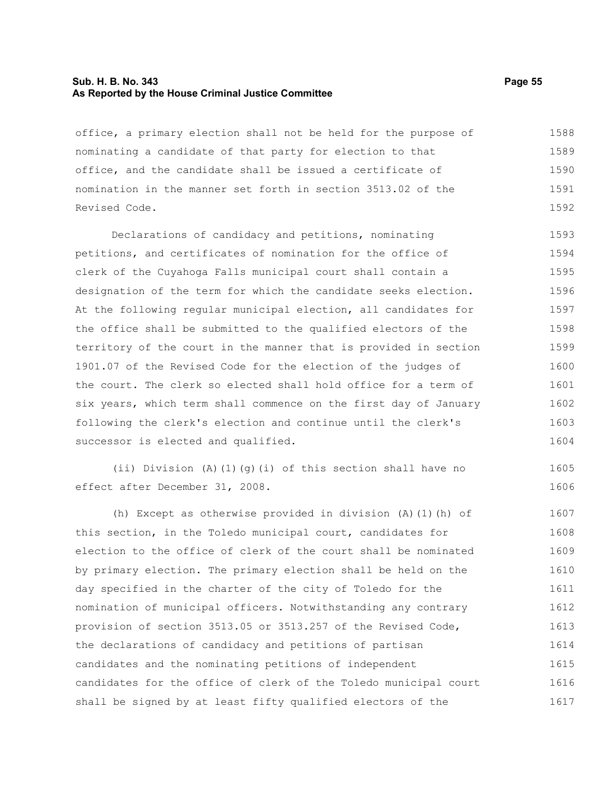### **Sub. H. B. No. 343 Page 55 As Reported by the House Criminal Justice Committee**

office, a primary election shall not be held for the purpose of nominating a candidate of that party for election to that office, and the candidate shall be issued a certificate of nomination in the manner set forth in section 3513.02 of the Revised Code. 1588 1589 1590 1591 1592

Declarations of candidacy and petitions, nominating petitions, and certificates of nomination for the office of clerk of the Cuyahoga Falls municipal court shall contain a designation of the term for which the candidate seeks election. At the following regular municipal election, all candidates for the office shall be submitted to the qualified electors of the territory of the court in the manner that is provided in section 1901.07 of the Revised Code for the election of the judges of the court. The clerk so elected shall hold office for a term of six years, which term shall commence on the first day of January following the clerk's election and continue until the clerk's successor is elected and qualified. 1593 1594 1595 1596 1597 1598 1599 1600 1601 1602 1603 1604

(ii) Division (A)(1)(g)(i) of this section shall have no effect after December 31, 2008. 1605 1606

(h) Except as otherwise provided in division (A)(1)(h) of this section, in the Toledo municipal court, candidates for election to the office of clerk of the court shall be nominated by primary election. The primary election shall be held on the day specified in the charter of the city of Toledo for the nomination of municipal officers. Notwithstanding any contrary provision of section 3513.05 or 3513.257 of the Revised Code, the declarations of candidacy and petitions of partisan candidates and the nominating petitions of independent candidates for the office of clerk of the Toledo municipal court shall be signed by at least fifty qualified electors of the 1607 1608 1609 1610 1611 1612 1613 1614 1615 1616 1617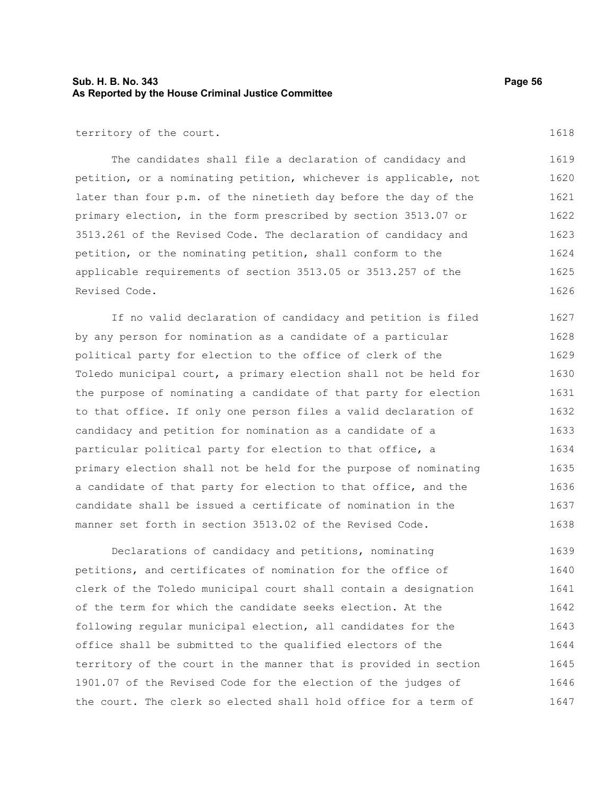## **Sub. H. B. No. 343 Page 56 As Reported by the House Criminal Justice Committee**

territory of the court.

The candidates shall file a declaration of candidacy and petition, or a nominating petition, whichever is applicable, not later than four p.m. of the ninetieth day before the day of the primary election, in the form prescribed by section 3513.07 or 3513.261 of the Revised Code. The declaration of candidacy and petition, or the nominating petition, shall conform to the applicable requirements of section 3513.05 or 3513.257 of the Revised Code. 1619 1620 1621 1622 1623 1624 1625 1626

If no valid declaration of candidacy and petition is filed by any person for nomination as a candidate of a particular political party for election to the office of clerk of the Toledo municipal court, a primary election shall not be held for the purpose of nominating a candidate of that party for election to that office. If only one person files a valid declaration of candidacy and petition for nomination as a candidate of a particular political party for election to that office, a primary election shall not be held for the purpose of nominating a candidate of that party for election to that office, and the candidate shall be issued a certificate of nomination in the manner set forth in section 3513.02 of the Revised Code. 1627 1628 1629 1630 1631 1632 1633 1634 1635 1636 1637 1638

Declarations of candidacy and petitions, nominating petitions, and certificates of nomination for the office of clerk of the Toledo municipal court shall contain a designation of the term for which the candidate seeks election. At the following regular municipal election, all candidates for the office shall be submitted to the qualified electors of the territory of the court in the manner that is provided in section 1901.07 of the Revised Code for the election of the judges of the court. The clerk so elected shall hold office for a term of 1639 1640 1641 1642 1643 1644 1645 1646 1647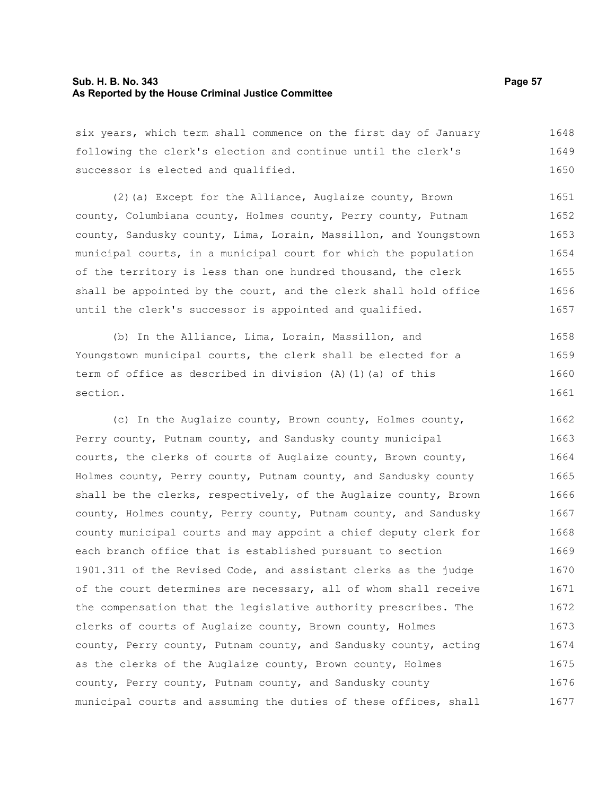## **Sub. H. B. No. 343 Page 57 As Reported by the House Criminal Justice Committee**

six years, which term shall commence on the first day of January following the clerk's election and continue until the clerk's successor is elected and qualified. 1648 1649 1650

(2)(a) Except for the Alliance, Auglaize county, Brown county, Columbiana county, Holmes county, Perry county, Putnam county, Sandusky county, Lima, Lorain, Massillon, and Youngstown municipal courts, in a municipal court for which the population of the territory is less than one hundred thousand, the clerk shall be appointed by the court, and the clerk shall hold office until the clerk's successor is appointed and qualified. 1651 1652 1653 1654 1655 1656 1657

(b) In the Alliance, Lima, Lorain, Massillon, and Youngstown municipal courts, the clerk shall be elected for a term of office as described in division (A)(1)(a) of this section. 1658 1659 1660 1661

(c) In the Auglaize county, Brown county, Holmes county, Perry county, Putnam county, and Sandusky county municipal courts, the clerks of courts of Auglaize county, Brown county, Holmes county, Perry county, Putnam county, and Sandusky county shall be the clerks, respectively, of the Auglaize county, Brown county, Holmes county, Perry county, Putnam county, and Sandusky county municipal courts and may appoint a chief deputy clerk for each branch office that is established pursuant to section 1901.311 of the Revised Code, and assistant clerks as the judge of the court determines are necessary, all of whom shall receive the compensation that the legislative authority prescribes. The clerks of courts of Auglaize county, Brown county, Holmes county, Perry county, Putnam county, and Sandusky county, acting as the clerks of the Auglaize county, Brown county, Holmes county, Perry county, Putnam county, and Sandusky county municipal courts and assuming the duties of these offices, shall 1662 1663 1664 1665 1666 1667 1668 1669 1670 1671 1672 1673 1674 1675 1676 1677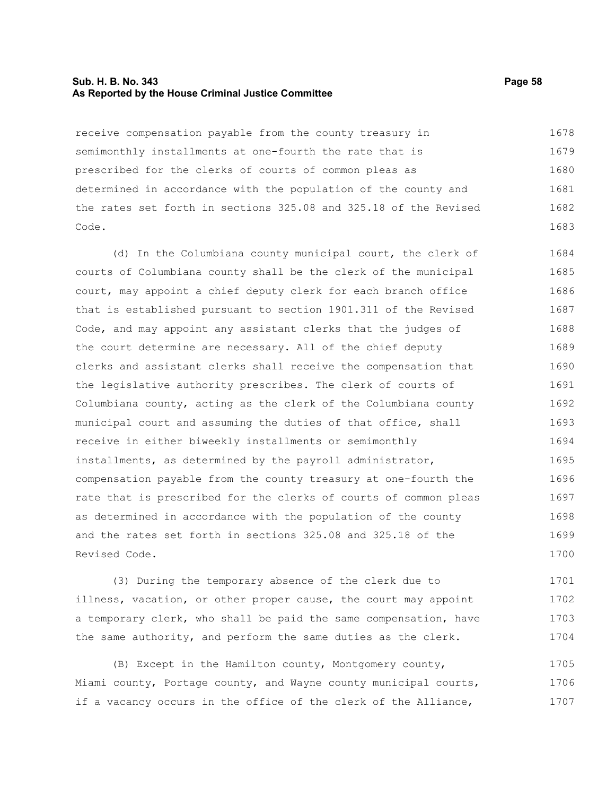### **Sub. H. B. No. 343 Page 58 As Reported by the House Criminal Justice Committee**

receive compensation payable from the county treasury in semimonthly installments at one-fourth the rate that is prescribed for the clerks of courts of common pleas as determined in accordance with the population of the county and the rates set forth in sections 325.08 and 325.18 of the Revised Code. 1678 1679 1680 1681 1682 1683

(d) In the Columbiana county municipal court, the clerk of courts of Columbiana county shall be the clerk of the municipal court, may appoint a chief deputy clerk for each branch office that is established pursuant to section 1901.311 of the Revised Code, and may appoint any assistant clerks that the judges of the court determine are necessary. All of the chief deputy clerks and assistant clerks shall receive the compensation that the legislative authority prescribes. The clerk of courts of Columbiana county, acting as the clerk of the Columbiana county municipal court and assuming the duties of that office, shall receive in either biweekly installments or semimonthly installments, as determined by the payroll administrator, compensation payable from the county treasury at one-fourth the rate that is prescribed for the clerks of courts of common pleas as determined in accordance with the population of the county and the rates set forth in sections 325.08 and 325.18 of the Revised Code. 1684 1685 1686 1687 1688 1689 1690 1691 1692 1693 1694 1695 1696 1697 1698 1699 1700

(3) During the temporary absence of the clerk due to illness, vacation, or other proper cause, the court may appoint a temporary clerk, who shall be paid the same compensation, have the same authority, and perform the same duties as the clerk. 1701 1702 1703 1704

(B) Except in the Hamilton county, Montgomery county, Miami county, Portage county, and Wayne county municipal courts, if a vacancy occurs in the office of the clerk of the Alliance, 1705 1706 1707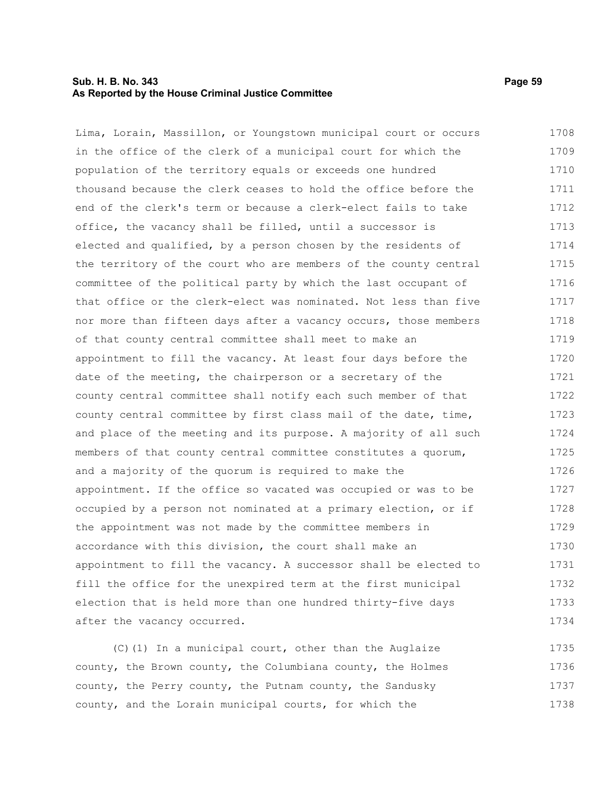## **Sub. H. B. No. 343 Page 59 As Reported by the House Criminal Justice Committee**

Lima, Lorain, Massillon, or Youngstown municipal court or occurs in the office of the clerk of a municipal court for which the population of the territory equals or exceeds one hundred thousand because the clerk ceases to hold the office before the end of the clerk's term or because a clerk-elect fails to take office, the vacancy shall be filled, until a successor is elected and qualified, by a person chosen by the residents of the territory of the court who are members of the county central committee of the political party by which the last occupant of that office or the clerk-elect was nominated. Not less than five nor more than fifteen days after a vacancy occurs, those members of that county central committee shall meet to make an appointment to fill the vacancy. At least four days before the date of the meeting, the chairperson or a secretary of the county central committee shall notify each such member of that county central committee by first class mail of the date, time, and place of the meeting and its purpose. A majority of all such members of that county central committee constitutes a quorum, and a majority of the quorum is required to make the appointment. If the office so vacated was occupied or was to be occupied by a person not nominated at a primary election, or if the appointment was not made by the committee members in accordance with this division, the court shall make an appointment to fill the vacancy. A successor shall be elected to fill the office for the unexpired term at the first municipal election that is held more than one hundred thirty-five days after the vacancy occurred. 1708 1709 1710 1711 1712 1713 1714 1715 1716 1717 1718 1719 1720 1721 1722 1723 1724 1725 1726 1727 1728 1729 1730 1731 1732 1733 1734

(C)(1) In a municipal court, other than the Auglaize county, the Brown county, the Columbiana county, the Holmes county, the Perry county, the Putnam county, the Sandusky county, and the Lorain municipal courts, for which the 1735 1736 1737 1738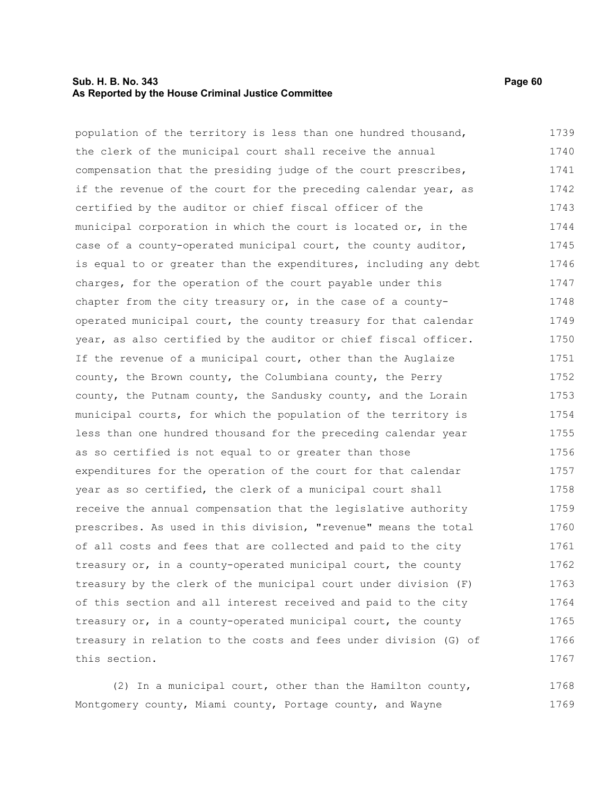## **Sub. H. B. No. 343 Page 60 As Reported by the House Criminal Justice Committee**

population of the territory is less than one hundred thousand, the clerk of the municipal court shall receive the annual compensation that the presiding judge of the court prescribes, if the revenue of the court for the preceding calendar year, as certified by the auditor or chief fiscal officer of the municipal corporation in which the court is located or, in the case of a county-operated municipal court, the county auditor, is equal to or greater than the expenditures, including any debt charges, for the operation of the court payable under this chapter from the city treasury or, in the case of a countyoperated municipal court, the county treasury for that calendar year, as also certified by the auditor or chief fiscal officer. If the revenue of a municipal court, other than the Auglaize county, the Brown county, the Columbiana county, the Perry county, the Putnam county, the Sandusky county, and the Lorain municipal courts, for which the population of the territory is less than one hundred thousand for the preceding calendar year as so certified is not equal to or greater than those expenditures for the operation of the court for that calendar year as so certified, the clerk of a municipal court shall receive the annual compensation that the legislative authority prescribes. As used in this division, "revenue" means the total of all costs and fees that are collected and paid to the city treasury or, in a county-operated municipal court, the county treasury by the clerk of the municipal court under division (F) of this section and all interest received and paid to the city treasury or, in a county-operated municipal court, the county treasury in relation to the costs and fees under division (G) of this section. 1739 1740 1741 1742 1743 1744 1745 1746 1747 1748 1749 1750 1751 1752 1753 1754 1755 1756 1757 1758 1759 1760 1761 1762 1763 1764 1765 1766 1767

(2) In a municipal court, other than the Hamilton county, Montgomery county, Miami county, Portage county, and Wayne 1768 1769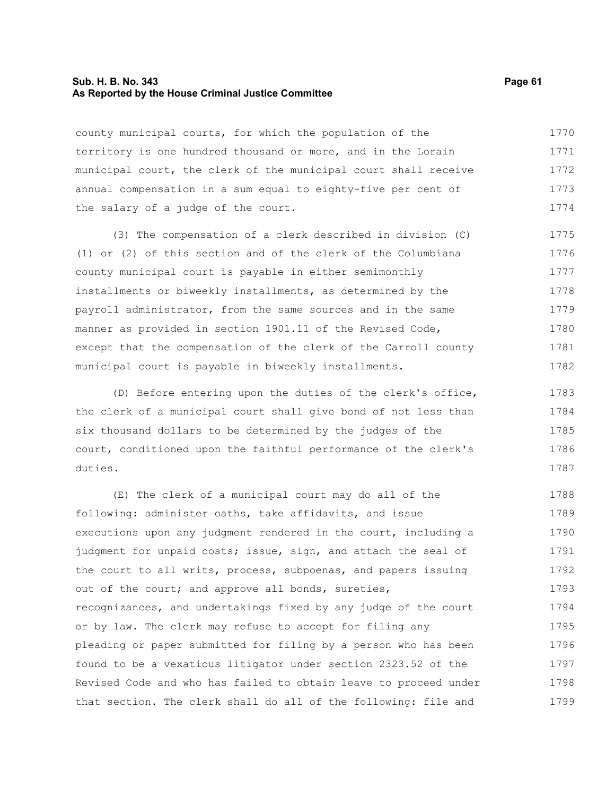### **Sub. H. B. No. 343 Page 61 As Reported by the House Criminal Justice Committee**

county municipal courts, for which the population of the territory is one hundred thousand or more, and in the Lorain municipal court, the clerk of the municipal court shall receive annual compensation in a sum equal to eighty-five per cent of the salary of a judge of the court. 1770 1771 1772 1773 1774

(3) The compensation of a clerk described in division (C) (1) or (2) of this section and of the clerk of the Columbiana county municipal court is payable in either semimonthly installments or biweekly installments, as determined by the payroll administrator, from the same sources and in the same manner as provided in section 1901.11 of the Revised Code, except that the compensation of the clerk of the Carroll county municipal court is payable in biweekly installments. 1775 1776 1777 1778 1779 1780 1781 1782

(D) Before entering upon the duties of the clerk's office, the clerk of a municipal court shall give bond of not less than six thousand dollars to be determined by the judges of the court, conditioned upon the faithful performance of the clerk's duties. 1783 1784 1785 1786 1787

(E) The clerk of a municipal court may do all of the following: administer oaths, take affidavits, and issue executions upon any judgment rendered in the court, including a judgment for unpaid costs; issue, sign, and attach the seal of the court to all writs, process, subpoenas, and papers issuing out of the court; and approve all bonds, sureties, recognizances, and undertakings fixed by any judge of the court or by law. The clerk may refuse to accept for filing any pleading or paper submitted for filing by a person who has been found to be a vexatious litigator under section 2323.52 of the Revised Code and who has failed to obtain leave to proceed under that section. The clerk shall do all of the following: file and 1788 1789 1790 1791 1792 1793 1794 1795 1796 1797 1798 1799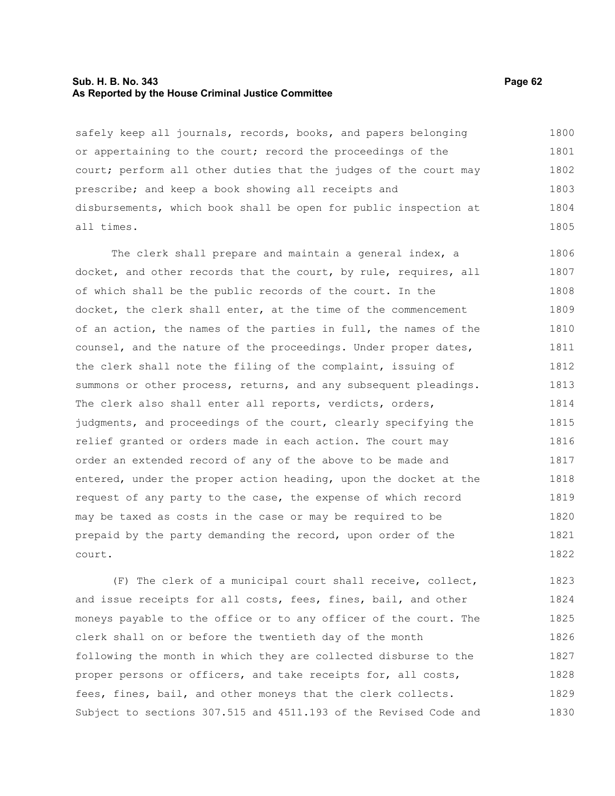### **Sub. H. B. No. 343 Page 62 As Reported by the House Criminal Justice Committee**

safely keep all journals, records, books, and papers belonging or appertaining to the court; record the proceedings of the court; perform all other duties that the judges of the court may prescribe; and keep a book showing all receipts and disbursements, which book shall be open for public inspection at all times. 1800 1801 1802 1803 1804 1805

The clerk shall prepare and maintain a general index, a docket, and other records that the court, by rule, requires, all of which shall be the public records of the court. In the docket, the clerk shall enter, at the time of the commencement of an action, the names of the parties in full, the names of the counsel, and the nature of the proceedings. Under proper dates, the clerk shall note the filing of the complaint, issuing of summons or other process, returns, and any subsequent pleadings. The clerk also shall enter all reports, verdicts, orders, judgments, and proceedings of the court, clearly specifying the relief granted or orders made in each action. The court may order an extended record of any of the above to be made and entered, under the proper action heading, upon the docket at the request of any party to the case, the expense of which record may be taxed as costs in the case or may be required to be prepaid by the party demanding the record, upon order of the court. 1806 1807 1808 1809 1810 1811 1812 1813 1814 1815 1816 1817 1818 1819 1820 1821 1822

(F) The clerk of a municipal court shall receive, collect, and issue receipts for all costs, fees, fines, bail, and other moneys payable to the office or to any officer of the court. The clerk shall on or before the twentieth day of the month following the month in which they are collected disburse to the proper persons or officers, and take receipts for, all costs, fees, fines, bail, and other moneys that the clerk collects. Subject to sections 307.515 and 4511.193 of the Revised Code and 1823 1824 1825 1826 1827 1828 1829 1830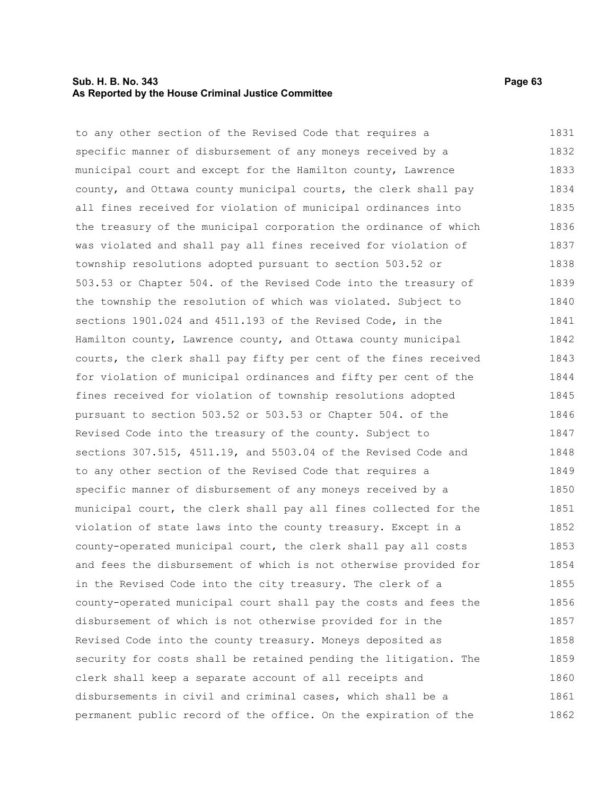## **Sub. H. B. No. 343 Page 63 As Reported by the House Criminal Justice Committee**

to any other section of the Revised Code that requires a specific manner of disbursement of any moneys received by a municipal court and except for the Hamilton county, Lawrence county, and Ottawa county municipal courts, the clerk shall pay all fines received for violation of municipal ordinances into the treasury of the municipal corporation the ordinance of which was violated and shall pay all fines received for violation of township resolutions adopted pursuant to section 503.52 or 503.53 or Chapter 504. of the Revised Code into the treasury of the township the resolution of which was violated. Subject to sections 1901.024 and 4511.193 of the Revised Code, in the Hamilton county, Lawrence county, and Ottawa county municipal courts, the clerk shall pay fifty per cent of the fines received for violation of municipal ordinances and fifty per cent of the fines received for violation of township resolutions adopted pursuant to section 503.52 or 503.53 or Chapter 504. of the Revised Code into the treasury of the county. Subject to sections 307.515, 4511.19, and 5503.04 of the Revised Code and to any other section of the Revised Code that requires a specific manner of disbursement of any moneys received by a municipal court, the clerk shall pay all fines collected for the violation of state laws into the county treasury. Except in a county-operated municipal court, the clerk shall pay all costs and fees the disbursement of which is not otherwise provided for in the Revised Code into the city treasury. The clerk of a county-operated municipal court shall pay the costs and fees the disbursement of which is not otherwise provided for in the Revised Code into the county treasury. Moneys deposited as security for costs shall be retained pending the litigation. The clerk shall keep a separate account of all receipts and disbursements in civil and criminal cases, which shall be a permanent public record of the office. On the expiration of the 1831 1832 1833 1834 1835 1836 1837 1838 1839 1840 1841 1842 1843 1844 1845 1846 1847 1848 1849 1850 1851 1852 1853 1854 1855 1856 1857 1858 1859 1860 1861 1862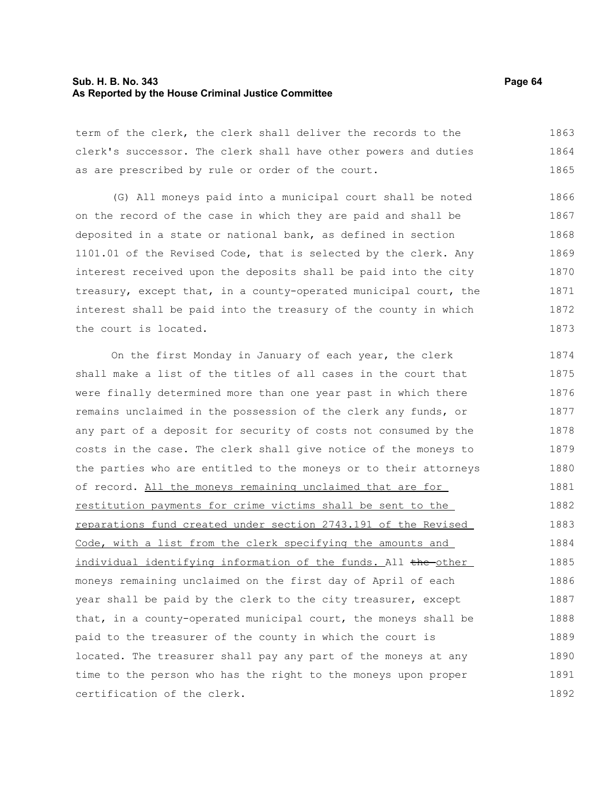## **Sub. H. B. No. 343 Page 64 As Reported by the House Criminal Justice Committee**

term of the clerk, the clerk shall deliver the records to the clerk's successor. The clerk shall have other powers and duties as are prescribed by rule or order of the court. 1863 1864 1865

(G) All moneys paid into a municipal court shall be noted on the record of the case in which they are paid and shall be deposited in a state or national bank, as defined in section 1101.01 of the Revised Code, that is selected by the clerk. Any interest received upon the deposits shall be paid into the city treasury, except that, in a county-operated municipal court, the interest shall be paid into the treasury of the county in which the court is located. 1866 1867 1868 1869 1870 1871 1872 1873

On the first Monday in January of each year, the clerk shall make a list of the titles of all cases in the court that were finally determined more than one year past in which there remains unclaimed in the possession of the clerk any funds, or any part of a deposit for security of costs not consumed by the costs in the case. The clerk shall give notice of the moneys to the parties who are entitled to the moneys or to their attorneys of record. All the moneys remaining unclaimed that are for restitution payments for crime victims shall be sent to the reparations fund created under section 2743.191 of the Revised Code, with a list from the clerk specifying the amounts and individual identifying information of the funds. All the other moneys remaining unclaimed on the first day of April of each year shall be paid by the clerk to the city treasurer, except that, in a county-operated municipal court, the moneys shall be paid to the treasurer of the county in which the court is located. The treasurer shall pay any part of the moneys at any time to the person who has the right to the moneys upon proper certification of the clerk. 1874 1875 1876 1877 1878 1879 1880 1881 1882 1883 1884 1885 1886 1887 1888 1889 1890 1891 1892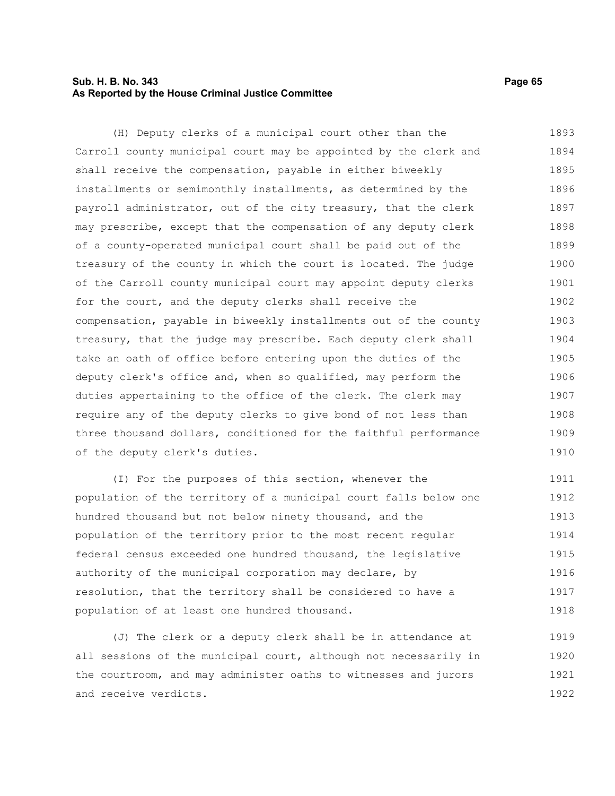# **Sub. H. B. No. 343 Page 65 As Reported by the House Criminal Justice Committee**

(H) Deputy clerks of a municipal court other than the Carroll county municipal court may be appointed by the clerk and shall receive the compensation, payable in either biweekly installments or semimonthly installments, as determined by the payroll administrator, out of the city treasury, that the clerk may prescribe, except that the compensation of any deputy clerk of a county-operated municipal court shall be paid out of the treasury of the county in which the court is located. The judge of the Carroll county municipal court may appoint deputy clerks for the court, and the deputy clerks shall receive the compensation, payable in biweekly installments out of the county treasury, that the judge may prescribe. Each deputy clerk shall take an oath of office before entering upon the duties of the deputy clerk's office and, when so qualified, may perform the duties appertaining to the office of the clerk. The clerk may require any of the deputy clerks to give bond of not less than three thousand dollars, conditioned for the faithful performance of the deputy clerk's duties. 1893 1894 1895 1896 1897 1898 1899 1900 1901 1902 1903 1904 1905 1906 1907 1908 1909 1910

(I) For the purposes of this section, whenever the population of the territory of a municipal court falls below one hundred thousand but not below ninety thousand, and the population of the territory prior to the most recent regular federal census exceeded one hundred thousand, the legislative authority of the municipal corporation may declare, by resolution, that the territory shall be considered to have a population of at least one hundred thousand. 1911 1912 1913 1914 1915 1916 1917 1918

(J) The clerk or a deputy clerk shall be in attendance at all sessions of the municipal court, although not necessarily in the courtroom, and may administer oaths to witnesses and jurors and receive verdicts. 1919 1920 1921 1922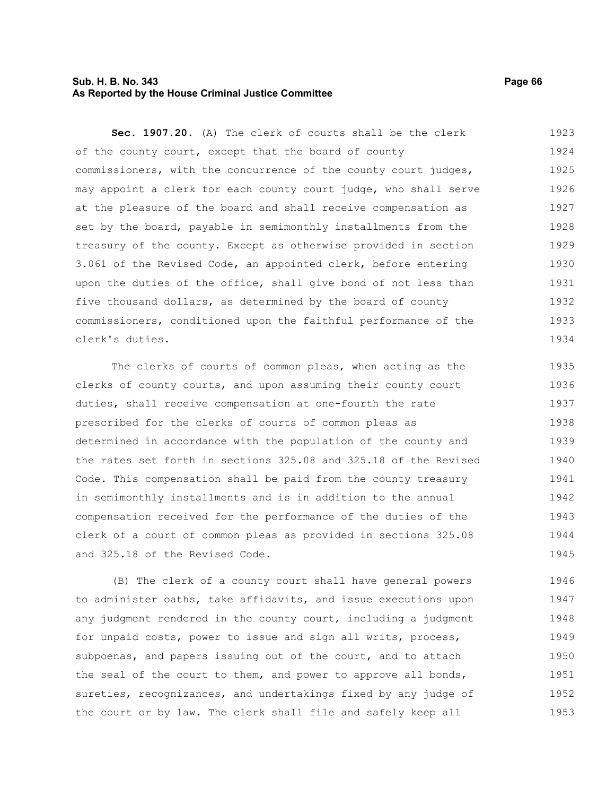## **Sub. H. B. No. 343 Page 66 As Reported by the House Criminal Justice Committee**

**Sec. 1907.20.** (A) The clerk of courts shall be the clerk of the county court, except that the board of county commissioners, with the concurrence of the county court judges, may appoint a clerk for each county court judge, who shall serve at the pleasure of the board and shall receive compensation as set by the board, payable in semimonthly installments from the treasury of the county. Except as otherwise provided in section 3.061 of the Revised Code, an appointed clerk, before entering upon the duties of the office, shall give bond of not less than five thousand dollars, as determined by the board of county commissioners, conditioned upon the faithful performance of the clerk's duties. 1923 1924 1925 1926 1927 1928 1929 1930 1931 1932 1933 1934

The clerks of courts of common pleas, when acting as the clerks of county courts, and upon assuming their county court duties, shall receive compensation at one-fourth the rate prescribed for the clerks of courts of common pleas as determined in accordance with the population of the county and the rates set forth in sections 325.08 and 325.18 of the Revised Code. This compensation shall be paid from the county treasury in semimonthly installments and is in addition to the annual compensation received for the performance of the duties of the clerk of a court of common pleas as provided in sections 325.08 and 325.18 of the Revised Code. 1935 1936 1937 1938 1939 1940 1941 1942 1943 1944 1945

(B) The clerk of a county court shall have general powers to administer oaths, take affidavits, and issue executions upon any judgment rendered in the county court, including a judgment for unpaid costs, power to issue and sign all writs, process, subpoenas, and papers issuing out of the court, and to attach the seal of the court to them, and power to approve all bonds, sureties, recognizances, and undertakings fixed by any judge of the court or by law. The clerk shall file and safely keep all 1946 1947 1948 1949 1950 1951 1952 1953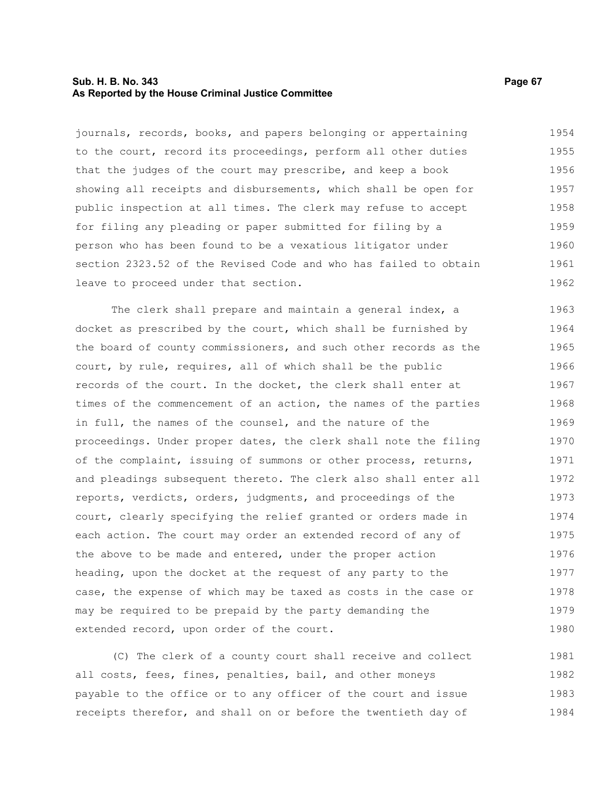## **Sub. H. B. No. 343 Page 67 As Reported by the House Criminal Justice Committee**

journals, records, books, and papers belonging or appertaining to the court, record its proceedings, perform all other duties that the judges of the court may prescribe, and keep a book showing all receipts and disbursements, which shall be open for public inspection at all times. The clerk may refuse to accept for filing any pleading or paper submitted for filing by a person who has been found to be a vexatious litigator under section 2323.52 of the Revised Code and who has failed to obtain leave to proceed under that section. 1954 1955 1956 1957 1958 1959 1960 1961 1962

The clerk shall prepare and maintain a general index, a docket as prescribed by the court, which shall be furnished by the board of county commissioners, and such other records as the court, by rule, requires, all of which shall be the public records of the court. In the docket, the clerk shall enter at times of the commencement of an action, the names of the parties in full, the names of the counsel, and the nature of the proceedings. Under proper dates, the clerk shall note the filing of the complaint, issuing of summons or other process, returns, and pleadings subsequent thereto. The clerk also shall enter all reports, verdicts, orders, judgments, and proceedings of the court, clearly specifying the relief granted or orders made in each action. The court may order an extended record of any of the above to be made and entered, under the proper action heading, upon the docket at the request of any party to the case, the expense of which may be taxed as costs in the case or may be required to be prepaid by the party demanding the extended record, upon order of the court. 1963 1964 1965 1966 1967 1968 1969 1970 1971 1972 1973 1974 1975 1976 1977 1978 1979 1980

(C) The clerk of a county court shall receive and collect all costs, fees, fines, penalties, bail, and other moneys payable to the office or to any officer of the court and issue receipts therefor, and shall on or before the twentieth day of 1981 1982 1983 1984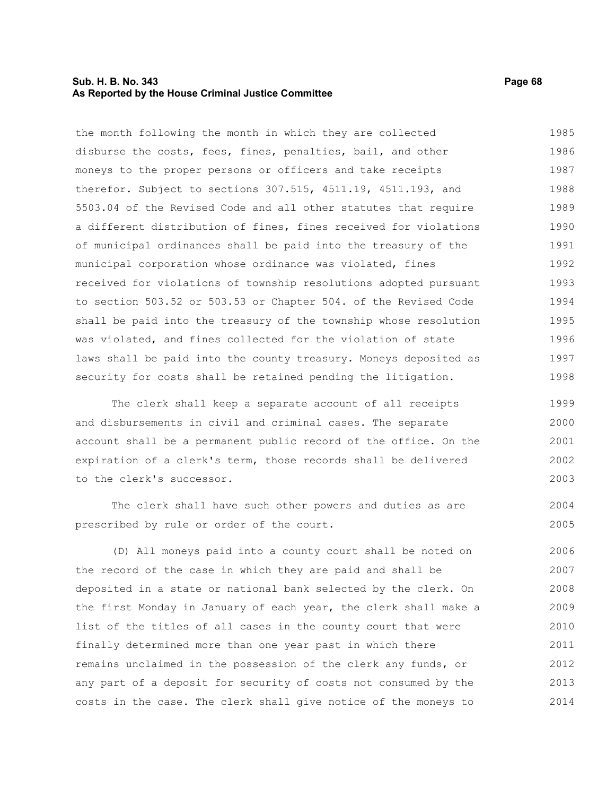## **Sub. H. B. No. 343 Page 68 As Reported by the House Criminal Justice Committee**

the month following the month in which they are collected disburse the costs, fees, fines, penalties, bail, and other moneys to the proper persons or officers and take receipts therefor. Subject to sections 307.515, 4511.19, 4511.193, and 5503.04 of the Revised Code and all other statutes that require a different distribution of fines, fines received for violations of municipal ordinances shall be paid into the treasury of the municipal corporation whose ordinance was violated, fines received for violations of township resolutions adopted pursuant to section 503.52 or 503.53 or Chapter 504. of the Revised Code shall be paid into the treasury of the township whose resolution was violated, and fines collected for the violation of state laws shall be paid into the county treasury. Moneys deposited as security for costs shall be retained pending the litigation. 1985 1986 1987 1988 1989 1990 1991 1992 1993 1994 1995 1996 1997 1998

The clerk shall keep a separate account of all receipts and disbursements in civil and criminal cases. The separate account shall be a permanent public record of the office. On the expiration of a clerk's term, those records shall be delivered to the clerk's successor. 1999 2000 2001 2002 2003

The clerk shall have such other powers and duties as are prescribed by rule or order of the court.

(D) All moneys paid into a county court shall be noted on the record of the case in which they are paid and shall be deposited in a state or national bank selected by the clerk. On the first Monday in January of each year, the clerk shall make a list of the titles of all cases in the county court that were finally determined more than one year past in which there remains unclaimed in the possession of the clerk any funds, or any part of a deposit for security of costs not consumed by the costs in the case. The clerk shall give notice of the moneys to 2006 2007 2008 2009 2010 2011 2012 2013 2014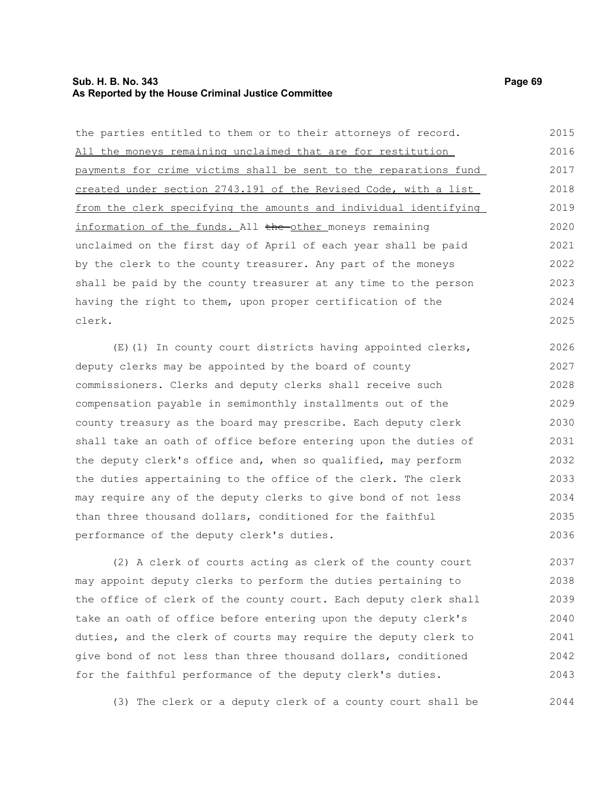## **Sub. H. B. No. 343 Page 69 As Reported by the House Criminal Justice Committee**

the parties entitled to them or to their attorneys of record. All the moneys remaining unclaimed that are for restitution payments for crime victims shall be sent to the reparations fund created under section 2743.191 of the Revised Code, with a list from the clerk specifying the amounts and individual identifying information of the funds. All the other moneys remaining unclaimed on the first day of April of each year shall be paid by the clerk to the county treasurer. Any part of the moneys shall be paid by the county treasurer at any time to the person having the right to them, upon proper certification of the clerk. (E)(1) In county court districts having appointed clerks, deputy clerks may be appointed by the board of county commissioners. Clerks and deputy clerks shall receive such compensation payable in semimonthly installments out of the 2015 2016 2017 2018 2019 2020 2021 2022 2023 2024 2025 2026 2027 2028 2029

county treasury as the board may prescribe. Each deputy clerk shall take an oath of office before entering upon the duties of the deputy clerk's office and, when so qualified, may perform the duties appertaining to the office of the clerk. The clerk may require any of the deputy clerks to give bond of not less than three thousand dollars, conditioned for the faithful performance of the deputy clerk's duties. 2030 2031 2032 2033 2034 2035 2036

(2) A clerk of courts acting as clerk of the county court may appoint deputy clerks to perform the duties pertaining to the office of clerk of the county court. Each deputy clerk shall take an oath of office before entering upon the deputy clerk's duties, and the clerk of courts may require the deputy clerk to give bond of not less than three thousand dollars, conditioned for the faithful performance of the deputy clerk's duties. 2037 2038 2039 2040 2041 2042 2043

(3) The clerk or a deputy clerk of a county court shall be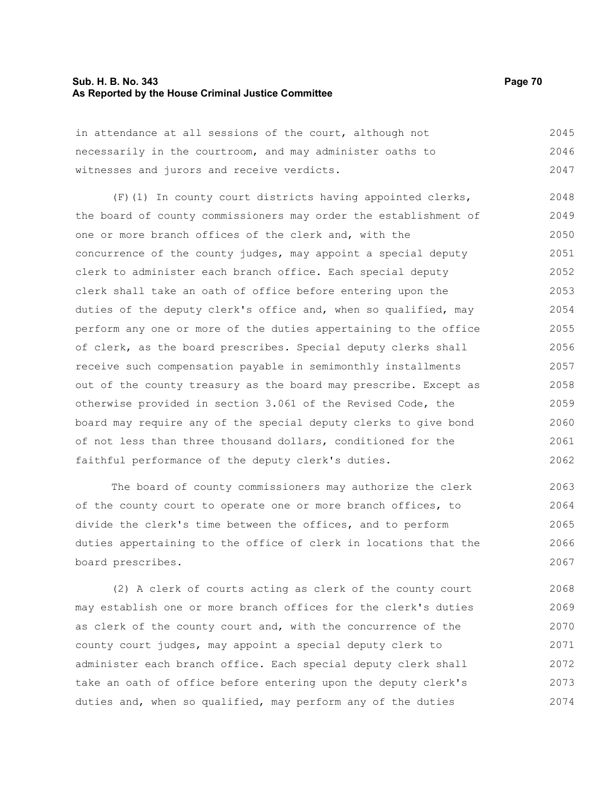## **Sub. H. B. No. 343 Page 70 As Reported by the House Criminal Justice Committee**

in attendance at all sessions of the court, although not necessarily in the courtroom, and may administer oaths to witnesses and jurors and receive verdicts. 2045 2046 2047

(F)(1) In county court districts having appointed clerks, the board of county commissioners may order the establishment of one or more branch offices of the clerk and, with the concurrence of the county judges, may appoint a special deputy clerk to administer each branch office. Each special deputy clerk shall take an oath of office before entering upon the duties of the deputy clerk's office and, when so qualified, may perform any one or more of the duties appertaining to the office of clerk, as the board prescribes. Special deputy clerks shall receive such compensation payable in semimonthly installments out of the county treasury as the board may prescribe. Except as otherwise provided in section 3.061 of the Revised Code, the board may require any of the special deputy clerks to give bond of not less than three thousand dollars, conditioned for the faithful performance of the deputy clerk's duties. 2048 2049 2050 2051 2052 2053 2054 2055 2056 2057 2058 2059 2060 2061 2062

The board of county commissioners may authorize the clerk of the county court to operate one or more branch offices, to divide the clerk's time between the offices, and to perform duties appertaining to the office of clerk in locations that the board prescribes. 2063 2064 2065 2066 2067

(2) A clerk of courts acting as clerk of the county court may establish one or more branch offices for the clerk's duties as clerk of the county court and, with the concurrence of the county court judges, may appoint a special deputy clerk to administer each branch office. Each special deputy clerk shall take an oath of office before entering upon the deputy clerk's duties and, when so qualified, may perform any of the duties 2068 2069 2070 2071 2072 2073 2074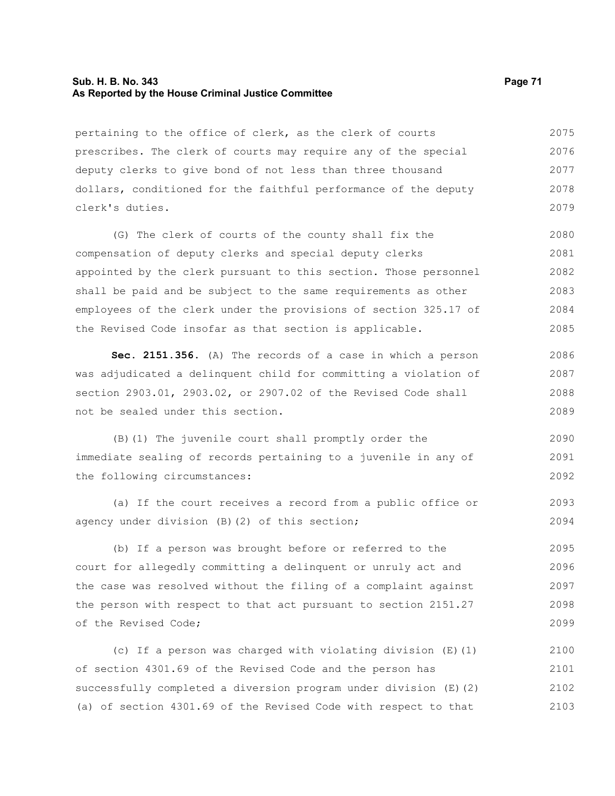### **Sub. H. B. No. 343 Page 71 As Reported by the House Criminal Justice Committee**

pertaining to the office of clerk, as the clerk of courts prescribes. The clerk of courts may require any of the special deputy clerks to give bond of not less than three thousand dollars, conditioned for the faithful performance of the deputy clerk's duties. 2075 2076 2077 2078 2079

(G) The clerk of courts of the county shall fix the compensation of deputy clerks and special deputy clerks appointed by the clerk pursuant to this section. Those personnel shall be paid and be subject to the same requirements as other employees of the clerk under the provisions of section 325.17 of the Revised Code insofar as that section is applicable. 2080 2081 2082 2083 2084 2085

**Sec. 2151.356.** (A) The records of a case in which a person was adjudicated a delinquent child for committing a violation of section 2903.01, 2903.02, or 2907.02 of the Revised Code shall not be sealed under this section. 2086 2087 2088 2089

(B)(1) The juvenile court shall promptly order the immediate sealing of records pertaining to a juvenile in any of the following circumstances: 2090 2091 2092

(a) If the court receives a record from a public office or agency under division (B)(2) of this section;

(b) If a person was brought before or referred to the court for allegedly committing a delinquent or unruly act and the case was resolved without the filing of a complaint against the person with respect to that act pursuant to section 2151.27 of the Revised Code; 2095 2096 2097 2098 2099

(c) If a person was charged with violating division (E)(1) of section 4301.69 of the Revised Code and the person has successfully completed a diversion program under division (E)(2) (a) of section 4301.69 of the Revised Code with respect to that 2100 2101 2102 2103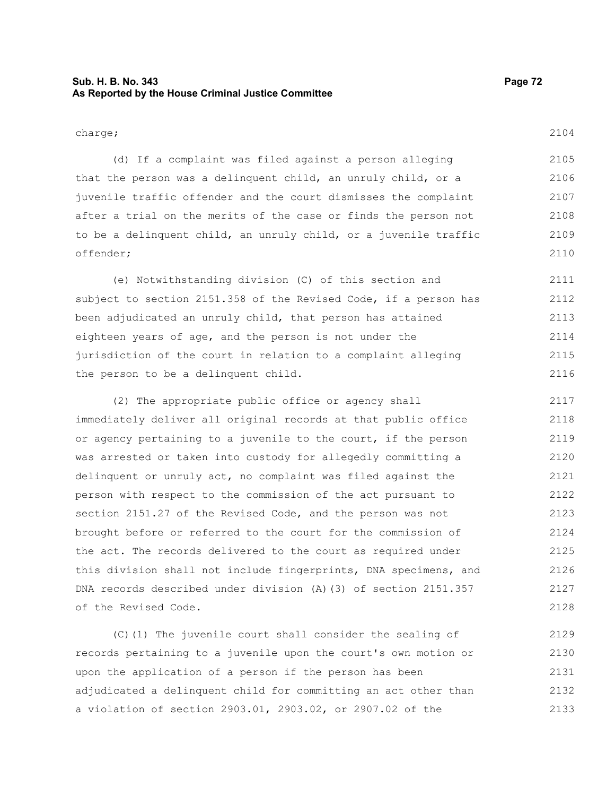# **Sub. H. B. No. 343 Page 72 As Reported by the House Criminal Justice Committee**

2104

charge;

(d) If a complaint was filed against a person alleging that the person was a delinquent child, an unruly child, or a juvenile traffic offender and the court dismisses the complaint after a trial on the merits of the case or finds the person not to be a delinquent child, an unruly child, or a juvenile traffic offender; 2105 2106 2107 2108 2109 2110

(e) Notwithstanding division (C) of this section and subject to section 2151.358 of the Revised Code, if a person has been adjudicated an unruly child, that person has attained eighteen years of age, and the person is not under the jurisdiction of the court in relation to a complaint alleging the person to be a delinquent child. 2111 2112 2113 2114 2115 2116

(2) The appropriate public office or agency shall immediately deliver all original records at that public office or agency pertaining to a juvenile to the court, if the person was arrested or taken into custody for allegedly committing a delinquent or unruly act, no complaint was filed against the person with respect to the commission of the act pursuant to section 2151.27 of the Revised Code, and the person was not brought before or referred to the court for the commission of the act. The records delivered to the court as required under this division shall not include fingerprints, DNA specimens, and DNA records described under division (A)(3) of section 2151.357 of the Revised Code. 2117 2118 2119 2120 2121 2122 2123 2124 2125 2126 2127 2128

(C)(1) The juvenile court shall consider the sealing of records pertaining to a juvenile upon the court's own motion or upon the application of a person if the person has been adjudicated a delinquent child for committing an act other than a violation of section 2903.01, 2903.02, or 2907.02 of the 2129 2130 2131 2132 2133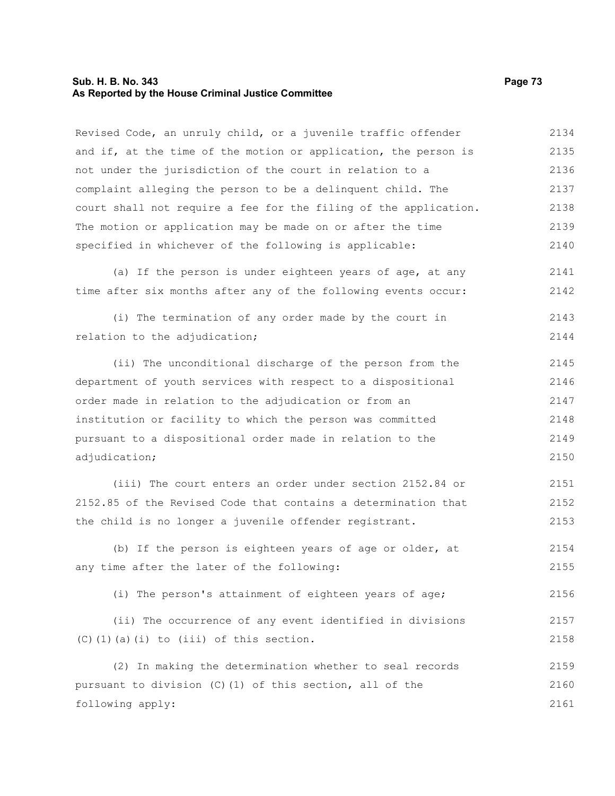#### **Sub. H. B. No. 343 Page 73 As Reported by the House Criminal Justice Committee**

Revised Code, an unruly child, or a juvenile traffic offender and if, at the time of the motion or application, the person is not under the jurisdiction of the court in relation to a complaint alleging the person to be a delinquent child. The court shall not require a fee for the filing of the application. The motion or application may be made on or after the time specified in whichever of the following is applicable: 2134 2135 2136 2137 2138 2139 2140

(a) If the person is under eighteen years of age, at any time after six months after any of the following events occur: 2141 2142

(i) The termination of any order made by the court in relation to the adjudication; 2143 2144

(ii) The unconditional discharge of the person from the department of youth services with respect to a dispositional order made in relation to the adjudication or from an institution or facility to which the person was committed pursuant to a dispositional order made in relation to the adjudication; 2145 2146 2147 2148 2149 2150

(iii) The court enters an order under section 2152.84 or 2152.85 of the Revised Code that contains a determination that the child is no longer a juvenile offender registrant. 2151 2152 2153

(b) If the person is eighteen years of age or older, at any time after the later of the following: 2154 2155

(i) The person's attainment of eighteen years of age; 2156

(ii) The occurrence of any event identified in divisions  $(C)$  $(1)$  $(a)$  $(i)$  to  $(iii)$  of this section. 2157 2158

(2) In making the determination whether to seal records pursuant to division (C)(1) of this section, all of the following apply: 2159 2160 2161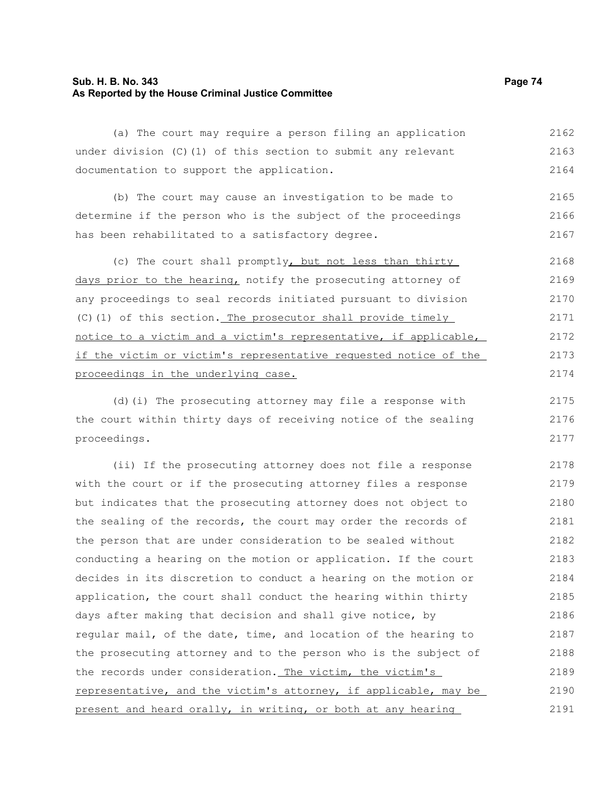## **Sub. H. B. No. 343 Page 74 As Reported by the House Criminal Justice Committee**

(a) The court may require a person filing an application under division (C)(1) of this section to submit any relevant documentation to support the application. 2162 2163 2164

(b) The court may cause an investigation to be made to determine if the person who is the subject of the proceedings has been rehabilitated to a satisfactory degree. 2165 2166 2167

(c) The court shall promptly, but not less than thirty days prior to the hearing, notify the prosecuting attorney of any proceedings to seal records initiated pursuant to division (C)(1) of this section. The prosecutor shall provide timely notice to a victim and a victim's representative, if applicable, if the victim or victim's representative requested notice of the proceedings in the underlying case. 2168 2169 2170 2171 2172 2173 2174

(d)(i) The prosecuting attorney may file a response with the court within thirty days of receiving notice of the sealing proceedings.

(ii) If the prosecuting attorney does not file a response with the court or if the prosecuting attorney files a response but indicates that the prosecuting attorney does not object to the sealing of the records, the court may order the records of the person that are under consideration to be sealed without conducting a hearing on the motion or application. If the court decides in its discretion to conduct a hearing on the motion or application, the court shall conduct the hearing within thirty days after making that decision and shall give notice, by regular mail, of the date, time, and location of the hearing to the prosecuting attorney and to the person who is the subject of the records under consideration. The victim, the victim's representative, and the victim's attorney, if applicable, may be present and heard orally, in writing, or both at any hearing 2178 2179 2180 2181 2182 2183 2184 2185 2186 2187 2188 2189 2190 2191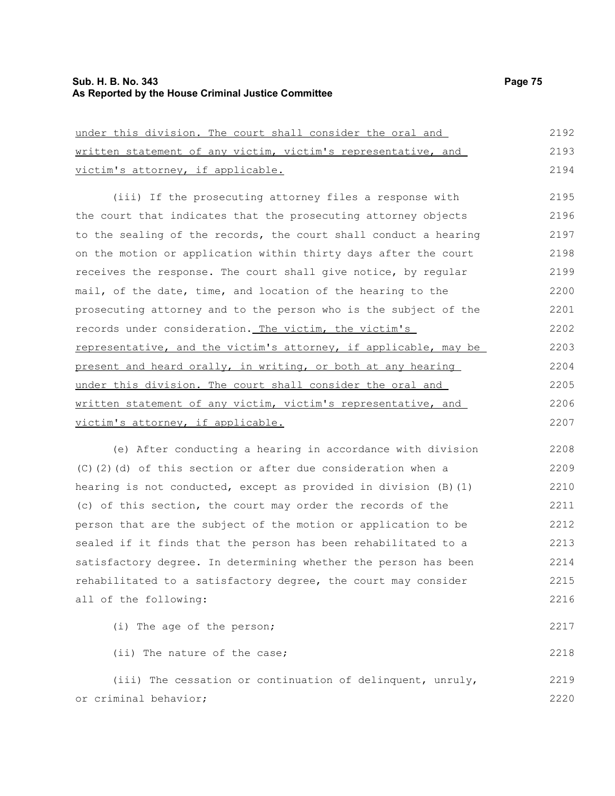## **Sub. H. B. No. 343 Page 75 As Reported by the House Criminal Justice Committee**

under this division. The court shall consider the oral and written statement of any victim, victim's representative, and victim's attorney, if applicable. (iii) If the prosecuting attorney files a response with the court that indicates that the prosecuting attorney objects to the sealing of the records, the court shall conduct a hearing on the motion or application within thirty days after the court receives the response. The court shall give notice, by regular mail, of the date, time, and location of the hearing to the prosecuting attorney and to the person who is the subject of the records under consideration. The victim, the victim's representative, and the victim's attorney, if applicable, may be present and heard orally, in writing, or both at any hearing under this division. The court shall consider the oral and written statement of any victim, victim's representative, and victim's attorney, if applicable. (e) After conducting a hearing in accordance with division 2192 2193 2194 2195 2196 2197 2198 2199 2200 2201 2202 2203 2204 2205 2206 2207 2208

(C)(2)(d) of this section or after due consideration when a hearing is not conducted, except as provided in division (B)(1) (c) of this section, the court may order the records of the person that are the subject of the motion or application to be sealed if it finds that the person has been rehabilitated to a satisfactory degree. In determining whether the person has been rehabilitated to a satisfactory degree, the court may consider all of the following: 2209 2210 2211 2212 2213 2214 2215 2216

(i) The age of the person; 2217

(ii) The nature of the case;

(iii) The cessation or continuation of delinquent, unruly, or criminal behavior; 2219 2220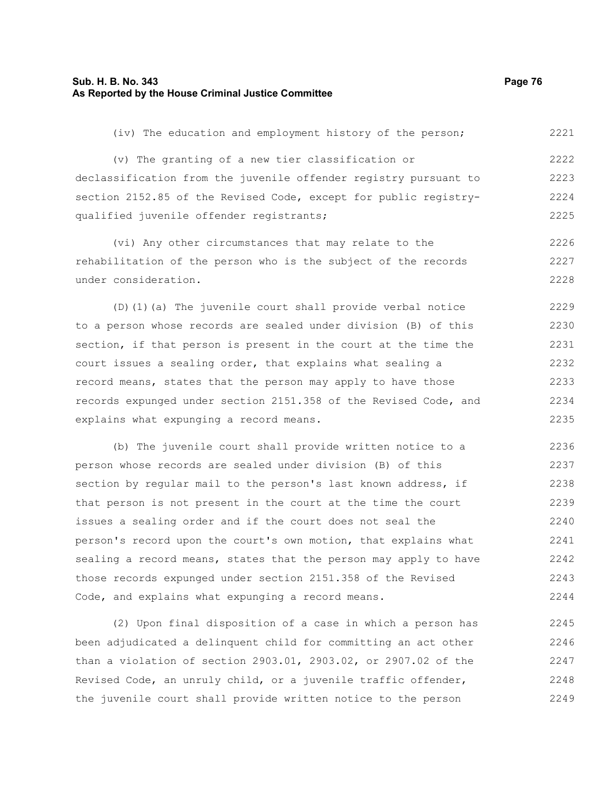## **Sub. H. B. No. 343 Page 76 As Reported by the House Criminal Justice Committee**

(iv) The education and employment history of the person; (v) The granting of a new tier classification or declassification from the juvenile offender registry pursuant to section 2152.85 of the Revised Code, except for public registryqualified juvenile offender registrants; (vi) Any other circumstances that may relate to the rehabilitation of the person who is the subject of the records under consideration. (D)(1)(a) The juvenile court shall provide verbal notice 2221 2222 2223 2224 2225 2226 2227 2228 2229

to a person whose records are sealed under division (B) of this section, if that person is present in the court at the time the court issues a sealing order, that explains what sealing a record means, states that the person may apply to have those records expunged under section 2151.358 of the Revised Code, and explains what expunging a record means. 2230 2231 2232 2233 2234 2235

(b) The juvenile court shall provide written notice to a person whose records are sealed under division (B) of this section by regular mail to the person's last known address, if that person is not present in the court at the time the court issues a sealing order and if the court does not seal the person's record upon the court's own motion, that explains what sealing a record means, states that the person may apply to have those records expunged under section 2151.358 of the Revised Code, and explains what expunging a record means. 2236 2237 2238 2239 2240 2241 2242 2243 2244

(2) Upon final disposition of a case in which a person has been adjudicated a delinquent child for committing an act other than a violation of section 2903.01, 2903.02, or 2907.02 of the Revised Code, an unruly child, or a juvenile traffic offender, the juvenile court shall provide written notice to the person 2245 2246 2247 2248 2249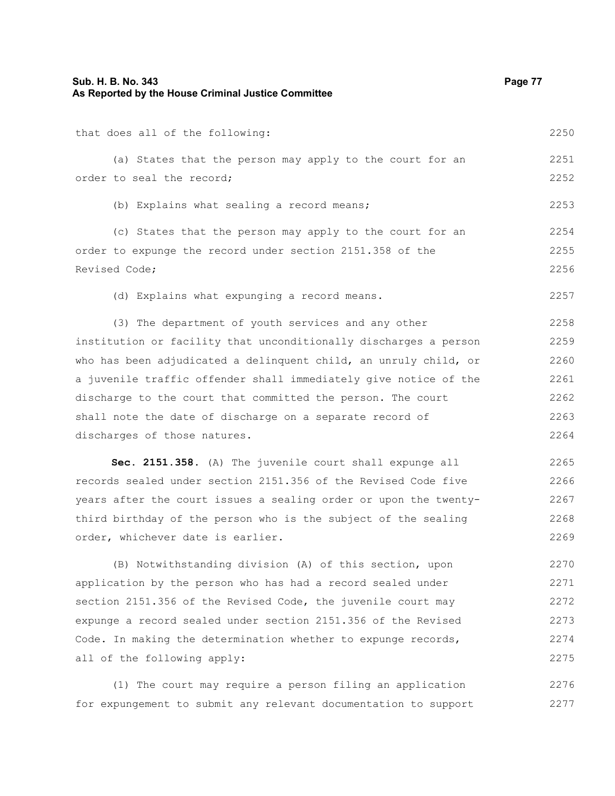| that does all of the following:                                  | 2250 |
|------------------------------------------------------------------|------|
| (a) States that the person may apply to the court for an         | 2251 |
| order to seal the record;                                        | 2252 |
| (b) Explains what sealing a record means;                        | 2253 |
| (c) States that the person may apply to the court for an         | 2254 |
| order to expunge the record under section 2151.358 of the        | 2255 |
| Revised Code;                                                    | 2256 |
| (d) Explains what expunging a record means.                      | 2257 |
| (3) The department of youth services and any other               | 2258 |
| institution or facility that unconditionally discharges a person | 2259 |
| who has been adjudicated a delinquent child, an unruly child, or | 2260 |
| a juvenile traffic offender shall immediately give notice of the | 2261 |
| discharge to the court that committed the person. The court      | 2262 |
| shall note the date of discharge on a separate record of         | 2263 |
| discharges of those natures.                                     | 2264 |
| Sec. 2151.358. (A) The juvenile court shall expunge all          | 2265 |
| records sealed under section 2151.356 of the Revised Code five   | 2266 |
| years after the court issues a sealing order or upon the twenty- | 2267 |
| third birthday of the person who is the subject of the sealing   | 2268 |
| order, whichever date is earlier.                                | 2269 |
| (B) Notwithstanding division (A) of this section, upon           | 2270 |
| application by the person who has had a record sealed under      | 2271 |

section 2151.356 of the Revised Code, the juvenile court may expunge a record sealed under section 2151.356 of the Revised Code. In making the determination whether to expunge records, all of the following apply: 2272 2273 2274 2275

(1) The court may require a person filing an application for expungement to submit any relevant documentation to support 2276 2277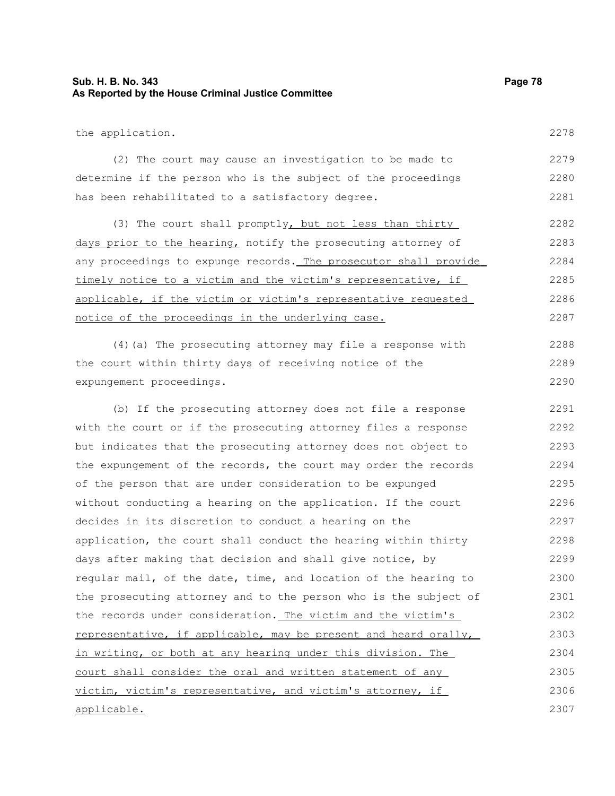## **Sub. H. B. No. 343 Page 78 As Reported by the House Criminal Justice Committee**

the application.

(2) The court may cause an investigation to be made to determine if the person who is the subject of the proceedings has been rehabilitated to a satisfactory degree. 2279 2280 2281

(3) The court shall promptly, but not less than thirty days prior to the hearing, notify the prosecuting attorney of any proceedings to expunge records. The prosecutor shall provide timely notice to a victim and the victim's representative, if applicable, if the victim or victim's representative requested notice of the proceedings in the underlying case. 2282 2283 2284 2285 2286 2287

(4)(a) The prosecuting attorney may file a response with the court within thirty days of receiving notice of the expungement proceedings. 2288 2289 2290

(b) If the prosecuting attorney does not file a response with the court or if the prosecuting attorney files a response but indicates that the prosecuting attorney does not object to the expungement of the records, the court may order the records of the person that are under consideration to be expunged without conducting a hearing on the application. If the court decides in its discretion to conduct a hearing on the application, the court shall conduct the hearing within thirty days after making that decision and shall give notice, by regular mail, of the date, time, and location of the hearing to the prosecuting attorney and to the person who is the subject of the records under consideration. The victim and the victim's representative, if applicable, may be present and heard orally, in writing, or both at any hearing under this division. The court shall consider the oral and written statement of any victim, victim's representative, and victim's attorney, if applicable. 2291 2292 2293 2294 2295 2296 2297 2298 2299 2300 2301 2302 2303 2304 2305 2306 2307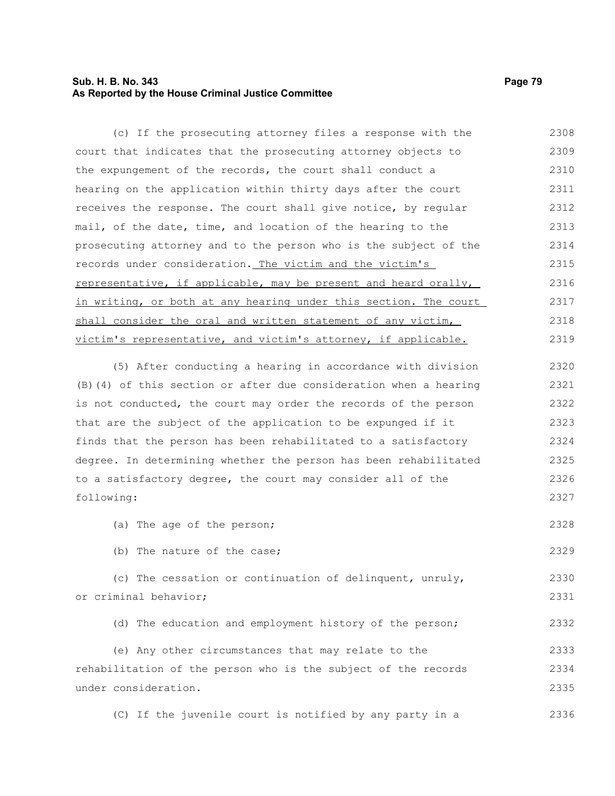## **Sub. H. B. No. 343 Page 79 As Reported by the House Criminal Justice Committee**

(c) If the prosecuting attorney files a response with the court that indicates that the prosecuting attorney objects to the expungement of the records, the court shall conduct a hearing on the application within thirty days after the court receives the response. The court shall give notice, by regular mail, of the date, time, and location of the hearing to the prosecuting attorney and to the person who is the subject of the records under consideration. The victim and the victim's representative, if applicable, may be present and heard orally, in writing, or both at any hearing under this section. The court shall consider the oral and written statement of any victim, victim's representative, and victim's attorney, if applicable. 2308 2309 2310 2311 2312 2313 2314 2315 2316 2317 2318 2319

(5) After conducting a hearing in accordance with division (B)(4) of this section or after due consideration when a hearing is not conducted, the court may order the records of the person that are the subject of the application to be expunged if it finds that the person has been rehabilitated to a satisfactory degree. In determining whether the person has been rehabilitated to a satisfactory degree, the court may consider all of the following: 2320 2321 2322 2323 2324 2325 2326 2327

(a) The age of the person; 2328

(b) The nature of the case;

(c) The cessation or continuation of delinquent, unruly, or criminal behavior; 2330 2331

(d) The education and employment history of the person; 2332

(e) Any other circumstances that may relate to the rehabilitation of the person who is the subject of the records under consideration. 2333 2334 2335

(C) If the juvenile court is notified by any party in a 2336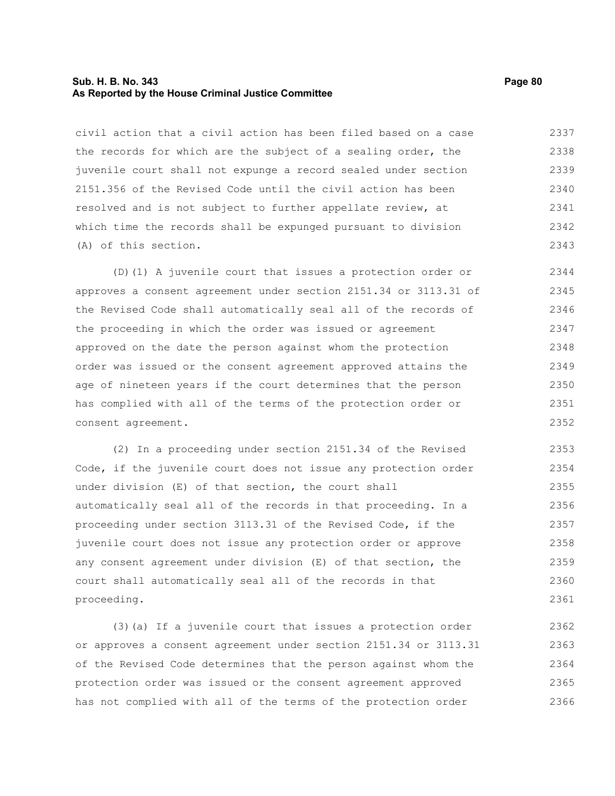#### **Sub. H. B. No. 343 Page 80 As Reported by the House Criminal Justice Committee**

civil action that a civil action has been filed based on a case the records for which are the subject of a sealing order, the juvenile court shall not expunge a record sealed under section 2151.356 of the Revised Code until the civil action has been resolved and is not subject to further appellate review, at which time the records shall be expunged pursuant to division (A) of this section. 2337 2338 2339 2340 2341 2342 2343

(D)(1) A juvenile court that issues a protection order or approves a consent agreement under section 2151.34 or 3113.31 of the Revised Code shall automatically seal all of the records of the proceeding in which the order was issued or agreement approved on the date the person against whom the protection order was issued or the consent agreement approved attains the age of nineteen years if the court determines that the person has complied with all of the terms of the protection order or consent agreement. 2344 2345 2346 2347 2348 2349 2350 2351 2352

(2) In a proceeding under section 2151.34 of the Revised Code, if the juvenile court does not issue any protection order under division (E) of that section, the court shall automatically seal all of the records in that proceeding. In a proceeding under section 3113.31 of the Revised Code, if the juvenile court does not issue any protection order or approve any consent agreement under division (E) of that section, the court shall automatically seal all of the records in that proceeding. 2353 2354 2355 2356 2357 2358 2359 2360 2361

(3)(a) If a juvenile court that issues a protection order or approves a consent agreement under section 2151.34 or 3113.31 of the Revised Code determines that the person against whom the protection order was issued or the consent agreement approved has not complied with all of the terms of the protection order 2362 2363 2364 2365 2366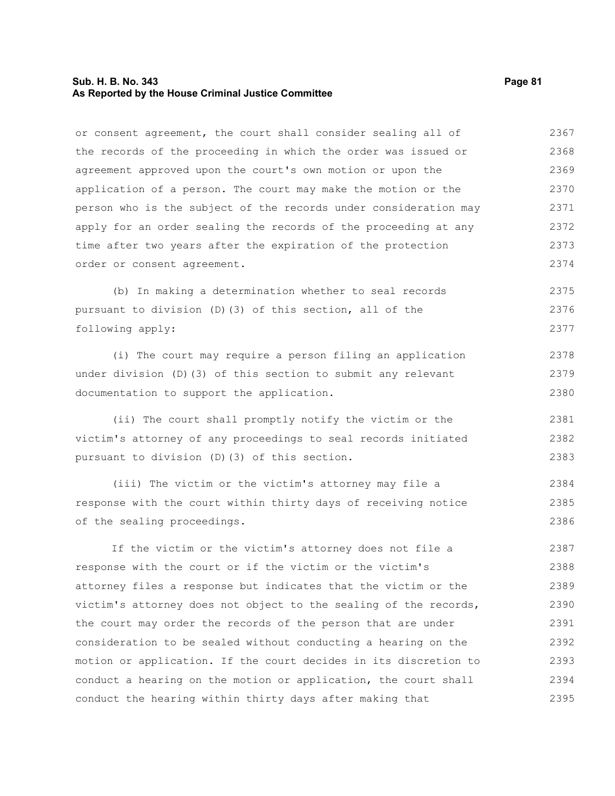#### **Sub. H. B. No. 343 Page 81 As Reported by the House Criminal Justice Committee**

or consent agreement, the court shall consider sealing all of the records of the proceeding in which the order was issued or agreement approved upon the court's own motion or upon the application of a person. The court may make the motion or the person who is the subject of the records under consideration may apply for an order sealing the records of the proceeding at any time after two years after the expiration of the protection order or consent agreement. 2367 2368 2369 2370 2371 2372 2373 2374

(b) In making a determination whether to seal records pursuant to division (D)(3) of this section, all of the following apply: 2375 2376 2377

(i) The court may require a person filing an application under division (D)(3) of this section to submit any relevant documentation to support the application. 2378 2379 2380

(ii) The court shall promptly notify the victim or the victim's attorney of any proceedings to seal records initiated pursuant to division (D)(3) of this section. 2381 2382 2383

(iii) The victim or the victim's attorney may file a response with the court within thirty days of receiving notice of the sealing proceedings. 2384 2385

If the victim or the victim's attorney does not file a response with the court or if the victim or the victim's attorney files a response but indicates that the victim or the victim's attorney does not object to the sealing of the records, the court may order the records of the person that are under consideration to be sealed without conducting a hearing on the motion or application. If the court decides in its discretion to conduct a hearing on the motion or application, the court shall conduct the hearing within thirty days after making that 2387 2388 2389 2390 2391 2392 2393 2394 2395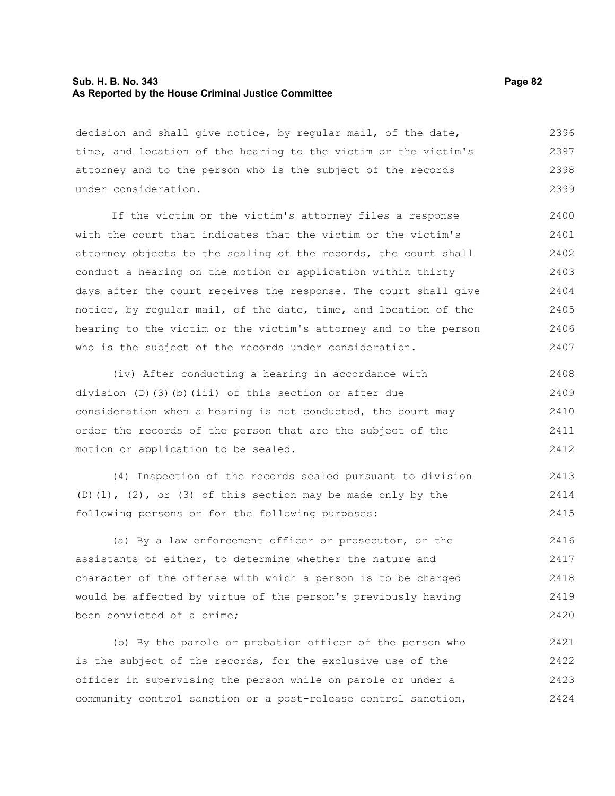#### **Sub. H. B. No. 343 Page 82 As Reported by the House Criminal Justice Committee**

decision and shall give notice, by regular mail, of the date, time, and location of the hearing to the victim or the victim's attorney and to the person who is the subject of the records under consideration. 2396 2397 2398 2399

If the victim or the victim's attorney files a response with the court that indicates that the victim or the victim's attorney objects to the sealing of the records, the court shall conduct a hearing on the motion or application within thirty days after the court receives the response. The court shall give notice, by regular mail, of the date, time, and location of the hearing to the victim or the victim's attorney and to the person who is the subject of the records under consideration. 2400 2401 2402 2403 2404 2405 2406 2407

(iv) After conducting a hearing in accordance with division (D)(3)(b)(iii) of this section or after due consideration when a hearing is not conducted, the court may order the records of the person that are the subject of the motion or application to be sealed. 2408 2409 2410 2411 2412

(4) Inspection of the records sealed pursuant to division (D)(1), (2), or (3) of this section may be made only by the following persons or for the following purposes: 2413 2414 2415

(a) By a law enforcement officer or prosecutor, or the assistants of either, to determine whether the nature and character of the offense with which a person is to be charged would be affected by virtue of the person's previously having been convicted of a crime; 2416 2417 2418 2419 2420

(b) By the parole or probation officer of the person who is the subject of the records, for the exclusive use of the officer in supervising the person while on parole or under a community control sanction or a post-release control sanction, 2421 2422 2423 2424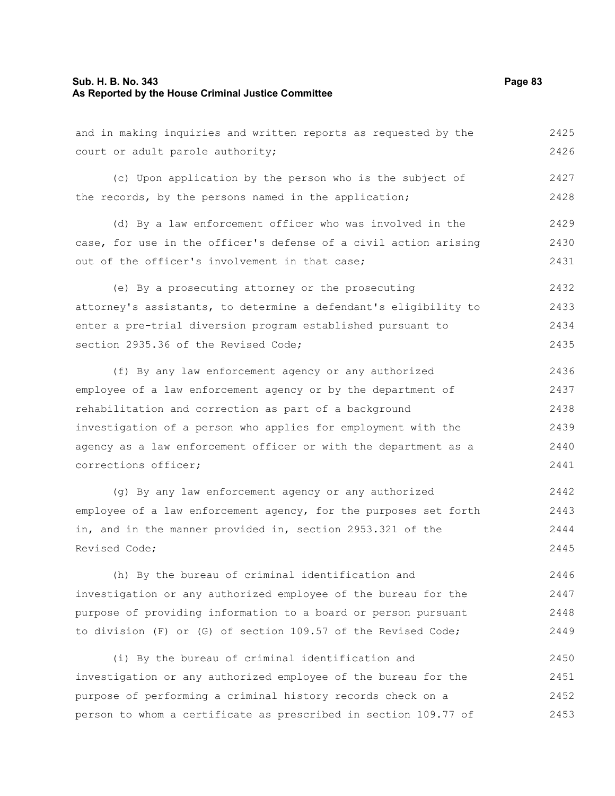# **Sub. H. B. No. 343 Page 83 As Reported by the House Criminal Justice Committee**

court or adult parole authority;

and in making inquiries and written reports as requested by the

| (c) Upon application by the person who is the subject of         | 2427 |
|------------------------------------------------------------------|------|
| the records, by the persons named in the application;            | 2428 |
| (d) By a law enforcement officer who was involved in the         | 2429 |
| case, for use in the officer's defense of a civil action arising | 2430 |
| out of the officer's involvement in that case;                   | 2431 |
| (e) By a prosecuting attorney or the prosecuting                 | 2432 |
| attorney's assistants, to determine a defendant's eligibility to | 2433 |
| enter a pre-trial diversion program established pursuant to      | 2434 |
| section 2935.36 of the Revised Code;                             | 2435 |
| (f) By any law enforcement agency or any authorized              | 2436 |
| employee of a law enforcement agency or by the department of     | 2437 |
| rehabilitation and correction as part of a background            | 2438 |
| investigation of a person who applies for employment with the    | 2439 |
| agency as a law enforcement officer or with the department as a  | 2440 |
| corrections officer;                                             | 2441 |
| (g) By any law enforcement agency or any authorized              | 2442 |
| employee of a law enforcement agency, for the purposes set forth | 2443 |
| in, and in the manner provided in, section 2953.321 of the       | 2444 |
| Revised Code;                                                    | 2445 |
| (h) By the bureau of criminal identification and                 | 2446 |
| investigation or any authorized employee of the bureau for the   | 2447 |
| purpose of providing information to a board or person pursuant   | 2448 |
| to division (F) or (G) of section 109.57 of the Revised Code;    | 2449 |
| (i) By the bureau of criminal identification and                 | 2450 |
| investigation or any authorized employee of the bureau for the   | 2451 |
| purpose of performing a criminal history records check on a      | 2452 |
| person to whom a certificate as prescribed in section 109.77 of  | 2453 |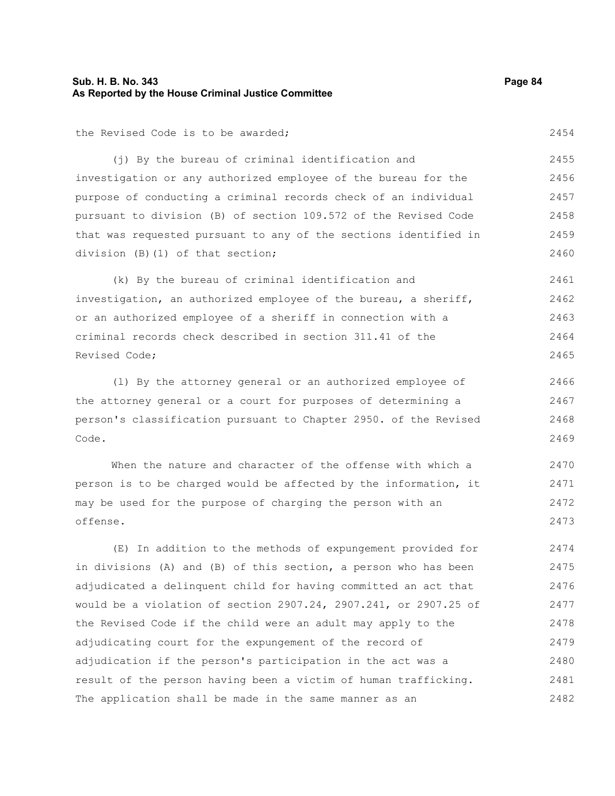## **Sub. H. B. No. 343 Page 84 As Reported by the House Criminal Justice Committee**

the Revised Code is to be awarded;

(j) By the bureau of criminal identification and investigation or any authorized employee of the bureau for the purpose of conducting a criminal records check of an individual pursuant to division (B) of section 109.572 of the Revised Code that was requested pursuant to any of the sections identified in division (B)(1) of that section; 2455 2456 2457 2458 2459 2460

(k) By the bureau of criminal identification and investigation, an authorized employee of the bureau, a sheriff, or an authorized employee of a sheriff in connection with a criminal records check described in section 311.41 of the Revised Code; 2461 2462 2463 2464 2465

(l) By the attorney general or an authorized employee of the attorney general or a court for purposes of determining a person's classification pursuant to Chapter 2950. of the Revised Code. 2466 2467 2468 2469

When the nature and character of the offense with which a person is to be charged would be affected by the information, it may be used for the purpose of charging the person with an offense. 2470 2471 2472 2473

(E) In addition to the methods of expungement provided for in divisions (A) and (B) of this section, a person who has been adjudicated a delinquent child for having committed an act that would be a violation of section 2907.24, 2907.241, or 2907.25 of the Revised Code if the child were an adult may apply to the adjudicating court for the expungement of the record of adjudication if the person's participation in the act was a result of the person having been a victim of human trafficking. The application shall be made in the same manner as an 2474 2475 2476 2477 2478 2479 2480 2481 2482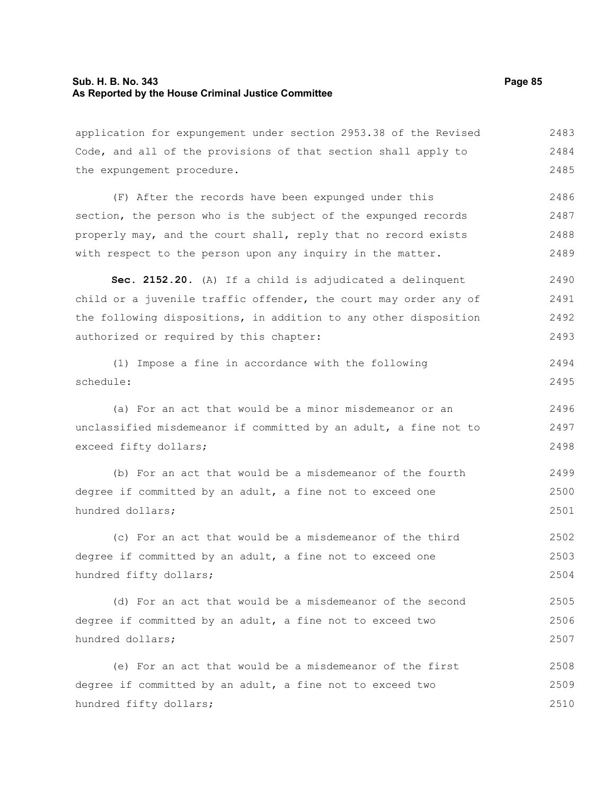application for expungement under section 2953.38 of the Revised Code, and all of the provisions of that section shall apply to the expungement procedure. (F) After the records have been expunged under this section, the person who is the subject of the expunged records properly may, and the court shall, reply that no record exists with respect to the person upon any inquiry in the matter. **Sec. 2152.20.** (A) If a child is adjudicated a delinquent child or a juvenile traffic offender, the court may order any of the following dispositions, in addition to any other disposition authorized or required by this chapter: (1) Impose a fine in accordance with the following schedule: (a) For an act that would be a minor misdemeanor or an unclassified misdemeanor if committed by an adult, a fine not to exceed fifty dollars; 2483 2484 2485 2486 2487 2488 2489 2490 2491 2492 2493 2494 2495 2496 2497 2498

(b) For an act that would be a misdemeanor of the fourth degree if committed by an adult, a fine not to exceed one hundred dollars; 2499 2500 2501

(c) For an act that would be a misdemeanor of the third degree if committed by an adult, a fine not to exceed one hundred fifty dollars; 2502 2503 2504

(d) For an act that would be a misdemeanor of the second degree if committed by an adult, a fine not to exceed two hundred dollars; 2505 2506 2507

(e) For an act that would be a misdemeanor of the first degree if committed by an adult, a fine not to exceed two hundred fifty dollars; 2508 2509 2510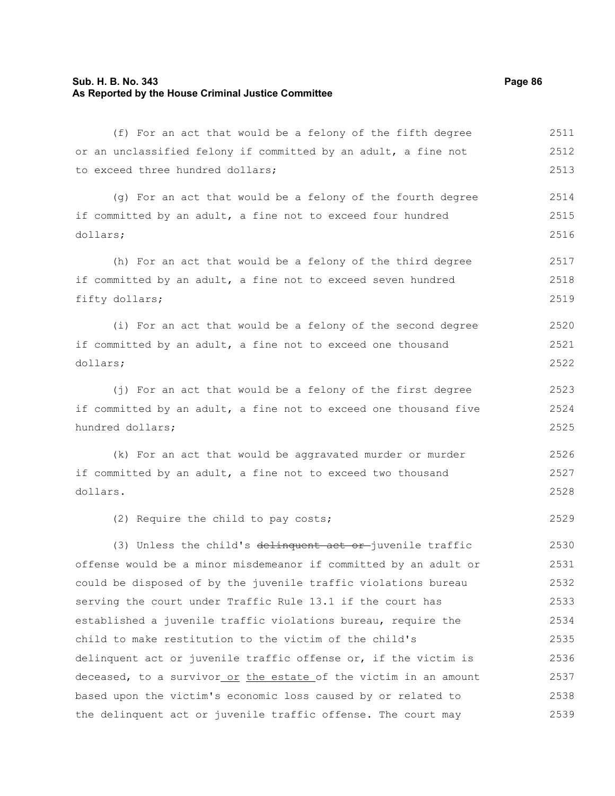## **Sub. H. B. No. 343 Page 86 As Reported by the House Criminal Justice Committee**

(f) For an act that would be a felony of the fifth degree or an unclassified felony if committed by an adult, a fine not to exceed three hundred dollars; (g) For an act that would be a felony of the fourth degree if committed by an adult, a fine not to exceed four hundred dollars; (h) For an act that would be a felony of the third degree if committed by an adult, a fine not to exceed seven hundred fifty dollars; (i) For an act that would be a felony of the second degree if committed by an adult, a fine not to exceed one thousand dollars; (j) For an act that would be a felony of the first degree if committed by an adult, a fine not to exceed one thousand five hundred dollars; (k) For an act that would be aggravated murder or murder if committed by an adult, a fine not to exceed two thousand dollars. (2) Require the child to pay costs; (3) Unless the child's delinquent act or juvenile traffic offense would be a minor misdemeanor if committed by an adult or could be disposed of by the juvenile traffic violations bureau serving the court under Traffic Rule 13.1 if the court has 2511 2512 2513 2514 2515 2516 2517 2518 2519 2520 2521 2522 2523 2524 2525 2526 2527 2528 2529 2530 2531 2532 2533

established a juvenile traffic violations bureau, require the

delinquent act or juvenile traffic offense or, if the victim is deceased, to a survivor or the estate of the victim in an amount

based upon the victim's economic loss caused by or related to the delinquent act or juvenile traffic offense. The court may

child to make restitution to the victim of the child's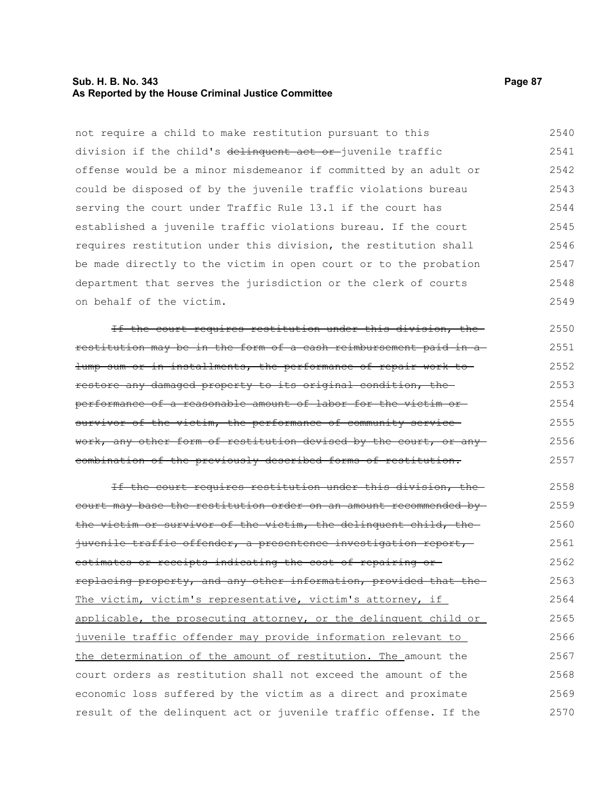# **Sub. H. B. No. 343 Page 87 As Reported by the House Criminal Justice Committee**

| not require a child to make restitution pursuant to this          | 2540 |
|-------------------------------------------------------------------|------|
| division if the child's delinquent act or-juvenile traffic        | 2541 |
| offense would be a minor misdemeanor if committed by an adult or  | 2542 |
| could be disposed of by the juvenile traffic violations bureau    | 2543 |
| serving the court under Traffic Rule 13.1 if the court has        | 2544 |
| established a juvenile traffic violations bureau. If the court    | 2545 |
| requires restitution under this division, the restitution shall   | 2546 |
| be made directly to the victim in open court or to the probation  | 2547 |
| department that serves the jurisdiction or the clerk of courts    | 2548 |
| on behalf of the victim.                                          | 2549 |
| If the court requires restitution under this division, the        | 2550 |
| restitution may be in the form of a cash reimbursement paid in a  | 2551 |
| lump sum or in installments, the performance of repair work to    | 2552 |
| restore any damaged property to its original condition, the       | 2553 |
| performance of a reasonable amount of labor for the victim or     | 2554 |
| survivor of the victim, the performance of community service      | 2555 |
| work, any other form of restitution devised by the court, or any  | 2556 |
| combination of the previously described forms of restitution.     | 2557 |
| If the court requires restitution under this division, the        | 2558 |
| eourt may base the restitution order on an amount recommended by- | 2559 |
| the victim or survivor of the victim, the delinquent child, the   | 2560 |
| juvenile traffic offender, a presentence investigation report,    | 2561 |
| estimates or receipts indicating the cost of repairing or-        | 2562 |
| replacing property, and any other information, provided that the  | 2563 |
| The victim, victim's representative, victim's attorney, if        | 2564 |
| applicable, the prosecuting attorney, or the delinquent child or  | 2565 |
| juvenile traffic offender may provide information relevant to     | 2566 |
| the determination of the amount of restitution. The amount the    | 2567 |
| court orders as restitution shall not exceed the amount of the    | 2568 |
| economic loss suffered by the victim as a direct and proximate    | 2569 |
| result of the delinquent act or juvenile traffic offense. If the  | 2570 |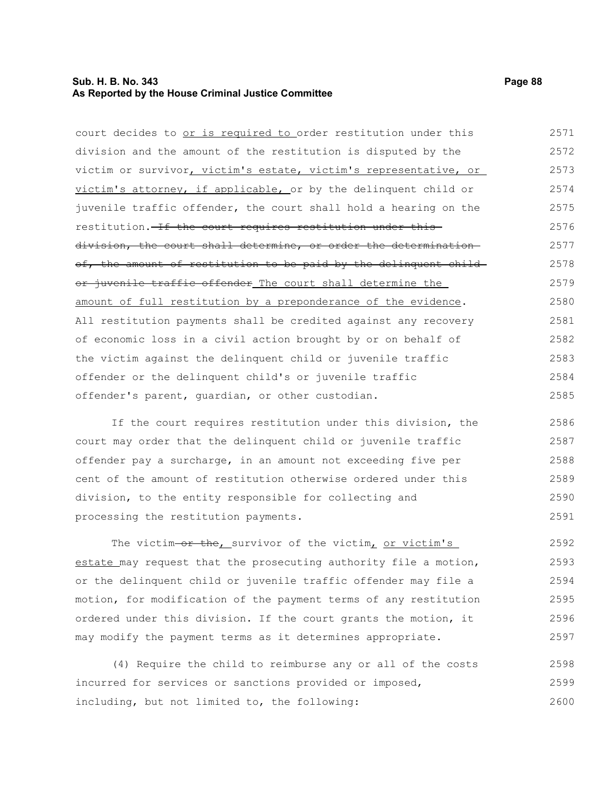### **Sub. H. B. No. 343 Page 88 As Reported by the House Criminal Justice Committee**

court decides to or is required to order restitution under this division and the amount of the restitution is disputed by the victim or survivor, victim's estate, victim's representative, or victim's attorney, if applicable, or by the delinquent child or juvenile traffic offender, the court shall hold a hearing on the restitution. If the court requires restitution under thisdivision, the court shall determine, or order the determination of, the amount of restitution to be paid by the delinquent childor juvenile traffic offender The court shall determine the amount of full restitution by a preponderance of the evidence. All restitution payments shall be credited against any recovery of economic loss in a civil action brought by or on behalf of the victim against the delinquent child or juvenile traffic offender or the delinquent child's or juvenile traffic offender's parent, guardian, or other custodian. 2571 2572 2573 2574 2575 2576 2577 2578 2579 2580 2581 2582 2583 2584 2585

If the court requires restitution under this division, the court may order that the delinquent child or juvenile traffic offender pay a surcharge, in an amount not exceeding five per cent of the amount of restitution otherwise ordered under this division, to the entity responsible for collecting and processing the restitution payments. 2586 2587 2588 2589 2590 2591

The victim-or the, survivor of the victim, or victim's estate may request that the prosecuting authority file a motion, or the delinquent child or juvenile traffic offender may file a motion, for modification of the payment terms of any restitution ordered under this division. If the court grants the motion, it may modify the payment terms as it determines appropriate. 2592 2593 2594 2595 2596 2597

(4) Require the child to reimburse any or all of the costs incurred for services or sanctions provided or imposed, including, but not limited to, the following: 2598 2599 2600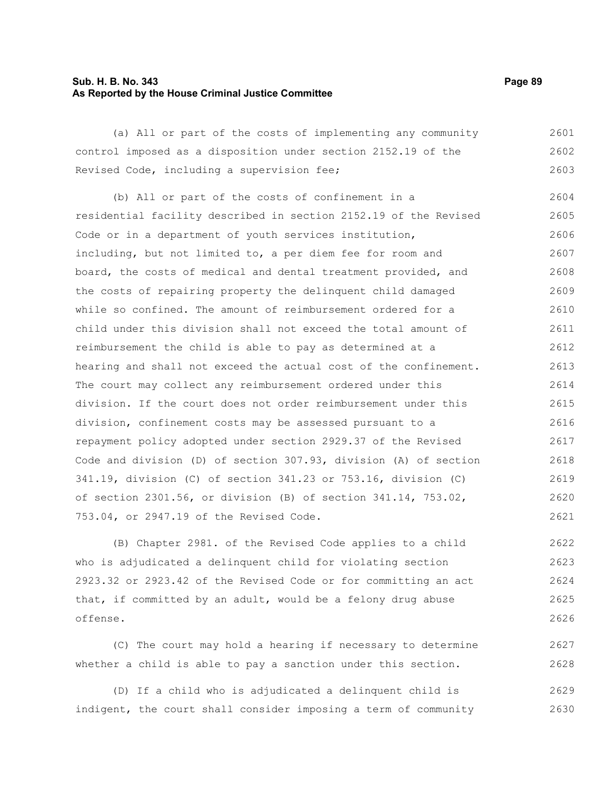## **Sub. H. B. No. 343 Page 89 As Reported by the House Criminal Justice Committee**

(a) All or part of the costs of implementing any community control imposed as a disposition under section 2152.19 of the Revised Code, including a supervision fee; 2601 2602 2603

(b) All or part of the costs of confinement in a residential facility described in section 2152.19 of the Revised Code or in a department of youth services institution, including, but not limited to, a per diem fee for room and board, the costs of medical and dental treatment provided, and the costs of repairing property the delinquent child damaged while so confined. The amount of reimbursement ordered for a child under this division shall not exceed the total amount of reimbursement the child is able to pay as determined at a hearing and shall not exceed the actual cost of the confinement. The court may collect any reimbursement ordered under this division. If the court does not order reimbursement under this division, confinement costs may be assessed pursuant to a repayment policy adopted under section 2929.37 of the Revised Code and division (D) of section 307.93, division (A) of section 341.19, division (C) of section 341.23 or 753.16, division (C) of section 2301.56, or division (B) of section 341.14, 753.02, 753.04, or 2947.19 of the Revised Code. 2604 2605 2606 2607 2608 2609 2610 2611 2612 2613 2614 2615 2616 2617 2618 2619 2620 2621

(B) Chapter 2981. of the Revised Code applies to a child who is adjudicated a delinquent child for violating section 2923.32 or 2923.42 of the Revised Code or for committing an act that, if committed by an adult, would be a felony drug abuse offense. 2622 2623 2624 2625 2626

(C) The court may hold a hearing if necessary to determine whether a child is able to pay a sanction under this section.

(D) If a child who is adjudicated a delinquent child is indigent, the court shall consider imposing a term of community 2629 2630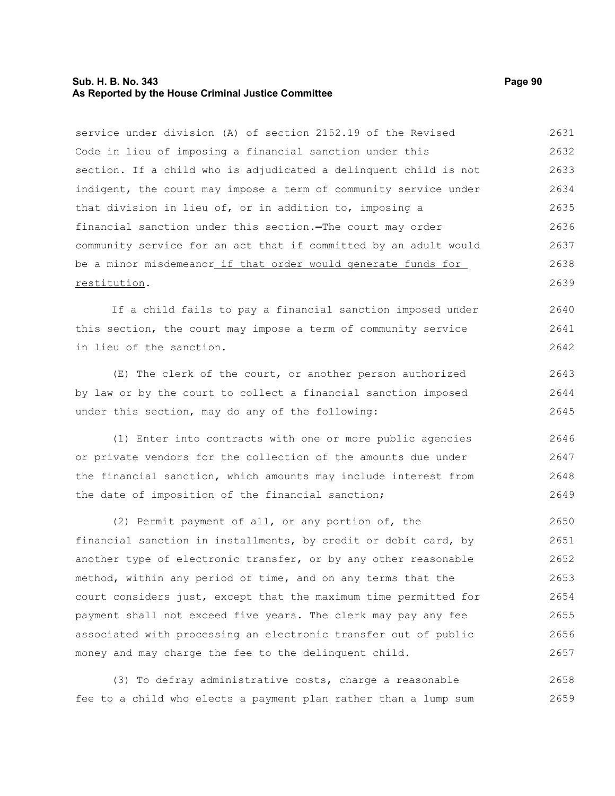#### **Sub. H. B. No. 343 Page 90 As Reported by the House Criminal Justice Committee**

service under division (A) of section 2152.19 of the Revised Code in lieu of imposing a financial sanction under this section. If a child who is adjudicated a delinquent child is not indigent, the court may impose a term of community service under that division in lieu of, or in addition to, imposing a financial sanction under this section. The court may order community service for an act that if committed by an adult would be a minor misdemeanor if that order would generate funds for restitution. 2631 2632 2633 2634 2635 2636 2637 2638 2639

If a child fails to pay a financial sanction imposed under this section, the court may impose a term of community service in lieu of the sanction. 2640 2641 2642

(E) The clerk of the court, or another person authorized by law or by the court to collect a financial sanction imposed under this section, may do any of the following: 2643 2644 2645

(1) Enter into contracts with one or more public agencies or private vendors for the collection of the amounts due under the financial sanction, which amounts may include interest from the date of imposition of the financial sanction; 2646 2647 2648 2649

(2) Permit payment of all, or any portion of, the financial sanction in installments, by credit or debit card, by another type of electronic transfer, or by any other reasonable method, within any period of time, and on any terms that the court considers just, except that the maximum time permitted for payment shall not exceed five years. The clerk may pay any fee associated with processing an electronic transfer out of public money and may charge the fee to the delinquent child. 2650 2651 2652 2653 2654 2655 2656 2657

(3) To defray administrative costs, charge a reasonable fee to a child who elects a payment plan rather than a lump sum 2658 2659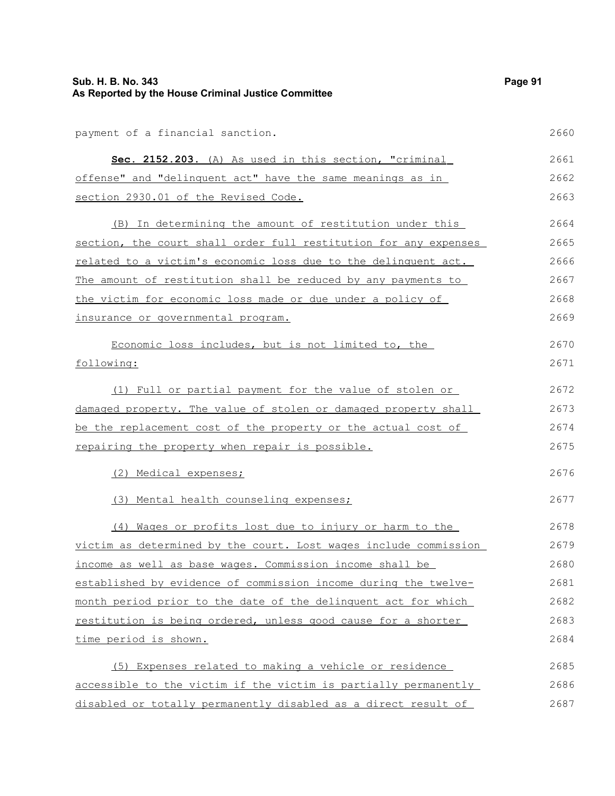| payment of a financial sanction.                                   | 2660 |
|--------------------------------------------------------------------|------|
| Sec. 2152.203. (A) As used in this section, "criminal              | 2661 |
| <u>offense" and "delinquent act" have the same meanings as in </u> | 2662 |
| section 2930.01 of the Revised Code.                               | 2663 |
| (B) In determining the amount of restitution under this            | 2664 |
| section, the court shall order full restitution for any expenses   | 2665 |
| related to a victim's economic loss due to the delinquent act.     | 2666 |
| The amount of restitution shall be reduced by any payments to      | 2667 |
| the victim for economic loss made or due under a policy of         | 2668 |
| insurance or governmental program.                                 | 2669 |
| Economic loss includes, but is not limited to, the                 | 2670 |
| following:                                                         | 2671 |
| (1) Full or partial payment for the value of stolen or             | 2672 |
| damaged property. The value of stolen or damaged property shall    | 2673 |
| be the replacement cost of the property or the actual cost of      | 2674 |
| repairing the property when repair is possible.                    | 2675 |
| (2) Medical expenses;                                              | 2676 |
| (3) Mental health counseling expenses;                             | 2677 |
| (4) Wages or profits lost due to injury or harm to the             | 2678 |
| victim as determined by the court. Lost wages include commission   | 2679 |
| income as well as base wages. Commission income shall be           | 2680 |
| established by evidence of commission income during the twelve-    | 2681 |
| month period prior to the date of the delinquent act for which     | 2682 |
| restitution is being ordered, unless good cause for a shorter      | 2683 |
| time period is shown.                                              | 2684 |
| (5) Expenses related to making a vehicle or residence              | 2685 |
| accessible to the victim if the victim is partially permanently    | 2686 |
| disabled or totally permanently disabled as a direct result of     | 2687 |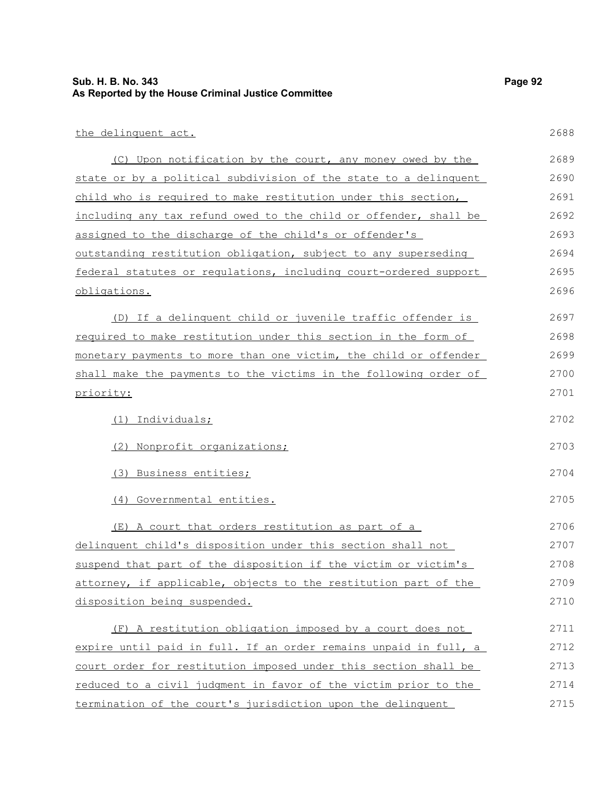# **Sub. H. B. No. 343 Page 92 As Reported by the House Criminal Justice Committee**

the delinquent act.

| (C) Upon notification by the court, any money owed by the        | 2689 |
|------------------------------------------------------------------|------|
| state or by a political subdivision of the state to a delinquent | 2690 |
| child who is required to make restitution under this section,    | 2691 |
| including any tax refund owed to the child or offender, shall be | 2692 |
| assigned to the discharge of the child's or offender's           | 2693 |
| outstanding restitution obligation, subject to any superseding   | 2694 |
| federal statutes or regulations, including court-ordered support | 2695 |
| obligations.                                                     | 2696 |
| (D) If a delinquent child or juvenile traffic offender is        | 2697 |
| required to make restitution under this section in the form of   | 2698 |
| monetary payments to more than one victim, the child or offender | 2699 |
| shall make the payments to the victims in the following order of | 2700 |
| priority:                                                        | 2701 |
| (1) Individuals;                                                 | 2702 |
| (2) Nonprofit organizations;                                     | 2703 |
| (3) Business entities;                                           | 2704 |
| (4) Governmental entities.                                       | 2705 |
| (E) A court that orders restitution as part of a                 | 2706 |
| delinquent child's disposition under this section shall not      | 2707 |
| suspend that part of the disposition if the victim or victim's   | 2708 |
| attorney, if applicable, objects to the restitution part of the  | 2709 |
| disposition being suspended.                                     | 2710 |
| (F) A restitution obligation imposed by a court does not         | 2711 |
| expire until paid in full. If an order remains unpaid in full, a | 2712 |
| court order for restitution imposed under this section shall be  | 2713 |
| reduced to a civil judgment in favor of the victim prior to the  | 2714 |
| termination of the court's jurisdiction upon the delinquent      | 2715 |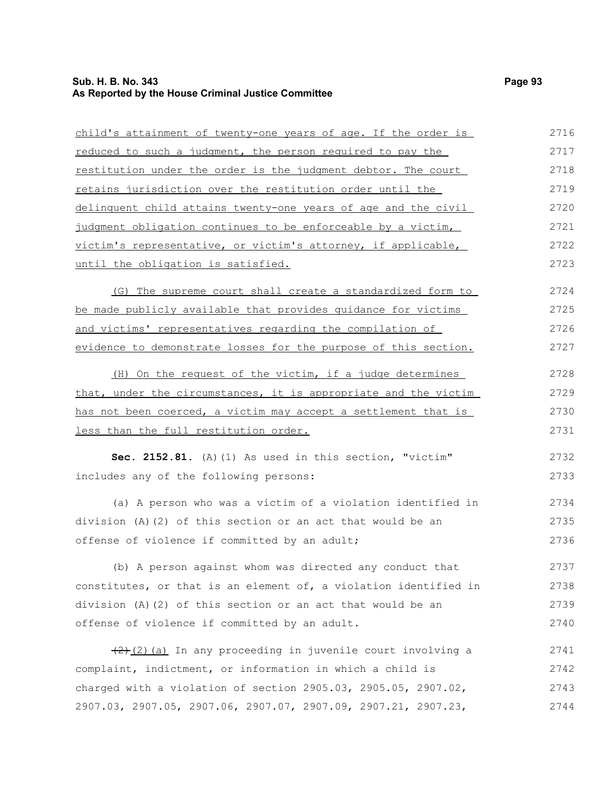# **Sub. H. B. No. 343 Page 93 As Reported by the House Criminal Justice Committee**

| child's attainment of twenty-one years of age. If the order is      | 2716 |
|---------------------------------------------------------------------|------|
| reduced to such a judgment, the person required to pay the          | 2717 |
| restitution under the order is the judgment debtor. The court       | 2718 |
| <u>retains jurisdiction over the restitution order until the</u>    | 2719 |
| delinquent child attains twenty-one years of age and the civil      | 2720 |
| judgment obligation continues to be enforceable by a victim,        | 2721 |
| victim's representative, or victim's attorney, if applicable,       | 2722 |
| until the obligation is satisfied.                                  | 2723 |
| (G) The supreme court shall create a standardized form to           | 2724 |
| be made publicly available that provides quidance for victims       | 2725 |
| and victims' representatives regarding the compilation of           | 2726 |
| evidence to demonstrate losses for the purpose of this section.     | 2727 |
| (H) On the request of the victim, if a judge determines             | 2728 |
| that, under the circumstances, it is appropriate and the victim     | 2729 |
| has not been coerced, a victim may accept a settlement that is      | 2730 |
| less than the full restitution order.                               | 2731 |
| Sec. 2152.81. (A) (1) As used in this section, "victim"             | 2732 |
|                                                                     |      |
| includes any of the following persons:                              | 2733 |
| (a) A person who was a victim of a violation identified in          | 2734 |
| division $(A)$ $(2)$ of this section or an act that would be an     | 2735 |
| offense of violence if committed by an adult;                       | 2736 |
| (b) A person against whom was directed any conduct that             | 2737 |
| constitutes, or that is an element of, a violation identified in    | 2738 |
| division (A) (2) of this section or an act that would be an         | 2739 |
| offense of violence if committed by an adult.                       | 2740 |
| $\frac{1}{2}(2)(a)$ In any proceeding in juvenile court involving a | 2741 |
| complaint, indictment, or information in which a child is           | 2742 |
| charged with a violation of section 2905.03, 2905.05, 2907.02,      | 2743 |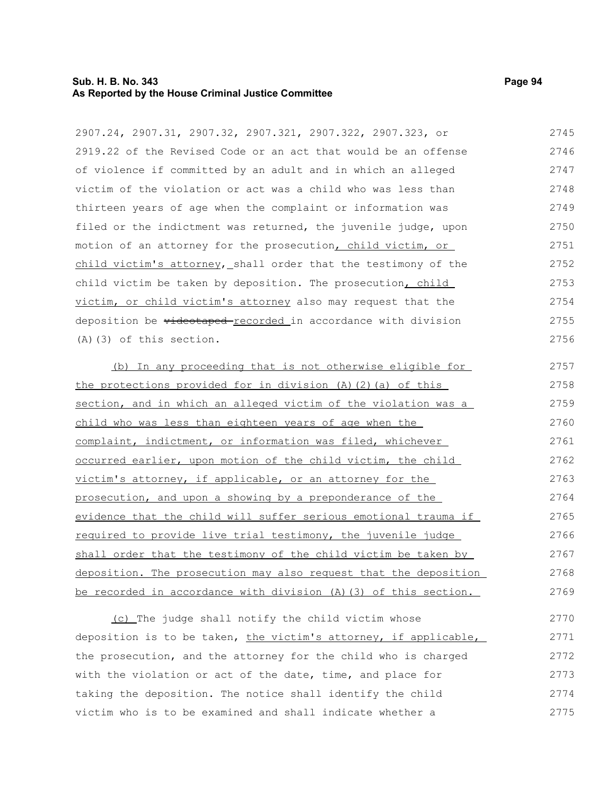## **Sub. H. B. No. 343 Page 94 As Reported by the House Criminal Justice Committee**

2907.24, 2907.31, 2907.32, 2907.321, 2907.322, 2907.323, or 2919.22 of the Revised Code or an act that would be an offense of violence if committed by an adult and in which an alleged victim of the violation or act was a child who was less than thirteen years of age when the complaint or information was filed or the indictment was returned, the juvenile judge, upon motion of an attorney for the prosecution, child victim, or

child victim's attorney, shall order that the testimony of the child victim be taken by deposition. The prosecution, child victim, or child victim's attorney also may request that the deposition be <del>videotaped recorded</del> in accordance with division (A)(3) of this section. 2752 2753 2754 2755 2756

(b) In any proceeding that is not otherwise eligible for the protections provided for in division  $(A)(2)(a)$  of this section, and in which an alleged victim of the violation was a child who was less than eighteen years of age when the complaint, indictment, or information was filed, whichever occurred earlier, upon motion of the child victim, the child victim's attorney, if applicable, or an attorney for the prosecution, and upon a showing by a preponderance of the evidence that the child will suffer serious emotional trauma if required to provide live trial testimony, the juvenile judge shall order that the testimony of the child victim be taken by deposition. The prosecution may also request that the deposition be recorded in accordance with division (A)(3) of this section. 2757 2758 2759 2760 2761 2762 2763 2764 2765 2766 2767 2768 2769

(c) The judge shall notify the child victim whose deposition is to be taken, the victim's attorney, if applicable, the prosecution, and the attorney for the child who is charged with the violation or act of the date, time, and place for taking the deposition. The notice shall identify the child victim who is to be examined and shall indicate whether a 2770 2771 2772 2773 2774 2775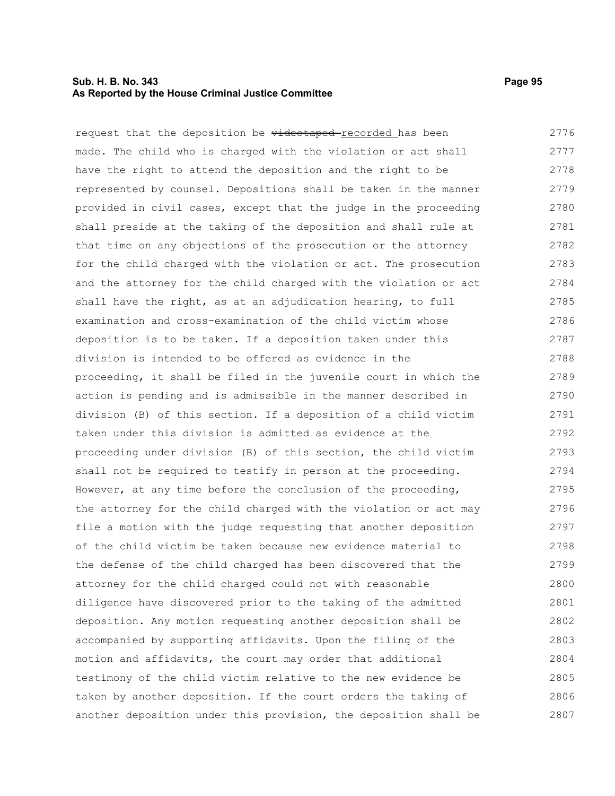## **Sub. H. B. No. 343 Page 95 As Reported by the House Criminal Justice Committee**

request that the deposition be videotaped-recorded has been made. The child who is charged with the violation or act shall have the right to attend the deposition and the right to be represented by counsel. Depositions shall be taken in the manner provided in civil cases, except that the judge in the proceeding shall preside at the taking of the deposition and shall rule at that time on any objections of the prosecution or the attorney for the child charged with the violation or act. The prosecution and the attorney for the child charged with the violation or act shall have the right, as at an adjudication hearing, to full examination and cross-examination of the child victim whose deposition is to be taken. If a deposition taken under this division is intended to be offered as evidence in the proceeding, it shall be filed in the juvenile court in which the action is pending and is admissible in the manner described in division (B) of this section. If a deposition of a child victim taken under this division is admitted as evidence at the proceeding under division (B) of this section, the child victim shall not be required to testify in person at the proceeding. However, at any time before the conclusion of the proceeding, the attorney for the child charged with the violation or act may file a motion with the judge requesting that another deposition of the child victim be taken because new evidence material to the defense of the child charged has been discovered that the attorney for the child charged could not with reasonable diligence have discovered prior to the taking of the admitted deposition. Any motion requesting another deposition shall be accompanied by supporting affidavits. Upon the filing of the motion and affidavits, the court may order that additional testimony of the child victim relative to the new evidence be taken by another deposition. If the court orders the taking of another deposition under this provision, the deposition shall be 2776 2777 2778 2779 2780 2781 2782 2783 2784 2785 2786 2787 2788 2789 2790 2791 2792 2793 2794 2795 2796 2797 2798 2799 2800 2801 2802 2803 2804 2805 2806 2807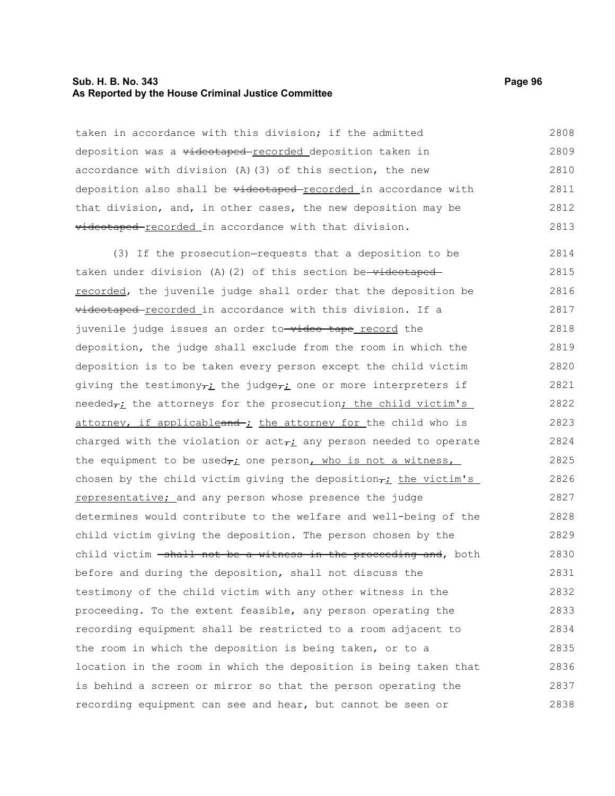#### **Sub. H. B. No. 343 Page 96 As Reported by the House Criminal Justice Committee**

taken in accordance with this division; if the admitted deposition was a videotaped-recorded deposition taken in accordance with division (A)(3) of this section, the new deposition also shall be  $\forall i$ deotaped-recorded in accordance with that division, and, in other cases, the new deposition may be videotaped-recorded in accordance with that division. 2808 2809 2810 2811 2812 2813

(3) If the prosecution-requests that a deposition to be taken under division (A)(2) of this section be-videotapedrecorded, the juvenile judge shall order that the deposition be videotaped recorded in accordance with this division. If a juvenile judge issues an order to video tape record the deposition, the judge shall exclude from the room in which the deposition is to be taken every person except the child victim giving the testimony $\tau_L$  the judge $\tau_L$  one or more interpreters if needed $_{7L}$  the attorneys for the prosecution; the child victim's attorney, if applicableand-; the attorney for the child who is charged with the violation or  $act_{\tau}$  any person needed to operate the equipment to be used $\tau_i$  one person, who is not a witness, chosen by the child victim giving the deposition<sub>7</sub>; the victim's representative; and any person whose presence the judge determines would contribute to the welfare and well-being of the child victim giving the deposition. The person chosen by the child victim -shall not be a witness in the proceeding and, both before and during the deposition, shall not discuss the testimony of the child victim with any other witness in the proceeding. To the extent feasible, any person operating the recording equipment shall be restricted to a room adjacent to the room in which the deposition is being taken, or to a location in the room in which the deposition is being taken that is behind a screen or mirror so that the person operating the recording equipment can see and hear, but cannot be seen or 2814 2815 2816 2817 2818 2819 2820 2821 2822 2823 2824 2825 2826 2827 2828 2829 2830 2831 2832 2833 2834 2835 2836 2837 2838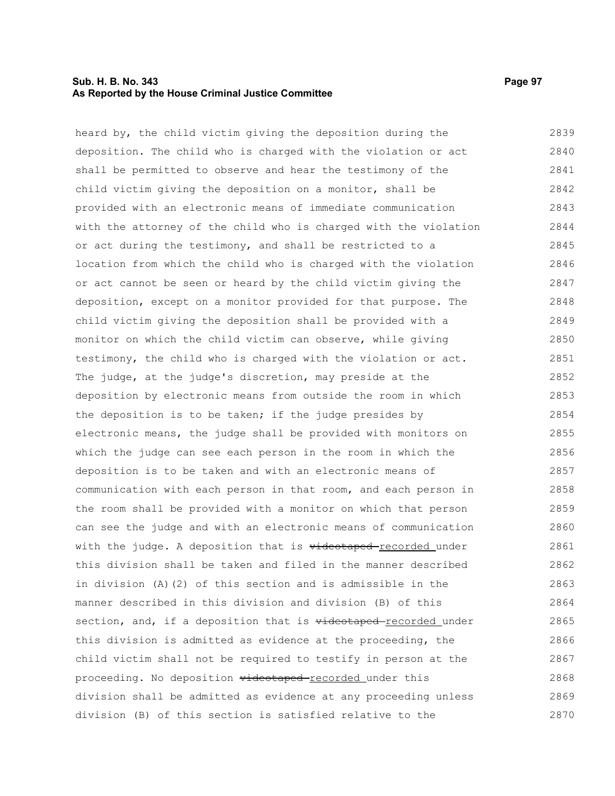### **Sub. H. B. No. 343 Page 97 As Reported by the House Criminal Justice Committee**

heard by, the child victim giving the deposition during the deposition. The child who is charged with the violation or act shall be permitted to observe and hear the testimony of the child victim giving the deposition on a monitor, shall be provided with an electronic means of immediate communication with the attorney of the child who is charged with the violation or act during the testimony, and shall be restricted to a location from which the child who is charged with the violation or act cannot be seen or heard by the child victim giving the deposition, except on a monitor provided for that purpose. The child victim giving the deposition shall be provided with a monitor on which the child victim can observe, while giving testimony, the child who is charged with the violation or act. The judge, at the judge's discretion, may preside at the deposition by electronic means from outside the room in which the deposition is to be taken; if the judge presides by electronic means, the judge shall be provided with monitors on which the judge can see each person in the room in which the deposition is to be taken and with an electronic means of communication with each person in that room, and each person in the room shall be provided with a monitor on which that person can see the judge and with an electronic means of communication with the judge. A deposition that is videotaped-recorded under this division shall be taken and filed in the manner described in division (A)(2) of this section and is admissible in the manner described in this division and division (B) of this section, and, if a deposition that is videotaped recorded under this division is admitted as evidence at the proceeding, the child victim shall not be required to testify in person at the proceeding. No deposition videotaped-recorded under this division shall be admitted as evidence at any proceeding unless division (B) of this section is satisfied relative to the 2839 2840 2841 2842 2843 2844 2845 2846 2847 2848 2849 2850 2851 2852 2853 2854 2855 2856 2857 2858 2859 2860 2861 2862 2863 2864 2865 2866 2867 2868 2869 2870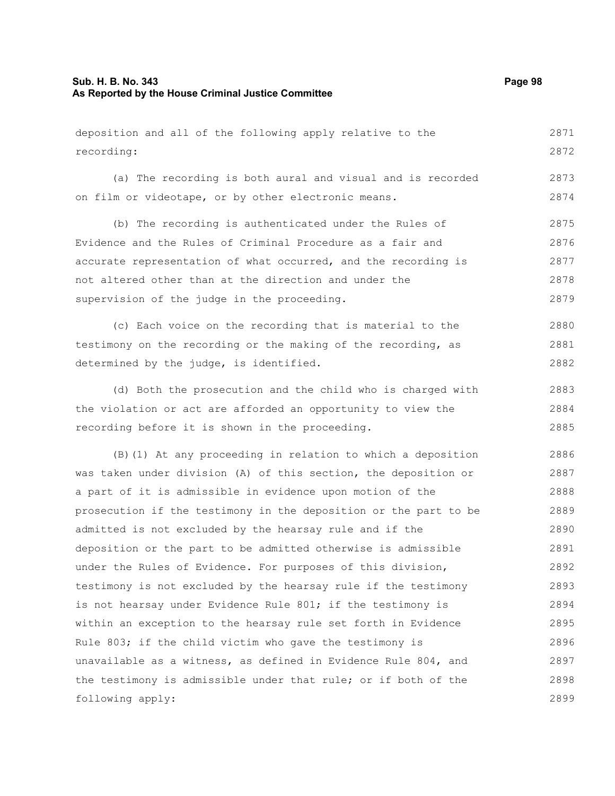# **Sub. H. B. No. 343 Page 98 As Reported by the House Criminal Justice Committee**

| deposition and all of the following apply relative to the        | 2871 |
|------------------------------------------------------------------|------|
| recording:                                                       | 2872 |
| (a) The recording is both aural and visual and is recorded       | 2873 |
| on film or videotape, or by other electronic means.              | 2874 |
| (b) The recording is authenticated under the Rules of            | 2875 |
|                                                                  |      |
| Evidence and the Rules of Criminal Procedure as a fair and       | 2876 |
| accurate representation of what occurred, and the recording is   | 2877 |
| not altered other than at the direction and under the            | 2878 |
| supervision of the judge in the proceeding.                      | 2879 |
| (c) Each voice on the recording that is material to the          | 2880 |
| testimony on the recording or the making of the recording, as    | 2881 |
| determined by the judge, is identified.                          | 2882 |
| (d) Both the prosecution and the child who is charged with       | 2883 |
| the violation or act are afforded an opportunity to view the     | 2884 |
| recording before it is shown in the proceeding.                  | 2885 |
| (B) (1) At any proceeding in relation to which a deposition      | 2886 |
| was taken under division (A) of this section, the deposition or  | 2887 |
| a part of it is admissible in evidence upon motion of the        | 2888 |
| prosecution if the testimony in the deposition or the part to be | 2889 |
| admitted is not excluded by the hearsay rule and if the          | 2890 |
| deposition or the part to be admitted otherwise is admissible    | 2891 |
| under the Rules of Evidence. For purposes of this division,      | 2892 |
|                                                                  |      |
| testimony is not excluded by the hearsay rule if the testimony   | 2893 |
| is not hearsay under Evidence Rule 801; if the testimony is      | 2894 |
| within an exception to the hearsay rule set forth in Evidence    | 2895 |
| Rule 803; if the child victim who gave the testimony is          | 2896 |
| unavailable as a witness, as defined in Evidence Rule 804, and   | 2897 |
| the testimony is admissible under that rule; or if both of the   | 2898 |
| following apply:                                                 | 2899 |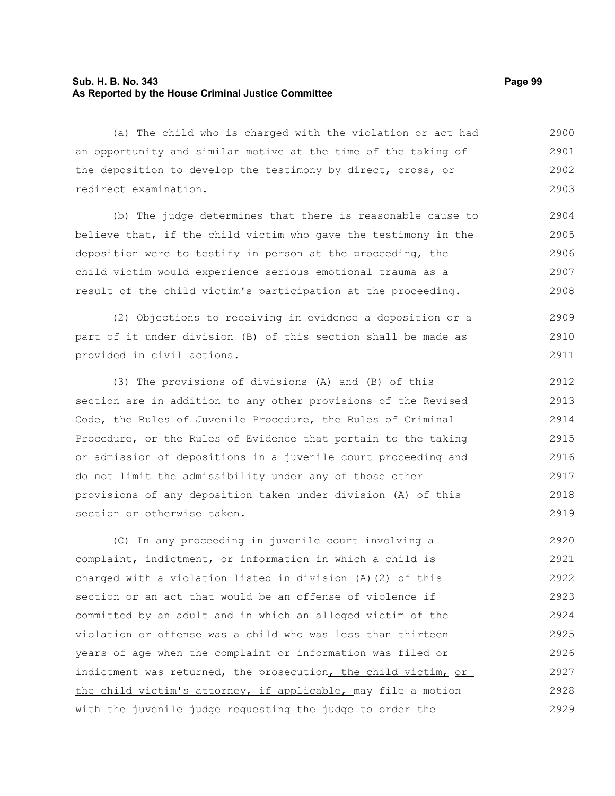## **Sub. H. B. No. 343 Page 99 As Reported by the House Criminal Justice Committee**

(a) The child who is charged with the violation or act had an opportunity and similar motive at the time of the taking of the deposition to develop the testimony by direct, cross, or redirect examination. 2900 2901 2902 2903

(b) The judge determines that there is reasonable cause to believe that, if the child victim who gave the testimony in the deposition were to testify in person at the proceeding, the child victim would experience serious emotional trauma as a result of the child victim's participation at the proceeding. 2904 2905 2906 2907 2908

(2) Objections to receiving in evidence a deposition or a part of it under division (B) of this section shall be made as provided in civil actions. 2909 2910 2911

(3) The provisions of divisions (A) and (B) of this section are in addition to any other provisions of the Revised Code, the Rules of Juvenile Procedure, the Rules of Criminal Procedure, or the Rules of Evidence that pertain to the taking or admission of depositions in a juvenile court proceeding and do not limit the admissibility under any of those other provisions of any deposition taken under division (A) of this section or otherwise taken. 2912 2913 2914 2915 2916 2917 2918 2919

(C) In any proceeding in juvenile court involving a complaint, indictment, or information in which a child is charged with a violation listed in division (A)(2) of this section or an act that would be an offense of violence if committed by an adult and in which an alleged victim of the violation or offense was a child who was less than thirteen years of age when the complaint or information was filed or indictment was returned, the prosecution, the child victim, or the child victim's attorney, if applicable, may file a motion with the juvenile judge requesting the judge to order the 2920 2921 2922 2923 2924 2925 2926 2927 2928 2929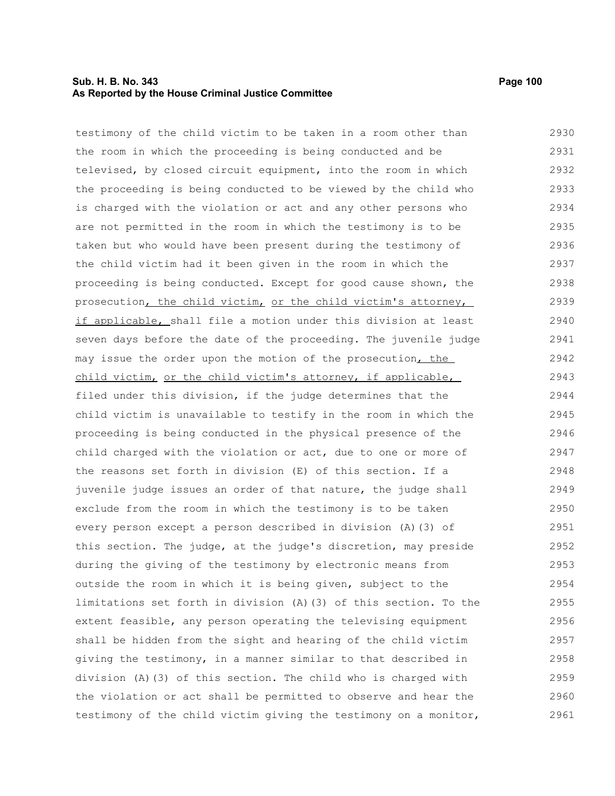## **Sub. H. B. No. 343 Page 100 As Reported by the House Criminal Justice Committee**

testimony of the child victim to be taken in a room other than the room in which the proceeding is being conducted and be televised, by closed circuit equipment, into the room in which the proceeding is being conducted to be viewed by the child who is charged with the violation or act and any other persons who are not permitted in the room in which the testimony is to be taken but who would have been present during the testimony of the child victim had it been given in the room in which the proceeding is being conducted. Except for good cause shown, the prosecution, the child victim, or the child victim's attorney, if applicable, shall file a motion under this division at least seven days before the date of the proceeding. The juvenile judge may issue the order upon the motion of the prosecution, the child victim, or the child victim's attorney, if applicable, filed under this division, if the judge determines that the child victim is unavailable to testify in the room in which the proceeding is being conducted in the physical presence of the child charged with the violation or act, due to one or more of the reasons set forth in division (E) of this section. If a juvenile judge issues an order of that nature, the judge shall exclude from the room in which the testimony is to be taken every person except a person described in division (A)(3) of this section. The judge, at the judge's discretion, may preside during the giving of the testimony by electronic means from outside the room in which it is being given, subject to the limitations set forth in division (A)(3) of this section. To the extent feasible, any person operating the televising equipment shall be hidden from the sight and hearing of the child victim giving the testimony, in a manner similar to that described in division (A)(3) of this section. The child who is charged with the violation or act shall be permitted to observe and hear the testimony of the child victim giving the testimony on a monitor, 2930 2931 2932 2933 2934 2935 2936 2937 2938 2939 2940 2941 2942 2943 2944 2945 2946 2947 2948 2949 2950 2951 2952 2953 2954 2955 2956 2957 2958 2959 2960 2961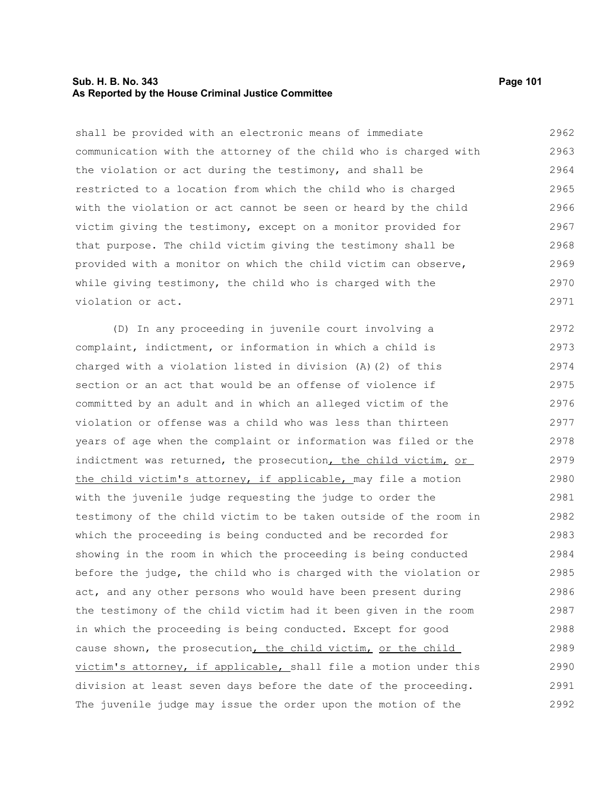### **Sub. H. B. No. 343 Page 101 As Reported by the House Criminal Justice Committee**

shall be provided with an electronic means of immediate communication with the attorney of the child who is charged with the violation or act during the testimony, and shall be restricted to a location from which the child who is charged with the violation or act cannot be seen or heard by the child 2962 2963 2964 2965 2966

victim giving the testimony, except on a monitor provided for that purpose. The child victim giving the testimony shall be provided with a monitor on which the child victim can observe, while giving testimony, the child who is charged with the violation or act. 2967 2968 2969 2970 2971

(D) In any proceeding in juvenile court involving a complaint, indictment, or information in which a child is charged with a violation listed in division (A)(2) of this section or an act that would be an offense of violence if committed by an adult and in which an alleged victim of the violation or offense was a child who was less than thirteen years of age when the complaint or information was filed or the indictment was returned, the prosecution, the child victim, or the child victim's attorney, if applicable, may file a motion with the juvenile judge requesting the judge to order the testimony of the child victim to be taken outside of the room in which the proceeding is being conducted and be recorded for showing in the room in which the proceeding is being conducted before the judge, the child who is charged with the violation or act, and any other persons who would have been present during the testimony of the child victim had it been given in the room in which the proceeding is being conducted. Except for good cause shown, the prosecution, the child victim, or the child victim's attorney, if applicable, shall file a motion under this division at least seven days before the date of the proceeding. The juvenile judge may issue the order upon the motion of the 2972 2973 2974 2975 2976 2977 2978 2979 2980 2981 2982 2983 2984 2985 2986 2987 2988 2989 2990 2991 2992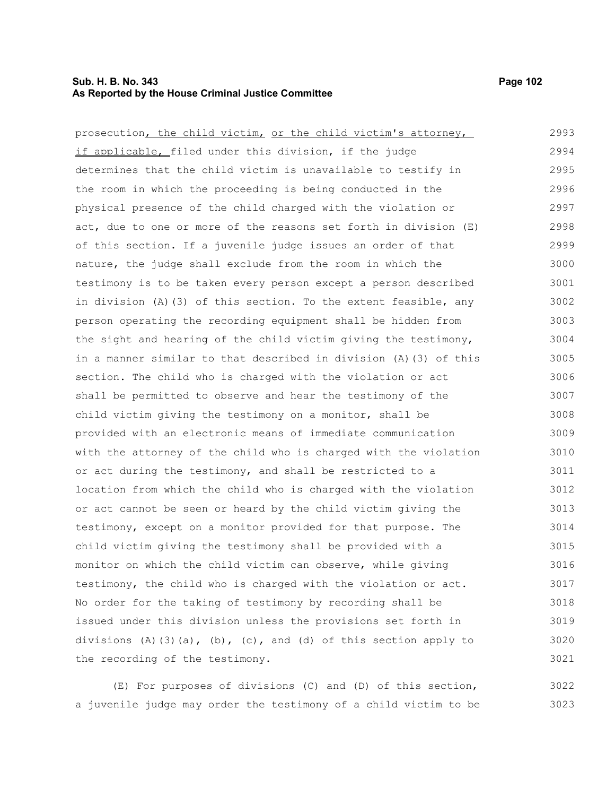# **Sub. H. B. No. 343 Page 102 As Reported by the House Criminal Justice Committee**

| prosecution, the child victim, or the child victim's attorney,                   | 2993 |
|----------------------------------------------------------------------------------|------|
| if applicable, filed under this division, if the judge                           | 2994 |
| determines that the child victim is unavailable to testify in                    | 2995 |
| the room in which the proceeding is being conducted in the                       | 2996 |
| physical presence of the child charged with the violation or                     | 2997 |
| act, due to one or more of the reasons set forth in division (E)                 | 2998 |
| of this section. If a juvenile judge issues an order of that                     | 2999 |
| nature, the judge shall exclude from the room in which the                       | 3000 |
| testimony is to be taken every person except a person described                  | 3001 |
| in division $(A)$ $(3)$ of this section. To the extent feasible, any             | 3002 |
| person operating the recording equipment shall be hidden from                    | 3003 |
| the sight and hearing of the child victim giving the testimony,                  | 3004 |
| in a manner similar to that described in division (A) (3) of this                | 3005 |
| section. The child who is charged with the violation or act                      | 3006 |
| shall be permitted to observe and hear the testimony of the                      | 3007 |
| child victim giving the testimony on a monitor, shall be                         | 3008 |
| provided with an electronic means of immediate communication                     | 3009 |
| with the attorney of the child who is charged with the violation                 | 3010 |
| or act during the testimony, and shall be restricted to a                        | 3011 |
| location from which the child who is charged with the violation                  | 3012 |
| or act cannot be seen or heard by the child victim giving the                    | 3013 |
| testimony, except on a monitor provided for that purpose. The                    | 3014 |
| child victim giving the testimony shall be provided with a                       | 3015 |
| monitor on which the child victim can observe, while giving                      | 3016 |
| testimony, the child who is charged with the violation or act.                   | 3017 |
| No order for the taking of testimony by recording shall be                       | 3018 |
| issued under this division unless the provisions set forth in                    | 3019 |
| divisions $(A)$ $(3)$ $(a)$ , $(b)$ , $(c)$ , and $(d)$ of this section apply to | 3020 |
| the recording of the testimony.                                                  | 3021 |
|                                                                                  |      |

(E) For purposes of divisions (C) and (D) of this section, 3022 a juvenile judge may order the testimony of a child victim to be 3023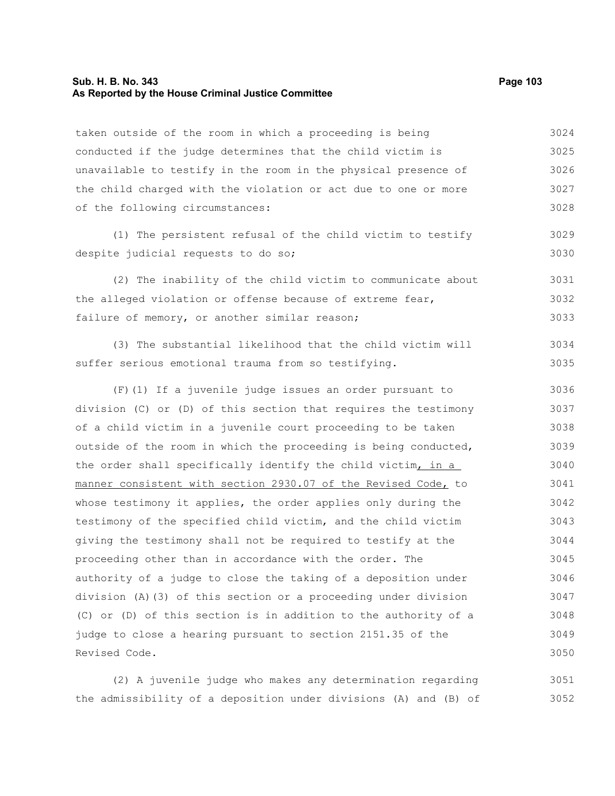#### **Sub. H. B. No. 343 Page 103 As Reported by the House Criminal Justice Committee**

taken outside of the room in which a proceeding is being conducted if the judge determines that the child victim is unavailable to testify in the room in the physical presence of the child charged with the violation or act due to one or more of the following circumstances: 3024 3025 3026 3027 3028

(1) The persistent refusal of the child victim to testify despite judicial requests to do so;

(2) The inability of the child victim to communicate about the alleged violation or offense because of extreme fear, failure of memory, or another similar reason; 3031 3032 3033

(3) The substantial likelihood that the child victim will suffer serious emotional trauma from so testifying. 3034 3035

(F)(1) If a juvenile judge issues an order pursuant to division (C) or (D) of this section that requires the testimony of a child victim in a juvenile court proceeding to be taken outside of the room in which the proceeding is being conducted, the order shall specifically identify the child victim, in a manner consistent with section 2930.07 of the Revised Code, to whose testimony it applies, the order applies only during the testimony of the specified child victim, and the child victim giving the testimony shall not be required to testify at the proceeding other than in accordance with the order. The authority of a judge to close the taking of a deposition under division (A)(3) of this section or a proceeding under division (C) or (D) of this section is in addition to the authority of a judge to close a hearing pursuant to section 2151.35 of the Revised Code. 3036 3037 3038 3039 3040 3041 3042 3043 3044 3045 3046 3047 3048 3049 3050

(2) A juvenile judge who makes any determination regarding the admissibility of a deposition under divisions (A) and (B) of 3051 3052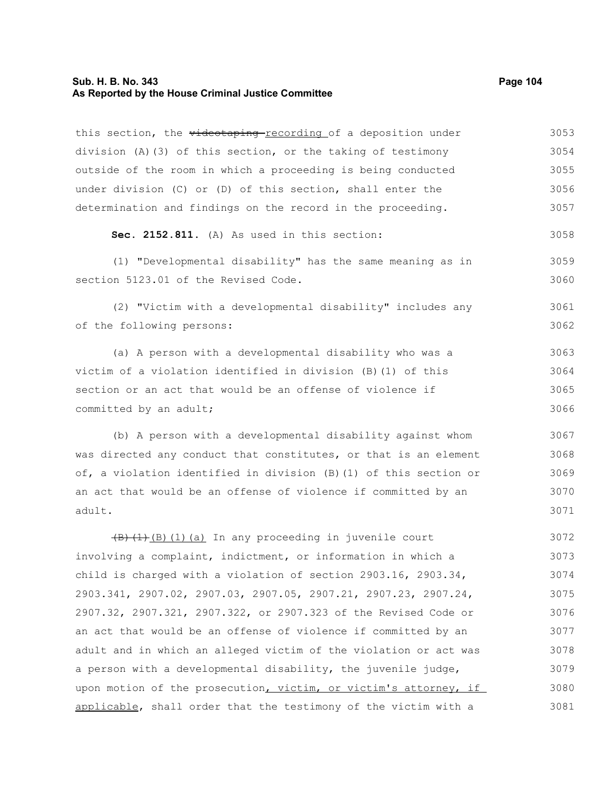#### **Sub. H. B. No. 343 Page 104 As Reported by the House Criminal Justice Committee**

this section, the videotaping recording of a deposition under

division (A)(3) of this section, or the taking of testimony outside of the room in which a proceeding is being conducted under division (C) or (D) of this section, shall enter the determination and findings on the record in the proceeding. **Sec. 2152.811.** (A) As used in this section: (1) "Developmental disability" has the same meaning as in section 5123.01 of the Revised Code. (2) "Victim with a developmental disability" includes any of the following persons: (a) A person with a developmental disability who was a victim of a violation identified in division (B)(1) of this section or an act that would be an offense of violence if

committed by an adult;

(b) A person with a developmental disability against whom was directed any conduct that constitutes, or that is an element of, a violation identified in division (B)(1) of this section or an act that would be an offense of violence if committed by an adult.

 $(B)$   $(1)$   $(B)$   $(1)$   $(a)$  In any proceeding in juvenile court involving a complaint, indictment, or information in which a child is charged with a violation of section 2903.16, 2903.34, 2903.341, 2907.02, 2907.03, 2907.05, 2907.21, 2907.23, 2907.24, 2907.32, 2907.321, 2907.322, or 2907.323 of the Revised Code or an act that would be an offense of violence if committed by an adult and in which an alleged victim of the violation or act was a person with a developmental disability, the juvenile judge, upon motion of the prosecution, victim, or victim's attorney, if applicable, shall order that the testimony of the victim with a 3072 3073 3074 3075 3076 3077 3078 3079 3080 3081

3058

3059 3060

3061 3062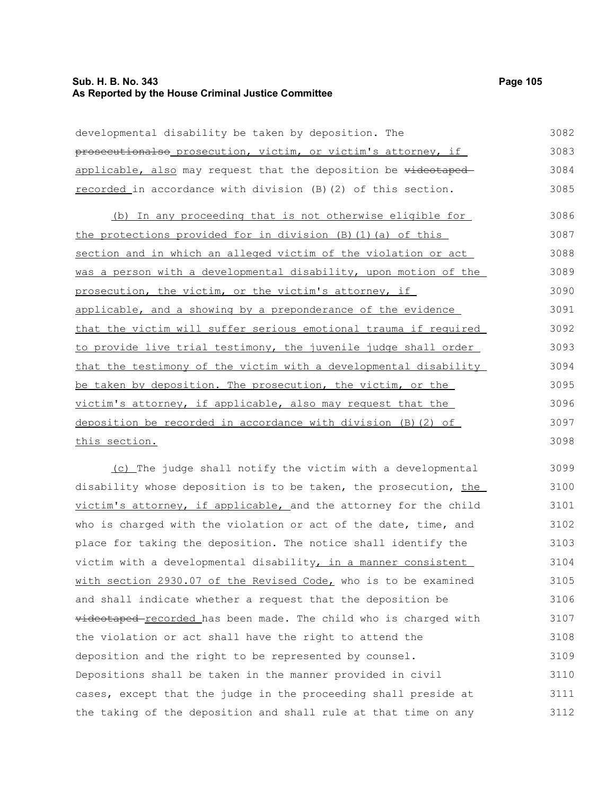## **Sub. H. B. No. 343** Page 105 **As Reported by the House Criminal Justice Committee**

| developmental disability be taken by deposition. The                     | 3082 |
|--------------------------------------------------------------------------|------|
| <del>prosecutionalso</del> prosecution, victim, or victim's attorney, if | 3083 |
| applicable, also may request that the deposition be videotaped           | 3084 |
| recorded in accordance with division (B) (2) of this section.            | 3085 |
| (b) In any proceeding that is not otherwise eligible for                 | 3086 |
| the protections provided for in division $(B) (1) (a)$ of this           | 3087 |
| section and in which an alleged victim of the violation or act           | 3088 |
| was a person with a developmental disability, upon motion of the         | 3089 |
| prosecution, the victim, or the victim's attorney, if                    | 3090 |
| applicable, and a showing by a preponderance of the evidence             | 3091 |
| that the victim will suffer serious emotional trauma if required         | 3092 |

to provide live trial testimony, the juvenile judge shall order that the testimony of the victim with a developmental disability

be taken by deposition. The prosecution, the victim, or the victim's attorney, if applicable, also may request that the deposition be recorded in accordance with division (B)(2) of

this section. (c) The judge shall notify the victim with a developmental disability whose deposition is to be taken, the prosecution, the victim's attorney, if applicable, and the attorney for the child who is charged with the violation or act of the date, time, and place for taking the deposition. The notice shall identify the victim with a developmental disability, in a manner consistent with section 2930.07 of the Revised Code, who is to be examined and shall indicate whether a request that the deposition be videotaped recorded has been made. The child who is charged with the violation or act shall have the right to attend the deposition and the right to be represented by counsel. Depositions shall be taken in the manner provided in civil 3098 3099 3100 3101 3102 3103 3104 3105 3106 3107 3108 3109 3110

cases, except that the judge in the proceeding shall preside at the taking of the deposition and shall rule at that time on any 3111 3112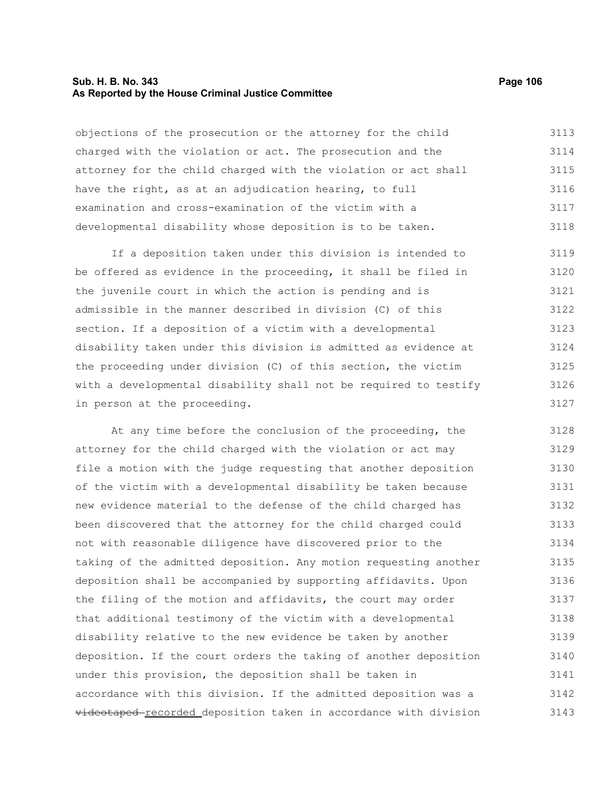#### **Sub. H. B. No. 343 Page 106 As Reported by the House Criminal Justice Committee**

objections of the prosecution or the attorney for the child charged with the violation or act. The prosecution and the attorney for the child charged with the violation or act shall have the right, as at an adjudication hearing, to full examination and cross-examination of the victim with a developmental disability whose deposition is to be taken. 3113 3114 3115 3116 3117 3118

If a deposition taken under this division is intended to be offered as evidence in the proceeding, it shall be filed in the juvenile court in which the action is pending and is admissible in the manner described in division (C) of this section. If a deposition of a victim with a developmental disability taken under this division is admitted as evidence at the proceeding under division (C) of this section, the victim with a developmental disability shall not be required to testify in person at the proceeding. 3119 3120 3121 3122 3123 3124 3125 3126 3127

At any time before the conclusion of the proceeding, the attorney for the child charged with the violation or act may file a motion with the judge requesting that another deposition of the victim with a developmental disability be taken because new evidence material to the defense of the child charged has been discovered that the attorney for the child charged could not with reasonable diligence have discovered prior to the taking of the admitted deposition. Any motion requesting another deposition shall be accompanied by supporting affidavits. Upon the filing of the motion and affidavits, the court may order that additional testimony of the victim with a developmental disability relative to the new evidence be taken by another deposition. If the court orders the taking of another deposition under this provision, the deposition shall be taken in accordance with this division. If the admitted deposition was a videotaped recorded deposition taken in accordance with division 3128 3129 3130 3131 3132 3133 3134 3135 3136 3137 3138 3139 3140 3141 3142 3143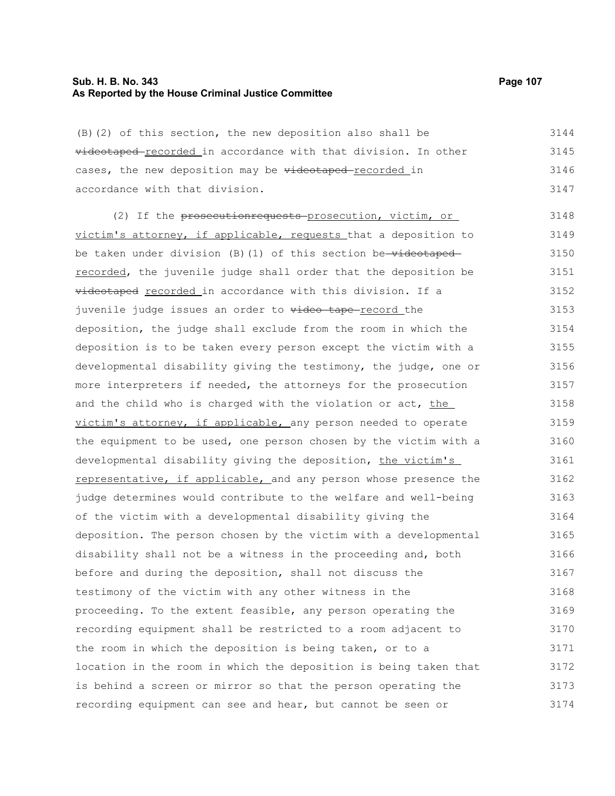# **Sub. H. B. No. 343** Page 107 **As Reported by the House Criminal Justice Committee**

| (B) (2) of this section, the new deposition also shall be        | 3144 |
|------------------------------------------------------------------|------|
| videotaped-recorded in accordance with that division. In other   | 3145 |
| cases, the new deposition may be videotaped-recorded in          | 3146 |
| accordance with that division.                                   | 3147 |
| (2) If the prosecutionrequests prosecution, victim, or           | 3148 |
| victim's attorney, if applicable, requests that a deposition to  | 3149 |
| be taken under division (B)(1) of this section be-videotaped-    | 3150 |
| recorded, the juvenile judge shall order that the deposition be  | 3151 |
| videotaped recorded in accordance with this division. If a       | 3152 |
| juvenile judge issues an order to video tape-record the          | 3153 |
| deposition, the judge shall exclude from the room in which the   | 3154 |
| deposition is to be taken every person except the victim with a  | 3155 |
| developmental disability giving the testimony, the judge, one or | 3156 |
| more interpreters if needed, the attorneys for the prosecution   | 3157 |
| and the child who is charged with the violation or act, the      | 3158 |
| victim's attorney, if applicable, any person needed to operate   | 3159 |
| the equipment to be used, one person chosen by the victim with a | 3160 |
| developmental disability giving the deposition, the victim's     | 3161 |
| representative, if applicable, and any person whose presence the | 3162 |
| judge determines would contribute to the welfare and well-being  | 3163 |
| of the victim with a developmental disability giving the         | 3164 |
| deposition. The person chosen by the victim with a developmental | 3165 |
| disability shall not be a witness in the proceeding and, both    | 3166 |
| before and during the deposition, shall not discuss the          | 3167 |
| testimony of the victim with any other witness in the            | 3168 |
| proceeding. To the extent feasible, any person operating the     | 3169 |
| recording equipment shall be restricted to a room adjacent to    | 3170 |
| the room in which the deposition is being taken, or to a         | 3171 |
| location in the room in which the deposition is being taken that | 3172 |
| is behind a screen or mirror so that the person operating the    | 3173 |
| recording equipment can see and hear, but cannot be seen or      | 3174 |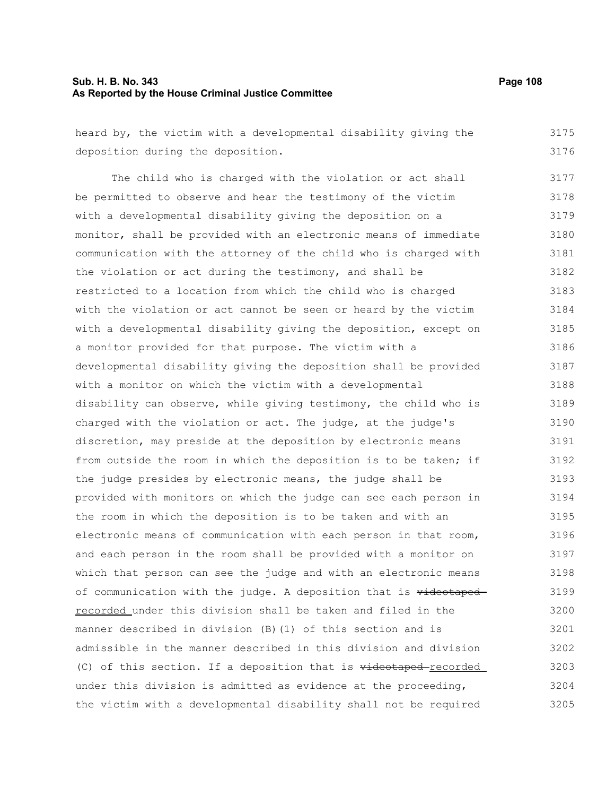## **Sub. H. B. No. 343 Page 108 As Reported by the House Criminal Justice Committee**

heard by, the victim with a developmental disability giving the deposition during the deposition. The child who is charged with the violation or act shall be permitted to observe and hear the testimony of the victim with a developmental disability giving the deposition on a monitor, shall be provided with an electronic means of immediate communication with the attorney of the child who is charged with the violation or act during the testimony, and shall be restricted to a location from which the child who is charged with the violation or act cannot be seen or heard by the victim with a developmental disability giving the deposition, except on a monitor provided for that purpose. The victim with a developmental disability giving the deposition shall be provided with a monitor on which the victim with a developmental disability can observe, while giving testimony, the child who is charged with the violation or act. The judge, at the judge's discretion, may preside at the deposition by electronic means from outside the room in which the deposition is to be taken; if the judge presides by electronic means, the judge shall be provided with monitors on which the judge can see each person in the room in which the deposition is to be taken and with an electronic means of communication with each person in that room, and each person in the room shall be provided with a monitor on which that person can see the judge and with an electronic means of communication with the judge. A deposition that is videotaped recorded under this division shall be taken and filed in the manner described in division (B)(1) of this section and is admissible in the manner described in this division and division (C) of this section. If a deposition that is videotaped-recorded under this division is admitted as evidence at the proceeding, the victim with a developmental disability shall not be required 3175 3176 3177 3178 3179 3180 3181 3182 3183 3184 3185 3186 3187 3188 3189 3190 3191 3192 3193 3194 3195 3196 3197 3198 3199 3200 3201 3202 3203 3204 3205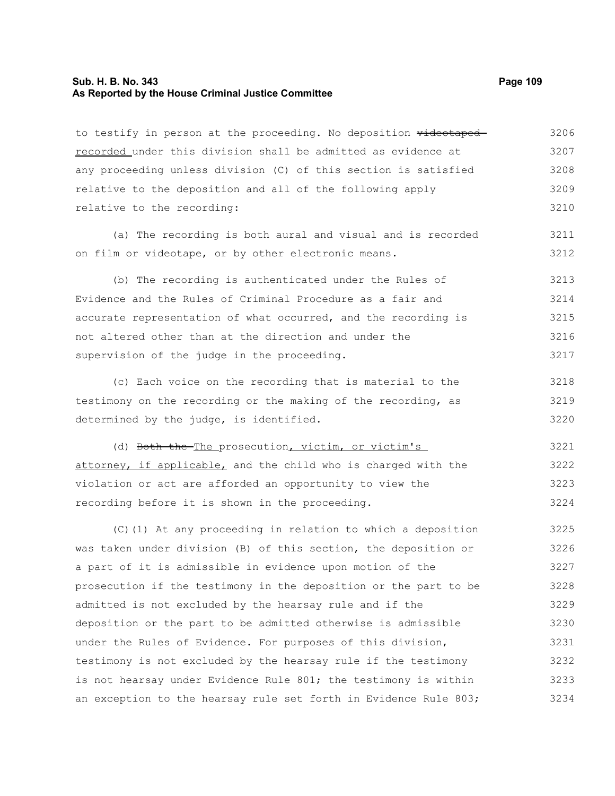## **Sub. H. B. No. 343** Page 109 **As Reported by the House Criminal Justice Committee**

to testify in person at the proceeding. No deposition videotaped 3206

recorded under this division shall be admitted as evidence at any proceeding unless division (C) of this section is satisfied relative to the deposition and all of the following apply relative to the recording: 3207 3208 3209 3210

(a) The recording is both aural and visual and is recorded on film or videotape, or by other electronic means.

(b) The recording is authenticated under the Rules of Evidence and the Rules of Criminal Procedure as a fair and accurate representation of what occurred, and the recording is not altered other than at the direction and under the supervision of the judge in the proceeding. 3213 3214 3215 3216 3217

(c) Each voice on the recording that is material to the testimony on the recording or the making of the recording, as determined by the judge, is identified. 3218 3219 3220

(d) Both the The prosecution, victim, or victim's attorney, if applicable, and the child who is charged with the violation or act are afforded an opportunity to view the recording before it is shown in the proceeding. 3221 3222 3223 3224

(C)(1) At any proceeding in relation to which a deposition was taken under division (B) of this section, the deposition or a part of it is admissible in evidence upon motion of the prosecution if the testimony in the deposition or the part to be admitted is not excluded by the hearsay rule and if the deposition or the part to be admitted otherwise is admissible under the Rules of Evidence. For purposes of this division, testimony is not excluded by the hearsay rule if the testimony is not hearsay under Evidence Rule 801; the testimony is within an exception to the hearsay rule set forth in Evidence Rule 803; 3225 3226 3227 3228 3229 3230 3231 3232 3233 3234

3211 3212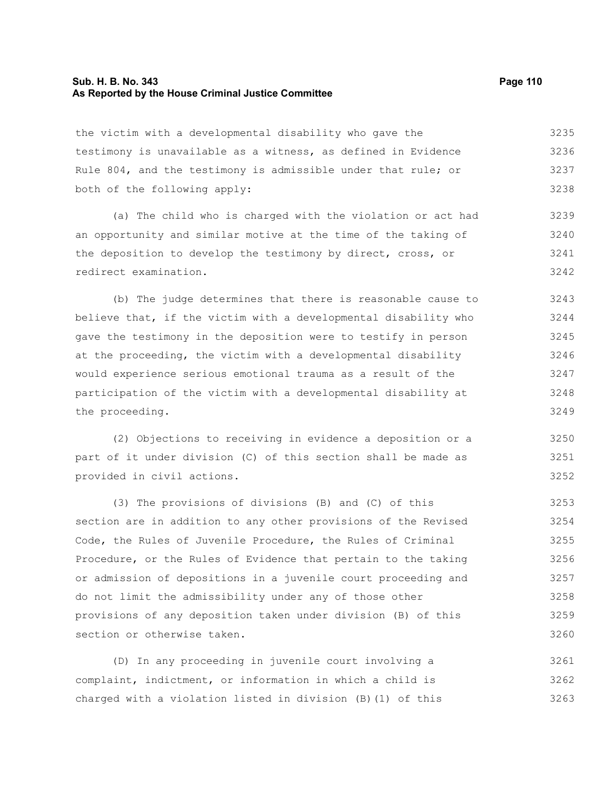## **Sub. H. B. No. 343 Page 110 As Reported by the House Criminal Justice Committee**

the victim with a developmental disability who gave the testimony is unavailable as a witness, as defined in Evidence Rule 804, and the testimony is admissible under that rule; or both of the following apply: 3235 3236 3237 3238

(a) The child who is charged with the violation or act had an opportunity and similar motive at the time of the taking of the deposition to develop the testimony by direct, cross, or redirect examination. 3239 3240 3241 3242

(b) The judge determines that there is reasonable cause to believe that, if the victim with a developmental disability who gave the testimony in the deposition were to testify in person at the proceeding, the victim with a developmental disability would experience serious emotional trauma as a result of the participation of the victim with a developmental disability at the proceeding. 3243 3244 3245 3246 3247 3248 3249

(2) Objections to receiving in evidence a deposition or a part of it under division (C) of this section shall be made as provided in civil actions. 3250 3251 3252

(3) The provisions of divisions (B) and (C) of this section are in addition to any other provisions of the Revised Code, the Rules of Juvenile Procedure, the Rules of Criminal Procedure, or the Rules of Evidence that pertain to the taking or admission of depositions in a juvenile court proceeding and do not limit the admissibility under any of those other provisions of any deposition taken under division (B) of this section or otherwise taken. 3253 3254 3255 3256 3257 3258 3259 3260

(D) In any proceeding in juvenile court involving a complaint, indictment, or information in which a child is charged with a violation listed in division (B)(1) of this 3261 3262 3263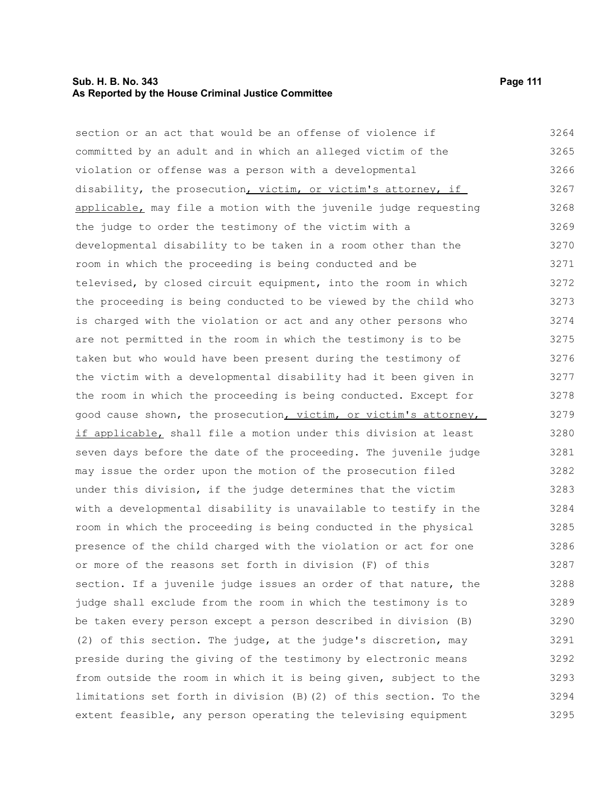## **Sub. H. B. No. 343 Page 111 As Reported by the House Criminal Justice Committee**

section or an act that would be an offense of violence if committed by an adult and in which an alleged victim of the violation or offense was a person with a developmental disability, the prosecution, victim, or victim's attorney, if applicable, may file a motion with the juvenile judge requesting the judge to order the testimony of the victim with a developmental disability to be taken in a room other than the room in which the proceeding is being conducted and be televised, by closed circuit equipment, into the room in which the proceeding is being conducted to be viewed by the child who is charged with the violation or act and any other persons who are not permitted in the room in which the testimony is to be taken but who would have been present during the testimony of the victim with a developmental disability had it been given in the room in which the proceeding is being conducted. Except for good cause shown, the prosecution, victim, or victim's attorney, if applicable, shall file a motion under this division at least seven days before the date of the proceeding. The juvenile judge may issue the order upon the motion of the prosecution filed under this division, if the judge determines that the victim with a developmental disability is unavailable to testify in the room in which the proceeding is being conducted in the physical presence of the child charged with the violation or act for one or more of the reasons set forth in division (F) of this section. If a juvenile judge issues an order of that nature, the judge shall exclude from the room in which the testimony is to be taken every person except a person described in division (B) (2) of this section. The judge, at the judge's discretion, may preside during the giving of the testimony by electronic means from outside the room in which it is being given, subject to the limitations set forth in division (B)(2) of this section. To the extent feasible, any person operating the televising equipment 3264 3265 3266 3267 3268 3269 3270 3271 3272 3273 3274 3275 3276 3277 3278 3279 3280 3281 3282 3283 3284 3285 3286 3287 3288 3289 3290 3291 3292 3293 3294 3295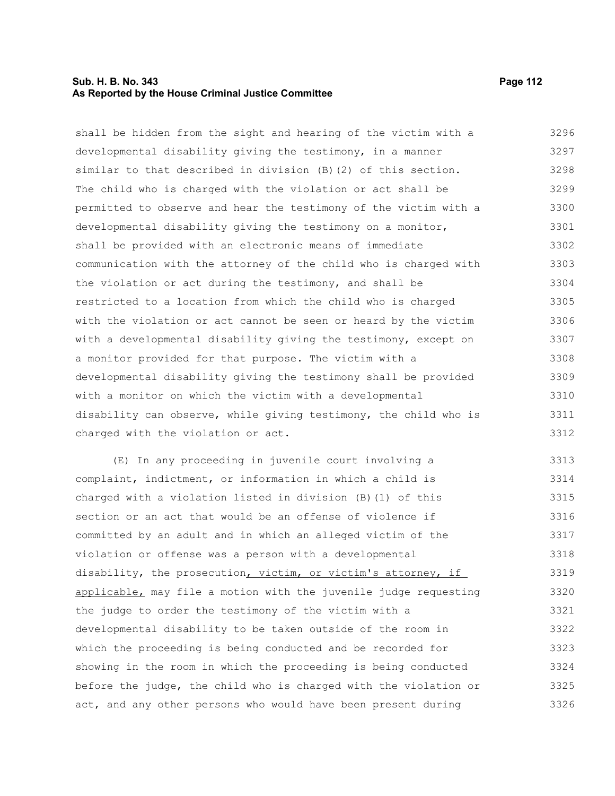# **Sub. H. B. No. 343 Page 112 As Reported by the House Criminal Justice Committee**

shall be hidden from the sight and hearing of the victim with a developmental disability giving the testimony, in a manner similar to that described in division (B)(2) of this section. The child who is charged with the violation or act shall be permitted to observe and hear the testimony of the victim with a developmental disability giving the testimony on a monitor, shall be provided with an electronic means of immediate communication with the attorney of the child who is charged with the violation or act during the testimony, and shall be restricted to a location from which the child who is charged with the violation or act cannot be seen or heard by the victim with a developmental disability giving the testimony, except on a monitor provided for that purpose. The victim with a developmental disability giving the testimony shall be provided with a monitor on which the victim with a developmental disability can observe, while giving testimony, the child who is charged with the violation or act. 3296 3297 3298 3299 3300 3301 3302 3303 3304 3305 3306 3307 3308 3309 3310 3311 3312

(E) In any proceeding in juvenile court involving a complaint, indictment, or information in which a child is charged with a violation listed in division (B)(1) of this section or an act that would be an offense of violence if committed by an adult and in which an alleged victim of the violation or offense was a person with a developmental disability, the prosecution, victim, or victim's attorney, if applicable, may file a motion with the juvenile judge requesting the judge to order the testimony of the victim with a developmental disability to be taken outside of the room in which the proceeding is being conducted and be recorded for showing in the room in which the proceeding is being conducted before the judge, the child who is charged with the violation or act, and any other persons who would have been present during 3313 3314 3315 3316 3317 3318 3319 3320 3321 3322 3323 3324 3325 3326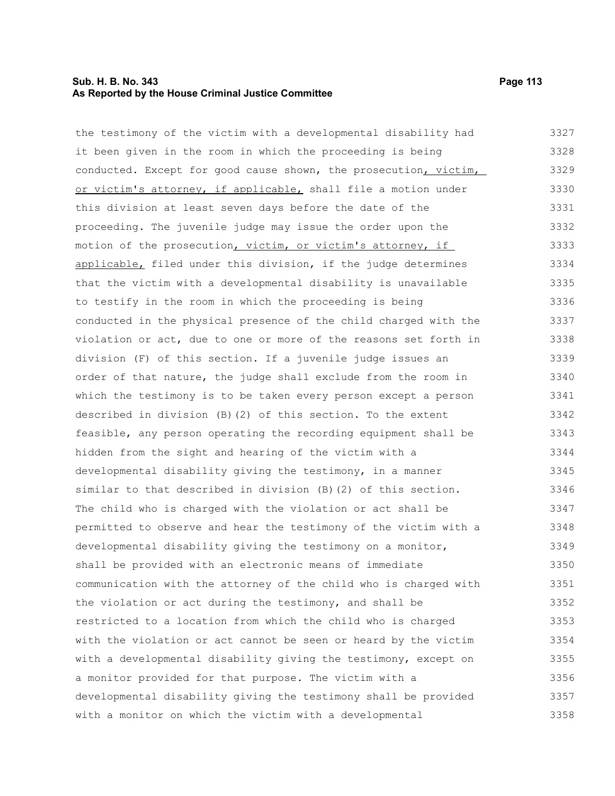# **Sub. H. B. No. 343 Page 113 As Reported by the House Criminal Justice Committee**

the testimony of the victim with a developmental disability had it been given in the room in which the proceeding is being conducted. Except for good cause shown, the prosecution, victim, or victim's attorney, if applicable, shall file a motion under this division at least seven days before the date of the proceeding. The juvenile judge may issue the order upon the motion of the prosecution, victim, or victim's attorney, if applicable, filed under this division, if the judge determines that the victim with a developmental disability is unavailable to testify in the room in which the proceeding is being conducted in the physical presence of the child charged with the violation or act, due to one or more of the reasons set forth in division (F) of this section. If a juvenile judge issues an order of that nature, the judge shall exclude from the room in which the testimony is to be taken every person except a person described in division (B)(2) of this section. To the extent feasible, any person operating the recording equipment shall be hidden from the sight and hearing of the victim with a developmental disability giving the testimony, in a manner similar to that described in division (B)(2) of this section. The child who is charged with the violation or act shall be permitted to observe and hear the testimony of the victim with a developmental disability giving the testimony on a monitor, shall be provided with an electronic means of immediate communication with the attorney of the child who is charged with the violation or act during the testimony, and shall be restricted to a location from which the child who is charged with the violation or act cannot be seen or heard by the victim with a developmental disability giving the testimony, except on 3327 3328 3329 3330 3331 3332 3333 3334 3335 3336 3337 3338 3339 3340 3341 3342 3343 3344 3345 3346 3347 3348 3349 3350 3351 3352 3353 3354 3355

a monitor provided for that purpose. The victim with a developmental disability giving the testimony shall be provided with a monitor on which the victim with a developmental 3356 3357 3358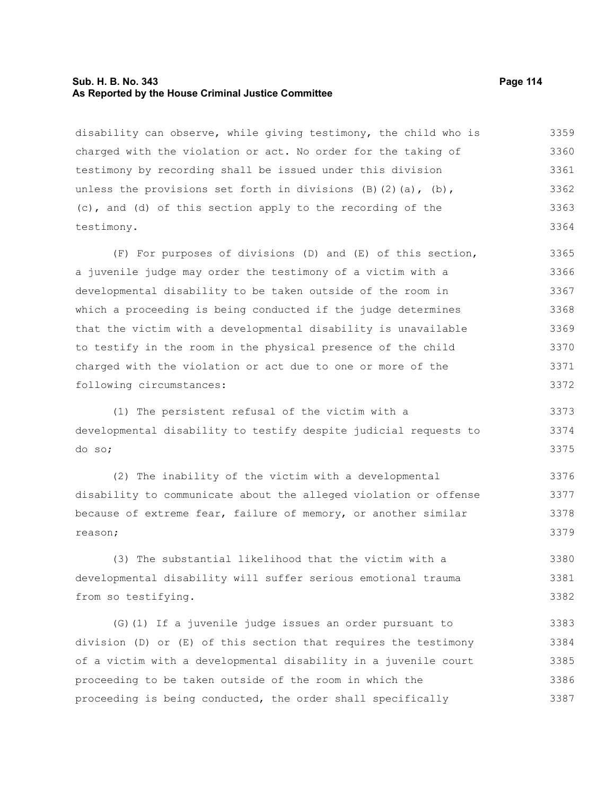## **Sub. H. B. No. 343 Page 114 As Reported by the House Criminal Justice Committee**

disability can observe, while giving testimony, the child who is charged with the violation or act. No order for the taking of testimony by recording shall be issued under this division unless the provisions set forth in divisions  $(B)$   $(2)$   $(a)$ ,  $(b)$ , (c), and (d) of this section apply to the recording of the testimony. 3359 3360 3361 3362 3363 3364

(F) For purposes of divisions (D) and (E) of this section, a juvenile judge may order the testimony of a victim with a developmental disability to be taken outside of the room in which a proceeding is being conducted if the judge determines that the victim with a developmental disability is unavailable to testify in the room in the physical presence of the child charged with the violation or act due to one or more of the following circumstances: 3365 3366 3367 3368 3369 3370 3371 3372

(1) The persistent refusal of the victim with a developmental disability to testify despite judicial requests to do so; 3373 3374 3375

(2) The inability of the victim with a developmental disability to communicate about the alleged violation or offense because of extreme fear, failure of memory, or another similar reason; 3376 3377 3378 3379

(3) The substantial likelihood that the victim with a developmental disability will suffer serious emotional trauma from so testifying. 3380 3381 3382

(G)(1) If a juvenile judge issues an order pursuant to division (D) or (E) of this section that requires the testimony of a victim with a developmental disability in a juvenile court proceeding to be taken outside of the room in which the proceeding is being conducted, the order shall specifically 3383 3384 3385 3386 3387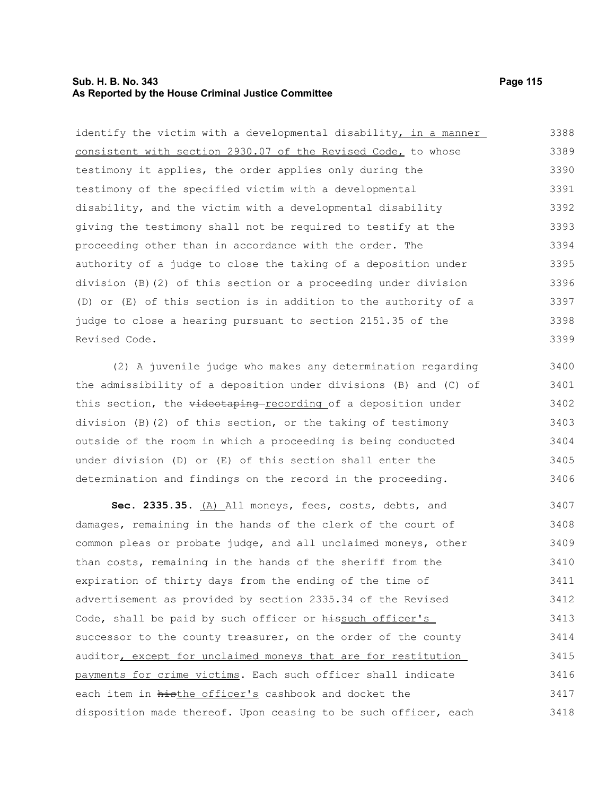# **Sub. H. B. No. 343 Page 115 As Reported by the House Criminal Justice Committee**

identify the victim with a developmental disability, in a manner consistent with section 2930.07 of the Revised Code, to whose testimony it applies, the order applies only during the testimony of the specified victim with a developmental disability, and the victim with a developmental disability giving the testimony shall not be required to testify at the proceeding other than in accordance with the order. The authority of a judge to close the taking of a deposition under division (B)(2) of this section or a proceeding under division (D) or (E) of this section is in addition to the authority of a judge to close a hearing pursuant to section 2151.35 of the Revised Code. 3388 3389 3390 3391 3392 3393 3394 3395 3396 3397 3398 3399

(2) A juvenile judge who makes any determination regarding the admissibility of a deposition under divisions (B) and (C) of this section, the videotaping recording of a deposition under division (B)(2) of this section, or the taking of testimony outside of the room in which a proceeding is being conducted under division (D) or (E) of this section shall enter the determination and findings on the record in the proceeding. 3400 3401 3402 3403 3404 3405 3406

Sec. 2335.35. (A) All moneys, fees, costs, debts, and damages, remaining in the hands of the clerk of the court of common pleas or probate judge, and all unclaimed moneys, other than costs, remaining in the hands of the sheriff from the expiration of thirty days from the ending of the time of advertisement as provided by section 2335.34 of the Revised Code, shall be paid by such officer or hissuch officer's successor to the county treasurer, on the order of the county auditor, except for unclaimed moneys that are for restitution payments for crime victims. Each such officer shall indicate each item in histhe officer's cashbook and docket the disposition made thereof. Upon ceasing to be such officer, each 3407 3408 3409 3410 3411 3412 3413 3414 3415 3416 3417 3418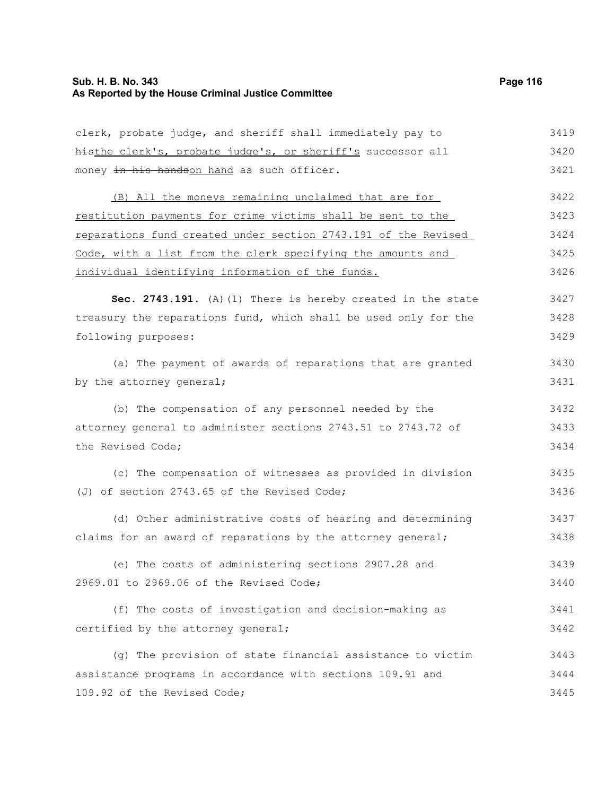# **Sub. H. B. No. 343 Page 116 As Reported by the House Criminal Justice Committee**

| clerk, probate judge, and sheriff shall immediately pay to      | 3419 |
|-----------------------------------------------------------------|------|
| histhe clerk's, probate judge's, or sheriff's successor all     | 3420 |
| money in his handson hand as such officer.                      | 3421 |
| (B) All the moneys remaining unclaimed that are for             | 3422 |
| restitution payments for crime victims shall be sent to the     | 3423 |
| reparations fund created under section 2743.191 of the Revised  | 3424 |
| Code, with a list from the clerk specifying the amounts and     | 3425 |
| individual identifying information of the funds.                | 3426 |
| Sec. 2743.191. (A) (1) There is hereby created in the state     | 3427 |
| treasury the reparations fund, which shall be used only for the | 3428 |
| following purposes:                                             | 3429 |
| (a) The payment of awards of reparations that are granted       | 3430 |
| by the attorney general;                                        | 3431 |
| (b) The compensation of any personnel needed by the             | 3432 |
| attorney general to administer sections 2743.51 to 2743.72 of   | 3433 |
| the Revised Code;                                               | 3434 |
| (c) The compensation of witnesses as provided in division       | 3435 |
| (J) of section 2743.65 of the Revised Code;                     | 3436 |
| (d) Other administrative costs of hearing and determining       | 3437 |
| claims for an award of reparations by the attorney general;     | 3438 |
| (e) The costs of administering sections 2907.28 and             | 3439 |
| 2969.01 to 2969.06 of the Revised Code;                         | 3440 |
| (f) The costs of investigation and decision-making as           | 3441 |
| certified by the attorney general;                              | 3442 |
| (g) The provision of state financial assistance to victim       | 3443 |
| assistance programs in accordance with sections 109.91 and      | 3444 |
| 109.92 of the Revised Code;                                     | 3445 |
|                                                                 |      |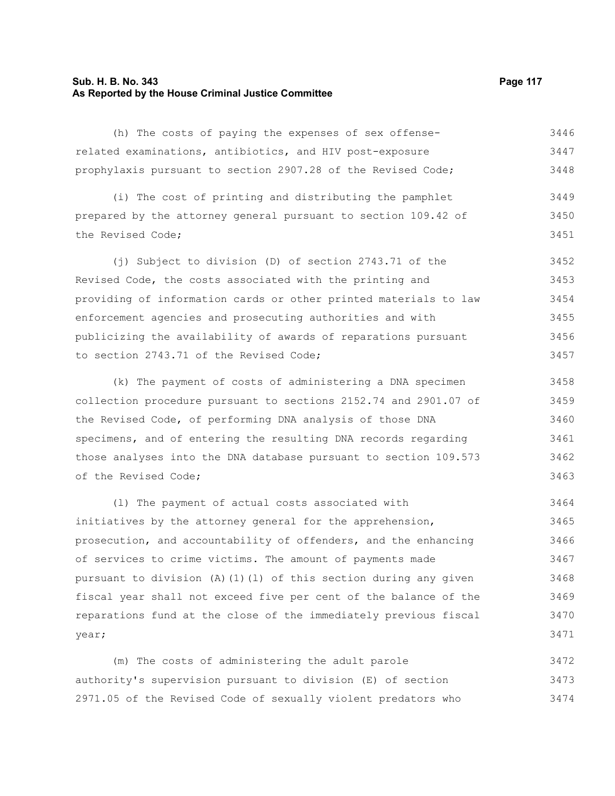# **Sub. H. B. No. 343 Page 117 As Reported by the House Criminal Justice Committee**

(h) The costs of paying the expenses of sex offenserelated examinations, antibiotics, and HIV post-exposure prophylaxis pursuant to section 2907.28 of the Revised Code; 3446 3447 3448

(i) The cost of printing and distributing the pamphlet prepared by the attorney general pursuant to section 109.42 of the Revised Code; 3449 3450 3451

(j) Subject to division (D) of section 2743.71 of the Revised Code, the costs associated with the printing and providing of information cards or other printed materials to law enforcement agencies and prosecuting authorities and with publicizing the availability of awards of reparations pursuant to section 2743.71 of the Revised Code; 3452 3453 3454 3455 3456 3457

(k) The payment of costs of administering a DNA specimen collection procedure pursuant to sections 2152.74 and 2901.07 of the Revised Code, of performing DNA analysis of those DNA specimens, and of entering the resulting DNA records regarding those analyses into the DNA database pursuant to section 109.573 of the Revised Code; 3458 3459 3460 3461 3462 3463

(l) The payment of actual costs associated with initiatives by the attorney general for the apprehension, prosecution, and accountability of offenders, and the enhancing of services to crime victims. The amount of payments made pursuant to division (A)(1)(1) of this section during any given fiscal year shall not exceed five per cent of the balance of the reparations fund at the close of the immediately previous fiscal year; 3464 3465 3466 3467 3468 3469 3470 3471

(m) The costs of administering the adult parole authority's supervision pursuant to division (E) of section 2971.05 of the Revised Code of sexually violent predators who 3472 3473 3474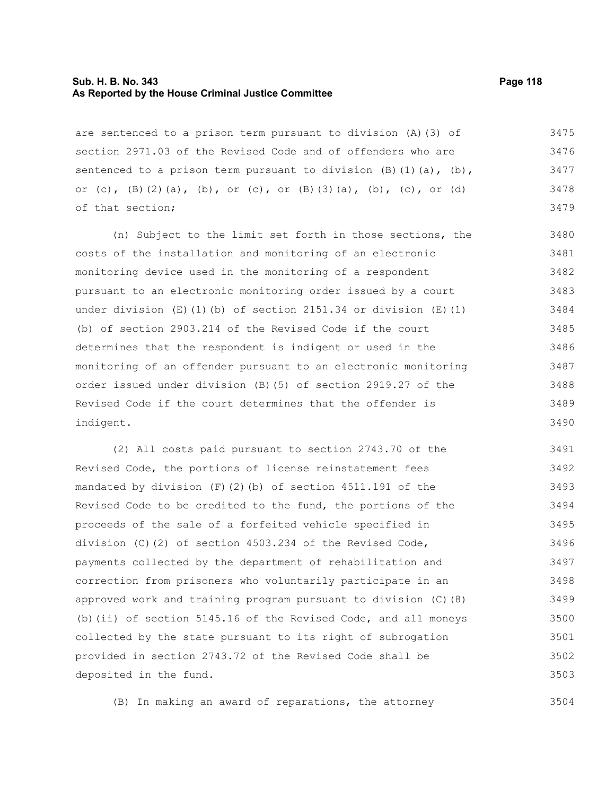#### **Sub. H. B. No. 343 Page 118 As Reported by the House Criminal Justice Committee**

are sentenced to a prison term pursuant to division (A)(3) of section 2971.03 of the Revised Code and of offenders who are sentenced to a prison term pursuant to division  $(B)$   $(1)$   $(a)$ ,  $(b)$ , or (c),  $(B) (2) (a)$ ,  $(b)$ , or (c), or  $(B) (3) (a)$ ,  $(b)$ ,  $(c)$ , or  $(d)$ of that section; 3475 3476 3477 3478 3479

(n) Subject to the limit set forth in those sections, the costs of the installation and monitoring of an electronic monitoring device used in the monitoring of a respondent pursuant to an electronic monitoring order issued by a court under division  $(E)$  (1)(b) of section 2151.34 or division  $(E)$  (1) (b) of section 2903.214 of the Revised Code if the court determines that the respondent is indigent or used in the monitoring of an offender pursuant to an electronic monitoring order issued under division (B)(5) of section 2919.27 of the Revised Code if the court determines that the offender is indigent. 3480 3481 3482 3483 3484 3485 3486 3487 3488 3489 3490

(2) All costs paid pursuant to section 2743.70 of the Revised Code, the portions of license reinstatement fees mandated by division (F)(2)(b) of section 4511.191 of the Revised Code to be credited to the fund, the portions of the proceeds of the sale of a forfeited vehicle specified in division (C)(2) of section 4503.234 of the Revised Code, payments collected by the department of rehabilitation and correction from prisoners who voluntarily participate in an approved work and training program pursuant to division (C)(8) (b)(ii) of section 5145.16 of the Revised Code, and all moneys collected by the state pursuant to its right of subrogation provided in section 2743.72 of the Revised Code shall be deposited in the fund. 3491 3492 3493 3494 3495 3496 3497 3498 3499 3500 3501 3502 3503

(B) In making an award of reparations, the attorney 3504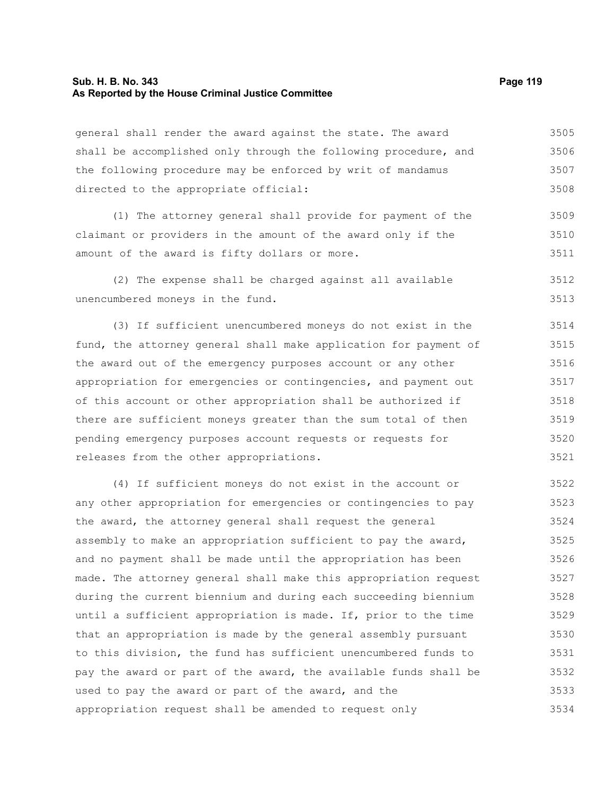## **Sub. H. B. No. 343** Page 119 **As Reported by the House Criminal Justice Committee**

general shall render the award against the state. The award shall be accomplished only through the following procedure, and the following procedure may be enforced by writ of mandamus directed to the appropriate official: 3505 3506 3507 3508

(1) The attorney general shall provide for payment of the claimant or providers in the amount of the award only if the amount of the award is fifty dollars or more. 3509 3510 3511

(2) The expense shall be charged against all available unencumbered moneys in the fund. 3512 3513

(3) If sufficient unencumbered moneys do not exist in the fund, the attorney general shall make application for payment of the award out of the emergency purposes account or any other appropriation for emergencies or contingencies, and payment out of this account or other appropriation shall be authorized if there are sufficient moneys greater than the sum total of then pending emergency purposes account requests or requests for releases from the other appropriations. 3514 3515 3516 3517 3518 3519 3520 3521

(4) If sufficient moneys do not exist in the account or any other appropriation for emergencies or contingencies to pay the award, the attorney general shall request the general assembly to make an appropriation sufficient to pay the award, and no payment shall be made until the appropriation has been made. The attorney general shall make this appropriation request during the current biennium and during each succeeding biennium until a sufficient appropriation is made. If, prior to the time that an appropriation is made by the general assembly pursuant to this division, the fund has sufficient unencumbered funds to pay the award or part of the award, the available funds shall be used to pay the award or part of the award, and the appropriation request shall be amended to request only 3522 3523 3524 3525 3526 3527 3528 3529 3530 3531 3532 3533 3534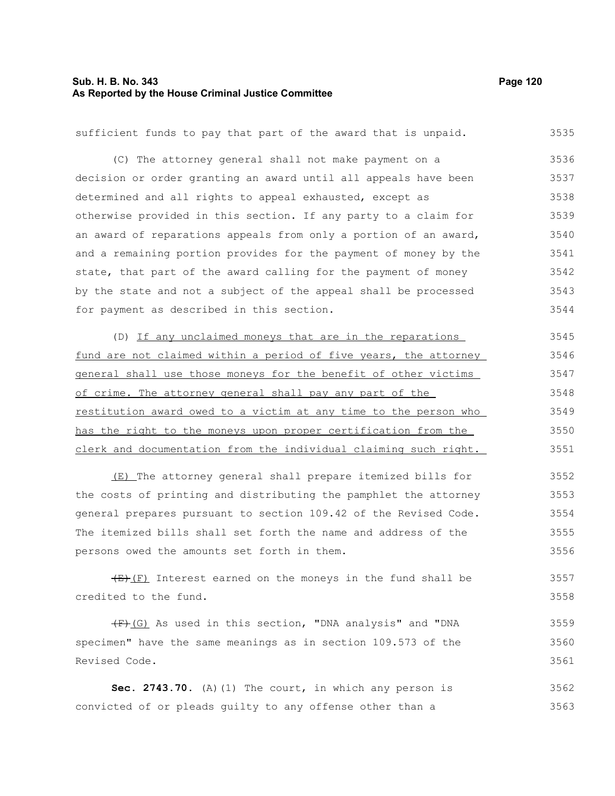# **Sub. H. B. No. 343 Page 120 As Reported by the House Criminal Justice Committee**

| sufficient funds to pay that part of the award that is unpaid.      | 3535 |
|---------------------------------------------------------------------|------|
| (C) The attorney general shall not make payment on a                | 3536 |
| decision or order granting an award until all appeals have been     | 3537 |
| determined and all rights to appeal exhausted, except as            | 3538 |
| otherwise provided in this section. If any party to a claim for     | 3539 |
| an award of reparations appeals from only a portion of an award,    | 3540 |
| and a remaining portion provides for the payment of money by the    | 3541 |
| state, that part of the award calling for the payment of money      | 3542 |
| by the state and not a subject of the appeal shall be processed     | 3543 |
| for payment as described in this section.                           | 3544 |
| (D) If any unclaimed moneys that are in the reparations             | 3545 |
| fund are not claimed within a period of five years, the attorney    | 3546 |
| general shall use those moneys for the benefit of other victims     | 3547 |
| of crime. The attorney general shall pay any part of the            | 3548 |
| restitution award owed to a victim at any time to the person who    | 3549 |
| has the right to the moneys upon proper certification from the      | 3550 |
| clerk and documentation from the individual claiming such right.    | 3551 |
| (E) The attorney general shall prepare itemized bills for           | 3552 |
| the costs of printing and distributing the pamphlet the attorney    | 3553 |
| general prepares pursuant to section 109.42 of the Revised Code.    | 3554 |
| The itemized bills shall set forth the name and address of the      | 3555 |
| persons owed the amounts set forth in them.                         | 3556 |
| $\overline{E}$ ) Interest earned on the moneys in the fund shall be | 3557 |
| credited to the fund.                                               | 3558 |
| (F)(G) As used in this section, "DNA analysis" and "DNA             | 3559 |
| specimen" have the same meanings as in section 109.573 of the       | 3560 |
| Revised Code.                                                       | 3561 |
|                                                                     |      |
| Sec. 2743.70. (A) (1) The court, in which any person is             | 3562 |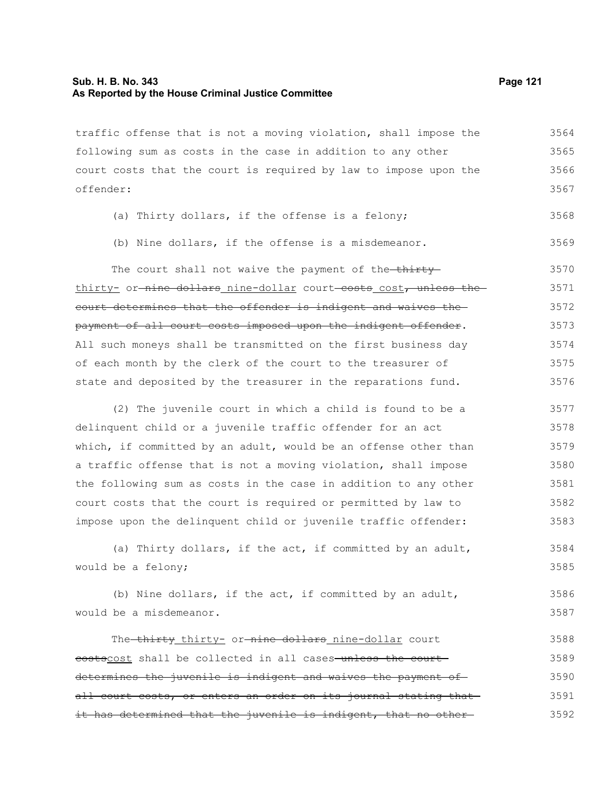### **Sub. H. B. No. 343** Page 121 **As Reported by the House Criminal Justice Committee**

traffic offense that is not a moving violation, shall impose the following sum as costs in the case in addition to any other court costs that the court is required by law to impose upon the offender: 3564 3565 3566 3567

- (a) Thirty dollars, if the offense is a felony; 3568
- (b) Nine dollars, if the offense is a misdemeanor. 3569

The court shall not waive the payment of the-thirtythirty- or-nine dollars nine-dollar court-costs cost, unless thecourt determines that the offender is indigent and waives the payment of all court costs imposed upon the indigent offender. All such moneys shall be transmitted on the first business day of each month by the clerk of the court to the treasurer of state and deposited by the treasurer in the reparations fund. 3570 3571 3572 3573 3574 3575 3576

(2) The juvenile court in which a child is found to be a delinquent child or a juvenile traffic offender for an act which, if committed by an adult, would be an offense other than a traffic offense that is not a moving violation, shall impose the following sum as costs in the case in addition to any other court costs that the court is required or permitted by law to impose upon the delinquent child or juvenile traffic offender: 3577 3578 3579 3580 3581 3582 3583

(a) Thirty dollars, if the act, if committed by an adult, would be a felony; 3584 3585

(b) Nine dollars, if the act, if committed by an adult, would be a misdemeanor. 3586 3587

The-thirty thirty- or-nine dollars nine-dollar court eostscost shall be collected in all cases-unless the courtdetermines the juvenile is indigent and waives the payment of all court costs, or enters an order on its journal stating that it has determined that the juvenile is indigent, that no other-3588 3589 3590 3591 3592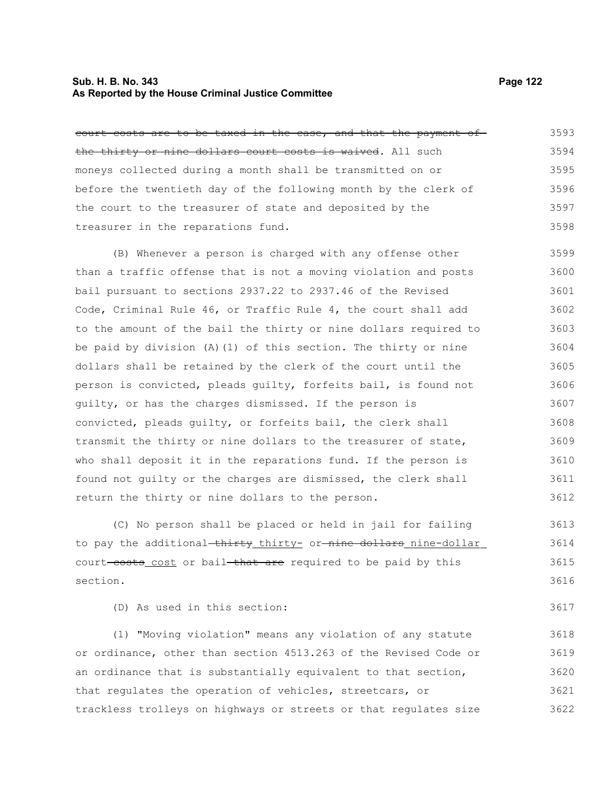# **Sub. H. B. No. 343 Page 122 As Reported by the House Criminal Justice Committee**

| court costs are to be taxed in the case, and that the payment of  | 3593 |
|-------------------------------------------------------------------|------|
| the thirty or nine dollars court costs is waived. All such        | 3594 |
| moneys collected during a month shall be transmitted on or        | 3595 |
| before the twentieth day of the following month by the clerk of   | 3596 |
| the court to the treasurer of state and deposited by the          | 3597 |
| treasurer in the reparations fund.                                | 3598 |
| (B) Whenever a person is charged with any offense other           | 3599 |
| than a traffic offense that is not a moving violation and posts   | 3600 |
| bail pursuant to sections 2937.22 to 2937.46 of the Revised       | 3601 |
| Code, Criminal Rule 46, or Traffic Rule 4, the court shall add    | 3602 |
| to the amount of the bail the thirty or nine dollars required to  | 3603 |
| be paid by division (A) (1) of this section. The thirty or nine   | 3604 |
| dollars shall be retained by the clerk of the court until the     | 3605 |
| person is convicted, pleads quilty, forfeits bail, is found not   | 3606 |
| quilty, or has the charges dismissed. If the person is            | 3607 |
| convicted, pleads quilty, or forfeits bail, the clerk shall       | 3608 |
| transmit the thirty or nine dollars to the treasurer of state,    | 3609 |
| who shall deposit it in the reparations fund. If the person is    | 3610 |
| found not guilty or the charges are dismissed, the clerk shall    | 3611 |
| return the thirty or nine dollars to the person.                  | 3612 |
| (C) No person shall be placed or held in jail for failing         | 3613 |
| to pay the additional-thirty_thirty- or-nine dollars_nine-dollar_ | 3614 |
| court-costs_cost or bail-that are required to be paid by this     | 3615 |
| section.                                                          | 3616 |

(D) As used in this section:

3617

(1) "Moving violation" means any violation of any statute or ordinance, other than section 4513.263 of the Revised Code or an ordinance that is substantially equivalent to that section, that regulates the operation of vehicles, streetcars, or trackless trolleys on highways or streets or that regulates size 3618 3619 3620 3621 3622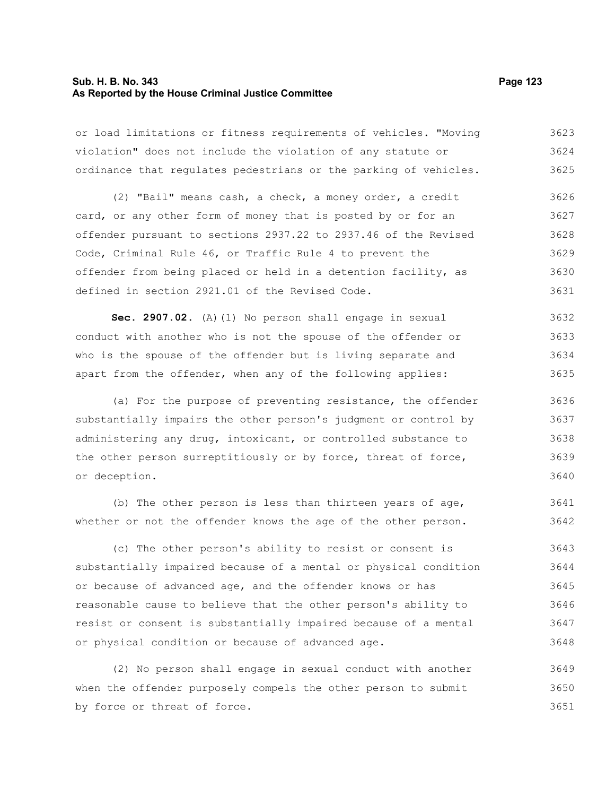### **Sub. H. B. No. 343 Page 123 As Reported by the House Criminal Justice Committee**

or load limitations or fitness requirements of vehicles. "Moving violation" does not include the violation of any statute or ordinance that regulates pedestrians or the parking of vehicles. 3623 3624 3625

(2) "Bail" means cash, a check, a money order, a credit card, or any other form of money that is posted by or for an offender pursuant to sections 2937.22 to 2937.46 of the Revised Code, Criminal Rule 46, or Traffic Rule 4 to prevent the offender from being placed or held in a detention facility, as defined in section 2921.01 of the Revised Code. 3626 3627 3628 3629 3630 3631

Sec. 2907.02. (A)(1) No person shall engage in sexual conduct with another who is not the spouse of the offender or who is the spouse of the offender but is living separate and apart from the offender, when any of the following applies: 3632 3633 3634 3635

(a) For the purpose of preventing resistance, the offender substantially impairs the other person's judgment or control by administering any drug, intoxicant, or controlled substance to the other person surreptitiously or by force, threat of force, or deception. 3636 3637 3638 3639 3640

(b) The other person is less than thirteen years of age, whether or not the offender knows the age of the other person. 3641 3642

(c) The other person's ability to resist or consent is substantially impaired because of a mental or physical condition or because of advanced age, and the offender knows or has reasonable cause to believe that the other person's ability to resist or consent is substantially impaired because of a mental or physical condition or because of advanced age. 3643 3644 3645 3646 3647 3648

(2) No person shall engage in sexual conduct with another when the offender purposely compels the other person to submit by force or threat of force. 3649 3650 3651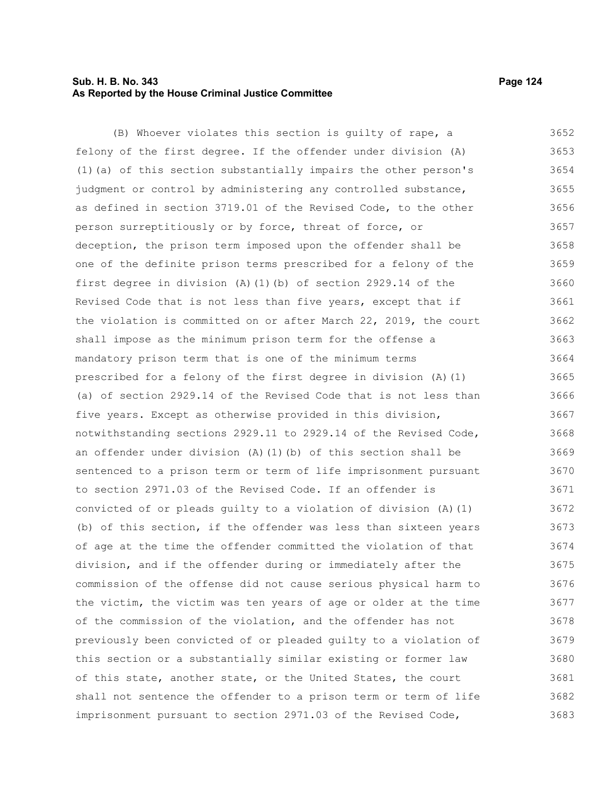# **Sub. H. B. No. 343** Page 124 **As Reported by the House Criminal Justice Committee**

(B) Whoever violates this section is guilty of rape, a felony of the first degree. If the offender under division (A) (1)(a) of this section substantially impairs the other person's judgment or control by administering any controlled substance, as defined in section 3719.01 of the Revised Code, to the other person surreptitiously or by force, threat of force, or deception, the prison term imposed upon the offender shall be one of the definite prison terms prescribed for a felony of the first degree in division (A)(1)(b) of section 2929.14 of the Revised Code that is not less than five years, except that if the violation is committed on or after March 22, 2019, the court shall impose as the minimum prison term for the offense a mandatory prison term that is one of the minimum terms prescribed for a felony of the first degree in division (A)(1) (a) of section 2929.14 of the Revised Code that is not less than five years. Except as otherwise provided in this division, notwithstanding sections 2929.11 to 2929.14 of the Revised Code, an offender under division (A)(1)(b) of this section shall be sentenced to a prison term or term of life imprisonment pursuant to section 2971.03 of the Revised Code. If an offender is convicted of or pleads guilty to a violation of division (A)(1) (b) of this section, if the offender was less than sixteen years of age at the time the offender committed the violation of that division, and if the offender during or immediately after the commission of the offense did not cause serious physical harm to the victim, the victim was ten years of age or older at the time of the commission of the violation, and the offender has not previously been convicted of or pleaded guilty to a violation of this section or a substantially similar existing or former law of this state, another state, or the United States, the court shall not sentence the offender to a prison term or term of life imprisonment pursuant to section 2971.03 of the Revised Code, 3652 3653 3654 3655 3656 3657 3658 3659 3660 3661 3662 3663 3664 3665 3666 3667 3668 3669 3670 3671 3672 3673 3674 3675 3676 3677 3678 3679 3680 3681 3682 3683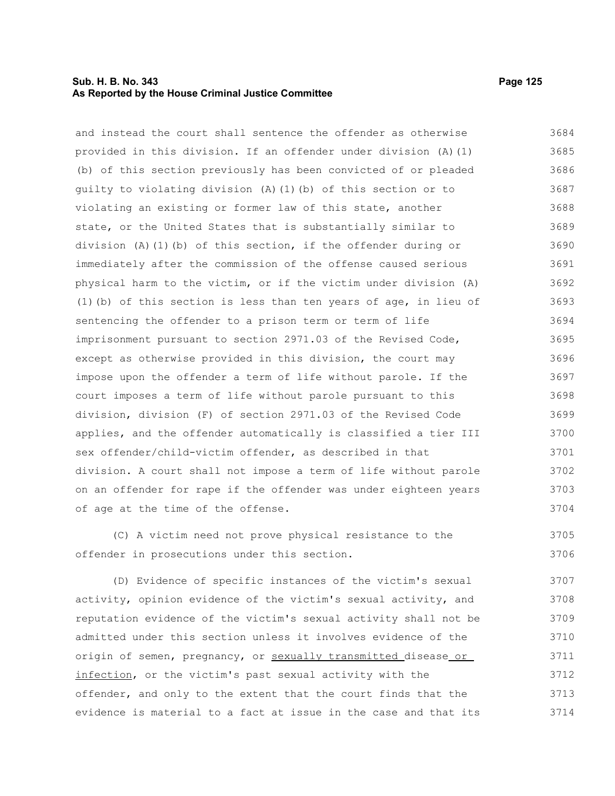# **Sub. H. B. No. 343 Page 125 As Reported by the House Criminal Justice Committee**

and instead the court shall sentence the offender as otherwise provided in this division. If an offender under division (A)(1) (b) of this section previously has been convicted of or pleaded guilty to violating division (A)(1)(b) of this section or to violating an existing or former law of this state, another state, or the United States that is substantially similar to division (A)(1)(b) of this section, if the offender during or immediately after the commission of the offense caused serious physical harm to the victim, or if the victim under division (A) (1)(b) of this section is less than ten years of age, in lieu of sentencing the offender to a prison term or term of life imprisonment pursuant to section 2971.03 of the Revised Code, except as otherwise provided in this division, the court may impose upon the offender a term of life without parole. If the court imposes a term of life without parole pursuant to this division, division (F) of section 2971.03 of the Revised Code applies, and the offender automatically is classified a tier III sex offender/child-victim offender, as described in that division. A court shall not impose a term of life without parole on an offender for rape if the offender was under eighteen years of age at the time of the offense. 3684 3685 3686 3687 3688 3689 3690 3691 3692 3693 3694 3695 3696 3697 3698 3699 3700 3701 3702 3703 3704

(C) A victim need not prove physical resistance to the offender in prosecutions under this section. 3705 3706

(D) Evidence of specific instances of the victim's sexual activity, opinion evidence of the victim's sexual activity, and reputation evidence of the victim's sexual activity shall not be admitted under this section unless it involves evidence of the origin of semen, pregnancy, or sexually transmitted disease or infection, or the victim's past sexual activity with the offender, and only to the extent that the court finds that the evidence is material to a fact at issue in the case and that its 3707 3708 3709 3710 3711 3712 3713 3714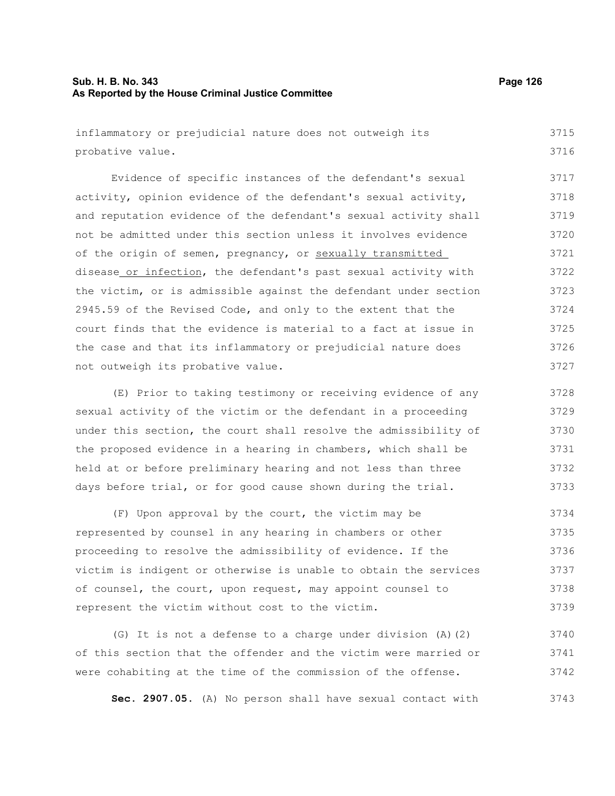# **Sub. H. B. No. 343 Page 126 As Reported by the House Criminal Justice Committee**

inflammatory or prejudicial nature does not outweigh its probative value. 3715 3716

Evidence of specific instances of the defendant's sexual activity, opinion evidence of the defendant's sexual activity, and reputation evidence of the defendant's sexual activity shall not be admitted under this section unless it involves evidence of the origin of semen, pregnancy, or sexually transmitted disease or infection, the defendant's past sexual activity with the victim, or is admissible against the defendant under section 2945.59 of the Revised Code, and only to the extent that the court finds that the evidence is material to a fact at issue in the case and that its inflammatory or prejudicial nature does not outweigh its probative value. 3717 3718 3719 3720 3721 3722 3723 3724 3725 3726 3727

(E) Prior to taking testimony or receiving evidence of any sexual activity of the victim or the defendant in a proceeding under this section, the court shall resolve the admissibility of the proposed evidence in a hearing in chambers, which shall be held at or before preliminary hearing and not less than three days before trial, or for good cause shown during the trial. 3728 3729 3730 3731 3732 3733

(F) Upon approval by the court, the victim may be represented by counsel in any hearing in chambers or other proceeding to resolve the admissibility of evidence. If the victim is indigent or otherwise is unable to obtain the services of counsel, the court, upon request, may appoint counsel to represent the victim without cost to the victim. 3734 3735 3736 3737 3738 3739

(G) It is not a defense to a charge under division (A)(2) of this section that the offender and the victim were married or were cohabiting at the time of the commission of the offense. 3740 3741 3742

**Sec. 2907.05.** (A) No person shall have sexual contact with 3743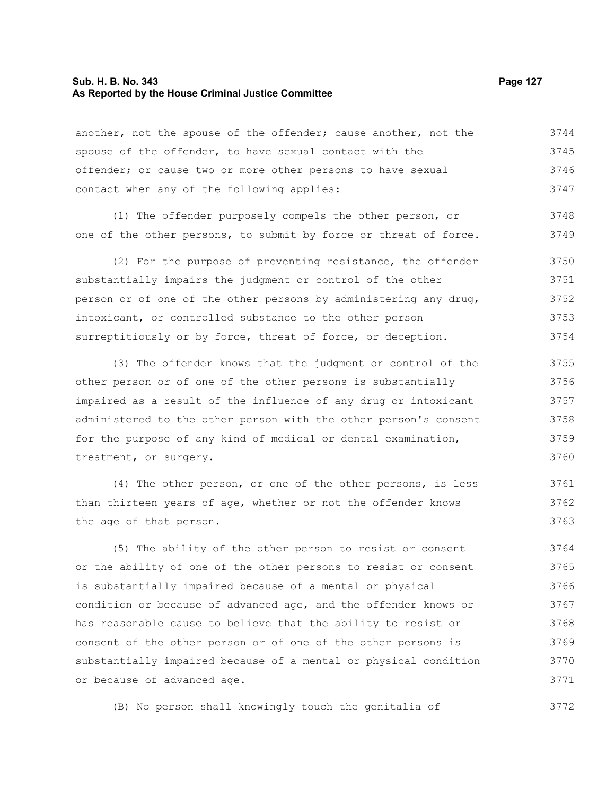### **Sub. H. B. No. 343 Page 127 As Reported by the House Criminal Justice Committee**

another, not the spouse of the offender; cause another, not the spouse of the offender, to have sexual contact with the offender; or cause two or more other persons to have sexual contact when any of the following applies: 3744 3745 3746 3747

(1) The offender purposely compels the other person, or one of the other persons, to submit by force or threat of force. 3748 3749

(2) For the purpose of preventing resistance, the offender substantially impairs the judgment or control of the other person or of one of the other persons by administering any drug, intoxicant, or controlled substance to the other person surreptitiously or by force, threat of force, or deception. 3750 3751 3752 3753 3754

(3) The offender knows that the judgment or control of the other person or of one of the other persons is substantially impaired as a result of the influence of any drug or intoxicant administered to the other person with the other person's consent for the purpose of any kind of medical or dental examination, treatment, or surgery. 3755 3756 3757 3758 3759 3760

(4) The other person, or one of the other persons, is less than thirteen years of age, whether or not the offender knows the age of that person. 3761 3762 3763

(5) The ability of the other person to resist or consent or the ability of one of the other persons to resist or consent is substantially impaired because of a mental or physical condition or because of advanced age, and the offender knows or has reasonable cause to believe that the ability to resist or consent of the other person or of one of the other persons is substantially impaired because of a mental or physical condition or because of advanced age. 3764 3765 3766 3767 3768 3769 3770 3771

(B) No person shall knowingly touch the genitalia of 3772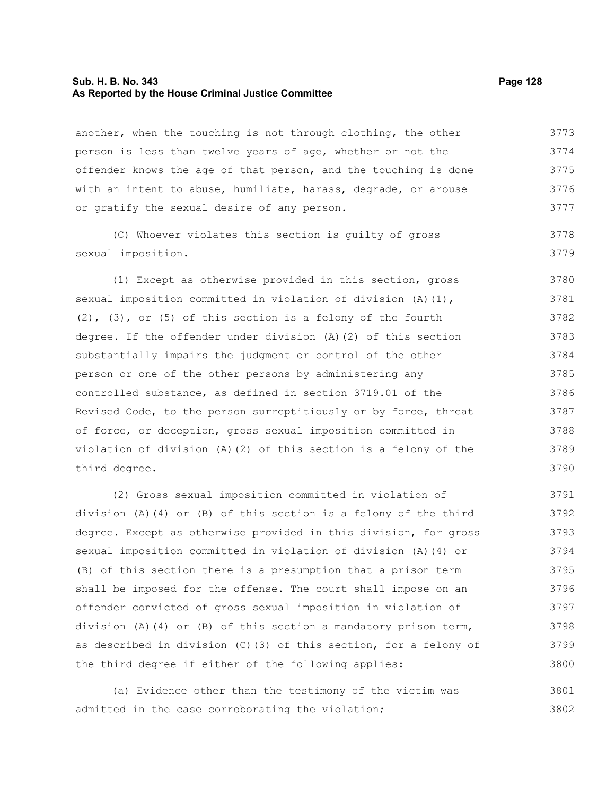### **Sub. H. B. No. 343 Page 128 As Reported by the House Criminal Justice Committee**

another, when the touching is not through clothing, the other person is less than twelve years of age, whether or not the offender knows the age of that person, and the touching is done with an intent to abuse, humiliate, harass, degrade, or arouse or gratify the sexual desire of any person. 3773 3774 3775 3776 3777

(C) Whoever violates this section is guilty of gross sexual imposition.

(1) Except as otherwise provided in this section, gross sexual imposition committed in violation of division (A)(1), (2), (3), or (5) of this section is a felony of the fourth degree. If the offender under division (A)(2) of this section substantially impairs the judgment or control of the other person or one of the other persons by administering any controlled substance, as defined in section 3719.01 of the Revised Code, to the person surreptitiously or by force, threat of force, or deception, gross sexual imposition committed in violation of division (A)(2) of this section is a felony of the third degree. 3780 3781 3782 3783 3784 3785 3786 3787 3788 3789 3790

(2) Gross sexual imposition committed in violation of division (A)(4) or (B) of this section is a felony of the third degree. Except as otherwise provided in this division, for gross sexual imposition committed in violation of division (A)(4) or (B) of this section there is a presumption that a prison term shall be imposed for the offense. The court shall impose on an offender convicted of gross sexual imposition in violation of division (A)(4) or (B) of this section a mandatory prison term, as described in division  $(C)$  (3) of this section, for a felony of the third degree if either of the following applies: 3791 3792 3793 3794 3795 3796 3797 3798 3799 3800

(a) Evidence other than the testimony of the victim was admitted in the case corroborating the violation; 3801 3802

3778 3779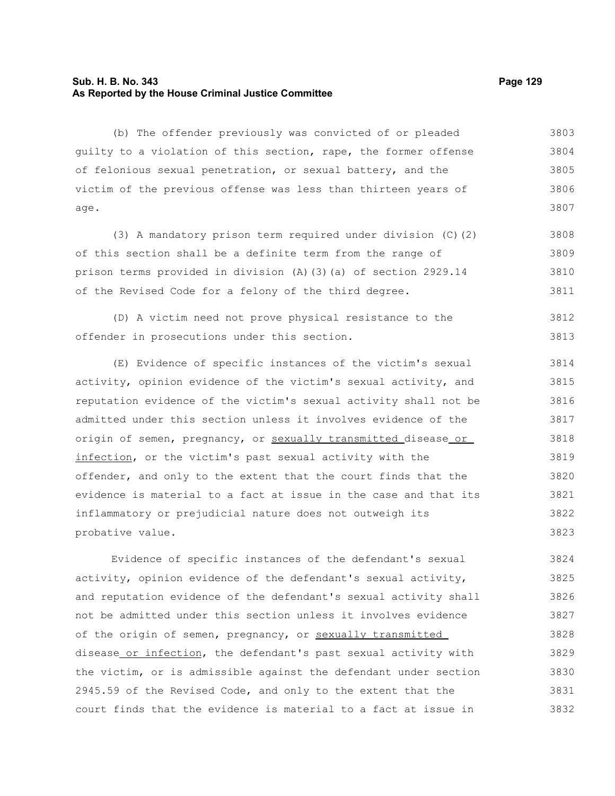# **Sub. H. B. No. 343** Page 129 **As Reported by the House Criminal Justice Committee**

(b) The offender previously was convicted of or pleaded guilty to a violation of this section, rape, the former offense of felonious sexual penetration, or sexual battery, and the victim of the previous offense was less than thirteen years of age. 3803 3804 3805 3806 3807

(3) A mandatory prison term required under division (C)(2) of this section shall be a definite term from the range of prison terms provided in division (A)(3)(a) of section 2929.14 of the Revised Code for a felony of the third degree. 3808 3809 3810 3811

(D) A victim need not prove physical resistance to the offender in prosecutions under this section. 3812 3813

(E) Evidence of specific instances of the victim's sexual activity, opinion evidence of the victim's sexual activity, and reputation evidence of the victim's sexual activity shall not be admitted under this section unless it involves evidence of the origin of semen, pregnancy, or sexually transmitted disease or infection, or the victim's past sexual activity with the offender, and only to the extent that the court finds that the evidence is material to a fact at issue in the case and that its inflammatory or prejudicial nature does not outweigh its probative value. 3814 3815 3816 3817 3818 3819 3820 3821 3822 3823

Evidence of specific instances of the defendant's sexual activity, opinion evidence of the defendant's sexual activity, and reputation evidence of the defendant's sexual activity shall not be admitted under this section unless it involves evidence of the origin of semen, pregnancy, or sexually transmitted disease or infection, the defendant's past sexual activity with the victim, or is admissible against the defendant under section 2945.59 of the Revised Code, and only to the extent that the court finds that the evidence is material to a fact at issue in 3824 3825 3826 3827 3828 3829 3830 3831 3832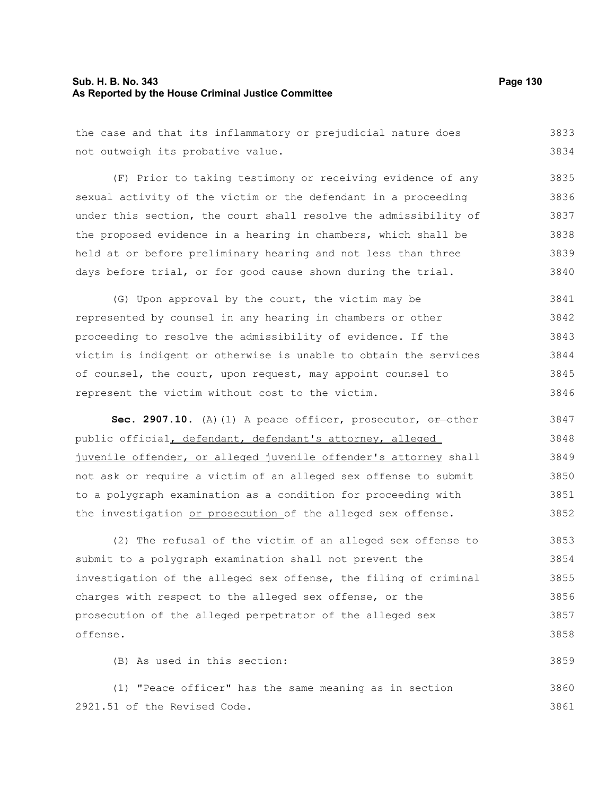# **Sub. H. B. No. 343 Page 130 As Reported by the House Criminal Justice Committee**

| the case and that its inflammatory or prejudicial nature does       | 3833 |
|---------------------------------------------------------------------|------|
| not outweigh its probative value.                                   | 3834 |
| (F) Prior to taking testimony or receiving evidence of any          | 3835 |
| sexual activity of the victim or the defendant in a proceeding      | 3836 |
| under this section, the court shall resolve the admissibility of    | 3837 |
| the proposed evidence in a hearing in chambers, which shall be      | 3838 |
| held at or before preliminary hearing and not less than three       | 3839 |
| days before trial, or for good cause shown during the trial.        | 3840 |
| (G) Upon approval by the court, the victim may be                   | 3841 |
| represented by counsel in any hearing in chambers or other          | 3842 |
| proceeding to resolve the admissibility of evidence. If the         | 3843 |
| victim is indigent or otherwise is unable to obtain the services    | 3844 |
| of counsel, the court, upon request, may appoint counsel to         | 3845 |
| represent the victim without cost to the victim.                    | 3846 |
| Sec. 2907.10. (A) (1) A peace officer, prosecutor, $\theta$ r-other | 3847 |
| public official, defendant, defendant's attorney, alleged           | 3848 |
| juvenile offender, or alleged juvenile offender's attorney shall    | 3849 |
| not ask or require a victim of an alleged sex offense to submit     | 3850 |
| to a polygraph examination as a condition for proceeding with       | 3851 |
| the investigation or prosecution of the alleged sex offense.        | 3852 |
| (2) The refusal of the victim of an alleged sex offense to          | 3853 |
| submit to a polygraph examination shall not prevent the             | 3854 |
| investigation of the alleged sex offense, the filing of criminal    | 3855 |
| charges with respect to the alleged sex offense, or the             | 3856 |
| prosecution of the alleged perpetrator of the alleged sex           | 3857 |
| offense.                                                            | 3858 |
| (B) As used in this section:                                        | 3859 |
| (1) "Peace officer" has the same meaning as in section              | 3860 |
| 2921.51 of the Revised Code.                                        | 3861 |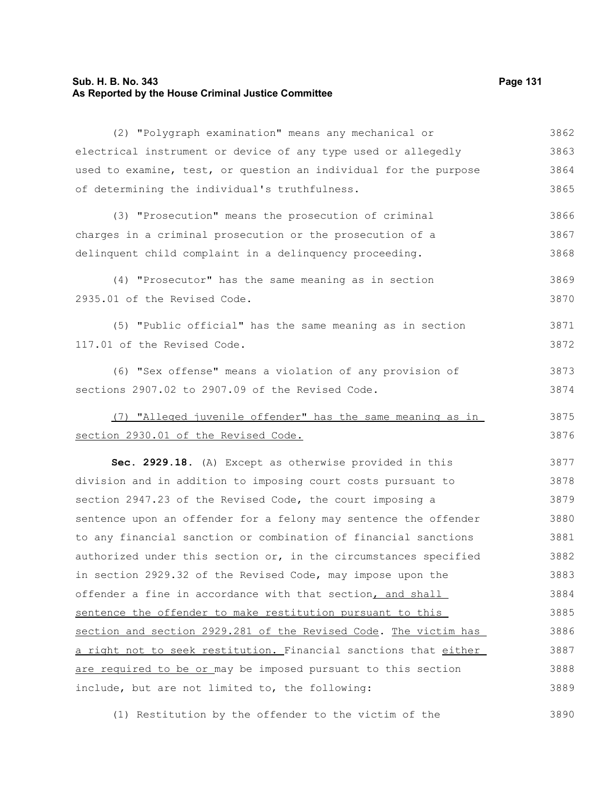# **Sub. H. B. No. 343** Page 131 **As Reported by the House Criminal Justice Committee**

| (2) "Polygraph examination" means any mechanical or              | 3862 |
|------------------------------------------------------------------|------|
| electrical instrument or device of any type used or allegedly    | 3863 |
| used to examine, test, or question an individual for the purpose | 3864 |
| of determining the individual's truthfulness.                    | 3865 |
| (3) "Prosecution" means the prosecution of criminal              | 3866 |
| charges in a criminal prosecution or the prosecution of a        | 3867 |
| delinquent child complaint in a delinquency proceeding.          | 3868 |
| (4) "Prosecutor" has the same meaning as in section              | 3869 |
| 2935.01 of the Revised Code.                                     | 3870 |
| (5) "Public official" has the same meaning as in section         | 3871 |
| 117.01 of the Revised Code.                                      | 3872 |
| (6) "Sex offense" means a violation of any provision of          | 3873 |
| sections 2907.02 to 2907.09 of the Revised Code.                 | 3874 |
| (7) "Alleged juvenile offender" has the same meaning as in       | 3875 |
| section 2930.01 of the Revised Code.                             | 3876 |
| Sec. 2929.18. (A) Except as otherwise provided in this           | 3877 |
| division and in addition to imposing court costs pursuant to     | 3878 |
| section 2947.23 of the Revised Code, the court imposing a        | 3879 |
| sentence upon an offender for a felony may sentence the offender | 3880 |
| to any financial sanction or combination of financial sanctions  | 3881 |
| authorized under this section or, in the circumstances specified | 3882 |
| in section 2929.32 of the Revised Code, may impose upon the      | 3883 |
| offender a fine in accordance with that section, and shall       | 3884 |
| sentence the offender to make restitution pursuant to this       | 3885 |
| section and section 2929.281 of the Revised Code. The victim has | 3886 |
| a right not to seek restitution. Financial sanctions that either | 3887 |
| are required to be or may be imposed pursuant to this section    | 3888 |
| include, but are not limited to, the following:                  | 3889 |
|                                                                  |      |

(1) Restitution by the offender to the victim of the 3890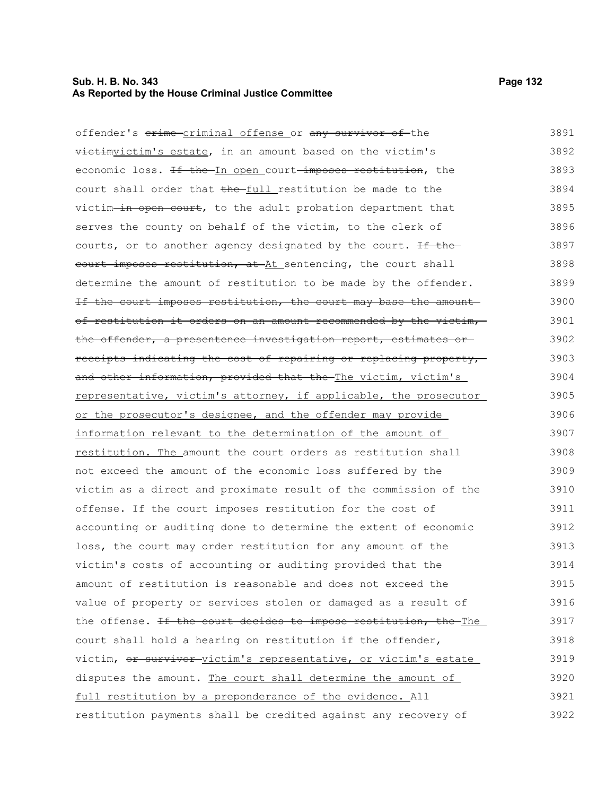# **Sub. H. B. No. 343 Page 132 As Reported by the House Criminal Justice Committee**

| offender's erime-criminal offense or any survivor of the         | 3891 |
|------------------------------------------------------------------|------|
| victimvictim's estate, in an amount based on the victim's        | 3892 |
| economic loss. If the In open court imposes restitution, the     | 3893 |
| court shall order that the full restitution be made to the       | 3894 |
| victim in open court, to the adult probation department that     | 3895 |
| serves the county on behalf of the victim, to the clerk of       | 3896 |
| courts, or to another agency designated by the court. If the     | 3897 |
| court imposes restitution, at At sentencing, the court shall     | 3898 |
| determine the amount of restitution to be made by the offender.  | 3899 |
| If the court imposes restitution, the court may base the amount- | 3900 |
| of restitution it orders on an amount recommended by the victim, | 3901 |
| the offender, a presentence investigation report, estimates or-  | 3902 |
| receipts indicating the cost of repairing or replacing property, | 3903 |
| and other information, provided that the The victim, victim's    | 3904 |
| representative, victim's attorney, if applicable, the prosecutor | 3905 |
| or the prosecutor's designee, and the offender may provide       | 3906 |
| information relevant to the determination of the amount of       | 3907 |
| restitution. The amount the court orders as restitution shall    | 3908 |
| not exceed the amount of the economic loss suffered by the       | 3909 |
| victim as a direct and proximate result of the commission of the | 3910 |
| offense. If the court imposes restitution for the cost of        | 3911 |
| accounting or auditing done to determine the extent of economic  | 3912 |
| loss, the court may order restitution for any amount of the      | 3913 |
| victim's costs of accounting or auditing provided that the       | 3914 |
| amount of restitution is reasonable and does not exceed the      | 3915 |
| value of property or services stolen or damaged as a result of   | 3916 |
| the offense. If the court decides to impose restitution, the The | 3917 |
| court shall hold a hearing on restitution if the offender,       | 3918 |
| victim, or survivor-victim's representative, or victim's estate  | 3919 |
| disputes the amount. The court shall determine the amount of     | 3920 |
| full restitution by a preponderance of the evidence. All         | 3921 |
| restitution payments shall be credited against any recovery of   | 3922 |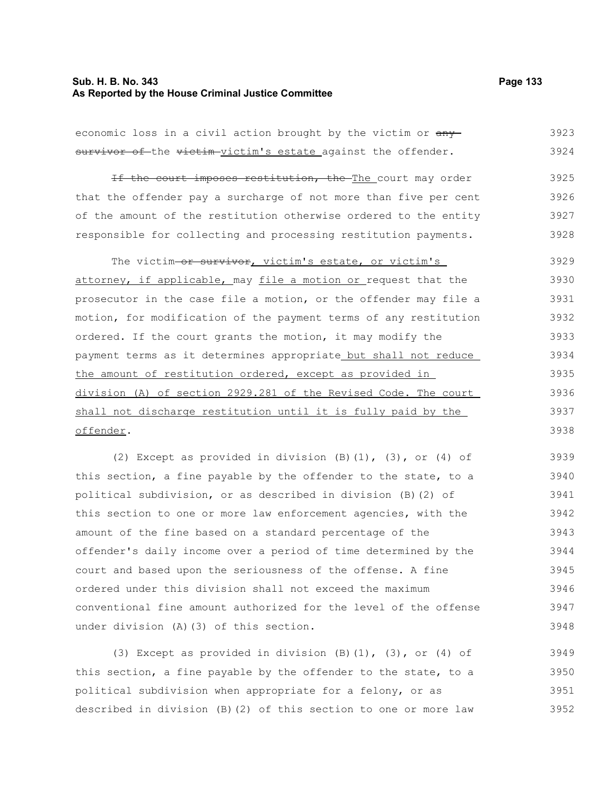# **Sub. H. B. No. 343 Page 133 As Reported by the House Criminal Justice Committee**

under division (A)(3) of this section.

3948

| economic loss in a civil action brought by the victim or any     | 3923 |
|------------------------------------------------------------------|------|
| survivor of the vietim-victim's estate against the offender.     | 3924 |
| If the court imposes restitution, the The court may order        | 3925 |
| that the offender pay a surcharge of not more than five per cent | 3926 |
| of the amount of the restitution otherwise ordered to the entity | 3927 |
| responsible for collecting and processing restitution payments.  | 3928 |
| The victim-or survivor, victim's estate, or victim's             | 3929 |
| attorney, if applicable, may file a motion or request that the   | 3930 |
| prosecutor in the case file a motion, or the offender may file a | 3931 |
| motion, for modification of the payment terms of any restitution | 3932 |
| ordered. If the court grants the motion, it may modify the       | 3933 |
| payment terms as it determines appropriate but shall not reduce  | 3934 |
| the amount of restitution ordered, except as provided in         | 3935 |
| division (A) of section 2929.281 of the Revised Code. The court  | 3936 |
| shall not discharge restitution until it is fully paid by the    | 3937 |
| offender.                                                        | 3938 |
| (2) Except as provided in division (B)(1), (3), or (4) of        | 3939 |
| this section, a fine payable by the offender to the state, to a  | 3940 |
| political subdivision, or as described in division (B) (2) of    | 3941 |
| this section to one or more law enforcement agencies, with the   | 3942 |
| amount of the fine based on a standard percentage of the         | 3943 |
| offender's daily income over a period of time determined by the  | 3944 |
| court and based upon the seriousness of the offense. A fine      | 3945 |
| ordered under this division shall not exceed the maximum         | 3946 |
| conventional fine amount authorized for the level of the offense | 3947 |

(3) Except as provided in division  $(B)$   $(1)$ ,  $(3)$ , or  $(4)$  of this section, a fine payable by the offender to the state, to a political subdivision when appropriate for a felony, or as described in division (B)(2) of this section to one or more law 3949 3950 3951 3952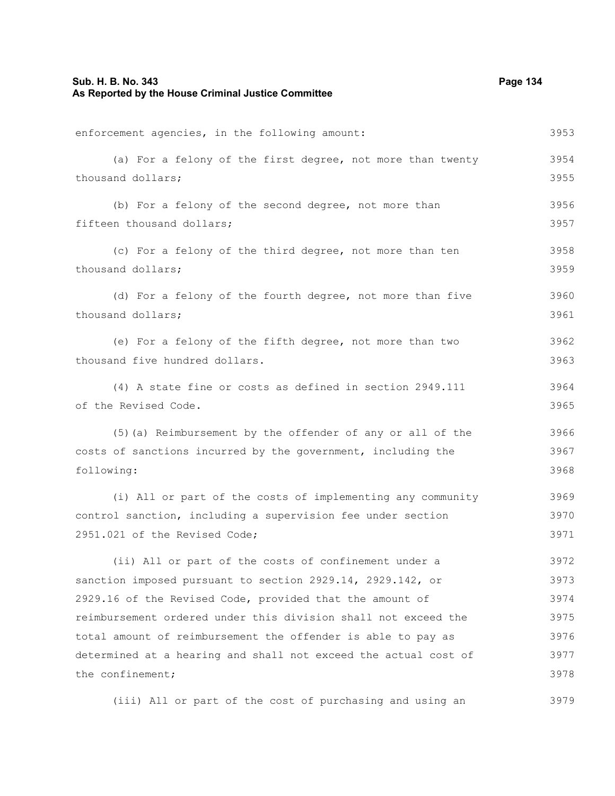# **Sub. H. B. No. 343 Page 134 As Reported by the House Criminal Justice Committee**

| enforcement agencies, in the following amount:                  | 3953 |
|-----------------------------------------------------------------|------|
| (a) For a felony of the first degree, not more than twenty      | 3954 |
| thousand dollars;                                               | 3955 |
| (b) For a felony of the second degree, not more than            | 3956 |
| fifteen thousand dollars;                                       | 3957 |
| (c) For a felony of the third degree, not more than ten         | 3958 |
| thousand dollars;                                               | 3959 |
| (d) For a felony of the fourth degree, not more than five       | 3960 |
| thousand dollars;                                               | 3961 |
| (e) For a felony of the fifth degree, not more than two         | 3962 |
| thousand five hundred dollars.                                  | 3963 |
| (4) A state fine or costs as defined in section 2949.111        | 3964 |
| of the Revised Code.                                            | 3965 |
| (5) (a) Reimbursement by the offender of any or all of the      | 3966 |
| costs of sanctions incurred by the government, including the    | 3967 |
| following:                                                      | 3968 |
| (i) All or part of the costs of implementing any community      | 3969 |
| control sanction, including a supervision fee under section     | 3970 |
| 2951.021 of the Revised Code;                                   | 3971 |
| (ii) All or part of the costs of confinement under a            | 3972 |
| sanction imposed pursuant to section 2929.14, 2929.142, or      | 3973 |
| 2929.16 of the Revised Code, provided that the amount of        | 3974 |
| reimbursement ordered under this division shall not exceed the  | 3975 |
| total amount of reimbursement the offender is able to pay as    | 3976 |
| determined at a hearing and shall not exceed the actual cost of | 3977 |
| the confinement;                                                | 3978 |
| (iii) All or part of the cost of purchasing and using an        | 3979 |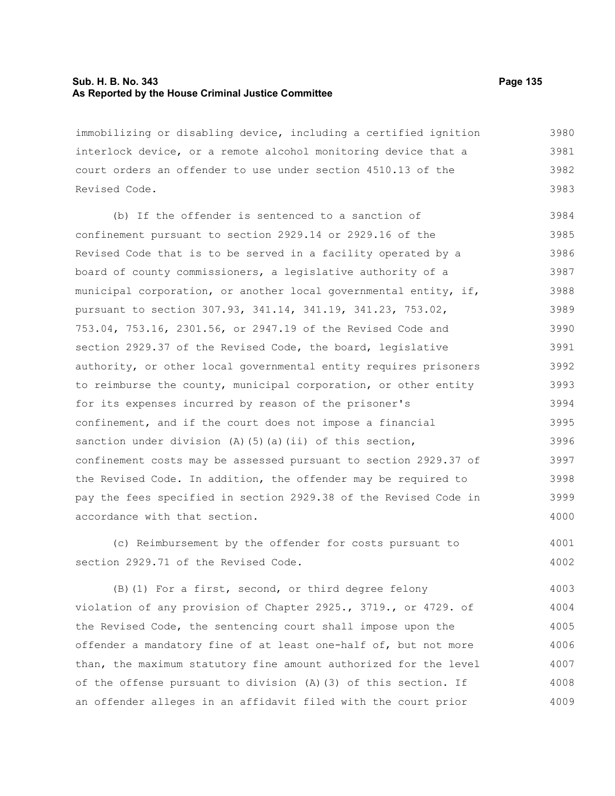## **Sub. H. B. No. 343 Page 135 As Reported by the House Criminal Justice Committee**

immobilizing or disabling device, including a certified ignition interlock device, or a remote alcohol monitoring device that a court orders an offender to use under section 4510.13 of the Revised Code. 3980 3981 3982 3983

(b) If the offender is sentenced to a sanction of confinement pursuant to section 2929.14 or 2929.16 of the Revised Code that is to be served in a facility operated by a board of county commissioners, a legislative authority of a municipal corporation, or another local governmental entity, if, pursuant to section 307.93, 341.14, 341.19, 341.23, 753.02, 753.04, 753.16, 2301.56, or 2947.19 of the Revised Code and section 2929.37 of the Revised Code, the board, legislative authority, or other local governmental entity requires prisoners to reimburse the county, municipal corporation, or other entity for its expenses incurred by reason of the prisoner's confinement, and if the court does not impose a financial sanction under division (A)(5)(a)(ii) of this section, confinement costs may be assessed pursuant to section 2929.37 of the Revised Code. In addition, the offender may be required to pay the fees specified in section 2929.38 of the Revised Code in accordance with that section. 3984 3985 3986 3987 3988 3989 3990 3991 3992 3993 3994 3995 3996 3997 3998 3999 4000

(c) Reimbursement by the offender for costs pursuant to section 2929.71 of the Revised Code.

(B)(1) For a first, second, or third degree felony violation of any provision of Chapter 2925., 3719., or 4729. of the Revised Code, the sentencing court shall impose upon the offender a mandatory fine of at least one-half of, but not more than, the maximum statutory fine amount authorized for the level of the offense pursuant to division (A)(3) of this section. If an offender alleges in an affidavit filed with the court prior 4003 4004 4005 4006 4007 4008 4009

4001 4002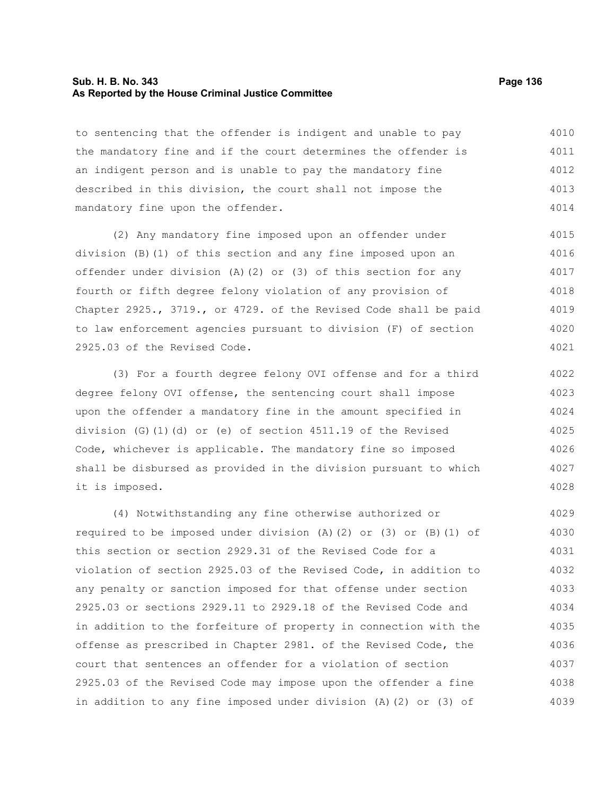#### **Sub. H. B. No. 343 Page 136 As Reported by the House Criminal Justice Committee**

to sentencing that the offender is indigent and unable to pay the mandatory fine and if the court determines the offender is an indigent person and is unable to pay the mandatory fine described in this division, the court shall not impose the mandatory fine upon the offender. 4010 4011 4012 4013 4014

(2) Any mandatory fine imposed upon an offender under division (B)(1) of this section and any fine imposed upon an offender under division (A)(2) or (3) of this section for any fourth or fifth degree felony violation of any provision of Chapter 2925., 3719., or 4729. of the Revised Code shall be paid to law enforcement agencies pursuant to division (F) of section 2925.03 of the Revised Code. 4015 4016 4017 4018 4019 4020 4021

(3) For a fourth degree felony OVI offense and for a third degree felony OVI offense, the sentencing court shall impose upon the offender a mandatory fine in the amount specified in division (G)(1)(d) or (e) of section  $4511.19$  of the Revised Code, whichever is applicable. The mandatory fine so imposed shall be disbursed as provided in the division pursuant to which it is imposed. 4022 4023 4024 4025 4026 4027 4028

(4) Notwithstanding any fine otherwise authorized or required to be imposed under division  $(A)(2)$  or  $(3)$  or  $(B)(1)$  of this section or section 2929.31 of the Revised Code for a violation of section 2925.03 of the Revised Code, in addition to any penalty or sanction imposed for that offense under section 2925.03 or sections 2929.11 to 2929.18 of the Revised Code and in addition to the forfeiture of property in connection with the offense as prescribed in Chapter 2981. of the Revised Code, the court that sentences an offender for a violation of section 2925.03 of the Revised Code may impose upon the offender a fine in addition to any fine imposed under division (A)(2) or (3) of 4029 4030 4031 4032 4033 4034 4035 4036 4037 4038 4039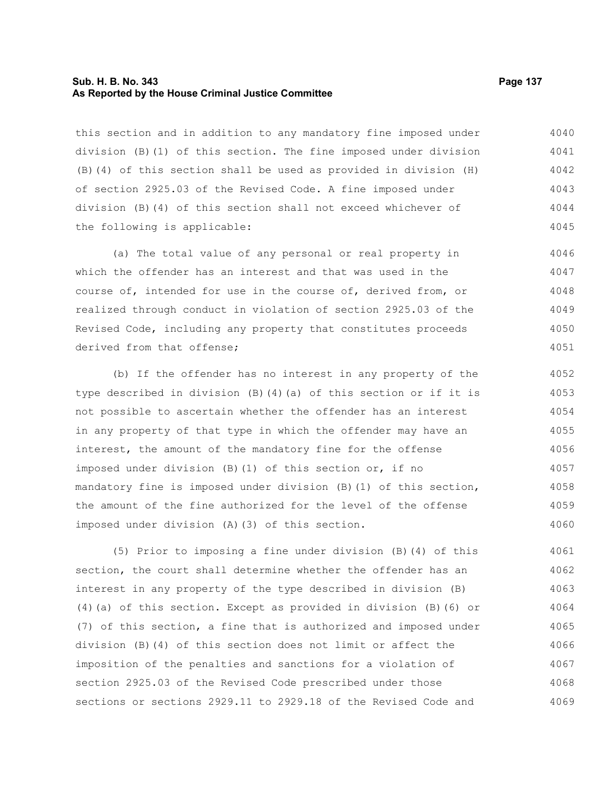### **Sub. H. B. No. 343 Page 137 As Reported by the House Criminal Justice Committee**

this section and in addition to any mandatory fine imposed under division (B)(1) of this section. The fine imposed under division (B)(4) of this section shall be used as provided in division (H) of section 2925.03 of the Revised Code. A fine imposed under division (B)(4) of this section shall not exceed whichever of the following is applicable: 4040 4041 4042 4043 4044 4045

(a) The total value of any personal or real property in which the offender has an interest and that was used in the course of, intended for use in the course of, derived from, or realized through conduct in violation of section 2925.03 of the Revised Code, including any property that constitutes proceeds derived from that offense; 4046 4047 4048 4049 4050 4051

(b) If the offender has no interest in any property of the type described in division  $(B)$  (4)(a) of this section or if it is not possible to ascertain whether the offender has an interest in any property of that type in which the offender may have an interest, the amount of the mandatory fine for the offense imposed under division (B)(1) of this section or, if no mandatory fine is imposed under division (B)(1) of this section, the amount of the fine authorized for the level of the offense imposed under division (A)(3) of this section. 4052 4053 4054 4055 4056 4057 4058 4059 4060

(5) Prior to imposing a fine under division (B)(4) of this section, the court shall determine whether the offender has an interest in any property of the type described in division (B) (4)(a) of this section. Except as provided in division (B)(6) or (7) of this section, a fine that is authorized and imposed under division (B)(4) of this section does not limit or affect the imposition of the penalties and sanctions for a violation of section 2925.03 of the Revised Code prescribed under those sections or sections 2929.11 to 2929.18 of the Revised Code and 4061 4062 4063 4064 4065 4066 4067 4068 4069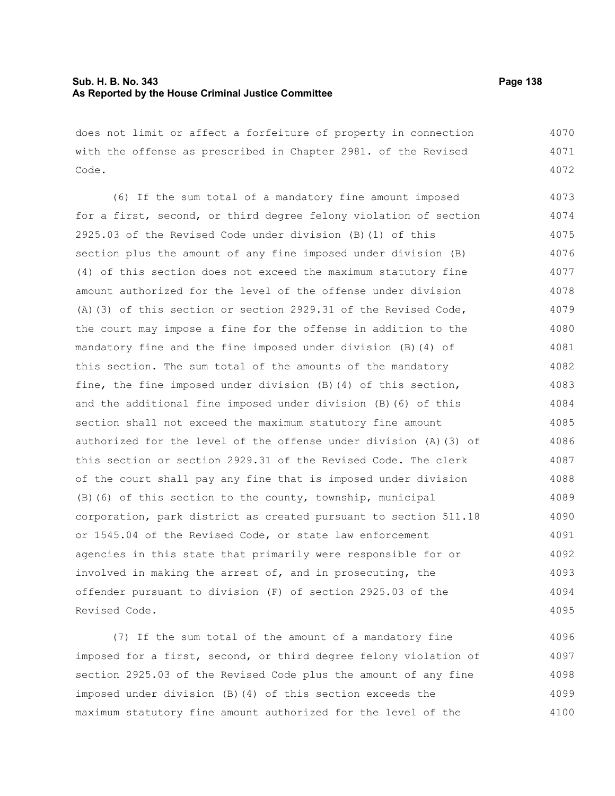does not limit or affect a forfeiture of property in connection with the offense as prescribed in Chapter 2981. of the Revised Code. 4070 4071 4072

(6) If the sum total of a mandatory fine amount imposed for a first, second, or third degree felony violation of section 2925.03 of the Revised Code under division (B)(1) of this section plus the amount of any fine imposed under division (B) (4) of this section does not exceed the maximum statutory fine amount authorized for the level of the offense under division (A)(3) of this section or section 2929.31 of the Revised Code, the court may impose a fine for the offense in addition to the mandatory fine and the fine imposed under division (B)(4) of this section. The sum total of the amounts of the mandatory fine, the fine imposed under division (B)(4) of this section, and the additional fine imposed under division (B)(6) of this section shall not exceed the maximum statutory fine amount authorized for the level of the offense under division (A)(3) of this section or section 2929.31 of the Revised Code. The clerk of the court shall pay any fine that is imposed under division (B)(6) of this section to the county, township, municipal corporation, park district as created pursuant to section 511.18 or 1545.04 of the Revised Code, or state law enforcement agencies in this state that primarily were responsible for or involved in making the arrest of, and in prosecuting, the offender pursuant to division (F) of section 2925.03 of the Revised Code. 4073 4074 4075 4076 4077 4078 4079 4080 4081 4082 4083 4084 4085 4086 4087 4088 4089 4090 4091 4092 4093 4094 4095

(7) If the sum total of the amount of a mandatory fine imposed for a first, second, or third degree felony violation of section 2925.03 of the Revised Code plus the amount of any fine imposed under division (B)(4) of this section exceeds the maximum statutory fine amount authorized for the level of the 4096 4097 4098 4099 4100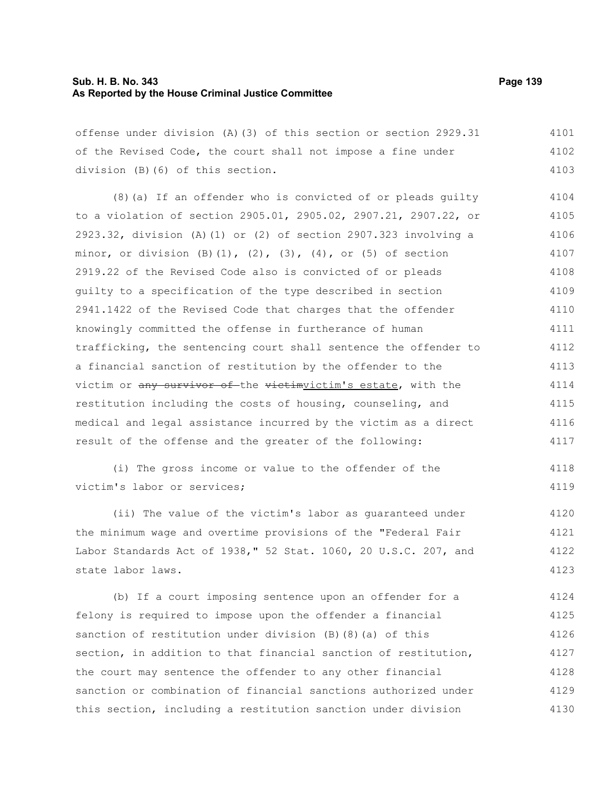# **Sub. H. B. No. 343 Page 139 As Reported by the House Criminal Justice Committee**

offense under division (A)(3) of this section or section 2929.31 of the Revised Code, the court shall not impose a fine under division (B)(6) of this section. 4101 4102 4103

(8)(a) If an offender who is convicted of or pleads guilty to a violation of section 2905.01, 2905.02, 2907.21, 2907.22, or 2923.32, division (A)(1) or (2) of section 2907.323 involving a minor, or division  $(B)$   $(1)$ ,  $(2)$ ,  $(3)$ ,  $(4)$ , or  $(5)$  of section 2919.22 of the Revised Code also is convicted of or pleads guilty to a specification of the type described in section 2941.1422 of the Revised Code that charges that the offender knowingly committed the offense in furtherance of human trafficking, the sentencing court shall sentence the offender to a financial sanction of restitution by the offender to the victim or any survivor of the victimvictim's estate, with the restitution including the costs of housing, counseling, and medical and legal assistance incurred by the victim as a direct result of the offense and the greater of the following: 4104 4105 4106 4107 4108 4109 4110 4111 4112 4113 4114 4115 4116 4117

(i) The gross income or value to the offender of the victim's labor or services; 4118 4119

(ii) The value of the victim's labor as guaranteed under the minimum wage and overtime provisions of the "Federal Fair Labor Standards Act of 1938," 52 Stat. 1060, 20 U.S.C. 207, and state labor laws. 4120 4121 4122 4123

(b) If a court imposing sentence upon an offender for a felony is required to impose upon the offender a financial sanction of restitution under division (B)(8)(a) of this section, in addition to that financial sanction of restitution, the court may sentence the offender to any other financial sanction or combination of financial sanctions authorized under this section, including a restitution sanction under division 4124 4125 4126 4127 4128 4129 4130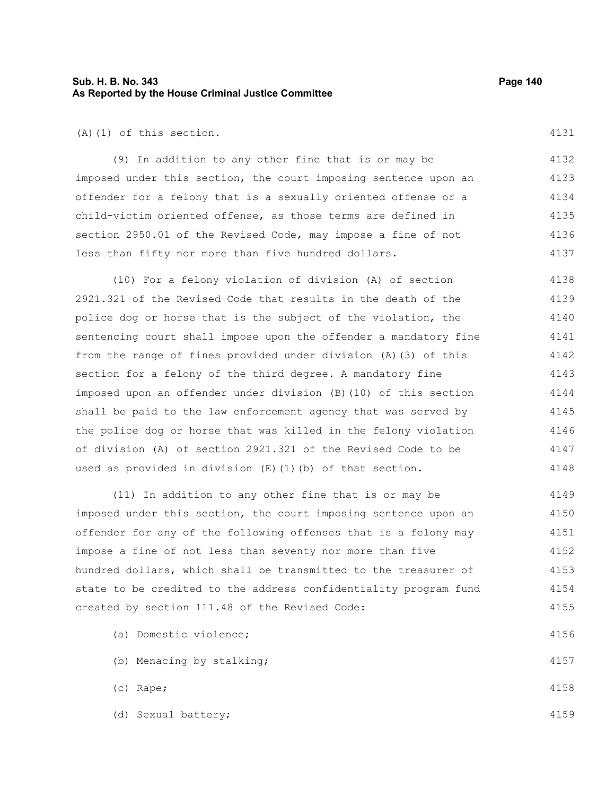# **Sub. H. B. No. 343** Page 140 **As Reported by the House Criminal Justice Committee**

(A)(1) of this section.

(9) In addition to any other fine that is or may be imposed under this section, the court imposing sentence upon an offender for a felony that is a sexually oriented offense or a child-victim oriented offense, as those terms are defined in section 2950.01 of the Revised Code, may impose a fine of not less than fifty nor more than five hundred dollars. 4132 4133 4134 4135 4136 4137

(10) For a felony violation of division (A) of section 2921.321 of the Revised Code that results in the death of the police dog or horse that is the subject of the violation, the sentencing court shall impose upon the offender a mandatory fine from the range of fines provided under division (A)(3) of this section for a felony of the third degree. A mandatory fine imposed upon an offender under division (B)(10) of this section shall be paid to the law enforcement agency that was served by the police dog or horse that was killed in the felony violation of division (A) of section 2921.321 of the Revised Code to be used as provided in division (E)(1)(b) of that section. 4138 4139 4140 4141 4142 4143 4144 4145 4146 4147 4148

(11) In addition to any other fine that is or may be imposed under this section, the court imposing sentence upon an offender for any of the following offenses that is a felony may impose a fine of not less than seventy nor more than five hundred dollars, which shall be transmitted to the treasurer of state to be credited to the address confidentiality program fund created by section 111.48 of the Revised Code: 4149 4150 4151 4152 4153 4154 4155

- (a) Domestic violence; (b) Menacing by stalking; (c) Rape; 4156 4157 4158
	- (d) Sexual battery; 4159

4131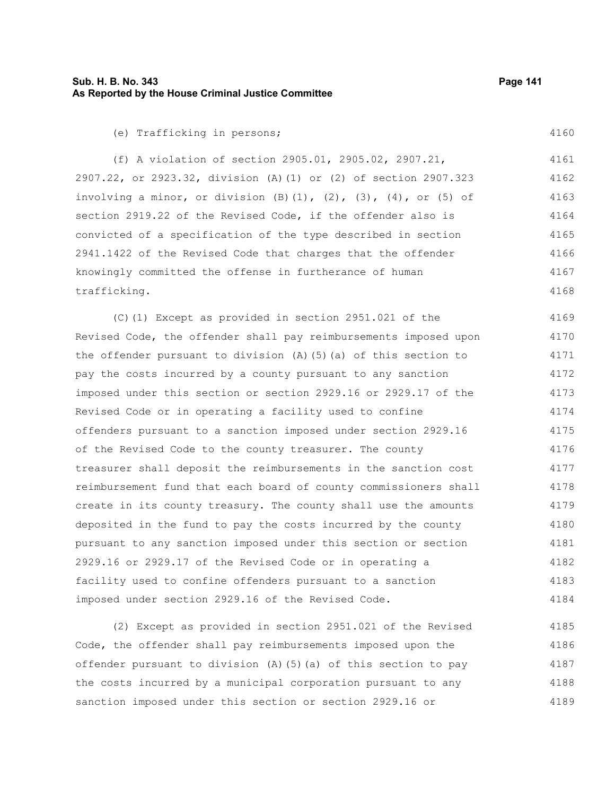(e) Trafficking in persons;

(f) A violation of section 2905.01, 2905.02, 2907.21, 2907.22, or 2923.32, division (A)(1) or (2) of section 2907.323 involving a minor, or division  $(B)(1)$ ,  $(2)$ ,  $(3)$ ,  $(4)$ , or  $(5)$  of section 2919.22 of the Revised Code, if the offender also is convicted of a specification of the type described in section 2941.1422 of the Revised Code that charges that the offender knowingly committed the offense in furtherance of human trafficking. 4161 4162 4163 4164 4165 4166 4167 4168

(C)(1) Except as provided in section 2951.021 of the Revised Code, the offender shall pay reimbursements imposed upon the offender pursuant to division (A)(5)(a) of this section to pay the costs incurred by a county pursuant to any sanction imposed under this section or section 2929.16 or 2929.17 of the Revised Code or in operating a facility used to confine offenders pursuant to a sanction imposed under section 2929.16 of the Revised Code to the county treasurer. The county treasurer shall deposit the reimbursements in the sanction cost reimbursement fund that each board of county commissioners shall create in its county treasury. The county shall use the amounts deposited in the fund to pay the costs incurred by the county pursuant to any sanction imposed under this section or section 2929.16 or 2929.17 of the Revised Code or in operating a facility used to confine offenders pursuant to a sanction imposed under section 2929.16 of the Revised Code. 4169 4170 4171 4172 4173 4174 4175 4176 4177 4178 4179 4180 4181 4182 4183 4184

(2) Except as provided in section 2951.021 of the Revised Code, the offender shall pay reimbursements imposed upon the offender pursuant to division  $(A)$  (5)(a) of this section to pay the costs incurred by a municipal corporation pursuant to any sanction imposed under this section or section 2929.16 or 4185 4186 4187 4188 4189

4160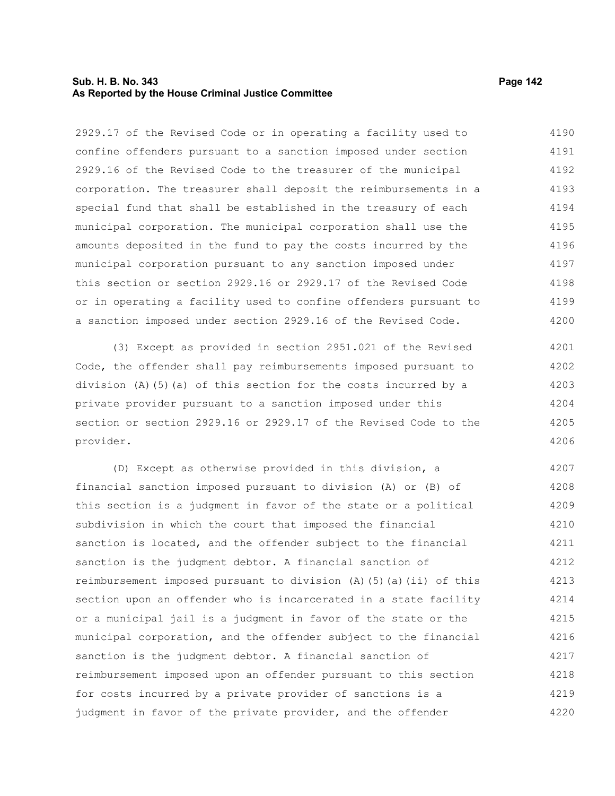## **Sub. H. B. No. 343** Page 142 **As Reported by the House Criminal Justice Committee**

2929.17 of the Revised Code or in operating a facility used to confine offenders pursuant to a sanction imposed under section 2929.16 of the Revised Code to the treasurer of the municipal corporation. The treasurer shall deposit the reimbursements in a special fund that shall be established in the treasury of each municipal corporation. The municipal corporation shall use the amounts deposited in the fund to pay the costs incurred by the municipal corporation pursuant to any sanction imposed under this section or section 2929.16 or 2929.17 of the Revised Code or in operating a facility used to confine offenders pursuant to a sanction imposed under section 2929.16 of the Revised Code. 4190 4191 4192 4193 4194 4195 4196 4197 4198 4199 4200

(3) Except as provided in section 2951.021 of the Revised Code, the offender shall pay reimbursements imposed pursuant to division (A)(5)(a) of this section for the costs incurred by a private provider pursuant to a sanction imposed under this section or section 2929.16 or 2929.17 of the Revised Code to the provider. 4201 4202 4203 4204 4205 4206

(D) Except as otherwise provided in this division, a financial sanction imposed pursuant to division (A) or (B) of this section is a judgment in favor of the state or a political subdivision in which the court that imposed the financial sanction is located, and the offender subject to the financial sanction is the judgment debtor. A financial sanction of reimbursement imposed pursuant to division (A)(5)(a)(ii) of this section upon an offender who is incarcerated in a state facility or a municipal jail is a judgment in favor of the state or the municipal corporation, and the offender subject to the financial sanction is the judgment debtor. A financial sanction of reimbursement imposed upon an offender pursuant to this section for costs incurred by a private provider of sanctions is a judgment in favor of the private provider, and the offender 4207 4208 4209 4210 4211 4212 4213 4214 4215 4216 4217 4218 4219 4220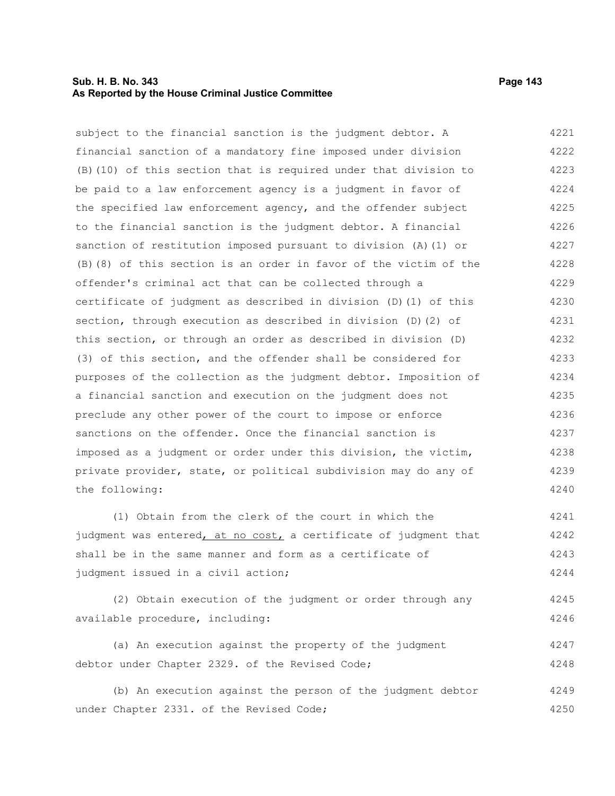# **Sub. H. B. No. 343 Page 143 As Reported by the House Criminal Justice Committee**

subject to the financial sanction is the judgment debtor. A financial sanction of a mandatory fine imposed under division (B)(10) of this section that is required under that division to be paid to a law enforcement agency is a judgment in favor of the specified law enforcement agency, and the offender subject to the financial sanction is the judgment debtor. A financial sanction of restitution imposed pursuant to division (A)(1) or (B)(8) of this section is an order in favor of the victim of the offender's criminal act that can be collected through a certificate of judgment as described in division (D)(1) of this section, through execution as described in division (D)(2) of this section, or through an order as described in division (D) (3) of this section, and the offender shall be considered for purposes of the collection as the judgment debtor. Imposition of a financial sanction and execution on the judgment does not preclude any other power of the court to impose or enforce sanctions on the offender. Once the financial sanction is imposed as a judgment or order under this division, the victim, private provider, state, or political subdivision may do any of the following: 4221 4222 4223 4224 4225 4226 4227 4228 4229 4230 4231 4232 4233 4234 4235 4236 4237 4238 4239 4240

(1) Obtain from the clerk of the court in which the judgment was entered, at no cost, a certificate of judgment that shall be in the same manner and form as a certificate of judgment issued in a civil action; 4241 4242 4243 4244

(2) Obtain execution of the judgment or order through any available procedure, including: 4245 4246

(a) An execution against the property of the judgment debtor under Chapter 2329. of the Revised Code; 4247 4248

(b) An execution against the person of the judgment debtor under Chapter 2331. of the Revised Code; 4249 4250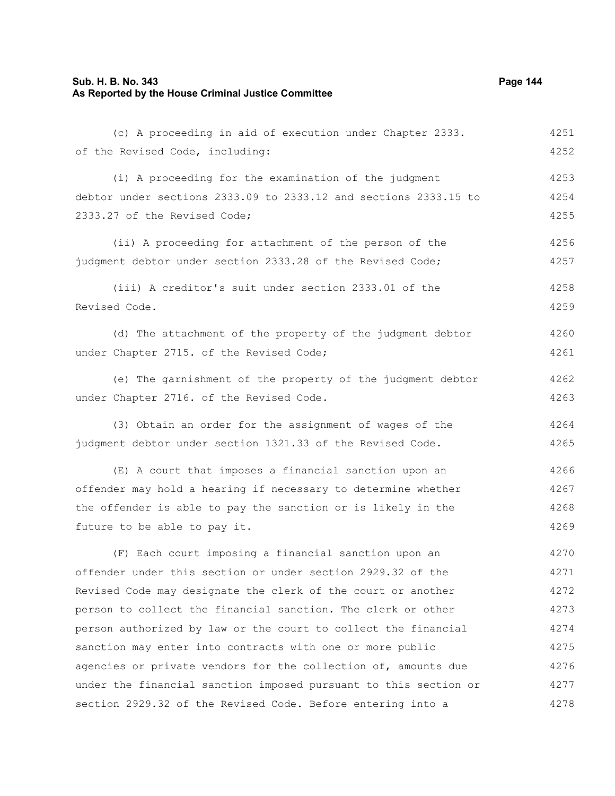# **Sub. H. B. No. 343 Page 144 As Reported by the House Criminal Justice Committee**

| (c) A proceeding in aid of execution under Chapter 2333.         | 4251 |
|------------------------------------------------------------------|------|
| of the Revised Code, including:                                  | 4252 |
| (i) A proceeding for the examination of the judgment             | 4253 |
| debtor under sections 2333.09 to 2333.12 and sections 2333.15 to | 4254 |
| 2333.27 of the Revised Code;                                     | 4255 |
| (ii) A proceeding for attachment of the person of the            | 4256 |
| judgment debtor under section 2333.28 of the Revised Code;       | 4257 |
| (iii) A creditor's suit under section 2333.01 of the             | 4258 |
| Revised Code.                                                    | 4259 |
| (d) The attachment of the property of the judgment debtor        | 4260 |
| under Chapter 2715. of the Revised Code;                         | 4261 |
| (e) The garnishment of the property of the judgment debtor       | 4262 |
| under Chapter 2716. of the Revised Code.                         | 4263 |
| (3) Obtain an order for the assignment of wages of the           | 4264 |
| judgment debtor under section 1321.33 of the Revised Code.       | 4265 |
| (E) A court that imposes a financial sanction upon an            | 4266 |
| offender may hold a hearing if necessary to determine whether    | 4267 |
| the offender is able to pay the sanction or is likely in the     | 4268 |
| future to be able to pay it.                                     | 4269 |
| (F) Each court imposing a financial sanction upon an             | 4270 |
| offender under this section or under section 2929.32 of the      | 4271 |
| Revised Code may designate the clerk of the court or another     | 4272 |
| person to collect the financial sanction. The clerk or other     | 4273 |
| person authorized by law or the court to collect the financial   | 4274 |
| sanction may enter into contracts with one or more public        | 4275 |
| agencies or private vendors for the collection of, amounts due   | 4276 |
| under the financial sanction imposed pursuant to this section or | 4277 |
| section 2929.32 of the Revised Code. Before entering into a      | 4278 |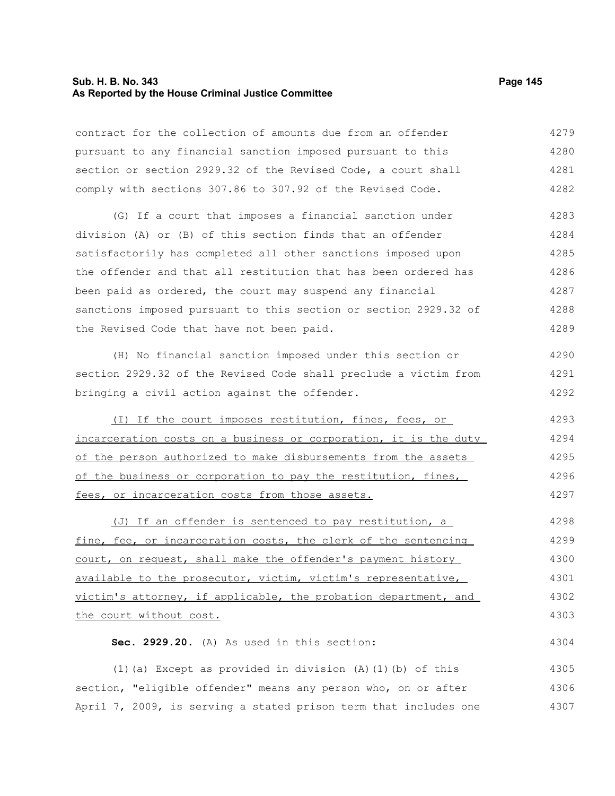# **Sub. H. B. No. 343 Page 145 As Reported by the House Criminal Justice Committee**

contract for the collection of amounts due from an offender pursuant to any financial sanction imposed pursuant to this section or section 2929.32 of the Revised Code, a court shall comply with sections 307.86 to 307.92 of the Revised Code. 4279 4280 4281 4282

(G) If a court that imposes a financial sanction under division (A) or (B) of this section finds that an offender satisfactorily has completed all other sanctions imposed upon the offender and that all restitution that has been ordered has been paid as ordered, the court may suspend any financial sanctions imposed pursuant to this section or section 2929.32 of the Revised Code that have not been paid. 4283 4284 4285 4286 4287 4288 4289

(H) No financial sanction imposed under this section or section 2929.32 of the Revised Code shall preclude a victim from bringing a civil action against the offender. 4290 4291 4292

(I) If the court imposes restitution, fines, fees, or incarceration costs on a business or corporation, it is the duty of the person authorized to make disbursements from the assets of the business or corporation to pay the restitution, fines, fees, or incarceration costs from those assets. 4293 4294 4295 4296 4297

(J) If an offender is sentenced to pay restitution, a fine, fee, or incarceration costs, the clerk of the sentencing court, on request, shall make the offender's payment history available to the prosecutor, victim, victim's representative, victim's attorney, if applicable, the probation department, and the court without cost. 4298 4299 4300 4301 4302 4303

**Sec. 2929.20.** (A) As used in this section:

(1)(a) Except as provided in division (A)(1)(b) of this section, "eligible offender" means any person who, on or after April 7, 2009, is serving a stated prison term that includes one 4305 4306 4307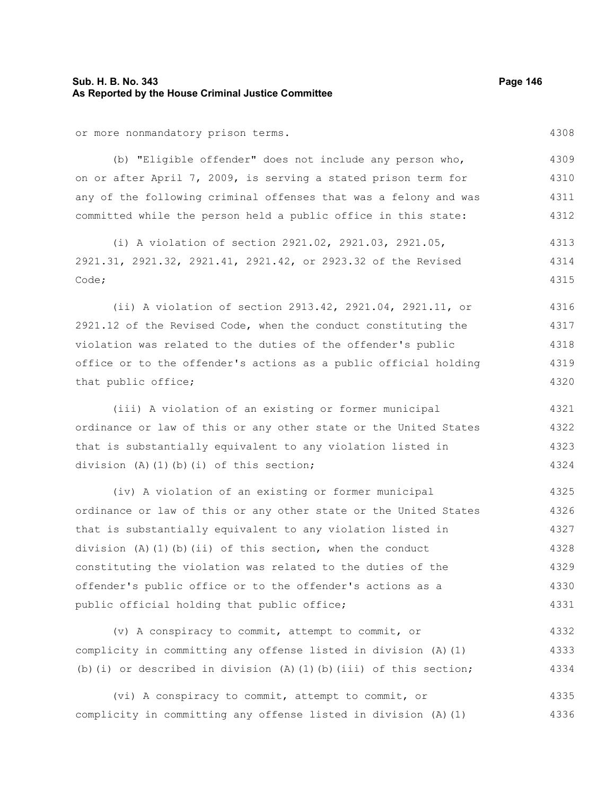# **Sub. H. B. No. 343 Page 146 As Reported by the House Criminal Justice Committee**

or more nonmandatory prison terms.

(b) "Eligible offender" does not include any person who, on or after April 7, 2009, is serving a stated prison term for any of the following criminal offenses that was a felony and was committed while the person held a public office in this state: 4309 4310 4311 4312

(i) A violation of section 2921.02, 2921.03, 2921.05, 2921.31, 2921.32, 2921.41, 2921.42, or 2923.32 of the Revised Code; 4313 4314 4315

(ii) A violation of section 2913.42, 2921.04, 2921.11, or 2921.12 of the Revised Code, when the conduct constituting the violation was related to the duties of the offender's public office or to the offender's actions as a public official holding that public office; 4316 4317 4318 4319 4320

(iii) A violation of an existing or former municipal ordinance or law of this or any other state or the United States that is substantially equivalent to any violation listed in division (A)(1)(b)(i) of this section; 4321 4322 4323 4324

(iv) A violation of an existing or former municipal ordinance or law of this or any other state or the United States that is substantially equivalent to any violation listed in division (A)(1)(b)(ii) of this section, when the conduct constituting the violation was related to the duties of the offender's public office or to the offender's actions as a public official holding that public office; 4325 4326 4327 4328 4329 4330 4331

(v) A conspiracy to commit, attempt to commit, or complicity in committing any offense listed in division (A)(1) (b)(i) or described in division (A)(1)(b)(iii) of this section; 4332 4333 4334

(vi) A conspiracy to commit, attempt to commit, or complicity in committing any offense listed in division (A)(1) 4335 4336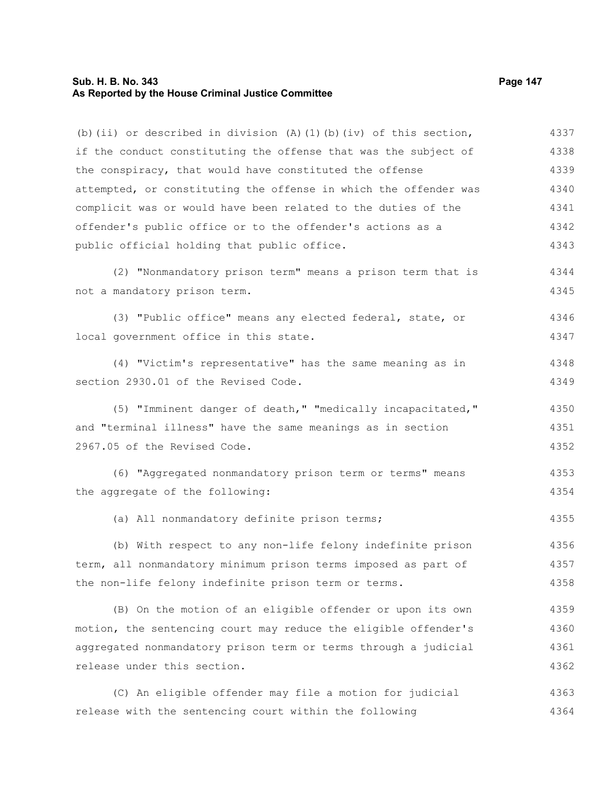#### **Sub. H. B. No. 343 Page 147 As Reported by the House Criminal Justice Committee**

(b)(ii) or described in division (A)(1)(b)(iv) of this section, if the conduct constituting the offense that was the subject of the conspiracy, that would have constituted the offense attempted, or constituting the offense in which the offender was complicit was or would have been related to the duties of the offender's public office or to the offender's actions as a public official holding that public office. (2) "Nonmandatory prison term" means a prison term that is not a mandatory prison term.

(3) "Public office" means any elected federal, state, or 4345 4346

local government office in this state.

(4) "Victim's representative" has the same meaning as in section 2930.01 of the Revised Code. 4348 4349

(5) "Imminent danger of death," "medically incapacitated," and "terminal illness" have the same meanings as in section 2967.05 of the Revised Code. 4350 4351 4352

(6) "Aggregated nonmandatory prison term or terms" means the aggregate of the following: 4353 4354

(a) All nonmandatory definite prison terms;

(b) With respect to any non-life felony indefinite prison term, all nonmandatory minimum prison terms imposed as part of the non-life felony indefinite prison term or terms. 4356 4357 4358

(B) On the motion of an eligible offender or upon its own motion, the sentencing court may reduce the eligible offender's aggregated nonmandatory prison term or terms through a judicial release under this section. 4359 4360 4361 4362

(C) An eligible offender may file a motion for judicial release with the sentencing court within the following 4363 4364

4344

4347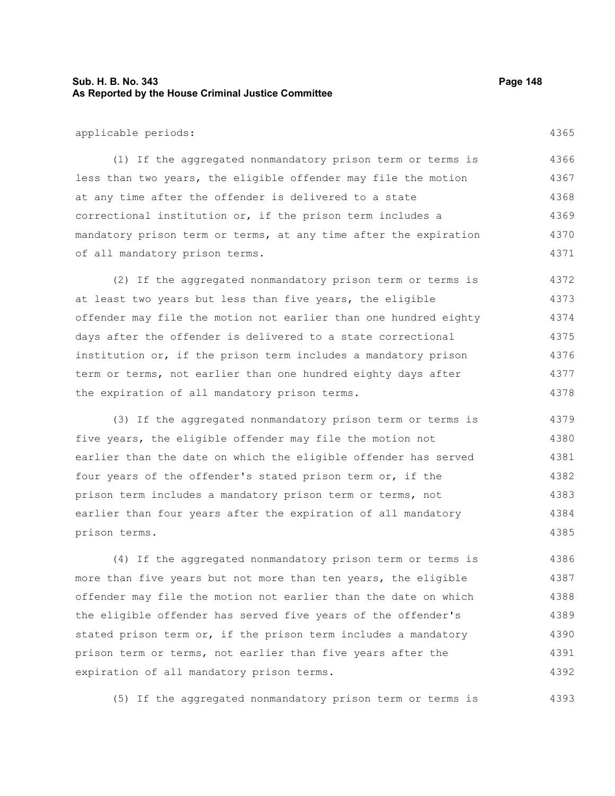# **Sub. H. B. No. 343 Page 148 As Reported by the House Criminal Justice Committee**

applicable periods:

(1) If the aggregated nonmandatory prison term or terms is less than two years, the eligible offender may file the motion at any time after the offender is delivered to a state correctional institution or, if the prison term includes a mandatory prison term or terms, at any time after the expiration of all mandatory prison terms. 4366 4367 4368 4369 4370 4371

(2) If the aggregated nonmandatory prison term or terms is at least two years but less than five years, the eligible offender may file the motion not earlier than one hundred eighty days after the offender is delivered to a state correctional institution or, if the prison term includes a mandatory prison term or terms, not earlier than one hundred eighty days after the expiration of all mandatory prison terms. 4372 4373 4374 4375 4376 4377 4378

(3) If the aggregated nonmandatory prison term or terms is five years, the eligible offender may file the motion not earlier than the date on which the eligible offender has served four years of the offender's stated prison term or, if the prison term includes a mandatory prison term or terms, not earlier than four years after the expiration of all mandatory prison terms. 4379 4380 4381 4382 4383 4384 4385

(4) If the aggregated nonmandatory prison term or terms is more than five years but not more than ten years, the eligible offender may file the motion not earlier than the date on which the eligible offender has served five years of the offender's stated prison term or, if the prison term includes a mandatory prison term or terms, not earlier than five years after the expiration of all mandatory prison terms. 4386 4387 4388 4389 4390 4391 4392

(5) If the aggregated nonmandatory prison term or terms is

4365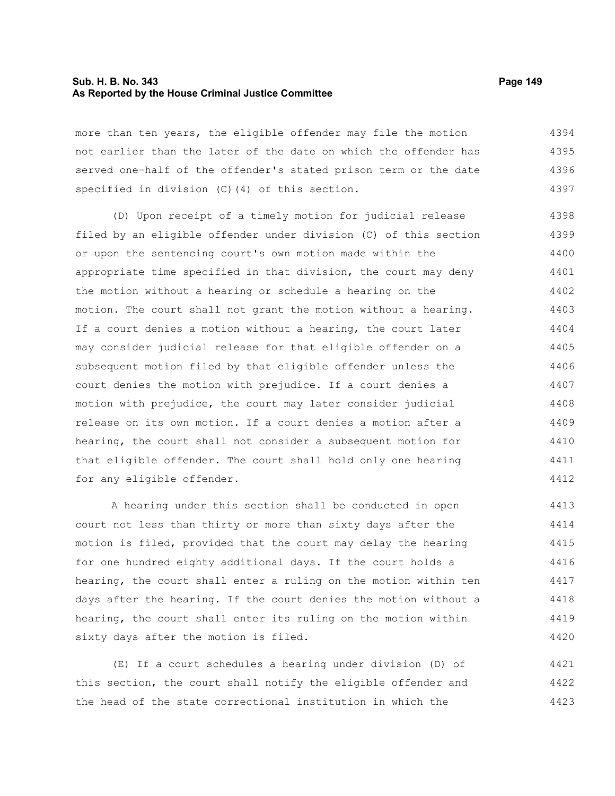# **Sub. H. B. No. 343** Page 149 **As Reported by the House Criminal Justice Committee**

more than ten years, the eligible offender may file the motion not earlier than the later of the date on which the offender has served one-half of the offender's stated prison term or the date specified in division (C)(4) of this section. 4394 4395 4396 4397

(D) Upon receipt of a timely motion for judicial release filed by an eligible offender under division (C) of this section or upon the sentencing court's own motion made within the appropriate time specified in that division, the court may deny the motion without a hearing or schedule a hearing on the motion. The court shall not grant the motion without a hearing. If a court denies a motion without a hearing, the court later may consider judicial release for that eligible offender on a subsequent motion filed by that eligible offender unless the court denies the motion with prejudice. If a court denies a motion with prejudice, the court may later consider judicial release on its own motion. If a court denies a motion after a hearing, the court shall not consider a subsequent motion for that eligible offender. The court shall hold only one hearing for any eligible offender. 4398 4399 4400 4401 4402 4403 4404 4405 4406 4407 4408 4409 4410 4411 4412

A hearing under this section shall be conducted in open court not less than thirty or more than sixty days after the motion is filed, provided that the court may delay the hearing for one hundred eighty additional days. If the court holds a hearing, the court shall enter a ruling on the motion within ten days after the hearing. If the court denies the motion without a hearing, the court shall enter its ruling on the motion within sixty days after the motion is filed. 4413 4414 4415 4416 4417 4418 4419 4420

(E) If a court schedules a hearing under division (D) of this section, the court shall notify the eligible offender and the head of the state correctional institution in which the 4421 4422 4423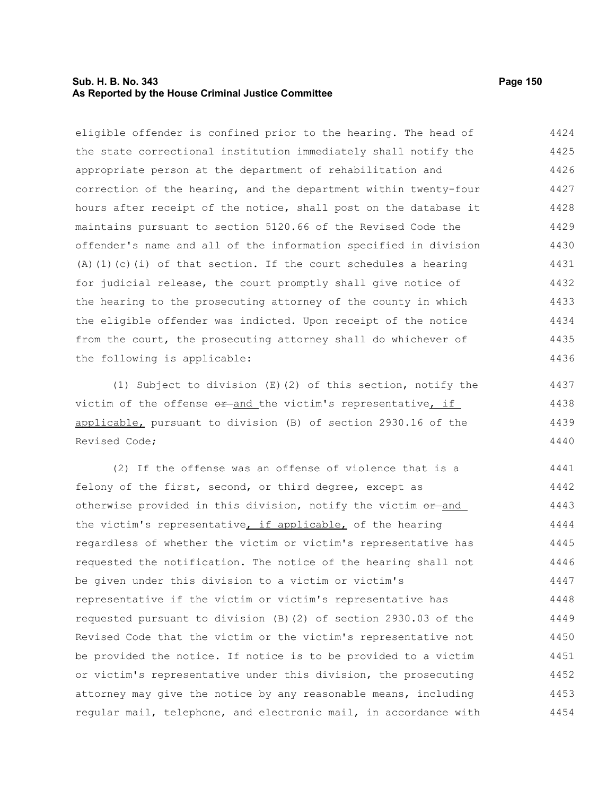# **Sub. H. B. No. 343 Page 150 As Reported by the House Criminal Justice Committee**

eligible offender is confined prior to the hearing. The head of the state correctional institution immediately shall notify the appropriate person at the department of rehabilitation and correction of the hearing, and the department within twenty-four hours after receipt of the notice, shall post on the database it maintains pursuant to section 5120.66 of the Revised Code the offender's name and all of the information specified in division (A)(1)(c)(i) of that section. If the court schedules a hearing for judicial release, the court promptly shall give notice of the hearing to the prosecuting attorney of the county in which the eligible offender was indicted. Upon receipt of the notice from the court, the prosecuting attorney shall do whichever of the following is applicable: 4424 4425 4426 4427 4428 4429 4430 4431 4432 4433 4434 4435 4436

(1) Subject to division (E)(2) of this section, notify the victim of the offense  $e^{r}$  and the victim's representative, if applicable, pursuant to division (B) of section 2930.16 of the Revised Code;

(2) If the offense was an offense of violence that is a felony of the first, second, or third degree, except as otherwise provided in this division, notify the victim or and the victim's representative, if applicable, of the hearing regardless of whether the victim or victim's representative has requested the notification. The notice of the hearing shall not be given under this division to a victim or victim's representative if the victim or victim's representative has requested pursuant to division (B)(2) of section 2930.03 of the Revised Code that the victim or the victim's representative not be provided the notice. If notice is to be provided to a victim or victim's representative under this division, the prosecuting attorney may give the notice by any reasonable means, including regular mail, telephone, and electronic mail, in accordance with 4441 4442 4443 4444 4445 4446 4447 4448 4449 4450 4451 4452 4453 4454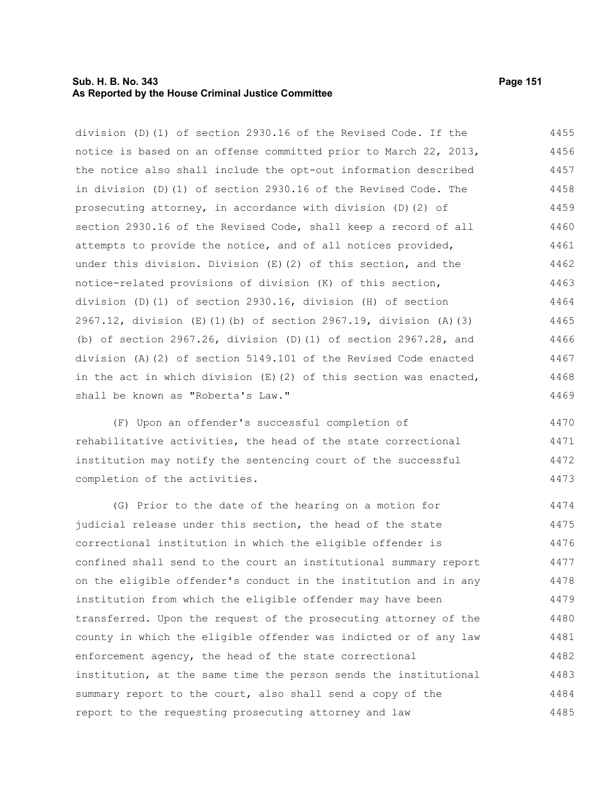# **Sub. H. B. No. 343 Page 151 As Reported by the House Criminal Justice Committee**

division (D)(1) of section 2930.16 of the Revised Code. If the notice is based on an offense committed prior to March 22, 2013, the notice also shall include the opt-out information described in division (D)(1) of section 2930.16 of the Revised Code. The prosecuting attorney, in accordance with division (D)(2) of section 2930.16 of the Revised Code, shall keep a record of all attempts to provide the notice, and of all notices provided, under this division. Division (E)(2) of this section, and the notice-related provisions of division (K) of this section, division (D)(1) of section 2930.16, division (H) of section 2967.12, division (E)(1)(b) of section 2967.19, division (A)(3) (b) of section 2967.26, division (D)(1) of section 2967.28, and division (A)(2) of section 5149.101 of the Revised Code enacted in the act in which division (E)(2) of this section was enacted, shall be known as "Roberta's Law." 4455 4456 4457 4458 4459 4460 4461 4462 4463 4464 4465 4466 4467 4468 4469

(F) Upon an offender's successful completion of rehabilitative activities, the head of the state correctional institution may notify the sentencing court of the successful completion of the activities. 4470 4471 4472 4473

(G) Prior to the date of the hearing on a motion for judicial release under this section, the head of the state correctional institution in which the eligible offender is confined shall send to the court an institutional summary report on the eligible offender's conduct in the institution and in any institution from which the eligible offender may have been transferred. Upon the request of the prosecuting attorney of the county in which the eligible offender was indicted or of any law enforcement agency, the head of the state correctional institution, at the same time the person sends the institutional summary report to the court, also shall send a copy of the report to the requesting prosecuting attorney and law 4474 4475 4476 4477 4478 4479 4480 4481 4482 4483 4484 4485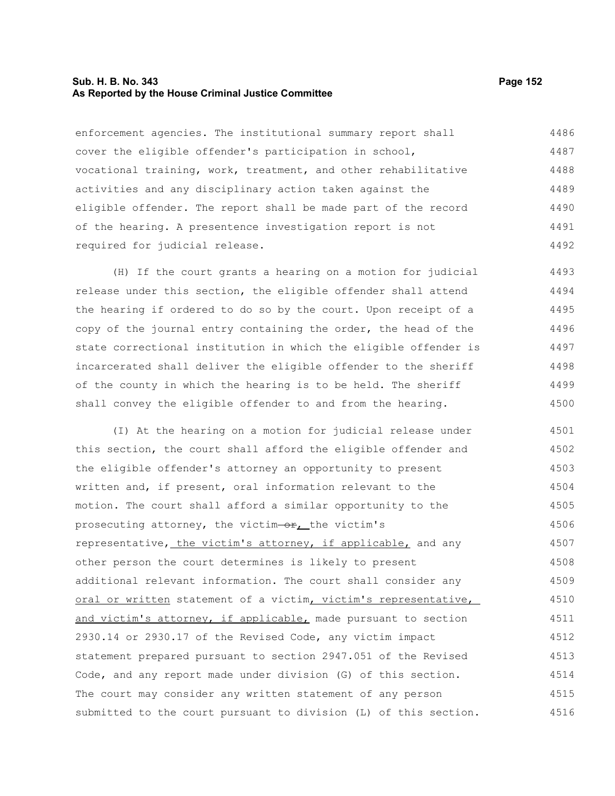#### **Sub. H. B. No. 343 Page 152 As Reported by the House Criminal Justice Committee**

enforcement agencies. The institutional summary report shall cover the eligible offender's participation in school, vocational training, work, treatment, and other rehabilitative activities and any disciplinary action taken against the eligible offender. The report shall be made part of the record of the hearing. A presentence investigation report is not required for judicial release. 4486 4487 4488 4489 4490 4491 4492

(H) If the court grants a hearing on a motion for judicial release under this section, the eligible offender shall attend the hearing if ordered to do so by the court. Upon receipt of a copy of the journal entry containing the order, the head of the state correctional institution in which the eligible offender is incarcerated shall deliver the eligible offender to the sheriff of the county in which the hearing is to be held. The sheriff shall convey the eligible offender to and from the hearing. 4493 4494 4495 4496 4497 4498 4499 4500

(I) At the hearing on a motion for judicial release under this section, the court shall afford the eligible offender and the eligible offender's attorney an opportunity to present written and, if present, oral information relevant to the motion. The court shall afford a similar opportunity to the prosecuting attorney, the victim- $or_{L}$  the victim's representative, the victim's attorney, if applicable, and any other person the court determines is likely to present additional relevant information. The court shall consider any oral or written statement of a victim, victim's representative, and victim's attorney, if applicable, made pursuant to section 2930.14 or 2930.17 of the Revised Code, any victim impact statement prepared pursuant to section 2947.051 of the Revised Code, and any report made under division (G) of this section. The court may consider any written statement of any person submitted to the court pursuant to division (L) of this section. 4501 4502 4503 4504 4505 4506 4507 4508 4509 4510 4511 4512 4513 4514 4515 4516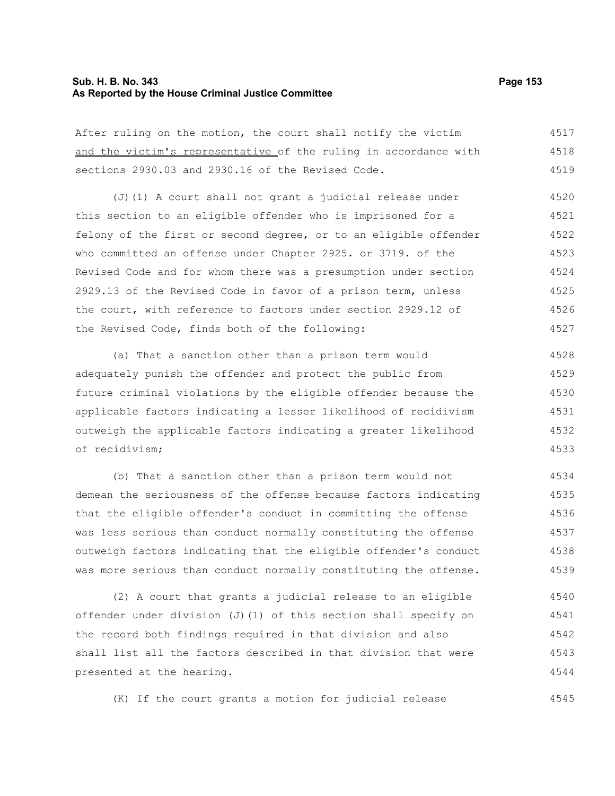# **Sub. H. B. No. 343 Page 153 As Reported by the House Criminal Justice Committee**

After ruling on the motion, the court shall notify the victim and the victim's representative of the ruling in accordance with sections 2930.03 and 2930.16 of the Revised Code. 4517 4518 4519

(J)(1) A court shall not grant a judicial release under this section to an eligible offender who is imprisoned for a felony of the first or second degree, or to an eligible offender who committed an offense under Chapter 2925. or 3719. of the Revised Code and for whom there was a presumption under section 2929.13 of the Revised Code in favor of a prison term, unless the court, with reference to factors under section 2929.12 of the Revised Code, finds both of the following: 4520 4521 4522 4523 4524 4525 4526 4527

(a) That a sanction other than a prison term would adequately punish the offender and protect the public from future criminal violations by the eligible offender because the applicable factors indicating a lesser likelihood of recidivism outweigh the applicable factors indicating a greater likelihood of recidivism; 4528 4529 4530 4531 4532 4533

(b) That a sanction other than a prison term would not demean the seriousness of the offense because factors indicating that the eligible offender's conduct in committing the offense was less serious than conduct normally constituting the offense outweigh factors indicating that the eligible offender's conduct was more serious than conduct normally constituting the offense. 4534 4535 4536 4537 4538 4539

(2) A court that grants a judicial release to an eligible offender under division (J)(1) of this section shall specify on the record both findings required in that division and also shall list all the factors described in that division that were presented at the hearing. 4540 4541 4542 4543 4544

(K) If the court grants a motion for judicial release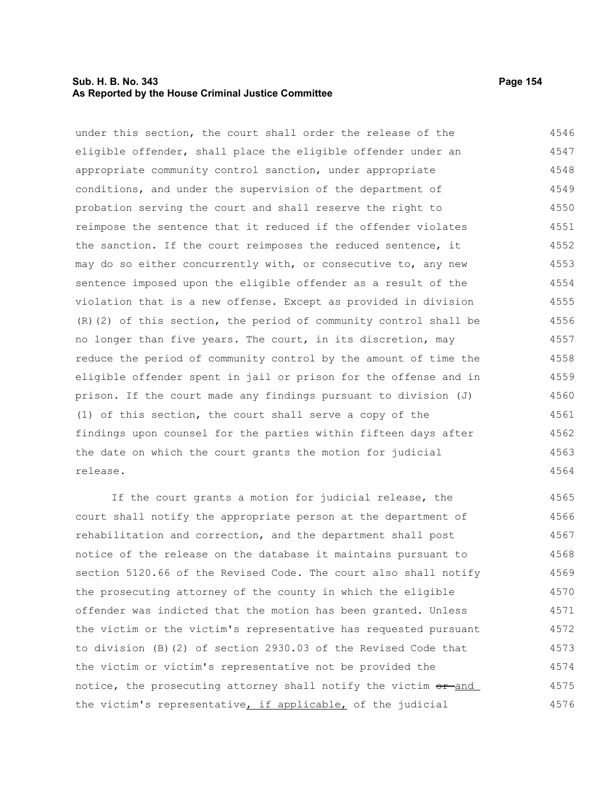# **Sub. H. B. No. 343 Page 154 As Reported by the House Criminal Justice Committee**

under this section, the court shall order the release of the eligible offender, shall place the eligible offender under an appropriate community control sanction, under appropriate conditions, and under the supervision of the department of probation serving the court and shall reserve the right to reimpose the sentence that it reduced if the offender violates the sanction. If the court reimposes the reduced sentence, it may do so either concurrently with, or consecutive to, any new sentence imposed upon the eligible offender as a result of the violation that is a new offense. Except as provided in division (R)(2) of this section, the period of community control shall be no longer than five years. The court, in its discretion, may reduce the period of community control by the amount of time the eligible offender spent in jail or prison for the offense and in prison. If the court made any findings pursuant to division (J) (1) of this section, the court shall serve a copy of the findings upon counsel for the parties within fifteen days after the date on which the court grants the motion for judicial release. 4546 4547 4548 4549 4550 4551 4552 4553 4554 4555 4556 4557 4558 4559 4560 4561 4562 4563 4564

If the court grants a motion for judicial release, the court shall notify the appropriate person at the department of rehabilitation and correction, and the department shall post notice of the release on the database it maintains pursuant to section 5120.66 of the Revised Code. The court also shall notify the prosecuting attorney of the county in which the eligible offender was indicted that the motion has been granted. Unless the victim or the victim's representative has requested pursuant to division (B)(2) of section 2930.03 of the Revised Code that the victim or victim's representative not be provided the notice, the prosecuting attorney shall notify the victim or and the victim's representative, if applicable, of the judicial 4565 4566 4567 4568 4569 4570 4571 4572 4573 4574 4575 4576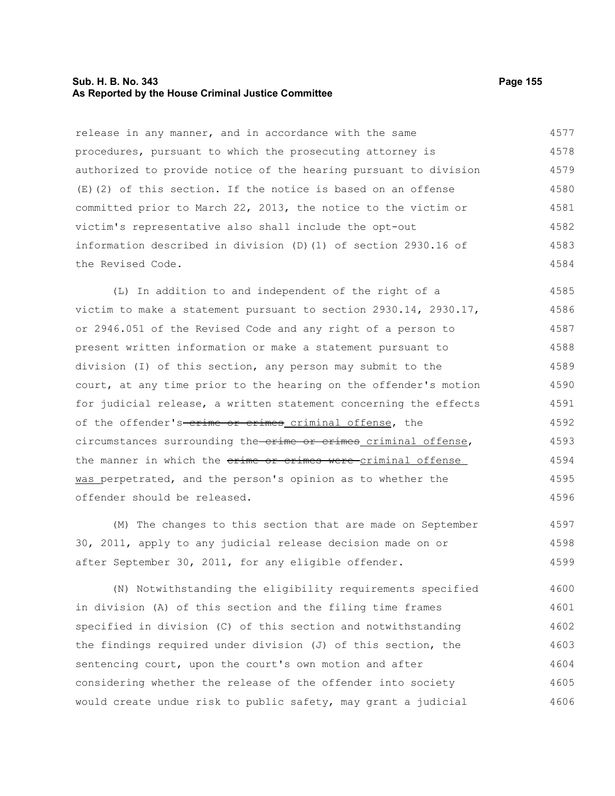# **Sub. H. B. No. 343 Page 155 As Reported by the House Criminal Justice Committee**

release in any manner, and in accordance with the same procedures, pursuant to which the prosecuting attorney is authorized to provide notice of the hearing pursuant to division (E)(2) of this section. If the notice is based on an offense committed prior to March 22, 2013, the notice to the victim or victim's representative also shall include the opt-out information described in division (D)(1) of section 2930.16 of the Revised Code. 4577 4578 4579 4580 4581 4582 4583 4584

(L) In addition to and independent of the right of a victim to make a statement pursuant to section 2930.14, 2930.17, or 2946.051 of the Revised Code and any right of a person to present written information or make a statement pursuant to division (I) of this section, any person may submit to the court, at any time prior to the hearing on the offender's motion for judicial release, a written statement concerning the effects of the offender's-crime or crimes criminal offense, the circumstances surrounding the erime or erimes criminal offense, the manner in which the erime or crimes were criminal offense was perpetrated, and the person's opinion as to whether the offender should be released. 4585 4586 4587 4588 4589 4590 4591 4592 4593 4594 4595 4596

(M) The changes to this section that are made on September 30, 2011, apply to any judicial release decision made on or after September 30, 2011, for any eligible offender. 4597 4598 4599

(N) Notwithstanding the eligibility requirements specified in division (A) of this section and the filing time frames specified in division (C) of this section and notwithstanding the findings required under division (J) of this section, the sentencing court, upon the court's own motion and after considering whether the release of the offender into society would create undue risk to public safety, may grant a judicial 4600 4601 4602 4603 4604 4605 4606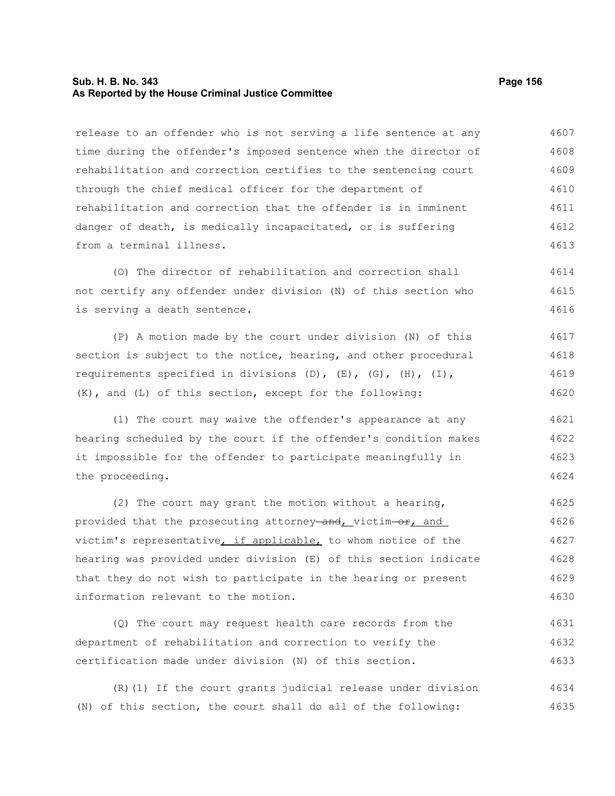#### **Sub. H. B. No. 343 Page 156 As Reported by the House Criminal Justice Committee**

release to an offender who is not serving a life sentence at any time during the offender's imposed sentence when the director of rehabilitation and correction certifies to the sentencing court through the chief medical officer for the department of rehabilitation and correction that the offender is in imminent danger of death, is medically incapacitated, or is suffering from a terminal illness. 4607 4608 4609 4610 4611 4612 4613

(O) The director of rehabilitation and correction shall not certify any offender under division (N) of this section who is serving a death sentence. 4614 4615 4616

(P) A motion made by the court under division (N) of this section is subject to the notice, hearing, and other procedural requirements specified in divisions  $(D)$ ,  $(E)$ ,  $(G)$ ,  $(H)$ ,  $(I)$ , (K), and (L) of this section, except for the following: 4617 4618 4619 4620

(1) The court may waive the offender's appearance at any hearing scheduled by the court if the offender's condition makes it impossible for the offender to participate meaningfully in the proceeding. 4621 4622 4623 4624

(2) The court may grant the motion without a hearing, provided that the prosecuting attorney and, victim or, and victim's representative, if applicable, to whom notice of the hearing was provided under division (E) of this section indicate that they do not wish to participate in the hearing or present information relevant to the motion. 4625 4626 4627 4628 4629 4630

(Q) The court may request health care records from the department of rehabilitation and correction to verify the certification made under division (N) of this section. 4631 4632 4633

(R)(1) If the court grants judicial release under division (N) of this section, the court shall do all of the following: 4634 4635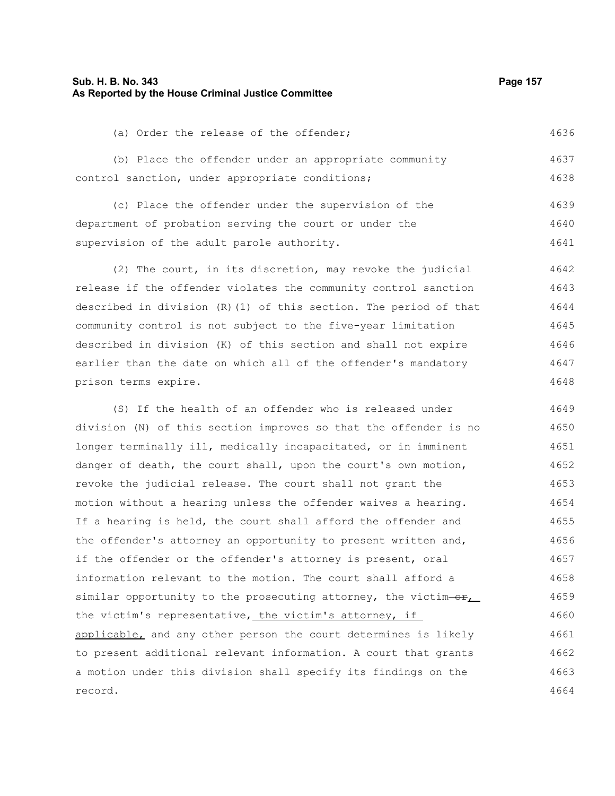# **Sub. H. B. No. 343 Page 157 As Reported by the House Criminal Justice Committee**

(a) Order the release of the offender; 4636

(b) Place the offender under an appropriate community control sanction, under appropriate conditions; 4637 4638

(c) Place the offender under the supervision of the department of probation serving the court or under the supervision of the adult parole authority. 4639 4640 4641

(2) The court, in its discretion, may revoke the judicial release if the offender violates the community control sanction described in division (R)(1) of this section. The period of that community control is not subject to the five-year limitation described in division (K) of this section and shall not expire earlier than the date on which all of the offender's mandatory prison terms expire. 4642 4643 4644 4645 4646 4647 4648

(S) If the health of an offender who is released under division (N) of this section improves so that the offender is no longer terminally ill, medically incapacitated, or in imminent danger of death, the court shall, upon the court's own motion, revoke the judicial release. The court shall not grant the motion without a hearing unless the offender waives a hearing. If a hearing is held, the court shall afford the offender and the offender's attorney an opportunity to present written and, if the offender or the offender's attorney is present, oral information relevant to the motion. The court shall afford a similar opportunity to the prosecuting attorney, the victim- $o_{r}$ the victim's representative, the victim's attorney, if applicable, and any other person the court determines is likely to present additional relevant information. A court that grants a motion under this division shall specify its findings on the record. 4649 4650 4651 4652 4653 4654 4655 4656 4657 4658 4659 4660 4661 4662 4663 4664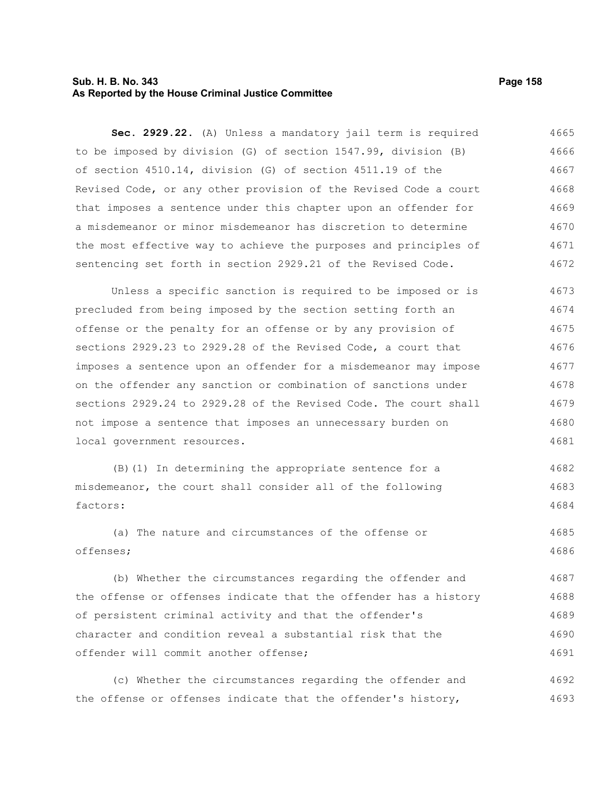# **Sub. H. B. No. 343 Page 158 As Reported by the House Criminal Justice Committee**

**Sec. 2929.22.** (A) Unless a mandatory jail term is required to be imposed by division (G) of section 1547.99, division (B) of section 4510.14, division (G) of section 4511.19 of the Revised Code, or any other provision of the Revised Code a court that imposes a sentence under this chapter upon an offender for a misdemeanor or minor misdemeanor has discretion to determine the most effective way to achieve the purposes and principles of sentencing set forth in section 2929.21 of the Revised Code. 4665 4666 4667 4668 4669 4670 4671 4672

Unless a specific sanction is required to be imposed or is precluded from being imposed by the section setting forth an offense or the penalty for an offense or by any provision of sections 2929.23 to 2929.28 of the Revised Code, a court that imposes a sentence upon an offender for a misdemeanor may impose on the offender any sanction or combination of sanctions under sections 2929.24 to 2929.28 of the Revised Code. The court shall not impose a sentence that imposes an unnecessary burden on local government resources. 4673 4674 4675 4676 4677 4678 4679 4680 4681

(B)(1) In determining the appropriate sentence for a misdemeanor, the court shall consider all of the following factors: 4682 4683 4684

(a) The nature and circumstances of the offense or offenses; 4685 4686

(b) Whether the circumstances regarding the offender and the offense or offenses indicate that the offender has a history of persistent criminal activity and that the offender's character and condition reveal a substantial risk that the offender will commit another offense; 4687 4688 4689 4690 4691

(c) Whether the circumstances regarding the offender and the offense or offenses indicate that the offender's history, 4692 4693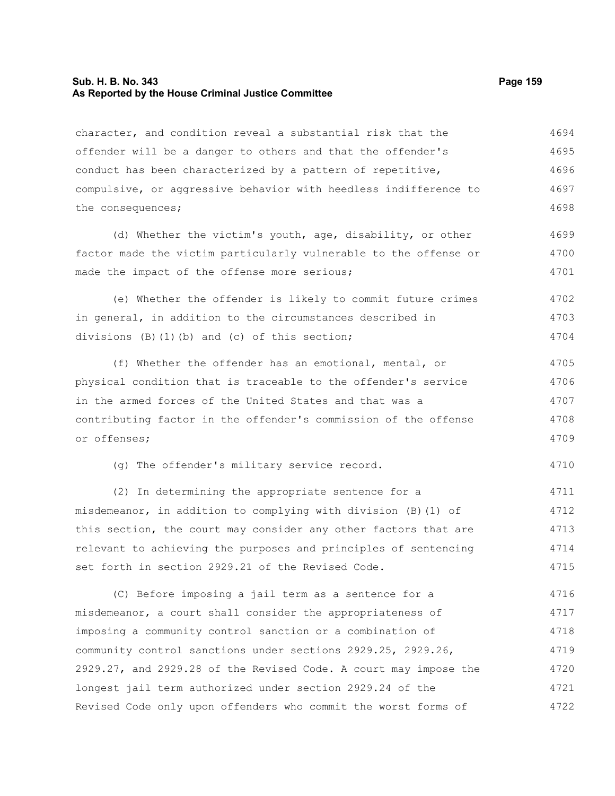#### **Sub. H. B. No. 343** Page 159 **As Reported by the House Criminal Justice Committee**

character, and condition reveal a substantial risk that the offender will be a danger to others and that the offender's conduct has been characterized by a pattern of repetitive, compulsive, or aggressive behavior with heedless indifference to the consequences; 4694 4695 4696 4697 4698

(d) Whether the victim's youth, age, disability, or other factor made the victim particularly vulnerable to the offense or made the impact of the offense more serious; 4699 4700 4701

(e) Whether the offender is likely to commit future crimes in general, in addition to the circumstances described in divisions (B)(1)(b) and (c) of this section; 4702 4703 4704

(f) Whether the offender has an emotional, mental, or physical condition that is traceable to the offender's service in the armed forces of the United States and that was a contributing factor in the offender's commission of the offense or offenses; 4705 4706 4707 4708 4709

(g) The offender's military service record.

(2) In determining the appropriate sentence for a misdemeanor, in addition to complying with division (B)(1) of this section, the court may consider any other factors that are relevant to achieving the purposes and principles of sentencing set forth in section 2929.21 of the Revised Code. 4711 4712 4713 4714 4715

(C) Before imposing a jail term as a sentence for a misdemeanor, a court shall consider the appropriateness of imposing a community control sanction or a combination of community control sanctions under sections 2929.25, 2929.26, 2929.27, and 2929.28 of the Revised Code. A court may impose the longest jail term authorized under section 2929.24 of the Revised Code only upon offenders who commit the worst forms of 4716 4717 4718 4719 4720 4721 4722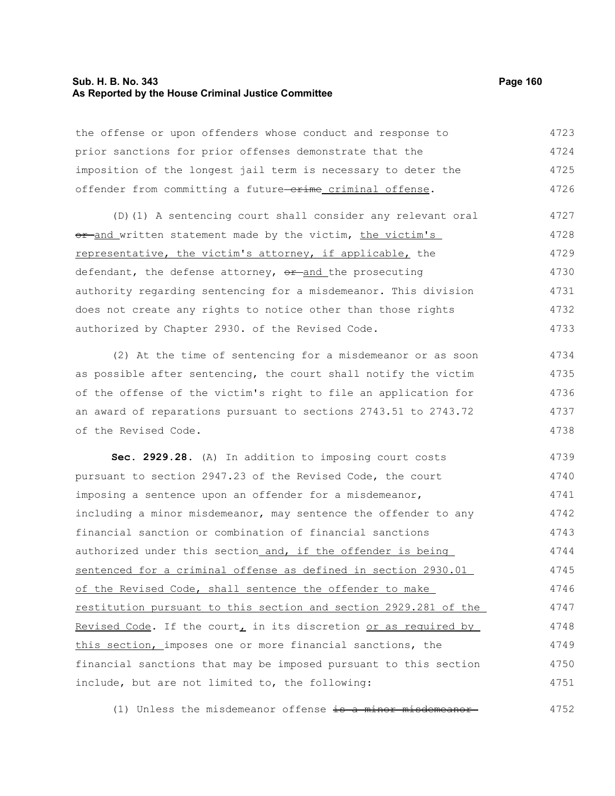#### **Sub. H. B. No. 343 Page 160 As Reported by the House Criminal Justice Committee**

the offense or upon offenders whose conduct and response to prior sanctions for prior offenses demonstrate that the imposition of the longest jail term is necessary to deter the offender from committing a future-crime criminal offense. 4723 4724 4725 4726

(D)(1) A sentencing court shall consider any relevant oral or-and written statement made by the victim, the victim's representative, the victim's attorney, if applicable, the defendant, the defense attorney,  $\theta$ r and the prosecuting authority regarding sentencing for a misdemeanor. This division does not create any rights to notice other than those rights authorized by Chapter 2930. of the Revised Code. 4727 4728 4729 4730 4731 4732 4733

(2) At the time of sentencing for a misdemeanor or as soon as possible after sentencing, the court shall notify the victim of the offense of the victim's right to file an application for an award of reparations pursuant to sections 2743.51 to 2743.72 of the Revised Code. 4734 4735 4736 4737 4738

**Sec. 2929.28.** (A) In addition to imposing court costs pursuant to section 2947.23 of the Revised Code, the court imposing a sentence upon an offender for a misdemeanor, including a minor misdemeanor, may sentence the offender to any financial sanction or combination of financial sanctions authorized under this section and, if the offender is being sentenced for a criminal offense as defined in section 2930.01 of the Revised Code, shall sentence the offender to make restitution pursuant to this section and section 2929.281 of the Revised Code. If the court, in its discretion or as required by this section, imposes one or more financial sanctions, the financial sanctions that may be imposed pursuant to this section include, but are not limited to, the following: 4739 4740 4741 4742 4743 4744 4745 4746 4747 4748 4749 4750 4751

(1) Unless the misdemeanor offense is a minor misdemeanor 4752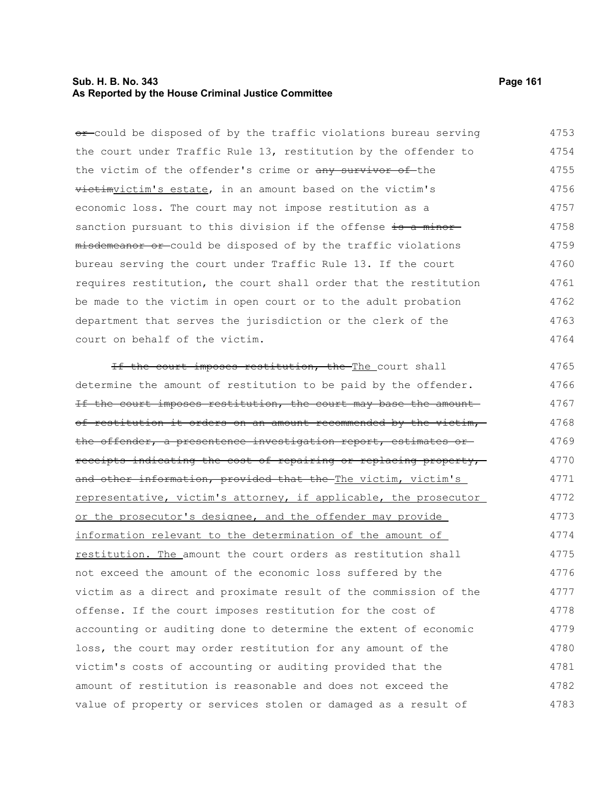# **Sub. H. B. No. 343 Page 161 As Reported by the House Criminal Justice Committee**

or-could be disposed of by the traffic violations bureau serving the court under Traffic Rule 13, restitution by the offender to the victim of the offender's crime or any survivor of the victimvictim's estate, in an amount based on the victim's economic loss. The court may not impose restitution as a sanction pursuant to this division if the offense is a minor misdemeanor or could be disposed of by the traffic violations bureau serving the court under Traffic Rule 13. If the court requires restitution, the court shall order that the restitution be made to the victim in open court or to the adult probation department that serves the jurisdiction or the clerk of the court on behalf of the victim. If the court imposes restitution, the The court shall determine the amount of restitution to be paid by the offender. If the court imposes restitution, the court may base the amount of restitution it orders on an amount recommended by the victim, the offender, a presentence investigation report, estimates or receipts indicating the cost of repairing or replacing property, and other information, provided that the The victim, victim's representative, victim's attorney, if applicable, the prosecutor or the prosecutor's designee, and the offender may provide information relevant to the determination of the amount of restitution. The amount the court orders as restitution shall not exceed the amount of the economic loss suffered by the victim as a direct and proximate result of the commission of the offense. If the court imposes restitution for the cost of accounting or auditing done to determine the extent of economic loss, the court may order restitution for any amount of the victim's costs of accounting or auditing provided that the amount of restitution is reasonable and does not exceed the 4753 4754 4755 4756 4757 4758 4759 4760 4761 4762 4763 4764 4765 4766 4767 4768 4769 4770 4771 4772 4773 4774 4775 4776 4777 4778 4779 4780 4781 4782

value of property or services stolen or damaged as a result of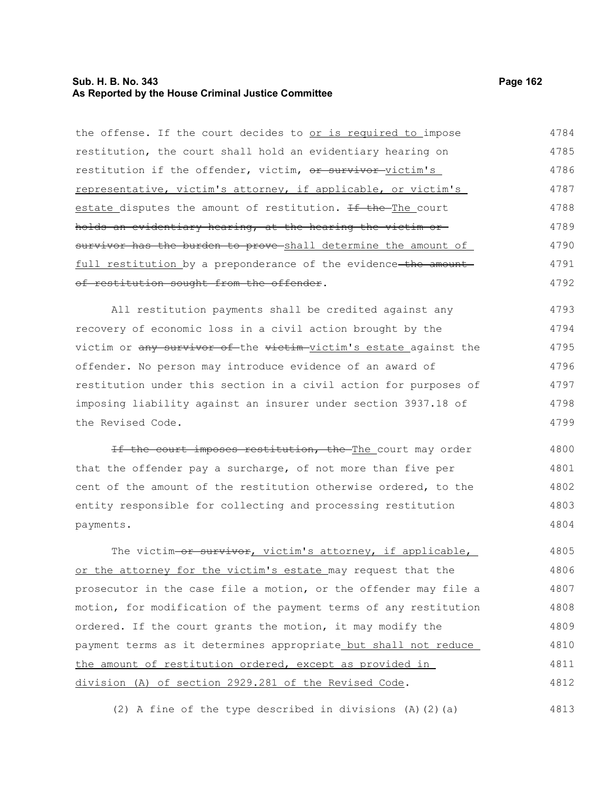# **Sub. H. B. No. 343 Page 162 As Reported by the House Criminal Justice Committee**

the offense. If the court decides to or is required to impose restitution, the court shall hold an evidentiary hearing on restitution if the offender, victim, or survivor victim's representative, victim's attorney, if applicable, or victim's estate disputes the amount of restitution. If the The court holds an evidentiary hearing, at the hearing the victim or survivor has the burden to prove shall determine the amount of full restitution by a preponderance of the evidence-the amountof restitution sought from the offender. All restitution payments shall be credited against any recovery of economic loss in a civil action brought by the victim or any survivor of the victim-victim's estate against the offender. No person may introduce evidence of an award of restitution under this section in a civil action for purposes of imposing liability against an insurer under section 3937.18 of the Revised Code. If the court imposes restitution, the The court may order that the offender pay a surcharge, of not more than five per cent of the amount of the restitution otherwise ordered, to the entity responsible for collecting and processing restitution payments. The victim-or survivor, victim's attorney, if applicable, or the attorney for the victim's estate may request that the prosecutor in the case file a motion, or the offender may file a motion, for modification of the payment terms of any restitution ordered. If the court grants the motion, it may modify the payment terms as it determines appropriate but shall not reduce the amount of restitution ordered, except as provided in division (A) of section 2929.281 of the Revised Code. 4784 4785 4786 4787 4788 4789 4790 4791 4792 4793 4794 4795 4796 4797 4798 4799 4800 4801 4802 4803 4804 4805 4806 4807 4808 4809 4810 4811 4812

(2) A fine of the type described in divisions  $(A)(2)(a)$ 4813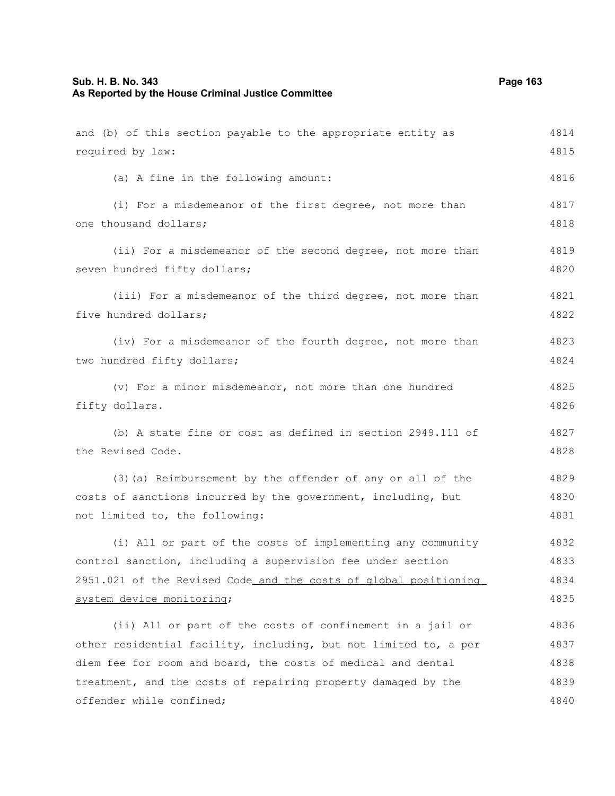# **Sub. H. B. No. 343 Page 163 As Reported by the House Criminal Justice Committee**

and (b) of this section payable to the appropriate entity as required by law: (a) A fine in the following amount: (i) For a misdemeanor of the first degree, not more than one thousand dollars; (ii) For a misdemeanor of the second degree, not more than seven hundred fifty dollars; (iii) For a misdemeanor of the third degree, not more than five hundred dollars; (iv) For a misdemeanor of the fourth degree, not more than two hundred fifty dollars; (v) For a minor misdemeanor, not more than one hundred fifty dollars. (b) A state fine or cost as defined in section 2949.111 of the Revised Code. (3)(a) Reimbursement by the offender of any or all of the costs of sanctions incurred by the government, including, but not limited to, the following: (i) All or part of the costs of implementing any community control sanction, including a supervision fee under section 2951.021 of the Revised Code and the costs of global positioning system device monitoring; (ii) All or part of the costs of confinement in a jail or other residential facility, including, but not limited to, a per 4814 4815 4816 4817 4818 4819 4820 4821 4822 4823 4824 4825 4826 4827 4828 4829 4830 4831 4832 4833 4834 4835 4836 4837

diem fee for room and board, the costs of medical and dental treatment, and the costs of repairing property damaged by the offender while confined; 4838 4839 4840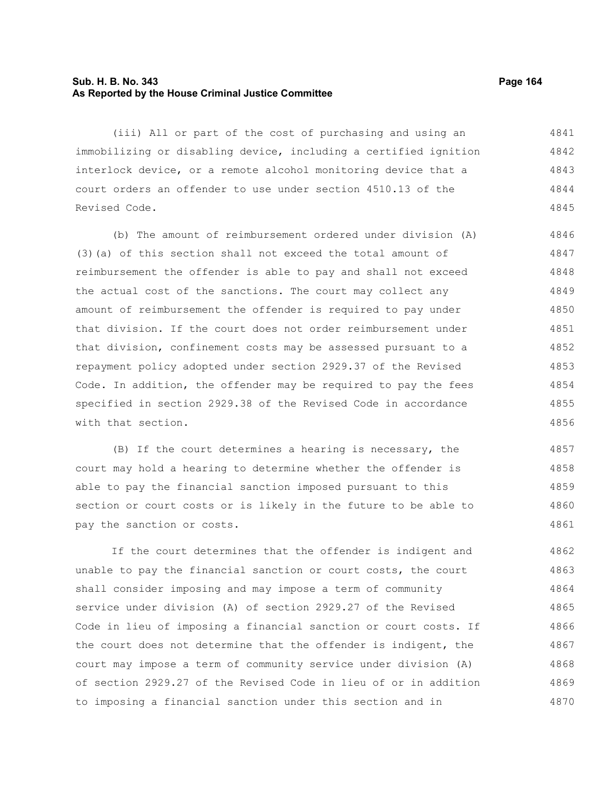# **Sub. H. B. No. 343 Page 164 As Reported by the House Criminal Justice Committee**

(iii) All or part of the cost of purchasing and using an immobilizing or disabling device, including a certified ignition interlock device, or a remote alcohol monitoring device that a court orders an offender to use under section 4510.13 of the Revised Code. 4841 4842 4843 4844 4845

(b) The amount of reimbursement ordered under division (A) (3)(a) of this section shall not exceed the total amount of reimbursement the offender is able to pay and shall not exceed the actual cost of the sanctions. The court may collect any amount of reimbursement the offender is required to pay under that division. If the court does not order reimbursement under that division, confinement costs may be assessed pursuant to a repayment policy adopted under section 2929.37 of the Revised Code. In addition, the offender may be required to pay the fees specified in section 2929.38 of the Revised Code in accordance with that section. 4846 4847 4848 4849 4850 4851 4852 4853 4854 4855 4856

(B) If the court determines a hearing is necessary, the court may hold a hearing to determine whether the offender is able to pay the financial sanction imposed pursuant to this section or court costs or is likely in the future to be able to pay the sanction or costs. 4859 4860 4861

If the court determines that the offender is indigent and unable to pay the financial sanction or court costs, the court shall consider imposing and may impose a term of community service under division (A) of section 2929.27 of the Revised Code in lieu of imposing a financial sanction or court costs. If the court does not determine that the offender is indigent, the court may impose a term of community service under division (A) of section 2929.27 of the Revised Code in lieu of or in addition to imposing a financial sanction under this section and in 4862 4863 4864 4865 4866 4867 4868 4869 4870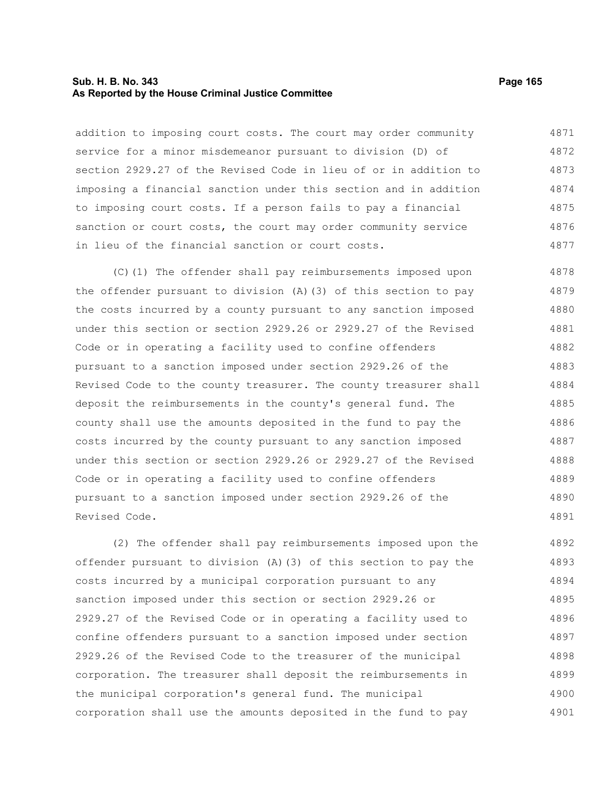#### **Sub. H. B. No. 343 Page 165 As Reported by the House Criminal Justice Committee**

addition to imposing court costs. The court may order community service for a minor misdemeanor pursuant to division (D) of section 2929.27 of the Revised Code in lieu of or in addition to imposing a financial sanction under this section and in addition to imposing court costs. If a person fails to pay a financial sanction or court costs, the court may order community service in lieu of the financial sanction or court costs. 4871 4872 4873 4874 4875 4876 4877

(C)(1) The offender shall pay reimbursements imposed upon the offender pursuant to division (A)(3) of this section to pay the costs incurred by a county pursuant to any sanction imposed under this section or section 2929.26 or 2929.27 of the Revised Code or in operating a facility used to confine offenders pursuant to a sanction imposed under section 2929.26 of the Revised Code to the county treasurer. The county treasurer shall deposit the reimbursements in the county's general fund. The county shall use the amounts deposited in the fund to pay the costs incurred by the county pursuant to any sanction imposed under this section or section 2929.26 or 2929.27 of the Revised Code or in operating a facility used to confine offenders pursuant to a sanction imposed under section 2929.26 of the Revised Code. 4878 4879 4880 4881 4882 4883 4884 4885 4886 4887 4888 4889 4890 4891

(2) The offender shall pay reimbursements imposed upon the offender pursuant to division (A)(3) of this section to pay the costs incurred by a municipal corporation pursuant to any sanction imposed under this section or section 2929.26 or 2929.27 of the Revised Code or in operating a facility used to confine offenders pursuant to a sanction imposed under section 2929.26 of the Revised Code to the treasurer of the municipal corporation. The treasurer shall deposit the reimbursements in the municipal corporation's general fund. The municipal corporation shall use the amounts deposited in the fund to pay 4892 4893 4894 4895 4896 4897 4898 4899 4900 4901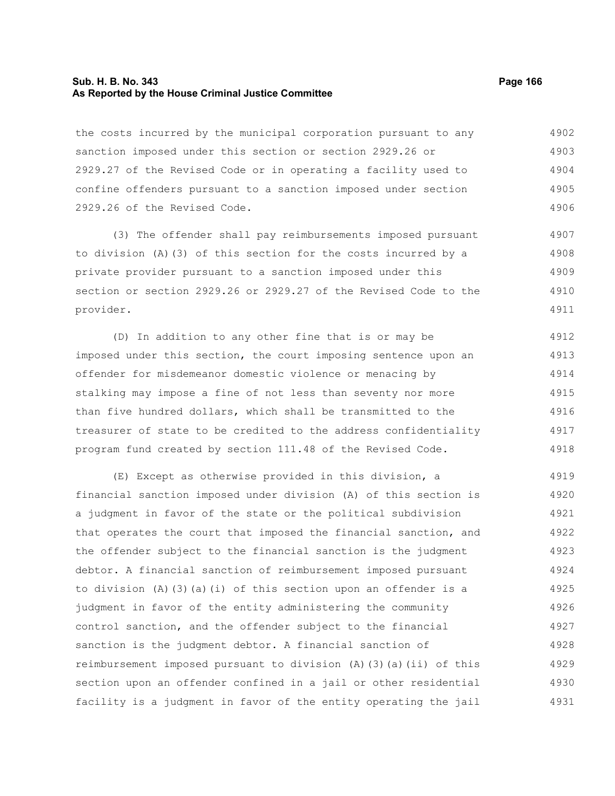#### **Sub. H. B. No. 343 Page 166 As Reported by the House Criminal Justice Committee**

the costs incurred by the municipal corporation pursuant to any sanction imposed under this section or section 2929.26 or 2929.27 of the Revised Code or in operating a facility used to confine offenders pursuant to a sanction imposed under section 2929.26 of the Revised Code. 4902 4903 4904 4905 4906

(3) The offender shall pay reimbursements imposed pursuant to division (A)(3) of this section for the costs incurred by a private provider pursuant to a sanction imposed under this section or section 2929.26 or 2929.27 of the Revised Code to the provider. 4907 4908 4909 4910 4911

(D) In addition to any other fine that is or may be imposed under this section, the court imposing sentence upon an offender for misdemeanor domestic violence or menacing by stalking may impose a fine of not less than seventy nor more than five hundred dollars, which shall be transmitted to the treasurer of state to be credited to the address confidentiality program fund created by section 111.48 of the Revised Code. 4912 4913 4914 4915 4916 4917 4918

(E) Except as otherwise provided in this division, a financial sanction imposed under division (A) of this section is a judgment in favor of the state or the political subdivision that operates the court that imposed the financial sanction, and the offender subject to the financial sanction is the judgment debtor. A financial sanction of reimbursement imposed pursuant to division (A)(3)(a)(i) of this section upon an offender is a judgment in favor of the entity administering the community control sanction, and the offender subject to the financial sanction is the judgment debtor. A financial sanction of reimbursement imposed pursuant to division (A)(3)(a)(ii) of this section upon an offender confined in a jail or other residential facility is a judgment in favor of the entity operating the jail 4919 4920 4921 4922 4923 4924 4925 4926 4927 4928 4929 4930 4931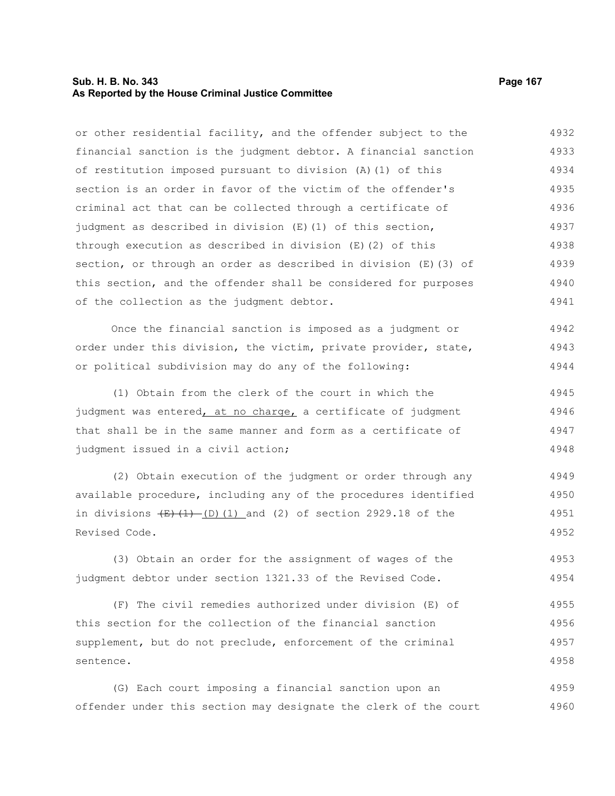# **Sub. H. B. No. 343 Page 167 As Reported by the House Criminal Justice Committee**

or other residential facility, and the offender subject to the financial sanction is the judgment debtor. A financial sanction of restitution imposed pursuant to division (A)(1) of this section is an order in favor of the victim of the offender's criminal act that can be collected through a certificate of judgment as described in division (E)(1) of this section, through execution as described in division (E)(2) of this section, or through an order as described in division (E)(3) of this section, and the offender shall be considered for purposes of the collection as the judgment debtor. 4932 4933 4934 4935 4936 4937 4938 4939 4940 4941

Once the financial sanction is imposed as a judgment or order under this division, the victim, private provider, state, or political subdivision may do any of the following: 4942 4943 4944

(1) Obtain from the clerk of the court in which the judgment was entered, at no charge, a certificate of judgment that shall be in the same manner and form as a certificate of judgment issued in a civil action; 4945 4946 4947 4948

(2) Obtain execution of the judgment or order through any available procedure, including any of the procedures identified in divisions  $(E)$   $(1)$   $(0)$   $(1)$  and  $(2)$  of section 2929.18 of the Revised Code. 4949 4950 4951 4952

(3) Obtain an order for the assignment of wages of the judgment debtor under section 1321.33 of the Revised Code. 4953 4954

(F) The civil remedies authorized under division (E) of this section for the collection of the financial sanction supplement, but do not preclude, enforcement of the criminal sentence. 4955 4956 4957 4958

(G) Each court imposing a financial sanction upon an offender under this section may designate the clerk of the court 4959 4960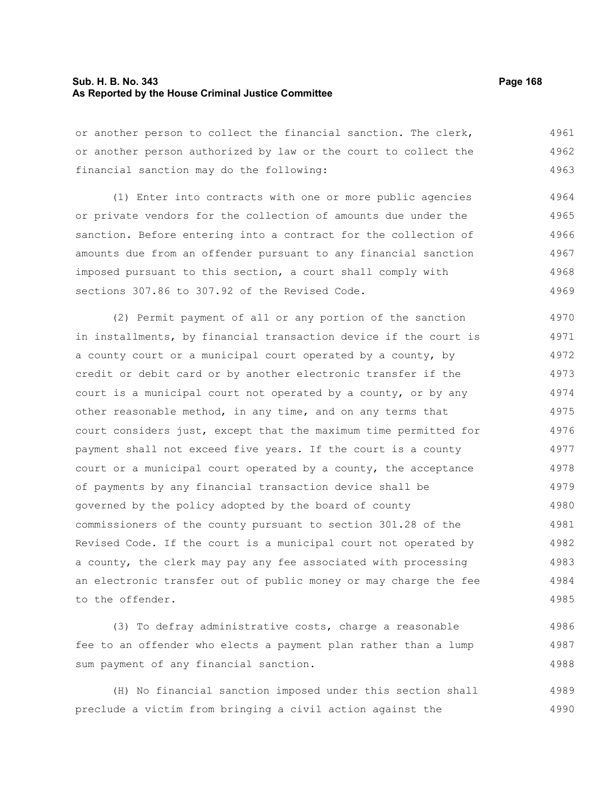# **Sub. H. B. No. 343 Page 168 As Reported by the House Criminal Justice Committee**

or another person to collect the financial sanction. The clerk, or another person authorized by law or the court to collect the financial sanction may do the following: 4961 4962 4963

(1) Enter into contracts with one or more public agencies or private vendors for the collection of amounts due under the sanction. Before entering into a contract for the collection of amounts due from an offender pursuant to any financial sanction imposed pursuant to this section, a court shall comply with sections 307.86 to 307.92 of the Revised Code. 4964 4965 4966 4967 4968 4969

(2) Permit payment of all or any portion of the sanction in installments, by financial transaction device if the court is a county court or a municipal court operated by a county, by credit or debit card or by another electronic transfer if the court is a municipal court not operated by a county, or by any other reasonable method, in any time, and on any terms that court considers just, except that the maximum time permitted for payment shall not exceed five years. If the court is a county court or a municipal court operated by a county, the acceptance of payments by any financial transaction device shall be governed by the policy adopted by the board of county commissioners of the county pursuant to section 301.28 of the Revised Code. If the court is a municipal court not operated by a county, the clerk may pay any fee associated with processing an electronic transfer out of public money or may charge the fee to the offender. 4970 4971 4972 4973 4974 4975 4976 4977 4978 4979 4980 4981 4982 4983 4984 4985

(3) To defray administrative costs, charge a reasonable fee to an offender who elects a payment plan rather than a lump sum payment of any financial sanction. 4986 4987 4988

(H) No financial sanction imposed under this section shall preclude a victim from bringing a civil action against the 4989 4990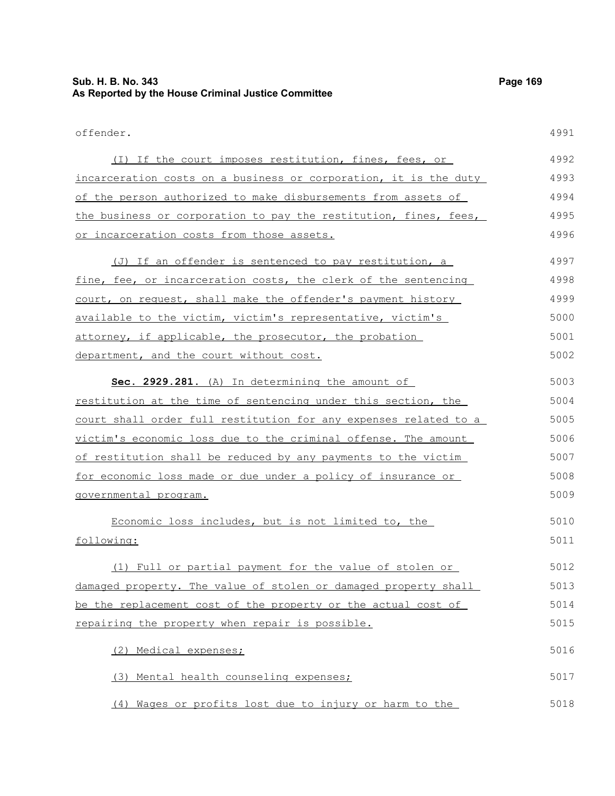# **Sub. H. B. No. 343 Page 169 As Reported by the House Criminal Justice Committee**

| offender.                                                        | 4991 |
|------------------------------------------------------------------|------|
| (I) If the court imposes restitution, fines, fees, or            | 4992 |
| incarceration costs on a business or corporation, it is the duty | 4993 |
| of the person authorized to make disbursements from assets of    | 4994 |
| the business or corporation to pay the restitution, fines, fees, | 4995 |
| <u>or incarceration costs from those assets.</u>                 | 4996 |
| (J) If an offender is sentenced to pay restitution, a            | 4997 |
| fine, fee, or incarceration costs, the clerk of the sentencing   | 4998 |
| court, on request, shall make the offender's payment history     | 4999 |
| available to the victim, victim's representative, victim's       | 5000 |
| attorney, if applicable, the prosecutor, the probation           | 5001 |
| department, and the court without cost.                          | 5002 |
| Sec. 2929.281. (A) In determining the amount of                  | 5003 |
| restitution at the time of sentencing under this section, the    | 5004 |
| court shall order full restitution for any expenses related to a | 5005 |
| victim's economic loss due to the criminal offense. The amount   | 5006 |
| of restitution shall be reduced by any payments to the victim    | 5007 |
| for economic loss made or due under a policy of insurance or     | 5008 |
| governmental program.                                            | 5009 |
| Economic loss includes, but is not limited to, the               | 5010 |
| following:                                                       | 5011 |
| (1) Full or partial payment for the value of stolen or           | 5012 |
| damaged property. The value of stolen or damaged property shall  | 5013 |
| be the replacement cost of the property or the actual cost of    | 5014 |
| repairing the property when repair is possible.                  | 5015 |
| (2) Medical expenses;                                            | 5016 |
| (3) Mental health counseling expenses;                           | 5017 |
| (4) Wages or profits lost due to injury or harm to the           | 5018 |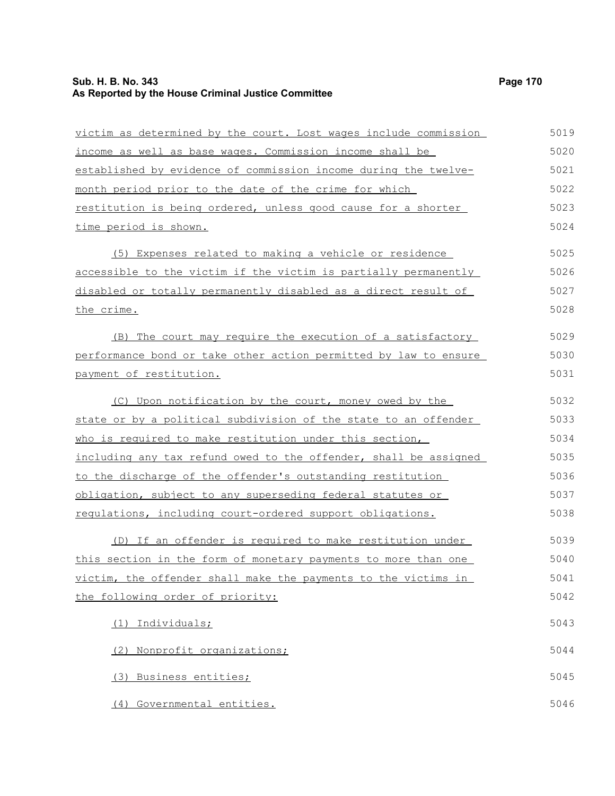# **Sub. H. B. No. 343 Page 170 As Reported by the House Criminal Justice Committee**

| victim as determined by the court. Lost wages include commission | 5019 |
|------------------------------------------------------------------|------|
| income as well as base wages. Commission income shall be         | 5020 |
| established by evidence of commission income during the twelve-  | 5021 |
| month period prior to the date of the crime for which            | 5022 |
| restitution is being ordered, unless good cause for a shorter    | 5023 |
| time period is shown.                                            | 5024 |
| (5) Expenses related to making a vehicle or residence            | 5025 |
| accessible to the victim if the victim is partially permanently  | 5026 |
| disabled or totally permanently disabled as a direct result of   | 5027 |
| the crime.                                                       | 5028 |
| (B) The court may require the execution of a satisfactory        | 5029 |
| performance bond or take other action permitted by law to ensure | 5030 |
| payment of restitution.                                          | 5031 |
| (C) Upon notification by the court, money owed by the            | 5032 |
| state or by a political subdivision of the state to an offender  | 5033 |
| who is required to make restitution under this section,          | 5034 |
| including any tax refund owed to the offender, shall be assigned | 5035 |
| to the discharge of the offender's outstanding restitution       | 5036 |
| obligation, subject to any superseding federal statutes or       | 5037 |
| requlations, including court-ordered support obligations.        | 5038 |
| (D) If an offender is required to make restitution under         | 5039 |
| this section in the form of monetary payments to more than one   | 5040 |
| victim, the offender shall make the payments to the victims in   | 5041 |
| the following order of priority:                                 | 5042 |
| (1) Individuals;                                                 | 5043 |
| (2) Nonprofit organizations;                                     | 5044 |
| Business entities;<br>(3)                                        | 5045 |
| Governmental entities.<br>(4)                                    | 5046 |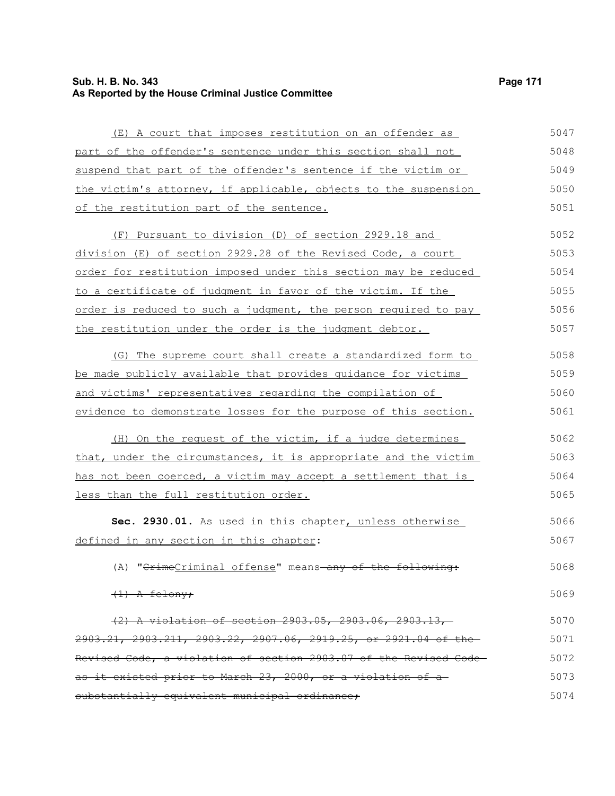# **Sub. H. B. No. 343 Page 171 As Reported by the House Criminal Justice Committee**

| (E) A court that imposes restitution on an offender as          |
|-----------------------------------------------------------------|
| part of the offender's sentence under this section shall not    |
| suspend that part of the offender's sentence if the victim or   |
| the victim's attorney, if applicable, objects to the suspension |
| of the restitution part of the sentence.                        |
| (F) Pursuant to division (D) of section 2929.18 and             |
| division (E) of section 2929.28 of the Revised Code, a court    |
| order for restitution imposed under this section may be reduced |
| to a certificate of judgment in favor of the victim. If the     |
| order is reduced to such a judgment, the person required to pay |
| the restitution under the order is the judgment debtor.         |
|                                                                 |

(G) The supreme court shall create a standardized form to be made publicly available that provides guidance for victims and victims' representatives regarding the compilation of evidence to demonstrate losses for the purpose of this section. 5058 5059 5060 5061

(H) On the request of the victim, if a judge determines that, under the circumstances, it is appropriate and the victim has not been coerced, a victim may accept a settlement that is less than the full restitution order. 5062 5063 5064 5065

Sec. 2930.01. As used in this chapter, unless otherwise defined in any section in this chapter: 5066 5067

(A) "CrimeCriminal offense" means-any of the following:

(1) A felony;

(2) A violation of section 2903.05, 2903.06, 2903.13, 2903.21, 2903.211, 2903.22, 2907.06, 2919.25, or 2921.04 of the Revised Code, a violation of section 2903.07 of the Revised Code as it existed prior to March 23, 2000, or a violation of a substantially equivalent municipal ordinance; 5070 5071 5072 5073 5074

5068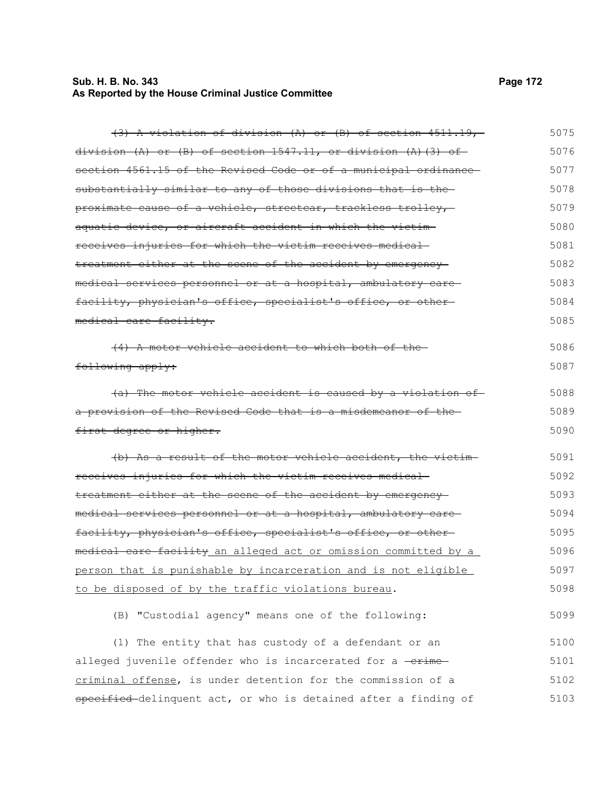# **Sub. H. B. No. 343 Page 172 As Reported by the House Criminal Justice Committee**

(3) A violation of division (A) or (B) of section 4511.19, division  $(A)$  or  $(B)$  of section 1547.11, or division  $(A)$   $(3)$  of section 4561.15 of the Revised Code or of a municipal ordinance substantially similar to any of those divisions that is the proximate cause of a vehicle, streetcar, trackless trolley, aquatic device, or aircraft accident in which the victim receives injuries for which the victim receives medical treatment either at the scene of the accident by emergency medical services personnel or at a hospital, ambulatory care facility, physician's office, specialist's office, or other medical care facility. (4) A motor vehicle accident to which both of the following apply: (a) The motor vehicle accident is caused by a violation of a provision of the Revised Code that is a misdemeanor of the first degree or higher. (b) As a result of the motor vehicle accident, the victim receives injuries for which the victim receives medical treatment either at the scene of the accident by emergencymedical services personnel or at a hospital, ambulatory care facility, physician's office, specialist's office, or other medical care facility an alleged act or omission committed by a person that is punishable by incarceration and is not eligible to be disposed of by the traffic violations bureau. (B) "Custodial agency" means one of the following: (1) The entity that has custody of a defendant or an alleged juvenile offender who is incarcerated for a -crimecriminal offense, is under detention for the commission of a specified delinquent act, or who is detained after a finding of 5075 5076 5077 5078 5079 5080 5081 5082 5083 5084 5085 5086 5087 5088 5089 5090 5091 5092 5093 5094 5095 5096 5097 5098 5099 5100 5101 5102 5103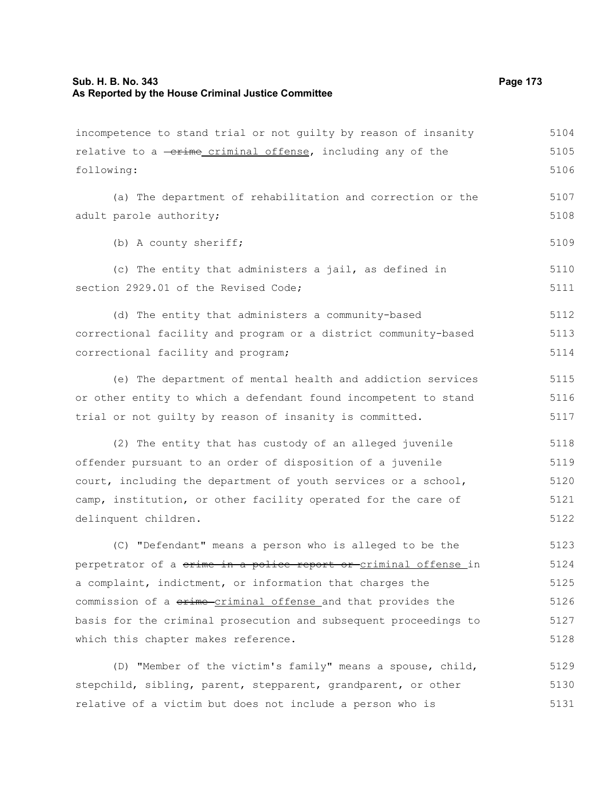# **Sub. H. B. No. 343 Page 173 As Reported by the House Criminal Justice Committee**

following:

incompetence to stand trial or not guilty by reason of insanity relative to a  $-e$ ime criminal offense, including any of the (a) The department of rehabilitation and correction or the adult parole authority; (b) A county sheriff;

(c) The entity that administers a jail, as defined in section 2929.01 of the Revised Code; 5110 5111

(d) The entity that administers a community-based correctional facility and program or a district community-based correctional facility and program; 5112 5113 5114

(e) The department of mental health and addiction services or other entity to which a defendant found incompetent to stand trial or not guilty by reason of insanity is committed. 5115 5116 5117

(2) The entity that has custody of an alleged juvenile offender pursuant to an order of disposition of a juvenile court, including the department of youth services or a school, camp, institution, or other facility operated for the care of delinquent children. 5118 5119 5120 5121 5122

(C) "Defendant" means a person who is alleged to be the perpetrator of a crime in a police report or criminal offense in a complaint, indictment, or information that charges the commission of a erime-criminal offense and that provides the basis for the criminal prosecution and subsequent proceedings to which this chapter makes reference. 5123 5124 5125 5126 5127 5128

(D) "Member of the victim's family" means a spouse, child, stepchild, sibling, parent, stepparent, grandparent, or other relative of a victim but does not include a person who is 5129 5130 5131

5104 5105 5106

5107 5108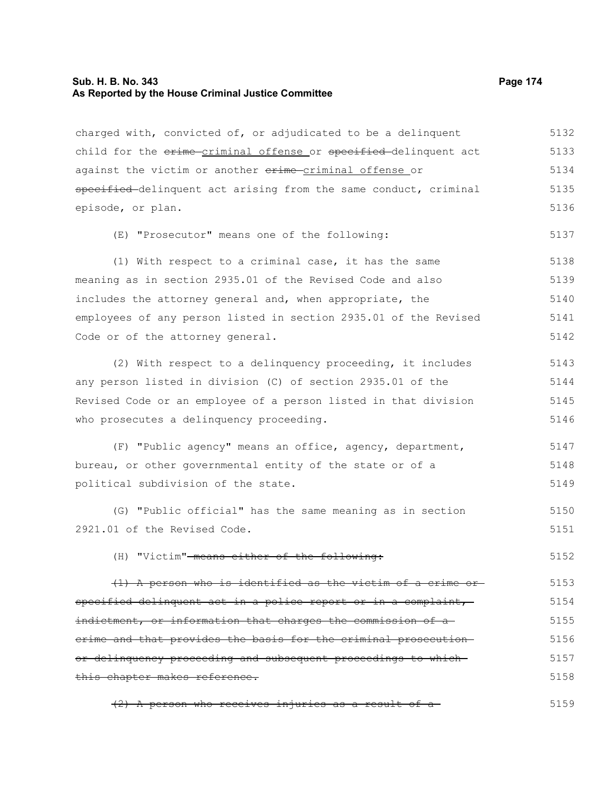# **Sub. H. B. No. 343 Page 174 As Reported by the House Criminal Justice Committee**

political subdivision of the state.

charged with, convicted of, or adjudicated to be a delinquent

child for the erime criminal offense or specified delinquent act against the victim or another erime-criminal offense or specified delinquent act arising from the same conduct, criminal episode, or plan. (E) "Prosecutor" means one of the following: (1) With respect to a criminal case, it has the same meaning as in section 2935.01 of the Revised Code and also includes the attorney general and, when appropriate, the employees of any person listed in section 2935.01 of the Revised Code or of the attorney general. (2) With respect to a delinquency proceeding, it includes any person listed in division (C) of section 2935.01 of the Revised Code or an employee of a person listed in that division who prosecutes a delinquency proceeding. (F) "Public agency" means an office, agency, department, bureau, or other governmental entity of the state or of a

(G) "Public official" has the same meaning as in section 2921.01 of the Revised Code. 5150 5151

(H) "Victim"-means either of the following: 5152

(1) A person who is identified as the victim of a crime or specified delinquent act in a police report or in a complaint, indictment, or information that charges the commission of a crime and that provides the basis for the criminal prosecution or delinquency proceeding and subsequent proceedings to which this chapter makes reference. 5153 5154 5155 5156 5157 5158

(2) A person who receives injuries as a result of a 5159

5137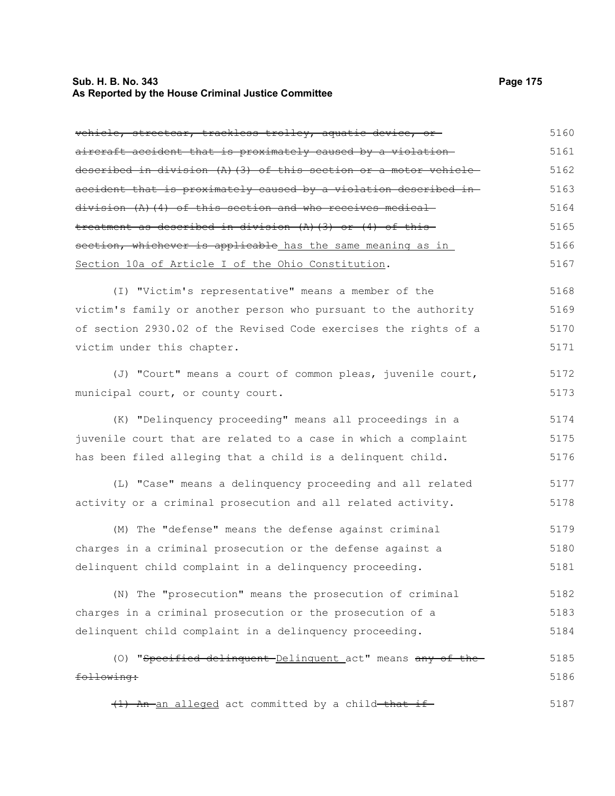# **Sub. H. B. No. 343 Page 175 As Reported by the House Criminal Justice Committee**

vehicle, streetcar, trackless trolley, aquatic device, or-

aircraft accident that is proximately caused by a violation described in division (A)(3) of this section or a motor vehicle accident that is proximately caused by a violation described in division  $(A)$  (4) of this section and who receives medicaltreatment as described in division (A)(3) or (4) of this section, whichever is applicable has the same meaning as in Section 10a of Article I of the Ohio Constitution. 5161 5162 5163 5164 5165 5166 5167

(I) "Victim's representative" means a member of the victim's family or another person who pursuant to the authority of section 2930.02 of the Revised Code exercises the rights of a victim under this chapter. 5168 5169 5170 5171

(J) "Court" means a court of common pleas, juvenile court, municipal court, or county court. 5172 5173

(K) "Delinquency proceeding" means all proceedings in a juvenile court that are related to a case in which a complaint has been filed alleging that a child is a delinquent child. 5174 5175 5176

(L) "Case" means a delinquency proceeding and all related activity or a criminal prosecution and all related activity. 5177 5178

(M) The "defense" means the defense against criminal charges in a criminal prosecution or the defense against a delinquent child complaint in a delinquency proceeding. 5179 5180 5181

(N) The "prosecution" means the prosecution of criminal charges in a criminal prosecution or the prosecution of a delinquent child complaint in a delinquency proceeding. 5182 5183 5184

(O) "Specified delinquent Delinquent act" means any of the following: 5185 5186

 $(1)$  An-an alleged act committed by a child-that if 5187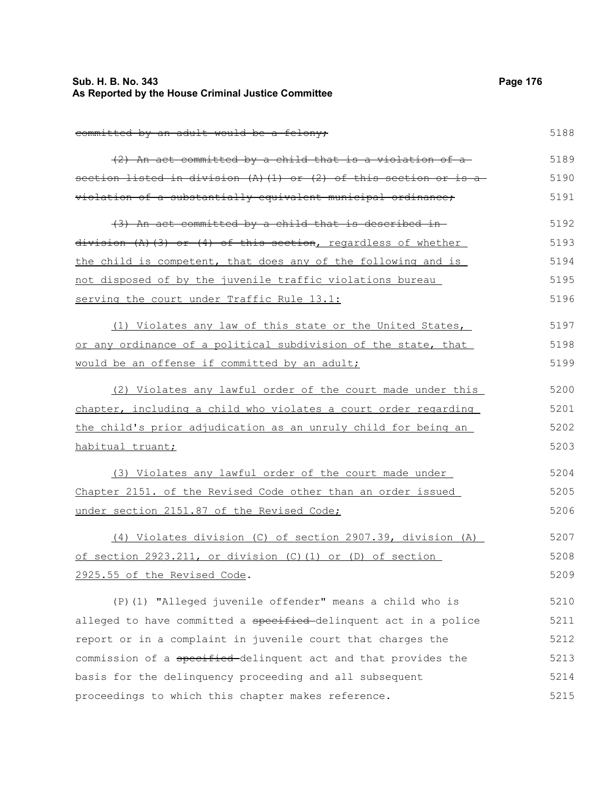# **Sub. H. B. No. 343 Page 176 As Reported by the House Criminal Justice Committee**

| committed by an adult would be a felony;                                | 5188 |
|-------------------------------------------------------------------------|------|
| $(2)$ An act committed by a child that is a violation of a              | 5189 |
| section listed in division $(A)$ $(1)$ or $(2)$ of this section or is a | 5190 |
| violation of a substantially equivalent municipal ordinance,            | 5191 |
| (3) An act committed by a child that is described in-                   | 5192 |
| $division (A) (3)$ or (4) of this section, regardless of whether        | 5193 |
| the child is competent, that does any of the following and is           | 5194 |
| not disposed of by the juvenile traffic violations bureau               | 5195 |
| serving the court under Traffic Rule 13.1:                              | 5196 |
| (1) Violates any law of this state or the United States,                | 5197 |
| or any ordinance of a political subdivision of the state, that          | 5198 |
| would be an offense if committed by an adult;                           | 5199 |
| (2) Violates any lawful order of the court made under this              | 5200 |
| chapter, including a child who violates a court order regarding         | 5201 |
|                                                                         |      |
| the child's prior adjudication as an unruly child for being an          | 5202 |
| habitual truant;                                                        | 5203 |
| (3) Violates any lawful order of the court made under                   | 5204 |
| Chapter 2151. of the Revised Code other than an order issued            | 5205 |
| under section 2151.87 of the Revised Code;                              | 5206 |
| (4) Violates division (C) of section 2907.39, division (A)              | 5207 |
| of section 2923.211, or division (C)(1) or (D) of section               | 5208 |
| 2925.55 of the Revised Code.                                            | 5209 |
| (P) (1) "Alleged juvenile offender" means a child who is                | 5210 |
| alleged to have committed a specified-delinguent act in a police        | 5211 |
| report or in a complaint in juvenile court that charges the             | 5212 |
| commission of a specified-delinquent act and that provides the          | 5213 |
| basis for the delinquency proceeding and all subsequent                 | 5214 |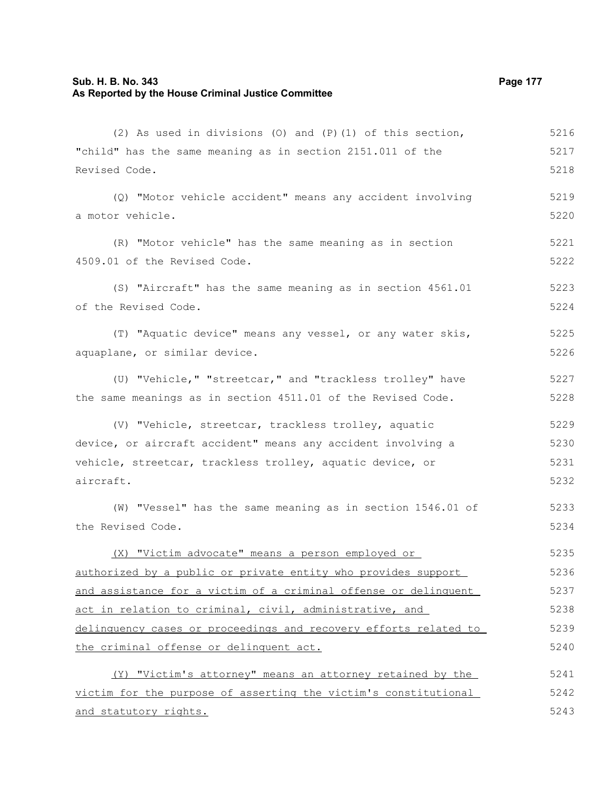# **Sub. H. B. No. 343 Page 177 As Reported by the House Criminal Justice Committee**

(2) As used in divisions (O) and (P)(1) of this section, "child" has the same meaning as in section 2151.011 of the Revised Code. (Q) "Motor vehicle accident" means any accident involving a motor vehicle. (R) "Motor vehicle" has the same meaning as in section 4509.01 of the Revised Code. (S) "Aircraft" has the same meaning as in section 4561.01 of the Revised Code. (T) "Aquatic device" means any vessel, or any water skis, aquaplane, or similar device. (U) "Vehicle," "streetcar," and "trackless trolley" have the same meanings as in section 4511.01 of the Revised Code. (V) "Vehicle, streetcar, trackless trolley, aquatic device, or aircraft accident" means any accident involving a vehicle, streetcar, trackless trolley, aquatic device, or aircraft. (W) "Vessel" has the same meaning as in section 1546.01 of the Revised Code. (X) "Victim advocate" means a person employed or authorized by a public or private entity who provides support and assistance for a victim of a criminal offense or delinquent act in relation to criminal, civil, administrative, and delinquency cases or proceedings and recovery efforts related to the criminal offense or delinquent act. 5216 5217 5218 5219 5220 5221 5222 5223 5224 5225 5226 5227 5228 5229 5230 5231 5232 5233 5234 5235 5236 5237 5238 5239 5240

(Y) "Victim's attorney" means an attorney retained by the victim for the purpose of asserting the victim's constitutional and statutory rights. 5241 5242 5243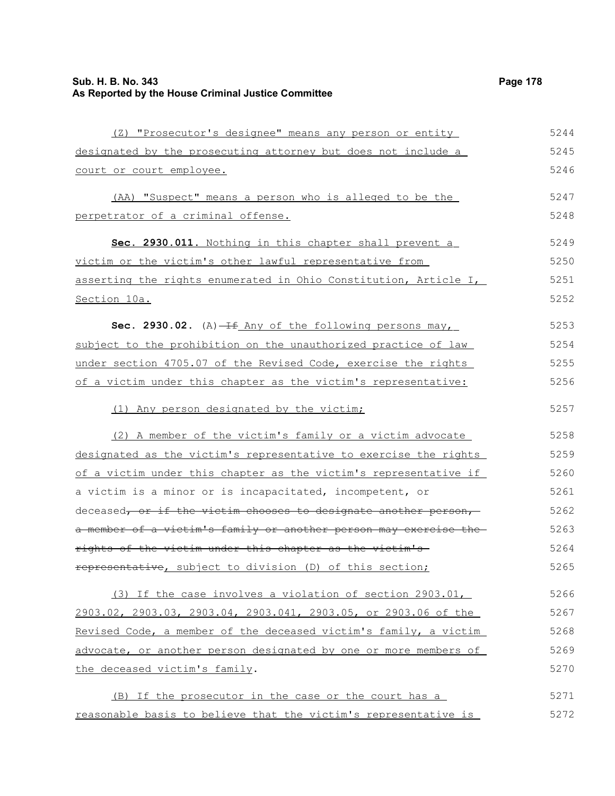| (Z) "Prosecutor's designee" means any person or entity           | 5244 |
|------------------------------------------------------------------|------|
| designated by the prosecuting attorney but does not include a    | 5245 |
| court or court employee.                                         | 5246 |
| (AA) "Suspect" means a person who is alleged to be the           | 5247 |
| perpetrator of a criminal offense.                               | 5248 |
| Sec. 2930.011. Nothing in this chapter shall prevent a           | 5249 |
| victim or the victim's other lawful representative from          | 5250 |
| asserting the rights enumerated in Ohio Constitution, Article I, | 5251 |
| Section 10a.                                                     | 5252 |
| Sec. 2930.02. $(A)$ - If Any of the following persons may,       | 5253 |
| subject to the prohibition on the unauthorized practice of law   | 5254 |
| under section 4705.07 of the Revised Code, exercise the rights   | 5255 |
| of a victim under this chapter as the victim's representative:   | 5256 |
| (1) Any person designated by the victim;                         | 5257 |
| (2) A member of the victim's family or a victim advocate         | 5258 |
| designated as the victim's representative to exercise the rights | 5259 |
| of a victim under this chapter as the victim's representative if | 5260 |
| a victim is a minor or is incapacitated, incompetent, or         | 5261 |
| deceased, or if the victim chooses to designate another person,  | 5262 |
| a member of a victim's family or another person may exercise the | 5263 |
| rights of the victim under this chapter as the victim's-         | 5264 |
| representative, subject to division (D) of this section;         | 5265 |
| (3) If the case involves a violation of section 2903.01,         | 5266 |
| 2903.02, 2903.03, 2903.04, 2903.041, 2903.05, or 2903.06 of the  | 5267 |
| Revised Code, a member of the deceased victim's family, a victim | 5268 |
| advocate, or another person designated by one or more members of | 5269 |
| the deceased victim's family.                                    | 5270 |
| (B) If the prosecutor in the case or the court has a             | 5271 |
| reasonable basis to believe that the victim's representative is  | 5272 |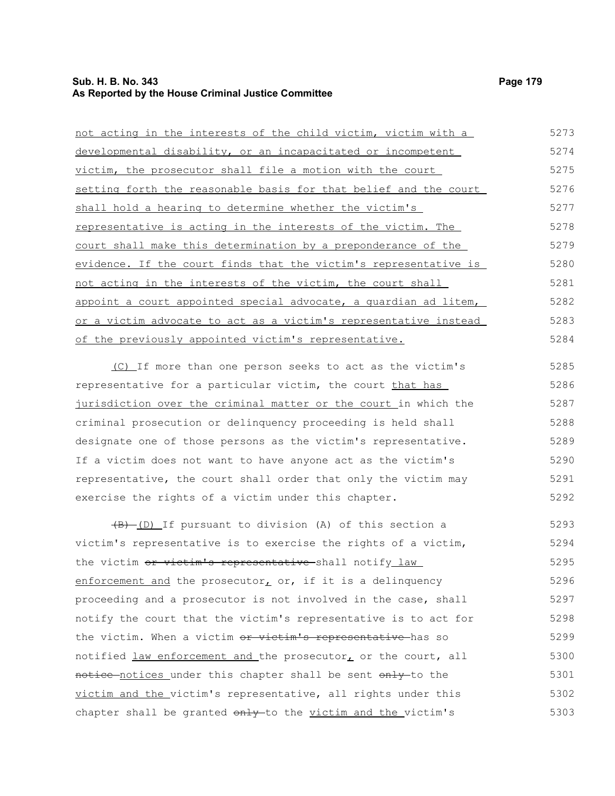## **Sub. H. B. No. 343** Page 179 **As Reported by the House Criminal Justice Committee**

| not acting in the interests of the child victim, victim with a   | 5273 |
|------------------------------------------------------------------|------|
| developmental disability, or an incapacitated or incompetent     | 5274 |
| victim, the prosecutor shall file a motion with the court        | 5275 |
| setting forth the reasonable basis for that belief and the court | 5276 |
| shall hold a hearing to determine whether the victim's           | 5277 |
| representative is acting in the interests of the victim. The     | 5278 |
| court shall make this determination by a preponderance of the    | 5279 |
| evidence. If the court finds that the victim's representative is | 5280 |
| not acting in the interests of the victim, the court shall       | 5281 |
| appoint a court appointed special advocate, a quardian ad litem, | 5282 |
| or a victim advocate to act as a victim's representative instead | 5283 |
| of the previously appointed victim's representative.             | 5284 |

(C) If more than one person seeks to act as the victim's representative for a particular victim, the court that has jurisdiction over the criminal matter or the court in which the criminal prosecution or delinquency proceeding is held shall designate one of those persons as the victim's representative. If a victim does not want to have anyone act as the victim's representative, the court shall order that only the victim may exercise the rights of a victim under this chapter. 5285 5286 5287 5288 5289 5290 5291 5292

(B) (D) If pursuant to division (A) of this section a victim's representative is to exercise the rights of a victim, the victim or victim's representative shall notify law enforcement and the prosecutor, or, if it is a delinquency proceeding and a prosecutor is not involved in the case, shall notify the court that the victim's representative is to act for the victim. When a victim or victim's representative has so notified law enforcement and the prosecutor, or the court, all notice notices under this chapter shall be sent only-to the victim and the victim's representative, all rights under this chapter shall be granted only to the victim and the victim's 5293 5294 5295 5296 5297 5298 5299 5300 5301 5302 5303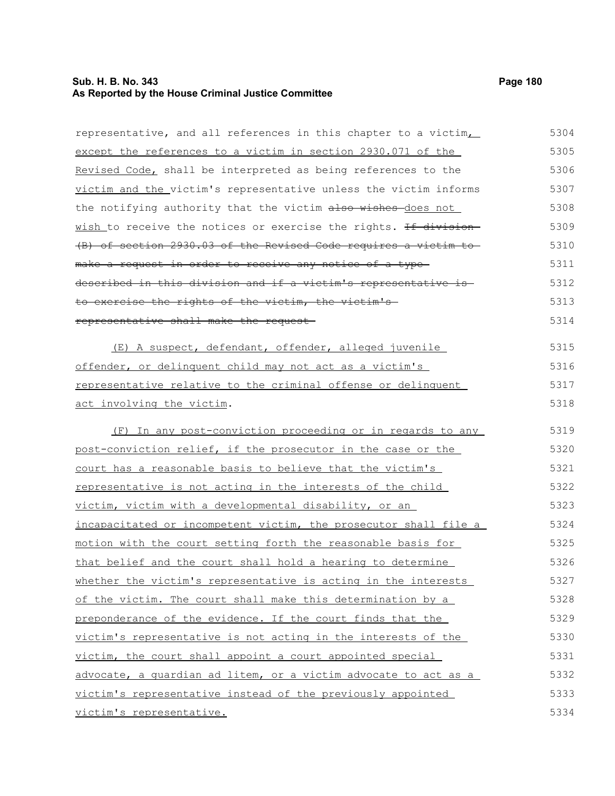# **Sub. H. B. No. 343 Page 180 As Reported by the House Criminal Justice Committee**

| representative, and all references in this chapter to a victim   | 5304 |
|------------------------------------------------------------------|------|
| except the references to a victim in section 2930.071 of the     | 5305 |
| Revised Code, shall be interpreted as being references to the    | 5306 |
| victim and the victim's representative unless the victim informs | 5307 |
| the notifying authority that the victim also wishes does not     | 5308 |
| wish to receive the notices or exercise the rights. If division- | 5309 |
| (B) of section 2930.03 of the Revised Code requires a victim to  | 5310 |
| make a request in order to receive any notice of a type-         | 5311 |
| described in this division and if a victim's representative is   | 5312 |
| to exercise the rights of the victim, the victim's-              | 5313 |
| representative shall make the request                            | 5314 |
| (E) A suspect, defendant, offender, alleged juvenile             | 5315 |
| offender, or delinquent child may not act as a victim's          | 5316 |
| representative relative to the criminal offense or delinquent    | 5317 |
| act involving the victim.                                        | 5318 |
| (F) In any post-conviction proceeding or in regards to any       | 5319 |
| post-conviction relief, if the prosecutor in the case or the     | 5320 |
| court has a reasonable basis to believe that the victim's        | 5321 |
| representative is not acting in the interests of the child       | 5322 |
| victim, victim with a developmental disability, or an            | 5323 |
| incapacitated or incompetent victim, the prosecutor shall file a | 5324 |
| motion with the court setting forth the reasonable basis for     | 5325 |
| that belief and the court shall hold a hearing to determine      | 5326 |
| whether the victim's representative is acting in the interests   | 5327 |
| of the victim. The court shall make this determination by a      | 5328 |
| preponderance of the evidence. If the court finds that the       | 5329 |
| victim's representative is not acting in the interests of the    | 5330 |
| victim, the court shall appoint a court appointed special        | 5331 |
| advocate, a quardian ad litem, or a victim advocate to act as a  | 5332 |
| victim's representative instead of the previously appointed      | 5333 |
| victim's representative.                                         | 5334 |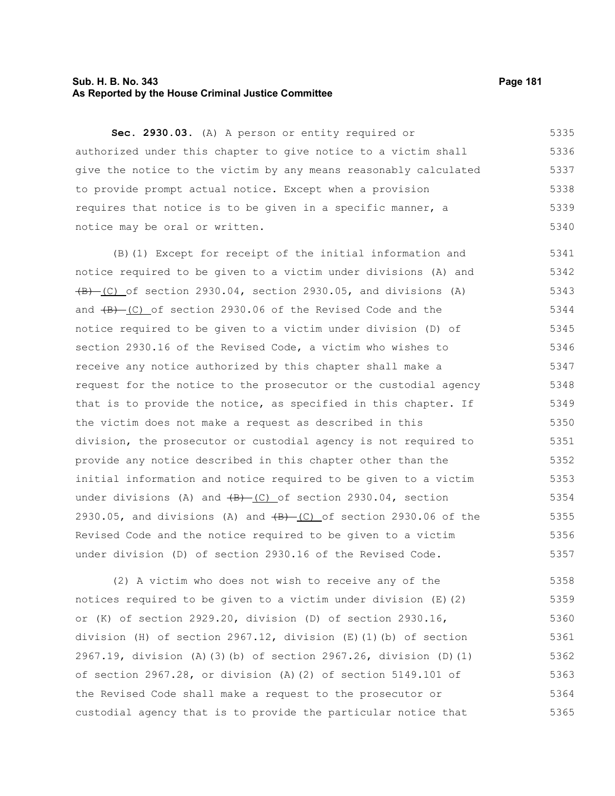### **Sub. H. B. No. 343 Page 181 As Reported by the House Criminal Justice Committee**

**Sec. 2930.03.** (A) A person or entity required or authorized under this chapter to give notice to a victim shall give the notice to the victim by any means reasonably calculated to provide prompt actual notice. Except when a provision requires that notice is to be given in a specific manner, a notice may be oral or written. 5335 5336 5337 5338 5339 5340

(B)(1) Except for receipt of the initial information and notice required to be given to a victim under divisions (A) and  $\overline{(B)}$  (C) of section 2930.04, section 2930.05, and divisions (A) and  $(B)$  (C) of section 2930.06 of the Revised Code and the notice required to be given to a victim under division (D) of section 2930.16 of the Revised Code, a victim who wishes to receive any notice authorized by this chapter shall make a request for the notice to the prosecutor or the custodial agency that is to provide the notice, as specified in this chapter. If the victim does not make a request as described in this division, the prosecutor or custodial agency is not required to provide any notice described in this chapter other than the initial information and notice required to be given to a victim under divisions (A) and  $\overline{(B) - (C)}$  of section 2930.04, section 2930.05, and divisions (A) and  $\overline{(B)}$  (C) of section 2930.06 of the Revised Code and the notice required to be given to a victim under division (D) of section 2930.16 of the Revised Code. 5341 5342 5343 5344 5345 5346 5347 5348 5349 5350 5351 5352 5353 5354 5355 5356 5357

(2) A victim who does not wish to receive any of the notices required to be given to a victim under division (E)(2) or (K) of section 2929.20, division (D) of section 2930.16, division (H) of section 2967.12, division (E)(1)(b) of section 2967.19, division (A)(3)(b) of section 2967.26, division (D)(1) of section 2967.28, or division (A)(2) of section 5149.101 of the Revised Code shall make a request to the prosecutor or custodial agency that is to provide the particular notice that 5358 5359 5360 5361 5362 5363 5364 5365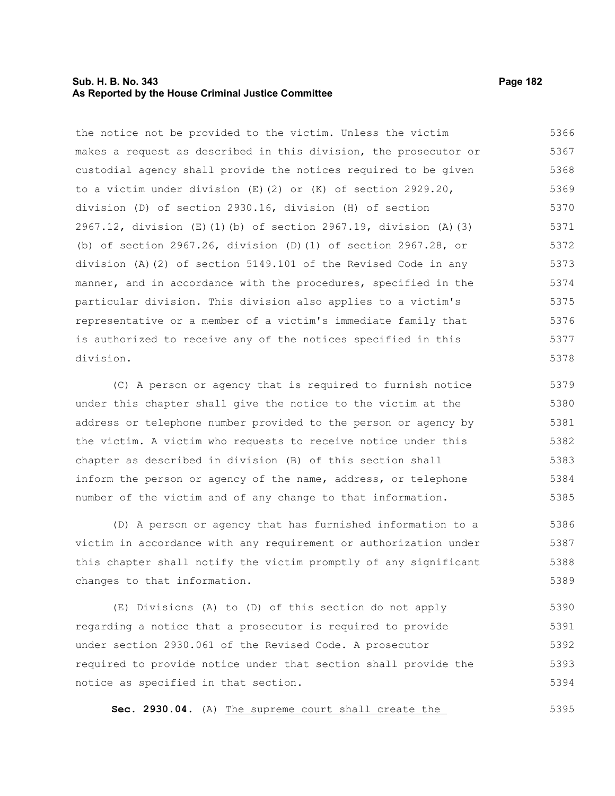#### **Sub. H. B. No. 343 Page 182 As Reported by the House Criminal Justice Committee**

division.

the notice not be provided to the victim. Unless the victim makes a request as described in this division, the prosecutor or custodial agency shall provide the notices required to be given to a victim under division (E)(2) or (K) of section 2929.20, division (D) of section 2930.16, division (H) of section 2967.12, division (E)(1)(b) of section 2967.19, division (A)(3) (b) of section 2967.26, division (D)(1) of section 2967.28, or division (A)(2) of section 5149.101 of the Revised Code in any manner, and in accordance with the procedures, specified in the particular division. This division also applies to a victim's representative or a member of a victim's immediate family that is authorized to receive any of the notices specified in this 5366 5367 5368 5369 5370 5371 5372 5373 5374 5375 5376 5377

(C) A person or agency that is required to furnish notice under this chapter shall give the notice to the victim at the address or telephone number provided to the person or agency by the victim. A victim who requests to receive notice under this chapter as described in division (B) of this section shall inform the person or agency of the name, address, or telephone number of the victim and of any change to that information. 5379 5380 5381 5382 5383 5384 5385

(D) A person or agency that has furnished information to a victim in accordance with any requirement or authorization under this chapter shall notify the victim promptly of any significant changes to that information. 5386 5387 5388 5389

(E) Divisions (A) to (D) of this section do not apply regarding a notice that a prosecutor is required to provide under section 2930.061 of the Revised Code. A prosecutor required to provide notice under that section shall provide the notice as specified in that section. 5390 5391 5392 5393 5394

**Sec. 2930.04.** (A) The supreme court shall create the 5395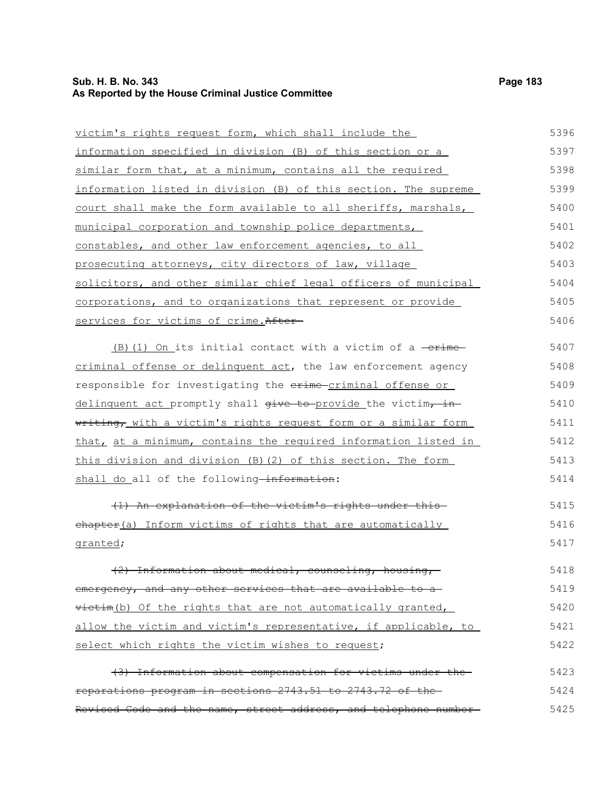# **Sub. H. B. No. 343 Page 183 As Reported by the House Criminal Justice Committee**

| victim's rights request form, which shall include the            | 5396 |
|------------------------------------------------------------------|------|
| information specified in division (B) of this section or a       | 5397 |
| similar form that, at a minimum, contains all the required       | 5398 |
| information listed in division (B) of this section. The supreme  | 5399 |
| court shall make the form available to all sheriffs, marshals,   | 5400 |
| municipal corporation and township police departments,           | 5401 |
| constables, and other law enforcement agencies, to all           | 5402 |
| prosecuting attorneys, city directors of law, village            | 5403 |
| solicitors, and other similar chief legal officers of municipal  | 5404 |
| corporations, and to organizations that represent or provide     | 5405 |
| services for victims of crime. After-                            | 5406 |
| (B) (1) On its initial contact with a victim of a -erime         | 5407 |
| criminal offense or delinquent act, the law enforcement agency   | 5408 |
| responsible for investigating the erime-criminal offense or      | 5409 |
| delinquent act promptly shall give to provide the victim, in     | 5410 |
| writing, with a victim's rights request form or a similar form   | 5411 |
| that, at a minimum, contains the required information listed in  | 5412 |
| this division and division (B) (2) of this section. The form     | 5413 |
| shall do all of the following-information:                       | 5414 |
| (1) An explanation of the victim's rights under this-            | 5415 |
| chapter(a) Inform victims of rights that are automatically       | 5416 |
| granted;                                                         | 5417 |
| Information about medical, counseling, housing                   | 5418 |
| emergency, and any other services that are available to a        | 5419 |
| victim(b) Of the rights that are not automatically granted,      | 5420 |
| allow the victim and victim's representative, if applicable, to  | 5421 |
| select which rights the victim wishes to request;                | 5422 |
| (3) Information about compensation for victims under the         | 5423 |
| reparations program in sections 2743.51 to 2743.72 of the-       | 5424 |
| Revised Code and the name, street address, and telephone number- | 5425 |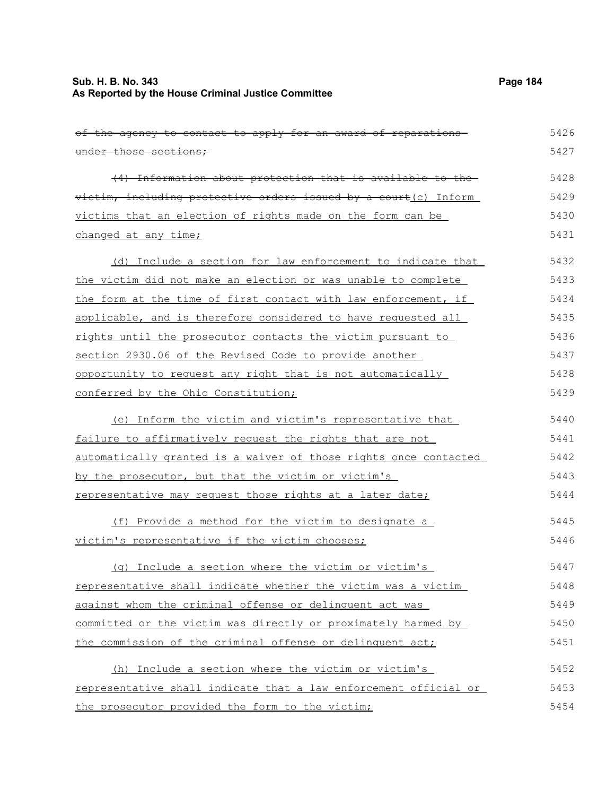# **Sub. H. B. No. 343 Page 184 As Reported by the House Criminal Justice Committee**

| of the agency to contact to apply for an award of reparations-   | 5426 |
|------------------------------------------------------------------|------|
| under those sections;                                            | 5427 |
| (4) Information about protection that is available to the        | 5428 |
| victim, including protective orders issued by a court (c) Inform | 5429 |
| victims that an election of rights made on the form can be       | 5430 |
| changed at any time;                                             | 5431 |
| (d) Include a section for law enforcement to indicate that       | 5432 |
| the victim did not make an election or was unable to complete    | 5433 |
| the form at the time of first contact with law enforcement, if   | 5434 |
| applicable, and is therefore considered to have requested all    | 5435 |
| rights until the prosecutor contacts the victim pursuant to      | 5436 |
| section 2930.06 of the Revised Code to provide another           | 5437 |
| opportunity to request any right that is not automatically       | 5438 |
| conferred by the Ohio Constitution;                              | 5439 |
| (e) Inform the victim and victim's representative that           | 5440 |
| failure to affirmatively request the rights that are not         | 5441 |
| automatically granted is a waiver of those rights once contacted | 5442 |
| by the prosecutor, but that the victim or victim's               | 5443 |
| representative may request those rights at a later date;         | 5444 |
| (f) Provide a method for the victim to designate a               | 5445 |
| victim's representative if the victim chooses;                   | 5446 |
| (g) Include a section where the victim or victim's               | 5447 |
| representative shall indicate whether the victim was a victim    | 5448 |
| against whom the criminal offense or delinguent act was          | 5449 |
| committed or the victim was directly or proximately harmed by    | 5450 |
| the commission of the criminal offense or delinquent act;        | 5451 |
| (h) Include a section where the victim or victim's               | 5452 |
| representative shall indicate that a law enforcement official or | 5453 |
| the prosecutor provided the form to the victim;                  | 5454 |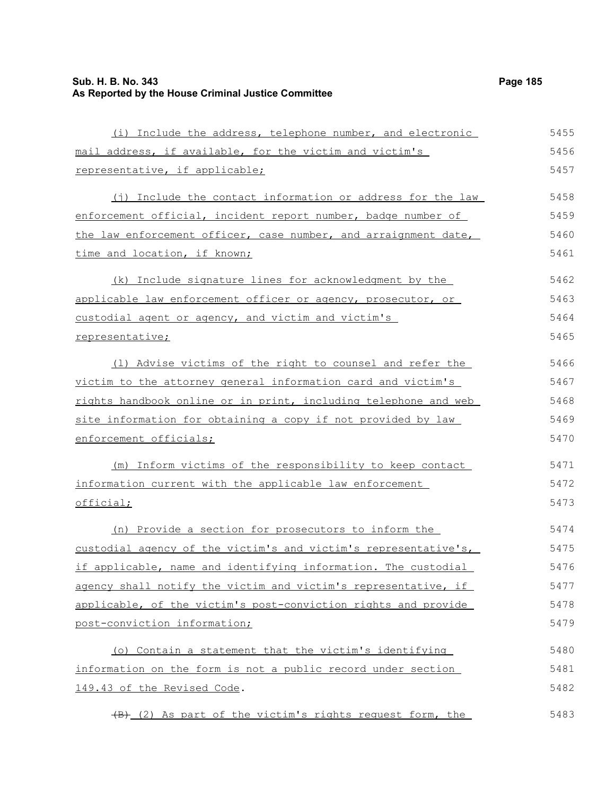# **Sub. H. B. No. 343 Page 185 As Reported by the House Criminal Justice Committee**

| (i) Include the address, telephone number, and electronic       | 5455 |
|-----------------------------------------------------------------|------|
| mail address, if available, for the victim and victim's         | 5456 |
| representative, if applicable;                                  | 5457 |
| (j) Include the contact information or address for the law      | 5458 |
| enforcement official, incident report number, badge number of   | 5459 |
| the law enforcement officer, case number, and arraignment date, | 5460 |
| time and location, if known;                                    | 5461 |
| (k) Include signature lines for acknowledgment by the           | 5462 |
| applicable law enforcement officer or agency, prosecutor, or    | 5463 |
| custodial agent or agency, and victim and victim's              | 5464 |
| representative;                                                 | 5465 |
| (1) Advise victims of the right to counsel and refer the        | 5466 |
| victim to the attorney general information card and victim's    | 5467 |
| rights handbook online or in print, including telephone and web | 5468 |
| site information for obtaining a copy if not provided by law    | 5469 |
| enforcement officials;                                          | 5470 |
| (m) Inform victims of the responsibility to keep contact        | 5471 |
| information current with the applicable law enforcement         | 5472 |
| official;                                                       | 5473 |
| (n) Provide a section for prosecutors to inform the             | 5474 |
| custodial agency of the victim's and victim's representative's, | 5475 |
| if applicable, name and identifying information. The custodial  | 5476 |
| agency shall notify the victim and victim's representative, if  | 5477 |
| applicable, of the victim's post-conviction rights and provide  | 5478 |
| post-conviction information;                                    | 5479 |
| (o) Contain a statement that the victim's identifying           | 5480 |
| information on the form is not a public record under section    | 5481 |
| 149.43 of the Revised Code.                                     | 5482 |
| (2) As part of the victim's rights request form, the            | 5483 |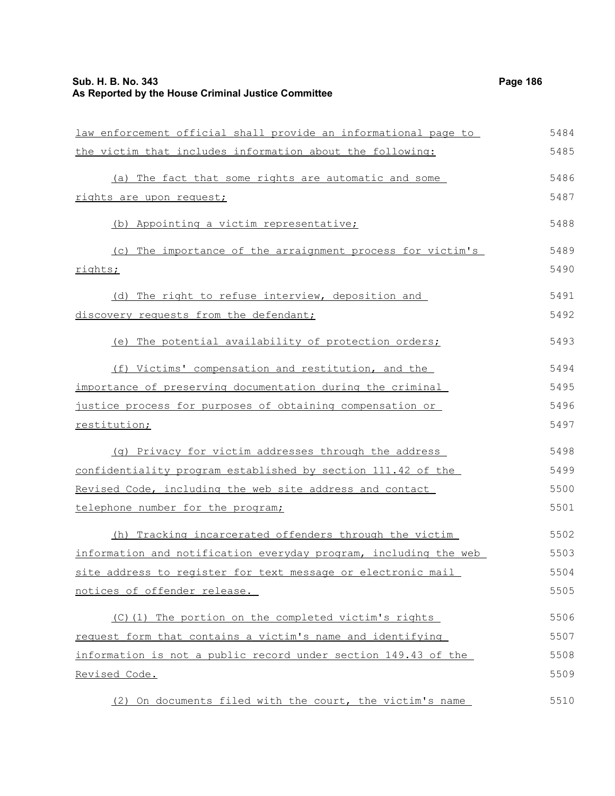### **Sub. H. B. No. 343 Page 186 As Reported by the House Criminal Justice Committee**

law enforcement official shall provide an informational page to the victim that includes information about the following: (a) The fact that some rights are automatic and some rights are upon request; (b) Appointing a victim representative; (c) The importance of the arraignment process for victim's rights; (d) The right to refuse interview, deposition and discovery requests from the defendant; (e) The potential availability of protection orders; (f) Victims' compensation and restitution, and the importance of preserving documentation during the criminal justice process for purposes of obtaining compensation or restitution; (g) Privacy for victim addresses through the address confidentiality program established by section 111.42 of the Revised Code, including the web site address and contact telephone number for the program; (h) Tracking incarcerated offenders through the victim information and notification everyday program, including the web site address to register for text message or electronic mail notices of offender release. 5484 5485 5486 5487 5488 5489 5490 5491 5492 5493 5494 5495 5496 5497 5498 5499 5500 5501 5502 5503 5504 5505

(C)(1) The portion on the completed victim's rights request form that contains a victim's name and identifying information is not a public record under section 149.43 of the Revised Code. 5506 5507 5508 5509

(2) On documents filed with the court, the victim's name 5510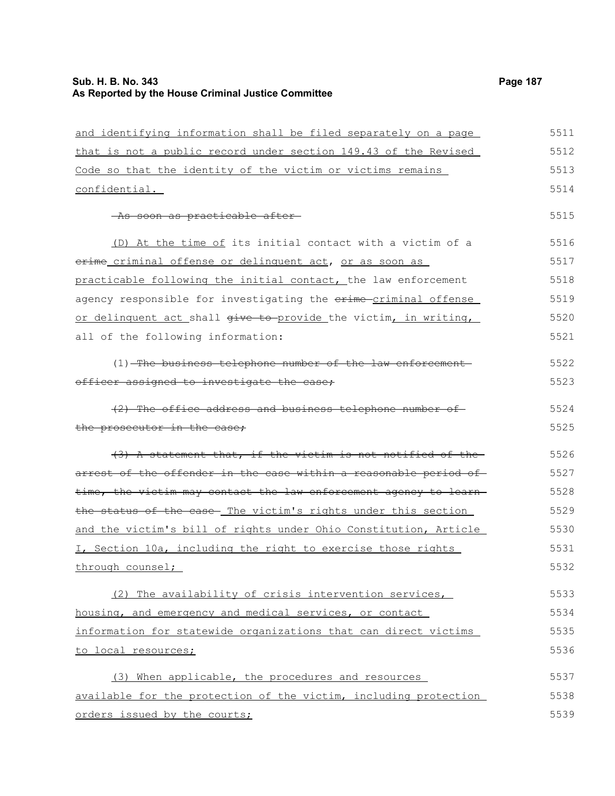### **Sub. H. B. No. 343 Page 187 As Reported by the House Criminal Justice Committee**

and identifying information shall be filed separately on a page that is not a public record under section 149.43 of the Revised Code so that the identity of the victim or victims remains confidential. As soon as practicable after (D) At the time of its initial contact with a victim of a erime criminal offense or delinquent act, or as soon as practicable following the initial contact, the law enforcement agency responsible for investigating the erime-criminal offense or delinquent act shall  $q$ ive to provide the victim, in writing, all of the following information:  $(1)$ -The business telephone number of the law enforcementofficer assigned to investigate the case; (2) The office address and business telephone number of the prosecutor in the case; (3) A statement that, if the victim is not notified of the arrest of the offender in the case within a reasonable period of time, the victim may contact the law enforcement agency to learnthe status of the case The victim's rights under this section and the victim's bill of rights under Ohio Constitution, Article I, Section 10a, including the right to exercise those rights through counsel; (2) The availability of crisis intervention services, housing, and emergency and medical services, or contact information for statewide organizations that can direct victims to local resources; (3) When applicable, the procedures and resources available for the protection of the victim, including protection orders issued by the courts; 5511 5512 5513 5514 5515 5516 5517 5518 5519 5520 5521 5522 5523 5524 5525 5526 5527 5528 5529 5530 5531 5532 5533 5534 5535 5536 5537 5538 5539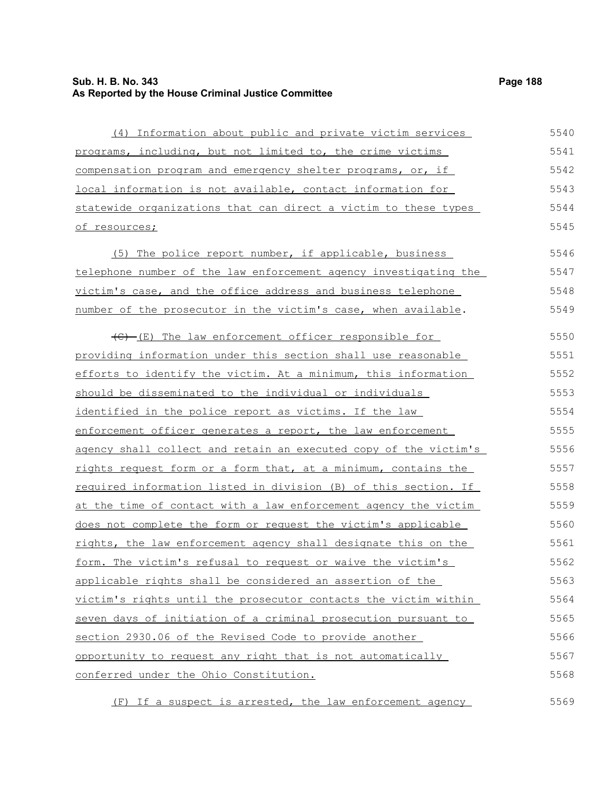### **Sub. H. B. No. 343 Page 188 As Reported by the House Criminal Justice Committee**

(4) Information about public and private victim services programs, including, but not limited to, the crime victims compensation program and emergency shelter programs, or, if local information is not available, contact information for statewide organizations that can direct a victim to these types of resources; (5) The police report number, if applicable, business telephone number of the law enforcement agency investigating the victim's case, and the office address and business telephone number of the prosecutor in the victim's case, when available.  $\left(\frac{C}{C}\right)$  The law enforcement officer responsible for providing information under this section shall use reasonable efforts to identify the victim. At a minimum, this information should be disseminated to the individual or individuals identified in the police report as victims. If the law enforcement officer generates a report, the law enforcement agency shall collect and retain an executed copy of the victim's rights request form or a form that, at a minimum, contains the required information listed in division (B) of this section. If at the time of contact with a law enforcement agency the victim does not complete the form or request the victim's applicable rights, the law enforcement agency shall designate this on the form. The victim's refusal to request or waive the victim's applicable rights shall be considered an assertion of the victim's rights until the prosecutor contacts the victim within seven days of initiation of a criminal prosecution pursuant to section 2930.06 of the Revised Code to provide another opportunity to request any right that is not automatically conferred under the Ohio Constitution. 5540 5541 5542 5543 5544 5545 5546 5547 5548 5549 5550 5551 5552 5553 5554 5555 5556 5557 5558 5559 5560 5561 5562 5563 5564 5565 5566 5567 5568

(F) If a suspect is arrested, the law enforcement agency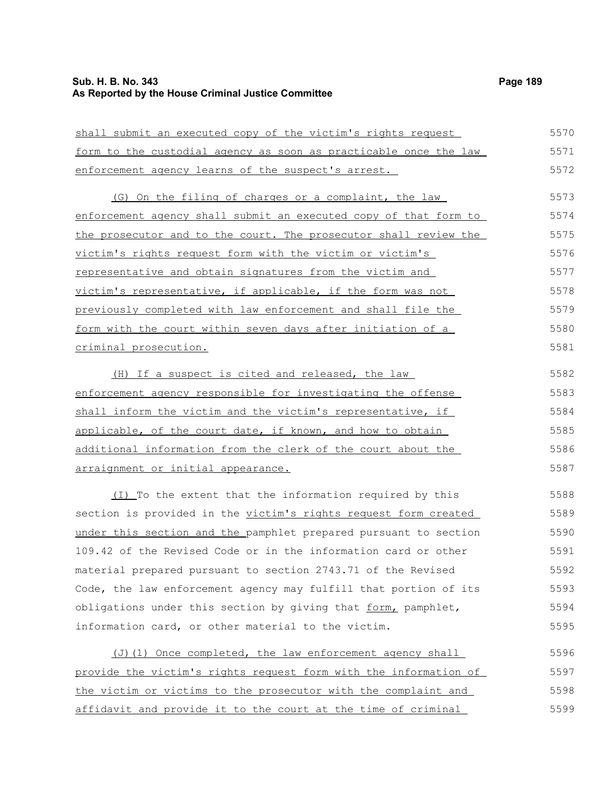### **Sub. H. B. No. 343 Page 189 As Reported by the House Criminal Justice Committee**

| shall submit an executed copy of the victim's rights request     | 5570 |
|------------------------------------------------------------------|------|
| form to the custodial agency as soon as practicable once the law | 5571 |
| enforcement agency learns of the suspect's arrest.               | 5572 |
| (G) On the filing of charges or a complaint, the law             | 5573 |
| enforcement agency shall submit an executed copy of that form to | 5574 |
| the prosecutor and to the court. The prosecutor shall review the | 5575 |
| victim's rights request form with the victim or victim's         | 5576 |
| representative and obtain signatures from the victim and         | 5577 |
| victim's representative, if applicable, if the form was not      | 5578 |
| previously completed with law enforcement and shall file the     | 5579 |
| form with the court within seven days after initiation of a      | 5580 |
| criminal prosecution.                                            | 5581 |
| (H) If a suspect is cited and released, the law                  | 5582 |
| enforcement agency responsible for investigating the offense     | 5583 |
| shall inform the victim and the victim's representative, if      | 5584 |
| applicable, of the court date, if known, and how to obtain       | 5585 |
| additional information from the clerk of the court about the     | 5586 |
| arraignment or initial appearance.                               | 5587 |
| (I) To the extent that the information required by this          | 5588 |
| section is provided in the victim's rights request form created  | 5589 |
| under this section and the pamphlet prepared pursuant to section | 5590 |
| 109.42 of the Revised Code or in the information card or other   | 5591 |
| material prepared pursuant to section 2743.71 of the Revised     | 5592 |
| Code, the law enforcement agency may fulfill that portion of its | 5593 |
| obligations under this section by giving that form, pamphlet,    | 5594 |
| information card, or other material to the victim.               | 5595 |
| (J)(1) Once completed, the law enforcement agency shall          | 5596 |
|                                                                  |      |

provide the victim's rights request form with the information of the victim or victims to the prosecutor with the complaint and affidavit and provide it to the court at the time of criminal 5597 5598 5599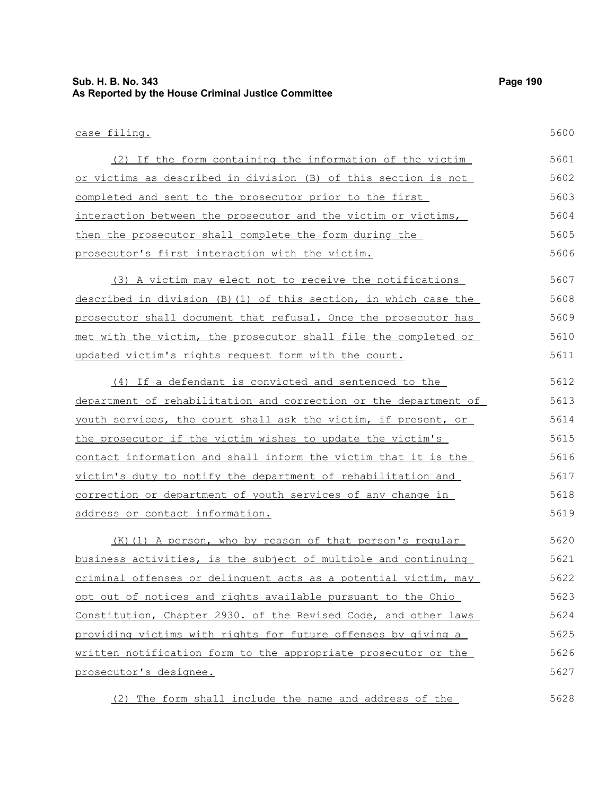### **Sub. H. B. No. 343 Page 190 As Reported by the House Criminal Justice Committee**

### case filing.

5600

5628

| (2) If the form containing the information of the victim       | 5601 |
|----------------------------------------------------------------|------|
| or victims as described in division (B) of this section is not | 5602 |
| completed and sent to the prosecutor prior to the first        | 5603 |
| interaction between the prosecutor and the victim or victims,  | 5604 |
| then the prosecutor shall complete the form during the         | 5605 |
| prosecutor's first interaction with the victim.                | 5606 |
| (3) A victim may elect not to receive the notifications        | 5607 |

described in division (B)(1) of this section, in which case the prosecutor shall document that refusal. Once the prosecutor has met with the victim, the prosecutor shall file the completed or updated victim's rights request form with the court. 5608 5609 5610 5611

| department of rehabilitation and correction or the department of<br>youth services, the court shall ask the victim, if present, or<br>the prosecutor if the victim wishes to update the victim's<br>contact information and shall inform the victim that it is the<br>victim's duty to notify the department of rehabilitation and<br>correction or department of youth services of any change in<br>address or contact information. | (4) If a defendant is convicted and sentenced to the | 5612 |
|--------------------------------------------------------------------------------------------------------------------------------------------------------------------------------------------------------------------------------------------------------------------------------------------------------------------------------------------------------------------------------------------------------------------------------------|------------------------------------------------------|------|
|                                                                                                                                                                                                                                                                                                                                                                                                                                      |                                                      | 5613 |
|                                                                                                                                                                                                                                                                                                                                                                                                                                      |                                                      | 5614 |
|                                                                                                                                                                                                                                                                                                                                                                                                                                      |                                                      | 5615 |
|                                                                                                                                                                                                                                                                                                                                                                                                                                      |                                                      | 5616 |
|                                                                                                                                                                                                                                                                                                                                                                                                                                      |                                                      | 5617 |
|                                                                                                                                                                                                                                                                                                                                                                                                                                      |                                                      | 5618 |
|                                                                                                                                                                                                                                                                                                                                                                                                                                      |                                                      | 5619 |

(K)(1) A person, who by reason of that person's regular business activities, is the subject of multiple and continuing criminal offenses or delinquent acts as a potential victim, may opt out of notices and rights available pursuant to the Ohio Constitution, Chapter 2930. of the Revised Code, and other laws providing victims with rights for future offenses by giving a written notification form to the appropriate prosecutor or the prosecutor's designee. 5620 5621 5622 5623 5624 5625 5626 5627

(2) The form shall include the name and address of the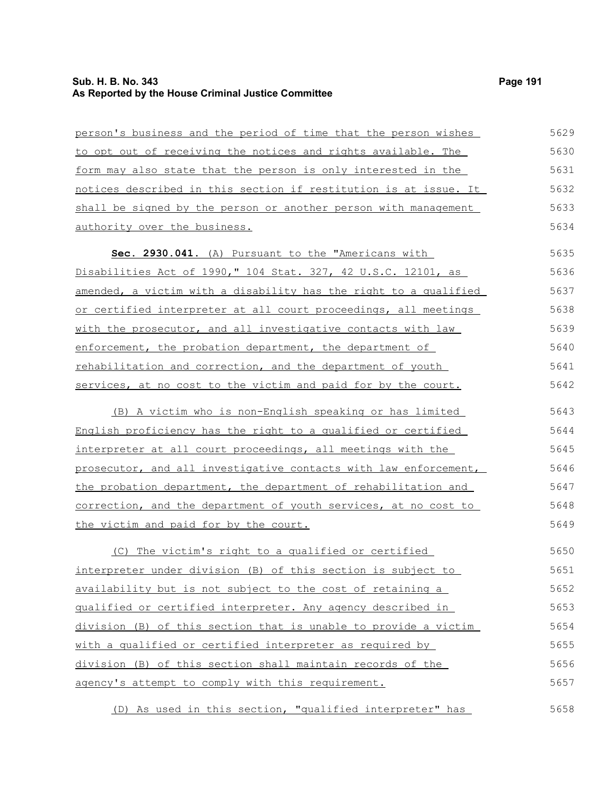# **Sub. H. B. No. 343** Page 191 **As Reported by the House Criminal Justice Committee**

| person's business and the period of time that the person wishes  | 5629 |
|------------------------------------------------------------------|------|
| to opt out of receiving the notices and rights available. The    | 5630 |
| form may also state that the person is only interested in the    | 5631 |
| notices described in this section if restitution is at issue. It | 5632 |
| shall be signed by the person or another person with management  | 5633 |
| authority over the business.                                     | 5634 |
| Sec. 2930.041. (A) Pursuant to the "Americans with               | 5635 |
| Disabilities Act of 1990," 104 Stat. 327, 42 U.S.C. 12101, as    | 5636 |
| amended, a victim with a disability has the right to a qualified | 5637 |
| or certified interpreter at all court proceedings, all meetings  | 5638 |
| with the prosecutor, and all investigative contacts with law     | 5639 |
| enforcement, the probation department, the department of         | 5640 |
| rehabilitation and correction, and the department of youth       | 5641 |
| services, at no cost to the victim and paid for by the court.    | 5642 |
| (B) A victim who is non-English speaking or has limited          | 5643 |
| English proficiency has the right to a qualified or certified    | 5644 |
| interpreter at all court proceedings, all meetings with the      | 5645 |
| prosecutor, and all investigative contacts with law enforcement, | 5646 |
| the probation department, the department of rehabilitation and   | 5647 |
| correction, and the department of youth services, at no cost to  | 5648 |
| the victim and paid for by the court.                            | 5649 |
| The victim's right to a qualified or certified<br>(C)            | 5650 |
| interpreter under division (B) of this section is subject to     | 5651 |
| availability but is not subject to the cost of retaining a       | 5652 |
| qualified or certified interpreter. Any agency described in      | 5653 |
| division (B) of this section that is unable to provide a victim  | 5654 |
| with a qualified or certified interpreter as required by         | 5655 |
| division (B) of this section shall maintain records of the       | 5656 |
| agency's attempt to comply with this requirement.                | 5657 |
| (D) As used in this section, "qualified interpreter" has         | 5658 |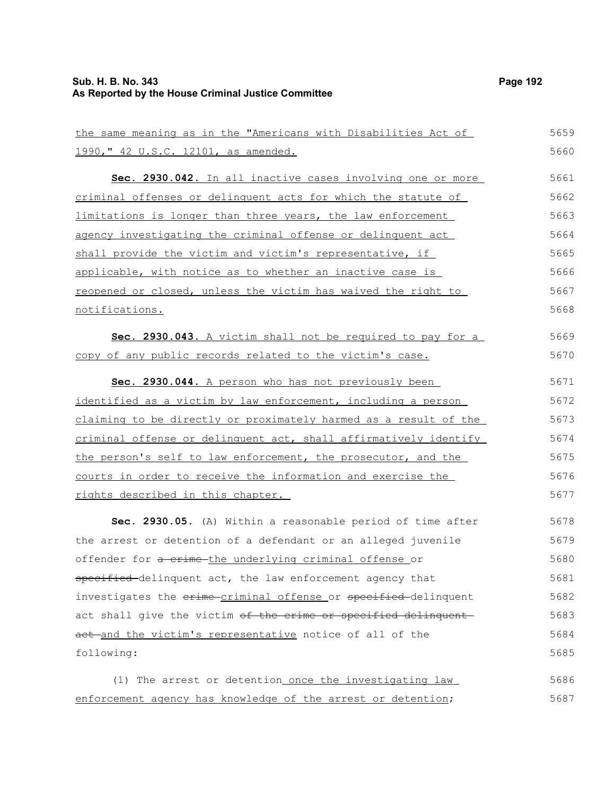# **Sub. H. B. No. 343 Page 192 As Reported by the House Criminal Justice Committee**

| the same meaning as in the "Americans with Disabilities Act of   | 5659 |
|------------------------------------------------------------------|------|
| 1990, " 42 U.S.C. 12101, as amended.                             | 5660 |
| Sec. 2930.042. In all inactive cases involving one or more       | 5661 |
| criminal offenses or delinquent acts for which the statute of    | 5662 |
| limitations is longer than three years, the law enforcement      | 5663 |
| agency investigating the criminal offense or delinquent act      | 5664 |
| shall provide the victim and victim's representative, if         | 5665 |
| applicable, with notice as to whether an inactive case is        | 5666 |
| reopened or closed, unless the victim has waived the right to    | 5667 |
| notifications.                                                   | 5668 |
| Sec. 2930.043. A victim shall not be required to pay for a       | 5669 |
| copy of any public records related to the victim's case.         | 5670 |
| Sec. 2930.044. A person who has not previously been              | 5671 |
| identified as a victim by law enforcement, including a person    | 5672 |
| claiming to be directly or proximately harmed as a result of the | 5673 |
| criminal offense or delinquent act, shall affirmatively identify | 5674 |
| the person's self to law enforcement, the prosecutor, and the    | 5675 |
| courts in order to receive the information and exercise the      | 5676 |
| rights described in this chapter.                                | 5677 |
| Sec. 2930.05. (A) Within a reasonable period of time after       | 5678 |
| the arrest or detention of a defendant or an alleged juvenile    | 5679 |
| offender for a crime-the underlying criminal offense or          | 5680 |
| specified delinquent act, the law enforcement agency that        | 5681 |
| investigates the erime-criminal offense or specified-delinquent  | 5682 |
| act shall give the victim of the crime or specified delinquent-  | 5683 |
| act and the victim's representative notice of all of the         | 5684 |
| following:                                                       | 5685 |
| (1) The arrest or detention once the investigating law           | 5686 |
| enforcement agency has knowledge of the arrest or detention;     | 5687 |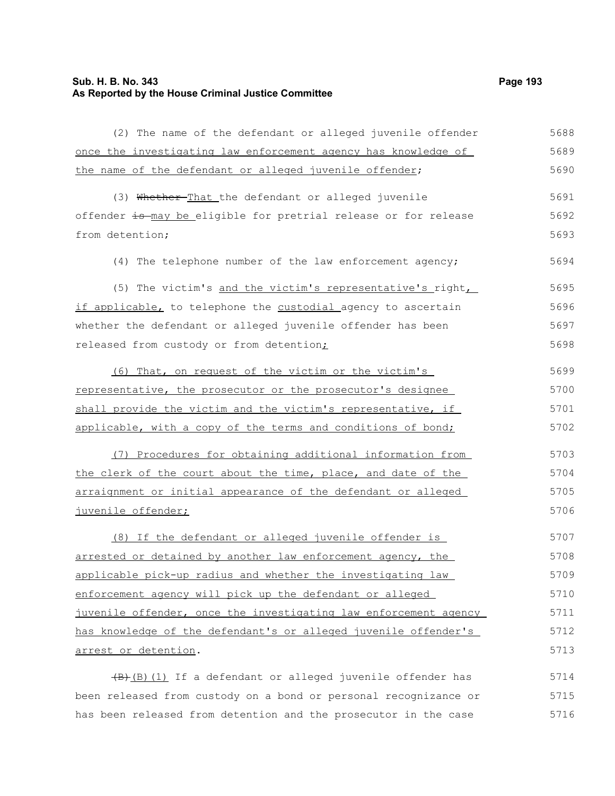### **Sub. H. B. No. 343 Page 193 As Reported by the House Criminal Justice Committee**

(2) The name of the defendant or alleged juvenile offender once the investigating law enforcement agency has knowledge of the name of the defendant or alleged juvenile offender; (3) Whether-That the defendant or alleged juvenile offender is may be eligible for pretrial release or for release from detention; (4) The telephone number of the law enforcement agency; (5) The victim's and the victim's representative's right, if applicable, to telephone the custodial agency to ascertain whether the defendant or alleged juvenile offender has been released from custody or from detention; (6) That, on request of the victim or the victim's representative, the prosecutor or the prosecutor's designee shall provide the victim and the victim's representative, if applicable, with a copy of the terms and conditions of bond; (7) Procedures for obtaining additional information from the clerk of the court about the time, place, and date of the arraignment or initial appearance of the defendant or alleged juvenile offender; (8) If the defendant or alleged juvenile offender is arrested or detained by another law enforcement agency, the applicable pick-up radius and whether the investigating law enforcement agency will pick up the defendant or alleged juvenile offender, once the investigating law enforcement agency 5688 5689 5690 5691 5692 5693 5694 5695 5696 5697 5698 5699 5700 5701 5702 5703 5704 5705 5706 5707 5708 5709 5710 5711

has knowledge of the defendant's or alleged juvenile offender's arrest or detention.

 $\left(\frac{H}{B}\right)$ (B)(1) If a defendant or alleged juvenile offender has been released from custody on a bond or personal recognizance or has been released from detention and the prosecutor in the case 5714 5715 5716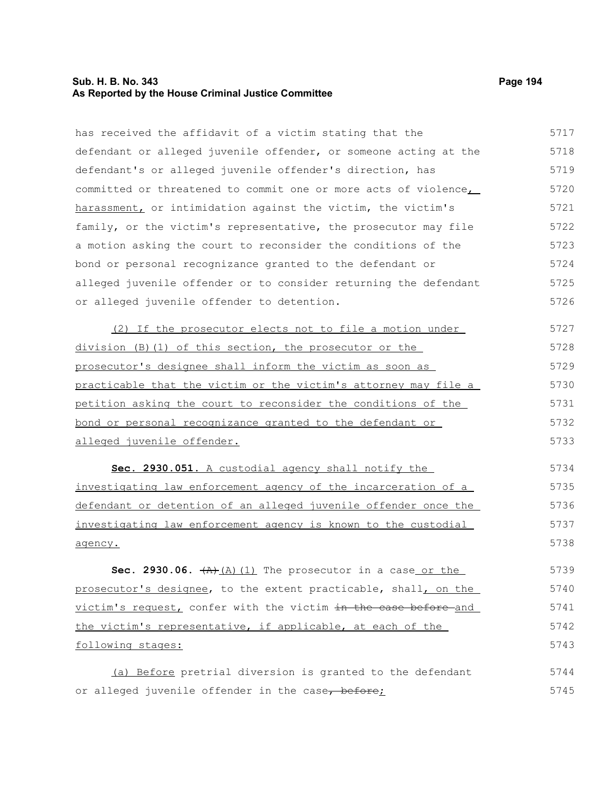#### **Sub. H. B. No. 343 Page 194 As Reported by the House Criminal Justice Committee**

has received the affidavit of a victim stating that the defendant or alleged juvenile offender, or someone acting at the defendant's or alleged juvenile offender's direction, has committed or threatened to commit one or more acts of violence, harassment, or intimidation against the victim, the victim's family, or the victim's representative, the prosecutor may file a motion asking the court to reconsider the conditions of the bond or personal recognizance granted to the defendant or alleged juvenile offender or to consider returning the defendant or alleged juvenile offender to detention. (2) If the prosecutor elects not to file a motion under division (B)(1) of this section, the prosecutor or the 5717 5718 5719 5720 5721 5722 5723 5724 5725 5726 5727 5728

prosecutor's designee shall inform the victim as soon as practicable that the victim or the victim's attorney may file a petition asking the court to reconsider the conditions of the bond or personal recognizance granted to the defendant or alleged juvenile offender. 5729 5730 5731 5732 5733

 **Sec. 2930.051.** A custodial agency shall notify the investigating law enforcement agency of the incarceration of a defendant or detention of an alleged juvenile offender once the investigating law enforcement agency is known to the custodial agency. 5734 5735 5736 5737 5738

**Sec. 2930.06.**  $+A+(A)(1)$  The prosecutor in a case or the prosecutor's designee, to the extent practicable, shall, on the victim's request, confer with the victim in the case before and the victim's representative, if applicable, at each of the following stages: 5739 5740 5741 5742 5743

(a) Before pretrial diversion is granted to the defendant or alleged juvenile offender in the case, before; 5744 5745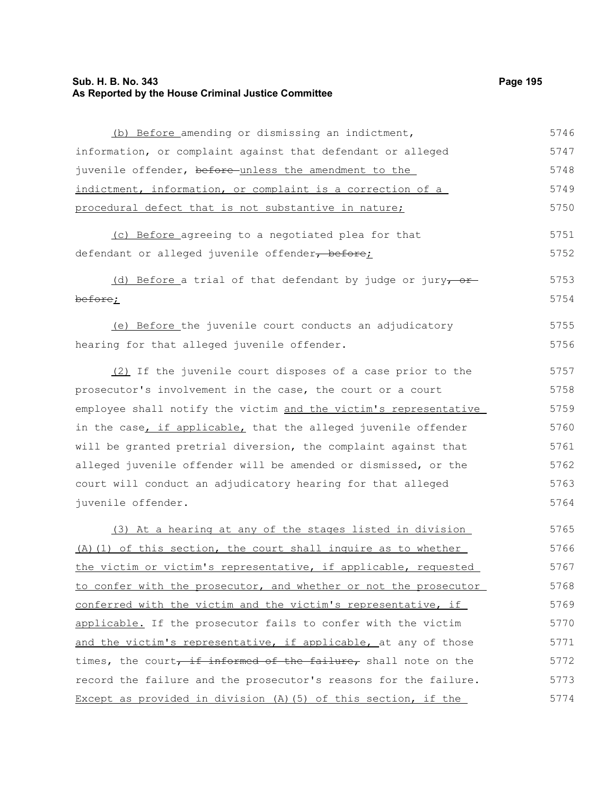### **Sub. H. B. No. 343 Page 195 As Reported by the House Criminal Justice Committee**

(b) Before amending or dismissing an indictment, information, or complaint against that defendant or alleged juvenile offender, before-unless the amendment to the indictment, information, or complaint is a correction of a procedural defect that is not substantive in nature; (c) Before agreeing to a negotiated plea for that defendant or alleged juvenile offender<del>, before</del>; (d) Before a trial of that defendant by judge or jury, or before; (e) Before the juvenile court conducts an adjudicatory hearing for that alleged juvenile offender. (2) If the juvenile court disposes of a case prior to the prosecutor's involvement in the case, the court or a court employee shall notify the victim and the victim's representative in the case, if applicable, that the alleged juvenile offender will be granted pretrial diversion, the complaint against that alleged juvenile offender will be amended or dismissed, or the court will conduct an adjudicatory hearing for that alleged juvenile offender. (3) At a hearing at any of the stages listed in division (A)(1) of this section, the court shall inquire as to whether the victim or victim's representative, if applicable, requested to confer with the prosecutor, and whether or not the prosecutor conferred with the victim and the victim's representative, if applicable. If the prosecutor fails to confer with the victim and the victim's representative, if applicable, at any of those times, the court<del>, if informed of the failure,</del> shall note on the record the failure and the prosecutor's reasons for the failure. Except as provided in division (A)(5) of this section, if the 5746 5747 5748 5749 5750 5751 5752 5753 5754 5755 5756 5757 5758 5759 5760 5761 5762 5763 5764 5765 5766 5767 5768 5769 5770 5771 5772 5773 5774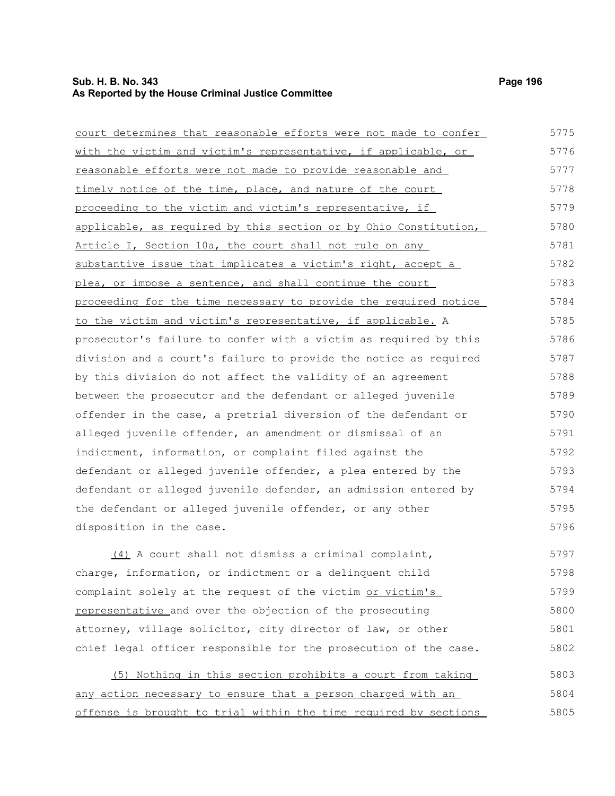#### **Sub. H. B. No. 343 Page 196 As Reported by the House Criminal Justice Committee**

| court determines that reasonable efforts were not made to confer | 5775 |
|------------------------------------------------------------------|------|
| with the victim and victim's representative, if applicable, or   | 5776 |
| reasonable efforts were not made to provide reasonable and       | 5777 |
| timely notice of the time, place, and nature of the court        | 5778 |
| proceeding to the victim and victim's representative, if         | 5779 |
| applicable, as required by this section or by Ohio Constitution, | 5780 |
| Article I, Section 10a, the court shall not rule on any          | 5781 |
| substantive issue that implicates a victim's right, accept a     | 5782 |
| plea, or impose a sentence, and shall continue the court         | 5783 |
| proceeding for the time necessary to provide the required notice | 5784 |
| to the victim and victim's representative, if applicable. A      | 5785 |
| prosecutor's failure to confer with a victim as required by this | 5786 |
| division and a court's failure to provide the notice as required | 5787 |
| by this division do not affect the validity of an agreement      | 5788 |
| between the prosecutor and the defendant or alleged juvenile     | 5789 |
| offender in the case, a pretrial diversion of the defendant or   | 5790 |
|                                                                  |      |

alleged juvenile offender, an amendment or dismissal of an indictment, information, or complaint filed against the defendant or alleged juvenile offender, a plea entered by the defendant or alleged juvenile defender, an admission entered by the defendant or alleged juvenile offender, or any other disposition in the case. 5791 5792 5793 5794 5795 5796

(4) A court shall not dismiss a criminal complaint, charge, information, or indictment or a delinquent child complaint solely at the request of the victim or victim's representative and over the objection of the prosecuting attorney, village solicitor, city director of law, or other chief legal officer responsible for the prosecution of the case. 5797 5798 5799 5800 5801 5802

(5) Nothing in this section prohibits a court from taking any action necessary to ensure that a person charged with an offense is brought to trial within the time required by sections 5803 5804 5805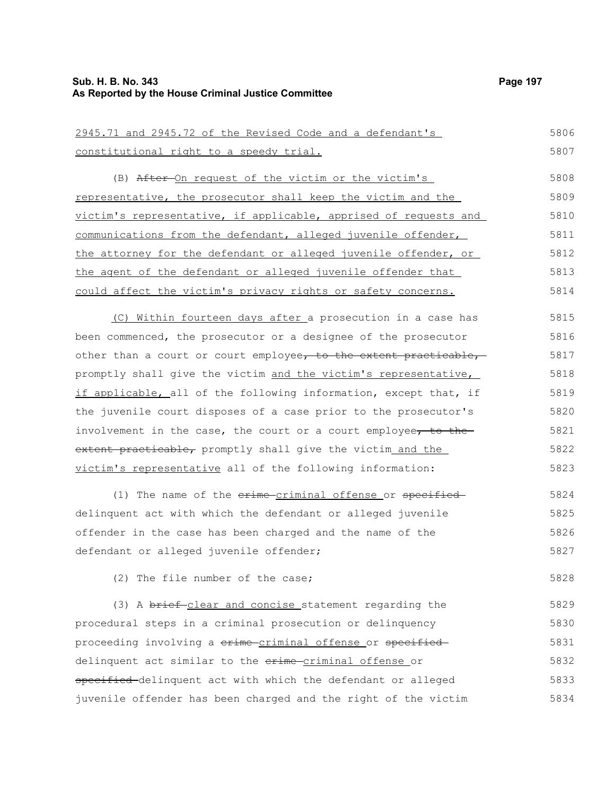| 2945.71 and 2945.72 of the Revised Code and a defendant's                  | 5806 |
|----------------------------------------------------------------------------|------|
| constitutional right to a speedy trial.                                    | 5807 |
| (B) After-On request of the victim or the victim's                         | 5808 |
| representative, the prosecutor shall keep the victim and the               | 5809 |
| victim's representative, if applicable, apprised of requests and           | 5810 |
| communications from the defendant, alleged juvenile offender,              | 5811 |
| the attorney for the defendant or alleged juvenile offender, or            | 5812 |
| the agent of the defendant or alleged juvenile offender that               | 5813 |
| could affect the victim's privacy rights or safety concerns.               | 5814 |
| (C) Within fourteen days after a prosecution in a case has                 | 5815 |
| been commenced, the prosecutor or a designee of the prosecutor             | 5816 |
| other than a court or court employee, to the extent practicable,           | 5817 |
| promptly shall give the victim and the victim's representative,            | 5818 |
| if applicable, all of the following information, except that, if           | 5819 |
| the juvenile court disposes of a case prior to the prosecutor's            | 5820 |
| involvement in the case, the court or a court employee <del>, to the</del> | 5821 |
| extent practicable, promptly shall give the victim and the                 | 5822 |
| victim's representative all of the following information:                  | 5823 |
| (1) The name of the erime-criminal offense or specified-                   | 5824 |
| delinquent act with which the defendant or alleged juvenile                | 5825 |
| offender in the case has been charged and the name of the                  | 5826 |
| defendant or alleged juvenile offender;                                    | 5827 |
| (2) The file number of the case;                                           | 5828 |
|                                                                            |      |
| (3) A brief-clear and concise statement regarding the                      | 5829 |
| procedural steps in a criminal prosecution or delinquency                  | 5830 |
| proceeding involving a erime-criminal offense or specified                 | 5831 |
| delinquent act similar to the erime-criminal offense or                    | 5832 |
| specified delinquent act with which the defendant or alleged               | 5833 |
| juvenile offender has been charged and the right of the victim             | 5834 |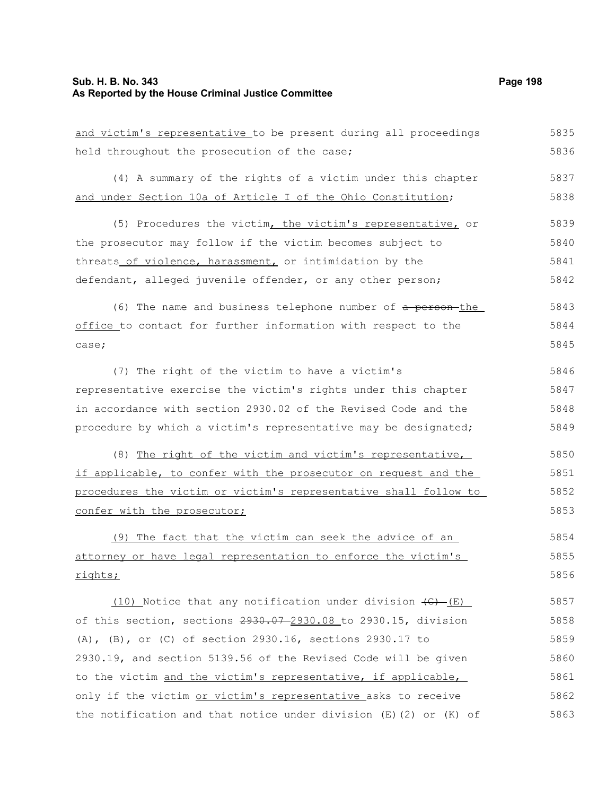### **Sub. H. B. No. 343 Page 198 As Reported by the House Criminal Justice Committee**

case;

and victim's representative to be present during all proceedings held throughout the prosecution of the case; (4) A summary of the rights of a victim under this chapter and under Section 10a of Article I of the Ohio Constitution; (5) Procedures the victim, the victim's representative, or the prosecutor may follow if the victim becomes subject to threats of violence, harassment, or intimidation by the defendant, alleged juvenile offender, or any other person; (6) The name and business telephone number of a person-the office to contact for further information with respect to the (7) The right of the victim to have a victim's representative exercise the victim's rights under this chapter in accordance with section 2930.02 of the Revised Code and the 5835 5836 5837 5838 5839 5840 5841 5842 5843 5844 5845 5846 5847 5848

(8) The right of the victim and victim's representative, if applicable, to confer with the prosecutor on request and the procedures the victim or victim's representative shall follow to confer with the prosecutor; 5850 5851 5852 5853

procedure by which a victim's representative may be designated;

(9) The fact that the victim can seek the advice of an attorney or have legal representation to enforce the victim's rights; 5854 5855 5856

 $(10)$  Notice that any notification under division  $\left(\overline{C}\right)$  (E) of this section, sections  $2930.07-2930.08$  to 2930.15, division (A), (B), or (C) of section 2930.16, sections 2930.17 to 2930.19, and section 5139.56 of the Revised Code will be given to the victim and the victim's representative, if applicable, only if the victim or victim's representative asks to receive the notification and that notice under division (E)(2) or (K) of 5857 5858 5859 5860 5861 5862 5863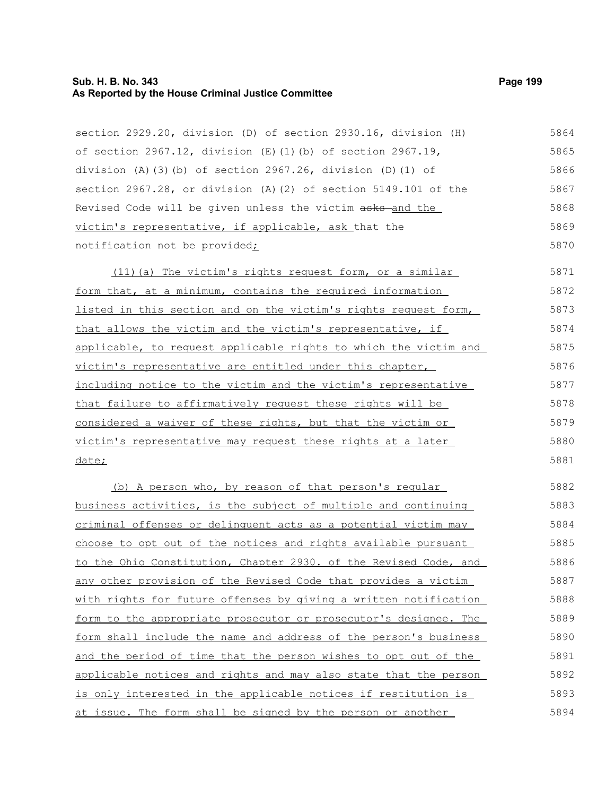#### **Sub. H. B. No. 343** Page 199 **As Reported by the House Criminal Justice Committee**

section 2929.20, division (D) of section 2930.16, division (H) of section  $2967.12$ , division  $(E)(1)(b)$  of section  $2967.19$ , division  $(A)$   $(3)$   $(b)$  of section 2967.26, division  $(D)$   $(1)$  of section 2967.28, or division (A)(2) of section 5149.101 of the Revised Code will be given unless the victim asks and the victim's representative, if applicable, ask that the notification not be provided; 5864 5865 5866 5867 5868 5869 5870

 $(11)$  (a) The victim's rights request form, or a similar form that, at a minimum, contains the required information listed in this section and on the victim's rights request form, that allows the victim and the victim's representative, if applicable, to request applicable rights to which the victim and victim's representative are entitled under this chapter, including notice to the victim and the victim's representative that failure to affirmatively request these rights will be considered a waiver of these rights, but that the victim or victim's representative may request these rights at a later date; 5871 5872 5873 5874 5875 5876 5877 5878 5879 5880 5881

(b) A person who, by reason of that person's regular business activities, is the subject of multiple and continuing criminal offenses or delinquent acts as a potential victim may choose to opt out of the notices and rights available pursuant to the Ohio Constitution, Chapter 2930. of the Revised Code, and any other provision of the Revised Code that provides a victim with rights for future offenses by giving a written notification form to the appropriate prosecutor or prosecutor's designee. The form shall include the name and address of the person's business and the period of time that the person wishes to opt out of the applicable notices and rights and may also state that the person is only interested in the applicable notices if restitution is at issue. The form shall be signed by the person or another 5882 5883 5884 5885 5886 5887 5888 5889 5890 5891 5892 5893 5894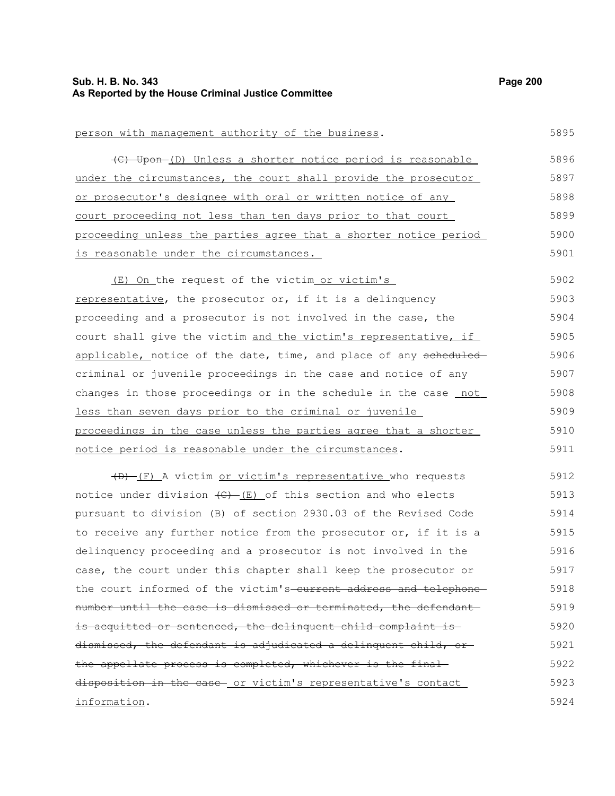| person with management authority of the business.                        | 5895 |
|--------------------------------------------------------------------------|------|
| (C) Upon-(D) Unless a shorter notice period is reasonable                | 5896 |
| under the circumstances, the court shall provide the prosecutor          | 5897 |
| or prosecutor's designee with oral or written notice of any              | 5898 |
| court proceeding not less than ten days prior to that court              | 5899 |
| proceeding unless the parties agree that a shorter notice period         | 5900 |
| is reasonable under the circumstances.                                   | 5901 |
| (E) On the request of the victim or victim's                             | 5902 |
| representative, the prosecutor or, if it is a delinquency                | 5903 |
| proceeding and a prosecutor is not involved in the case, the             | 5904 |
| court shall give the victim and the victim's representative, if          | 5905 |
| applicable, notice of the date, time, and place of any seheduled         | 5906 |
| criminal or juvenile proceedings in the case and notice of any           | 5907 |
| changes in those proceedings or in the schedule in the case <i>not</i>   | 5908 |
| less than seven days prior to the criminal or juvenile                   | 5909 |
| <u>proceedings in the case unless the parties agree that a shorter </u>  | 5910 |
| <u>notice period is reasonable under the circumstances.</u>              | 5911 |
| (F) A victim or victim's representative who requests                     | 5912 |
| notice under division <del>(C) (E</del> ) of this section and who elects | 5913 |
| pursuant to division (B) of section 2930.03 of the Revised Code          | 5914 |
| to receive any further notice from the prosecutor or, if it is a         | 5915 |
| delinquency proceeding and a prosecutor is not involved in the           | 5916 |
| case, the court under this chapter shall keep the prosecutor or          | 5917 |
| the court informed of the victim's-current address and telephone-        | 5918 |
| number until the case is dismissed or terminated, the defendant-         | 5919 |
| is acquitted or sentenced, the delinquent child complaint is             | 5920 |
| dismissed, the defendant is adjudicated a delinquent child, or-          | 5921 |
| the appellate process is completed, whichever is the final-              | 5922 |
| disposition in the case or victim's representative's contact             | 5923 |
| information.                                                             | 5924 |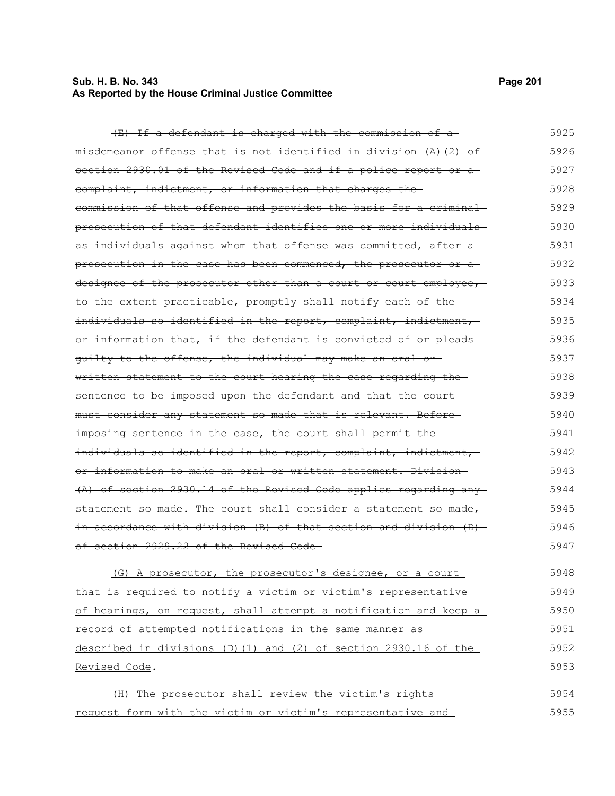# **Sub. H. B. No. 343 Page 201 As Reported by the House Criminal Justice Committee**

| (E) If a defendant is charged with the commission of a             | 5925 |
|--------------------------------------------------------------------|------|
| misdemeanor offense that is not identified in division (A)(2) of   | 5926 |
| section 2930.01 of the Revised Code and if a police report or a    | 5927 |
| complaint, indictment, or information that charges the             | 5928 |
| eommission of that offense and provides the basis for a criminal   | 5929 |
| prosecution of that defendant identifies one or more individuals-  | 5930 |
| as individuals against whom that offense was committed, after a    | 5931 |
| prosecution in the case has been commenced, the prosecutor or a    | 5932 |
| designee of the prosecutor other than a court or court employee,   | 5933 |
| to the extent practicable, promptly shall notify each of the-      | 5934 |
| individuals so identified in the report, complaint, indictment,    | 5935 |
| or information that, if the defendant is convicted of or pleads-   | 5936 |
| quilty to the offense, the individual may make an oral or-         | 5937 |
| written statement to the court hearing the case regarding the-     | 5938 |
| sentence to be imposed upon the defendant and that the court-      | 5939 |
| must consider any statement so made that is relevant. Before-      | 5940 |
| imposing sentence in the case, the court shall permit the          | 5941 |
| individuals so identified in the report, complaint, indictment,    | 5942 |
| or information to make an oral or written statement. Division-     | 5943 |
| (A) of section 2930.14 of the Revised Code applies regarding any   | 5944 |
| statement so made. The court shall consider a statement so made,   | 5945 |
| in accordance with division (B) of that section and division (D)   | 5946 |
| of section 2929.22 of the Revised Code                             | 5947 |
| (G) A prosecutor, the prosecutor's designee, or a court            | 5948 |
| that is required to notify a victim or victim's representative     | 5949 |
| of hearings, on request, shall attempt a notification and keep a   | 5950 |
| record of attempted notifications in the same manner as            | 5951 |
| described in divisions (D) (1) and (2) of section $2930.16$ of the | 5952 |
| <u>Revised Code</u> .                                              | 5953 |
|                                                                    |      |
| (H) The prosecutor shall review the victim's rights                | 5954 |
| request form with the victim or victim's representative and        | 5955 |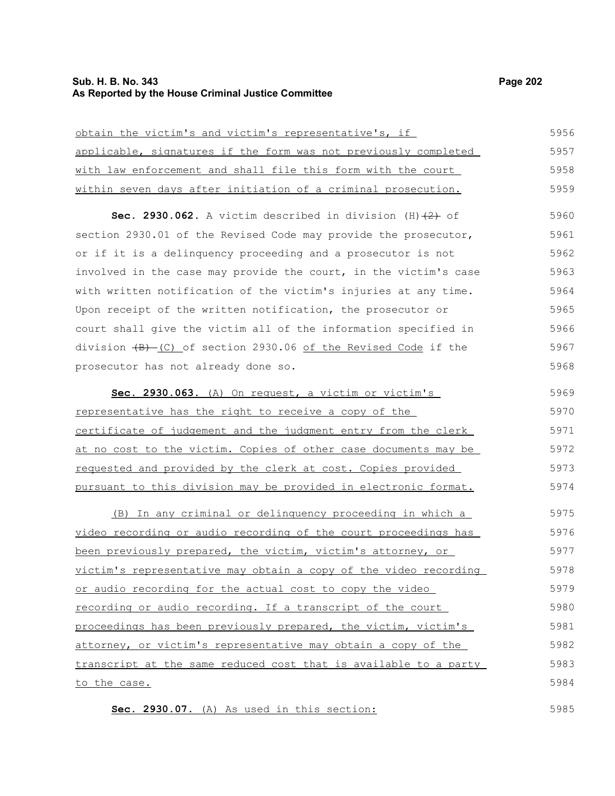# **Sub. H. B. No. 343 Page 202 As Reported by the House Criminal Justice Committee**

| obtain the victim's and victim's representative's, if            | 5956 |
|------------------------------------------------------------------|------|
| applicable, signatures if the form was not previously completed  | 5957 |
| with law enforcement and shall file this form with the court     | 5958 |
| within seven days after initiation of a criminal prosecution.    | 5959 |
| Sec. 2930.062. A victim described in division $(H)$ $(2)$ of     | 5960 |
| section 2930.01 of the Revised Code may provide the prosecutor,  | 5961 |
| or if it is a delinquency proceeding and a prosecutor is not     | 5962 |
| involved in the case may provide the court, in the victim's case | 5963 |
| with written notification of the victim's injuries at any time.  | 5964 |
| Upon receipt of the written notification, the prosecutor or      | 5965 |
| court shall give the victim all of the information specified in  | 5966 |
| division (B) (C) of section 2930.06 of the Revised Code if the   | 5967 |
| prosecutor has not already done so.                              | 5968 |
| Sec. 2930.063. (A) On request, a victim or victim's              | 5969 |
| representative has the right to receive a copy of the            | 5970 |
| certificate of judgement and the judgment entry from the clerk   | 5971 |
| at no cost to the victim. Copies of other case documents may be  | 5972 |
| requested and provided by the clerk at cost. Copies provided     | 5973 |
| pursuant to this division may be provided in electronic format.  | 5974 |
| (B) In any criminal or delinquency proceeding in which a         | 5975 |
| video recording or audio recording of the court proceedings has  | 5976 |
| been previously prepared, the victim, victim's attorney, or      | 5977 |
| victim's representative may obtain a copy of the video recording | 5978 |
| or audio recording for the actual cost to copy the video         | 5979 |
| recording or audio recording. If a transcript of the court       | 5980 |
| proceedings has been previously prepared, the victim, victim's   | 5981 |
| attorney, or victim's representative may obtain a copy of the    | 5982 |
| transcript at the same reduced cost that is available to a party | 5983 |
| to the case.                                                     | 5984 |

**Sec. 2930.07.** (A) As used in this section: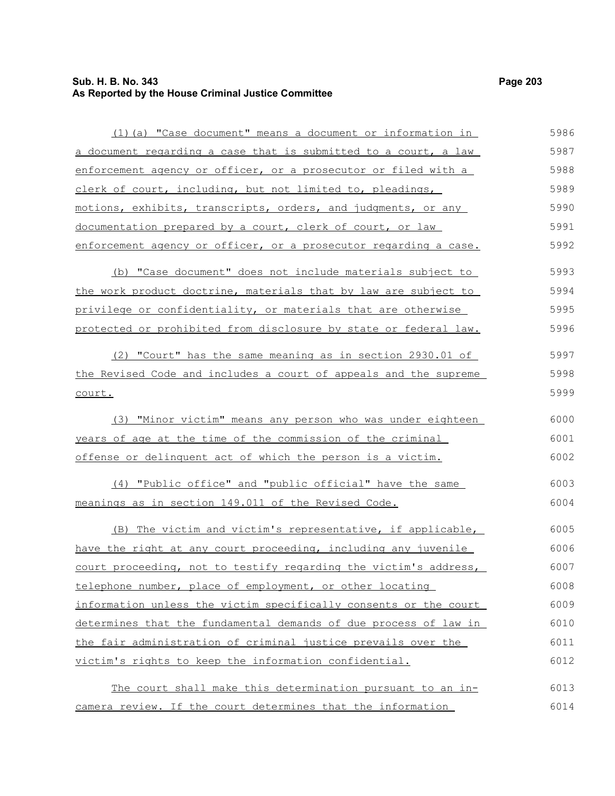# **Sub. H. B. No. 343 Page 203 As Reported by the House Criminal Justice Committee**

| (1) (a) "Case document" means a document or information in        | 5986 |
|-------------------------------------------------------------------|------|
| a document regarding a case that is submitted to a court, a law   | 5987 |
| enforcement agency or officer, or a prosecutor or filed with a    | 5988 |
| clerk of court, including, but not limited to, pleadings,         | 5989 |
| motions, exhibits, transcripts, orders, and judgments, or any     | 5990 |
| documentation prepared by a court, clerk of court, or law         | 5991 |
| enforcement agency or officer, or a prosecutor regarding a case.  | 5992 |
| (b) "Case document" does not include materials subject to         | 5993 |
| the work product doctrine, materials that by law are subject to   | 5994 |
| privilege or confidentiality, or materials that are otherwise     | 5995 |
| protected or prohibited from disclosure by state or federal law.  | 5996 |
| (2) "Court" has the same meaning as in section 2930.01 of         | 5997 |
| the Revised Code and includes a court of appeals and the supreme  | 5998 |
| court.                                                            | 5999 |
| (3) "Minor victim" means any person who was under eighteen        | 6000 |
| years of age at the time of the commission of the criminal        | 6001 |
| <u>offense or delinquent act of which the person is a victim.</u> | 6002 |
| (4) "Public office" and "public official" have the same           | 6003 |
| <u>meanings as in section 149.011 of the Revised Code.</u>        | 6004 |
| (B) The victim and victim's representative, if applicable,        | 6005 |
| have the right at any court proceeding, including any juvenile    | 6006 |
| court proceeding, not to testify regarding the victim's address,  | 6007 |
| telephone number, place of employment, or other locating          | 6008 |
| information unless the victim specifically consents or the court  | 6009 |
| determines that the fundamental demands of due process of law in  | 6010 |
| the fair administration of criminal justice prevails over the     | 6011 |
| victim's rights to keep the information confidential.             | 6012 |
| The court shall make this determination pursuant to an in-        | 6013 |
| camera review. If the court determines that the information       | 6014 |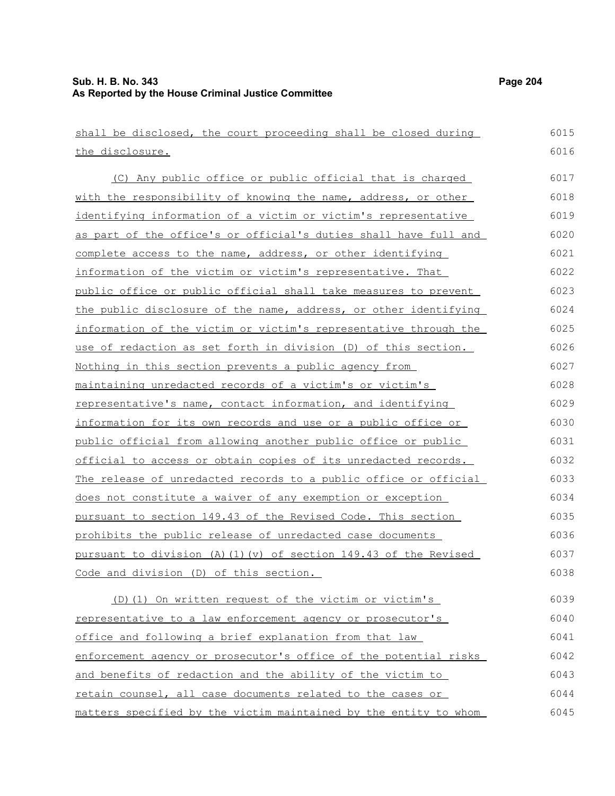| shall be disclosed, the court proceeding shall be closed during         | 6015 |
|-------------------------------------------------------------------------|------|
| the disclosure.                                                         | 6016 |
| (C) Any public office or public official that is charged                | 6017 |
| with the responsibility of knowing the name, address, or other          | 6018 |
| identifying information of a victim or victim's representative          | 6019 |
| as part of the office's or official's duties shall have full and        | 6020 |
| complete access to the name, address, or other identifying              | 6021 |
| information of the victim or victim's representative. That              | 6022 |
| public office or public official shall take measures to prevent         | 6023 |
| the public disclosure of the name, address, or other identifying        | 6024 |
| information of the victim or victim's representative through the        | 6025 |
| use of redaction as set forth in division (D) of this section.          | 6026 |
| Nothing in this section prevents a public agency from                   | 6027 |
| maintaining unredacted records of a victim's or victim's                | 6028 |
| representative's name, contact information, and identifying             | 6029 |
| <u>information for its own records and use or a public office or </u>   | 6030 |
| public official from allowing another public office or public           | 6031 |
| official to access or obtain copies of its unredacted records.          | 6032 |
| The release of unredacted records to a public office or official        | 6033 |
| does not constitute a waiver of any exemption or exception              | 6034 |
| pursuant to section 149.43 of the Revised Code. This section            | 6035 |
| prohibits the public release of unredacted case documents               | 6036 |
| pursuant to division $(A)$ $(1)$ $(v)$ of section 149.43 of the Revised | 6037 |
| Code and division (D) of this section.                                  | 6038 |
| (D) (1) On written request of the victim or victim's                    | 6039 |
| representative to a law enforcement agency or prosecutor's              | 6040 |
| office and following a brief explanation from that law                  | 6041 |
| enforcement agency or prosecutor's office of the potential risks        | 6042 |
| and benefits of redaction and the ability of the victim to              | 6043 |
| retain counsel, all case documents related to the cases or              | 6044 |
| matters specified by the victim maintained by the entity to whom        | 6045 |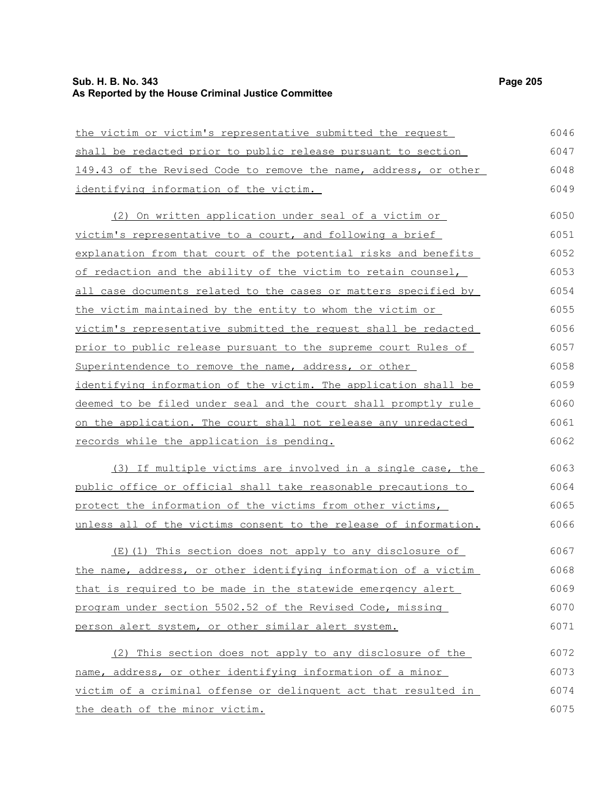### **Sub. H. B. No. 343 Page 205 As Reported by the House Criminal Justice Committee**

records while the application is pending.

the victim or victim's representative submitted the request shall be redacted prior to public release pursuant to section 149.43 of the Revised Code to remove the name, address, or other identifying information of the victim. (2) On written application under seal of a victim or victim's representative to a court, and following a brief explanation from that court of the potential risks and benefits of redaction and the ability of the victim to retain counsel, all case documents related to the cases or matters specified by the victim maintained by the entity to whom the victim or victim's representative submitted the request shall be redacted prior to public release pursuant to the supreme court Rules of Superintendence to remove the name, address, or other identifying information of the victim. The application shall be deemed to be filed under seal and the court shall promptly rule on the application. The court shall not release any unredacted 6046 6047 6048 6049 6050 6051 6052 6053 6054 6055 6056 6057 6058 6059 6060 6061

(3) If multiple victims are involved in a single case, the public office or official shall take reasonable precautions to protect the information of the victims from other victims, unless all of the victims consent to the release of information. 6063 6064 6065 6066

(E)(1) This section does not apply to any disclosure of the name, address, or other identifying information of a victim that is required to be made in the statewide emergency alert program under section 5502.52 of the Revised Code, missing person alert system, or other similar alert system. 6067 6068 6069 6070 6071

(2) This section does not apply to any disclosure of the name, address, or other identifying information of a minor victim of a criminal offense or delinquent act that resulted in the death of the minor victim. 6072 6073 6074 6075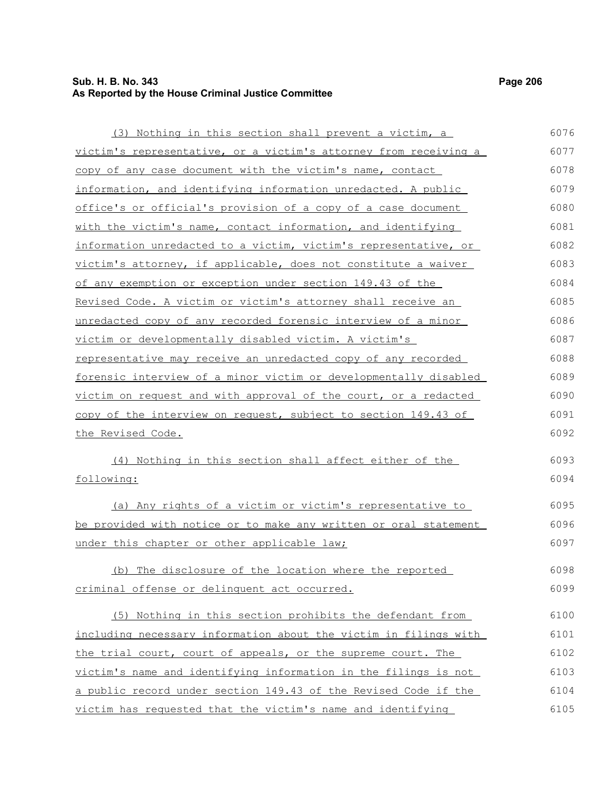# **Sub. H. B. No. 343 Page 206 As Reported by the House Criminal Justice Committee**

| (3) Nothing in this section shall prevent a victim, a            | 6076 |
|------------------------------------------------------------------|------|
| victim's representative, or a victim's attorney from receiving a | 6077 |
| copy of any case document with the victim's name, contact        | 6078 |
| information, and identifying information unredacted. A public    | 6079 |
| office's or official's provision of a copy of a case document    | 6080 |
| with the victim's name, contact information, and identifying     | 6081 |
| information unredacted to a victim, victim's representative, or  | 6082 |
| victim's attorney, if applicable, does not constitute a waiver   | 6083 |
| of any exemption or exception under section 149.43 of the        | 6084 |
| Revised Code. A victim or victim's attorney shall receive an     | 6085 |
| unredacted copy of any recorded forensic interview of a minor    | 6086 |
| victim or developmentally disabled victim. A victim's            | 6087 |
| representative may receive an unredacted copy of any recorded    | 6088 |
| forensic interview of a minor victim or developmentally disabled | 6089 |
| victim on request and with approval of the court, or a redacted  | 6090 |
| copy of the interview on request, subject to section 149.43 of   | 6091 |
| the Revised Code.                                                | 6092 |
| (4) Nothing in this section shall affect either of the           | 6093 |
| following:                                                       | 6094 |
|                                                                  |      |
| (a) Any rights of a victim or victim's representative to         | 6095 |
| be provided with notice or to make any written or oral statement | 6096 |
| under this chapter or other applicable law;                      | 6097 |
| The disclosure of the location where the reported<br>(b)         | 6098 |
| criminal offense or delinquent act occurred.                     | 6099 |
|                                                                  |      |
| (5) Nothing in this section prohibits the defendant from         | 6100 |
| including necessary information about the victim in filings with | 6101 |
| the trial court, court of appeals, or the supreme court. The     | 6102 |
| victim's name and identifying information in the filings is not  | 6103 |
| a public record under section 149.43 of the Revised Code if the  | 6104 |
| victim has requested that the victim's name and identifying      | 6105 |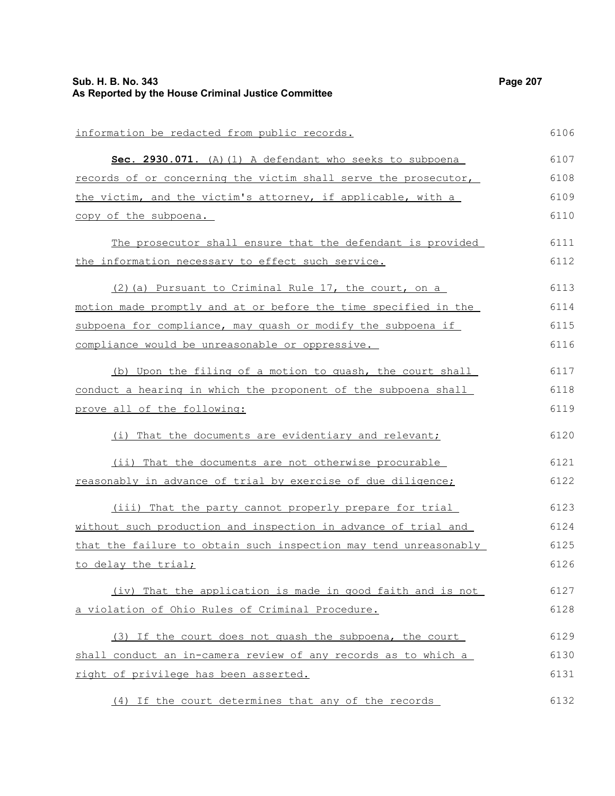| information be redacted from public records.                     | 6106 |
|------------------------------------------------------------------|------|
| Sec. 2930.071. (A) (1) A defendant who seeks to subpoena         | 6107 |
| records of or concerning the victim shall serve the prosecutor,  | 6108 |
| the victim, and the victim's attorney, if applicable, with a     | 6109 |
| copy of the subpoena.                                            | 6110 |
| The prosecutor shall ensure that the defendant is provided       | 6111 |
| the information necessary to effect such service.                | 6112 |
| (2) (a) Pursuant to Criminal Rule 17, the court, on a            | 6113 |
| motion made promptly and at or before the time specified in the  | 6114 |
| subpoena for compliance, may quash or modify the subpoena if     | 6115 |
| compliance would be unreasonable or oppressive.                  | 6116 |
| (b) Upon the filing of a motion to quash, the court shall        | 6117 |
| conduct a hearing in which the proponent of the subpoena shall   | 6118 |
| prove all of the following:                                      | 6119 |
| (i) That the documents are evidentiary and relevant;             | 6120 |
| (ii) That the documents are not otherwise procurable             | 6121 |
| reasonably in advance of trial by exercise of due diligence;     | 6122 |
| (iii) That the party cannot properly prepare for trial           | 6123 |
| without such production and inspection in advance of trial and   | 6124 |
| that the failure to obtain such inspection may tend unreasonably | 6125 |
| to delay the trial;                                              | 6126 |
| (iv) That the application is made in good faith and is not       | 6127 |
| a violation of Ohio Rules of Criminal Procedure.                 | 6128 |
| (3) If the court does not quash the subpoena, the court          | 6129 |
| shall conduct an in-camera review of any records as to which a   | 6130 |
| right of privilege has been asserted.                            | 6131 |
| (4) If the court determines that any of the records              | 6132 |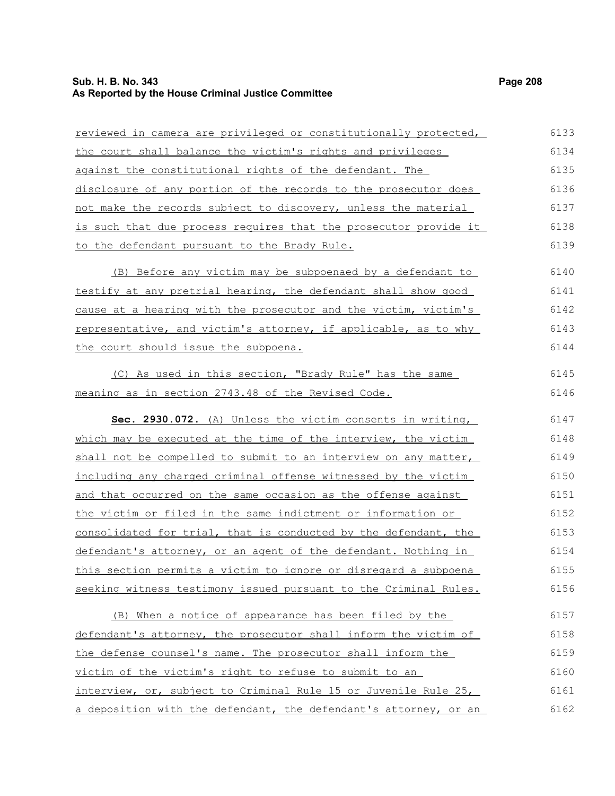### **Sub. H. B. No. 343 Page 208 As Reported by the House Criminal Justice Committee**

reviewed in camera are privileged or constitutionally protected, the court shall balance the victim's rights and privileges against the constitutional rights of the defendant. The disclosure of any portion of the records to the prosecutor does not make the records subject to discovery, unless the material is such that due process requires that the prosecutor provide it to the defendant pursuant to the Brady Rule. (B) Before any victim may be subpoenaed by a defendant to testify at any pretrial hearing, the defendant shall show good cause at a hearing with the prosecutor and the victim, victim's representative, and victim's attorney, if applicable, as to why the court should issue the subpoena. (C) As used in this section, "Brady Rule" has the same meaning as in section 2743.48 of the Revised Code. **Sec. 2930.072.** (A) Unless the victim consents in writing, which may be executed at the time of the interview, the victim shall not be compelled to submit to an interview on any matter, including any charged criminal offense witnessed by the victim and that occurred on the same occasion as the offense against the victim or filed in the same indictment or information or consolidated for trial, that is conducted by the defendant, the defendant's attorney, or an agent of the defendant. Nothing in this section permits a victim to ignore or disregard a subpoena seeking witness testimony issued pursuant to the Criminal Rules. (B) When a notice of appearance has been filed by the 6133 6134 6135 6136 6137 6138 6139 6140 6141 6142 6143 6144 6145 6146 6147 6148 6149 6150 6151 6152 6153 6154 6155 6156 6157

defendant's attorney, the prosecutor shall inform the victim of the defense counsel's name. The prosecutor shall inform the victim of the victim's right to refuse to submit to an interview, or, subject to Criminal Rule 15 or Juvenile Rule 25, a deposition with the defendant, the defendant's attorney, or an 6158 6159 6160 6161 6162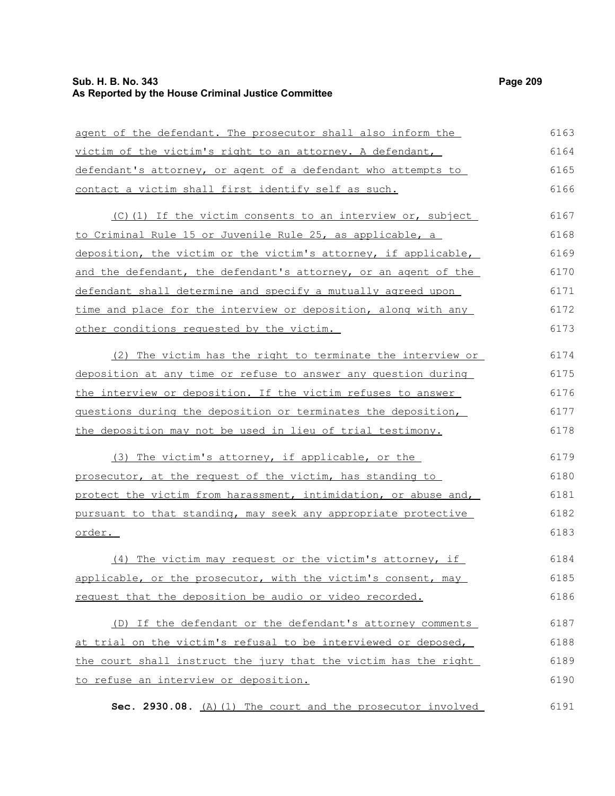# **Sub. H. B. No. 343 Page 209 As Reported by the House Criminal Justice Committee**

| agent of the defendant. The prosecutor shall also inform the    | 6163 |
|-----------------------------------------------------------------|------|
| victim of the victim's right to an attorney. A defendant,       | 6164 |
| defendant's attorney, or agent of a defendant who attempts to   | 6165 |
| contact a victim shall first identify self as such.             | 6166 |
| (C)(1) If the victim consents to an interview or, subject       | 6167 |
| to Criminal Rule 15 or Juvenile Rule 25, as applicable, a       | 6168 |
| deposition, the victim or the victim's attorney, if applicable, | 6169 |
| and the defendant, the defendant's attorney, or an agent of the | 6170 |
| defendant shall determine and specify a mutually agreed upon    | 6171 |
| time and place for the interview or deposition, along with any  | 6172 |
| other conditions requested by the victim.                       | 6173 |
| (2) The victim has the right to terminate the interview or      | 6174 |
| deposition at any time or refuse to answer any question during  | 6175 |
| the interview or deposition. If the victim refuses to answer    | 6176 |
| questions during the deposition or terminates the deposition,   | 6177 |
| the deposition may not be used in lieu of trial testimony.      | 6178 |
| (3) The victim's attorney, if applicable, or the                | 6179 |
| prosecutor, at the request of the victim, has standing to       | 6180 |
| protect the victim from harassment, intimidation, or abuse and, | 6181 |
| pursuant to that standing, may seek any appropriate protective  | 6182 |
| <u>order.</u>                                                   | 6183 |
| (4) The victim may request or the victim's attorney, if         | 6184 |
| applicable, or the prosecutor, with the victim's consent, may   | 6185 |
| request that the deposition be audio or video recorded.         | 6186 |
| (D) If the defendant or the defendant's attorney comments       | 6187 |
| at trial on the victim's refusal to be interviewed or deposed,  | 6188 |
| the court shall instruct the jury that the victim has the right | 6189 |
| to refuse an interview or deposition.                           | 6190 |
| Sec. 2930.08. (A) (1) The court and the prosecutor involved     | 6191 |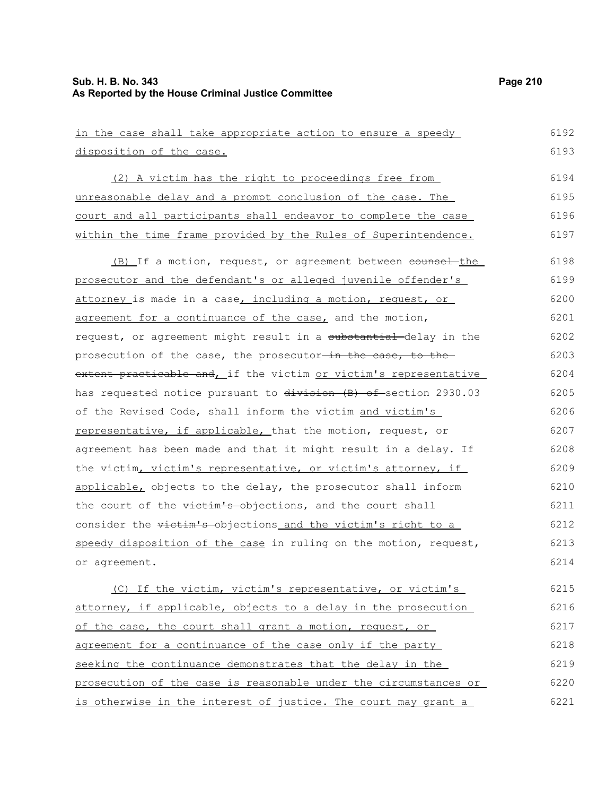| in the case shall take appropriate action to ensure a speedy     | 6192 |
|------------------------------------------------------------------|------|
| disposition of the case.                                         | 6193 |
| (2) A victim has the right to proceedings free from              | 6194 |
| unreasonable delay and a prompt conclusion of the case. The      | 6195 |
| court and all participants shall endeavor to complete the case   | 6196 |
| within the time frame provided by the Rules of Superintendence.  | 6197 |
| (B) If a motion, request, or agreement between counsel the       | 6198 |
| prosecutor and the defendant's or alleged juvenile offender's    | 6199 |
| attorney is made in a case, including a motion, request, or      | 6200 |
| agreement for a continuance of the case, and the motion,         | 6201 |
| request, or agreement might result in a substantial-delay in the | 6202 |
| prosecution of the case, the prosecutor-in the case, to the-     | 6203 |
| extent practicable and, if the victim or victim's representative | 6204 |
| has requested notice pursuant to division (B) of section 2930.03 | 6205 |
| of the Revised Code, shall inform the victim and victim's        | 6206 |
| representative, if applicable, that the motion, request, or      | 6207 |
| agreement has been made and that it might result in a delay. If  | 6208 |
| the victim, victim's representative, or victim's attorney, if    | 6209 |
| applicable, objects to the delay, the prosecutor shall inform    | 6210 |
| the court of the victim's objections, and the court shall        | 6211 |
| consider the victim's objections and the victim's right to a     | 6212 |
| speedy disposition of the case in ruling on the motion, request, | 6213 |
| or agreement.                                                    | 6214 |
| (C) If the victim, victim's representative, or victim's          | 6215 |
| attorney, if applicable, objects to a delay in the prosecution   | 6216 |
| of the case, the court shall grant a motion, request, or         | 6217 |
| agreement for a continuance of the case only if the party        | 6218 |
| seeking the continuance demonstrates that the delay in the       | 6219 |
| prosecution of the case is reasonable under the circumstances or | 6220 |
| is otherwise in the interest of justice. The court may grant a   | 6221 |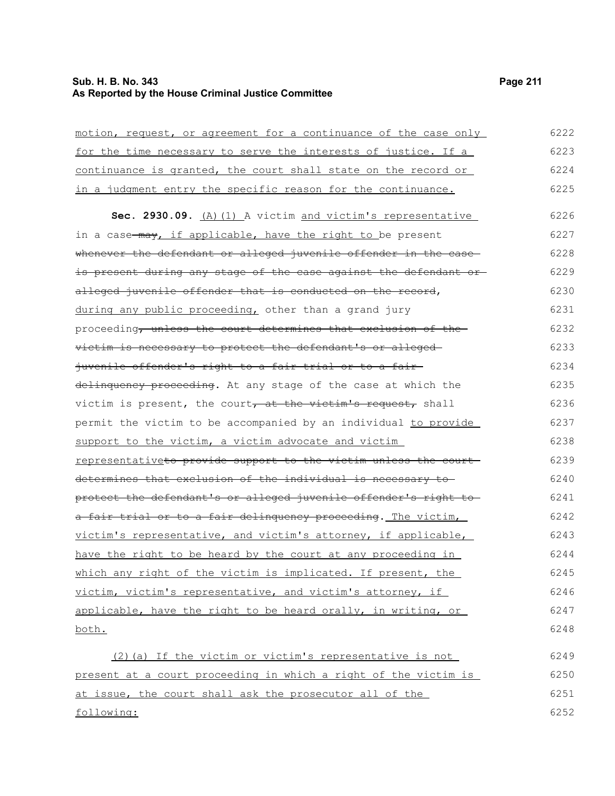# **Sub. H. B. No. 343** Page 211 **As Reported by the House Criminal Justice Committee**

| motion, request, or agreement for a continuance of the case only  | 6222 |
|-------------------------------------------------------------------|------|
| for the time necessary to serve the interests of justice. If a    | 6223 |
| continuance is granted, the court shall state on the record or    | 6224 |
| in a judgment entry the specific reason for the continuance.      | 6225 |
| Sec. 2930.09. (A) (1) A victim and victim's representative        | 6226 |
| in a case may, if applicable, have the right to be present        | 6227 |
| whenever the defendant or alleged juvenile offender in the case-  | 6228 |
| is present during any stage of the case against the defendant or- | 6229 |
| alleged juvenile offender that is conducted on the record,        | 6230 |
| during any public proceeding, other than a grand jury             | 6231 |
| proceeding, unless the court determines that exclusion of the     | 6232 |
| victim is necessary to protect the defendant's or alleged-        | 6233 |
| juvenile offender's right to a fair trial or to a fair-           | 6234 |
| delinquency proceeding. At any stage of the case at which the     | 6235 |
| victim is present, the court, at the victim's request, shall      | 6236 |
| permit the victim to be accompanied by an individual to provide   | 6237 |
| support to the victim, a victim advocate and victim               | 6238 |
| representativeto provide support to the victim unless the court-  | 6239 |
| determines that exclusion of the individual is necessary to       | 6240 |
| protect the defendant's or alleged juvenile offender's right to   | 6241 |
| a fair trial or to a fair delinquency proceeding. The victim,     | 6242 |
| victim's representative, and victim's attorney, if applicable,    | 6243 |
| have the right to be heard by the court at any proceeding in      | 6244 |
| which any right of the victim is implicated. If present, the      | 6245 |
| victim, victim's representative, and victim's attorney, if        | 6246 |
| applicable, have the right to be heard orally, in writing, or     | 6247 |
| <u>both.</u>                                                      | 6248 |
| (2) (a) If the victim or victim's representative is not           | 6249 |
| present at a court proceeding in which a right of the victim is   | 6250 |
| at issue, the court shall ask the prosecutor all of the           | 6251 |

following: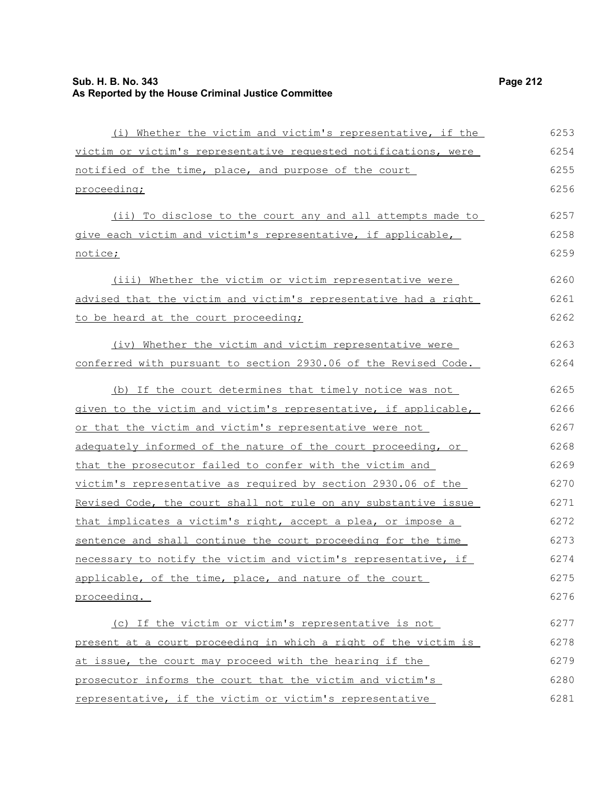# **Sub. H. B. No. 343 Page 212 As Reported by the House Criminal Justice Committee**

| (i) Whether the victim and victim's representative, if the      | 6253 |
|-----------------------------------------------------------------|------|
| victim or victim's representative requested notifications, were | 6254 |
| notified of the time, place, and purpose of the court           | 6255 |
| proceeding;                                                     | 6256 |
| (ii) To disclose to the court any and all attempts made to      | 6257 |
| give each victim and victim's representative, if applicable,    | 6258 |
| notice;                                                         | 6259 |
| (iii) Whether the victim or victim representative were          | 6260 |
| advised that the victim and victim's representative had a right | 6261 |
| to be heard at the court proceeding;                            | 6262 |
| (iv) Whether the victim and victim representative were          | 6263 |
| conferred with pursuant to section 2930.06 of the Revised Code. | 6264 |
| (b) If the court determines that timely notice was not          | 6265 |
| given to the victim and victim's representative, if applicable, | 6266 |
| or that the victim and victim's representative were not         | 6267 |
| adequately informed of the nature of the court proceeding, or   | 6268 |
| that the prosecutor failed to confer with the victim and        | 6269 |
| victim's representative as required by section 2930.06 of the   | 6270 |
| Revised Code, the court shall not rule on any substantive issue | 6271 |
| that implicates a victim's right, accept a plea, or impose a    | 6272 |
| sentence and shall continue the court proceeding for the time   | 6273 |
| necessary to notify the victim and victim's representative, if  | 6274 |
| applicable, of the time, place, and nature of the court         | 6275 |
| proceeding.                                                     | 6276 |
| (c) If the victim or victim's representative is not             | 6277 |
| present at a court proceeding in which a right of the victim is | 6278 |
| at issue, the court may proceed with the hearing if the         | 6279 |
| prosecutor informs the court that the victim and victim's       | 6280 |
| representative, if the victim or victim's representative        | 6281 |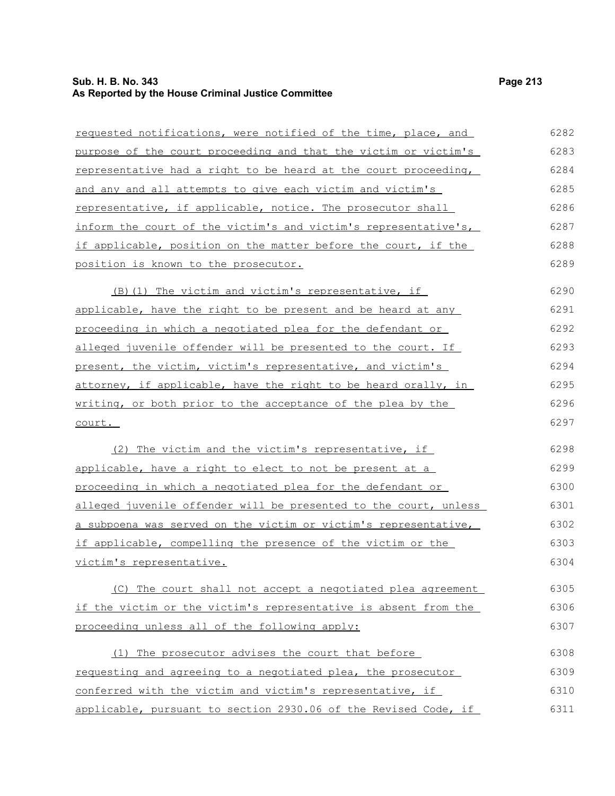# **Sub. H. B. No. 343 Page 213 As Reported by the House Criminal Justice Committee**

| requested notifications, were notified of the time, place, and   | 6282 |
|------------------------------------------------------------------|------|
| purpose of the court proceeding and that the victim or victim's  | 6283 |
| representative had a right to be heard at the court proceeding,  | 6284 |
| and any and all attempts to give each victim and victim's        | 6285 |
| representative, if applicable, notice. The prosecutor shall      | 6286 |
| inform the court of the victim's and victim's representative's,  | 6287 |
| if applicable, position on the matter before the court, if the   | 6288 |
| position is known to the prosecutor.                             | 6289 |
| (B) (1) The victim and victim's representative, if               | 6290 |
| applicable, have the right to be present and be heard at any     | 6291 |
| proceeding in which a negotiated plea for the defendant or       | 6292 |
| alleged juvenile offender will be presented to the court. If     | 6293 |
| present, the victim, victim's representative, and victim's       | 6294 |
| attorney, if applicable, have the right to be heard orally, in   | 6295 |
| writing, or both prior to the acceptance of the plea by the      | 6296 |
| court.                                                           | 6297 |
| (2) The victim and the victim's representative, if               | 6298 |
| applicable, have a right to elect to not be present at a         | 6299 |
| proceeding in which a negotiated plea for the defendant or       | 6300 |
| alleged juvenile offender will be presented to the court, unless | 6301 |
| a subpoena was served on the victim or victim's representative,  | 6302 |
| if applicable, compelling the presence of the victim or the      | 6303 |
| victim's representative.                                         | 6304 |
| (C) The court shall not accept a negotiated plea agreement       | 6305 |
| if the victim or the victim's representative is absent from the  | 6306 |
| proceeding unless all of the following apply:                    | 6307 |
| (1) The prosecutor advises the court that before                 | 6308 |
| requesting and agreeing to a negotiated plea, the prosecutor     | 6309 |
| conferred with the victim and victim's representative, if        | 6310 |
| applicable, pursuant to section 2930.06 of the Revised Code, if  | 6311 |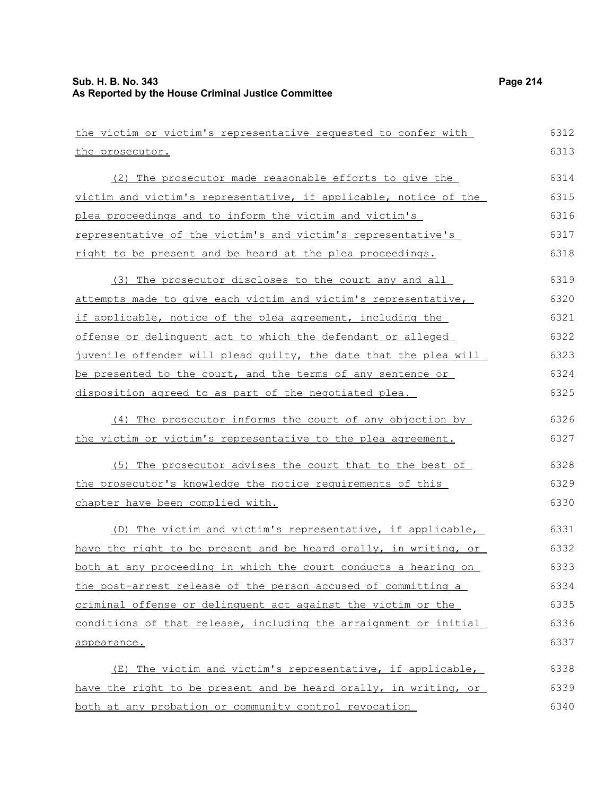| the victim or victim's representative requested to confer with   | 6312 |
|------------------------------------------------------------------|------|
| the prosecutor.                                                  | 6313 |
| (2) The prosecutor made reasonable efforts to give the           | 6314 |
| victim and victim's representative, if applicable, notice of the | 6315 |
| plea proceedings and to inform the victim and victim's           | 6316 |
| representative of the victim's and victim's representative's     | 6317 |
| right to be present and be heard at the plea proceedings.        | 6318 |
| (3) The prosecutor discloses to the court any and all            | 6319 |
| attempts made to give each victim and victim's representative,   | 6320 |
| if applicable, notice of the plea agreement, including the       | 6321 |
| offense or delinquent act to which the defendant or alleged      | 6322 |
| juvenile offender will plead quilty, the date that the plea will | 6323 |
| be presented to the court, and the terms of any sentence or      | 6324 |
| disposition agreed to as part of the negotiated plea.            | 6325 |
| (4) The prosecutor informs the court of any objection by         | 6326 |
| the victim or victim's representative to the plea agreement.     | 6327 |
| (5) The prosecutor advises the court that to the best of         | 6328 |
| the prosecutor's knowledge the notice requirements of this       | 6329 |
| chapter have been complied with.                                 | 6330 |
| (D) The victim and victim's representative, if applicable,       | 6331 |
| have the right to be present and be heard orally, in writing, or | 6332 |
| both at any proceeding in which the court conducts a hearing on  | 6333 |
| the post-arrest release of the person accused of committing a    | 6334 |
| criminal offense or delinquent act against the victim or the     | 6335 |
| conditions of that release, including the arraignment or initial | 6336 |
| appearance.                                                      | 6337 |
| (E) The victim and victim's representative, if applicable,       | 6338 |
| have the right to be present and be heard orally, in writing, or | 6339 |
| both at any probation or community control revocation            | 6340 |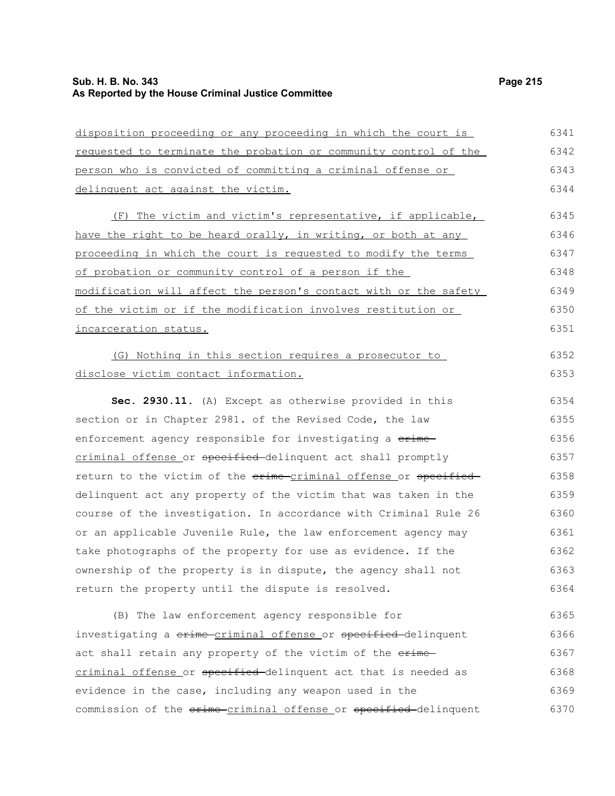#### **Sub. H. B. No. 343** Page 215 **As Reported by the House Criminal Justice Committee**

| requested to terminate the probation or community control of the | 6342 |
|------------------------------------------------------------------|------|
| person who is convicted of committing a criminal offense or      | 6343 |
| delinquent act against the victim.                               | 6344 |
| The victim and victim's representative, if applicable,<br>(F)    | 6345 |
| have the right to be heard orally, in writing, or both at any    | 6346 |
| proceeding in which the court is requested to modify the terms   | 6347 |
| of probation or community control of a person if the             | 6348 |
| modification will affect the person's contact with or the safety | 6349 |
| of the victim or if the modification involves restitution or     | 6350 |
| incarceration status.                                            | 6351 |
| (G) Nothing in this section requires a prosecutor to             | 6352 |
| disclose victim contact information.                             | 6353 |
| Sec. 2930.11. (A) Except as otherwise provided in this           | 6354 |
| section or in Chapter 2981. of the Revised Code, the law         | 6355 |

enforcement agency responsible for investigating a crimecriminal offense or specified delinquent act shall promptly return to the victim of the erime-criminal offense or specifieddelinquent act any property of the victim that was taken in the course of the investigation. In accordance with Criminal Rule 26 or an applicable Juvenile Rule, the law enforcement agency may take photographs of the property for use as evidence. If the ownership of the property is in dispute, the agency shall not return the property until the dispute is resolved. 6356 6357 6358 6359 6360 6361 6362 6363 6364

(B) The law enforcement agency responsible for investigating a crime-criminal offense or specified-delinquent act shall retain any property of the victim of the erimecriminal offense or specified delinquent act that is needed as evidence in the case, including any weapon used in the commission of the erime-criminal offense or specified-delinquent 6365 6366 6367 6368 6369 6370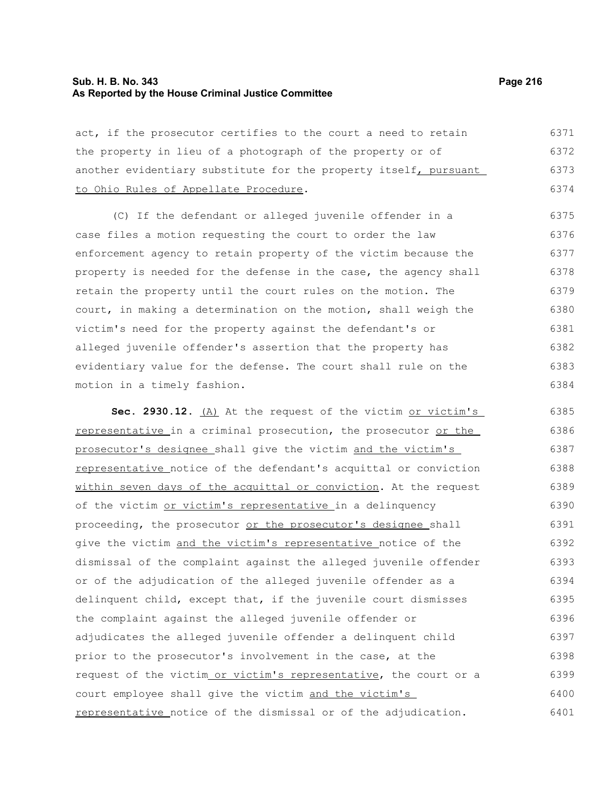### **Sub. H. B. No. 343 Page 216 As Reported by the House Criminal Justice Committee**

act, if the prosecutor certifies to the court a need to retain the property in lieu of a photograph of the property or of another evidentiary substitute for the property itself, pursuant to Ohio Rules of Appellate Procedure. 6371 6372 6373 6374

(C) If the defendant or alleged juvenile offender in a case files a motion requesting the court to order the law enforcement agency to retain property of the victim because the property is needed for the defense in the case, the agency shall retain the property until the court rules on the motion. The court, in making a determination on the motion, shall weigh the victim's need for the property against the defendant's or alleged juvenile offender's assertion that the property has evidentiary value for the defense. The court shall rule on the motion in a timely fashion. 6375 6376 6377 6378 6379 6380 6382 6383 6384

**Sec. 2930.12.** (A) At the request of the victim or victim's representative in a criminal prosecution, the prosecutor or the prosecutor's designee shall give the victim and the victim's representative notice of the defendant's acquittal or conviction within seven days of the acquittal or conviction. At the request of the victim or victim's representative in a delinquency proceeding, the prosecutor or the prosecutor's designee shall give the victim and the victim's representative notice of the dismissal of the complaint against the alleged juvenile offender or of the adjudication of the alleged juvenile offender as a delinquent child, except that, if the juvenile court dismisses the complaint against the alleged juvenile offender or adjudicates the alleged juvenile offender a delinquent child prior to the prosecutor's involvement in the case, at the request of the victim or victim's representative, the court or a court employee shall give the victim and the victim's representative notice of the dismissal or of the adjudication. 6385 6386 6387 6388 6389 6390 6391 6392 6393 6394 6395 6396 6397 6398 6399 6400 6401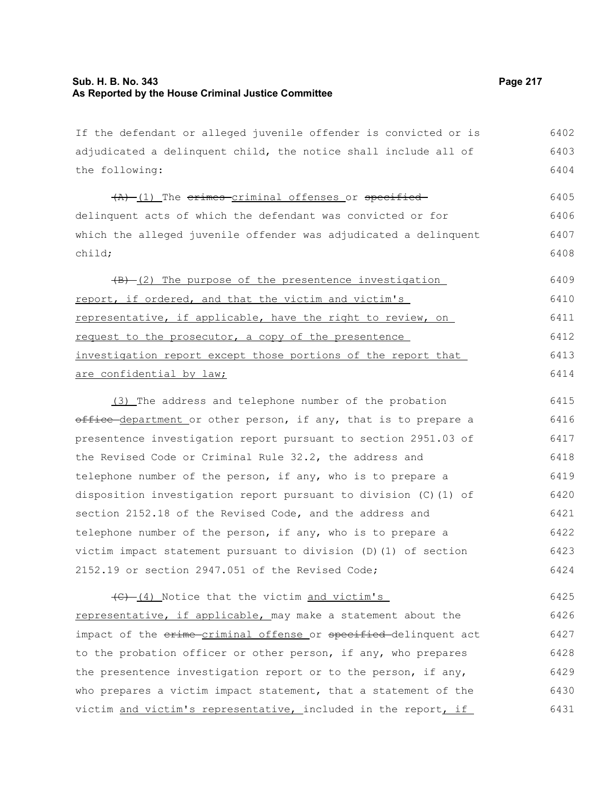## **Sub. H. B. No. 343 Page 217 As Reported by the House Criminal Justice Committee**

(A) (1) The erimes criminal offenses or specified (B) (2) The purpose of the presentence investigation report, if ordered, and that the victim and victim's representative, if applicable, have the right to review, on request to the prosecutor, a copy of the presentence investigation report except those portions of the report that are confidential by law; (3) The address and telephone number of the probation office department or other person, if any, that is to prepare a presentence investigation report pursuant to section 2951.03 of 6408 6409 6410 6411 6412 6413 6414 6415 6416 6417

If the defendant or alleged juvenile offender is convicted or is adjudicated a delinquent child, the notice shall include all of the following: 6402 6403 6404

delinquent acts of which the defendant was convicted or for which the alleged juvenile offender was adjudicated a delinquent child; 6405 6406 6407

the Revised Code or Criminal Rule 32.2, the address and telephone number of the person, if any, who is to prepare a disposition investigation report pursuant to division (C)(1) of section 2152.18 of the Revised Code, and the address and telephone number of the person, if any, who is to prepare a victim impact statement pursuant to division (D)(1) of section 2152.19 or section 2947.051 of the Revised Code; 6418 6419 6420 6421 6422 6423 6424

 $\left(\frac{C}{C}\right)$  (4) Notice that the victim and victim's representative, if applicable, may make a statement about the impact of the erime criminal offense or specified delinquent act to the probation officer or other person, if any, who prepares the presentence investigation report or to the person, if any, who prepares a victim impact statement, that a statement of the victim and victim's representative, included in the report, if 6425 6426 6427 6428 6429 6430 6431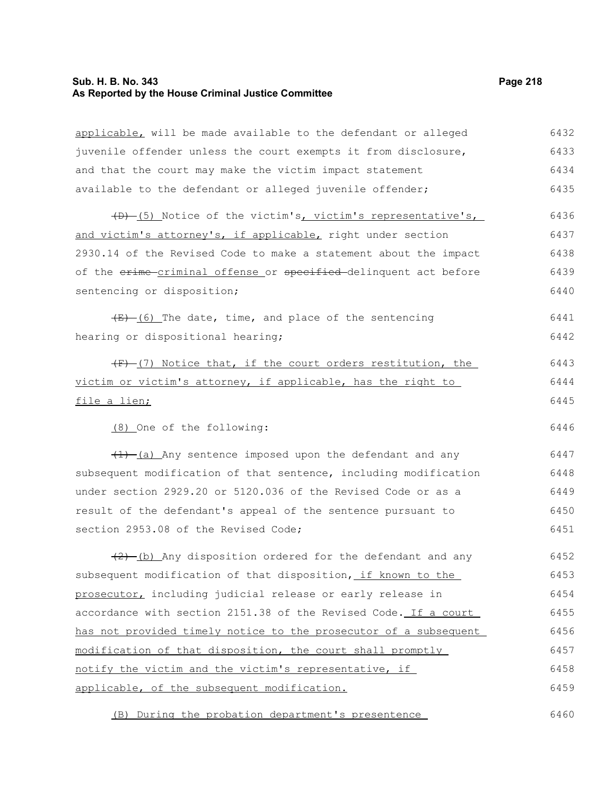#### **Sub. H. B. No. 343 Page 218 As Reported by the House Criminal Justice Committee**

applicable, will be made available to the defendant or alleged

juvenile offender unless the court exempts it from disclosure, and that the court may make the victim impact statement available to the defendant or alleged juvenile offender; (D) (5) Notice of the victim's, victim's representative's, and victim's attorney's, if applicable, right under section 2930.14 of the Revised Code to make a statement about the impact of the erime-criminal offense or specified-delinquent act before sentencing or disposition;  $(E)$  (6) The date, time, and place of the sentencing hearing or dispositional hearing;  $(F)$  (7) Notice that, if the court orders restitution, the victim or victim's attorney, if applicable, has the right to file a lien; (8) One of the following:  $(1)$  (a) Any sentence imposed upon the defendant and any subsequent modification of that sentence, including modification under section 2929.20 or 5120.036 of the Revised Code or as a result of the defendant's appeal of the sentence pursuant to section 2953.08 of the Revised Code;  $(2)$  (b) Any disposition ordered for the defendant and any subsequent modification of that disposition, if known to the prosecutor, including judicial release or early release in accordance with section 2151.38 of the Revised Code. If a court has not provided timely notice to the prosecutor of a subsequent 6433 6434 6435 6436 6437 6438 6439 6440 6441 6442 6443 6444 6445 6446 6447 6448 6449 6450 6451 6452 6453 6454 6455

modification of that disposition, the court shall promptly notify the victim and the victim's representative, if applicable, of the subsequent modification. 6457 6458 6459

(B) During the probation department's presentence 6460

6432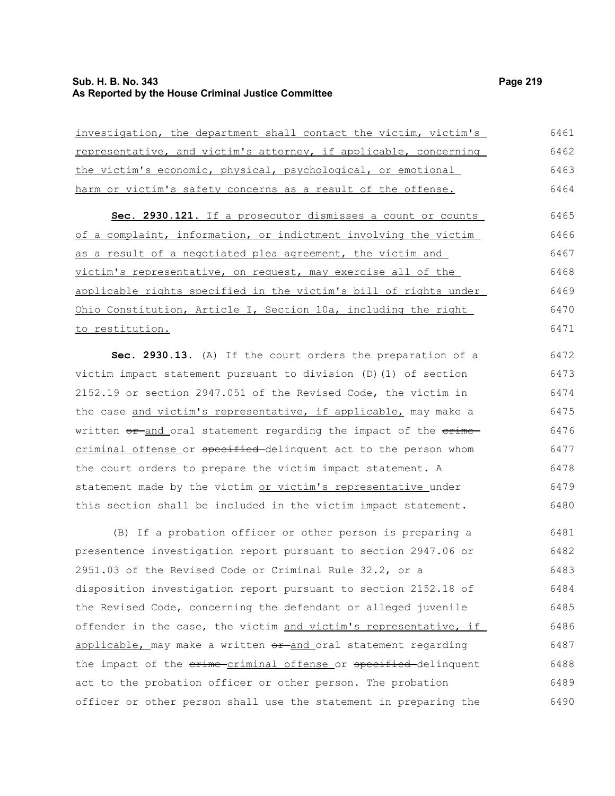### **Sub. H. B. No. 343** Page 219 **As Reported by the House Criminal Justice Committee**

| investigation, the department shall contact the victim, victim's | 6461 |
|------------------------------------------------------------------|------|
| representative, and victim's attorney, if applicable, concerning | 6462 |
| the victim's economic, physical, psychological, or emotional     | 6463 |
| harm or victim's safety concerns as a result of the offense.     | 6464 |

Sec. 2930.121. If a prosecutor dismisses a count or counts of a complaint, information, or indictment involving the victim as a result of a negotiated plea agreement, the victim and victim's representative, on request, may exercise all of the applicable rights specified in the victim's bill of rights under Ohio Constitution, Article I, Section 10a, including the right to restitution. 6465 6466 6467 6468 6469 6470 6471

**Sec. 2930.13.** (A) If the court orders the preparation of a victim impact statement pursuant to division (D)(1) of section 2152.19 or section 2947.051 of the Revised Code, the victim in the case and victim's representative, if applicable, may make a written or and oral statement regarding the impact of the erime criminal offense or specified delinquent act to the person whom the court orders to prepare the victim impact statement. A statement made by the victim or victim's representative under this section shall be included in the victim impact statement. 6472 6473 6474 6475 6476 6477 6478 6479 6480

(B) If a probation officer or other person is preparing a presentence investigation report pursuant to section 2947.06 or 2951.03 of the Revised Code or Criminal Rule 32.2, or a disposition investigation report pursuant to section 2152.18 of the Revised Code, concerning the defendant or alleged juvenile offender in the case, the victim and victim's representative, if applicable, may make a written or and oral statement regarding the impact of the erime-criminal offense or specified-delinquent act to the probation officer or other person. The probation officer or other person shall use the statement in preparing the 6481 6482 6483 6484 6485 6486 6487 6488 6489 6490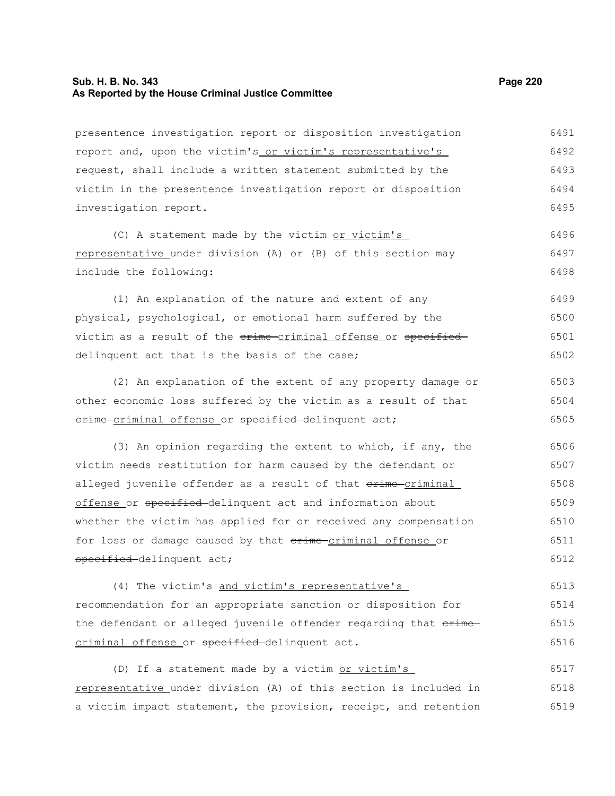### **Sub. H. B. No. 343 Page 220 As Reported by the House Criminal Justice Committee**

presentence investigation report or disposition investigation report and, upon the victim's or victim's representative's request, shall include a written statement submitted by the victim in the presentence investigation report or disposition investigation report. (C) A statement made by the victim or victim's representative under division (A) or (B) of this section may include the following: (1) An explanation of the nature and extent of any physical, psychological, or emotional harm suffered by the victim as a result of the erime-criminal offense or specifieddelinquent act that is the basis of the case; (2) An explanation of the extent of any property damage or other economic loss suffered by the victim as a result of that erime criminal offense or specified delinquent act; (3) An opinion regarding the extent to which, if any, the victim needs restitution for harm caused by the defendant or alleged juvenile offender as a result of that erime-criminal offense or specified delinquent act and information about whether the victim has applied for or received any compensation for loss or damage caused by that erime-criminal offense or specified delinquent act; (4) The victim's and victim's representative's recommendation for an appropriate sanction or disposition for the defendant or alleged juvenile offender regarding that erimecriminal offense or specified-delinquent act. (D) If a statement made by a victim or victim's 6491 6492 6493 6494 6495 6496 6497 6498 6499 6500 6501 6502 6503 6504 6505 6506 6507 6508 6509 6510 6511 6512 6513 6514 6515 6516 6517

representative under division (A) of this section is included in a victim impact statement, the provision, receipt, and retention 6518 6519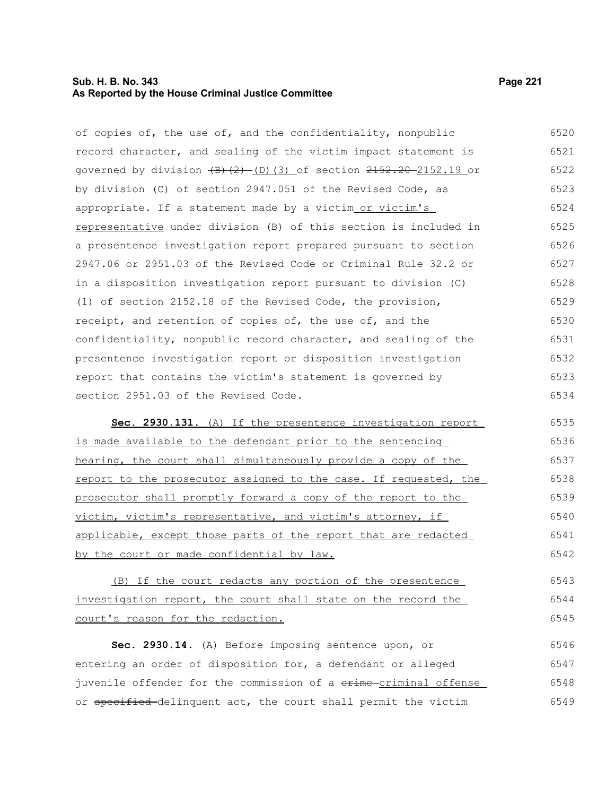## **Sub. H. B. No. 343** Page 221 **As Reported by the House Criminal Justice Committee**

section 2951.03 of the Revised Code.

of copies of, the use of, and the confidentiality, nonpublic record character, and sealing of the victim impact statement is governed by division  $\frac{1}{2}$  (D)(3) of section  $\frac{2152.20}{2152.19}$  or by division (C) of section 2947.051 of the Revised Code, as appropriate. If a statement made by a victim or victim's representative under division (B) of this section is included in a presentence investigation report prepared pursuant to section 2947.06 or 2951.03 of the Revised Code or Criminal Rule 32.2 or in a disposition investigation report pursuant to division (C) (1) of section 2152.18 of the Revised Code, the provision, receipt, and retention of copies of, the use of, and the confidentiality, nonpublic record character, and sealing of the presentence investigation report or disposition investigation 6520 6521 6522 6523 6524 6525 6526 6527 6528 6529 6530 6531 6532

 **Sec. 2930.131.** (A) If the presentence investigation report is made available to the defendant prior to the sentencing hearing, the court shall simultaneously provide a copy of the report to the prosecutor assigned to the case. If requested, the prosecutor shall promptly forward a copy of the report to the victim, victim's representative, and victim's attorney, if applicable, except those parts of the report that are redacted by the court or made confidential by law. 6535 6536 6537 6538 6539 6540 6541 6542

report that contains the victim's statement is governed by

(B) If the court redacts any portion of the presentence investigation report, the court shall state on the record the court's reason for the redaction. 6543 6544 6545

**Sec. 2930.14.** (A) Before imposing sentence upon, or entering an order of disposition for, a defendant or alleged juvenile offender for the commission of a erime-criminal offense or specified-delinquent act, the court shall permit the victim 6546 6547 6548 6549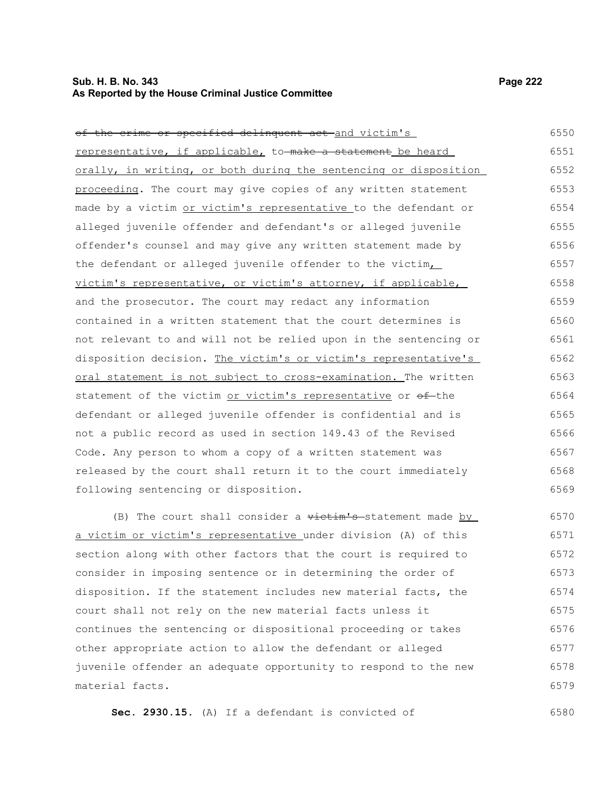## **Sub. H. B. No. 343 Page 222 As Reported by the House Criminal Justice Committee**

| of the crime or specified delinquent act and victim's            | 6550 |
|------------------------------------------------------------------|------|
| representative, if applicable, to make a statement be heard      | 6551 |
| orally, in writing, or both during the sentencing or disposition | 6552 |
| proceeding. The court may give copies of any written statement   | 6553 |
| made by a victim or victim's representative to the defendant or  | 6554 |
| alleged juvenile offender and defendant's or alleged juvenile    | 6555 |
| offender's counsel and may give any written statement made by    | 6556 |
| the defendant or alleged juvenile offender to the victim         | 6557 |
| victim's representative, or victim's attorney, if applicable,    | 6558 |
| and the prosecutor. The court may redact any information         | 6559 |
| contained in a written statement that the court determines is    | 6560 |
| not relevant to and will not be relied upon in the sentencing or | 6561 |
| disposition decision. The victim's or victim's representative's  | 6562 |
| oral statement is not subject to cross-examination. The written  | 6563 |
| statement of the victim or victim's representative or of the     | 6564 |
| defendant or alleged juvenile offender is confidential and is    | 6565 |
| not a public record as used in section 149.43 of the Revised     | 6566 |
| Code. Any person to whom a copy of a written statement was       | 6567 |
| released by the court shall return it to the court immediately   | 6568 |
| following sentencing or disposition.                             | 6569 |
| (B) The court shall consider a victim's statement made by        | 6570 |
| a victim or victim's representative under division (A) of this   | 6571 |
| section along with other factors that the court is required to   | 6572 |
| consider in imposing sentence or in determining the order of     | 6573 |
| disposition. If the statement includes new material facts, the   | 6574 |

court shall not rely on the new material facts unless it continues the sentencing or dispositional proceeding or takes other appropriate action to allow the defendant or alleged juvenile offender an adequate opportunity to respond to the new material facts. 6575 6576 6577 6578 6579

**Sec. 2930.15.** (A) If a defendant is convicted of 6580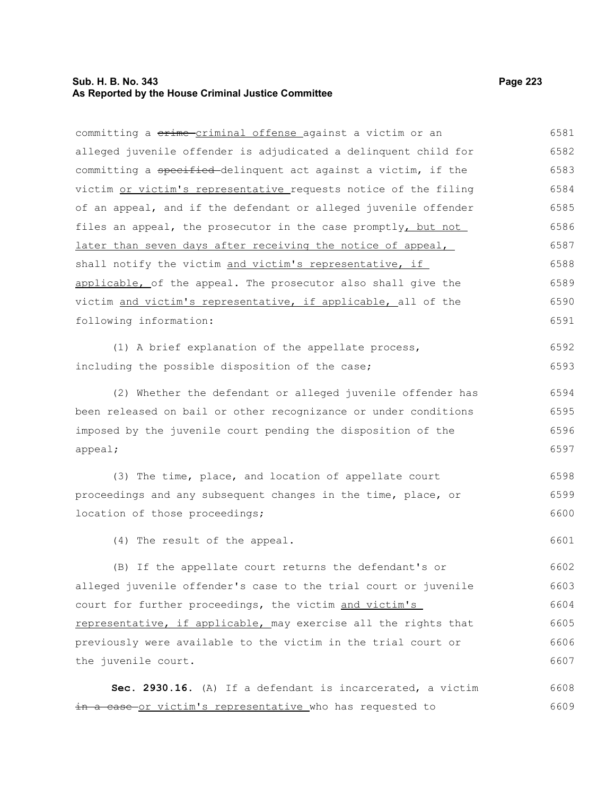### **Sub. H. B. No. 343 Page 223 As Reported by the House Criminal Justice Committee**

committing a crime-criminal offense against a victim or an alleged juvenile offender is adjudicated a delinquent child for committing a specified-delinquent act against a victim, if the victim or victim's representative requests notice of the filing of an appeal, and if the defendant or alleged juvenile offender files an appeal, the prosecutor in the case promptly, but not later than seven days after receiving the notice of appeal, shall notify the victim and victim's representative, if applicable, of the appeal. The prosecutor also shall give the victim and victim's representative, if applicable, all of the following information: (1) A brief explanation of the appellate process, including the possible disposition of the case; (2) Whether the defendant or alleged juvenile offender has been released on bail or other recognizance or under conditions imposed by the juvenile court pending the disposition of the appeal; (3) The time, place, and location of appellate court proceedings and any subsequent changes in the time, place, or location of those proceedings; (4) The result of the appeal. (B) If the appellate court returns the defendant's or alleged juvenile offender's case to the trial court or juvenile court for further proceedings, the victim and victim's representative, if applicable, may exercise all the rights that previously were available to the victim in the trial court or the juvenile court. **Sec. 2930.16.** (A) If a defendant is incarcerated, a victim 6581 6582 6583 6584 6585 6586 6587 6588 6589 6590 6591 6592 6593 6594 6595 6596 6597 6598 6599 6600 6601 6602 6603 6604 6605 6606 6607 6608

in a case or victim's representative who has requested to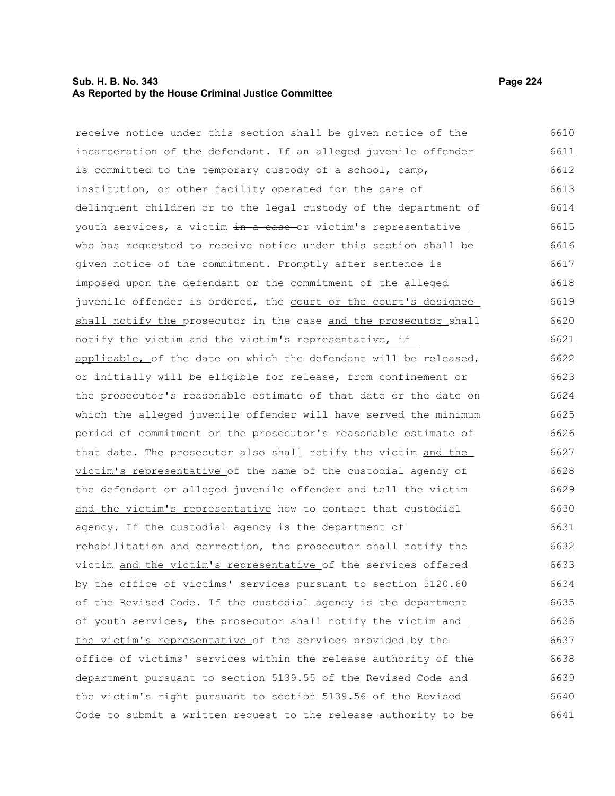## **Sub. H. B. No. 343 Page 224 As Reported by the House Criminal Justice Committee**

receive notice under this section shall be given notice of the incarceration of the defendant. If an alleged juvenile offender is committed to the temporary custody of a school, camp, institution, or other facility operated for the care of delinquent children or to the legal custody of the department of youth services, a victim in a case or victim's representative who has requested to receive notice under this section shall be given notice of the commitment. Promptly after sentence is imposed upon the defendant or the commitment of the alleged juvenile offender is ordered, the court or the court's designee shall notify the prosecutor in the case and the prosecutor shall notify the victim and the victim's representative, if applicable, of the date on which the defendant will be released, or initially will be eligible for release, from confinement or the prosecutor's reasonable estimate of that date or the date on which the alleged juvenile offender will have served the minimum period of commitment or the prosecutor's reasonable estimate of that date. The prosecutor also shall notify the victim and the victim's representative of the name of the custodial agency of the defendant or alleged juvenile offender and tell the victim and the victim's representative how to contact that custodial agency. If the custodial agency is the department of rehabilitation and correction, the prosecutor shall notify the victim and the victim's representative of the services offered by the office of victims' services pursuant to section 5120.60 of the Revised Code. If the custodial agency is the department of youth services, the prosecutor shall notify the victim and the victim's representative of the services provided by the office of victims' services within the release authority of the department pursuant to section 5139.55 of the Revised Code and the victim's right pursuant to section 5139.56 of the Revised Code to submit a written request to the release authority to be 6610 6611 6612 6613 6614 6615 6616 6617 6618 6619 6620 6621 6622 6623 6624 6625 6626 6627 6628 6629 6630 6631 6632 6633 6634 6635 6636 6637 6638 6639 6640 6641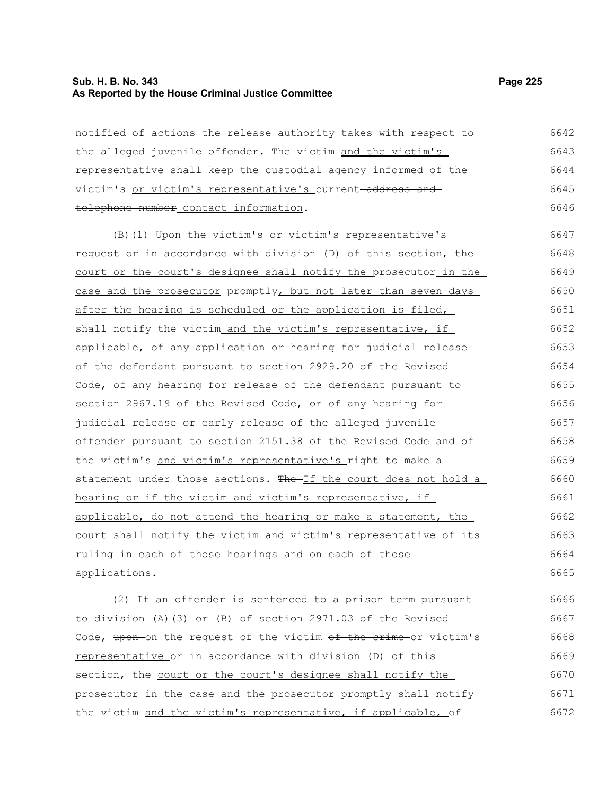### **Sub. H. B. No. 343 Page 225 As Reported by the House Criminal Justice Committee**

notified of actions the release authority takes with respect to the alleged juvenile offender. The victim and the victim's representative shall keep the custodial agency informed of the victim's or victim's representative's current-address and telephone number contact information. 6642 6643 6644 6645 6646

(B)(1) Upon the victim's or victim's representative's request or in accordance with division (D) of this section, the court or the court's designee shall notify the prosecutor in the case and the prosecutor promptly, but not later than seven days after the hearing is scheduled or the application is filed, shall notify the victim and the victim's representative, if applicable, of any application or hearing for judicial release of the defendant pursuant to section 2929.20 of the Revised Code, of any hearing for release of the defendant pursuant to section 2967.19 of the Revised Code, or of any hearing for judicial release or early release of the alleged juvenile offender pursuant to section 2151.38 of the Revised Code and of the victim's and victim's representative's right to make a statement under those sections. The If the court does not hold a hearing or if the victim and victim's representative, if applicable, do not attend the hearing or make a statement, the court shall notify the victim and victim's representative of its ruling in each of those hearings and on each of those applications. 6647 6648 6649 6650 6651 6652 6653 6654 6655 6656 6657 6658 6659 6660 6661 6662 6663 6664 6665

(2) If an offender is sentenced to a prison term pursuant to division (A)(3) or (B) of section 2971.03 of the Revised Code, upon-on the request of the victim of the crime or victim's representative or in accordance with division (D) of this section, the court or the court's designee shall notify the prosecutor in the case and the prosecutor promptly shall notify the victim and the victim's representative, if applicable, of 6666 6667 6668 6669 6670 6671 6672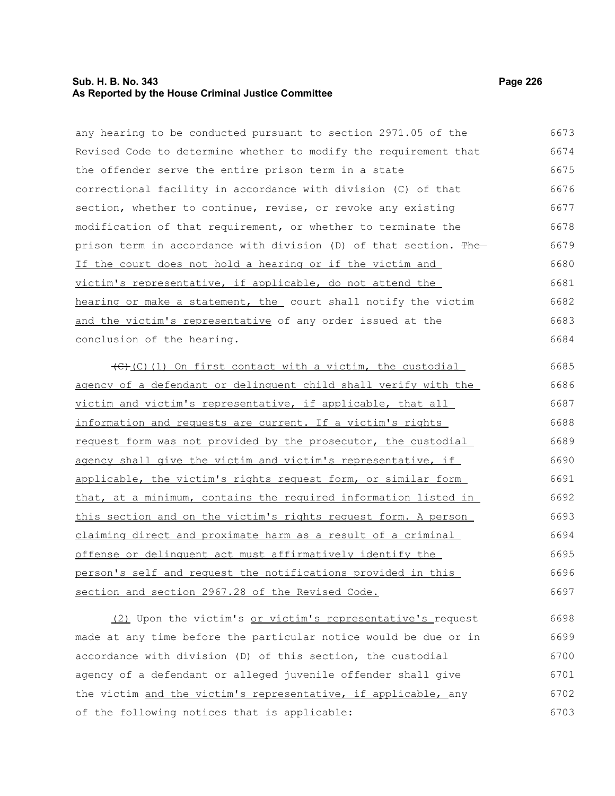## **Sub. H. B. No. 343 Page 226 As Reported by the House Criminal Justice Committee**

any hearing to be conducted pursuant to section 2971.05 of the Revised Code to determine whether to modify the requirement that the offender serve the entire prison term in a state correctional facility in accordance with division (C) of that section, whether to continue, revise, or revoke any existing modification of that requirement, or whether to terminate the prison term in accordance with division (D) of that section. The-If the court does not hold a hearing or if the victim and victim's representative, if applicable, do not attend the

hearing or make a statement, the court shall notify the victim and the victim's representative of any order issued at the conclusion of the hearing. 6682 6683 6684

 $\left(\frac{1}{C}\right)$  (1) On first contact with a victim, the custodial agency of a defendant or delinquent child shall verify with the victim and victim's representative, if applicable, that all information and requests are current. If a victim's rights request form was not provided by the prosecutor, the custodial agency shall give the victim and victim's representative, if applicable, the victim's rights request form, or similar form that, at a minimum, contains the required information listed in this section and on the victim's rights request form. A person claiming direct and proximate harm as a result of a criminal offense or delinquent act must affirmatively identify the person's self and request the notifications provided in this section and section 2967.28 of the Revised Code. 6685 6686 6687 6688 6689 6690 6691 6692 6693 6694 6695 6696 6697

(2) Upon the victim's or victim's representative's request made at any time before the particular notice would be due or in accordance with division (D) of this section, the custodial agency of a defendant or alleged juvenile offender shall give the victim and the victim's representative, if applicable, any of the following notices that is applicable: 6698 6699 6700 6701 6702 6703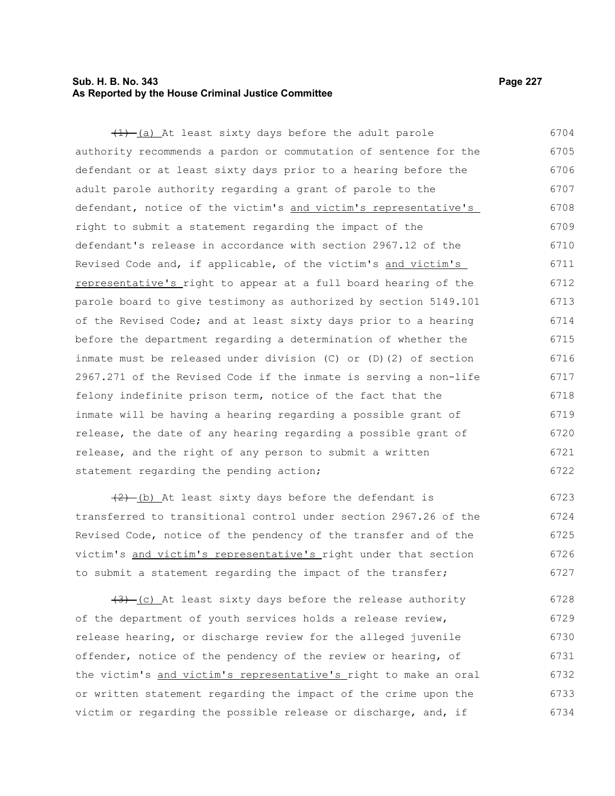## **Sub. H. B. No. 343 Page 227 As Reported by the House Criminal Justice Committee**

 $(1)$  (a) At least sixty days before the adult parole authority recommends a pardon or commutation of sentence for the defendant or at least sixty days prior to a hearing before the adult parole authority regarding a grant of parole to the defendant, notice of the victim's and victim's representative's right to submit a statement regarding the impact of the defendant's release in accordance with section 2967.12 of the Revised Code and, if applicable, of the victim's and victim's representative's right to appear at a full board hearing of the parole board to give testimony as authorized by section 5149.101 of the Revised Code; and at least sixty days prior to a hearing before the department regarding a determination of whether the inmate must be released under division (C) or (D)(2) of section 2967.271 of the Revised Code if the inmate is serving a non-life felony indefinite prison term, notice of the fact that the inmate will be having a hearing regarding a possible grant of release, the date of any hearing regarding a possible grant of release, and the right of any person to submit a written statement regarding the pending action; 6704 6705 6706 6707 6708 6709 6710 6711 6712 6713 6714 6715 6716 6717 6718 6719 6720 6721 6722

 $(2)$  (b) At least sixty days before the defendant is transferred to transitional control under section 2967.26 of the Revised Code, notice of the pendency of the transfer and of the victim's and victim's representative's right under that section to submit a statement regarding the impact of the transfer; 6723 6724 6725 6726 6727

(3) (c) At least sixty days before the release authority of the department of youth services holds a release review, release hearing, or discharge review for the alleged juvenile offender, notice of the pendency of the review or hearing, of the victim's and victim's representative's right to make an oral or written statement regarding the impact of the crime upon the victim or regarding the possible release or discharge, and, if 6728 6729 6730 6731 6732 6733 6734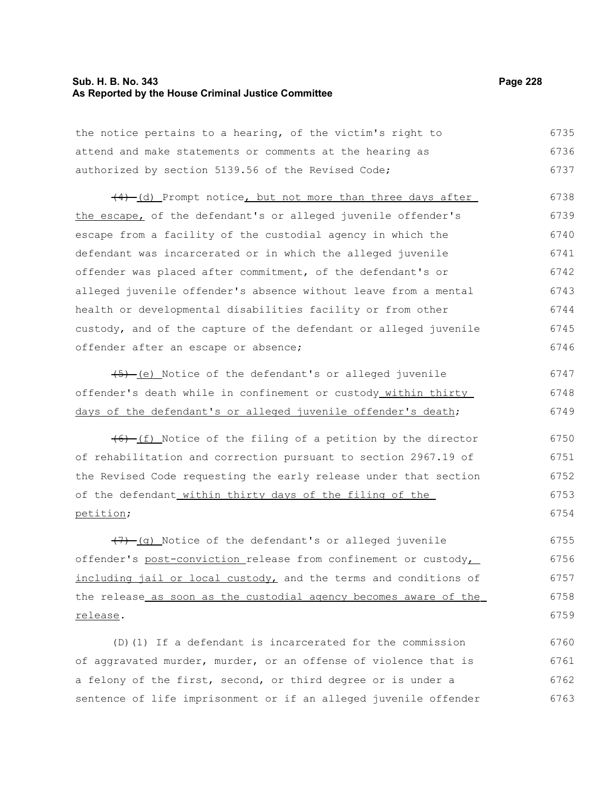## **Sub. H. B. No. 343 Page 228 As Reported by the House Criminal Justice Committee**

the notice pertains to a hearing, of the victim's right to attend and make statements or comments at the hearing as authorized by section 5139.56 of the Revised Code; 6735 6736 6737

(4) (d) Prompt notice, but not more than three days after the escape, of the defendant's or alleged juvenile offender's escape from a facility of the custodial agency in which the defendant was incarcerated or in which the alleged juvenile offender was placed after commitment, of the defendant's or alleged juvenile offender's absence without leave from a mental health or developmental disabilities facility or from other custody, and of the capture of the defendant or alleged juvenile offender after an escape or absence; 6738 6739 6740 6741 6742 6743 6744 6745 6746

 $(5)$  (e) Notice of the defendant's or alleged juvenile offender's death while in confinement or custody within thirty days of the defendant's or alleged juvenile offender's death; 6747 6748 6749

 $(6)$  (f) Notice of the filing of a petition by the director of rehabilitation and correction pursuant to section 2967.19 of the Revised Code requesting the early release under that section of the defendant within thirty days of the filing of the petition;

 $(7)$  (g) Notice of the defendant's or alleged juvenile offender's post-conviction release from confinement or custody, including jail or local custody, and the terms and conditions of the release as soon as the custodial agency becomes aware of the release. 6755 6756 6757 6758 6759

(D)(1) If a defendant is incarcerated for the commission of aggravated murder, murder, or an offense of violence that is a felony of the first, second, or third degree or is under a sentence of life imprisonment or if an alleged juvenile offender 6760 6761 6762 6763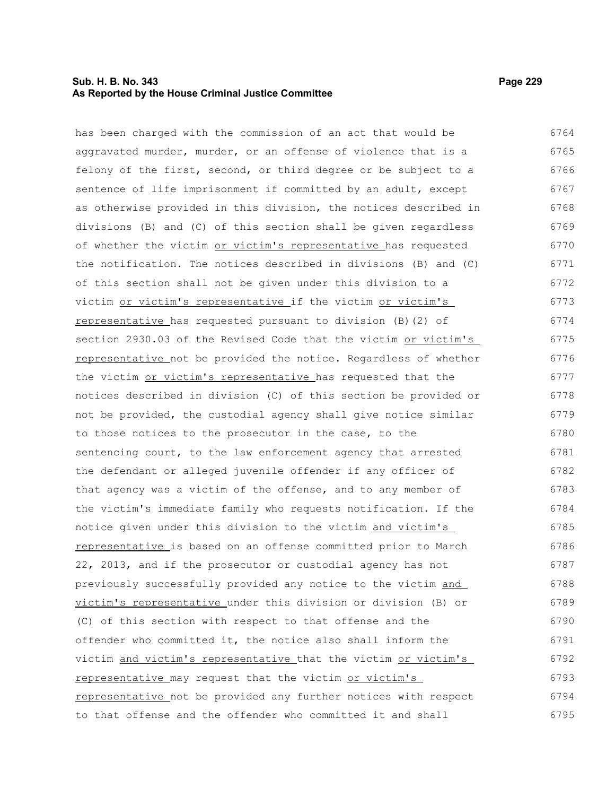## **Sub. H. B. No. 343** Page 229 **As Reported by the House Criminal Justice Committee**

has been charged with the commission of an act that would be aggravated murder, murder, or an offense of violence that is a felony of the first, second, or third degree or be subject to a sentence of life imprisonment if committed by an adult, except as otherwise provided in this division, the notices described in divisions (B) and (C) of this section shall be given regardless of whether the victim or victim's representative has requested the notification. The notices described in divisions (B) and (C) of this section shall not be given under this division to a victim or victim's representative if the victim or victim's representative has requested pursuant to division (B)(2) of section 2930.03 of the Revised Code that the victim or victim's representative not be provided the notice. Regardless of whether the victim or victim's representative has requested that the notices described in division (C) of this section be provided or not be provided, the custodial agency shall give notice similar to those notices to the prosecutor in the case, to the sentencing court, to the law enforcement agency that arrested the defendant or alleged juvenile offender if any officer of that agency was a victim of the offense, and to any member of the victim's immediate family who requests notification. If the notice given under this division to the victim and victim's representative is based on an offense committed prior to March 22, 2013, and if the prosecutor or custodial agency has not previously successfully provided any notice to the victim and victim's representative under this division or division (B) or (C) of this section with respect to that offense and the offender who committed it, the notice also shall inform the victim and victim's representative that the victim or victim's representative may request that the victim or victim's representative not be provided any further notices with respect to that offense and the offender who committed it and shall 6764 6765 6766 6767 6768 6769 6770 6771 6772 6773 6774 6775 6776 6777 6778 6779 6780 6781 6782 6783 6784 6785 6786 6787 6788 6789 6790 6791 6792 6793 6794 6795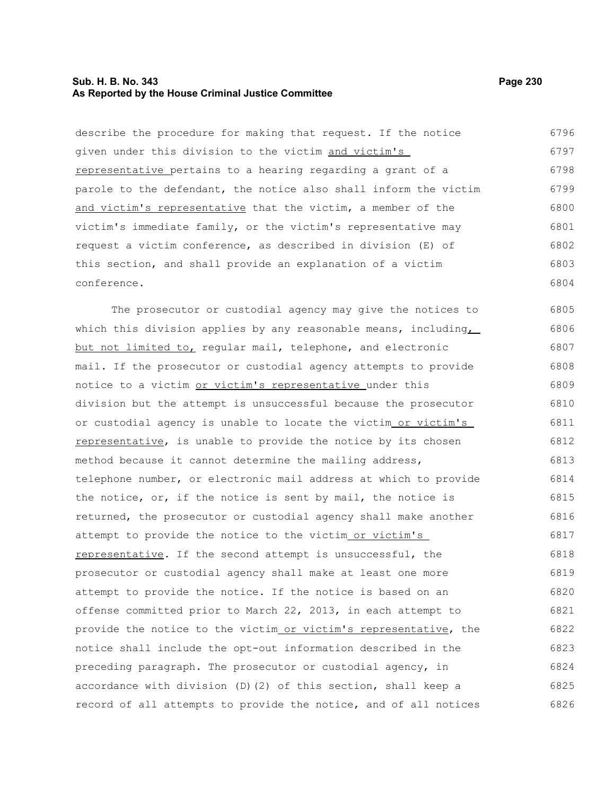## **Sub. H. B. No. 343 Page 230 As Reported by the House Criminal Justice Committee**

describe the procedure for making that request. If the notice given under this division to the victim and victim's representative pertains to a hearing regarding a grant of a parole to the defendant, the notice also shall inform the victim and victim's representative that the victim, a member of the victim's immediate family, or the victim's representative may request a victim conference, as described in division (E) of this section, and shall provide an explanation of a victim conference. 6796 6797 6798 6799 6800 6801 6802 6803 6804

The prosecutor or custodial agency may give the notices to which this division applies by any reasonable means, including, but not limited to, regular mail, telephone, and electronic mail. If the prosecutor or custodial agency attempts to provide notice to a victim or victim's representative under this division but the attempt is unsuccessful because the prosecutor or custodial agency is unable to locate the victim or victim's representative, is unable to provide the notice by its chosen method because it cannot determine the mailing address, telephone number, or electronic mail address at which to provide the notice, or, if the notice is sent by mail, the notice is returned, the prosecutor or custodial agency shall make another attempt to provide the notice to the victim or victim's representative. If the second attempt is unsuccessful, the prosecutor or custodial agency shall make at least one more attempt to provide the notice. If the notice is based on an offense committed prior to March 22, 2013, in each attempt to provide the notice to the victim or victim's representative, the notice shall include the opt-out information described in the preceding paragraph. The prosecutor or custodial agency, in accordance with division (D)(2) of this section, shall keep a record of all attempts to provide the notice, and of all notices 6805 6806 6807 6808 6809 6810 6811 6812 6813 6814 6815 6816 6817 6818 6819 6820 6821 6822 6823 6824 6825 6826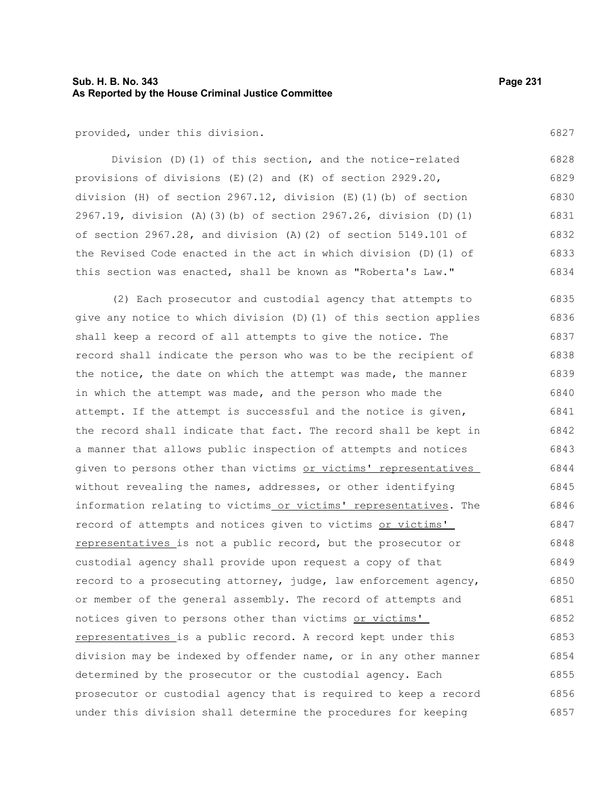## **Sub. H. B. No. 343 Page 231 As Reported by the House Criminal Justice Committee**

provided, under this division.

Division (D)(1) of this section, and the notice-related provisions of divisions (E)(2) and (K) of section 2929.20, division (H) of section 2967.12, division (E)(1)(b) of section 2967.19, division (A)(3)(b) of section 2967.26, division (D)(1) of section 2967.28, and division (A)(2) of section 5149.101 of the Revised Code enacted in the act in which division (D)(1) of this section was enacted, shall be known as "Roberta's Law." 6828 6829 6830 6831 6832 6833 6834

(2) Each prosecutor and custodial agency that attempts to give any notice to which division (D)(1) of this section applies shall keep a record of all attempts to give the notice. The record shall indicate the person who was to be the recipient of the notice, the date on which the attempt was made, the manner in which the attempt was made, and the person who made the attempt. If the attempt is successful and the notice is given, the record shall indicate that fact. The record shall be kept in a manner that allows public inspection of attempts and notices given to persons other than victims or victims' representatives without revealing the names, addresses, or other identifying information relating to victims or victims' representatives. The record of attempts and notices given to victims or victims' representatives is not a public record, but the prosecutor or custodial agency shall provide upon request a copy of that record to a prosecuting attorney, judge, law enforcement agency, or member of the general assembly. The record of attempts and notices given to persons other than victims or victims' representatives is a public record. A record kept under this division may be indexed by offender name, or in any other manner determined by the prosecutor or the custodial agency. Each prosecutor or custodial agency that is required to keep a record under this division shall determine the procedures for keeping 6835 6836 6837 6838 6839 6840 6841 6842 6843 6844 6845 6846 6847 6848 6849 6850 6851 6852 6853 6854 6855 6856 6857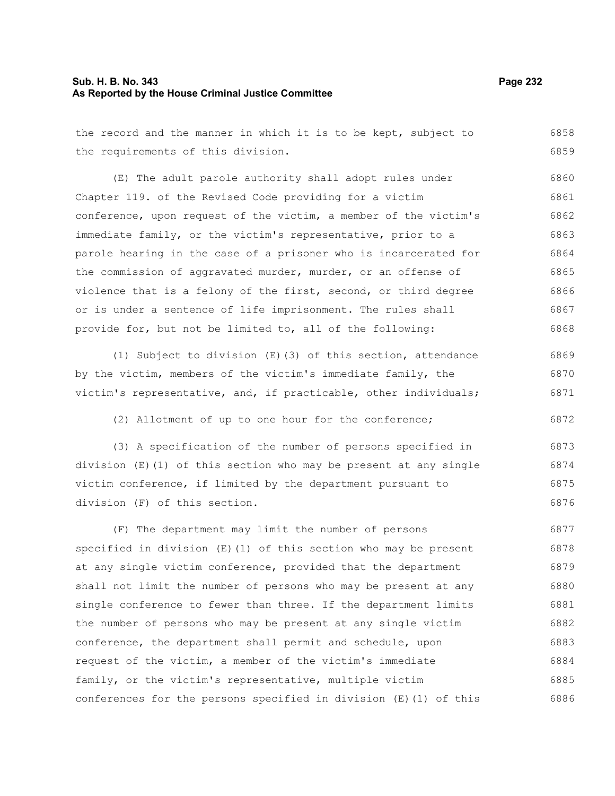# **Sub. H. B. No. 343 Page 232 As Reported by the House Criminal Justice Committee**

| the record and the manner in which it is to be kept, subject to    | 6858 |
|--------------------------------------------------------------------|------|
| the requirements of this division.                                 | 6859 |
| (E) The adult parole authority shall adopt rules under             | 6860 |
| Chapter 119. of the Revised Code providing for a victim            | 6861 |
| conference, upon request of the victim, a member of the victim's   | 6862 |
| immediate family, or the victim's representative, prior to a       | 6863 |
| parole hearing in the case of a prisoner who is incarcerated for   | 6864 |
| the commission of aggravated murder, murder, or an offense of      | 6865 |
| violence that is a felony of the first, second, or third degree    | 6866 |
| or is under a sentence of life imprisonment. The rules shall       | 6867 |
| provide for, but not be limited to, all of the following:          | 6868 |
| (1) Subject to division $(E)(3)$ of this section, attendance       | 6869 |
| by the victim, members of the victim's immediate family, the       | 6870 |
| victim's representative, and, if practicable, other individuals;   | 6871 |
| (2) Allotment of up to one hour for the conference;                | 6872 |
| (3) A specification of the number of persons specified in          | 6873 |
| division (E)(1) of this section who may be present at any single   | 6874 |
| victim conference, if limited by the department pursuant to        | 6875 |
| division (F) of this section.                                      | 6876 |
| (F) The department may limit the number of persons                 | 6877 |
| specified in division $(E)$ (1) of this section who may be present | 6878 |
| at any single victim conference, provided that the department      | 6879 |
| shall not limit the number of persons who may be present at any    | 6880 |
| single conference to fewer than three. If the department limits    | 6881 |
| the number of persons who may be present at any single victim      | 6882 |
| conference, the department shall permit and schedule, upon         | 6883 |
| request of the victim, a member of the victim's immediate          | 6884 |
| family, or the victim's representative, multiple victim            | 6885 |
| conferences for the persons specified in division (E) (1) of this  | 6886 |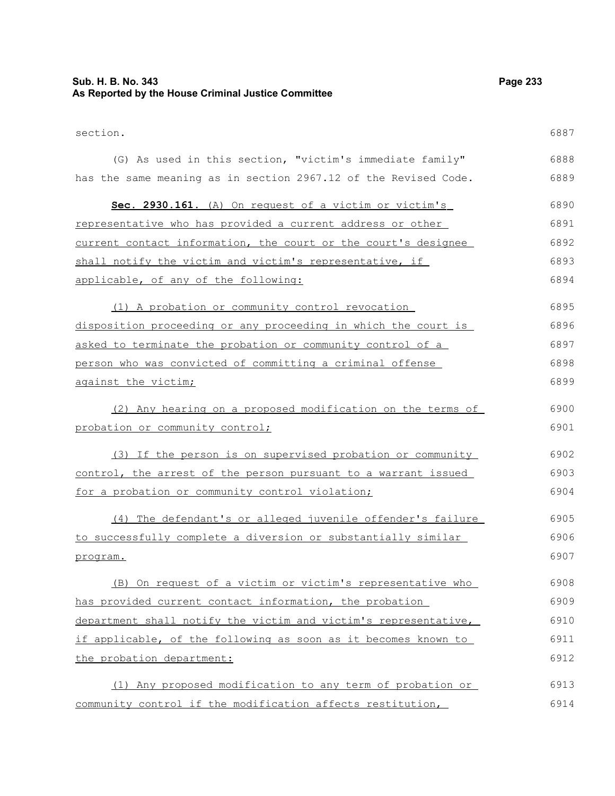# **Sub. H. B. No. 343 Page 233 As Reported by the House Criminal Justice Committee**

| section.                                                        | 6887 |
|-----------------------------------------------------------------|------|
| (G) As used in this section, "victim's immediate family"        | 6888 |
| has the same meaning as in section 2967.12 of the Revised Code. | 6889 |
| Sec. 2930.161. (A) On request of a victim or victim's           | 6890 |
| representative who has provided a current address or other      | 6891 |
| current contact information, the court or the court's designee  | 6892 |
| shall notify the victim and victim's representative, if         | 6893 |
| applicable, of any of the following:                            | 6894 |
| (1) A probation or community control revocation                 | 6895 |
| disposition proceeding or any proceeding in which the court is  | 6896 |
| asked to terminate the probation or community control of a      | 6897 |
| person who was convicted of committing a criminal offense       | 6898 |
| against the victim;                                             | 6899 |
| (2) Any hearing on a proposed modification on the terms of      | 6900 |
| probation or community control;                                 | 6901 |
| (3) If the person is on supervised probation or community       | 6902 |
| control, the arrest of the person pursuant to a warrant issued  | 6903 |
| for a probation or community control violation;                 | 6904 |
| (4) The defendant's or alleged juvenile offender's failure      | 6905 |
| to successfully complete a diversion or substantially similar   | 6906 |
| program.                                                        | 6907 |
| (B) On request of a victim or victim's representative who       | 6908 |
| has provided current contact information, the probation         | 6909 |
| department shall notify the victim and victim's representative, | 6910 |
| if applicable, of the following as soon as it becomes known to  | 6911 |
| the probation department:                                       | 6912 |
| (1) Any proposed modification to any term of probation or       | 6913 |
| community control if the modification affects restitution,      | 6914 |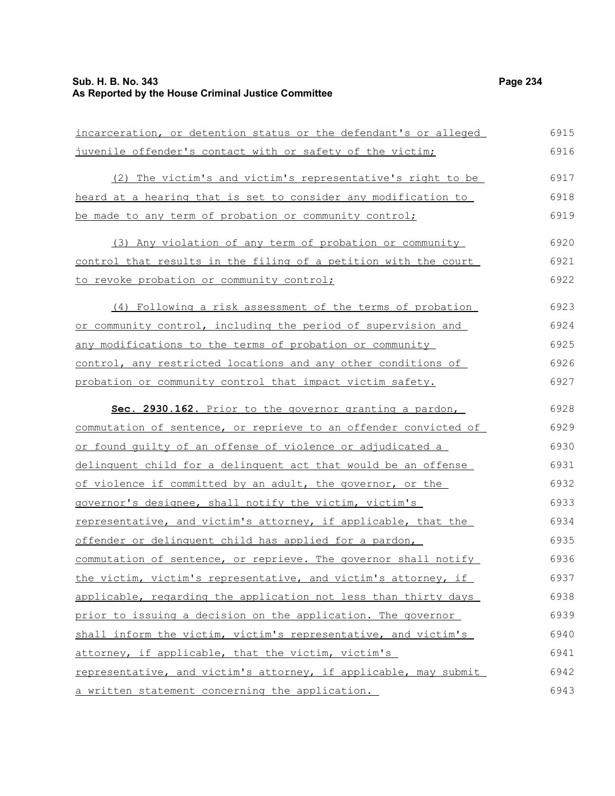| incarceration, or detention status or the defendant's or alleged | 6915 |
|------------------------------------------------------------------|------|
| juvenile offender's contact with or safety of the victim;        | 6916 |
| (2) The victim's and victim's representative's right to be       | 6917 |
| heard at a hearing that is set to consider any modification to   | 6918 |
| be made to any term of probation or community control;           | 6919 |
| (3) Any violation of any term of probation or community          | 6920 |
| control that results in the filing of a petition with the court  | 6921 |
| to revoke probation or community control;                        | 6922 |
| (4) Following a risk assessment of the terms of probation        | 6923 |
| or community control, including the period of supervision and    | 6924 |
| any modifications to the terms of probation or community         | 6925 |
| control, any restricted locations and any other conditions of    | 6926 |
| probation or community control that impact victim safety.        | 6927 |
| Sec. 2930.162. Prior to the governor granting a pardon,          | 6928 |
| commutation of sentence, or reprieve to an offender convicted of | 6929 |
| or found quilty of an offense of violence or adjudicated a       | 6930 |
| delinquent child for a delinquent act that would be an offense   | 6931 |
| of violence if committed by an adult, the governor, or the       | 6932 |
| governor's designee, shall notify the victim, victim's           | 6933 |
| representative, and victim's attorney, if applicable, that the   | 6934 |
| offender or delinquent child has applied for a pardon,           | 6935 |
| commutation of sentence, or reprieve. The governor shall notify  | 6936 |
| the victim, victim's representative, and victim's attorney, if   | 6937 |
| applicable, regarding the application not less than thirty days  | 6938 |
| prior to issuing a decision on the application. The governor     | 6939 |
| shall inform the victim, victim's representative, and victim's   | 6940 |
| attorney, if applicable, that the victim, victim's               | 6941 |
| representative, and victim's attorney, if applicable, may submit | 6942 |
| a written statement concerning the application.                  | 6943 |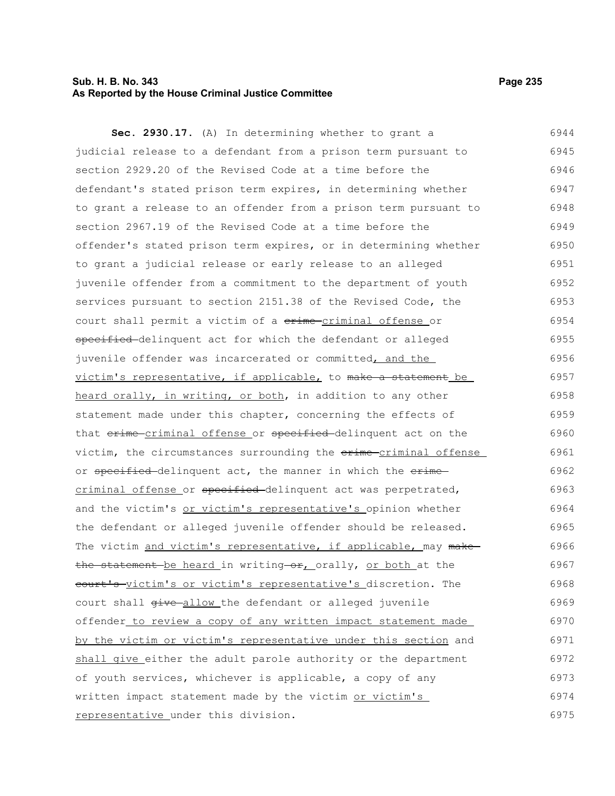## **Sub. H. B. No. 343 Page 235 As Reported by the House Criminal Justice Committee**

**Sec. 2930.17.** (A) In determining whether to grant a judicial release to a defendant from a prison term pursuant to section 2929.20 of the Revised Code at a time before the defendant's stated prison term expires, in determining whether to grant a release to an offender from a prison term pursuant to section 2967.19 of the Revised Code at a time before the offender's stated prison term expires, or in determining whether to grant a judicial release or early release to an alleged juvenile offender from a commitment to the department of youth services pursuant to section 2151.38 of the Revised Code, the court shall permit a victim of a erime-criminal offense or specified delinquent act for which the defendant or alleged juvenile offender was incarcerated or committed, and the victim's representative, if applicable, to make a statement be heard orally, in writing, or both, in addition to any other statement made under this chapter, concerning the effects of that erime criminal offense or specified delinquent act on the victim, the circumstances surrounding the erime-criminal offense or specified-delinquent act, the manner in which the erimecriminal offense or specified delinquent act was perpetrated, and the victim's or victim's representative's opinion whether the defendant or alleged juvenile offender should be released. The victim and victim's representative, if applicable, may make the statement-be heard in writing- $e^{i\phi}$ , orally, or both at the court's victim's or victim's representative's discretion. The court shall  $\frac{div}{div}$ -allow the defendant or alleged juvenile offender to review a copy of any written impact statement made by the victim or victim's representative under this section and shall give either the adult parole authority or the department of youth services, whichever is applicable, a copy of any written impact statement made by the victim or victim's representative under this division. 6944 6945 6946 6947 6948 6949 6950 6951 6952 6953 6954 6955 6956 6957 6958 6959 6960 6961 6962 6963 6964 6965 6966 6967 6968 6969 6970 6971 6972 6973 6974 6975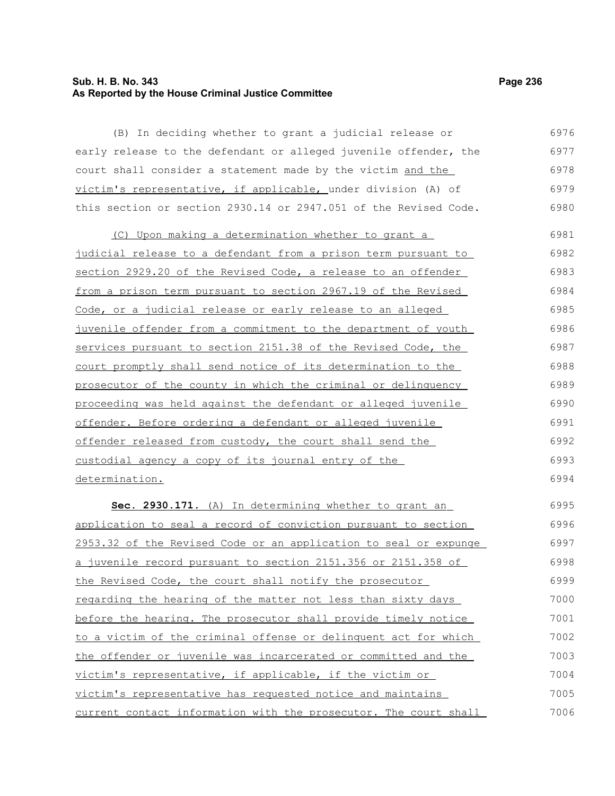## **Sub. H. B. No. 343 Page 236 As Reported by the House Criminal Justice Committee**

(B) In deciding whether to grant a judicial release or early release to the defendant or alleged juvenile offender, the court shall consider a statement made by the victim and the victim's representative, if applicable, under division (A) of this section or section 2930.14 or 2947.051 of the Revised Code. 6976 6977 6978 6979 6980

(C) Upon making a determination whether to grant a judicial release to a defendant from a prison term pursuant to section 2929.20 of the Revised Code, a release to an offender from a prison term pursuant to section 2967.19 of the Revised Code, or a judicial release or early release to an alleged juvenile offender from a commitment to the department of youth services pursuant to section 2151.38 of the Revised Code, the court promptly shall send notice of its determination to the prosecutor of the county in which the criminal or delinquency proceeding was held against the defendant or alleged juvenile offender. Before ordering a defendant or alleged juvenile offender released from custody, the court shall send the custodial agency a copy of its journal entry of the determination. 6981 6982 6983 6984 6985 6986 6987 6988 6989 6990 6991 6992 6993 6994

 **Sec. 2930.171.** (A) In determining whether to grant an application to seal a record of conviction pursuant to section 2953.32 of the Revised Code or an application to seal or expunge a juvenile record pursuant to section 2151.356 or 2151.358 of the Revised Code, the court shall notify the prosecutor regarding the hearing of the matter not less than sixty days before the hearing. The prosecutor shall provide timely notice to a victim of the criminal offense or delinquent act for which the offender or juvenile was incarcerated or committed and the victim's representative, if applicable, if the victim or victim's representative has requested notice and maintains current contact information with the prosecutor. The court shall 6995 6996 6997 6998 6999 7000 7001 7002 7003 7004 7005 7006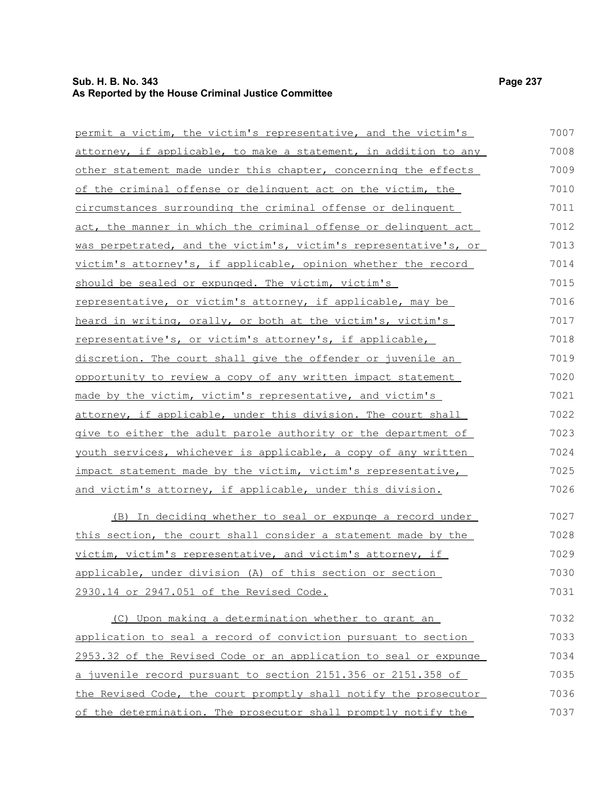## **Sub. H. B. No. 343 Page 237 As Reported by the House Criminal Justice Committee**

| 7007 |
|------|
| 7008 |
| 7009 |
| 7010 |
| 7011 |
| 7012 |
| 7013 |
| 7014 |
| 7015 |
| 7016 |
| 7017 |
| 7018 |
| 7019 |
| 7020 |
| 7021 |
| 7022 |
| 7023 |
| 7024 |
| 7025 |
| 7026 |
| 7027 |
| 7028 |
| 7029 |
| 7030 |
| 7031 |
|      |

(C) Upon making a determination whether to grant an application to seal a record of conviction pursuant to section 2953.32 of the Revised Code or an application to seal or expunge a juvenile record pursuant to section 2151.356 or 2151.358 of the Revised Code, the court promptly shall notify the prosecutor of the determination. The prosecutor shall promptly notify the 7032 7033 7034 7035 7036 7037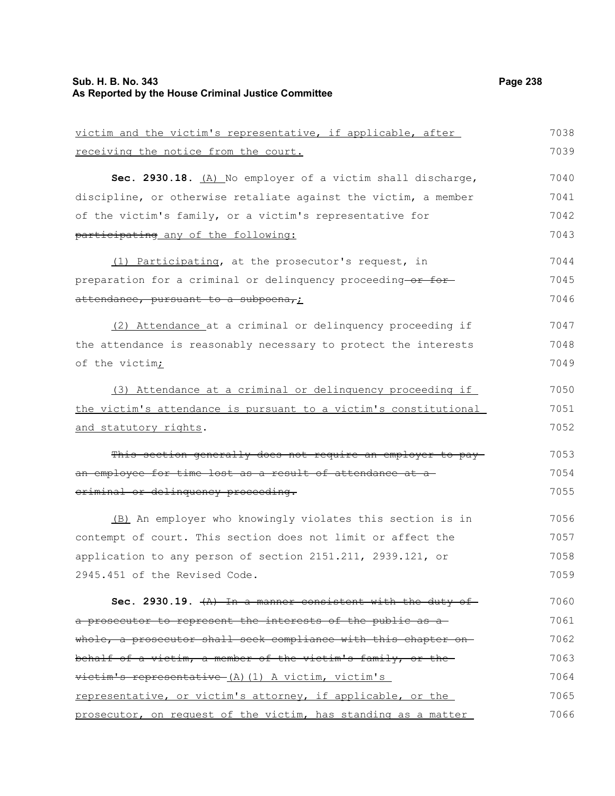# **Sub. H. B. No. 343 Page 238 As Reported by the House Criminal Justice Committee**

| victim and the victim's representative, if applicable, after     | 7038 |
|------------------------------------------------------------------|------|
| receiving the notice from the court.                             | 7039 |
| Sec. 2930.18. (A) No employer of a victim shall discharge,       | 7040 |
| discipline, or otherwise retaliate against the victim, a member  | 7041 |
| of the victim's family, or a victim's representative for         | 7042 |
| participating any of the following:                              | 7043 |
| (1) Participating, at the prosecutor's request, in               | 7044 |
| preparation for a criminal or delinquency proceeding or for      | 7045 |
| attendance, pursuant to a subpoena, i                            | 7046 |
| (2) Attendance at a criminal or delinquency proceeding if        | 7047 |
| the attendance is reasonably necessary to protect the interests  | 7048 |
| of the victim;                                                   | 7049 |
| (3) Attendance at a criminal or delinquency proceeding if        | 7050 |
| the victim's attendance is pursuant to a victim's constitutional | 7051 |
| and statutory rights.                                            | 7052 |
| This section generally does not require an employer to pay-      | 7053 |
| an employee for time lost as a result of attendance at a         | 7054 |
| eriminal or delinquency proceeding.                              | 7055 |
| (B) An employer who knowingly violates this section is in        | 7056 |
| contempt of court. This section does not limit or affect the     | 7057 |
| application to any person of section 2151.211, 2939.121, or      | 7058 |
| 2945.451 of the Revised Code.                                    | 7059 |
| Sec. 2930.19. (A) In a manner consistent with the duty of-       | 7060 |
| a prosecutor to represent the interests of the public as a       | 7061 |
| whole, a prosecutor shall seek compliance with this chapter on-  | 7062 |
| behalf of a victim, a member of the victim's family, or the      | 7063 |
| victim's representative (A) (1) A victim, victim's               | 7064 |
| representative, or victim's attorney, if applicable, or the      | 7065 |
| prosecutor, on request of the victim, has standing as a matter   | 7066 |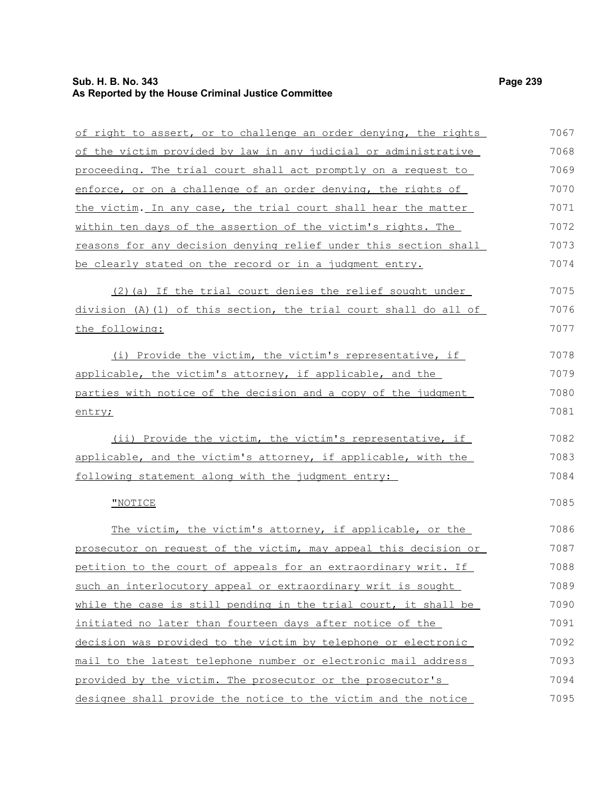# **Sub. H. B. No. 343 Page 239 As Reported by the House Criminal Justice Committee**

| of right to assert, or to challenge an order denying, the rights  | 7067 |
|-------------------------------------------------------------------|------|
| of the victim provided by law in any judicial or administrative   | 7068 |
| proceeding. The trial court shall act promptly on a request to    | 7069 |
| enforce, or on a challenge of an order denying, the rights of     | 7070 |
| the victim. In any case, the trial court shall hear the matter    | 7071 |
| within ten days of the assertion of the victim's rights. The      | 7072 |
| reasons for any decision denying relief under this section shall  | 7073 |
| be clearly stated on the record or in a judgment entry.           | 7074 |
| (2) (a) If the trial court denies the relief sought under         | 7075 |
| division (A) (1) of this section, the trial court shall do all of | 7076 |
| the following:                                                    | 7077 |
| (i) Provide the victim, the victim's representative, if           | 7078 |
| applicable, the victim's attorney, if applicable, and the         | 7079 |
| parties with notice of the decision and a copy of the judgment    | 7080 |
| entry;                                                            | 7081 |
| (ii) Provide the victim, the victim's representative, if          | 7082 |
| applicable, and the victim's attorney, if applicable, with the    | 7083 |
| following statement along with the judgment entry:                | 7084 |
| "NOTICE                                                           | 7085 |
| The victim, the victim's attorney, if applicable, or the          | 7086 |
| prosecutor on request of the victim, may appeal this decision or  | 7087 |
| petition to the court of appeals for an extraordinary writ. If    | 7088 |
| such an interlocutory appeal or extraordinary writ is sought      | 7089 |
| while the case is still pending in the trial court, it shall be   | 7090 |
| initiated no later than fourteen days after notice of the         | 7091 |
| decision was provided to the victim by telephone or electronic    | 7092 |
| mail to the latest telephone number or electronic mail address    | 7093 |
| provided by the victim. The prosecutor or the prosecutor's        | 7094 |
| designee shall provide the notice to the victim and the notice    | 7095 |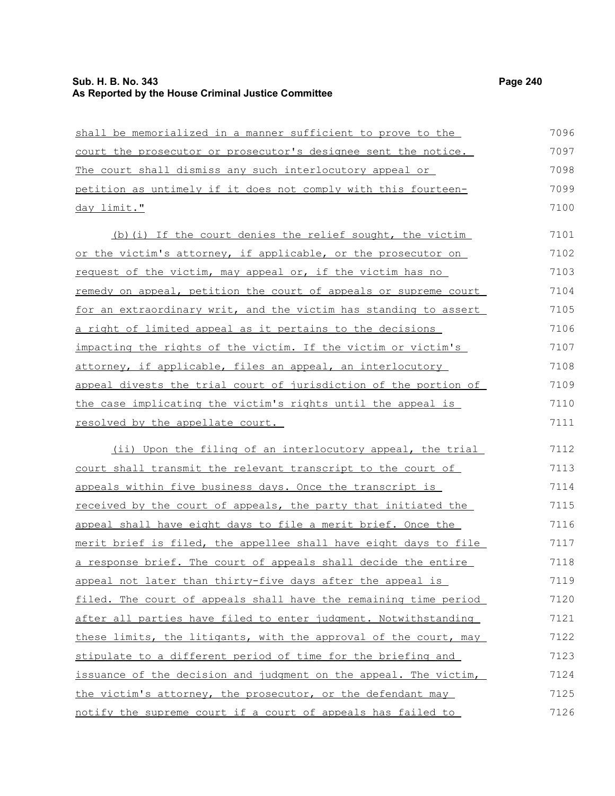# **Sub. H. B. No. 343 Page 240 As Reported by the House Criminal Justice Committee**

| shall be memorialized in a manner sufficient to prove to the          | 7096 |
|-----------------------------------------------------------------------|------|
| court the prosecutor or prosecutor's designee sent the notice.        | 7097 |
| The court shall dismiss any such interlocutory appeal or              | 7098 |
| petition as untimely if it does not comply with this fourteen-        | 7099 |
| day limit."                                                           | 7100 |
| (b) (i) If the court denies the relief sought, the victim             | 7101 |
| or the victim's attorney, if applicable, or the prosecutor on         | 7102 |
| <u>request of the victim, may appeal or, if the victim has no</u>     | 7103 |
| remedy on appeal, petition the court of appeals or supreme court      | 7104 |
| for an extraordinary writ, and the victim has standing to assert      | 7105 |
| a right of limited appeal as it pertains to the decisions             | 7106 |
| impacting the rights of the victim. If the victim or victim's         | 7107 |
| attorney, if applicable, files an appeal, an interlocutory            | 7108 |
| appeal divests the trial court of jurisdiction of the portion of      | 7109 |
| the case implicating the victim's rights until the appeal is          | 7110 |
| <u>resolved by the appellate court.</u>                               | 7111 |
| (ii) Upon the filing of an interlocutory appeal, the trial            | 7112 |
| court shall transmit the relevant transcript to the court of          | 7113 |
| appeals within five business days. Once the transcript is             | 7114 |
| received by the court of appeals, the party that initiated the        | 7115 |
| appeal shall have eight days to file a merit brief. Once the          | 7116 |
| merit brief is filed, the appellee shall have eight days to file      | 7117 |
| <u>a response brief. The court of appeals shall decide the entire</u> | 7118 |
| appeal not later than thirty-five days after the appeal is            | 7119 |
| filed. The court of appeals shall have the remaining time period      | 7120 |
| after all parties have filed to enter judgment. Notwithstanding       | 7121 |
| these limits, the litigants, with the approval of the court, may      | 7122 |
| stipulate to a different period of time for the briefing and          | 7123 |
| issuance of the decision and judgment on the appeal. The victim,      | 7124 |
| the victim's attorney, the prosecutor, or the defendant may           | 7125 |
| notify the supreme court if a court of appeals has failed to          | 7126 |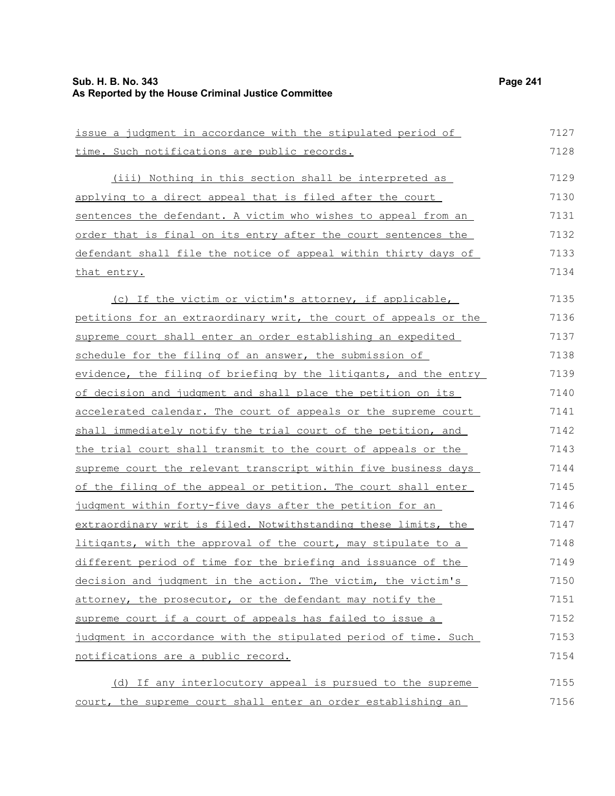| issue a judgment in accordance with the stipulated period of          | 7127 |
|-----------------------------------------------------------------------|------|
| time. Such notifications are public records.                          | 7128 |
| (iii) Nothing in this section shall be interpreted as                 | 7129 |
| applying to a direct appeal that is filed after the court             | 7130 |
| sentences the defendant. A victim who wishes to appeal from an        | 7131 |
| <u>order that is final on its entry after the court sentences the</u> | 7132 |
| defendant shall file the notice of appeal within thirty days of       | 7133 |
| that entry.                                                           | 7134 |
| (c) If the victim or victim's attorney, if applicable,                | 7135 |
| petitions for an extraordinary writ, the court of appeals or the      | 7136 |
| supreme court shall enter an order establishing an expedited          | 7137 |
| schedule for the filing of an answer, the submission of               | 7138 |
| evidence, the filing of briefing by the litigants, and the entry      | 7139 |
| of decision and judgment and shall place the petition on its          | 7140 |
| accelerated calendar. The court of appeals or the supreme court       | 7141 |
| shall immediately notify the trial court of the petition, and         | 7142 |
| the trial court shall transmit to the court of appeals or the         | 7143 |
| supreme court the relevant transcript within five business days       | 7144 |
| of the filing of the appeal or petition. The court shall enter        | 7145 |
| judgment within forty-five days after the petition for an             | 7146 |
| extraordinary writ is filed. Notwithstanding these limits, the        | 7147 |
| litigants, with the approval of the court, may stipulate to a         | 7148 |
| different period of time for the briefing and issuance of the         | 7149 |
| decision and judgment in the action. The victim, the victim's         | 7150 |
| attorney, the prosecutor, or the defendant may notify the             | 7151 |
| supreme court if a court of appeals has failed to issue a             | 7152 |
| judgment in accordance with the stipulated period of time. Such       | 7153 |
| notifications are a public record.                                    | 7154 |
| (d) If any interlocutory appeal is pursued to the supreme             | 7155 |
| court, the supreme court shall enter an order establishing an         | 7156 |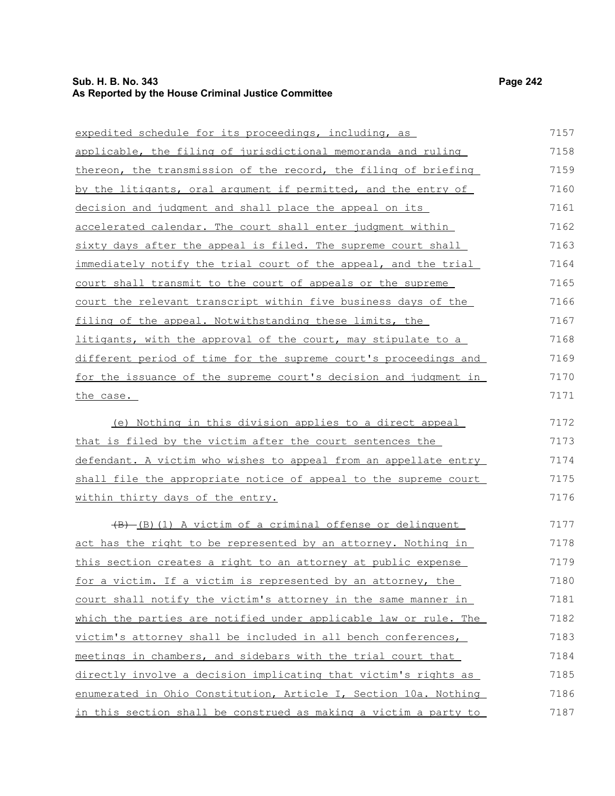## **Sub. H. B. No. 343** Page 242 **As Reported by the House Criminal Justice Committee**

expedited schedule for its proceedings, including, as

| applicable, the filing of jurisdictional memoranda and ruling    | 7158 |
|------------------------------------------------------------------|------|
| thereon, the transmission of the record, the filing of briefing  | 7159 |
| by the litigants, oral argument if permitted, and the entry of   | 7160 |
| decision and judgment and shall place the appeal on its          | 7161 |
| accelerated calendar. The court shall enter judgment within      | 7162 |
| sixty days after the appeal is filed. The supreme court shall    | 7163 |
| immediately notify the trial court of the appeal, and the trial  | 7164 |
| court shall transmit to the court of appeals or the supreme      | 7165 |
| court the relevant transcript within five business days of the   | 7166 |
| filing of the appeal. Notwithstanding these limits, the          | 7167 |
| litigants, with the approval of the court, may stipulate to a    | 7168 |
| different period of time for the supreme court's proceedings and | 7169 |
| for the issuance of the supreme court's decision and judgment in | 7170 |
| the case.                                                        | 7171 |
|                                                                  |      |

(e) Nothing in this division applies to a direct appeal that is filed by the victim after the court sentences the defendant. A victim who wishes to appeal from an appellate entry shall file the appropriate notice of appeal to the supreme court within thirty days of the entry. 7172 7173 7174 7175 7176

(B) (B)(1) A victim of a criminal offense or delinquent act has the right to be represented by an attorney. Nothing in this section creates a right to an attorney at public expense for a victim. If a victim is represented by an attorney, the court shall notify the victim's attorney in the same manner in which the parties are notified under applicable law or rule. The victim's attorney shall be included in all bench conferences, meetings in chambers, and sidebars with the trial court that directly involve a decision implicating that victim's rights as enumerated in Ohio Constitution, Article I, Section 10a. Nothing in this section shall be construed as making a victim a party to 7177 7178 7179 7180 7181 7182 7183 7184 7185 7186 7187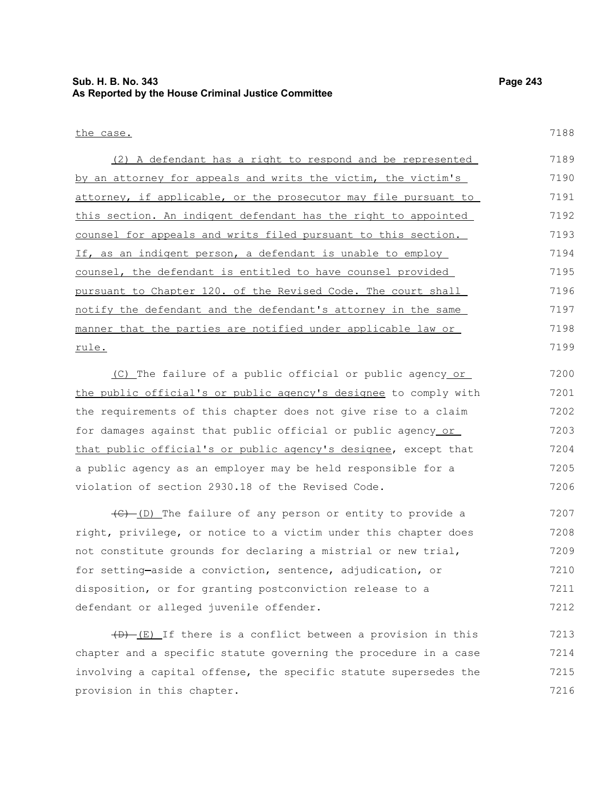## **Sub. H. B. No. 343 Page 243 As Reported by the House Criminal Justice Committee**

## the case.

7188

| (2) A defendant has a right to respond and be represented       | 7189 |
|-----------------------------------------------------------------|------|
| by an attorney for appeals and writs the victim, the victim's   | 7190 |
| attorney, if applicable, or the prosecutor may file pursuant to | 7191 |
| this section. An indigent defendant has the right to appointed  | 7192 |
| counsel for appeals and writs filed pursuant to this section.   | 7193 |
| If, as an indigent person, a defendant is unable to employ      | 7194 |
| counsel, the defendant is entitled to have counsel provided     | 7195 |
| pursuant to Chapter 120. of the Revised Code. The court shall   | 7196 |
| notify the defendant and the defendant's attorney in the same   | 7197 |
| manner that the parties are notified under applicable law or    | 7198 |
| rule.                                                           | 7199 |

(C) The failure of a public official or public agency or the public official's or public agency's designee to comply with the requirements of this chapter does not give rise to a claim for damages against that public official or public agency or that public official's or public agency's designee, except that a public agency as an employer may be held responsible for a violation of section 2930.18 of the Revised Code. 7200 7201 7202 7203 7204 7205 7206

(C) (D) The failure of any person or entity to provide a right, privilege, or notice to a victim under this chapter does not constitute grounds for declaring a mistrial or new trial, for setting-aside a conviction, sentence, adjudication, or disposition, or for granting postconviction release to a defendant or alleged juvenile offender. 7207 7208 7209 7210 7211 7212

 $(D)$   $(E)$  If there is a conflict between a provision in this chapter and a specific statute governing the procedure in a case involving a capital offense, the specific statute supersedes the provision in this chapter. 7213 7214 7215 7216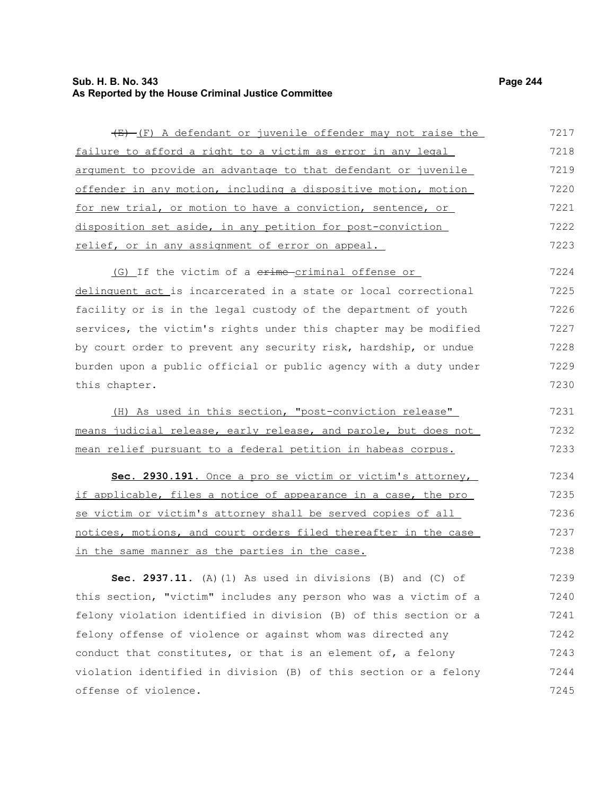## **Sub. H. B. No. 343 Page 244 As Reported by the House Criminal Justice Committee**

(E) (F) A defendant or juvenile offender may not raise the failure to afford a right to a victim as error in any legal argument to provide an advantage to that defendant or juvenile offender in any motion, including a dispositive motion, motion for new trial, or motion to have a conviction, sentence, or disposition set aside, in any petition for post-conviction relief, or in any assignment of error on appeal.

(G) If the victim of a crime criminal offense or delinquent act is incarcerated in a state or local correctional facility or is in the legal custody of the department of youth services, the victim's rights under this chapter may be modified by court order to prevent any security risk, hardship, or undue burden upon a public official or public agency with a duty under this chapter. 7224 7225 7226 7227 7228 7229 7230

(H) As used in this section, "post-conviction release" means judicial release, early release, and parole, but does not mean relief pursuant to a federal petition in habeas corpus. 7231 7232 7233

Sec. 2930.191. Once a pro se victim or victim's attorney, if applicable, files a notice of appearance in a case, the pro se victim or victim's attorney shall be served copies of all notices, motions, and court orders filed thereafter in the case in the same manner as the parties in the case. 7234 7235 7236 7237 7238

**Sec. 2937.11.** (A)(1) As used in divisions (B) and (C) of this section, "victim" includes any person who was a victim of a felony violation identified in division (B) of this section or a felony offense of violence or against whom was directed any conduct that constitutes, or that is an element of, a felony violation identified in division (B) of this section or a felony offense of violence. 7239 7240 7241 7242 7243 7244 7245

7222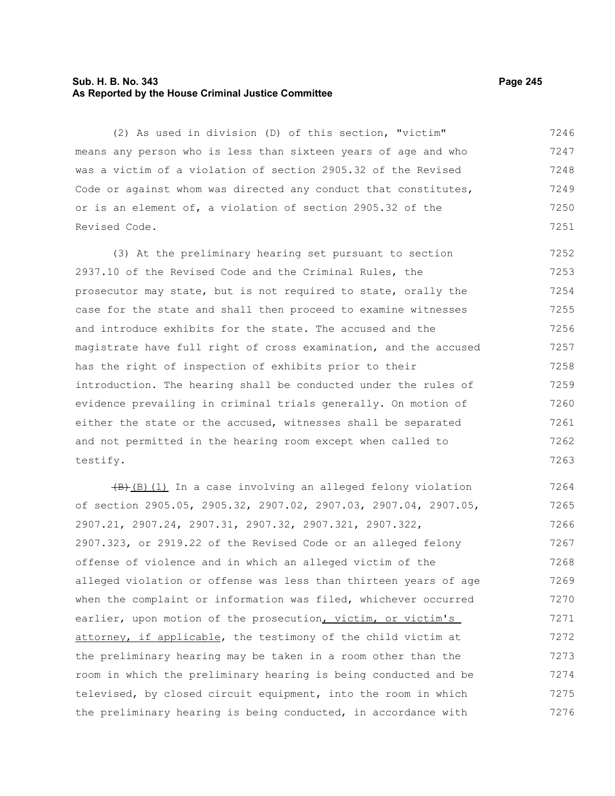## **Sub. H. B. No. 343** Page 245 **As Reported by the House Criminal Justice Committee**

(2) As used in division (D) of this section, "victim" means any person who is less than sixteen years of age and who was a victim of a violation of section 2905.32 of the Revised Code or against whom was directed any conduct that constitutes, or is an element of, a violation of section 2905.32 of the Revised Code. 7246 7247 7248 7249 7250 7251

(3) At the preliminary hearing set pursuant to section 2937.10 of the Revised Code and the Criminal Rules, the prosecutor may state, but is not required to state, orally the case for the state and shall then proceed to examine witnesses and introduce exhibits for the state. The accused and the magistrate have full right of cross examination, and the accused has the right of inspection of exhibits prior to their introduction. The hearing shall be conducted under the rules of evidence prevailing in criminal trials generally. On motion of either the state or the accused, witnesses shall be separated and not permitted in the hearing room except when called to testify. 7252 7253 7254 7255 7256 7257 7258 7259 7260 7261 7262 7263

(B)(B)(1) In a case involving an alleged felony violation of section 2905.05, 2905.32, 2907.02, 2907.03, 2907.04, 2907.05, 2907.21, 2907.24, 2907.31, 2907.32, 2907.321, 2907.322, 2907.323, or 2919.22 of the Revised Code or an alleged felony offense of violence and in which an alleged victim of the alleged violation or offense was less than thirteen years of age when the complaint or information was filed, whichever occurred earlier, upon motion of the prosecution, victim, or victim's attorney, if applicable, the testimony of the child victim at the preliminary hearing may be taken in a room other than the room in which the preliminary hearing is being conducted and be televised, by closed circuit equipment, into the room in which the preliminary hearing is being conducted, in accordance with 7264 7265 7266 7267 7268 7269 7270 7271 7272 7273 7274 7275 7276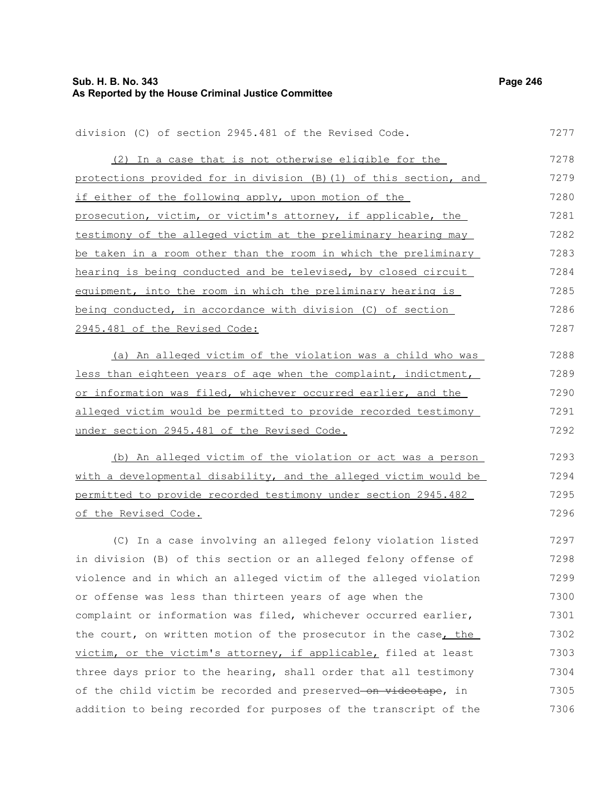| division (C) of section 2945.481 of the Revised Code.             | 7277 |
|-------------------------------------------------------------------|------|
| (2) In a case that is not otherwise eligible for the              | 7278 |
| protections provided for in division (B) (1) of this section, and | 7279 |
| if either of the following apply, upon motion of the              | 7280 |
| prosecution, victim, or victim's attorney, if applicable, the     | 7281 |
| testimony of the alleged victim at the preliminary hearing may    | 7282 |
| be taken in a room other than the room in which the preliminary   | 7283 |
| hearing is being conducted and be televised, by closed circuit    | 7284 |
| equipment, into the room in which the preliminary hearing is      | 7285 |
| being conducted, in accordance with division (C) of section       | 7286 |
| 2945.481 of the Revised Code:                                     | 7287 |
| (a) An alleged victim of the violation was a child who was        | 7288 |
| less than eighteen years of age when the complaint, indictment,   | 7289 |
| or information was filed, whichever occurred earlier, and the     | 7290 |
| alleged victim would be permitted to provide recorded testimony   | 7291 |
| under section 2945.481 of the Revised Code.                       | 7292 |
| (b) An alleged victim of the violation or act was a person        | 7293 |
| with a developmental disability, and the alleged victim would be  | 7294 |
| permitted to provide recorded testimony under section 2945.482    | 7295 |
| of the Revised Code.                                              | 7296 |
| (C) In a case involving an alleged felony violation listed        | 7297 |
| in division (B) of this section or an alleged felony offense of   | 7298 |
| violence and in which an alleged victim of the alleged violation  | 7299 |
| or offense was less than thirteen years of age when the           | 7300 |
| complaint or information was filed, whichever occurred earlier,   | 7301 |
| the court, on written motion of the prosecutor in the case, the   | 7302 |
| victim, or the victim's attorney, if applicable, filed at least   | 7303 |
| three days prior to the hearing, shall order that all testimony   | 7304 |
| of the child victim be recorded and preserved on videotape, in    | 7305 |
| addition to being recorded for purposes of the transcript of the  | 7306 |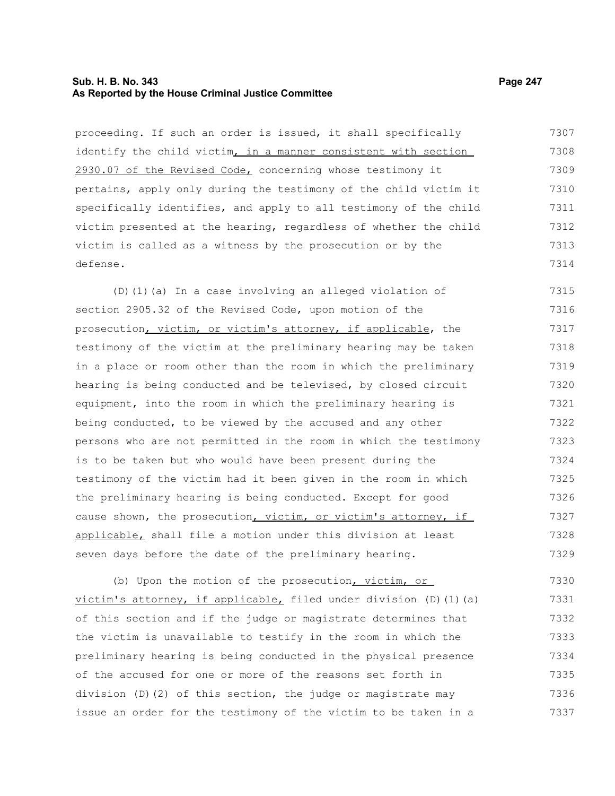## **Sub. H. B. No. 343 Page 247 As Reported by the House Criminal Justice Committee**

proceeding. If such an order is issued, it shall specifically identify the child victim, in a manner consistent with section 2930.07 of the Revised Code, concerning whose testimony it pertains, apply only during the testimony of the child victim it specifically identifies, and apply to all testimony of the child victim presented at the hearing, regardless of whether the child victim is called as a witness by the prosecution or by the defense. 7307 7308 7309 7310 7311 7312 7313 7314

(D)(1)(a) In a case involving an alleged violation of section 2905.32 of the Revised Code, upon motion of the prosecution, victim, or victim's attorney, if applicable, the testimony of the victim at the preliminary hearing may be taken in a place or room other than the room in which the preliminary hearing is being conducted and be televised, by closed circuit equipment, into the room in which the preliminary hearing is being conducted, to be viewed by the accused and any other persons who are not permitted in the room in which the testimony is to be taken but who would have been present during the testimony of the victim had it been given in the room in which the preliminary hearing is being conducted. Except for good cause shown, the prosecution, victim, or victim's attorney, if applicable, shall file a motion under this division at least seven days before the date of the preliminary hearing. 7315 7316 7317 7318 7319 7320 7321 7322 7323 7324 7325 7326 7327 7328 7329

(b) Upon the motion of the prosecution, victim, or victim's attorney, if applicable, filed under division (D)(1)(a) of this section and if the judge or magistrate determines that the victim is unavailable to testify in the room in which the preliminary hearing is being conducted in the physical presence of the accused for one or more of the reasons set forth in division (D)(2) of this section, the judge or magistrate may issue an order for the testimony of the victim to be taken in a 7330 7331 7332 7333 7334 7335 7336 7337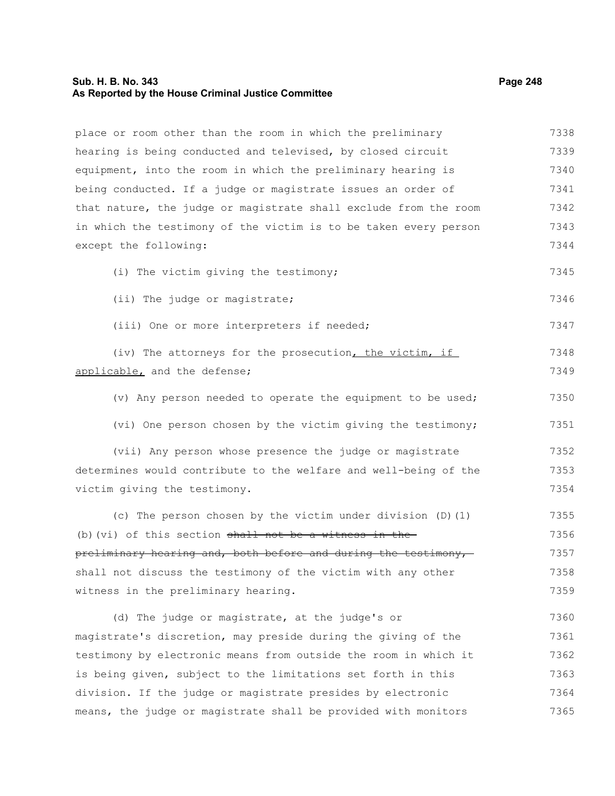## **Sub. H. B. No. 343 Page 248 As Reported by the House Criminal Justice Committee**

place or room other than the room in which the preliminary hearing is being conducted and televised, by closed circuit equipment, into the room in which the preliminary hearing is being conducted. If a judge or magistrate issues an order of that nature, the judge or magistrate shall exclude from the room in which the testimony of the victim is to be taken every person except the following: (i) The victim giving the testimony; (ii) The judge or magistrate; (iii) One or more interpreters if needed; (iv) The attorneys for the prosecution, the victim, if applicable, and the defense; (v) Any person needed to operate the equipment to be used; (vi) One person chosen by the victim giving the testimony; (vii) Any person whose presence the judge or magistrate determines would contribute to the welfare and well-being of the victim giving the testimony. (c) The person chosen by the victim under division (D)(1) (b) (vi) of this section shall not be a witness in thepreliminary hearing and, both before and during the testimony, shall not discuss the testimony of the victim with any other witness in the preliminary hearing. (d) The judge or magistrate, at the judge's or magistrate's discretion, may preside during the giving of the testimony by electronic means from outside the room in which it is being given, subject to the limitations set forth in this division. If the judge or magistrate presides by electronic means, the judge or magistrate shall be provided with monitors 7338 7339 7340 7341 7342 7343 7344 7345 7346 7347 7348 7349 7350 7351 7352 7353 7354 7355 7356 7357 7358 7359 7360 7361 7362 7363 7364 7365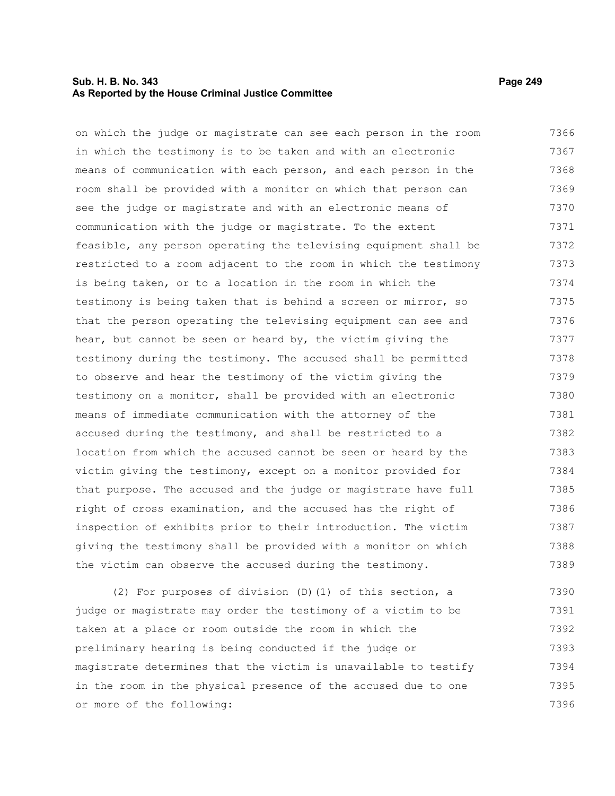## **Sub. H. B. No. 343** Page 249 **As Reported by the House Criminal Justice Committee**

on which the judge or magistrate can see each person in the room in which the testimony is to be taken and with an electronic means of communication with each person, and each person in the room shall be provided with a monitor on which that person can see the judge or magistrate and with an electronic means of communication with the judge or magistrate. To the extent feasible, any person operating the televising equipment shall be restricted to a room adjacent to the room in which the testimony is being taken, or to a location in the room in which the testimony is being taken that is behind a screen or mirror, so that the person operating the televising equipment can see and hear, but cannot be seen or heard by, the victim giving the testimony during the testimony. The accused shall be permitted to observe and hear the testimony of the victim giving the testimony on a monitor, shall be provided with an electronic means of immediate communication with the attorney of the accused during the testimony, and shall be restricted to a location from which the accused cannot be seen or heard by the victim giving the testimony, except on a monitor provided for 7366 7367 7368 7369 7370 7371 7372 7373 7374 7375 7376 7377 7378 7379 7380 7381 7382 7383 7384

that purpose. The accused and the judge or magistrate have full right of cross examination, and the accused has the right of inspection of exhibits prior to their introduction. The victim giving the testimony shall be provided with a monitor on which the victim can observe the accused during the testimony. 7385 7386 7387 7388 7389

(2) For purposes of division (D)(1) of this section, a judge or magistrate may order the testimony of a victim to be taken at a place or room outside the room in which the preliminary hearing is being conducted if the judge or magistrate determines that the victim is unavailable to testify in the room in the physical presence of the accused due to one or more of the following: 7390 7391 7392 7393 7394 7395 7396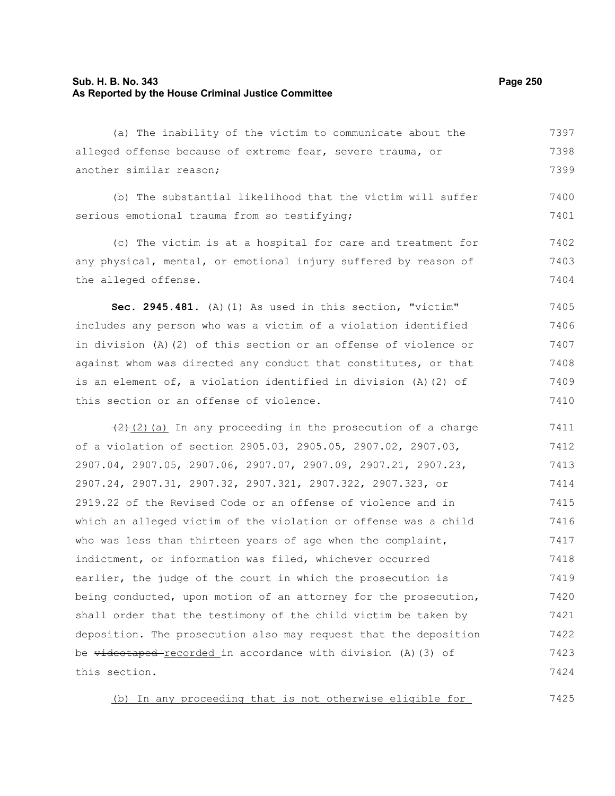## **Sub. H. B. No. 343 Page 250 As Reported by the House Criminal Justice Committee**

(a) The inability of the victim to communicate about the alleged offense because of extreme fear, severe trauma, or another similar reason; 7397 7398 7399

(b) The substantial likelihood that the victim will suffer serious emotional trauma from so testifying; 7400 7401

(c) The victim is at a hospital for care and treatment for any physical, mental, or emotional injury suffered by reason of the alleged offense. 7402 7403 7404

**Sec. 2945.481.** (A)(1) As used in this section, "victim" includes any person who was a victim of a violation identified in division (A)(2) of this section or an offense of violence or against whom was directed any conduct that constitutes, or that is an element of, a violation identified in division (A)(2) of this section or an offense of violence. 7405 7406 7407 7408 7409 7410

 $(2)(a)$  In any proceeding in the prosecution of a charge of a violation of section 2905.03, 2905.05, 2907.02, 2907.03, 2907.04, 2907.05, 2907.06, 2907.07, 2907.09, 2907.21, 2907.23, 2907.24, 2907.31, 2907.32, 2907.321, 2907.322, 2907.323, or 2919.22 of the Revised Code or an offense of violence and in which an alleged victim of the violation or offense was a child who was less than thirteen years of age when the complaint, indictment, or information was filed, whichever occurred earlier, the judge of the court in which the prosecution is being conducted, upon motion of an attorney for the prosecution, shall order that the testimony of the child victim be taken by deposition. The prosecution also may request that the deposition be <del>videotaped</del>-recorded in accordance with division (A)(3) of this section. 7411 7412 7413 7414 7415 7416 7417 7418 7419 7420 7421 7422 7423 7424

(b) In any proceeding that is not otherwise eligible for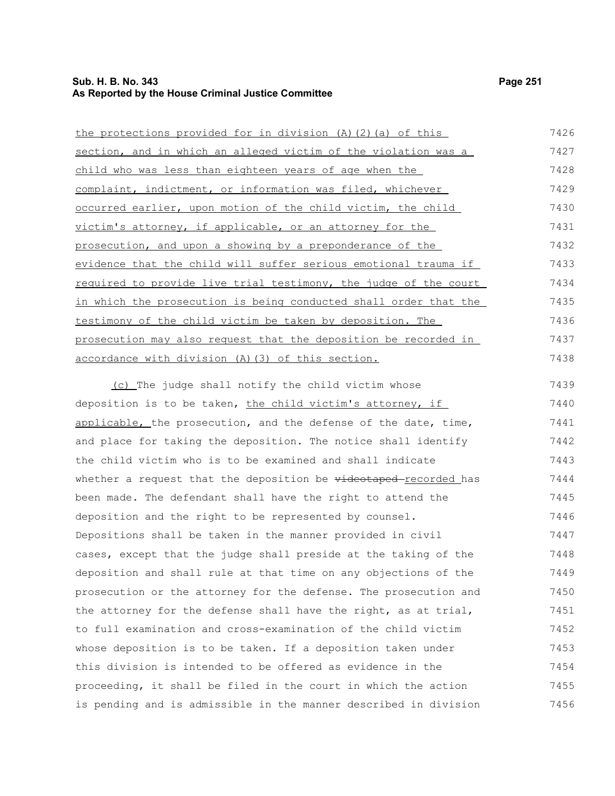### **Sub. H. B. No. 343 Page 251 As Reported by the House Criminal Justice Committee**

| the protections provided for in division (A)(2)(a) of this       | 7426 |
|------------------------------------------------------------------|------|
| section, and in which an alleged victim of the violation was a   | 7427 |
| child who was less than eighteen years of age when the           | 7428 |
| complaint, indictment, or information was filed, whichever       | 7429 |
| occurred earlier, upon motion of the child victim, the child     | 7430 |
| victim's attorney, if applicable, or an attorney for the         | 7431 |
| prosecution, and upon a showing by a preponderance of the        | 7432 |
| evidence that the child will suffer serious emotional trauma if  | 7433 |
| required to provide live trial testimony, the judge of the court | 7434 |
| in which the prosecution is being conducted shall order that the | 7435 |
| testimony of the child victim be taken by deposition. The        | 7436 |
| prosecution may also request that the deposition be recorded in  | 7437 |
| accordance with division (A) (3) of this section.                | 7438 |

(c) The judge shall notify the child victim whose deposition is to be taken, the child victim's attorney, if applicable, the prosecution, and the defense of the date, time, and place for taking the deposition. The notice shall identify the child victim who is to be examined and shall indicate whether a request that the deposition be videotaped-recorded has been made. The defendant shall have the right to attend the deposition and the right to be represented by counsel. Depositions shall be taken in the manner provided in civil cases, except that the judge shall preside at the taking of the deposition and shall rule at that time on any objections of the prosecution or the attorney for the defense. The prosecution and the attorney for the defense shall have the right, as at trial, to full examination and cross-examination of the child victim whose deposition is to be taken. If a deposition taken under this division is intended to be offered as evidence in the proceeding, it shall be filed in the court in which the action is pending and is admissible in the manner described in division 7439 7440 7441 7442 7443 7444 7445 7446 7447 7448 7449 7450 7451 7452 7453 7454 7455 7456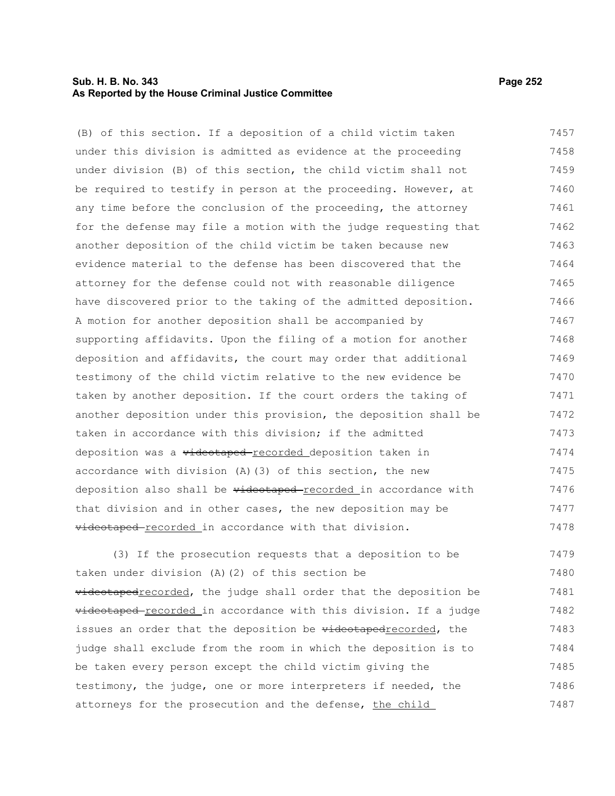## **Sub. H. B. No. 343 Page 252 As Reported by the House Criminal Justice Committee**

(B) of this section. If a deposition of a child victim taken under this division is admitted as evidence at the proceeding under division (B) of this section, the child victim shall not be required to testify in person at the proceeding. However, at any time before the conclusion of the proceeding, the attorney for the defense may file a motion with the judge requesting that another deposition of the child victim be taken because new evidence material to the defense has been discovered that the attorney for the defense could not with reasonable diligence have discovered prior to the taking of the admitted deposition. A motion for another deposition shall be accompanied by supporting affidavits. Upon the filing of a motion for another deposition and affidavits, the court may order that additional testimony of the child victim relative to the new evidence be taken by another deposition. If the court orders the taking of another deposition under this provision, the deposition shall be taken in accordance with this division; if the admitted deposition was a videotaped recorded deposition taken in accordance with division (A)(3) of this section, the new deposition also shall be videotaped recorded in accordance with that division and in other cases, the new deposition may be videotaped recorded in accordance with that division. 7457 7458 7459 7460 7461 7462 7463 7464 7465 7466 7467 7468 7469 7470 7471 7472 7473 7474 7475 7476 7477 7478

(3) If the prosecution requests that a deposition to be taken under division (A)(2) of this section be videotapedrecorded, the judge shall order that the deposition be videotaped recorded in accordance with this division. If a judge issues an order that the deposition be videotapedrecorded, the judge shall exclude from the room in which the deposition is to be taken every person except the child victim giving the testimony, the judge, one or more interpreters if needed, the attorneys for the prosecution and the defense, the child 7479 7480 7481 7482 7483 7484 7485 7486 7487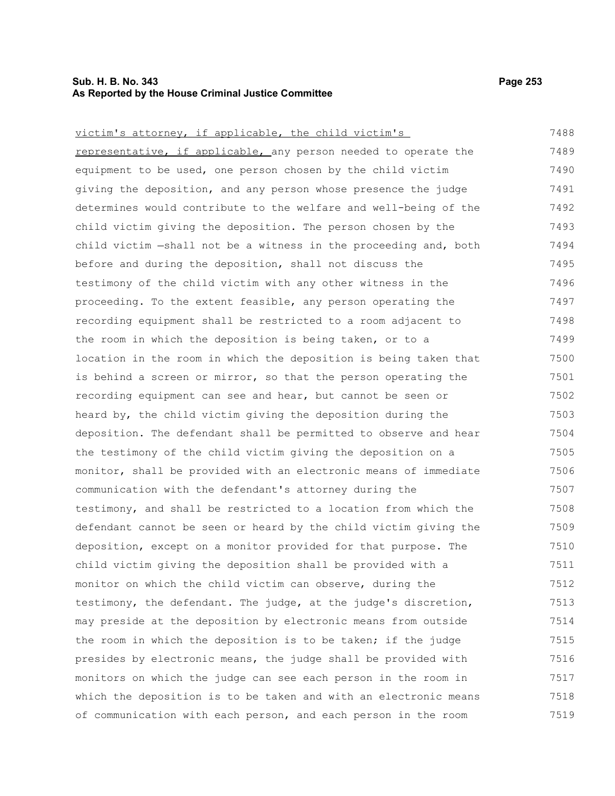### **Sub. H. B. No. 343 Page 253 As Reported by the House Criminal Justice Committee**

victim's attorney, if applicable, the child victim's representative, if applicable, any person needed to operate the equipment to be used, one person chosen by the child victim giving the deposition, and any person whose presence the judge determines would contribute to the welfare and well-being of the child victim giving the deposition. The person chosen by the child victim -shall not be a witness in the proceeding and, both before and during the deposition, shall not discuss the testimony of the child victim with any other witness in the proceeding. To the extent feasible, any person operating the recording equipment shall be restricted to a room adjacent to the room in which the deposition is being taken, or to a location in the room in which the deposition is being taken that is behind a screen or mirror, so that the person operating the recording equipment can see and hear, but cannot be seen or heard by, the child victim giving the deposition during the deposition. The defendant shall be permitted to observe and hear the testimony of the child victim giving the deposition on a monitor, shall be provided with an electronic means of immediate communication with the defendant's attorney during the testimony, and shall be restricted to a location from which the defendant cannot be seen or heard by the child victim giving the deposition, except on a monitor provided for that purpose. The child victim giving the deposition shall be provided with a monitor on which the child victim can observe, during the testimony, the defendant. The judge, at the judge's discretion, may preside at the deposition by electronic means from outside the room in which the deposition is to be taken; if the judge presides by electronic means, the judge shall be provided with monitors on which the judge can see each person in the room in which the deposition is to be taken and with an electronic means of communication with each person, and each person in the room 7488 7489 7490 7491 7492 7493 7494 7495 7496 7497 7498 7499 7500 7501 7502 7503 7504 7505 7506 7507 7508 7509 7510 7511 7512 7513 7514 7515 7516 7517 7518 7519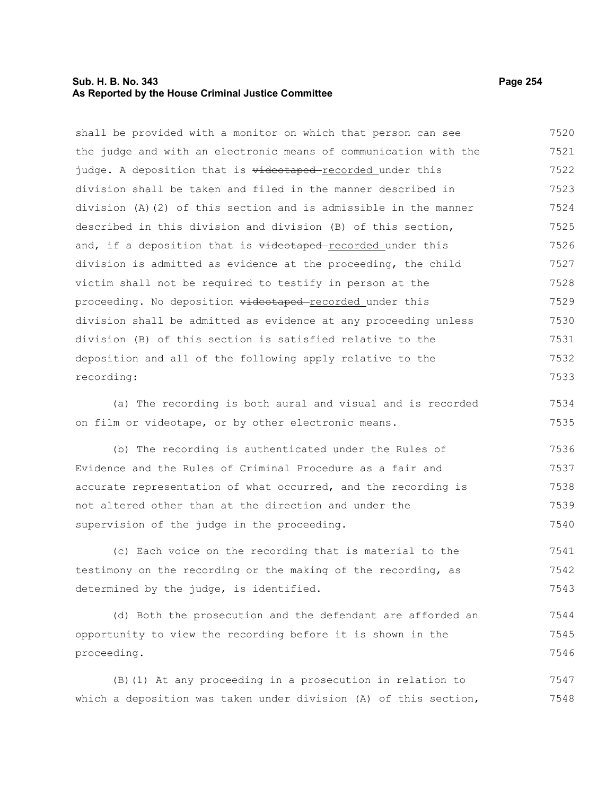### **Sub. H. B. No. 343 Page 254 As Reported by the House Criminal Justice Committee**

shall be provided with a monitor on which that person can see the judge and with an electronic means of communication with the judge. A deposition that is videotaped recorded under this division shall be taken and filed in the manner described in division (A)(2) of this section and is admissible in the manner described in this division and division (B) of this section, and, if a deposition that is videotaped-recorded under this division is admitted as evidence at the proceeding, the child victim shall not be required to testify in person at the proceeding. No deposition videotaped-recorded under this division shall be admitted as evidence at any proceeding unless division (B) of this section is satisfied relative to the deposition and all of the following apply relative to the recording: 7520 7521 7522 7523 7524 7525 7526 7527 7528 7529 7530 7531 7532 7533

(a) The recording is both aural and visual and is recorded on film or videotape, or by other electronic means.

(b) The recording is authenticated under the Rules of Evidence and the Rules of Criminal Procedure as a fair and accurate representation of what occurred, and the recording is not altered other than at the direction and under the supervision of the judge in the proceeding. 7536 7537 7538 7539 7540

(c) Each voice on the recording that is material to the testimony on the recording or the making of the recording, as determined by the judge, is identified. 7541 7542 7543

(d) Both the prosecution and the defendant are afforded an opportunity to view the recording before it is shown in the proceeding. 7544 7545 7546

(B)(1) At any proceeding in a prosecution in relation to which a deposition was taken under division (A) of this section, 7547 7548

7534 7535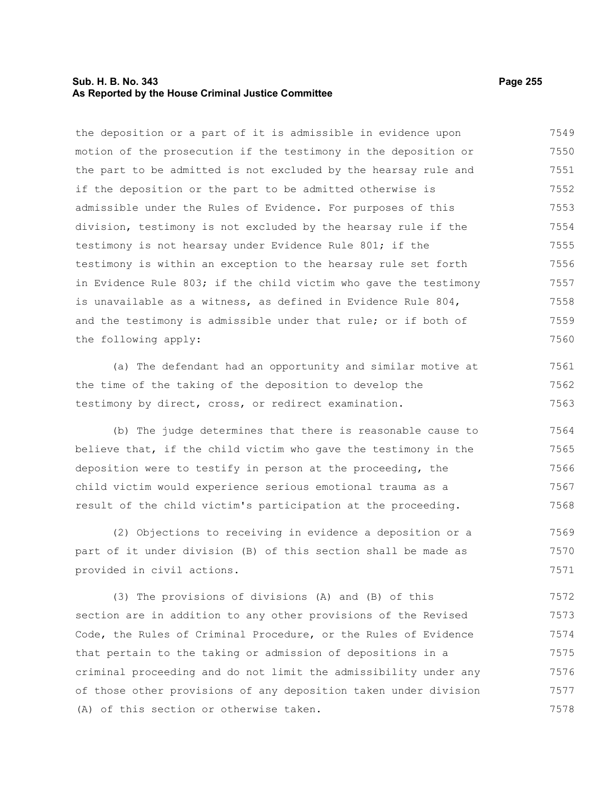### **Sub. H. B. No. 343 Page 255 As Reported by the House Criminal Justice Committee**

the deposition or a part of it is admissible in evidence upon motion of the prosecution if the testimony in the deposition or the part to be admitted is not excluded by the hearsay rule and if the deposition or the part to be admitted otherwise is admissible under the Rules of Evidence. For purposes of this division, testimony is not excluded by the hearsay rule if the testimony is not hearsay under Evidence Rule 801; if the testimony is within an exception to the hearsay rule set forth in Evidence Rule 803; if the child victim who gave the testimony is unavailable as a witness, as defined in Evidence Rule 804, and the testimony is admissible under that rule; or if both of the following apply: 7549 7550 7551 7552 7553 7554 7555 7556 7557 7558 7559 7560

(a) The defendant had an opportunity and similar motive at the time of the taking of the deposition to develop the testimony by direct, cross, or redirect examination. 7561 7562 7563

(b) The judge determines that there is reasonable cause to believe that, if the child victim who gave the testimony in the deposition were to testify in person at the proceeding, the child victim would experience serious emotional trauma as a result of the child victim's participation at the proceeding. 7564 7565 7566 7567 7568

(2) Objections to receiving in evidence a deposition or a part of it under division (B) of this section shall be made as provided in civil actions. 7569 7570 7571

(3) The provisions of divisions (A) and (B) of this section are in addition to any other provisions of the Revised Code, the Rules of Criminal Procedure, or the Rules of Evidence that pertain to the taking or admission of depositions in a criminal proceeding and do not limit the admissibility under any of those other provisions of any deposition taken under division (A) of this section or otherwise taken. 7572 7573 7574 7575 7576 7577 7578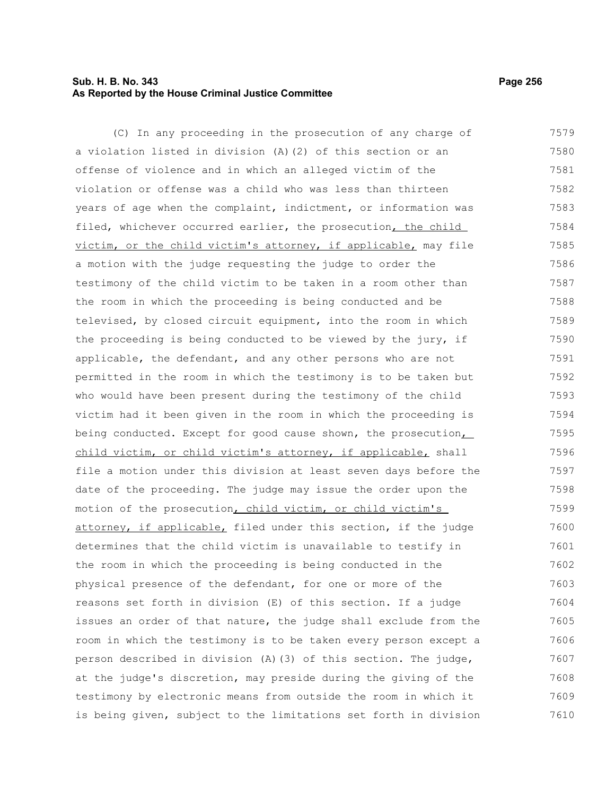### **Sub. H. B. No. 343 Page 256 As Reported by the House Criminal Justice Committee**

(C) In any proceeding in the prosecution of any charge of a violation listed in division (A)(2) of this section or an offense of violence and in which an alleged victim of the violation or offense was a child who was less than thirteen years of age when the complaint, indictment, or information was filed, whichever occurred earlier, the prosecution, the child victim, or the child victim's attorney, if applicable, may file a motion with the judge requesting the judge to order the testimony of the child victim to be taken in a room other than the room in which the proceeding is being conducted and be televised, by closed circuit equipment, into the room in which the proceeding is being conducted to be viewed by the jury, if applicable, the defendant, and any other persons who are not permitted in the room in which the testimony is to be taken but who would have been present during the testimony of the child victim had it been given in the room in which the proceeding is being conducted. Except for good cause shown, the prosecution, child victim, or child victim's attorney, if applicable, shall file a motion under this division at least seven days before the date of the proceeding. The judge may issue the order upon the motion of the prosecution, child victim, or child victim's attorney, if applicable, filed under this section, if the judge determines that the child victim is unavailable to testify in the room in which the proceeding is being conducted in the physical presence of the defendant, for one or more of the reasons set forth in division (E) of this section. If a judge issues an order of that nature, the judge shall exclude from the room in which the testimony is to be taken every person except a person described in division (A)(3) of this section. The judge, at the judge's discretion, may preside during the giving of the 7579 7580 7581 7582 7583 7584 7585 7586 7587 7588 7589 7590 7591 7592 7593 7594 7595 7596 7597 7598 7599 7600 7601 7602 7603 7604 7605 7606 7607 7608

testimony by electronic means from outside the room in which it is being given, subject to the limitations set forth in division 7609 7610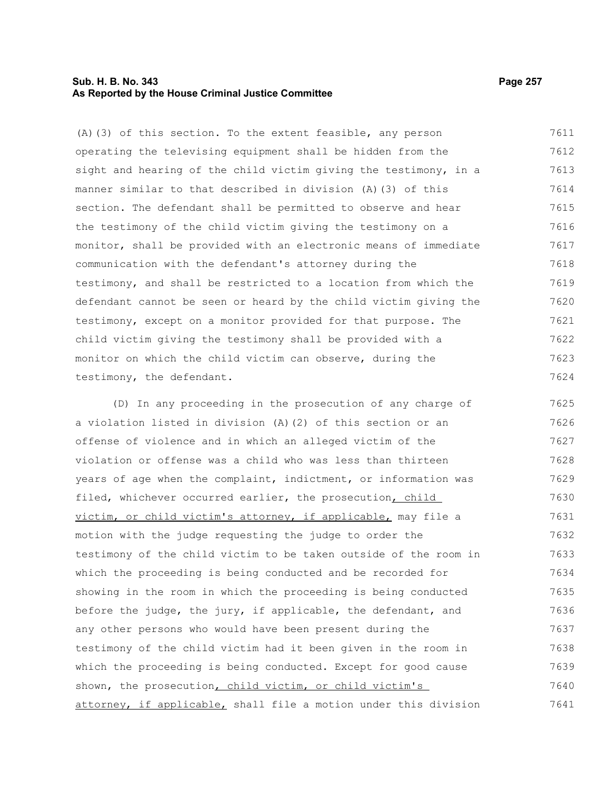### **Sub. H. B. No. 343 Page 257 As Reported by the House Criminal Justice Committee**

(A)(3) of this section. To the extent feasible, any person operating the televising equipment shall be hidden from the sight and hearing of the child victim giving the testimony, in a manner similar to that described in division (A)(3) of this section. The defendant shall be permitted to observe and hear the testimony of the child victim giving the testimony on a monitor, shall be provided with an electronic means of immediate communication with the defendant's attorney during the testimony, and shall be restricted to a location from which the defendant cannot be seen or heard by the child victim giving the testimony, except on a monitor provided for that purpose. The child victim giving the testimony shall be provided with a monitor on which the child victim can observe, during the testimony, the defendant. 7611 7612 7613 7614 7615 7616 7617 7618 7619 7620 7621 7622 7623 7624

(D) In any proceeding in the prosecution of any charge of a violation listed in division (A)(2) of this section or an offense of violence and in which an alleged victim of the violation or offense was a child who was less than thirteen years of age when the complaint, indictment, or information was filed, whichever occurred earlier, the prosecution, child victim, or child victim's attorney, if applicable, may file a motion with the judge requesting the judge to order the testimony of the child victim to be taken outside of the room in which the proceeding is being conducted and be recorded for showing in the room in which the proceeding is being conducted before the judge, the jury, if applicable, the defendant, and any other persons who would have been present during the testimony of the child victim had it been given in the room in which the proceeding is being conducted. Except for good cause shown, the prosecution, child victim, or child victim's attorney, if applicable, shall file a motion under this division 7625 7626 7627 7628 7629 7630 7631 7632 7633 7634 7635 7636 7637 7638 7639 7640 7641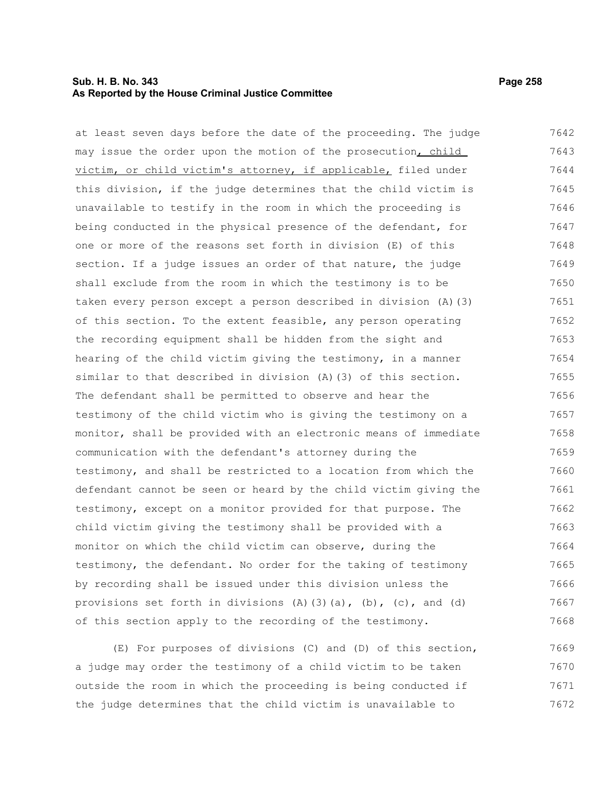### **Sub. H. B. No. 343 Page 258 As Reported by the House Criminal Justice Committee**

at least seven days before the date of the proceeding. The judge may issue the order upon the motion of the prosecution, child victim, or child victim's attorney, if applicable, filed under this division, if the judge determines that the child victim is unavailable to testify in the room in which the proceeding is being conducted in the physical presence of the defendant, for one or more of the reasons set forth in division (E) of this section. If a judge issues an order of that nature, the judge shall exclude from the room in which the testimony is to be taken every person except a person described in division (A)(3) of this section. To the extent feasible, any person operating the recording equipment shall be hidden from the sight and hearing of the child victim giving the testimony, in a manner similar to that described in division (A)(3) of this section. The defendant shall be permitted to observe and hear the testimony of the child victim who is giving the testimony on a monitor, shall be provided with an electronic means of immediate communication with the defendant's attorney during the testimony, and shall be restricted to a location from which the defendant cannot be seen or heard by the child victim giving the testimony, except on a monitor provided for that purpose. The child victim giving the testimony shall be provided with a monitor on which the child victim can observe, during the testimony, the defendant. No order for the taking of testimony by recording shall be issued under this division unless the provisions set forth in divisions  $(A)$   $(3)$   $(a)$ ,  $(b)$ ,  $(c)$ , and  $(d)$ of this section apply to the recording of the testimony. 7642 7643 7644 7645 7646 7647 7648 7649 7650 7651 7652 7653 7654 7655 7656 7657 7658 7659 7660 7661 7662 7663 7664 7665 7666 7667 7668

(E) For purposes of divisions (C) and (D) of this section, a judge may order the testimony of a child victim to be taken outside the room in which the proceeding is being conducted if the judge determines that the child victim is unavailable to 7669 7670 7671 7672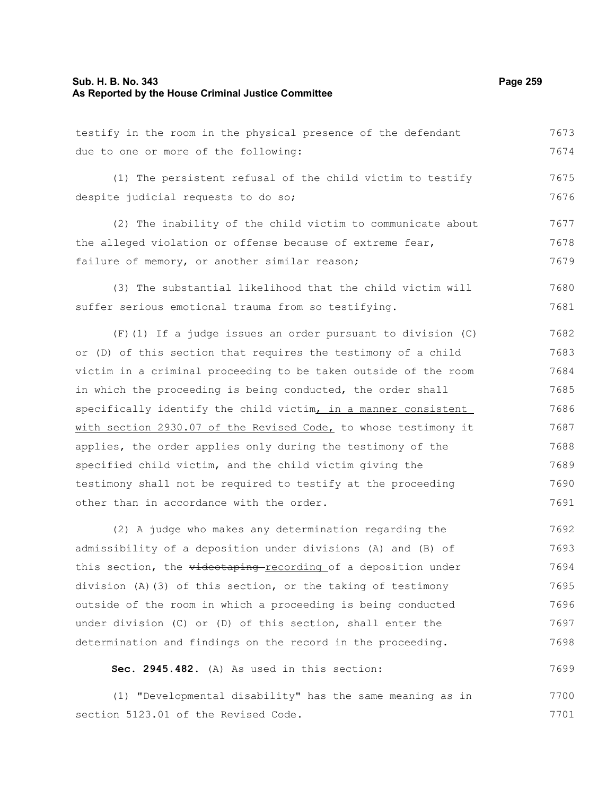### **Sub. H. B. No. 343** Page 259 **As Reported by the House Criminal Justice Committee**

testify in the room in the physical presence of the defendant due to one or more of the following: 7673 7674

(1) The persistent refusal of the child victim to testify despite judicial requests to do so; 7675 7676

(2) The inability of the child victim to communicate about the alleged violation or offense because of extreme fear, failure of memory, or another similar reason; 7677 7678 7679

(3) The substantial likelihood that the child victim will suffer serious emotional trauma from so testifying. 7680 7681

(F)(1) If a judge issues an order pursuant to division (C) or (D) of this section that requires the testimony of a child victim in a criminal proceeding to be taken outside of the room in which the proceeding is being conducted, the order shall specifically identify the child victim, in a manner consistent with section 2930.07 of the Revised Code, to whose testimony it applies, the order applies only during the testimony of the specified child victim, and the child victim giving the testimony shall not be required to testify at the proceeding other than in accordance with the order. 7682 7683 7684 7685 7686 7687 7688 7689 7690 7691

(2) A judge who makes any determination regarding the admissibility of a deposition under divisions (A) and (B) of this section, the videotaping recording of a deposition under division (A)(3) of this section, or the taking of testimony outside of the room in which a proceeding is being conducted under division (C) or (D) of this section, shall enter the determination and findings on the record in the proceeding. 7692 7693 7694 7695 7696 7697 7698

**Sec. 2945.482.** (A) As used in this section: 7699

(1) "Developmental disability" has the same meaning as in section 5123.01 of the Revised Code. 7700 7701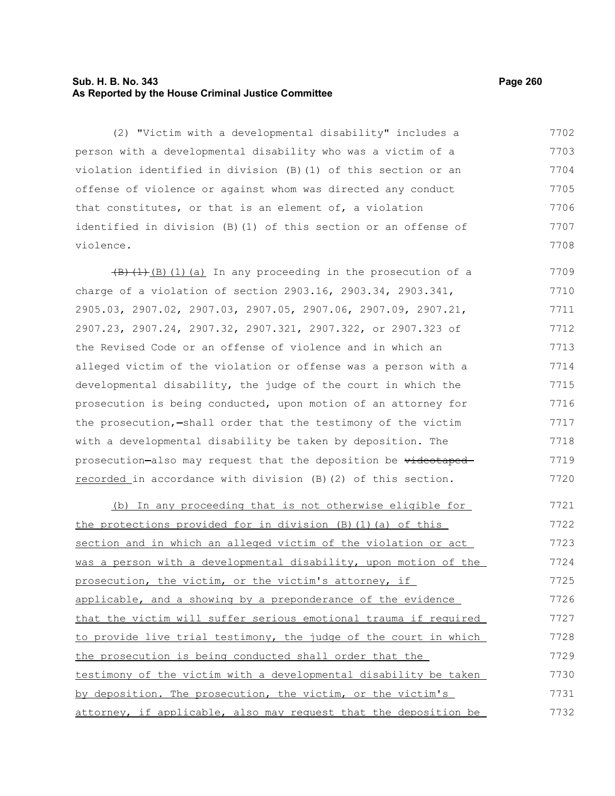### **Sub. H. B. No. 343 Page 260 As Reported by the House Criminal Justice Committee**

(2) "Victim with a developmental disability" includes a person with a developmental disability who was a victim of a violation identified in division (B)(1) of this section or an offense of violence or against whom was directed any conduct that constitutes, or that is an element of, a violation identified in division (B)(1) of this section or an offense of violence. 7702 7703 7704 7705 7706 7707 7708

 $(H+(B)(1)(a))$  In any proceeding in the prosecution of a charge of a violation of section 2903.16, 2903.34, 2903.341, 2905.03, 2907.02, 2907.03, 2907.05, 2907.06, 2907.09, 2907.21, 2907.23, 2907.24, 2907.32, 2907.321, 2907.322, or 2907.323 of the Revised Code or an offense of violence and in which an alleged victim of the violation or offense was a person with a developmental disability, the judge of the court in which the prosecution is being conducted, upon motion of an attorney for the prosecution,-shall order that the testimony of the victim with a developmental disability be taken by deposition. The prosecution-also may request that the deposition be videotapedrecorded in accordance with division (B)(2) of this section. 7709 7710 7711 7712 7713 7714 7715 7716 7717 7718 7719 7720

(b) In any proceeding that is not otherwise eligible for the protections provided for in division (B)(1)(a) of this section and in which an alleged victim of the violation or act was a person with a developmental disability, upon motion of the prosecution, the victim, or the victim's attorney, if applicable, and a showing by a preponderance of the evidence that the victim will suffer serious emotional trauma if required to provide live trial testimony, the judge of the court in which the prosecution is being conducted shall order that the testimony of the victim with a developmental disability be taken by deposition. The prosecution, the victim, or the victim's attorney, if applicable, also may request that the deposition be 7721 7722 7723 7724 7725 7726 7727 7728 7729 7730 7731 7732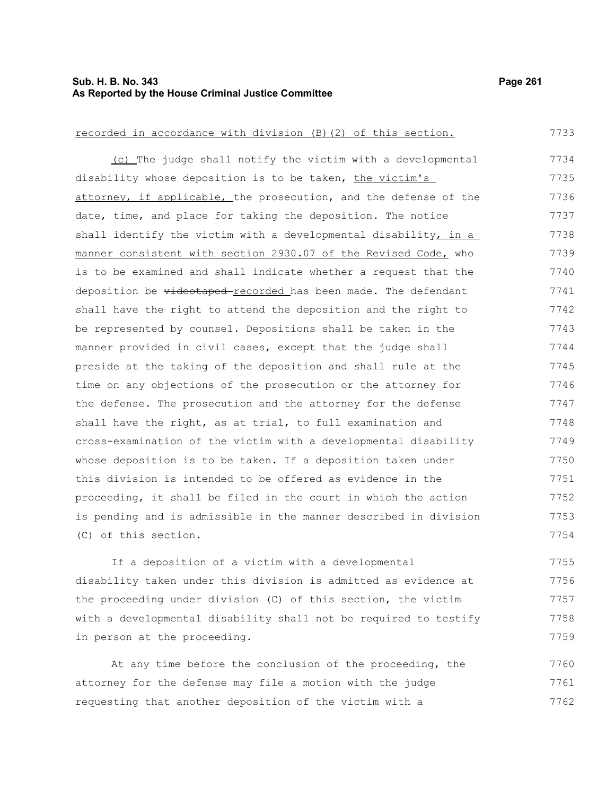### **Sub. H. B. No. 343 Page 261 As Reported by the House Criminal Justice Committee**

recorded in accordance with division (B)(2) of this section. (c) The judge shall notify the victim with a developmental disability whose deposition is to be taken, the victim's attorney, if applicable, the prosecution, and the defense of the date, time, and place for taking the deposition. The notice shall identify the victim with a developmental disability, in a manner consistent with section 2930.07 of the Revised Code, who is to be examined and shall indicate whether a request that the deposition be videotaped recorded has been made. The defendant shall have the right to attend the deposition and the right to be represented by counsel. Depositions shall be taken in the manner provided in civil cases, except that the judge shall preside at the taking of the deposition and shall rule at the time on any objections of the prosecution or the attorney for the defense. The prosecution and the attorney for the defense shall have the right, as at trial, to full examination and cross-examination of the victim with a developmental disability whose deposition is to be taken. If a deposition taken under this division is intended to be offered as evidence in the proceeding, it shall be filed in the court in which the action is pending and is admissible in the manner described in division (C) of this section. If a deposition of a victim with a developmental 7733 7734 7735 7736 7737 7738 7739 7740 7741 7742 7743 7744 7745 7746 7747 7748 7749 7750 7751 7752 7753 7754 7755

disability taken under this division is admitted as evidence at the proceeding under division (C) of this section, the victim with a developmental disability shall not be required to testify in person at the proceeding. 7756 7757 7758 7759

At any time before the conclusion of the proceeding, the attorney for the defense may file a motion with the judge requesting that another deposition of the victim with a 7760 7761 7762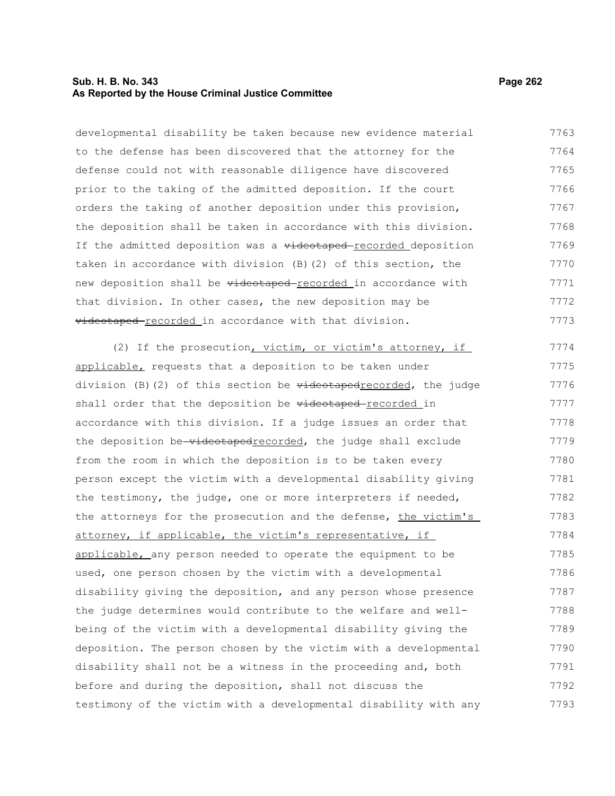### **Sub. H. B. No. 343 Page 262 As Reported by the House Criminal Justice Committee**

developmental disability be taken because new evidence material to the defense has been discovered that the attorney for the defense could not with reasonable diligence have discovered prior to the taking of the admitted deposition. If the court orders the taking of another deposition under this provision, the deposition shall be taken in accordance with this division. If the admitted deposition was a videotaped-recorded deposition taken in accordance with division (B)(2) of this section, the new deposition shall be videotaped recorded in accordance with that division. In other cases, the new deposition may be videotaped recorded in accordance with that division. 7763 7764 7765 7766 7767 7768 7769 7770 7771 7772 7773

(2) If the prosecution, victim, or victim's attorney, if applicable, requests that a deposition to be taken under division (B)(2) of this section be videotapedrecorded, the judge shall order that the deposition be videotaped-recorded in accordance with this division. If a judge issues an order that the deposition be-videotapedrecorded, the judge shall exclude from the room in which the deposition is to be taken every person except the victim with a developmental disability giving the testimony, the judge, one or more interpreters if needed, the attorneys for the prosecution and the defense, the victim's attorney, if applicable, the victim's representative, if applicable, any person needed to operate the equipment to be used, one person chosen by the victim with a developmental disability giving the deposition, and any person whose presence the judge determines would contribute to the welfare and wellbeing of the victim with a developmental disability giving the deposition. The person chosen by the victim with a developmental disability shall not be a witness in the proceeding and, both before and during the deposition, shall not discuss the testimony of the victim with a developmental disability with any 7774 7775 7776 7777 7778 7779 7780 7781 7782 7783 7784 7785 7786 7787 7788 7789 7790 7791 7792 7793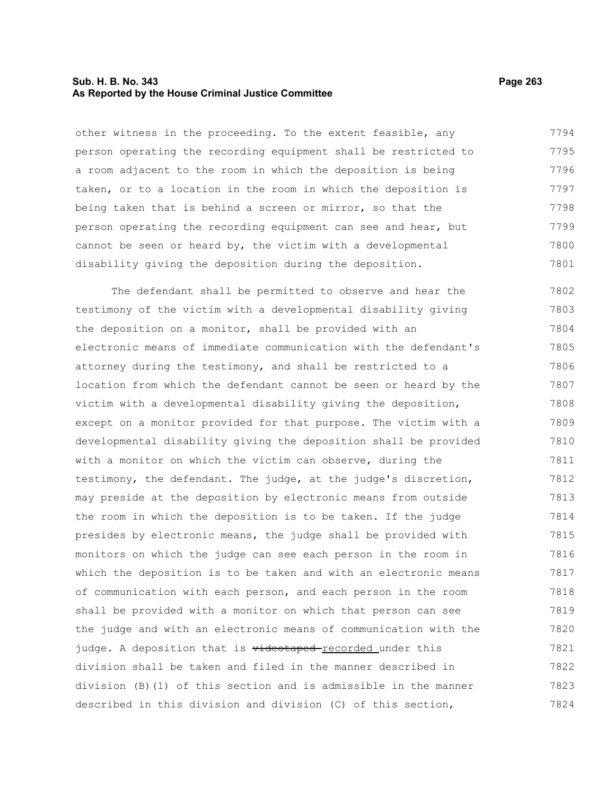### **Sub. H. B. No. 343 Page 263 As Reported by the House Criminal Justice Committee**

other witness in the proceeding. To the extent feasible, any person operating the recording equipment shall be restricted to a room adjacent to the room in which the deposition is being taken, or to a location in the room in which the deposition is being taken that is behind a screen or mirror, so that the person operating the recording equipment can see and hear, but cannot be seen or heard by, the victim with a developmental disability giving the deposition during the deposition. 7794 7795 7796 7797 7798 7799 7800 7801

The defendant shall be permitted to observe and hear the testimony of the victim with a developmental disability giving the deposition on a monitor, shall be provided with an electronic means of immediate communication with the defendant's attorney during the testimony, and shall be restricted to a location from which the defendant cannot be seen or heard by the victim with a developmental disability giving the deposition, except on a monitor provided for that purpose. The victim with a developmental disability giving the deposition shall be provided with a monitor on which the victim can observe, during the testimony, the defendant. The judge, at the judge's discretion, may preside at the deposition by electronic means from outside the room in which the deposition is to be taken. If the judge presides by electronic means, the judge shall be provided with monitors on which the judge can see each person in the room in which the deposition is to be taken and with an electronic means of communication with each person, and each person in the room shall be provided with a monitor on which that person can see the judge and with an electronic means of communication with the judge. A deposition that is videotaped recorded under this division shall be taken and filed in the manner described in division (B)(1) of this section and is admissible in the manner described in this division and division (C) of this section, 7802 7803 7804 7805 7806 7807 7808 7809 7810 7811 7812 7813 7814 7815 7816 7817 7818 7819 7820 7821 7822 7823 7824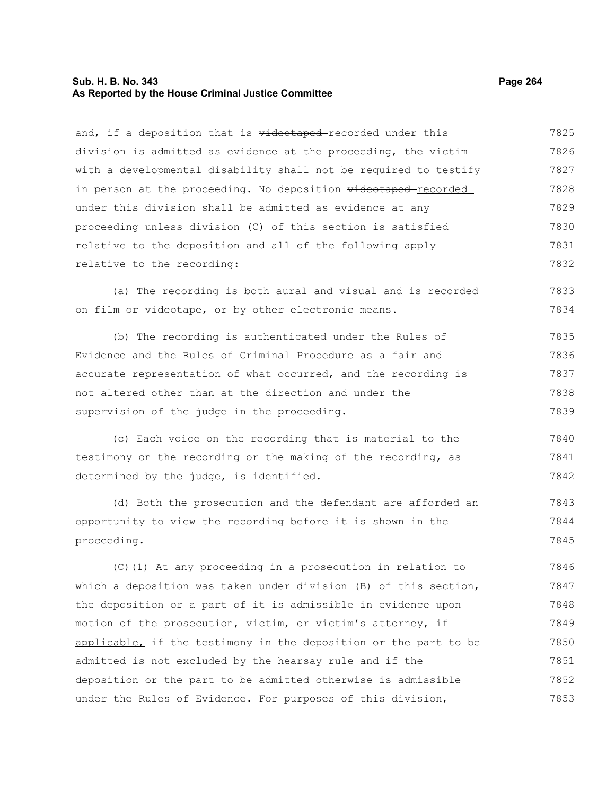### **Sub. H. B. No. 343 Page 264 As Reported by the House Criminal Justice Committee**

and, if a deposition that is videotaped-recorded under this division is admitted as evidence at the proceeding, the victim with a developmental disability shall not be required to testify in person at the proceeding. No deposition videotaped-recorded under this division shall be admitted as evidence at any proceeding unless division (C) of this section is satisfied relative to the deposition and all of the following apply relative to the recording: 7825 7826 7827 7828 7829 7830 7831 7832

(a) The recording is both aural and visual and is recorded on film or videotape, or by other electronic means. 7833 7834

(b) The recording is authenticated under the Rules of Evidence and the Rules of Criminal Procedure as a fair and accurate representation of what occurred, and the recording is not altered other than at the direction and under the supervision of the judge in the proceeding. 7835 7836 7837 7838 7839

(c) Each voice on the recording that is material to the testimony on the recording or the making of the recording, as determined by the judge, is identified. 7840 7841 7842

(d) Both the prosecution and the defendant are afforded an opportunity to view the recording before it is shown in the proceeding. 7843 7844 7845

(C)(1) At any proceeding in a prosecution in relation to which a deposition was taken under division (B) of this section, the deposition or a part of it is admissible in evidence upon motion of the prosecution, victim, or victim's attorney, if applicable, if the testimony in the deposition or the part to be admitted is not excluded by the hearsay rule and if the deposition or the part to be admitted otherwise is admissible under the Rules of Evidence. For purposes of this division, 7846 7847 7848 7849 7850 7851 7852 7853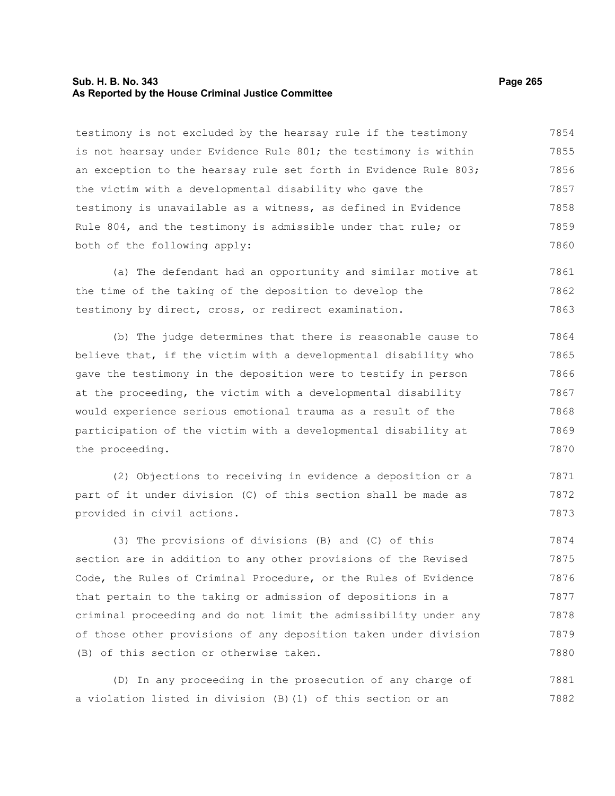### **Sub. H. B. No. 343 Page 265 As Reported by the House Criminal Justice Committee**

testimony is not excluded by the hearsay rule if the testimony is not hearsay under Evidence Rule 801; the testimony is within an exception to the hearsay rule set forth in Evidence Rule 803; the victim with a developmental disability who gave the testimony is unavailable as a witness, as defined in Evidence Rule 804, and the testimony is admissible under that rule; or both of the following apply: 7854 7855 7856 7857 7858 7859 7860

(a) The defendant had an opportunity and similar motive at the time of the taking of the deposition to develop the testimony by direct, cross, or redirect examination. 7861 7862 7863

(b) The judge determines that there is reasonable cause to believe that, if the victim with a developmental disability who gave the testimony in the deposition were to testify in person at the proceeding, the victim with a developmental disability would experience serious emotional trauma as a result of the participation of the victim with a developmental disability at the proceeding. 7864 7865 7866 7867 7868 7869 7870

(2) Objections to receiving in evidence a deposition or a part of it under division (C) of this section shall be made as provided in civil actions. 7871 7872 7873

(3) The provisions of divisions (B) and (C) of this section are in addition to any other provisions of the Revised Code, the Rules of Criminal Procedure, or the Rules of Evidence that pertain to the taking or admission of depositions in a criminal proceeding and do not limit the admissibility under any of those other provisions of any deposition taken under division (B) of this section or otherwise taken. 7874 7875 7876 7877 7878 7879 7880

(D) In any proceeding in the prosecution of any charge of a violation listed in division (B)(1) of this section or an 7881 7882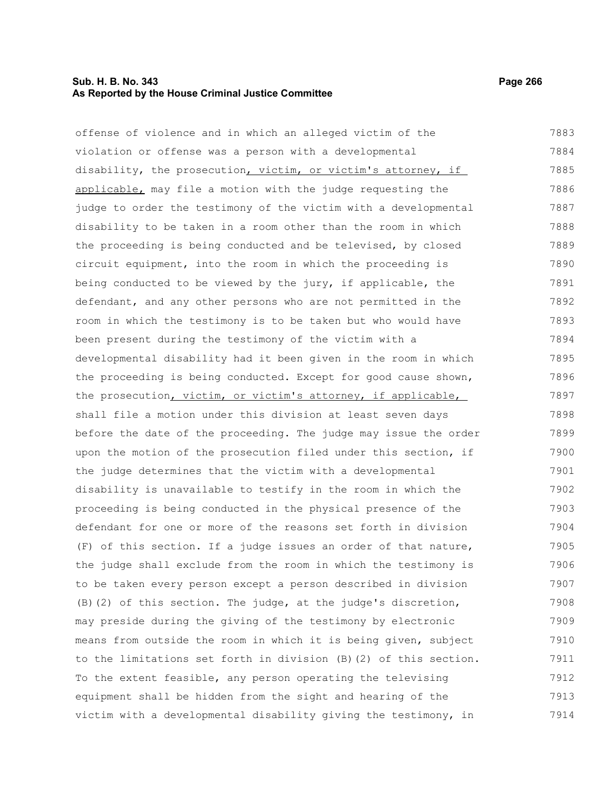### **Sub. H. B. No. 343 Page 266 As Reported by the House Criminal Justice Committee**

offense of violence and in which an alleged victim of the violation or offense was a person with a developmental disability, the prosecution, victim, or victim's attorney, if applicable, may file a motion with the judge requesting the judge to order the testimony of the victim with a developmental disability to be taken in a room other than the room in which the proceeding is being conducted and be televised, by closed circuit equipment, into the room in which the proceeding is being conducted to be viewed by the jury, if applicable, the defendant, and any other persons who are not permitted in the room in which the testimony is to be taken but who would have been present during the testimony of the victim with a developmental disability had it been given in the room in which the proceeding is being conducted. Except for good cause shown, the prosecution, victim, or victim's attorney, if applicable, shall file a motion under this division at least seven days before the date of the proceeding. The judge may issue the order upon the motion of the prosecution filed under this section, if the judge determines that the victim with a developmental disability is unavailable to testify in the room in which the proceeding is being conducted in the physical presence of the defendant for one or more of the reasons set forth in division (F) of this section. If a judge issues an order of that nature, the judge shall exclude from the room in which the testimony is to be taken every person except a person described in division (B)(2) of this section. The judge, at the judge's discretion, may preside during the giving of the testimony by electronic means from outside the room in which it is being given, subject to the limitations set forth in division (B)(2) of this section. To the extent feasible, any person operating the televising equipment shall be hidden from the sight and hearing of the victim with a developmental disability giving the testimony, in 7883 7884 7885 7886 7887 7888 7889 7890 7891 7892 7893 7894 7895 7896 7897 7898 7899 7900 7901 7902 7903 7904 7905 7906 7907 7908 7909 7910 7911 7912 7913 7914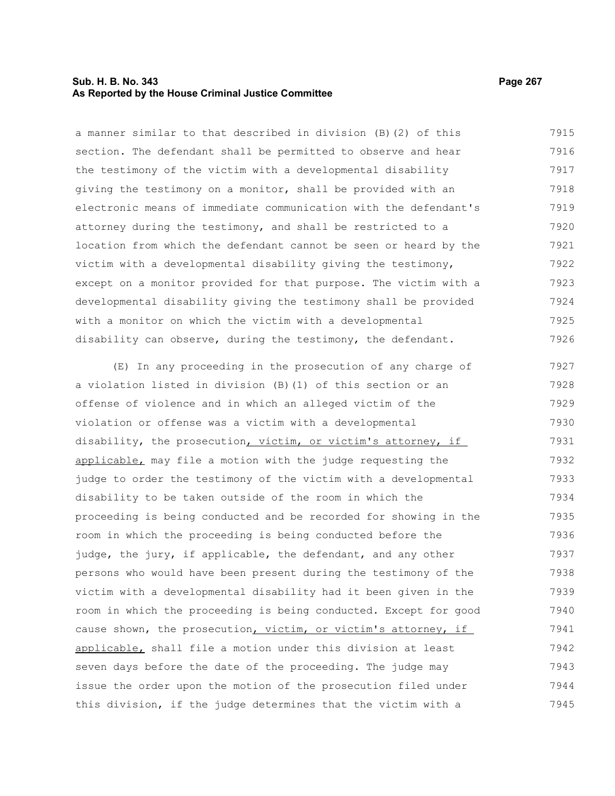### **Sub. H. B. No. 343 Page 267 As Reported by the House Criminal Justice Committee**

a manner similar to that described in division (B)(2) of this section. The defendant shall be permitted to observe and hear the testimony of the victim with a developmental disability giving the testimony on a monitor, shall be provided with an electronic means of immediate communication with the defendant's attorney during the testimony, and shall be restricted to a location from which the defendant cannot be seen or heard by the victim with a developmental disability giving the testimony, except on a monitor provided for that purpose. The victim with a developmental disability giving the testimony shall be provided with a monitor on which the victim with a developmental disability can observe, during the testimony, the defendant. 7915 7916 7917 7918 7919 7920 7921 7922 7923 7924 7925 7926

(E) In any proceeding in the prosecution of any charge of a violation listed in division (B)(1) of this section or an offense of violence and in which an alleged victim of the violation or offense was a victim with a developmental disability, the prosecution, victim, or victim's attorney, if applicable, may file a motion with the judge requesting the judge to order the testimony of the victim with a developmental disability to be taken outside of the room in which the proceeding is being conducted and be recorded for showing in the room in which the proceeding is being conducted before the judge, the jury, if applicable, the defendant, and any other persons who would have been present during the testimony of the victim with a developmental disability had it been given in the room in which the proceeding is being conducted. Except for good cause shown, the prosecution, victim, or victim's attorney, if applicable, shall file a motion under this division at least seven days before the date of the proceeding. The judge may issue the order upon the motion of the prosecution filed under this division, if the judge determines that the victim with a 7927 7928 7929 7930 7931 7932 7933 7934 7935 7936 7937 7938 7939 7940 7941 7942 7943 7944 7945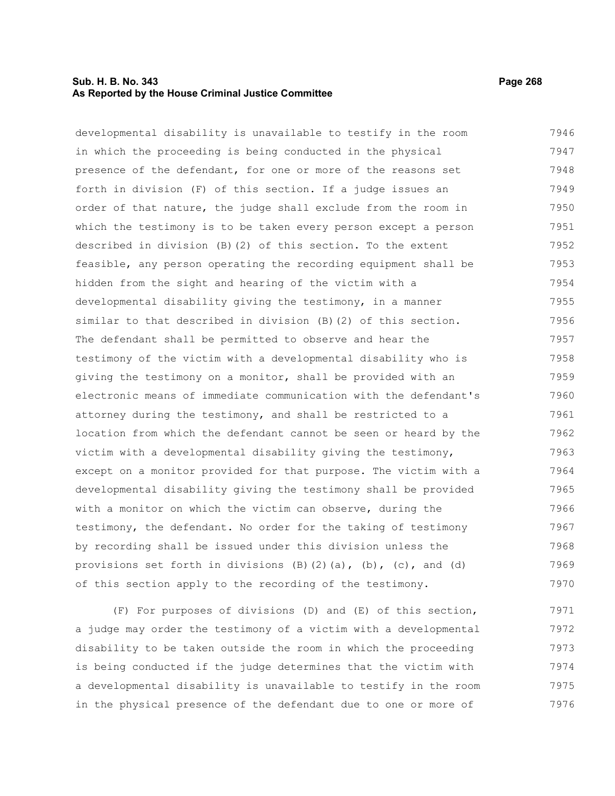### **Sub. H. B. No. 343 Page 268 As Reported by the House Criminal Justice Committee**

developmental disability is unavailable to testify in the room in which the proceeding is being conducted in the physical presence of the defendant, for one or more of the reasons set forth in division (F) of this section. If a judge issues an order of that nature, the judge shall exclude from the room in which the testimony is to be taken every person except a person described in division (B)(2) of this section. To the extent feasible, any person operating the recording equipment shall be hidden from the sight and hearing of the victim with a developmental disability giving the testimony, in a manner similar to that described in division (B)(2) of this section. The defendant shall be permitted to observe and hear the testimony of the victim with a developmental disability who is giving the testimony on a monitor, shall be provided with an electronic means of immediate communication with the defendant's attorney during the testimony, and shall be restricted to a location from which the defendant cannot be seen or heard by the victim with a developmental disability giving the testimony, except on a monitor provided for that purpose. The victim with a developmental disability giving the testimony shall be provided with a monitor on which the victim can observe, during the testimony, the defendant. No order for the taking of testimony by recording shall be issued under this division unless the provisions set forth in divisions  $(B)(2)(a)$ ,  $(b)$ ,  $(c)$ , and  $(d)$ of this section apply to the recording of the testimony. 7946 7947 7948 7949 7950 7951 7952 7953 7954 7955 7956 7957 7958 7959 7960 7961 7962 7963 7964 7965 7966 7967 7968 7969 7970

(F) For purposes of divisions (D) and (E) of this section, a judge may order the testimony of a victim with a developmental disability to be taken outside the room in which the proceeding is being conducted if the judge determines that the victim with a developmental disability is unavailable to testify in the room in the physical presence of the defendant due to one or more of 7971 7972 7973 7974 7975 7976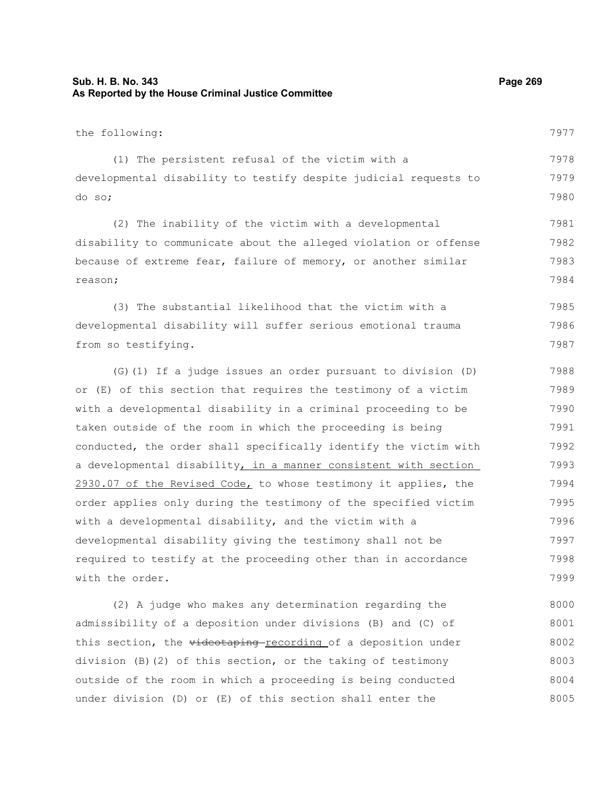## **Sub. H. B. No. 343 Page 269 As Reported by the House Criminal Justice Committee**

| the following:                                                   | 7977 |
|------------------------------------------------------------------|------|
| (1) The persistent refusal of the victim with a                  | 7978 |
| developmental disability to testify despite judicial requests to | 7979 |
| do so;                                                           | 7980 |
| (2) The inability of the victim with a developmental             | 7981 |
| disability to communicate about the alleged violation or offense | 7982 |
| because of extreme fear, failure of memory, or another similar   | 7983 |
| reason;                                                          | 7984 |
| (3) The substantial likelihood that the victim with a            | 7985 |
| developmental disability will suffer serious emotional trauma    | 7986 |
| from so testifying.                                              | 7987 |
| (G) (1) If a judge issues an order pursuant to division (D)      | 7988 |
| or (E) of this section that requires the testimony of a victim   | 7989 |
| with a developmental disability in a criminal proceeding to be   | 7990 |
| taken outside of the room in which the proceeding is being       | 7991 |
| conducted, the order shall specifically identify the victim with | 7992 |
| a developmental disability, in a manner consistent with section  | 7993 |
| 2930.07 of the Revised Code, to whose testimony it applies, the  | 7994 |
| order applies only during the testimony of the specified victim  | 7995 |
| with a developmental disability, and the victim with a           | 7996 |
| developmental disability giving the testimony shall not be       | 7997 |
| required to testify at the proceeding other than in accordance   | 7998 |
| with the order.                                                  | 7999 |
| (2) A judge who makes any determination regarding the            | 8000 |
| admissibility of a deposition under divisions (B) and (C) of     | 8001 |

this section, the videotaping-recording of a deposition under division (B)(2) of this section, or the taking of testimony outside of the room in which a proceeding is being conducted under division (D) or (E) of this section shall enter the 8002 8003 8004 8005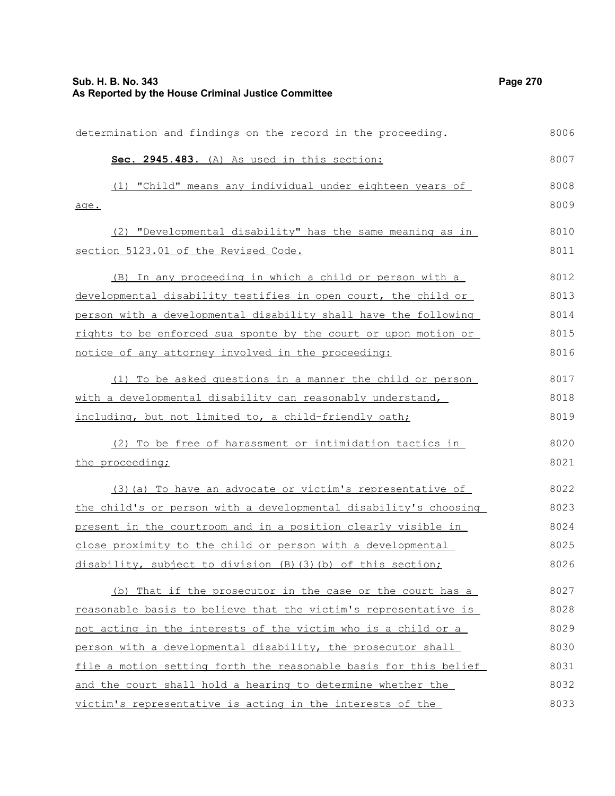# **Sub. H. B. No. 343 Page 270 As Reported by the House Criminal Justice Committee**

| determination and findings on the record in the proceeding.      | 8006 |
|------------------------------------------------------------------|------|
| Sec. 2945.483. (A) As used in this section:                      | 8007 |
| (1) "Child" means any individual under eighteen years of         | 8008 |
| age.                                                             | 8009 |
| (2) "Developmental disability" has the same meaning as in        | 8010 |
| section 5123.01 of the Revised Code.                             | 8011 |
| (B) In any proceeding in which a child or person with a          | 8012 |
| developmental disability testifies in open court, the child or   | 8013 |
| person with a developmental disability shall have the following  | 8014 |
| rights to be enforced sua sponte by the court or upon motion or  | 8015 |
| notice of any attorney involved in the proceeding:               | 8016 |
| (1) To be asked questions in a manner the child or person        | 8017 |
| with a developmental disability can reasonably understand,       | 8018 |
| including, but not limited to, a child-friendly oath;            | 8019 |
| (2) To be free of harassment or intimidation tactics in          | 8020 |
| the proceeding;                                                  | 8021 |
| (3) (a) To have an advocate or victim's representative of        | 8022 |
| the child's or person with a developmental disability's choosing | 8023 |
| present in the courtroom and in a position clearly visible in    | 8024 |
| close proximity to the child or person with a developmental      | 8025 |
| disability, subject to division (B) (3) (b) of this section;     | 8026 |
| (b) That if the prosecutor in the case or the court has a        | 8027 |
| reasonable basis to believe that the victim's representative is  | 8028 |
| not acting in the interests of the victim who is a child or a    | 8029 |
| person with a developmental disability, the prosecutor shall     | 8030 |
| file a motion setting forth the reasonable basis for this belief | 8031 |
| and the court shall hold a hearing to determine whether the      | 8032 |
| victim's representative is acting in the interests of the        | 8033 |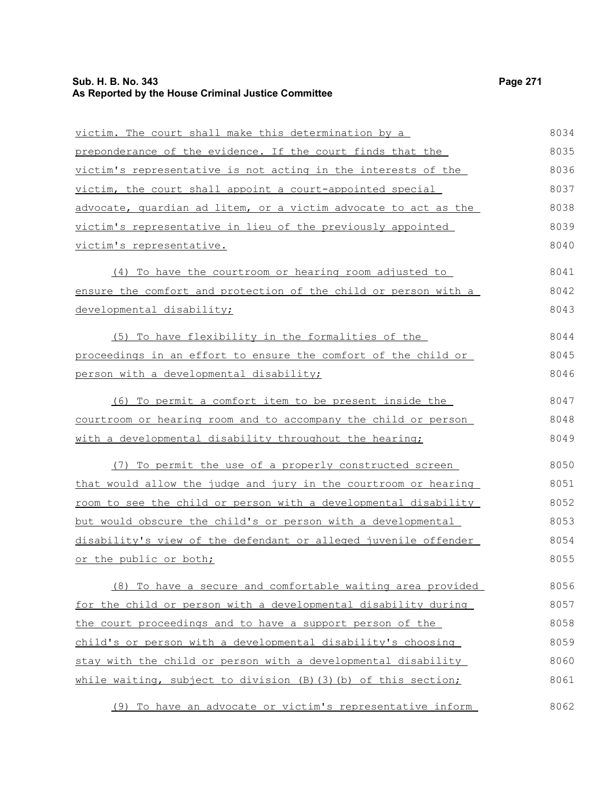# **Sub. H. B. No. 343 Page 271 As Reported by the House Criminal Justice Committee**

| victim. The court shall make this determination by a                  | 8034 |
|-----------------------------------------------------------------------|------|
| preponderance of the evidence. If the court finds that the            | 8035 |
| <u>victim's representative is not acting in the interests of the </u> | 8036 |
| victim, the court shall appoint a court-appointed special             | 8037 |
| advocate, quardian ad litem, or a victim advocate to act as the       | 8038 |
| victim's representative in lieu of the previously appointed           | 8039 |
| victim's representative.                                              | 8040 |
| (4) To have the courtroom or hearing room adjusted to                 | 8041 |
| ensure the comfort and protection of the child or person with a       | 8042 |
| developmental disability;                                             | 8043 |
| (5) To have flexibility in the formalities of the                     | 8044 |
| proceedings in an effort to ensure the comfort of the child or        | 8045 |
| person with a developmental disability;                               | 8046 |
| (6) To permit a comfort item to be present inside the                 | 8047 |
| courtroom or hearing room and to accompany the child or person        | 8048 |
| with a developmental disability throughout the hearing;               | 8049 |
| (7) To permit the use of a properly constructed screen                | 8050 |
| that would allow the judge and jury in the courtroom or hearing       | 8051 |
| room to see the child or person with a developmental disability       | 8052 |
| but would obscure the child's or person with a developmental          | 8053 |
| disability's view of the defendant or alleged juvenile offender       | 8054 |
| or the public or both;                                                | 8055 |
| (8) To have a secure and comfortable waiting area provided            | 8056 |
| for the child or person with a developmental disability during        | 8057 |
| the court proceedings and to have a support person of the             | 8058 |
| child's or person with a developmental disability's choosing          | 8059 |
| stay with the child or person with a developmental disability         | 8060 |
| while waiting, subject to division (B) (3) (b) of this section;       | 8061 |
| (9) To have an advocate or victim's representative inform             | 8062 |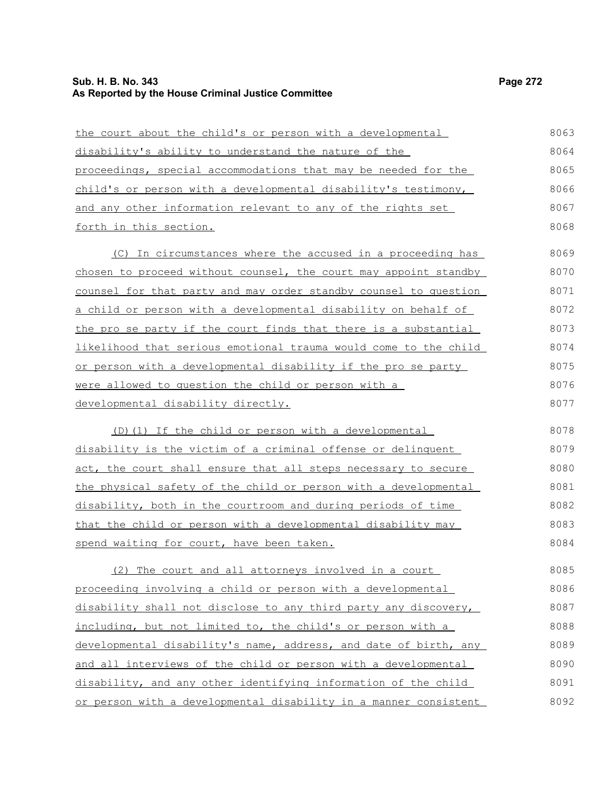# **Sub. H. B. No. 343 Page 272 As Reported by the House Criminal Justice Committee**

| the court about the child's or person with a developmental            | 8063 |
|-----------------------------------------------------------------------|------|
| disability's ability to understand the nature of the                  | 8064 |
| proceedings, special accommodations that may be needed for the        | 8065 |
| child's or person with a developmental disability's testimony,        | 8066 |
| and any other information relevant to any of the rights set           | 8067 |
| forth in this section.                                                | 8068 |
| (C) In circumstances where the accused in a proceeding has            | 8069 |
| chosen to proceed without counsel, the court may appoint standby      | 8070 |
| counsel for that party and may order standby counsel to question      | 8071 |
| <u>a child or person with a developmental disability on behalf of</u> | 8072 |
| the pro se party if the court finds that there is a substantial       | 8073 |
| likelihood that serious emotional trauma would come to the child      | 8074 |
| or person with a developmental disability if the pro se party         | 8075 |
| were allowed to question the child or person with a                   | 8076 |
| developmental disability directly.                                    | 8077 |
| (D) (1) If the child or person with a developmental                   | 8078 |
| <u>disability is the victim of a criminal offense or delinquent</u>   | 8079 |
| act, the court shall ensure that all steps necessary to secure        | 8080 |
| the physical safety of the child or person with a developmental       | 8081 |
| disability, both in the courtroom and during periods of time          | 8082 |
| that the child or person with a developmental disability may          | 8083 |
| spend waiting for court, have been taken.                             | 8084 |
| (2) The court and all attorneys involved in a court                   | 8085 |
| proceeding involving a child or person with a developmental           | 8086 |
| disability shall not disclose to any third party any discovery,       | 8087 |
| including, but not limited to, the child's or person with a           | 8088 |
| developmental disability's name, address, and date of birth, any      | 8089 |
| and all interviews of the child or person with a developmental        | 8090 |
| disability, and any other identifying information of the child        | 8091 |
| or person with a developmental disability in a manner consistent      | 8092 |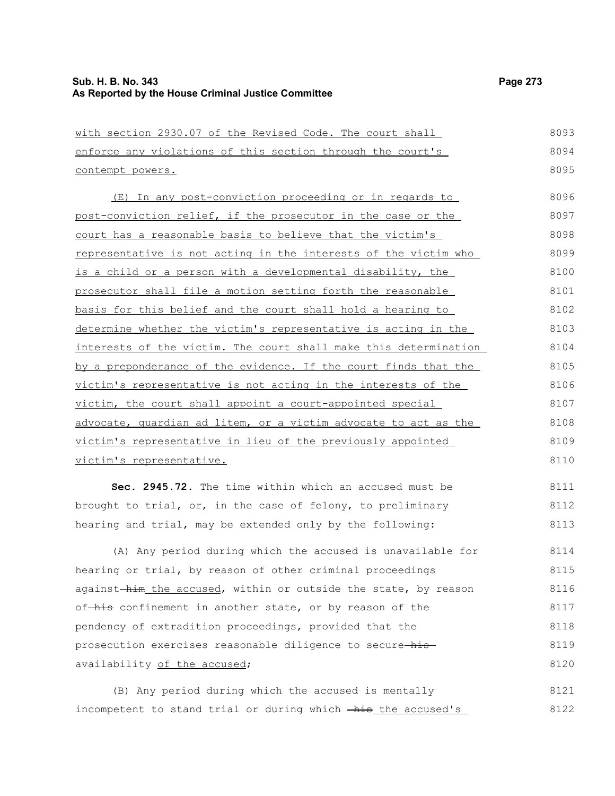| with section 2930.07 of the Revised Code. The court shall        | 8093 |
|------------------------------------------------------------------|------|
| enforce any violations of this section through the court's       | 8094 |
| contempt powers.                                                 | 8095 |
| (E) In any post-conviction proceeding or in regards to           | 8096 |
| post-conviction relief, if the prosecutor in the case or the     | 8097 |
| court has a reasonable basis to believe that the victim's        | 8098 |
| representative is not acting in the interests of the victim who  | 8099 |
| is a child or a person with a developmental disability, the      | 8100 |
| prosecutor shall file a motion setting forth the reasonable      | 8101 |
| basis for this belief and the court shall hold a hearing to      | 8102 |
| determine whether the victim's representative is acting in the   | 8103 |
| interests of the victim. The court shall make this determination | 8104 |
| by a preponderance of the evidence. If the court finds that the  | 8105 |
| victim's representative is not acting in the interests of the    | 8106 |
| victim, the court shall appoint a court-appointed special        | 8107 |
| advocate, quardian ad litem, or a victim advocate to act as the  | 8108 |
| victim's representative in lieu of the previously appointed      | 8109 |
| victim's representative.                                         | 8110 |
| Sec. 2945.72. The time within which an accused must be           | 8111 |
| brought to trial, or, in the case of felony, to preliminary      | 8112 |
| hearing and trial, may be extended only by the following:        | 8113 |
| (A) Any period during which the accused is unavailable for       | 8114 |
| hearing or trial, by reason of other criminal proceedings        | 8115 |
| against-him the accused, within or outside the state, by reason  | 8116 |
| of-his confinement in another state, or by reason of the         | 8117 |
| pendency of extradition proceedings, provided that the           | 8118 |
| prosecution exercises reasonable diligence to secure-his-        | 8119 |
| availability of the accused;                                     | 8120 |
| (B) Any period during which the accused is mentally              | 8121 |
| incompetent to stand trial or during which -his the accused's    | 8122 |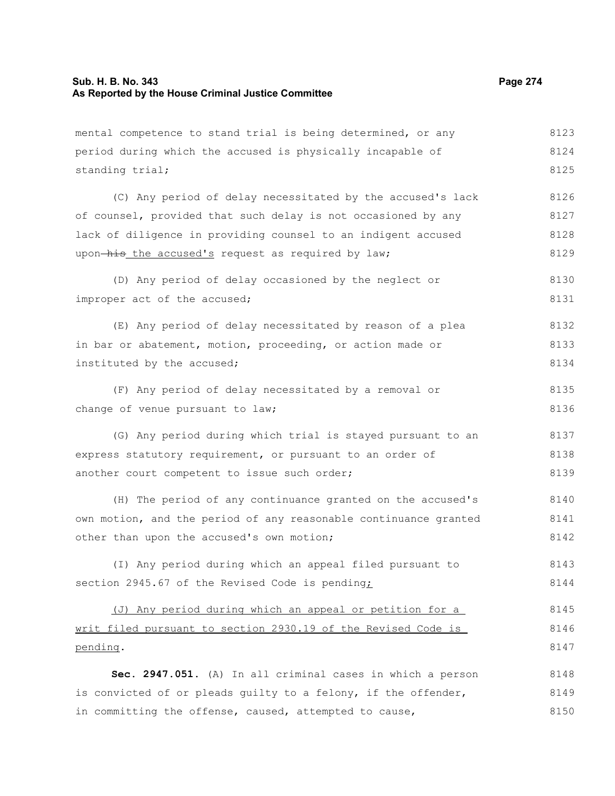### **Sub. H. B. No. 343 Page 274 As Reported by the House Criminal Justice Committee**

pending.

mental competence to stand trial is being determined, or any period during which the accused is physically incapable of standing trial; (C) Any period of delay necessitated by the accused's lack of counsel, provided that such delay is not occasioned by any lack of diligence in providing counsel to an indigent accused upon-his the accused's request as required by law; (D) Any period of delay occasioned by the neglect or improper act of the accused; (E) Any period of delay necessitated by reason of a plea in bar or abatement, motion, proceeding, or action made or instituted by the accused; (F) Any period of delay necessitated by a removal or change of venue pursuant to law; (G) Any period during which trial is stayed pursuant to an express statutory requirement, or pursuant to an order of another court competent to issue such order; (H) The period of any continuance granted on the accused's own motion, and the period of any reasonable continuance granted other than upon the accused's own motion; (I) Any period during which an appeal filed pursuant to 8123 8124 8125 8126 8127 8128 8129 8130 8131 8132 8133 8134 8135 8136 8137 8138 8139 8140 8141 8142 8143

section 2945.67 of the Revised Code is pending; (J) Any period during which an appeal or petition for a writ filed pursuant to section 2930.19 of the Revised Code is 8144 8145 8146

**Sec. 2947.051.** (A) In all criminal cases in which a person is convicted of or pleads guilty to a felony, if the offender, in committing the offense, caused, attempted to cause, 8148 8149 8150

8147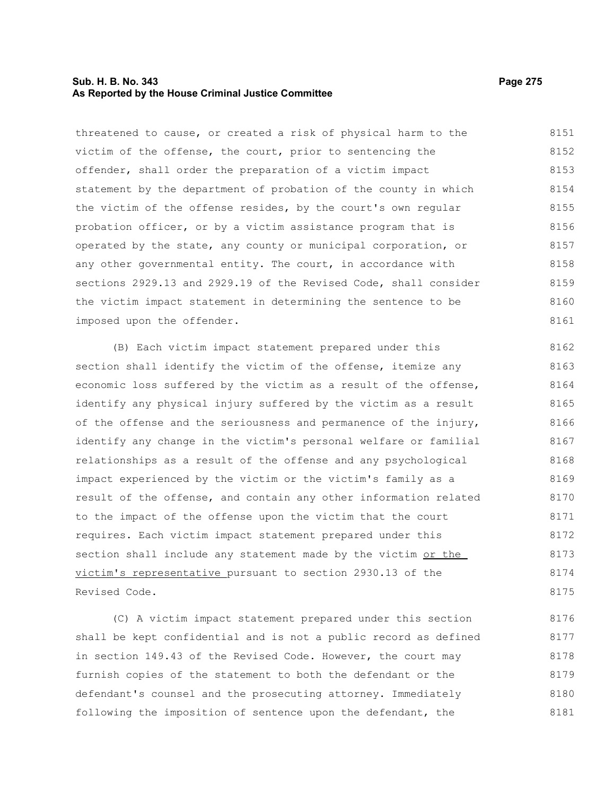### **Sub. H. B. No. 343 Page 275 As Reported by the House Criminal Justice Committee**

threatened to cause, or created a risk of physical harm to the victim of the offense, the court, prior to sentencing the offender, shall order the preparation of a victim impact statement by the department of probation of the county in which the victim of the offense resides, by the court's own regular probation officer, or by a victim assistance program that is operated by the state, any county or municipal corporation, or any other governmental entity. The court, in accordance with sections 2929.13 and 2929.19 of the Revised Code, shall consider the victim impact statement in determining the sentence to be imposed upon the offender. 8151 8152 8153 8154 8155 8156 8157 8158 8159 8160 8161

(B) Each victim impact statement prepared under this section shall identify the victim of the offense, itemize any economic loss suffered by the victim as a result of the offense, identify any physical injury suffered by the victim as a result of the offense and the seriousness and permanence of the injury, identify any change in the victim's personal welfare or familial relationships as a result of the offense and any psychological impact experienced by the victim or the victim's family as a result of the offense, and contain any other information related to the impact of the offense upon the victim that the court requires. Each victim impact statement prepared under this section shall include any statement made by the victim or the victim's representative pursuant to section 2930.13 of the Revised Code. 8162 8163 8164 8165 8166 8167 8168 8169 8170 8171 8172 8173 8174 8175

(C) A victim impact statement prepared under this section shall be kept confidential and is not a public record as defined in section 149.43 of the Revised Code. However, the court may furnish copies of the statement to both the defendant or the defendant's counsel and the prosecuting attorney. Immediately following the imposition of sentence upon the defendant, the 8176 8177 8178 8179 8180 8181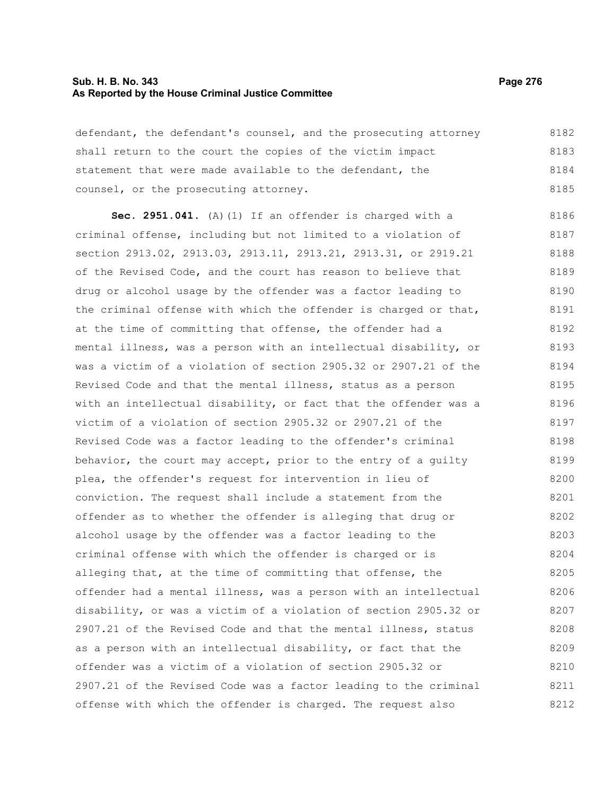### **Sub. H. B. No. 343 Page 276 As Reported by the House Criminal Justice Committee**

defendant, the defendant's counsel, and the prosecuting attorney shall return to the court the copies of the victim impact statement that were made available to the defendant, the counsel, or the prosecuting attorney. 8182 8183 8184 8185

**Sec. 2951.041.** (A)(1) If an offender is charged with a criminal offense, including but not limited to a violation of section 2913.02, 2913.03, 2913.11, 2913.21, 2913.31, or 2919.21 of the Revised Code, and the court has reason to believe that drug or alcohol usage by the offender was a factor leading to the criminal offense with which the offender is charged or that, at the time of committing that offense, the offender had a mental illness, was a person with an intellectual disability, or was a victim of a violation of section 2905.32 or 2907.21 of the Revised Code and that the mental illness, status as a person with an intellectual disability, or fact that the offender was a victim of a violation of section 2905.32 or 2907.21 of the Revised Code was a factor leading to the offender's criminal behavior, the court may accept, prior to the entry of a guilty plea, the offender's request for intervention in lieu of conviction. The request shall include a statement from the offender as to whether the offender is alleging that drug or alcohol usage by the offender was a factor leading to the criminal offense with which the offender is charged or is alleging that, at the time of committing that offense, the offender had a mental illness, was a person with an intellectual disability, or was a victim of a violation of section 2905.32 or 2907.21 of the Revised Code and that the mental illness, status as a person with an intellectual disability, or fact that the offender was a victim of a violation of section 2905.32 or 2907.21 of the Revised Code was a factor leading to the criminal offense with which the offender is charged. The request also 8186 8187 8188 8189 8190 8191 8192 8193 8194 8195 8196 8197 8198 8199 8200 8201 8202 8203 8204 8205 8206 8207 8208 8209 8210 8211 8212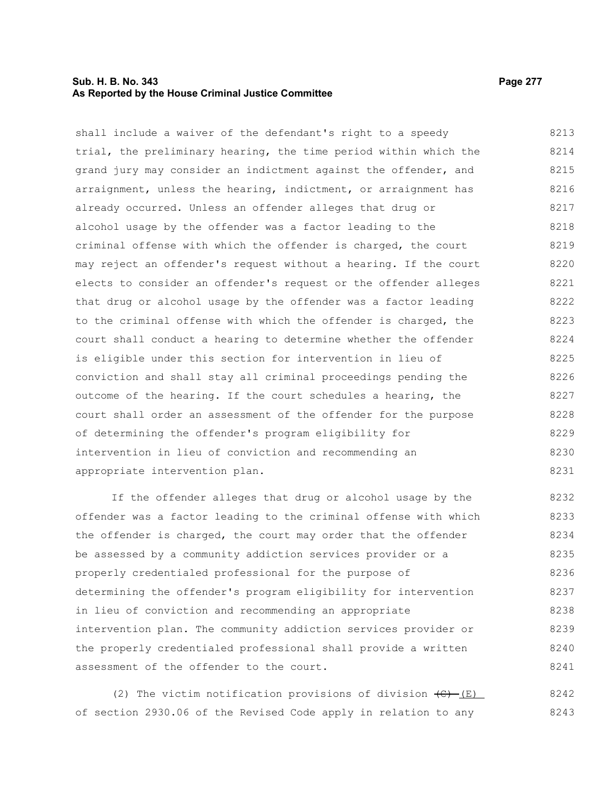### **Sub. H. B. No. 343 Page 277 As Reported by the House Criminal Justice Committee**

shall include a waiver of the defendant's right to a speedy trial, the preliminary hearing, the time period within which the grand jury may consider an indictment against the offender, and arraignment, unless the hearing, indictment, or arraignment has already occurred. Unless an offender alleges that drug or alcohol usage by the offender was a factor leading to the criminal offense with which the offender is charged, the court may reject an offender's request without a hearing. If the court elects to consider an offender's request or the offender alleges that drug or alcohol usage by the offender was a factor leading to the criminal offense with which the offender is charged, the court shall conduct a hearing to determine whether the offender is eligible under this section for intervention in lieu of conviction and shall stay all criminal proceedings pending the outcome of the hearing. If the court schedules a hearing, the court shall order an assessment of the offender for the purpose of determining the offender's program eligibility for intervention in lieu of conviction and recommending an appropriate intervention plan. 8213 8214 8215 8216 8217 8218 8219 8220 8221 8222 8223 8224 8225 8226 8227 8228 8229 8230 8231

If the offender alleges that drug or alcohol usage by the offender was a factor leading to the criminal offense with which the offender is charged, the court may order that the offender be assessed by a community addiction services provider or a properly credentialed professional for the purpose of determining the offender's program eligibility for intervention in lieu of conviction and recommending an appropriate intervention plan. The community addiction services provider or the properly credentialed professional shall provide a written assessment of the offender to the court. 8232 8233 8234 8235 8236 8237 8238 8239 8240 8241

(2) The victim notification provisions of division  $\left(\frac{E}{E}\right)$ of section 2930.06 of the Revised Code apply in relation to any 8242 8243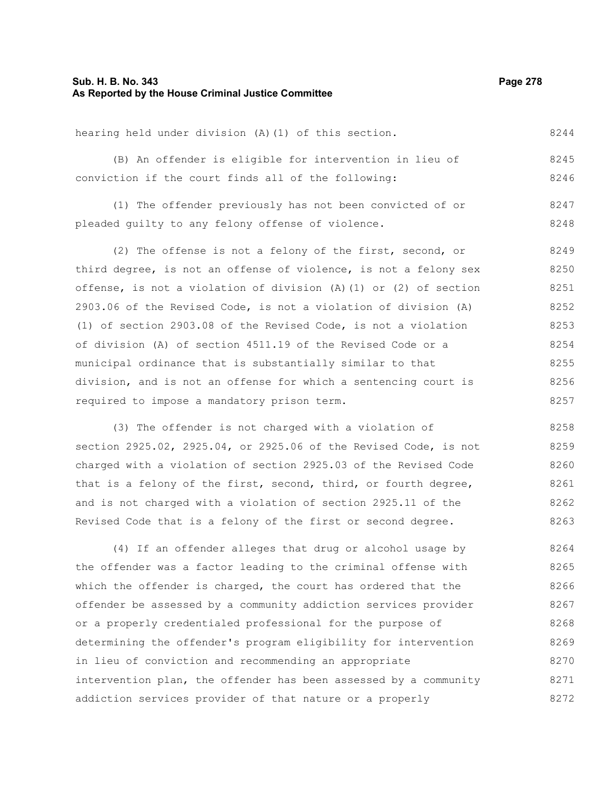### **Sub. H. B. No. 343 Page 278 As Reported by the House Criminal Justice Committee**

8244

hearing held under division (A)(1) of this section.

(B) An offender is eligible for intervention in lieu of conviction if the court finds all of the following: 8245 8246

(1) The offender previously has not been convicted of or pleaded guilty to any felony offense of violence. 8247 8248

(2) The offense is not a felony of the first, second, or third degree, is not an offense of violence, is not a felony sex offense, is not a violation of division (A)(1) or (2) of section 2903.06 of the Revised Code, is not a violation of division (A) (1) of section 2903.08 of the Revised Code, is not a violation of division (A) of section 4511.19 of the Revised Code or a municipal ordinance that is substantially similar to that division, and is not an offense for which a sentencing court is required to impose a mandatory prison term. 8249 8250 8251 8252 8253 8254 8255 8256 8257

(3) The offender is not charged with a violation of section 2925.02, 2925.04, or 2925.06 of the Revised Code, is not charged with a violation of section 2925.03 of the Revised Code that is a felony of the first, second, third, or fourth degree, and is not charged with a violation of section 2925.11 of the Revised Code that is a felony of the first or second degree. 8258 8259 8260 8261 8262 8263

(4) If an offender alleges that drug or alcohol usage by the offender was a factor leading to the criminal offense with which the offender is charged, the court has ordered that the offender be assessed by a community addiction services provider or a properly credentialed professional for the purpose of determining the offender's program eligibility for intervention in lieu of conviction and recommending an appropriate intervention plan, the offender has been assessed by a community addiction services provider of that nature or a properly 8264 8265 8266 8267 8268 8269 8270 8271 8272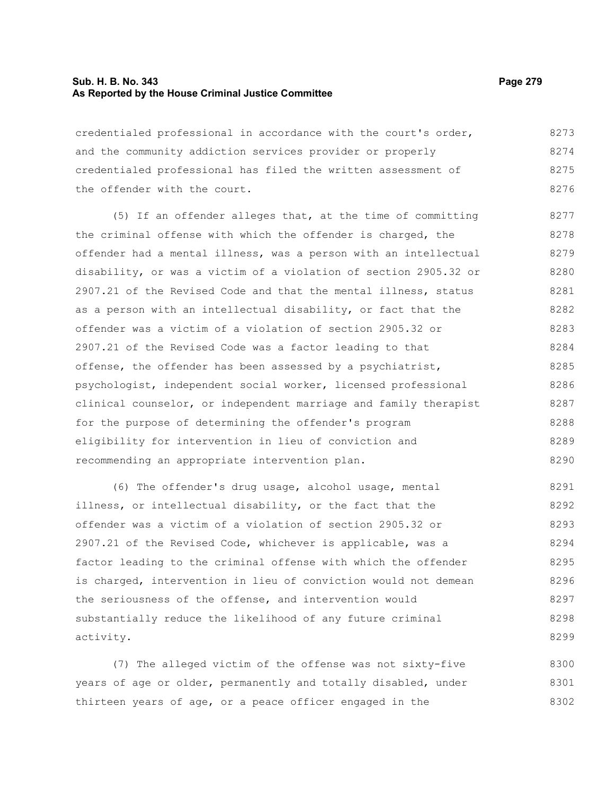### **Sub. H. B. No. 343** Page 279 **As Reported by the House Criminal Justice Committee**

credentialed professional in accordance with the court's order, and the community addiction services provider or properly credentialed professional has filed the written assessment of the offender with the court. 8273 8274 8275 8276

(5) If an offender alleges that, at the time of committing the criminal offense with which the offender is charged, the offender had a mental illness, was a person with an intellectual disability, or was a victim of a violation of section 2905.32 or 2907.21 of the Revised Code and that the mental illness, status as a person with an intellectual disability, or fact that the offender was a victim of a violation of section 2905.32 or 2907.21 of the Revised Code was a factor leading to that offense, the offender has been assessed by a psychiatrist, psychologist, independent social worker, licensed professional clinical counselor, or independent marriage and family therapist for the purpose of determining the offender's program eligibility for intervention in lieu of conviction and recommending an appropriate intervention plan. 8277 8278 8279 8280 8281 8282 8283 8284 8285 8286 8287 8288 8289 8290

(6) The offender's drug usage, alcohol usage, mental illness, or intellectual disability, or the fact that the offender was a victim of a violation of section 2905.32 or 2907.21 of the Revised Code, whichever is applicable, was a factor leading to the criminal offense with which the offender is charged, intervention in lieu of conviction would not demean the seriousness of the offense, and intervention would substantially reduce the likelihood of any future criminal activity. 8291 8292 8293 8294 8295 8296 8297 8298 8299

(7) The alleged victim of the offense was not sixty-five years of age or older, permanently and totally disabled, under thirteen years of age, or a peace officer engaged in the 8300 8301 8302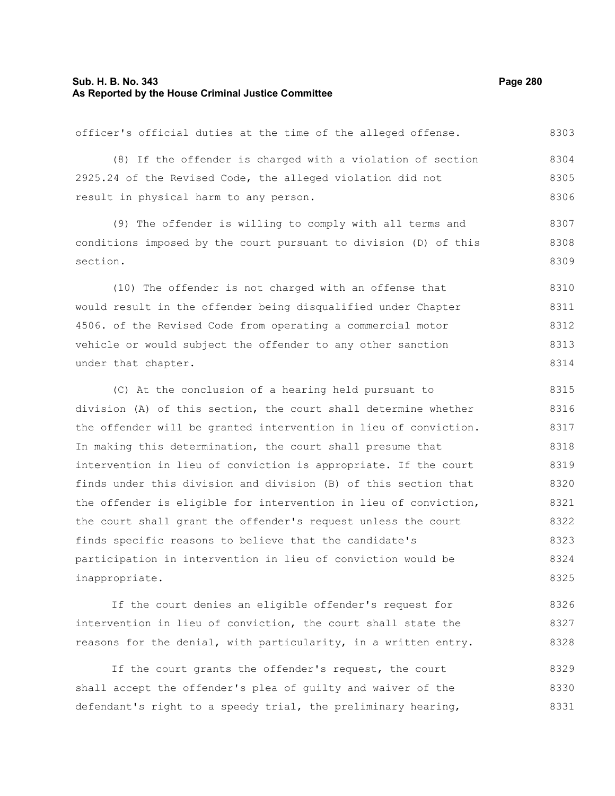# **Sub. H. B. No. 343 Page 280 As Reported by the House Criminal Justice Committee**

| officer's official duties at the time of the alleged offense.    | 8303 |
|------------------------------------------------------------------|------|
| (8) If the offender is charged with a violation of section       | 8304 |
| 2925.24 of the Revised Code, the alleged violation did not       | 8305 |
| result in physical harm to any person.                           | 8306 |
| (9) The offender is willing to comply with all terms and         | 8307 |
| conditions imposed by the court pursuant to division (D) of this | 8308 |
| section.                                                         | 8309 |
| (10) The offender is not charged with an offense that            | 8310 |
| would result in the offender being disqualified under Chapter    | 8311 |
| 4506. of the Revised Code from operating a commercial motor      | 8312 |
| vehicle or would subject the offender to any other sanction      | 8313 |
| under that chapter.                                              | 8314 |
| (C) At the conclusion of a hearing held pursuant to              | 8315 |
| division (A) of this section, the court shall determine whether  | 8316 |
| the offender will be granted intervention in lieu of conviction. | 8317 |
| In making this determination, the court shall presume that       | 8318 |
| intervention in lieu of conviction is appropriate. If the court  | 8319 |
| finds under this division and division (B) of this section that  | 8320 |
| the offender is eligible for intervention in lieu of conviction, | 8321 |
| the court shall grant the offender's request unless the court    | 8322 |
| finds specific reasons to believe that the candidate's           | 8323 |
| participation in intervention in lieu of conviction would be     | 8324 |
| inappropriate.                                                   | 8325 |
| If the court denies an eligible offender's request for           | 8326 |
| intervention in lieu of conviction, the court shall state the    | 8327 |
| reasons for the denial, with particularity, in a written entry.  | 8328 |
| If the court grants the offender's request, the court            | 8329 |
| shall accept the offender's plea of guilty and waiver of the     | 8330 |

defendant's right to a speedy trial, the preliminary hearing, 8331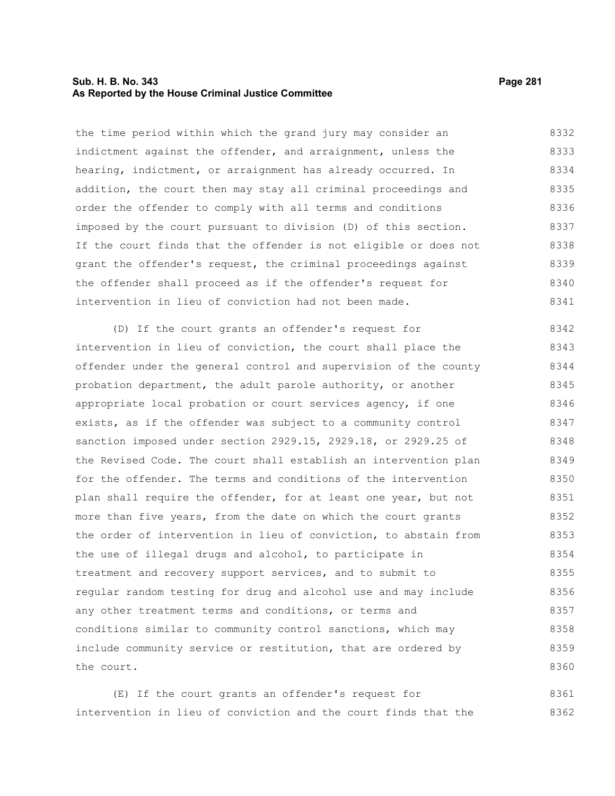### **Sub. H. B. No. 343** Page 281 **As Reported by the House Criminal Justice Committee**

the time period within which the grand jury may consider an indictment against the offender, and arraignment, unless the hearing, indictment, or arraignment has already occurred. In addition, the court then may stay all criminal proceedings and order the offender to comply with all terms and conditions imposed by the court pursuant to division (D) of this section. If the court finds that the offender is not eligible or does not grant the offender's request, the criminal proceedings against the offender shall proceed as if the offender's request for intervention in lieu of conviction had not been made. 8332 8333 8334 8335 8336 8337 8338 8339 8340 8341

(D) If the court grants an offender's request for intervention in lieu of conviction, the court shall place the offender under the general control and supervision of the county probation department, the adult parole authority, or another appropriate local probation or court services agency, if one exists, as if the offender was subject to a community control sanction imposed under section 2929.15, 2929.18, or 2929.25 of the Revised Code. The court shall establish an intervention plan for the offender. The terms and conditions of the intervention plan shall require the offender, for at least one year, but not more than five years, from the date on which the court grants the order of intervention in lieu of conviction, to abstain from the use of illegal drugs and alcohol, to participate in treatment and recovery support services, and to submit to regular random testing for drug and alcohol use and may include any other treatment terms and conditions, or terms and conditions similar to community control sanctions, which may include community service or restitution, that are ordered by the court. 8342 8343 8344 8345 8346 8347 8348 8349 8350 8351 8352 8353 8354 8355 8356 8357 8358 8359 8360

(E) If the court grants an offender's request for intervention in lieu of conviction and the court finds that the 8361 8362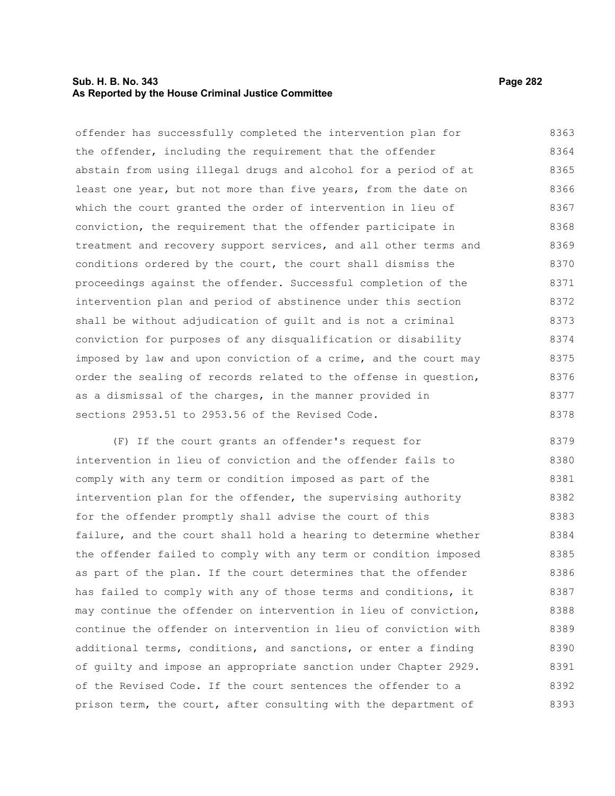### **Sub. H. B. No. 343 Page 282 As Reported by the House Criminal Justice Committee**

offender has successfully completed the intervention plan for the offender, including the requirement that the offender abstain from using illegal drugs and alcohol for a period of at least one year, but not more than five years, from the date on which the court granted the order of intervention in lieu of conviction, the requirement that the offender participate in treatment and recovery support services, and all other terms and conditions ordered by the court, the court shall dismiss the proceedings against the offender. Successful completion of the intervention plan and period of abstinence under this section shall be without adjudication of guilt and is not a criminal conviction for purposes of any disqualification or disability imposed by law and upon conviction of a crime, and the court may order the sealing of records related to the offense in question, as a dismissal of the charges, in the manner provided in sections 2953.51 to 2953.56 of the Revised Code. 8363 8364 8365 8366 8367 8368 8369 8370 8371 8372 8373 8374 8375 8376 8377 8378

(F) If the court grants an offender's request for intervention in lieu of conviction and the offender fails to comply with any term or condition imposed as part of the intervention plan for the offender, the supervising authority for the offender promptly shall advise the court of this failure, and the court shall hold a hearing to determine whether the offender failed to comply with any term or condition imposed as part of the plan. If the court determines that the offender has failed to comply with any of those terms and conditions, it may continue the offender on intervention in lieu of conviction, continue the offender on intervention in lieu of conviction with additional terms, conditions, and sanctions, or enter a finding of guilty and impose an appropriate sanction under Chapter 2929. of the Revised Code. If the court sentences the offender to a prison term, the court, after consulting with the department of 8379 8380 8381 8382 8383 8384 8385 8386 8387 8388 8389 8390 8391 8392 8393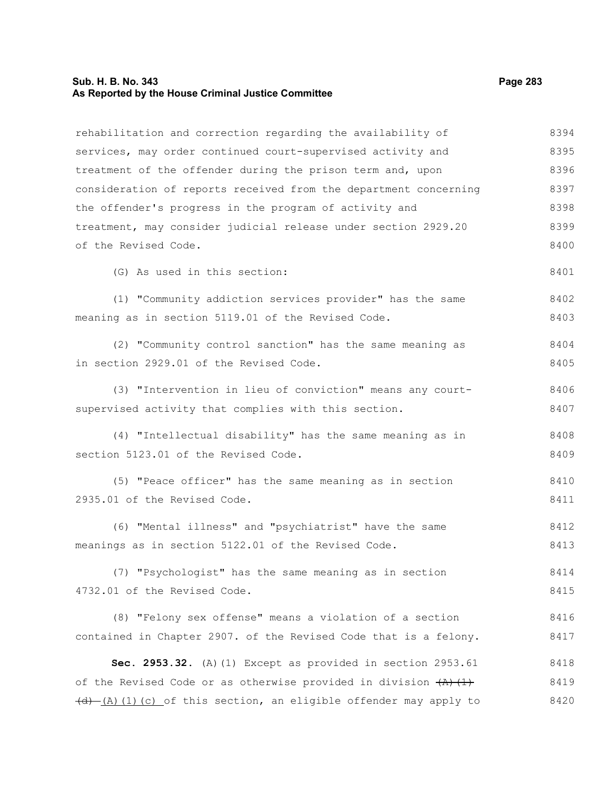### **Sub. H. B. No. 343 Page 283 As Reported by the House Criminal Justice Committee**

rehabilitation and correction regarding the availability of services, may order continued court-supervised activity and treatment of the offender during the prison term and, upon consideration of reports received from the department concerning the offender's progress in the program of activity and treatment, may consider judicial release under section 2929.20 of the Revised Code. (G) As used in this section: (1) "Community addiction services provider" has the same meaning as in section 5119.01 of the Revised Code. (2) "Community control sanction" has the same meaning as in section 2929.01 of the Revised Code. (3) "Intervention in lieu of conviction" means any courtsupervised activity that complies with this section. (4) "Intellectual disability" has the same meaning as in section 5123.01 of the Revised Code. (5) "Peace officer" has the same meaning as in section 2935.01 of the Revised Code. (6) "Mental illness" and "psychiatrist" have the same meanings as in section 5122.01 of the Revised Code. (7) "Psychologist" has the same meaning as in section 4732.01 of the Revised Code. (8) "Felony sex offense" means a violation of a section contained in Chapter 2907. of the Revised Code that is a felony. **Sec. 2953.32.** (A)(1) Except as provided in section 2953.61 of the Revised Code or as otherwise provided in division  $+A$ )  $(1)$  $(d)$  (A)(1)(c) of this section, an eligible offender may apply to 8394 8395 8396 8397 8398 8399 8400 8401 8402 8403 8404 8405 8406 8407 8408 8409 8410 8411 8412 8413 8414 8415 8416 8417 8418 8419 8420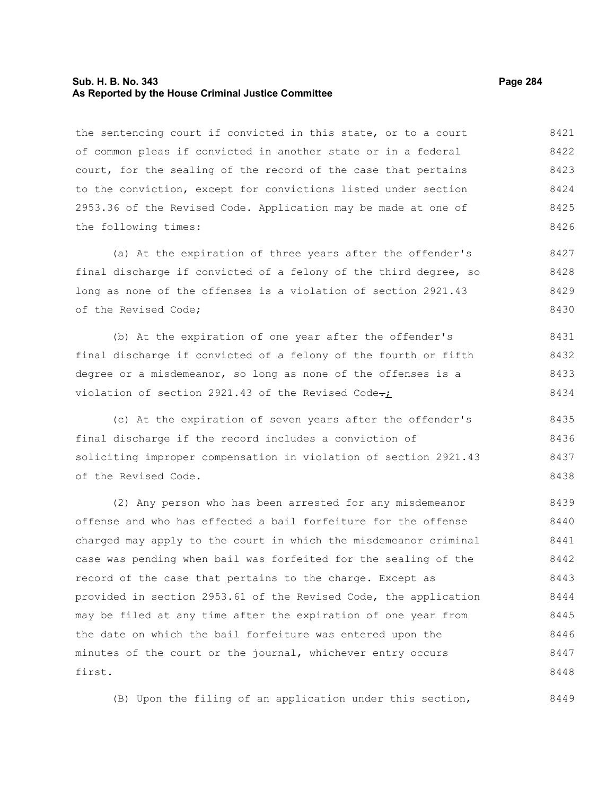#### **Sub. H. B. No. 343 Page 284 As Reported by the House Criminal Justice Committee**

the sentencing court if convicted in this state, or to a court of common pleas if convicted in another state or in a federal court, for the sealing of the record of the case that pertains to the conviction, except for convictions listed under section 2953.36 of the Revised Code. Application may be made at one of the following times: 8421 8422 8423 8424 8425 8426

(a) At the expiration of three years after the offender's final discharge if convicted of a felony of the third degree, so long as none of the offenses is a violation of section 2921.43 of the Revised Code; 8427 8428 8429 8430

(b) At the expiration of one year after the offender's final discharge if convicted of a felony of the fourth or fifth degree or a misdemeanor, so long as none of the offenses is a violation of section 2921.43 of the Revised Code- $\dot{z}$ 8431 8432 8433 8434

(c) At the expiration of seven years after the offender's final discharge if the record includes a conviction of soliciting improper compensation in violation of section 2921.43 of the Revised Code. 8435 8436 8437 8438

(2) Any person who has been arrested for any misdemeanor offense and who has effected a bail forfeiture for the offense charged may apply to the court in which the misdemeanor criminal case was pending when bail was forfeited for the sealing of the record of the case that pertains to the charge. Except as provided in section 2953.61 of the Revised Code, the application may be filed at any time after the expiration of one year from the date on which the bail forfeiture was entered upon the minutes of the court or the journal, whichever entry occurs first. 8439 8440 8441 8442 8443 8444 8445 8446 8447 8448

(B) Upon the filing of an application under this section, 8449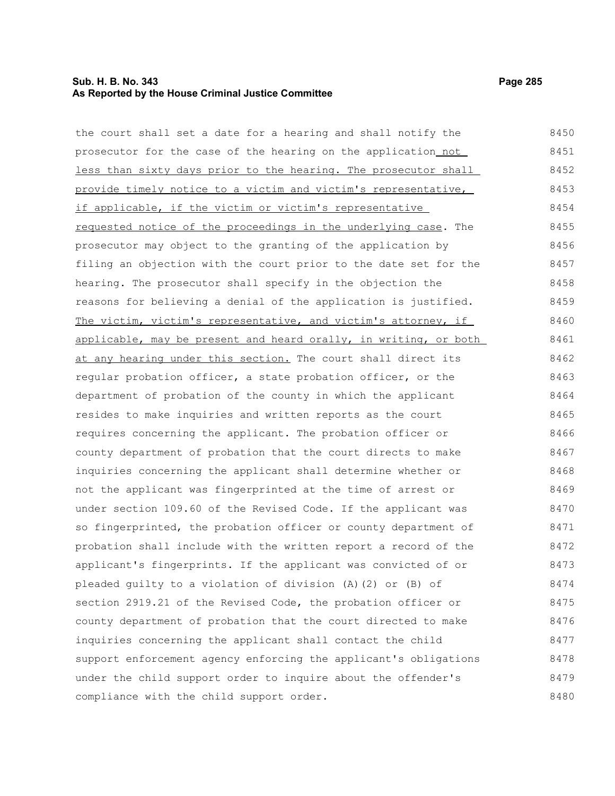### **Sub. H. B. No. 343 Page 285 As Reported by the House Criminal Justice Committee**

the court shall set a date for a hearing and shall notify the

prosecutor for the case of the hearing on the application not less than sixty days prior to the hearing. The prosecutor shall provide timely notice to a victim and victim's representative, if applicable, if the victim or victim's representative requested notice of the proceedings in the underlying case. The prosecutor may object to the granting of the application by filing an objection with the court prior to the date set for the hearing. The prosecutor shall specify in the objection the reasons for believing a denial of the application is justified. The victim, victim's representative, and victim's attorney, if applicable, may be present and heard orally, in writing, or both at any hearing under this section. The court shall direct its regular probation officer, a state probation officer, or the department of probation of the county in which the applicant resides to make inquiries and written reports as the court requires concerning the applicant. The probation officer or county department of probation that the court directs to make inquiries concerning the applicant shall determine whether or not the applicant was fingerprinted at the time of arrest or under section 109.60 of the Revised Code. If the applicant was so fingerprinted, the probation officer or county department of probation shall include with the written report a record of the applicant's fingerprints. If the applicant was convicted of or pleaded guilty to a violation of division (A)(2) or (B) of section 2919.21 of the Revised Code, the probation officer or county department of probation that the court directed to make inquiries concerning the applicant shall contact the child support enforcement agency enforcing the applicant's obligations under the child support order to inquire about the offender's compliance with the child support order. 8451 8452 8453 8454 8455 8456 8457 8458 8459 8460 8461 8462 8463 8464 8465 8466 8467 8468 8469 8470 8471 8472 8473 8474 8475 8476 8477 8478 8479 8480

8450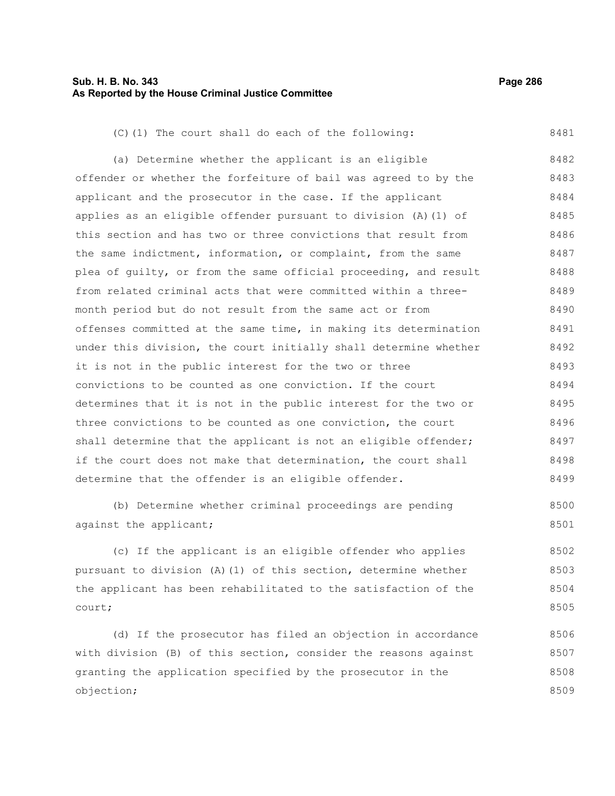### **Sub. H. B. No. 343 Page 286 As Reported by the House Criminal Justice Committee**

8481

(C)(1) The court shall do each of the following:

(a) Determine whether the applicant is an eligible offender or whether the forfeiture of bail was agreed to by the applicant and the prosecutor in the case. If the applicant applies as an eligible offender pursuant to division (A)(1) of this section and has two or three convictions that result from the same indictment, information, or complaint, from the same plea of guilty, or from the same official proceeding, and result from related criminal acts that were committed within a threemonth period but do not result from the same act or from offenses committed at the same time, in making its determination under this division, the court initially shall determine whether it is not in the public interest for the two or three convictions to be counted as one conviction. If the court determines that it is not in the public interest for the two or three convictions to be counted as one conviction, the court shall determine that the applicant is not an eligible offender; if the court does not make that determination, the court shall determine that the offender is an eligible offender. 8482 8483 8484 8485 8486 8487 8488 8489 8490 8491 8492 8493 8494 8495 8496 8497 8498 8499

(b) Determine whether criminal proceedings are pending against the applicant; 8500 8501

(c) If the applicant is an eligible offender who applies pursuant to division (A)(1) of this section, determine whether the applicant has been rehabilitated to the satisfaction of the court; 8502 8503 8504 8505

(d) If the prosecutor has filed an objection in accordance with division (B) of this section, consider the reasons against granting the application specified by the prosecutor in the objection; 8506 8507 8508 8509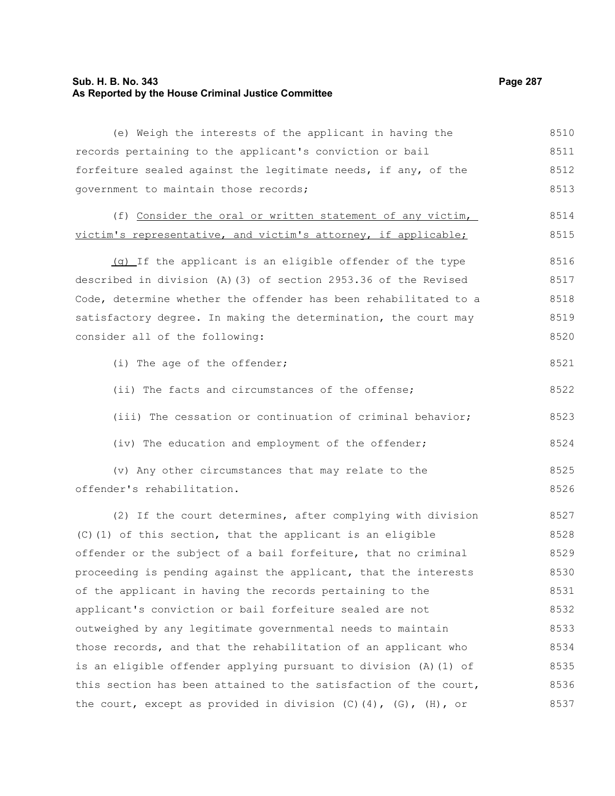### **Sub. H. B. No. 343 Page 287 As Reported by the House Criminal Justice Committee**

(e) Weigh the interests of the applicant in having the records pertaining to the applicant's conviction or bail forfeiture sealed against the legitimate needs, if any, of the government to maintain those records; (f) Consider the oral or written statement of any victim, victim's representative, and victim's attorney, if applicable; (g) If the applicant is an eligible offender of the type described in division (A)(3) of section 2953.36 of the Revised Code, determine whether the offender has been rehabilitated to a satisfactory degree. In making the determination, the court may consider all of the following: (i) The age of the offender; (ii) The facts and circumstances of the offense; (iii) The cessation or continuation of criminal behavior; (iv) The education and employment of the offender; (v) Any other circumstances that may relate to the offender's rehabilitation. (2) If the court determines, after complying with division (C)(1) of this section, that the applicant is an eligible offender or the subject of a bail forfeiture, that no criminal proceeding is pending against the applicant, that the interests of the applicant in having the records pertaining to the applicant's conviction or bail forfeiture sealed are not outweighed by any legitimate governmental needs to maintain those records, and that the rehabilitation of an applicant who is an eligible offender applying pursuant to division (A)(1) of this section has been attained to the satisfaction of the court, 8510 8511 8512 8513 8514 8515 8516 8517 8518 8519 8520 8521 8522 8523 8524 8525 8526 8527 8528 8529 8530 8531 8532 8533 8534 8535 8536

the court, except as provided in division  $(C)$  (4),  $(G)$ ,  $(H)$ , or

8537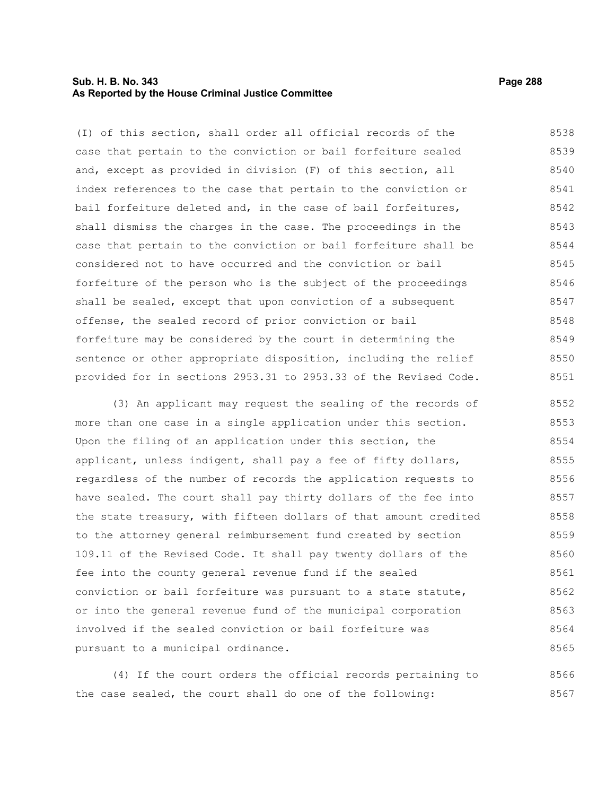### **Sub. H. B. No. 343 Page 288 As Reported by the House Criminal Justice Committee**

(I) of this section, shall order all official records of the case that pertain to the conviction or bail forfeiture sealed and, except as provided in division (F) of this section, all index references to the case that pertain to the conviction or bail forfeiture deleted and, in the case of bail forfeitures, shall dismiss the charges in the case. The proceedings in the case that pertain to the conviction or bail forfeiture shall be considered not to have occurred and the conviction or bail forfeiture of the person who is the subject of the proceedings shall be sealed, except that upon conviction of a subsequent offense, the sealed record of prior conviction or bail forfeiture may be considered by the court in determining the sentence or other appropriate disposition, including the relief provided for in sections 2953.31 to 2953.33 of the Revised Code. 8538 8539 8540 8541 8542 8543 8544 8545 8546 8547 8548 8549 8550 8551

(3) An applicant may request the sealing of the records of more than one case in a single application under this section. Upon the filing of an application under this section, the applicant, unless indigent, shall pay a fee of fifty dollars, regardless of the number of records the application requests to have sealed. The court shall pay thirty dollars of the fee into the state treasury, with fifteen dollars of that amount credited to the attorney general reimbursement fund created by section 109.11 of the Revised Code. It shall pay twenty dollars of the fee into the county general revenue fund if the sealed conviction or bail forfeiture was pursuant to a state statute, or into the general revenue fund of the municipal corporation involved if the sealed conviction or bail forfeiture was pursuant to a municipal ordinance. 8552 8553 8554 8555 8556 8557 8558 8559 8560 8561 8562 8563 8564 8565

(4) If the court orders the official records pertaining to the case sealed, the court shall do one of the following: 8566 8567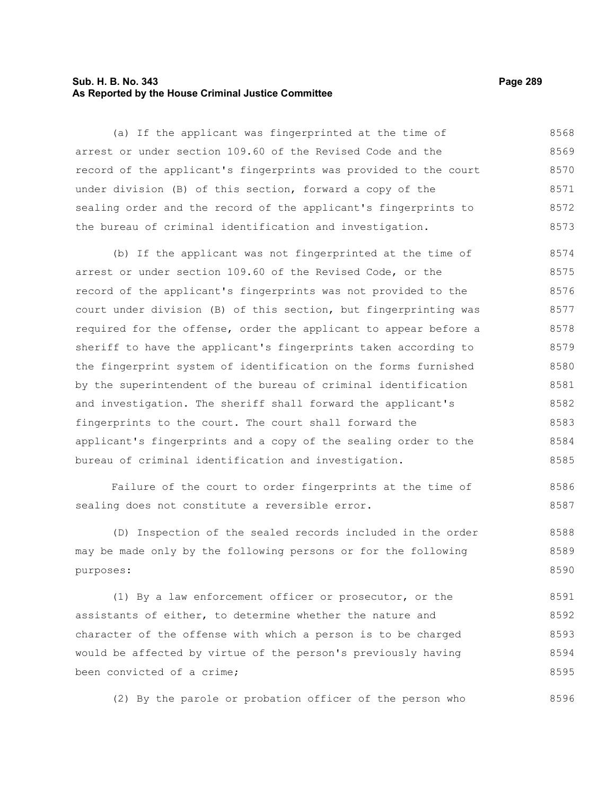### **Sub. H. B. No. 343 Page 289 As Reported by the House Criminal Justice Committee**

(a) If the applicant was fingerprinted at the time of arrest or under section 109.60 of the Revised Code and the record of the applicant's fingerprints was provided to the court under division (B) of this section, forward a copy of the sealing order and the record of the applicant's fingerprints to the bureau of criminal identification and investigation. 8568 8569 8570 8571 8572 8573

(b) If the applicant was not fingerprinted at the time of arrest or under section 109.60 of the Revised Code, or the record of the applicant's fingerprints was not provided to the court under division (B) of this section, but fingerprinting was required for the offense, order the applicant to appear before a sheriff to have the applicant's fingerprints taken according to the fingerprint system of identification on the forms furnished by the superintendent of the bureau of criminal identification and investigation. The sheriff shall forward the applicant's fingerprints to the court. The court shall forward the applicant's fingerprints and a copy of the sealing order to the bureau of criminal identification and investigation. 8574 8575 8576 8577 8578 8579 8580 8581 8582 8583 8584 8585

Failure of the court to order fingerprints at the time of sealing does not constitute a reversible error. 8586 8587

(D) Inspection of the sealed records included in the order may be made only by the following persons or for the following purposes: 8588 8589 8590

(1) By a law enforcement officer or prosecutor, or the assistants of either, to determine whether the nature and character of the offense with which a person is to be charged would be affected by virtue of the person's previously having been convicted of a crime; 8591 8592 8593 8594 8595

(2) By the parole or probation officer of the person who

8596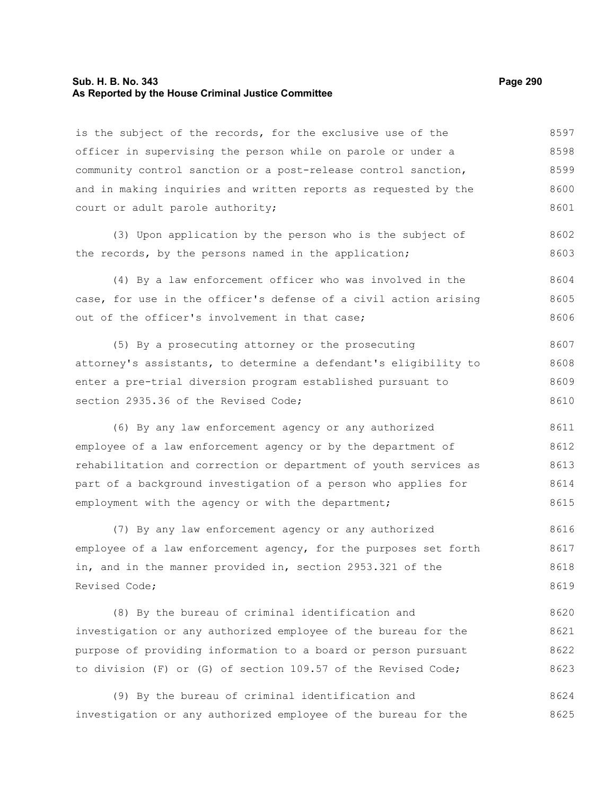### **Sub. H. B. No. 343 Page 290 As Reported by the House Criminal Justice Committee**

is the subject of the records, for the exclusive use of the officer in supervising the person while on parole or under a community control sanction or a post-release control sanction, and in making inquiries and written reports as requested by the court or adult parole authority; 8597 8598 8599 8600 8601

(3) Upon application by the person who is the subject of the records, by the persons named in the application; 8602 8603

(4) By a law enforcement officer who was involved in the case, for use in the officer's defense of a civil action arising out of the officer's involvement in that case; 8604 8605 8606

(5) By a prosecuting attorney or the prosecuting attorney's assistants, to determine a defendant's eligibility to enter a pre-trial diversion program established pursuant to section 2935.36 of the Revised Code; 8607 8608 8609 8610

(6) By any law enforcement agency or any authorized employee of a law enforcement agency or by the department of rehabilitation and correction or department of youth services as part of a background investigation of a person who applies for employment with the agency or with the department; 8611 8612 8613 8614 8615

(7) By any law enforcement agency or any authorized employee of a law enforcement agency, for the purposes set forth in, and in the manner provided in, section 2953.321 of the Revised Code; 8616 8617 8618 8619

(8) By the bureau of criminal identification and investigation or any authorized employee of the bureau for the purpose of providing information to a board or person pursuant to division (F) or (G) of section 109.57 of the Revised Code; 8620 8621 8622 8623

(9) By the bureau of criminal identification and investigation or any authorized employee of the bureau for the 8624 8625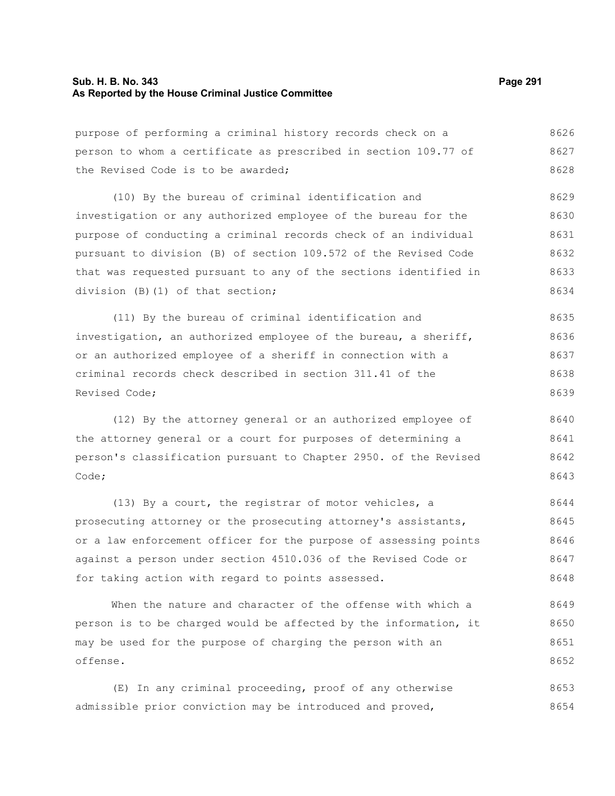## **Sub. H. B. No. 343** Page 291 **As Reported by the House Criminal Justice Committee**

purpose of performing a criminal history records check on a person to whom a certificate as prescribed in section 109.77 of the Revised Code is to be awarded; 8626 8627 8628

(10) By the bureau of criminal identification and investigation or any authorized employee of the bureau for the purpose of conducting a criminal records check of an individual pursuant to division (B) of section 109.572 of the Revised Code that was requested pursuant to any of the sections identified in division (B)(1) of that section; 8629 8630 8631 8632 8633 8634

(11) By the bureau of criminal identification and investigation, an authorized employee of the bureau, a sheriff, or an authorized employee of a sheriff in connection with a criminal records check described in section 311.41 of the Revised Code; 8635 8636 8637 8638 8639

(12) By the attorney general or an authorized employee of the attorney general or a court for purposes of determining a person's classification pursuant to Chapter 2950. of the Revised Code; 8640 8641 8642 8643

(13) By a court, the registrar of motor vehicles, a prosecuting attorney or the prosecuting attorney's assistants, or a law enforcement officer for the purpose of assessing points against a person under section 4510.036 of the Revised Code or for taking action with regard to points assessed. 8644 8645 8646 8647 8648

When the nature and character of the offense with which a person is to be charged would be affected by the information, it may be used for the purpose of charging the person with an offense. 8649 8650 8651 8652

(E) In any criminal proceeding, proof of any otherwise admissible prior conviction may be introduced and proved, 8653 8654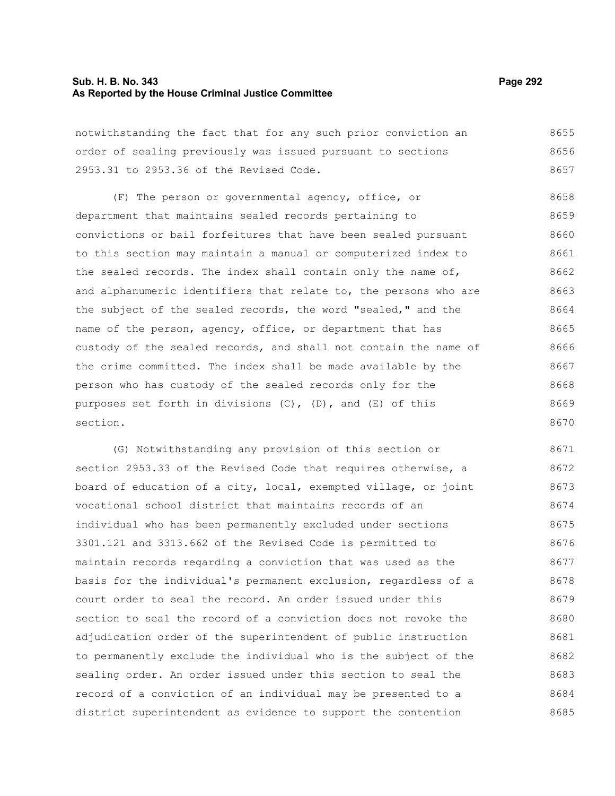## **Sub. H. B. No. 343 Page 292 As Reported by the House Criminal Justice Committee**

notwithstanding the fact that for any such prior conviction an order of sealing previously was issued pursuant to sections 2953.31 to 2953.36 of the Revised Code. 8655 8656 8657

(F) The person or governmental agency, office, or department that maintains sealed records pertaining to convictions or bail forfeitures that have been sealed pursuant to this section may maintain a manual or computerized index to the sealed records. The index shall contain only the name of, and alphanumeric identifiers that relate to, the persons who are the subject of the sealed records, the word "sealed," and the name of the person, agency, office, or department that has custody of the sealed records, and shall not contain the name of the crime committed. The index shall be made available by the person who has custody of the sealed records only for the purposes set forth in divisions (C), (D), and (E) of this section. 8658 8659 8660 8661 8662 8663 8664 8665 8666 8667 8668 8669 8670

(G) Notwithstanding any provision of this section or section 2953.33 of the Revised Code that requires otherwise, a board of education of a city, local, exempted village, or joint vocational school district that maintains records of an individual who has been permanently excluded under sections 3301.121 and 3313.662 of the Revised Code is permitted to maintain records regarding a conviction that was used as the basis for the individual's permanent exclusion, regardless of a court order to seal the record. An order issued under this section to seal the record of a conviction does not revoke the adjudication order of the superintendent of public instruction to permanently exclude the individual who is the subject of the sealing order. An order issued under this section to seal the record of a conviction of an individual may be presented to a district superintendent as evidence to support the contention 8671 8672 8673 8674 8675 8676 8677 8678 8679 8680 8681 8682 8683 8684 8685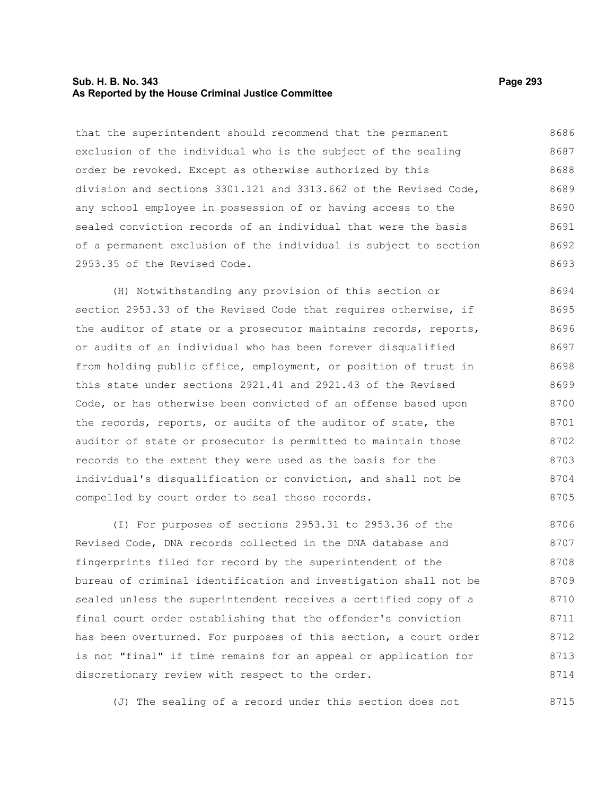### **Sub. H. B. No. 343 Page 293 As Reported by the House Criminal Justice Committee**

that the superintendent should recommend that the permanent exclusion of the individual who is the subject of the sealing order be revoked. Except as otherwise authorized by this division and sections 3301.121 and 3313.662 of the Revised Code, any school employee in possession of or having access to the sealed conviction records of an individual that were the basis of a permanent exclusion of the individual is subject to section 2953.35 of the Revised Code. 8686 8687 8688 8689 8690 8691 8692 8693

(H) Notwithstanding any provision of this section or section 2953.33 of the Revised Code that requires otherwise, if the auditor of state or a prosecutor maintains records, reports, or audits of an individual who has been forever disqualified from holding public office, employment, or position of trust in this state under sections 2921.41 and 2921.43 of the Revised Code, or has otherwise been convicted of an offense based upon the records, reports, or audits of the auditor of state, the auditor of state or prosecutor is permitted to maintain those records to the extent they were used as the basis for the individual's disqualification or conviction, and shall not be compelled by court order to seal those records. 8694 8695 8696 8697 8698 8699 8700 8701 8702 8703 8704 8705

(I) For purposes of sections 2953.31 to 2953.36 of the Revised Code, DNA records collected in the DNA database and fingerprints filed for record by the superintendent of the bureau of criminal identification and investigation shall not be sealed unless the superintendent receives a certified copy of a final court order establishing that the offender's conviction has been overturned. For purposes of this section, a court order is not "final" if time remains for an appeal or application for discretionary review with respect to the order. 8706 8707 8708 8709 8710 8711 8712 8713 8714

(J) The sealing of a record under this section does not

8715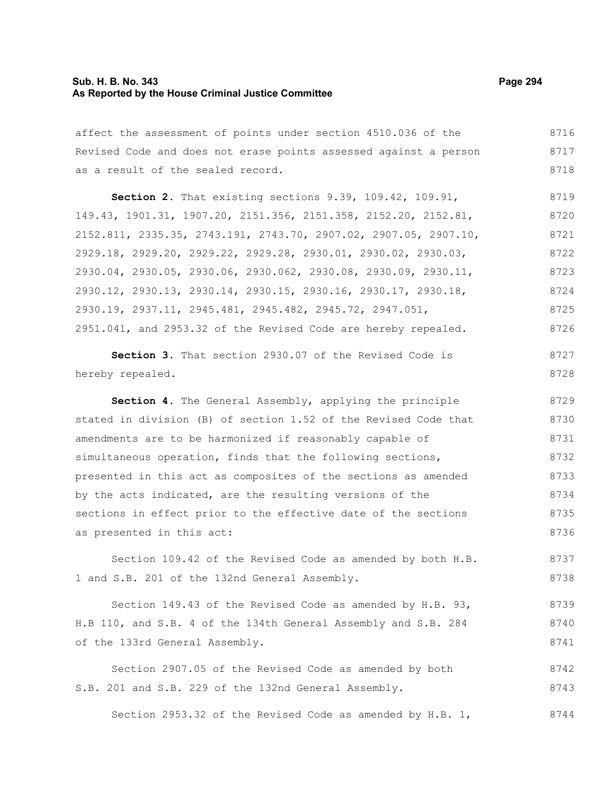# **Sub. H. B. No. 343 Page 294 As Reported by the House Criminal Justice Committee**

| affect the assessment of points under section 4510.036 of the    | 8716 |
|------------------------------------------------------------------|------|
| Revised Code and does not erase points assessed against a person | 8717 |
| as a result of the sealed record.                                | 8718 |
| Section 2. That existing sections 9.39, 109.42, 109.91,          | 8719 |
| 149.43, 1901.31, 1907.20, 2151.356, 2151.358, 2152.20, 2152.81,  | 8720 |
| 2152.811, 2335.35, 2743.191, 2743.70, 2907.02, 2907.05, 2907.10, | 8721 |
| 2929.18, 2929.20, 2929.22, 2929.28, 2930.01, 2930.02, 2930.03,   | 8722 |
| 2930.04, 2930.05, 2930.06, 2930.062, 2930.08, 2930.09, 2930.11,  | 8723 |
| 2930.12, 2930.13, 2930.14, 2930.15, 2930.16, 2930.17, 2930.18,   | 8724 |
| 2930.19, 2937.11, 2945.481, 2945.482, 2945.72, 2947.051,         | 8725 |
| 2951.041, and 2953.32 of the Revised Code are hereby repealed.   | 8726 |
| Section 3. That section 2930.07 of the Revised Code is           | 8727 |
| hereby repealed.                                                 | 8728 |
| Section 4. The General Assembly, applying the principle          | 8729 |
| stated in division (B) of section 1.52 of the Revised Code that  | 8730 |
| amendments are to be harmonized if reasonably capable of         | 8731 |
| simultaneous operation, finds that the following sections,       | 8732 |
| presented in this act as composites of the sections as amended   | 8733 |
| by the acts indicated, are the resulting versions of the         | 8734 |
| sections in effect prior to the effective date of the sections   | 8735 |
| as presented in this act:                                        | 8736 |
| Section 109.42 of the Revised Code as amended by both H.B.       | 8737 |
| 1 and S.B. 201 of the 132nd General Assembly.                    | 8738 |
| Section 149.43 of the Revised Code as amended by H.B. 93,        | 8739 |
| H.B 110, and S.B. 4 of the 134th General Assembly and S.B. 284   | 8740 |
| of the 133rd General Assembly.                                   | 8741 |
| Section 2907.05 of the Revised Code as amended by both           | 8742 |
| S.B. 201 and S.B. 229 of the 132nd General Assembly.             | 8743 |
| Section 2953.32 of the Revised Code as amended by H.B. 1,        | 8744 |